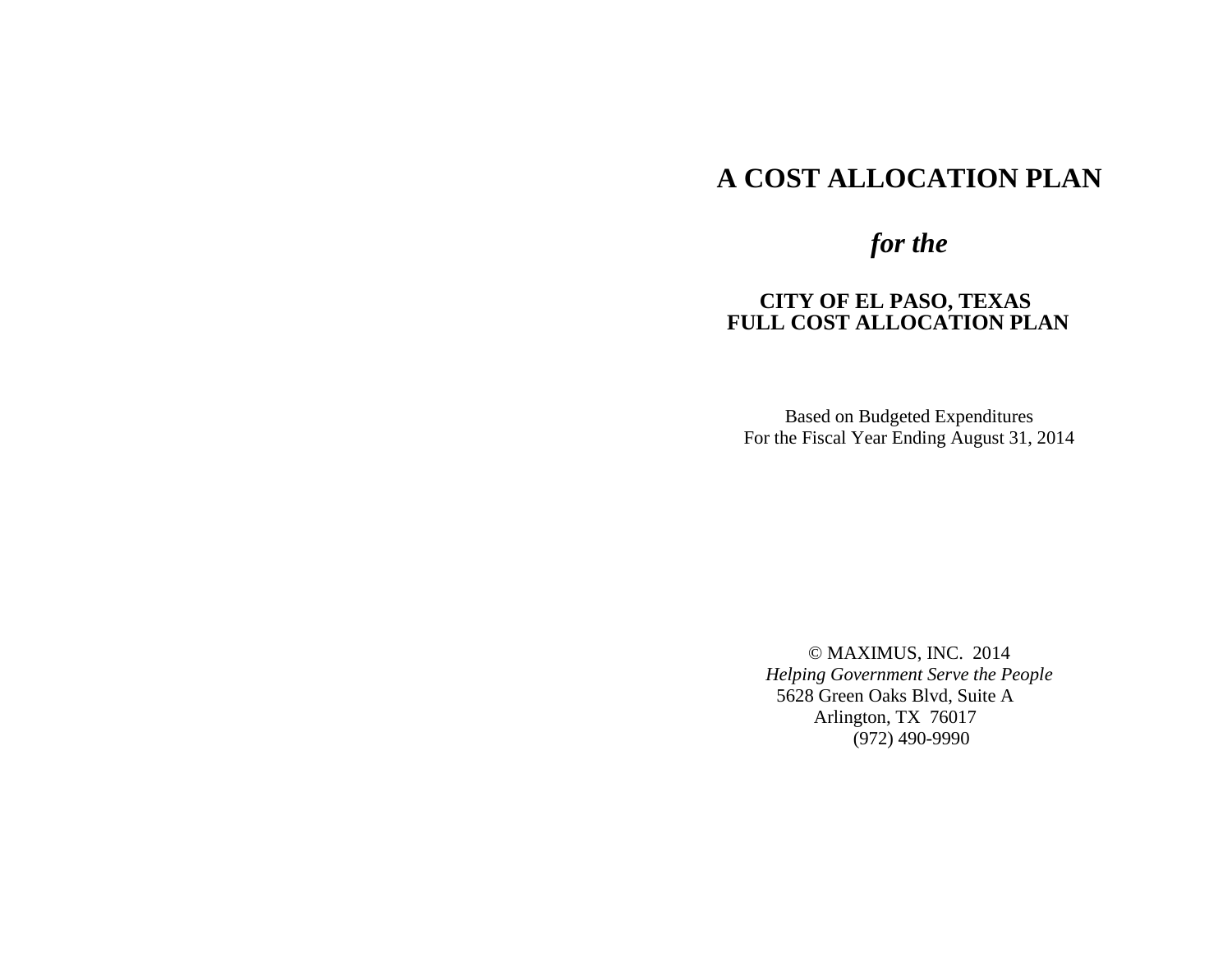# **A COST ALLOCATION PLAN**

# **A COST ANALYSIS** *for the*

# *for the* **CITY OF EL PASO, TEXAS FULL COST ALLOCATION PLAN**

Based on Budgeted Expenditures For the Fiscal Year Ending August 31, 2014

© MAXIMUS, INC. 2014 *Helping Government Serve the People* 5628 Green Oaks Blvd, Suite A Arlington, TX 76017 (972) 490-9990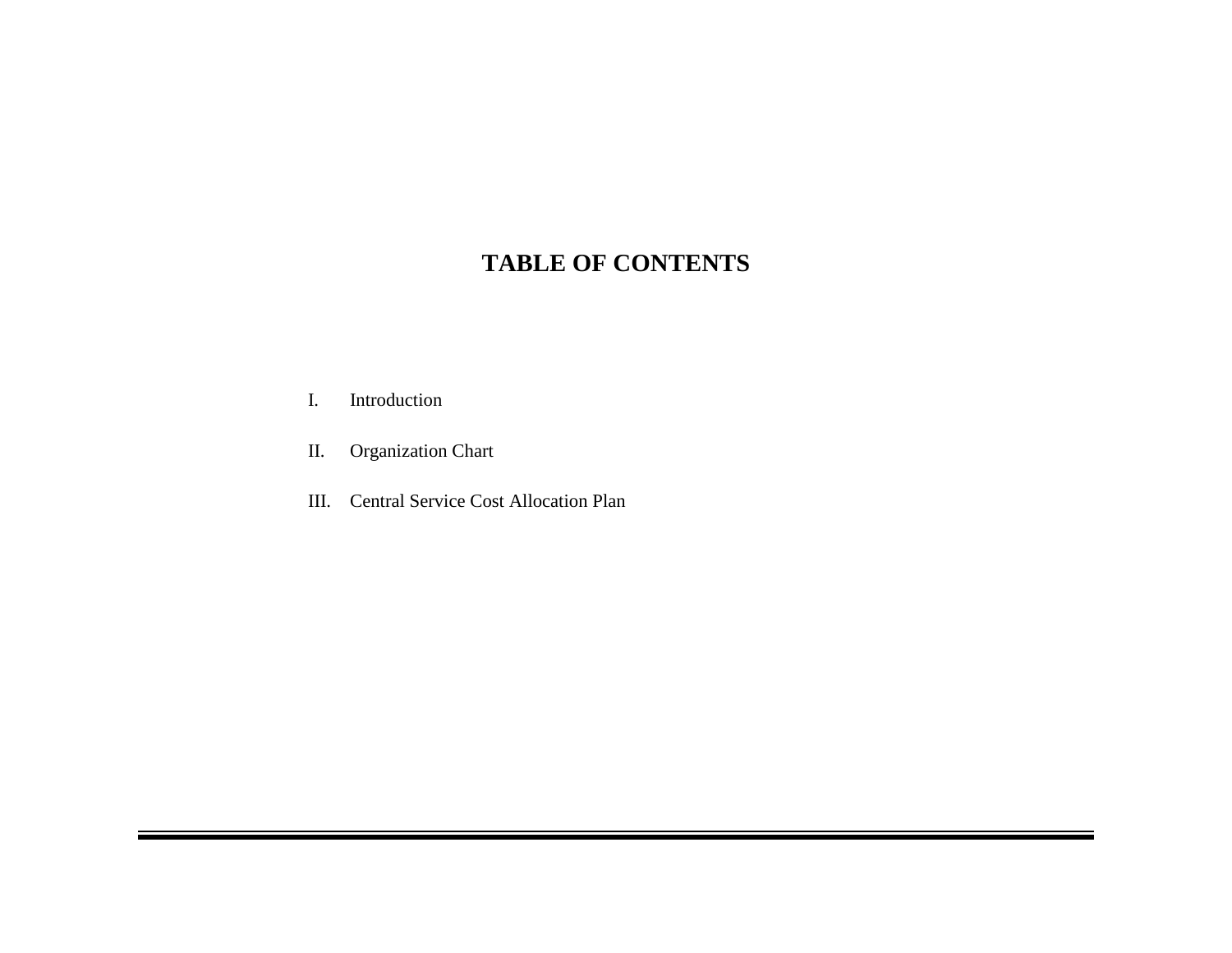# **TABLE OF CONTENTS**

- I. Introduction
- II. Organization Chart
- III. Central Service Cost Allocation Plan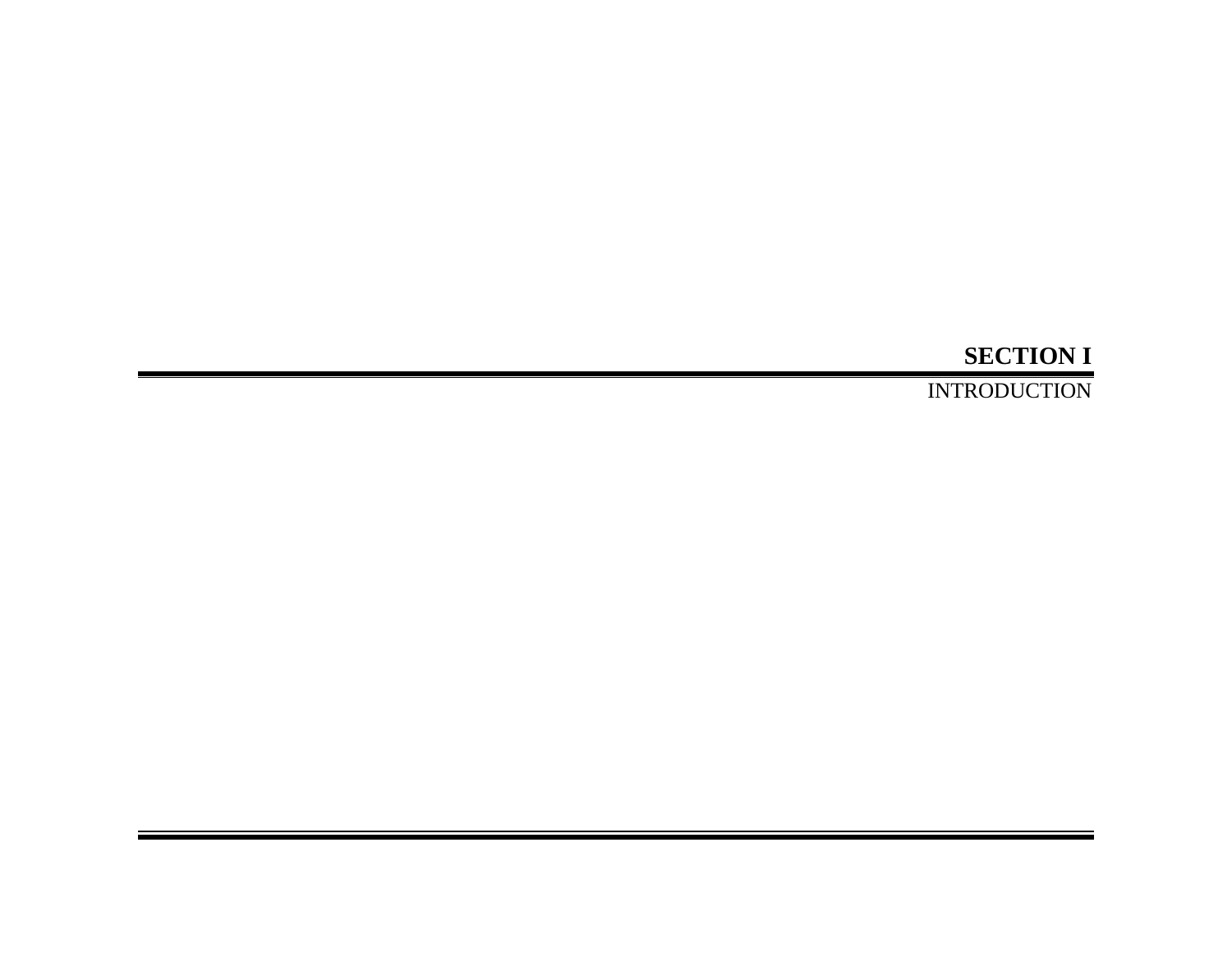# **SECTION I**

INTRODUCTION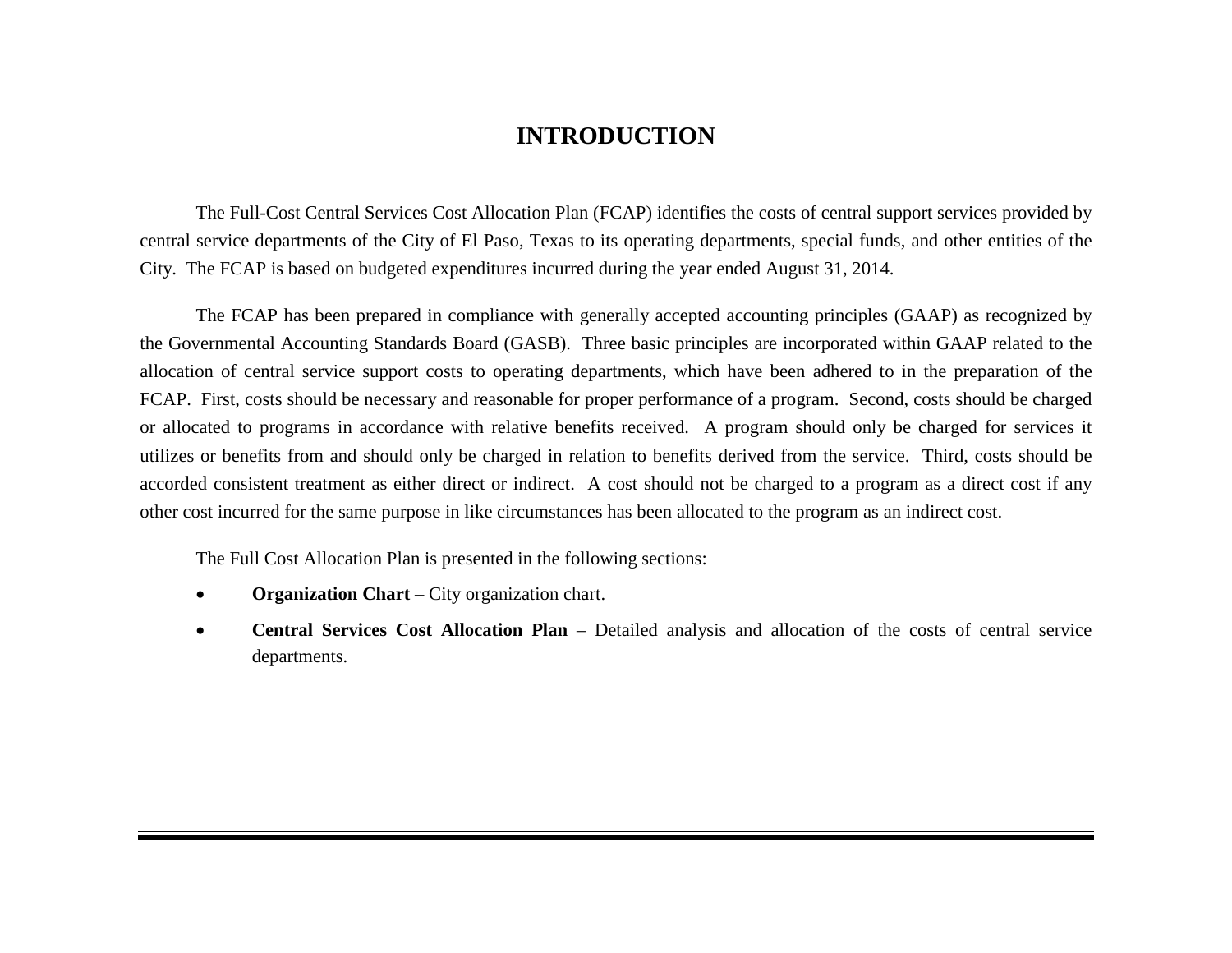# **INTRODUCTION**

The Full-Cost Central Services Cost Allocation Plan (FCAP) identifies the costs of central support services provided by central service departments of the City of El Paso, Texas to its operating departments, special funds, and other entities of the City. The FCAP is based on budgeted expenditures incurred during the year ended August 31, 2014.

The FCAP has been prepared in compliance with generally accepted accounting principles (GAAP) as recognized by the Governmental Accounting Standards Board (GASB). Three basic principles are incorporated within GAAP related to the allocation of central service support costs to operating departments, which have been adhered to in the preparation of the FCAP. First, costs should be necessary and reasonable for proper performance of a program. Second, costs should be charged or allocated to programs in accordance with relative benefits received. A program should only be charged for services it utilizes or benefits from and should only be charged in relation to benefits derived from the service. Third, costs should be accorded consistent treatment as either direct or indirect. A cost should not be charged to a program as a direct cost if any other cost incurred for the same purpose in like circumstances has been allocated to the program as an indirect cost.

The Full Cost Allocation Plan is presented in the following sections:

- **Organization Chart** City organization chart.
- **Central Services Cost Allocation Plan** Detailed analysis and allocation of the costs of central service departments.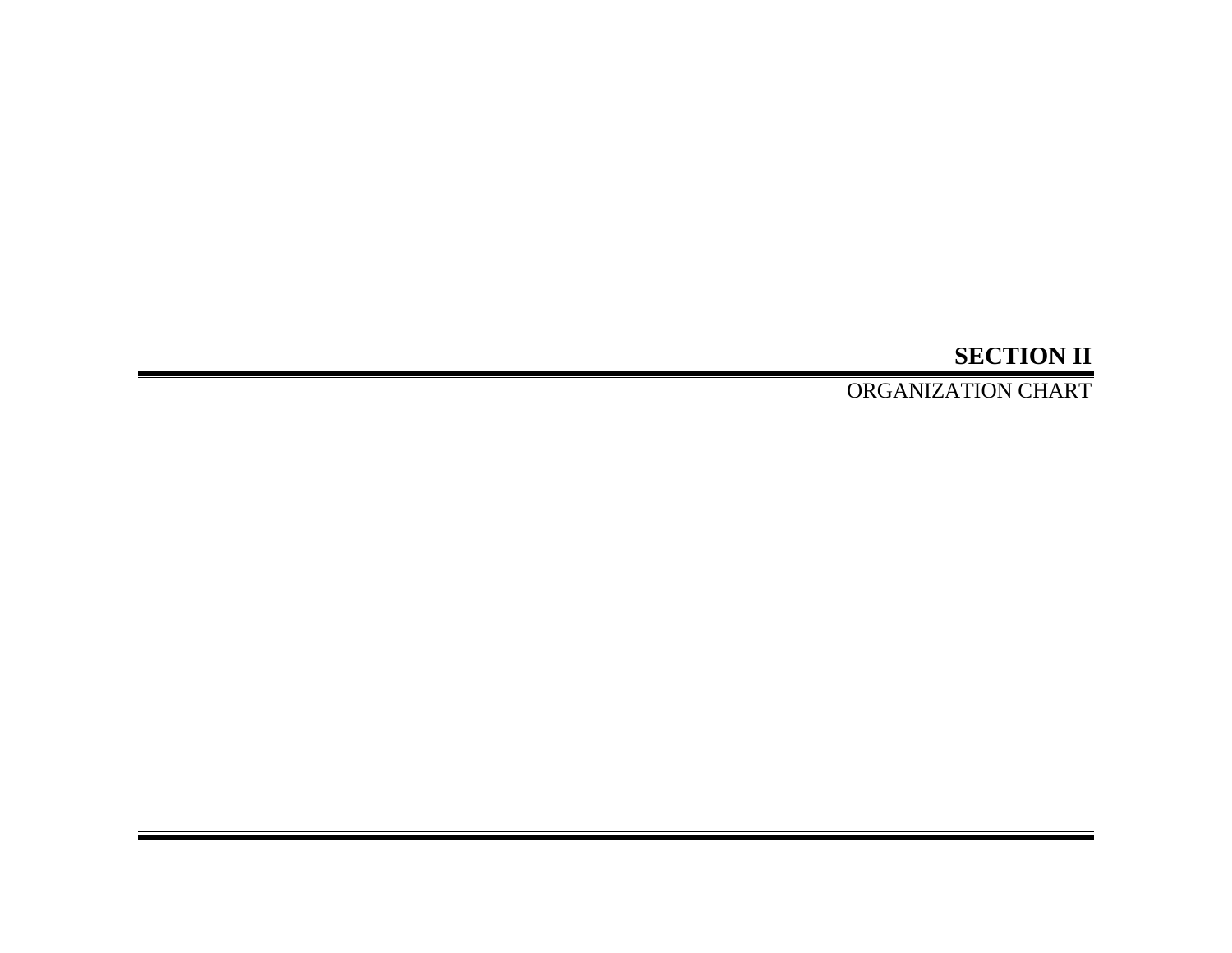# **SECTION II**

ORGANIZATION CHART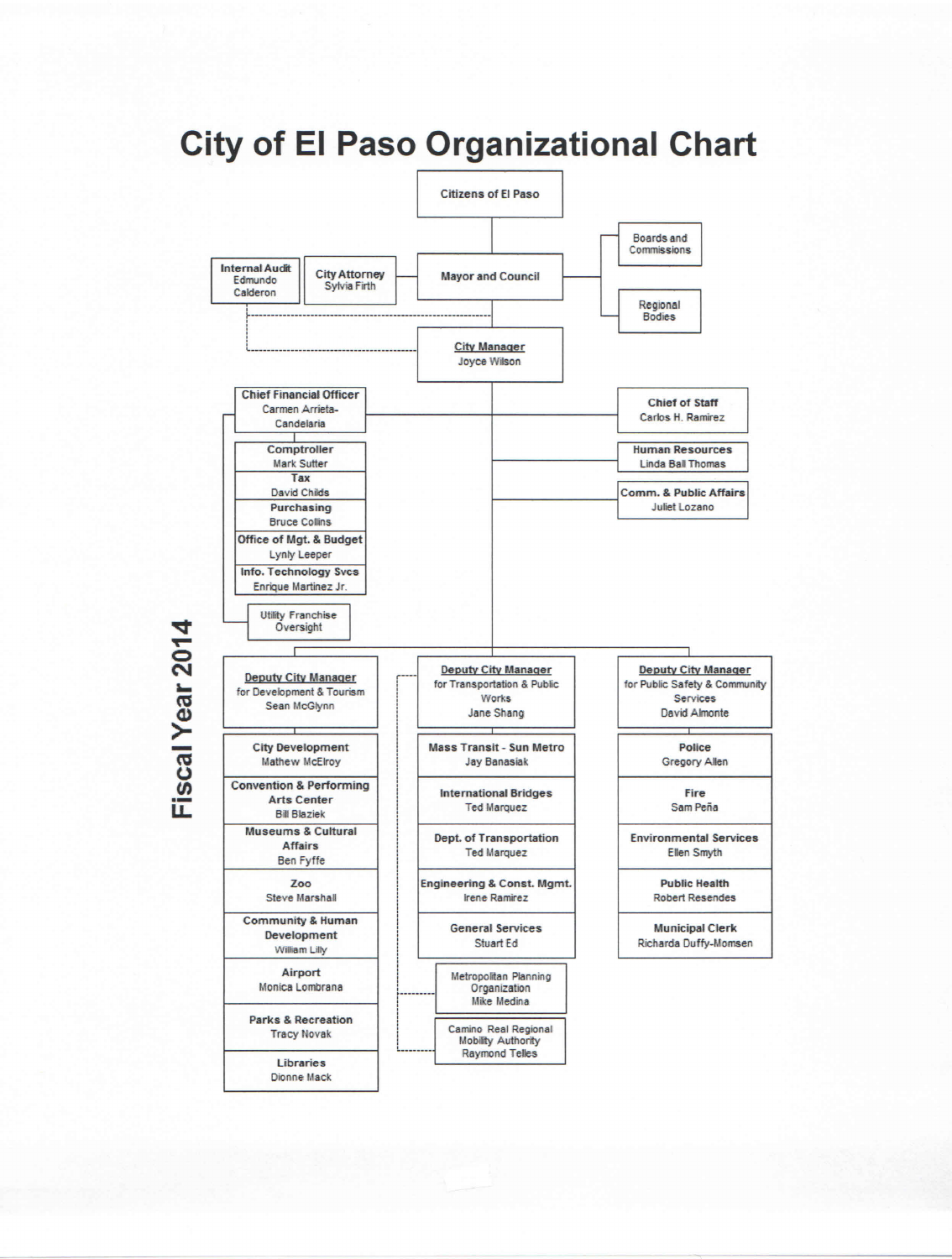# **City of El Paso Organizational Chart**



Fiscal Year 2014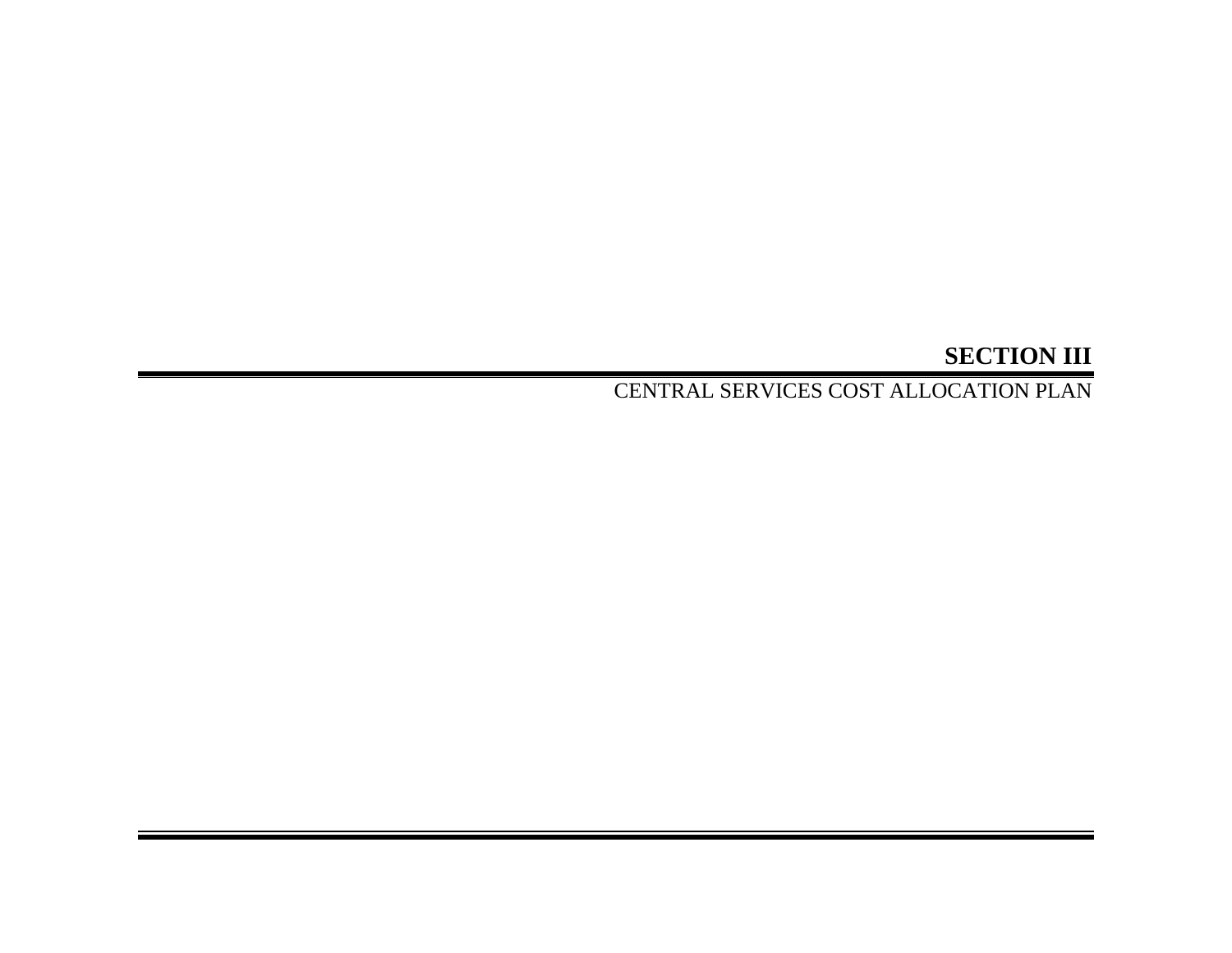# **SECTION III**

CENTRAL SERVICES COST ALLOCATION PLAN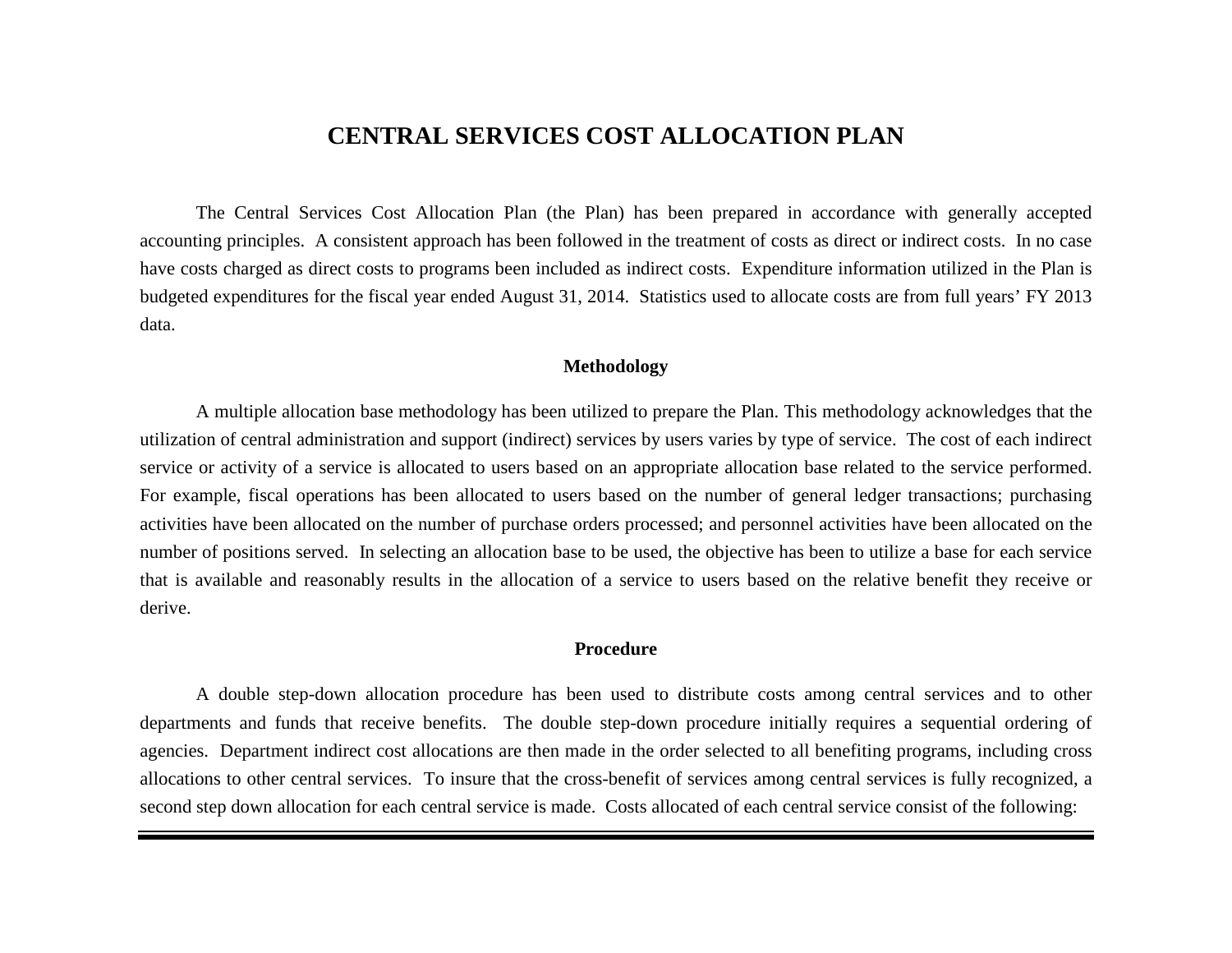# **CENTRAL SERVICES COST ALLOCATION PLAN**

The Central Services Cost Allocation Plan (the Plan) has been prepared in accordance with generally accepted accounting principles. A consistent approach has been followed in the treatment of costs as direct or indirect costs. In no case have costs charged as direct costs to programs been included as indirect costs. Expenditure information utilized in the Plan is budgeted expenditures for the fiscal year ended August 31, 2014. Statistics used to allocate costs are from full years' FY 2013 data.

### **Methodology**

A multiple allocation base methodology has been utilized to prepare the Plan. This methodology acknowledges that the utilization of central administration and support (indirect) services by users varies by type of service. The cost of each indirect service or activity of a service is allocated to users based on an appropriate allocation base related to the service performed. For example, fiscal operations has been allocated to users based on the number of general ledger transactions; purchasing activities have been allocated on the number of purchase orders processed; and personnel activities have been allocated on the number of positions served. In selecting an allocation base to be used, the objective has been to utilize a base for each service that is available and reasonably results in the allocation of a service to users based on the relative benefit they receive or derive.

### **Procedure**

A double step-down allocation procedure has been used to distribute costs among central services and to other departments and funds that receive benefits. The double step-down procedure initially requires a sequential ordering of agencies. Department indirect cost allocations are then made in the order selected to all benefiting programs, including cross allocations to other central services. To insure that the cross-benefit of services among central services is fully recognized, a second step down allocation for each central service is made. Costs allocated of each central service consist of the following: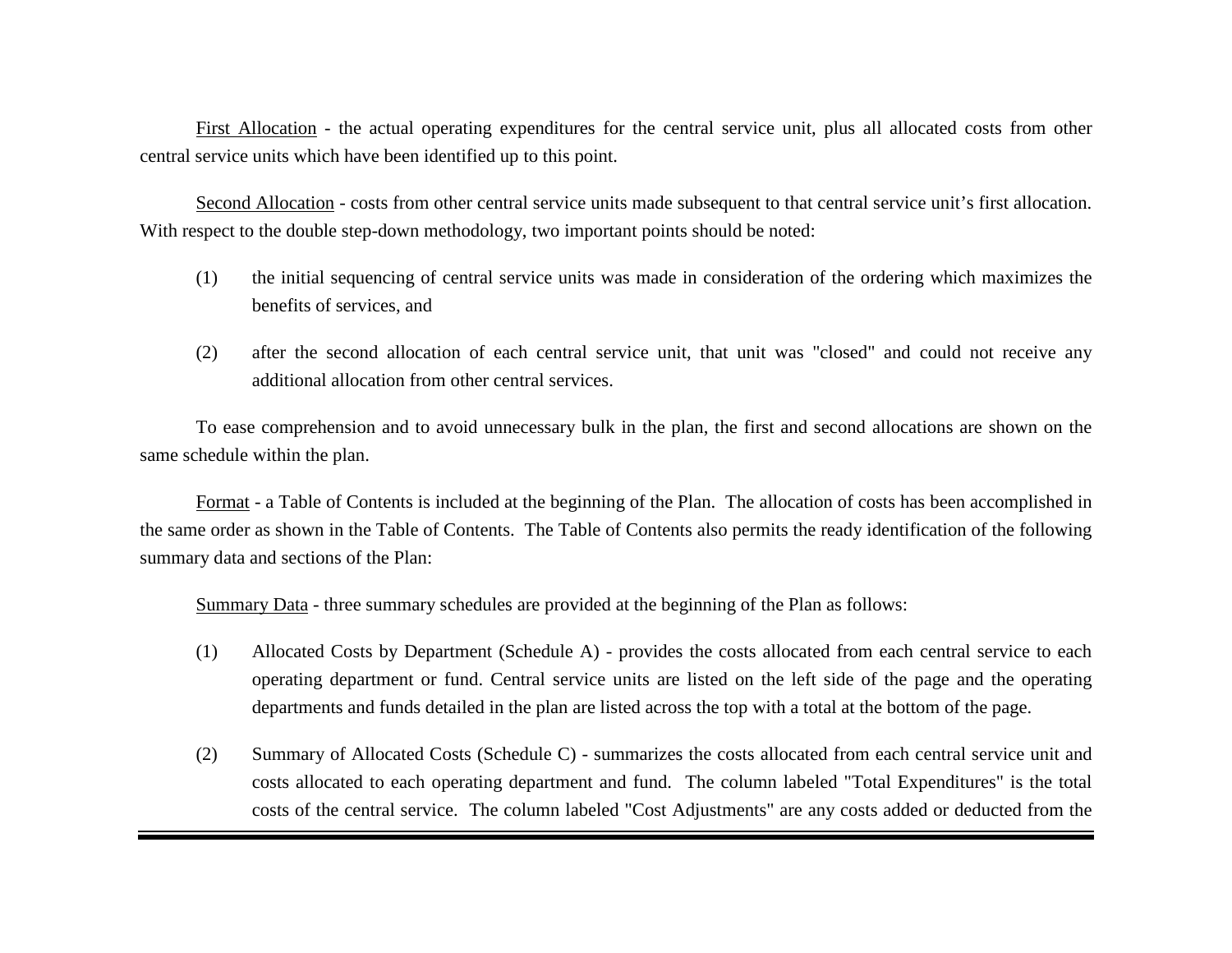First Allocation - the actual operating expenditures for the central service unit, plus all allocated costs from other central service units which have been identified up to this point.

Second Allocation - costs from other central service units made subsequent to that central service unit's first allocation. With respect to the double step-down methodology, two important points should be noted:

- (1) the initial sequencing of central service units was made in consideration of the ordering which maximizes the benefits of services, and
- (2) after the second allocation of each central service unit, that unit was "closed" and could not receive any additional allocation from other central services.

To ease comprehension and to avoid unnecessary bulk in the plan, the first and second allocations are shown on the same schedule within the plan.

Format - a Table of Contents is included at the beginning of the Plan. The allocation of costs has been accomplished in the same order as shown in the Table of Contents. The Table of Contents also permits the ready identification of the following summary data and sections of the Plan:

Summary Data - three summary schedules are provided at the beginning of the Plan as follows:

- (1) Allocated Costs by Department (Schedule A) provides the costs allocated from each central service to each operating department or fund. Central service units are listed on the left side of the page and the operating departments and funds detailed in the plan are listed across the top with a total at the bottom of the page.
- (2) Summary of Allocated Costs (Schedule C) summarizes the costs allocated from each central service unit and costs allocated to each operating department and fund. The column labeled "Total Expenditures" is the total costs of the central service. The column labeled "Cost Adjustments" are any costs added or deducted from the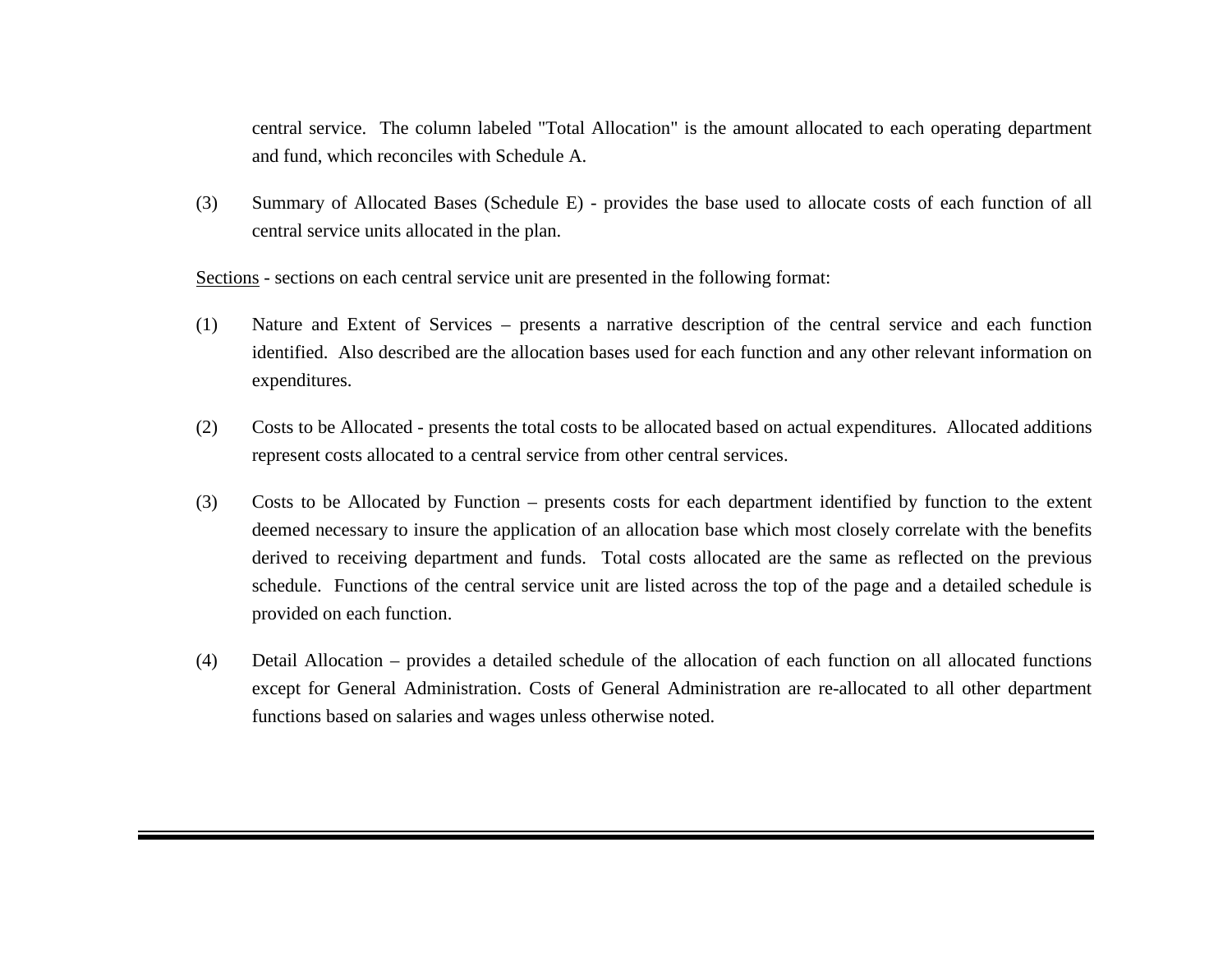central service. The column labeled "Total Allocation" is the amount allocated to each operating department and fund, which reconciles with Schedule A.

(3) Summary of Allocated Bases (Schedule E) - provides the base used to allocate costs of each function of all central service units allocated in the plan.

Sections - sections on each central service unit are presented in the following format:

- (1) Nature and Extent of Services presents a narrative description of the central service and each function identified. Also described are the allocation bases used for each function and any other relevant information on expenditures.
- (2) Costs to be Allocated presents the total costs to be allocated based on actual expenditures. Allocated additions represent costs allocated to a central service from other central services.
- (3) Costs to be Allocated by Function presents costs for each department identified by function to the extent deemed necessary to insure the application of an allocation base which most closely correlate with the benefits derived to receiving department and funds. Total costs allocated are the same as reflected on the previous schedule. Functions of the central service unit are listed across the top of the page and a detailed schedule is provided on each function.
- (4) Detail Allocation provides a detailed schedule of the allocation of each function on all allocated functions except for General Administration. Costs of General Administration are re-allocated to all other department functions based on salaries and wages unless otherwise noted.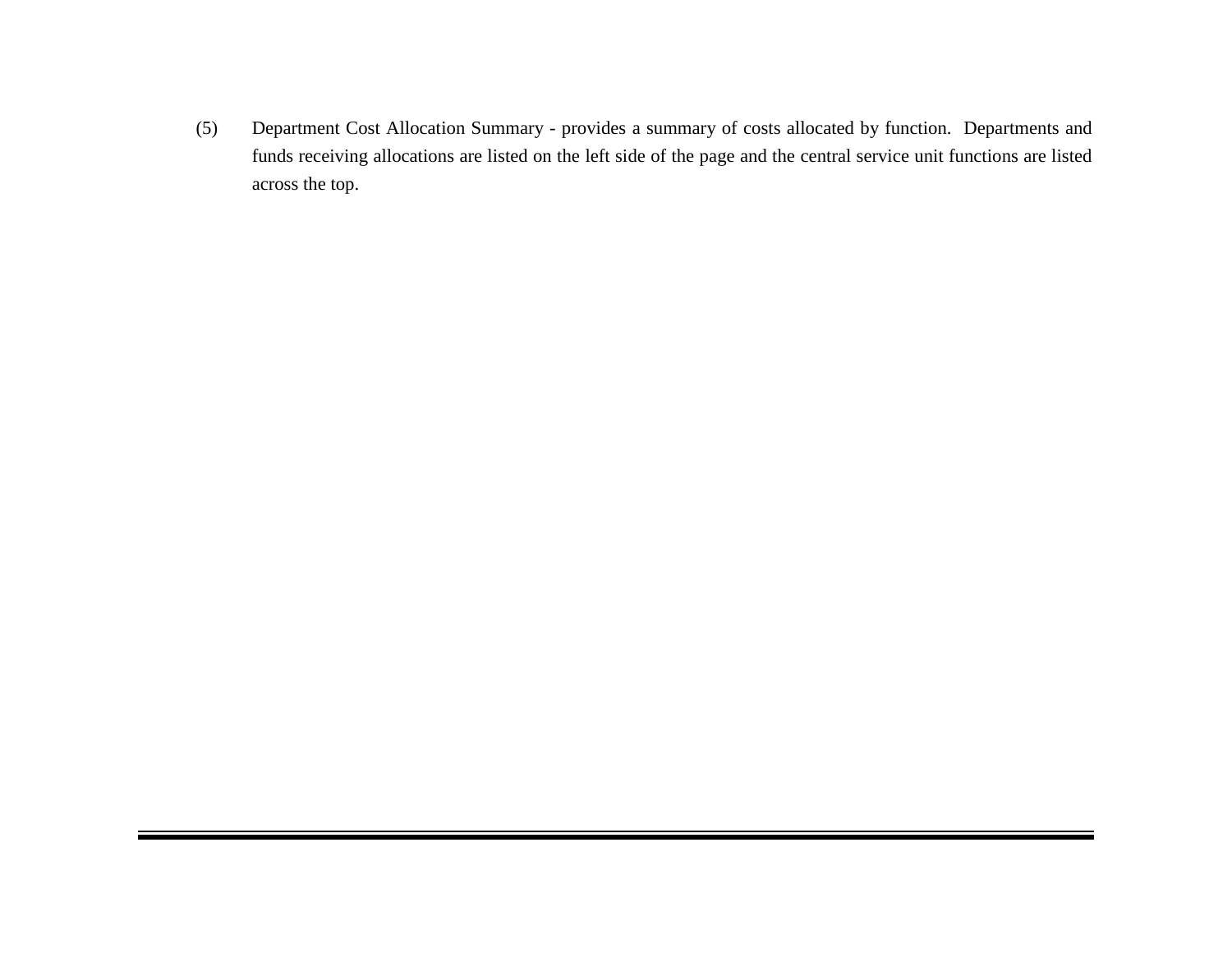(5) Department Cost Allocation Summary - provides a summary of costs allocated by function. Departments and funds receiving allocations are listed on the left side of the page and the central service unit functions are listed across the top.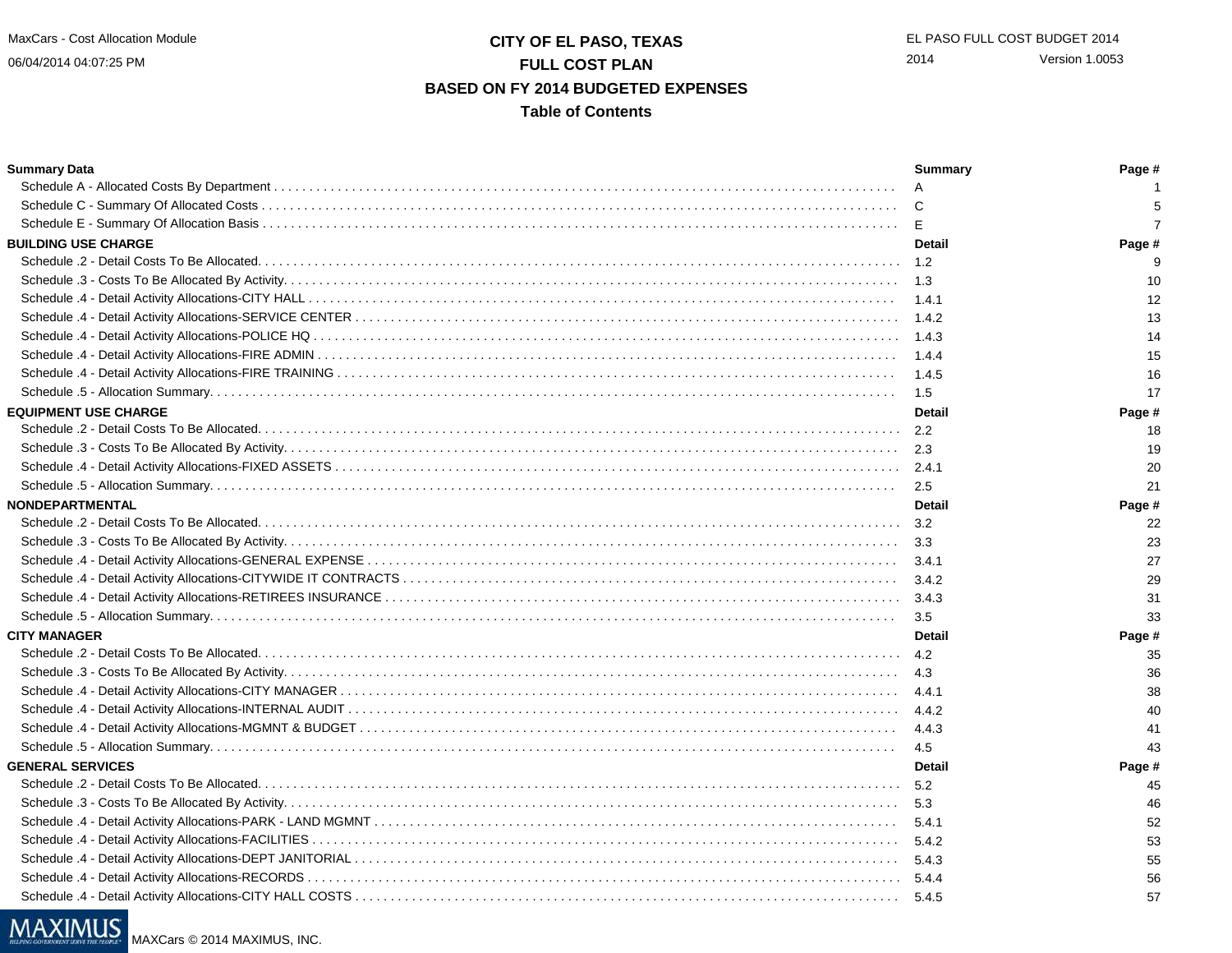06/04/2014 04:07:25 PM

## **CITY OF EL PASO, TEXAS** EL PASO FULL COST BUDGET 2014 **FULL COST PLAN BASED ON FY 2014 BUDGETED EXPENSESTable of Contents**

#### **Summary Data Summary Page #** Schedule A - Allocated Costs By Department . . . . . . . . . . . . . . . . . . . . . . . . . . . . . . . . . . . . . . . . . . . . . . . . . . . . . . . . . . . . . . . . . . . . . . . . . . . . . . . . . . . . . . . . $\overline{A}$  1 5 Schedule C - Summary Of Allocated Costs . . . . . . . . . . . . . . . . . . . . . . . . . . . . . . . . . . . . . . . . . . . . . . . . . . . . . . . . . . . . . . . . . . . . . . . . . . . . . . . . . . . . . . . . . . $\overline{C}$  5  $\overline{7}$ Schedule E - Summary Of Allocation Basis . . . . . . . . . . . . . . . . . . . . . . . . . . . . . . . . . . . . . . . . . . . . . . . . . . . . . . . . . . . . . . . . . . . . . . . . . . . . . . . . . . . . . . . . . . $E$  7 **BUILDING USE CHARGE Detail Page #** Schedule .2 - Detail Costs To Be Allocated. . . . . . . . . . . . . . . . . . . . . . . . . . . . . . . . . . . . . . . . . . . . . . . . . . . . . . . . . . . . . . . . . . . . . . . . . . . . . . . . . . . . . . . . . . . 1.2 9 $10$ Schedule .3 - Costs To Be Allocated By Activity. . . . . . . . . . . . . . . . . . . . . . . . . . . . . . . . . . . . . . . . . . . . . . . . . . . . . . . . . . . . . . . . . . . . . . . . . . . . . . . . . . . . . . . 1.3 10 $12$ Schedule .4 - Detail Activity Allocations-CITY HALL . . . . . . . . . . . . . . . . . . . . . . . . . . . . . . . . . . . . . . . . . . . . . . . . . . . . . . . . . . . . . . . . . . . . . . . . . . . . . . . . . . . $1.4.1$  12 13 Schedule .4 - Detail Activity Allocations-SERVICE CENTER . . . . . . . . . . . . . . . . . . . . . . . . . . . . . . . . . . . . . . . . . . . . . . . . . . . . . . . . . . . . . . . . . . . . . . . . . . . . . $1.4.2$  13 14 Schedule .4 - Detail Activity Allocations-POLICE HQ . . . . . . . . . . . . . . . . . . . . . . . . . . . . . . . . . . . . . . . . . . . . . . . . . . . . . . . . . . . . . . . . . . . . . . . . . . . . . . . . . . . $1.4.3$  14 Schedule .4 - Detail Activity Allocations-FIRE ADMIN . . . . . . . . . . . . . . . . . . . . . . . . . . . . . . . . . . . . . . . . . . . . . . . . . . . . . . . . . . . . . . . . . . . . . . . . . . . . . . . . . . $1.4.4$  15 16 Schedule .4 - Detail Activity Allocations-FIRE TRAINING . . . . . . . . . . . . . . . . . . . . . . . . . . . . . . . . . . . . . . . . . . . . . . . . . . . . . . . . . . . . . . . . . . . . . . . . . . . . . . . $1.4.5$  16 17 Schedule .5 - Allocation Summary. . . . . . . . . . . . . . . . . . . . . . . . . . . . . . . . . . . . . . . . . . . . . . . . . . . . . . . . . . . . . . . . . . . . . . . . . . . . . . . . . . . . . . . . . . . . . . . . . $1.5$  17 Page # **EQUIPMENT USE CHARGE Detail Page #** Schedule .2 - Detail Costs To Be Allocated. . . . . . . . . . . . . . . . . . . . . . . . . . . . . . . . . . . . . . . . . . . . . . . . . . . . . . . . . . . . . . . . . . . . . . . . . . . . . . . . . . . . . . . . . . . $-2.2$  18 19 Schedule .3 - Costs To Be Allocated By Activity. . . . . . . . . . . . . . . . . . . . . . . . . . . . . . . . . . . . . . . . . . . . . . . . . . . . . . . . . . . . . . . . . . . . . . . . . . . . . . . . . . . . . . . $-2.3$  19 20 Schedule .4 - Detail Activity Allocations-FIXED ASSETS . . . . . . . . . . . . . . . . . . . . . . . . . . . . . . . . . . . . . . . . . . . . . . . . . . . . . . . . . . . . . . . . . . . . . . . . . . . . . . . . $2.4.1$  20  $21$ Schedule .5 - Allocation Summary. . . . . . . . . . . . . . . . . . . . . . . . . . . . . . . . . . . . . . . . . . . . . . . . . . . . . . . . . . . . . . . . . . . . . . . . . . . . . . . . . . . . . . . . . . . . . . . . . $2.5$  2.5 **NONDEPARTMENTAL Detail Page #** Schedule .2 - Detail Costs To Be Allocated. . . . . . . . . . . . . . . . . . . . . . . . . . . . . . . . . . . . . . . . . . . . . . . . . . . . . . . . . . . . . . . . . . . . . . . . . . . . . . . . . . . . . . . . . . . $3.2$  22 Schedule .3 - Costs To Be Allocated By Activity. . . . . . . . . . . . . . . . . . . . . . . . . . . . . . . . . . . . . . . . . . . . . . . . . . . . . . . . . . . . . . . . . . . . . . . . . . . . . . . . . . . . . . . $3.3$  23 27 Schedule .4 - Detail Activity Allocations-GENERAL EXPENSE . . . . . . . . . . . . . . . . . . . . . . . . . . . . . . . . . . . . . . . . . . . . . . . . . . . . . . . . . . . . . . . . . . . . . . . . . . . $3.4.1$  27 Schedule .4 - Detail Activity Allocations-CITYWIDE IT CONTRACTS . . . . . . . . . . . . . . . . . . . . . . . . . . . . . . . . . . . . . . . . . . . . . . . . . . . . . . . . . . . . . . . . . . . . . . $3.4.2$  29 Schedule .4 - Detail Activity Allocations-RETIREES INSURANCE . . . . . . . . . . . . . . . . . . . . . . . . . . . . . . . . . . . . . . . . . . . . . . . . . . . . . . . . . . . . . . . . . . . . . . . . . $3.4.3$   $31$ 33 Schedule .5 - Allocation Summary. . . . . . . . . . . . . . . . . . . . . . . . . . . . . . . . . . . . . . . . . . . . . . . . . . . . . . . . . . . . . . . . . . . . . . . . . . . . . . . . . . . . . . . . . . . . . . . . . $3.5$  3.5 Page # **CITY MANAGER Detail Page #** Schedule .2 - Detail Costs To Be Allocated. . . . . . . . . . . . . . . . . . . . . . . . . . . . . . . . . . . . . . . . . . . . . . . . . . . . . . . . . . . . . . . . . . . . . . . . . . . . . . . . . . . . . . . . . . . $4.2$  35 36 Schedule .3 - Costs To Be Allocated By Activity. . . . . . . . . . . . . . . . . . . . . . . . . . . . . . . . . . . . . . . . . . . . . . . . . . . . . . . . . . . . . . . . . . . . . . . . . . . . . . . . . . . . . . . $4.3$   $36$ 38 Schedule .4 - Detail Activity Allocations-CITY MANAGER . . . . . . . . . . . . . . . . . . . . . . . . . . . . . . . . . . . . . . . . . . . . . . . . . . . . . . . . . . . . . . . . . . . . . . . . . . . . . . . 4.4.1 38Schedule .4 - Detail Activity Allocations-INTERNAL AUDIT . . . . . . . . . . . . . . . . . . . . . . . . . . . . . . . . . . . . . . . . . . . . . . . . . . . . . . . . . . . . . . . . . . . . . . . . . . . . . . $4.4.2$  40 Schedule .4 - Detail Activity Allocations-MGMNT & BUDGET . . . . . . . . . . . . . . . . . . . . . . . . . . . . . . . . . . . . . . . . . . . . . . . . . . . . . . . . . . . . . . . . . . . . . . . . . . . . $4.4.3$   $41$ 43 Schedule .5 - Allocation Summary. . . . . . . . . . . . . . . . . . . . . . . . . . . . . . . . . . . . . . . . . . . . . . . . . . . . . . . . . . . . . . . . . . . . . . . . . . . . . . . . . . . . . . . . . . . . . . . . . $4.5$  43 Page # **GENERAL SERVICES Detail Page #** Schedule .2 - Detail Costs To Be Allocated. . . . . . . . . . . . . . . . . . . . . . . . . . . . . . . . . . . . . . . . . . . . . . . . . . . . . . . . . . . . . . . . . . . . . . . . . . . . . . . . . . . . . . . . . . . $5.2$  45 46 Schedule .3 - Costs To Be Allocated By Activity. . . . . . . . . . . . . . . . . . . . . . . . . . . . . . . . . . . . . . . . . . . . . . . . . . . . . . . . . . . . . . . . . . . . . . . . . . . . . . . . . . . . . . . $5.3$  46 Schedule .4 - Detail Activity Allocations-PARK - LAND MGMNT . . . . . . . . . . . . . . . . . . . . . . . . . . . . . . . . . . . . . . . . . . . . . . . . . . . . . . . . . . . . . . . . . . . . . . . . . . $5.4.1$  52 53 Schedule .4 - Detail Activity Allocations-FACILITIES . . . . . . . . . . . . . . . . . . . . . . . . . . . . . . . . . . . . . . . . . . . . . . . . . . . . . . . . . . . . . . . . . . . . . . . . . . . . . . . . . . . $5.4.2$  53 Schedule .4 - Detail Activity Allocations-DEPT JANITORIAL . . . . . . . . . . . . . . . . . . . . . . . . . . . . . . . . . . . . . . . . . . . . . . . . . . . . . . . . . . . . . . . . . . . . . . . . . . . . . $5.4.3$  55 56 Schedule .4 - Detail Activity Allocations-RECORDS . . . . . . . . . . . . . . . . . . . . . . . . . . . . . . . . . . . . . . . . . . . . . . . . . . . . . . . . . . . . . . . . . . . . . . . . . . . . . . . . . . . . $5.4.4$  5.4.4 57 Schedule .4 - Detail Activity Allocations-CITY HALL COSTS . . . . . . . . . . . . . . . . . . . . . . . . . . . . . . . . . . . . . . . . . . . . . . . . . . . . . . . . . . . . . . . . . . . . . . . . . . . . . $5.4.5$  57

# MAXIMUS

MAXCars © 2014 MAXIMUS, INC.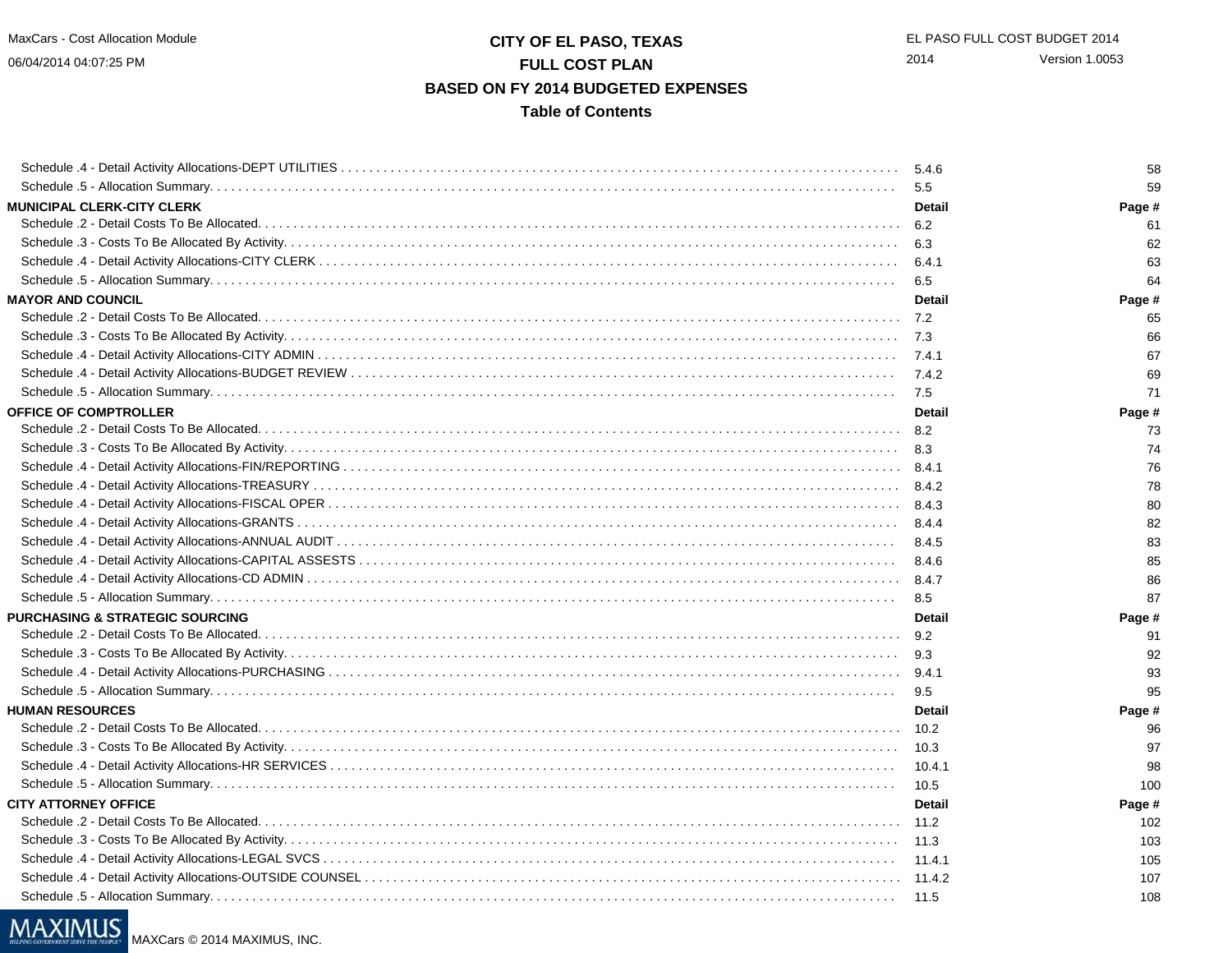06/04/2014 04:07:25 PM

## **CITY OF EL PASO, TEXAS** EL PASO FULL COST BUDGET 2014 **FULL COST PLAN BASED ON FY 2014 BUDGETED EXPENSESTable of Contents**

Schedule .4 - Detail Activity Allocations-DEPT UTILITIES . . . . . . . . . . . . . . . . . . . . . . . . . . . . . . . . . . . . . . . . . . . . . . . . . . . . . . . . . . . . . . . . . . . . . . . . . . . . . . . $5.4.6$  5.4.6 59 Schedule .5 - Allocation Summary. . . . . . . . . . . . . . . . . . . . . . . . . . . . . . . . . . . . . . . . . . . . . . . . . . . . . . . . . . . . . . . . . . . . . . . . . . . . . . . . . . . . . . . . . . . . . . . . . $5.5$  5.5 Page # **MUNICIPAL CLERK-CITY CLERK Detail Page #** Schedule .2 - Detail Costs To Be Allocated. . . . . . . . . . . . . . . . . . . . . . . . . . . . . . . . . . . . . . . . . . . . . . . . . . . . . . . . . . . . . . . . . . . . . . . . . . . . . . . . . . . . . . . . . . . $6.2$  61 62 Schedule .3 - Costs To Be Allocated By Activity. . . . . . . . . . . . . . . . . . . . . . . . . . . . . . . . . . . . . . . . . . . . . . . . . . . . . . . . . . . . . . . . . . . . . . . . . . . . . . . . . . . . . . . $6.3$  6.3 Schedule .4 - Detail Activity Allocations-CITY CLERK . . . . . . . . . . . . . . . . . . . . . . . . . . . . . . . . . . . . . . . . . . . . . . . . . . . . . . . . . . . . . . . . . . . . . . . . . . . . . . . . . . $6.4.1$  63 64 Schedule .5 - Allocation Summary. . . . . . . . . . . . . . . . . . . . . . . . . . . . . . . . . . . . . . . . . . . . . . . . . . . . . . . . . . . . . . . . . . . . . . . . . . . . . . . . . . . . . . . . . . . . . . . . . $6.5$  6.5 64 Page # **MAYOR AND COUNCIL Detail Page #** Schedule .2 - Detail Costs To Be Allocated. . . . . . . . . . . . . . . . . . . . . . . . . . . . . . . . . . . . . . . . . . . . . . . . . . . . . . . . . . . . . . . . . . . . . . . . . . . . . . . . . . . . . . . . . . . $-7.2$  65 66 Schedule .3 - Costs To Be Allocated By Activity. . . . . . . . . . . . . . . . . . . . . . . . . . . . . . . . . . . . . . . . . . . . . . . . . . . . . . . . . . . . . . . . . . . . . . . . . . . . . . . . . . . . . . . $7.3$  66 67 Schedule .4 - Detail Activity Allocations-CITY ADMIN . . . . . . . . . . . . . . . . . . . . . . . . . . . . . . . . . . . . . . . . . . . . . . . . . . . . . . . . . . . . . . . . . . . . . . . . . . . . . . . . . . 7.4.1 6769 Schedule .4 - Detail Activity Allocations-BUDGET REVIEW . . . . . . . . . . . . . . . . . . . . . . . . . . . . . . . . . . . . . . . . . . . . . . . . . . . . . . . . . . . . . . . . . . . . . . . . . . . . . 7.4.2 6971 Schedule .5 - Allocation Summary. . . . . . . . . . . . . . . . . . . . . . . . . . . . . . . . . . . . . . . . . . . . . . . . . . . . . . . . . . . . . . . . . . . . . . . . . . . . . . . . . . . . . . . . . . . . . . . . . $7.5$  7.5 Page # **OFFICE OF COMPTROLLER Detail Page #** Schedule .2 - Detail Costs To Be Allocated. . . . . . . . . . . . . . . . . . . . . . . . . . . . . . . . . . . . . . . . . . . . . . . . . . . . . . . . . . . . . . . . . . . . . . . . . . . . . . . . . . . . . . . . . . . $8.2$  73 74 Schedule .3 - Costs To Be Allocated By Activity. . . . . . . . . . . . . . . . . . . . . . . . . . . . . . . . . . . . . . . . . . . . . . . . . . . . . . . . . . . . . . . . . . . . . . . . . . . . . . . . . . . . . . . $8.3$  74 Schedule .4 - Detail Activity Allocations-FIN/REPORTING . . . . . . . . . . . . . . . . . . . . . . . . . . . . . . . . . . . . . . . . . . . . . . . . . . . . . . . . . . . . . . . . . . . . . . . . . . . . . . . 8.4.1 7678 Schedule .4 - Detail Activity Allocations-TREASURY . . . . . . . . . . . . . . . . . . . . . . . . . . . . . . . . . . . . . . . . . . . . . . . . . . . . . . . . . . . . . . . . . . . . . . . . . . . . . . . . . . . 8.4.2 78Schedule .4 - Detail Activity Allocations-FISCAL OPER . . . . . . . . . . . . . . . . . . . . . . . . . . . . . . . . . . . . . . . . . . . . . . . . . . . . . . . . . . . . . . . . . . . . . . . . . . . . . . . . . $8.4.3$  80 82 Schedule .4 - Detail Activity Allocations-GRANTS . . . . . . . . . . . . . . . . . . . . . . . . . . . . . . . . . . . . . . . . . . . . . . . . . . . . . . . . . . . . . . . . . . . . . . . . . . . . . . . . . . . . . $8.4.4$  82 Schedule .4 - Detail Activity Allocations-ANNUAL AUDIT . . . . . . . . . . . . . . . . . . . . . . . . . . . . . . . . . . . . . . . . . . . . . . . . . . . . . . . . . . . . . . . . . . . . . . . . . . . . . . . $8.4.5$  83 85 Schedule .4 - Detail Activity Allocations-CAPITAL ASSESTS . . . . . . . . . . . . . . . . . . . . . . . . . . . . . . . . . . . . . . . . . . . . . . . . . . . . . . . . . . . . . . . . . . . . . . . . . . . . $8.4.6$  85 Schedule .4 - Detail Activity Allocations-CD ADMIN . . . . . . . . . . . . . . . . . . . . . . . . . . . . . . . . . . . . . . . . . . . . . . . . . . . . . . . . . . . . . . . . . . . . . . . . . . . . . . . . . . . . $8.4.7$  86 87 Schedule .5 - Allocation Summary. . . . . . . . . . . . . . . . . . . . . . . . . . . . . . . . . . . . . . . . . . . . . . . . . . . . . . . . . . . . . . . . . . . . . . . . . . . . . . . . . . . . . . . . . . . . . . . . . $8.5$  87 Page # **PURCHASING & STRATEGIC SOURCING Detail Page #** Schedule .2 - Detail Costs To Be Allocated. . . . . . . . . . . . . . . . . . . . . . . . . . . . . . . . . . . . . . . . . . . . . . . . . . . . . . . . . . . . . . . . . . . . . . . . . . . . . . . . . . . . . . . . . . . $9.2$  91 92 Schedule .3 - Costs To Be Allocated By Activity. . . . . . . . . . . . . . . . . . . . . . . . . . . . . . . . . . . . . . . . . . . . . . . . . . . . . . . . . . . . . . . . . . . . . . . . . . . . . . . . . . . . . . . $9.3$  92 93 Schedule .4 - Detail Activity Allocations-PURCHASING . . . . . . . . . . . . . . . . . . . . . . . . . . . . . . . . . . . . . . . . . . . . . . . . . . . . . . . . . . . . . . . . . . . . . . . . . . . . . . . . . $9.4.1$  93 95 Schedule .5 - Allocation Summary. . . . . . . . . . . . . . . . . . . . . . . . . . . . . . . . . . . . . . . . . . . . . . . . . . . . . . . . . . . . . . . . . . . . . . . . . . . . . . . . . . . . . . . . . . . . . . . . . $9.5$  9.5 **HUMAN RESOURCES Detail Page #** Schedule .2 - Detail Costs To Be Allocated. . . . . . . . . . . . . . . . . . . . . . . . . . . . . . . . . . . . . . . . . . . . . . . . . . . . . . . . . . . . . . . . . . . . . . . . . . . . . . . . . . . . . . . . . . .. 10.2 96 97 Schedule .3 - Costs To Be Allocated By Activity. . . . . . . . . . . . . . . . . . . . . . . . . . . . . . . . . . . . . . . . . . . . . . . . . . . . . . . . . . . . . . . . . . . . . . . . . . . . . . . . . . . . . . . $10.3$  97 98 Schedule .4 - Detail Activity Allocations-HR SERVICES . . . . . . . . . . . . . . . . . . . . . . . . . . . . . . . . . . . . . . . . . . . . . . . . . . . . . . . . . . . . . . . . . . . . . . . . . . . . . . . . 10.4.1 98100 Schedule .5 - Allocation Summary. . . . . . . . . . . . . . . . . . . . . . . . . . . . . . . . . . . . . . . . . . . . . . . . . . . . . . . . . . . . . . . . . . . . . . . . . . . . . . . . . . . . . . . . . . . . . . . . . $10.5$  100 Page # **CITY ATTORNEY OFFICE Detail Page #** Schedule .2 - Detail Costs To Be Allocated. . . . . . . . . . . . . . . . . . . . . . . . . . . . . . . . . . . . . . . . . . . . . . . . . . . . . . . . . . . . . . . . . . . . . . . . . . . . . . . . . . . . . . . . . . . 11.2 102103 Schedule .3 - Costs To Be Allocated By Activity. . . . . . . . . . . . . . . . . . . . . . . . . . . . . . . . . . . . . . . . . . . . . . . . . . . . . . . . . . . . . . . . . . . . . . . . . . . . . . . . . . . . . . . 11.3 103Schedule .4 - Detail Activity Allocations-LEGAL SVCS . . . . . . . . . . . . . . . . . . . . . . . . . . . . . . . . . . . . . . . . . . . . . . . . . . . . . . . . . . . . . . . . . . . . . . . . . . . . . . . . .. 11.4.1 105 Schedule .4 - Detail Activity Allocations-OUTSIDE COUNSEL . . . . . . . . . . . . . . . . . . . . . . . . . . . . . . . . . . . . . . . . . . . . . . . . . . . . . . . . . . . . . . . . . . . . . . . . . . . . 11.4.2 107Schedule .5 - Allocation Summary. . . . . . . . . . . . . . . . . . . . . . . . . . . . . . . . . . . . . . . . . . . . . . . . . . . . . . . . . . . . . . . . . . . . . . . . . . . . . . . . . . . . . . . . . . . . . . . . . $11.5$  108

# MAXIMUS

MAXCars © 2014 MAXIMUS, INC.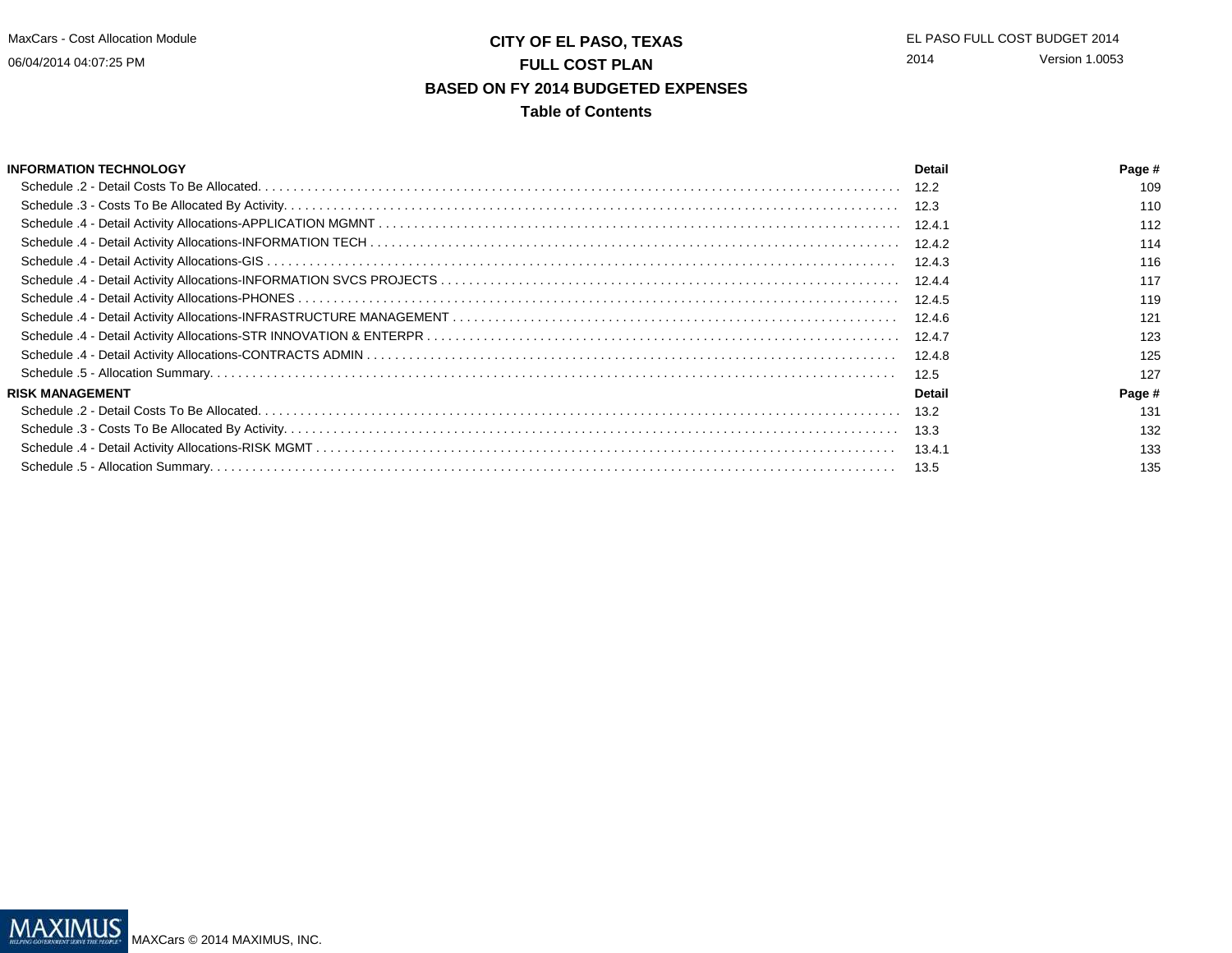# **CITY OF EL PASO, TEXAS** EL PASO FULL COST BUDGET 2014 **FULL COST PLAN BASED ON FY 2014 BUDGETED EXPENSESTable of Contents**

| <b>INFORMATION TECHNOLOGY</b> | Detail | Page # |
|-------------------------------|--------|--------|
|                               |        | 109    |
|                               | 12.3   | 110    |
|                               |        | 112    |
|                               |        | 114    |
|                               | 12.4.3 | 116    |
|                               |        | 117    |
|                               | 12.4.5 | 119    |
|                               |        | 121    |
|                               | 12.4.7 | 123    |
|                               | 12.4.8 | 125    |
|                               | 12.5   | 127    |
| <b>RISK MANAGEMENT</b>        | Detail | Page # |
|                               | 13.2   | 131    |
|                               | 13.3   | 132    |
|                               | 13.4.1 | 133    |
|                               | 13.5   | 135    |

MAXIMUS MAXCars © 2014 MAXIMUS, INC.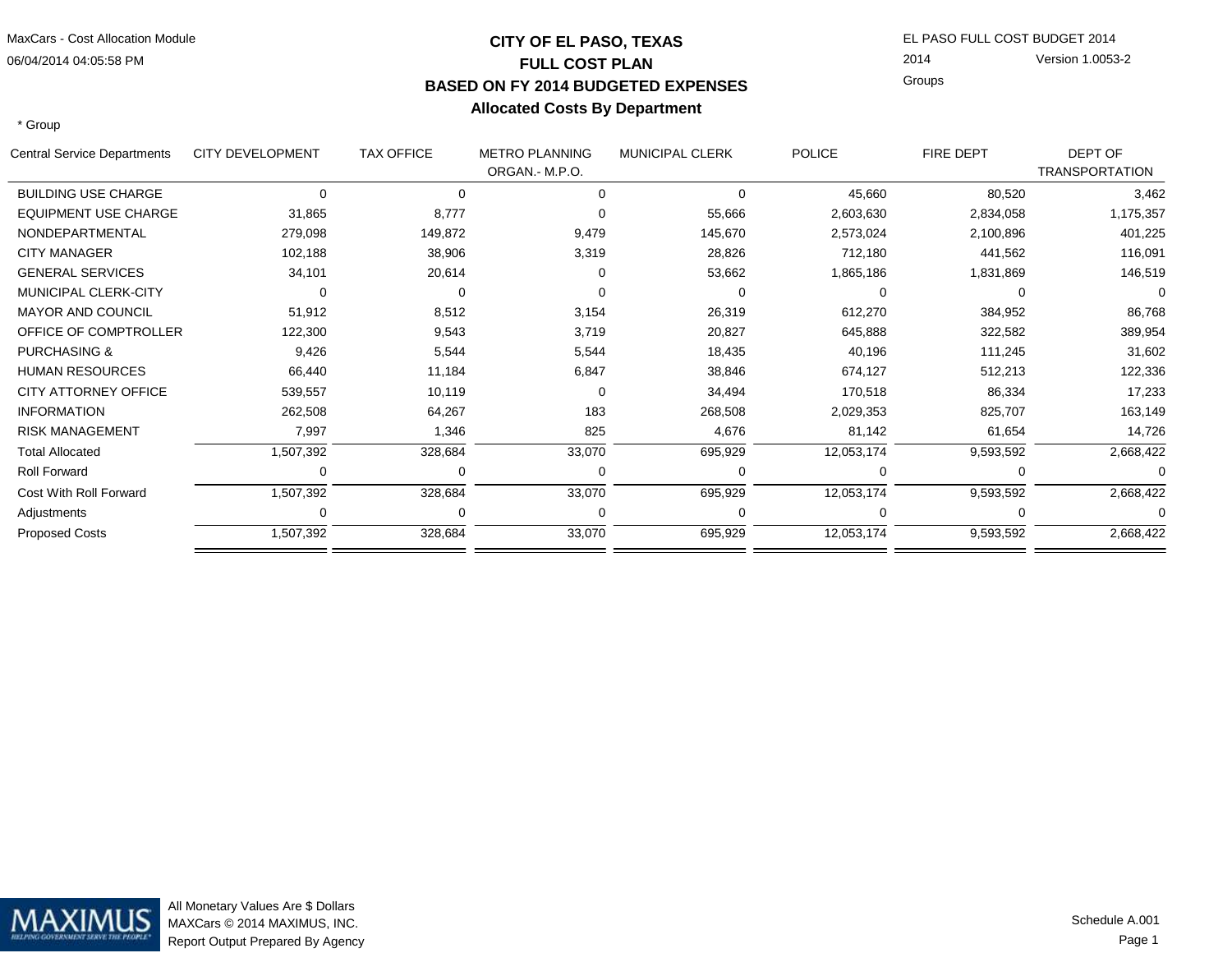### 06/04/2014 04:05:58 PMMaxCars - Cost Allocation Module

# **CITY OF EL PASO, TEXASFULL COST PLAN BASED ON FY 2014 BUDGETED EXPENSESAllocated Costs By Department**

 EL PASO FULL COST BUDGET 2014 2014GroupsVersion 1.0053-2

\* Group

| Central Service Departments | <b>CITY DEVELOPMENT</b> | <b>TAX OFFICE</b> | <b>METRO PLANNING</b> | <b>MUNICIPAL CLERK</b> | <b>POLICE</b> | FIRE DEPT | DEPT OF               |
|-----------------------------|-------------------------|-------------------|-----------------------|------------------------|---------------|-----------|-----------------------|
|                             |                         |                   | ORGAN.- M.P.O.        |                        |               |           | <b>TRANSPORTATION</b> |
| <b>BUILDING USE CHARGE</b>  | $\Omega$                |                   | ∩                     | $\Omega$               | 45,660        | 80,520    | 3,462                 |
| <b>EQUIPMENT USE CHARGE</b> | 31,865                  | 8,777             |                       | 55,666                 | 2,603,630     | 2,834,058 | 1,175,357             |
| NONDEPARTMENTAL             | 279,098                 | 149,872           | 9,479                 | 145,670                | 2,573,024     | 2,100,896 | 401,225               |
| <b>CITY MANAGER</b>         | 102,188                 | 38,906            | 3,319                 | 28,826                 | 712,180       | 441,562   | 116,091               |
| <b>GENERAL SERVICES</b>     | 34,101                  | 20,614            | ∩                     | 53,662                 | 1,865,186     | 1,831,869 | 146,519               |
| MUNICIPAL CLERK-CITY        |                         |                   |                       |                        |               |           |                       |
| <b>MAYOR AND COUNCIL</b>    | 51,912                  | 8,512             | 3,154                 | 26,319                 | 612,270       | 384,952   | 86,768                |
| OFFICE OF COMPTROLLER       | 122,300                 | 9,543             | 3,719                 | 20,827                 | 645,888       | 322,582   | 389,954               |
| <b>PURCHASING &amp;</b>     | 9,426                   | 5,544             | 5,544                 | 18,435                 | 40,196        | 111,245   | 31,602                |
| <b>HUMAN RESOURCES</b>      | 66,440                  | 11,184            | 6,847                 | 38,846                 | 674,127       | 512,213   | 122,336               |
| <b>CITY ATTORNEY OFFICE</b> | 539,557                 | 10,119            | ∩                     | 34,494                 | 170,518       | 86,334    | 17,233                |
| <b>INFORMATION</b>          | 262,508                 | 64,267            | 183                   | 268,508                | 2,029,353     | 825,707   | 163,149               |
| <b>RISK MANAGEMENT</b>      | 7,997                   | 1,346             | 825                   | 4,676                  | 81,142        | 61,654    | 14,726                |
| <b>Total Allocated</b>      | 1,507,392               | 328,684           | 33,070                | 695,929                | 12,053,174    | 9,593,592 | 2,668,422             |
| <b>Roll Forward</b>         |                         |                   | O                     |                        |               |           |                       |
| Cost With Roll Forward      | 1,507,392               | 328,684           | 33,070                | 695,929                | 12,053,174    | 9,593,592 | 2,668,422             |
| Adjustments                 |                         |                   |                       |                        |               |           |                       |
| <b>Proposed Costs</b>       | 1,507,392               | 328,684           | 33,070                | 695,929                | 12,053,174    | 9,593,592 | 2,668,422             |
|                             |                         |                   |                       |                        |               |           |                       |

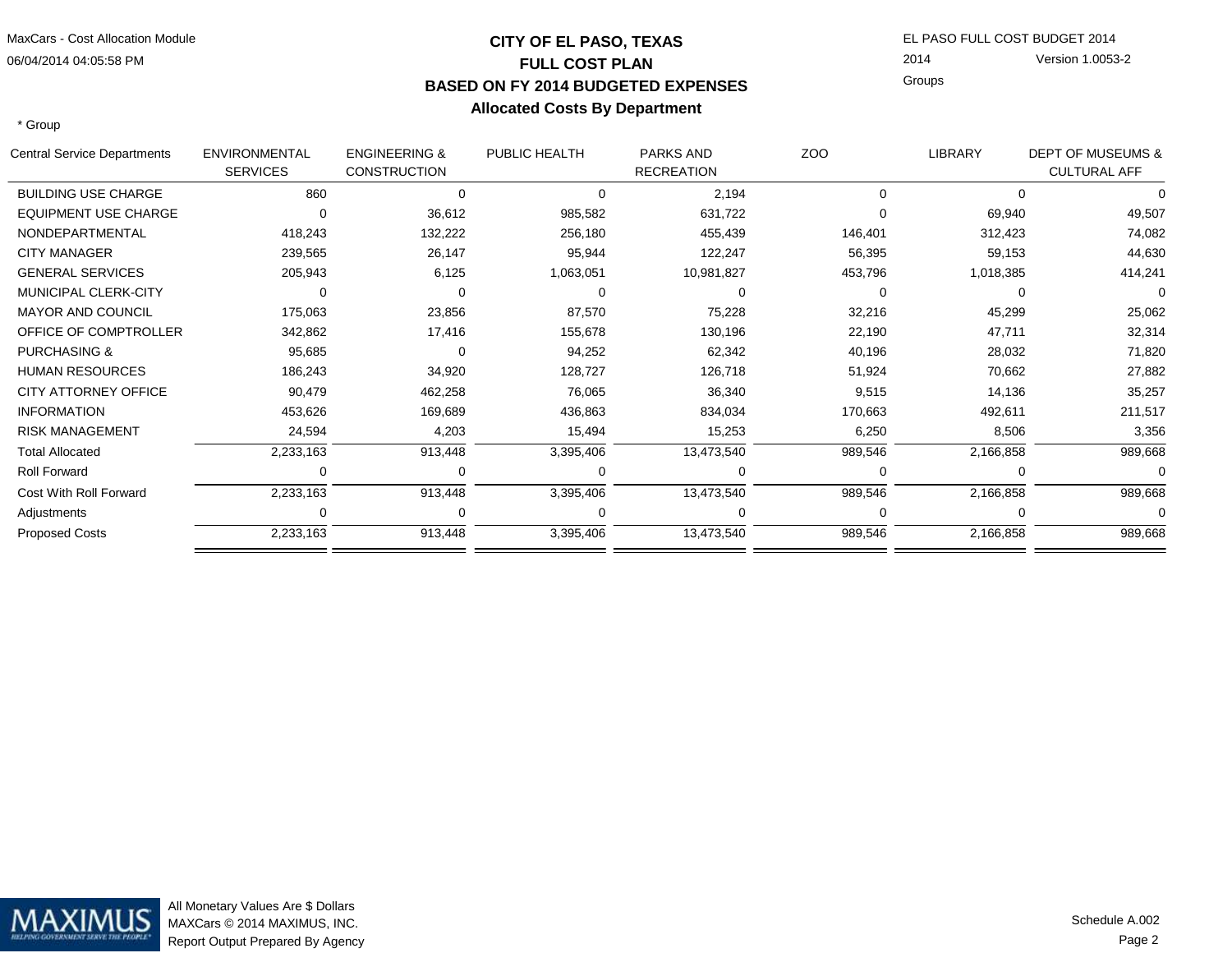### 06/04/2014 04:05:58 PMMaxCars - Cost Allocation Module

# **CITY OF EL PASO, TEXASFULL COST PLAN BASED ON FY 2014 BUDGETED EXPENSESAllocated Costs By Department**

 EL PASO FULL COST BUDGET 2014 2014GroupsVersion 1.0053-2

\* Group

L.

| Central Service Departments | <b>ENVIRONMENTAL</b><br><b>SERVICES</b> | <b>ENGINEERING &amp;</b><br><b>CONSTRUCTION</b> | PUBLIC HEALTH | <b>PARKS AND</b><br><b>RECREATION</b> | ZOO     | <b>LIBRARY</b> | <b>DEPT OF MUSEUMS &amp;</b><br><b>CULTURAL AFF</b> |
|-----------------------------|-----------------------------------------|-------------------------------------------------|---------------|---------------------------------------|---------|----------------|-----------------------------------------------------|
| <b>BUILDING USE CHARGE</b>  | 860                                     |                                                 | $\Omega$      | 2,194                                 | 0       | 0              |                                                     |
| <b>EQUIPMENT USE CHARGE</b> |                                         | 36,612                                          | 985,582       | 631,722                               |         | 69,940         | 49,507                                              |
| NONDEPARTMENTAL             | 418,243                                 | 132,222                                         | 256,180       | 455,439                               | 146,401 | 312,423        | 74,082                                              |
| <b>CITY MANAGER</b>         | 239,565                                 | 26,147                                          | 95,944        | 122,247                               | 56,395  | 59,153         | 44,630                                              |
| <b>GENERAL SERVICES</b>     | 205,943                                 | 6,125                                           | 1,063,051     | 10,981,827                            | 453,796 | 1,018,385      | 414,241                                             |
| MUNICIPAL CLERK-CITY        |                                         |                                                 | ∩             |                                       |         |                |                                                     |
| <b>MAYOR AND COUNCIL</b>    | 175,063                                 | 23,856                                          | 87,570        | 75,228                                | 32,216  | 45,299         | 25,062                                              |
| OFFICE OF COMPTROLLER       | 342,862                                 | 17,416                                          | 155,678       | 130,196                               | 22,190  | 47,711         | 32,314                                              |
| <b>PURCHASING &amp;</b>     | 95,685                                  |                                                 | 94,252        | 62,342                                | 40,196  | 28,032         | 71,820                                              |
| <b>HUMAN RESOURCES</b>      | 186,243                                 | 34,920                                          | 128,727       | 126,718                               | 51,924  | 70,662         | 27,882                                              |
| <b>CITY ATTORNEY OFFICE</b> | 90,479                                  | 462,258                                         | 76,065        | 36,340                                | 9,515   | 14,136         | 35,257                                              |
| <b>INFORMATION</b>          | 453,626                                 | 169,689                                         | 436,863       | 834,034                               | 170,663 | 492,611        | 211,517                                             |
| <b>RISK MANAGEMENT</b>      | 24,594                                  | 4,203                                           | 15,494        | 15,253                                | 6,250   | 8,506          | 3,356                                               |
| <b>Total Allocated</b>      | 2,233,163                               | 913,448                                         | 3,395,406     | 13,473,540                            | 989,546 | 2,166,858      | 989,668                                             |
| <b>Roll Forward</b>         |                                         |                                                 |               |                                       |         |                |                                                     |
| Cost With Roll Forward      | 2,233,163                               | 913,448                                         | 3,395,406     | 13,473,540                            | 989,546 | 2,166,858      | 989,668                                             |
| Adjustments                 |                                         |                                                 |               |                                       |         | 0              |                                                     |
| <b>Proposed Costs</b>       | 2,233,163                               | 913,448                                         | 3,395,406     | 13,473,540                            | 989,546 | 2,166,858      | 989,668                                             |
|                             |                                         |                                                 |               |                                       |         |                |                                                     |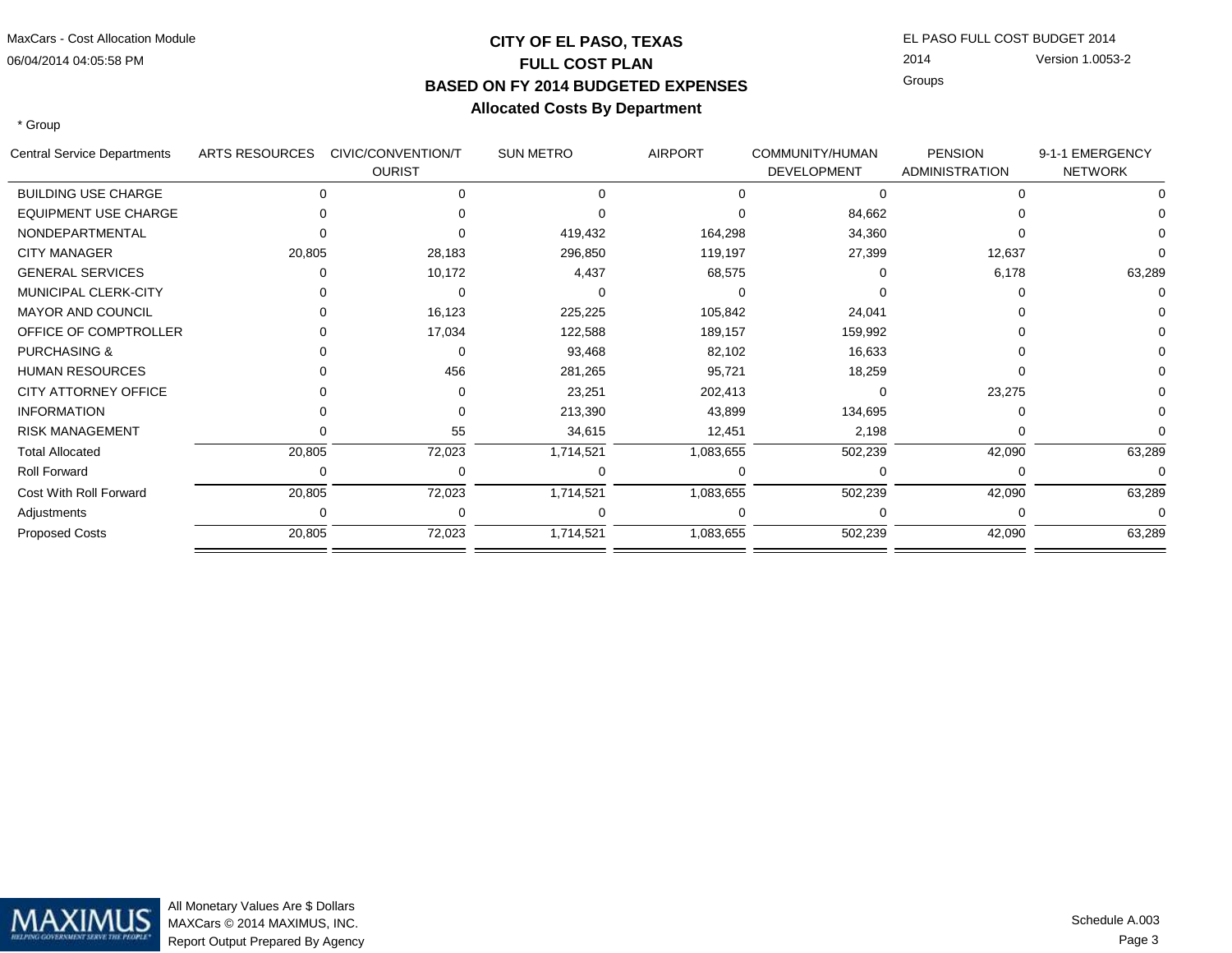06/04/2014 04:05:58 PMMaxCars - Cost Allocation Module

# **CITY OF EL PASO, TEXASFULL COST PLAN BASED ON FY 2014 BUDGETED EXPENSESAllocated Costs By Department**

 EL PASO FULL COST BUDGET 2014 2014GroupsVersion 1.0053-2

\* Group

| Central Service Departments | <b>ARTS RESOURCES</b> | CIVIC/CONVENTION/T<br><b>OURIST</b> | <b>SUN METRO</b> | <b>AIRPORT</b> | COMMUNITY/HUMAN<br><b>DEVELOPMENT</b> | <b>PENSION</b><br><b>ADMINISTRATION</b> | 9-1-1 EMERGENCY<br><b>NETWORK</b> |
|-----------------------------|-----------------------|-------------------------------------|------------------|----------------|---------------------------------------|-----------------------------------------|-----------------------------------|
| <b>BUILDING USE CHARGE</b>  |                       |                                     |                  |                |                                       |                                         |                                   |
| <b>EQUIPMENT USE CHARGE</b> |                       |                                     |                  |                | 84,662                                |                                         |                                   |
| NONDEPARTMENTAL             |                       |                                     | 419,432          | 164,298        | 34,360                                |                                         |                                   |
| <b>CITY MANAGER</b>         | 20,805                | 28,183                              | 296,850          | 119,197        | 27,399                                | 12,637                                  |                                   |
| <b>GENERAL SERVICES</b>     |                       | 10,172                              | 4,437            | 68,575         |                                       | 6,178                                   | 63,289                            |
| MUNICIPAL CLERK-CITY        |                       |                                     |                  |                |                                       |                                         |                                   |
| <b>MAYOR AND COUNCIL</b>    |                       | 16,123                              | 225,225          | 105,842        | 24,041                                |                                         |                                   |
| OFFICE OF COMPTROLLER       |                       | 17,034                              | 122,588          | 189,157        | 159,992                               |                                         |                                   |
| <b>PURCHASING &amp;</b>     |                       |                                     | 93,468           | 82,102         | 16,633                                |                                         |                                   |
| <b>HUMAN RESOURCES</b>      |                       | 456                                 | 281,265          | 95,721         | 18,259                                |                                         |                                   |
| <b>CITY ATTORNEY OFFICE</b> |                       |                                     | 23,251           | 202,413        |                                       | 23,275                                  |                                   |
| <b>INFORMATION</b>          |                       |                                     | 213,390          | 43,899         | 134,695                               |                                         |                                   |
| <b>RISK MANAGEMENT</b>      |                       | 55                                  | 34,615           | 12,451         | 2,198                                 |                                         |                                   |
| <b>Total Allocated</b>      | 20,805                | 72,023                              | 1,714,521        | 1,083,655      | 502,239                               | 42,090                                  | 63,289                            |
| <b>Roll Forward</b>         |                       |                                     |                  |                |                                       |                                         |                                   |
| Cost With Roll Forward      | 20,805                | 72,023                              | 1,714,521        | 1,083,655      | 502,239                               | 42,090                                  | 63,289                            |
| Adjustments                 |                       |                                     |                  |                |                                       |                                         |                                   |
| <b>Proposed Costs</b>       | 20,805                | 72,023                              | 1,714,521        | 1,083,655      | 502,239                               | 42,090                                  | 63,289                            |



All Monetary Values Are \$ Dollars MAXCars © 2014 MAXIMUS, INC.Report Output Prepared By Agency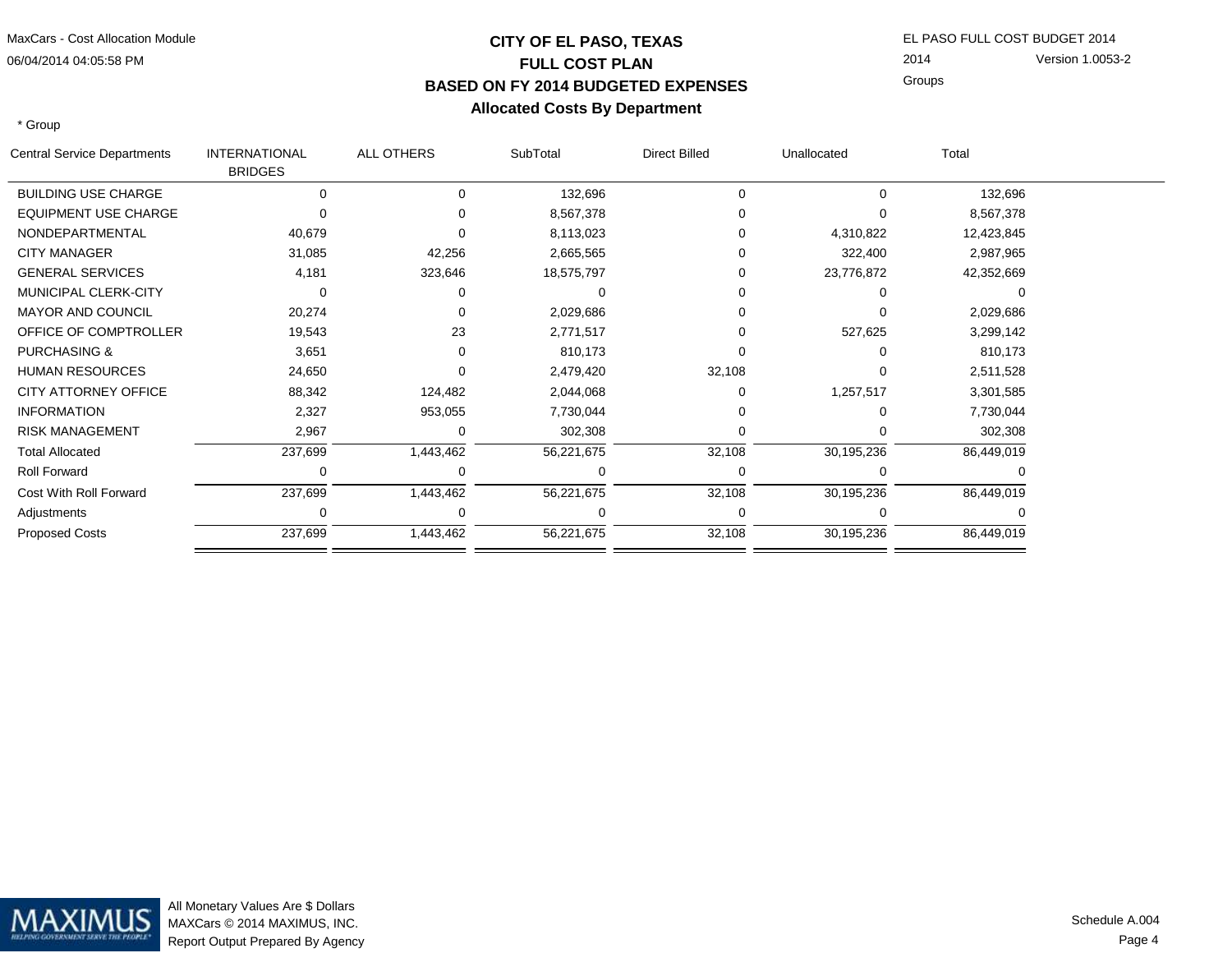# **CITY OF EL PASO, TEXASFULL COST PLAN BASED ON FY 2014 BUDGETED EXPENSESAllocated Costs By Department**

 EL PASO FULL COST BUDGET 2014 2014GroupsVersion 1.0053-2

\* Group

| <b>Central Service Departments</b> | <b>INTERNATIONAL</b><br><b>BRIDGES</b> | ALL OTHERS | SubTotal   | <b>Direct Billed</b> | Unallocated | Total      |  |
|------------------------------------|----------------------------------------|------------|------------|----------------------|-------------|------------|--|
| <b>BUILDING USE CHARGE</b>         | 0                                      | $\Omega$   | 132,696    | 0                    | 0           | 132,696    |  |
| <b>EQUIPMENT USE CHARGE</b>        |                                        |            | 8,567,378  |                      |             | 8,567,378  |  |
| NONDEPARTMENTAL                    | 40,679                                 |            | 8,113,023  |                      | 4,310,822   | 12,423,845 |  |
| <b>CITY MANAGER</b>                | 31,085                                 | 42,256     | 2,665,565  | ი                    | 322,400     | 2,987,965  |  |
| <b>GENERAL SERVICES</b>            | 4,181                                  | 323,646    | 18,575,797 | ი                    | 23,776,872  | 42,352,669 |  |
| MUNICIPAL CLERK-CITY               | 0                                      |            |            |                      |             |            |  |
| <b>MAYOR AND COUNCIL</b>           | 20,274                                 |            | 2,029,686  | O                    |             | 2,029,686  |  |
| OFFICE OF COMPTROLLER              | 19,543                                 | 23         | 2,771,517  | 0                    | 527,625     | 3,299,142  |  |
| <b>PURCHASING &amp;</b>            | 3,651                                  |            | 810,173    |                      |             | 810,173    |  |
| <b>HUMAN RESOURCES</b>             | 24,650                                 |            | 2,479,420  | 32,108               |             | 2,511,528  |  |
| <b>CITY ATTORNEY OFFICE</b>        | 88,342                                 | 124,482    | 2,044,068  |                      | 1,257,517   | 3,301,585  |  |
| <b>INFORMATION</b>                 | 2,327                                  | 953,055    | 7,730,044  |                      |             | 7,730,044  |  |
| <b>RISK MANAGEMENT</b>             | 2,967                                  |            | 302,308    |                      |             | 302,308    |  |
| <b>Total Allocated</b>             | 237,699                                | 1,443,462  | 56,221,675 | 32,108               | 30,195,236  | 86,449,019 |  |
| <b>Roll Forward</b>                | 0                                      |            |            |                      |             |            |  |
| Cost With Roll Forward             | 237,699                                | 1,443,462  | 56,221,675 | 32,108               | 30,195,236  | 86,449,019 |  |
| Adjustments                        | 0                                      |            |            |                      |             |            |  |
| <b>Proposed Costs</b>              | 237,699                                | 1,443,462  | 56,221,675 | 32,108               | 30,195,236  | 86,449,019 |  |

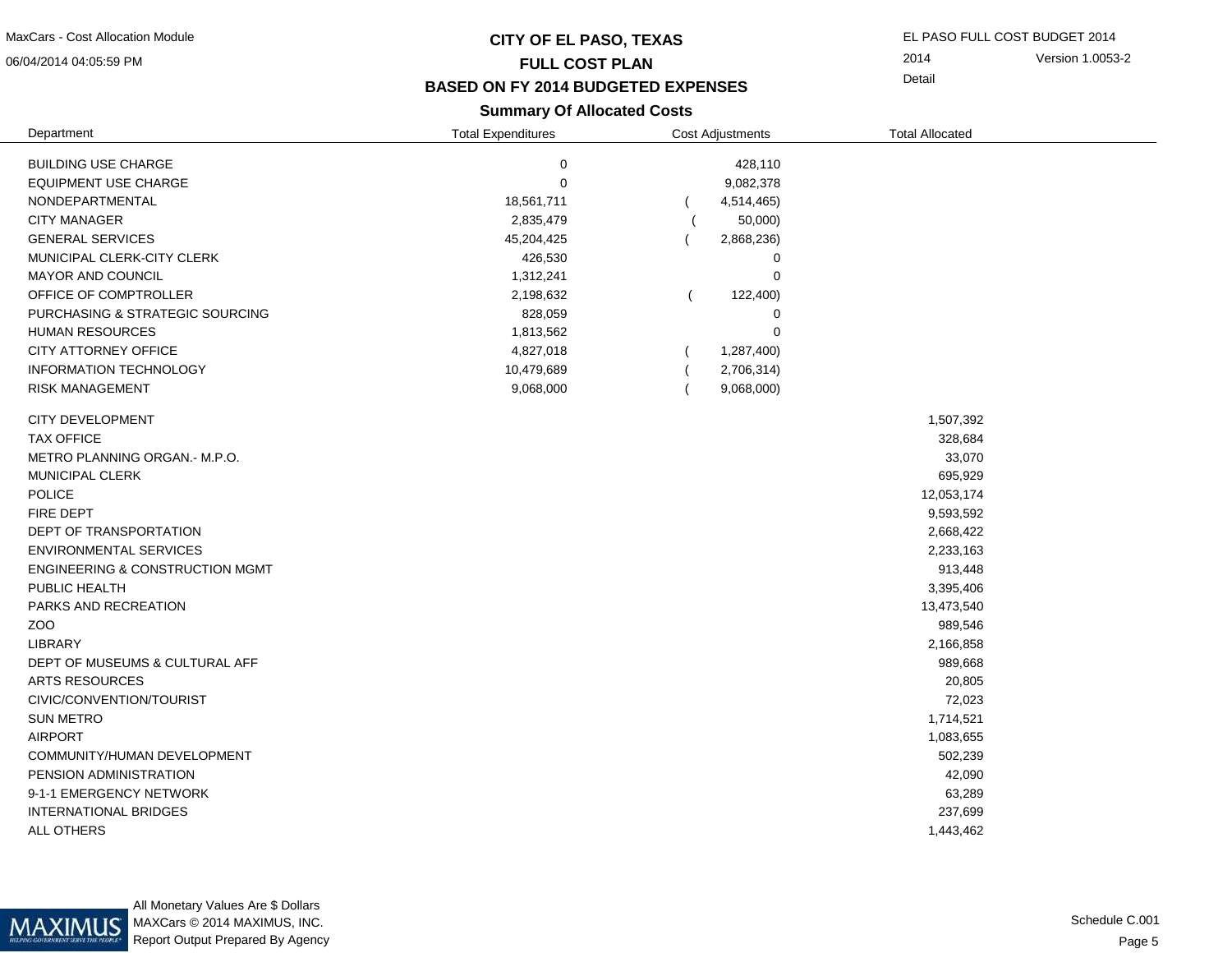06/04/2014 04:05:59 PM

### **CITY OF EL PASO, TEXASFULL COST PLAN**

EL PASO FULL COST BUDGET 2014

2014Version 1.0053-2

Detail

### **BASED ON FY 2014 BUDGETED EXPENSES**

### **Summary Of Allocated Costs**

| Department                                 | <b>Total Expenditures</b> | <b>Cost Adjustments</b> | <b>Total Allocated</b> |  |
|--------------------------------------------|---------------------------|-------------------------|------------------------|--|
| <b>BUILDING USE CHARGE</b>                 | $\mathbf 0$               | 428,110                 |                        |  |
| <b>EQUIPMENT USE CHARGE</b>                | $\mathbf 0$               | 9,082,378               |                        |  |
| NONDEPARTMENTAL                            | 18,561,711                | 4,514,465)              |                        |  |
| <b>CITY MANAGER</b>                        | 2,835,479                 | 50,000)                 |                        |  |
| <b>GENERAL SERVICES</b>                    | 45,204,425                | 2,868,236)              |                        |  |
| MUNICIPAL CLERK-CITY CLERK                 | 426,530                   | 0                       |                        |  |
| MAYOR AND COUNCIL                          | 1,312,241                 | 0                       |                        |  |
| OFFICE OF COMPTROLLER                      | 2,198,632                 | 122,400)                |                        |  |
| PURCHASING & STRATEGIC SOURCING            | 828,059                   | 0                       |                        |  |
| <b>HUMAN RESOURCES</b>                     | 1,813,562                 | 0                       |                        |  |
| CITY ATTORNEY OFFICE                       | 4,827,018                 | 1,287,400)              |                        |  |
| INFORMATION TECHNOLOGY                     | 10,479,689                | 2,706,314)              |                        |  |
| <b>RISK MANAGEMENT</b>                     | 9,068,000                 | 9,068,000)              |                        |  |
|                                            |                           |                         |                        |  |
| CITY DEVELOPMENT                           |                           |                         | 1,507,392              |  |
| <b>TAX OFFICE</b>                          |                           |                         | 328,684                |  |
| METRO PLANNING ORGAN. - M.P.O.             |                           |                         | 33,070                 |  |
| <b>MUNICIPAL CLERK</b>                     |                           |                         | 695,929                |  |
| <b>POLICE</b>                              |                           |                         | 12,053,174             |  |
| <b>FIRE DEPT</b>                           |                           |                         | 9,593,592              |  |
| DEPT OF TRANSPORTATION                     |                           |                         | 2,668,422              |  |
| <b>ENVIRONMENTAL SERVICES</b>              |                           |                         | 2,233,163              |  |
| <b>ENGINEERING &amp; CONSTRUCTION MGMT</b> |                           |                         | 913,448                |  |
| PUBLIC HEALTH                              |                           |                         | 3,395,406              |  |
| PARKS AND RECREATION                       |                           |                         | 13,473,540             |  |
| ZOO                                        |                           |                         | 989,546                |  |
| <b>LIBRARY</b>                             |                           |                         | 2,166,858              |  |
| DEPT OF MUSEUMS & CULTURAL AFF             |                           |                         | 989,668                |  |
| <b>ARTS RESOURCES</b>                      |                           |                         | 20,805                 |  |
| CIVIC/CONVENTION/TOURIST                   |                           |                         | 72,023                 |  |
| <b>SUN METRO</b>                           |                           |                         | 1,714,521              |  |
| <b>AIRPORT</b>                             |                           |                         | 1,083,655              |  |
| COMMUNITY/HUMAN DEVELOPMENT                |                           |                         | 502,239                |  |
| PENSION ADMINISTRATION                     |                           |                         | 42,090                 |  |
| 9-1-1 EMERGENCY NETWORK                    |                           |                         | 63,289                 |  |
| <b>INTERNATIONAL BRIDGES</b>               |                           |                         | 237,699                |  |
| <b>ALL OTHERS</b>                          |                           |                         | 1,443,462              |  |
|                                            |                           |                         |                        |  |

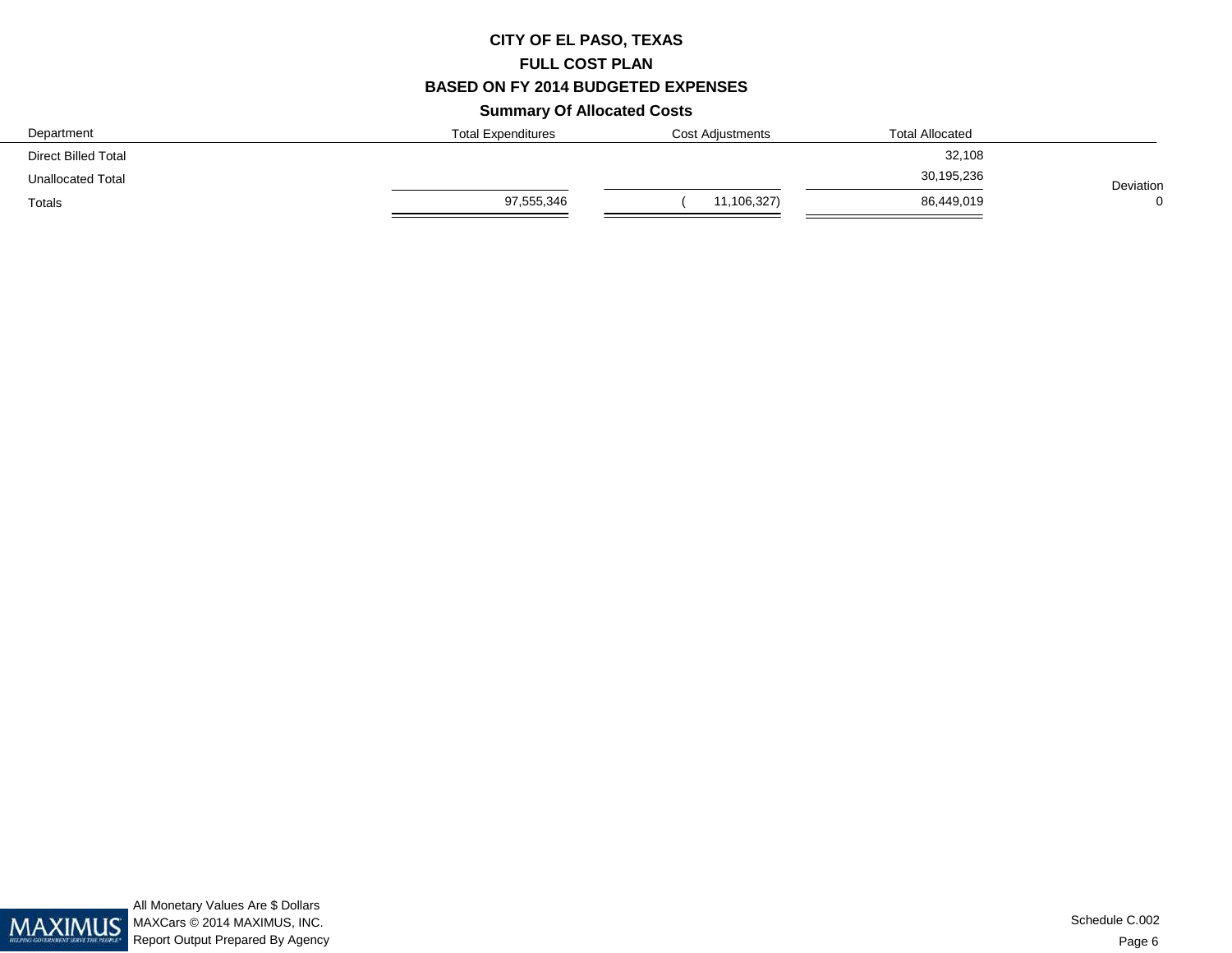# **CITY OF EL PASO, TEXASFULL COST PLAN BASED ON FY 2014 BUDGETED EXPENSESSummary Of Allocated Costs**

| Department               | <b>Total Expenditures</b> | <b>Cost Adjustments</b> | <b>Total Allocated</b> |           |
|--------------------------|---------------------------|-------------------------|------------------------|-----------|
| Direct Billed Total      |                           |                         | 32,108                 |           |
| <b>Unallocated Total</b> |                           |                         | 30,195,236             | Deviation |
| Totals                   | 97,555,346                | 11,106,327)             | 86,449,019             | $\Omega$  |

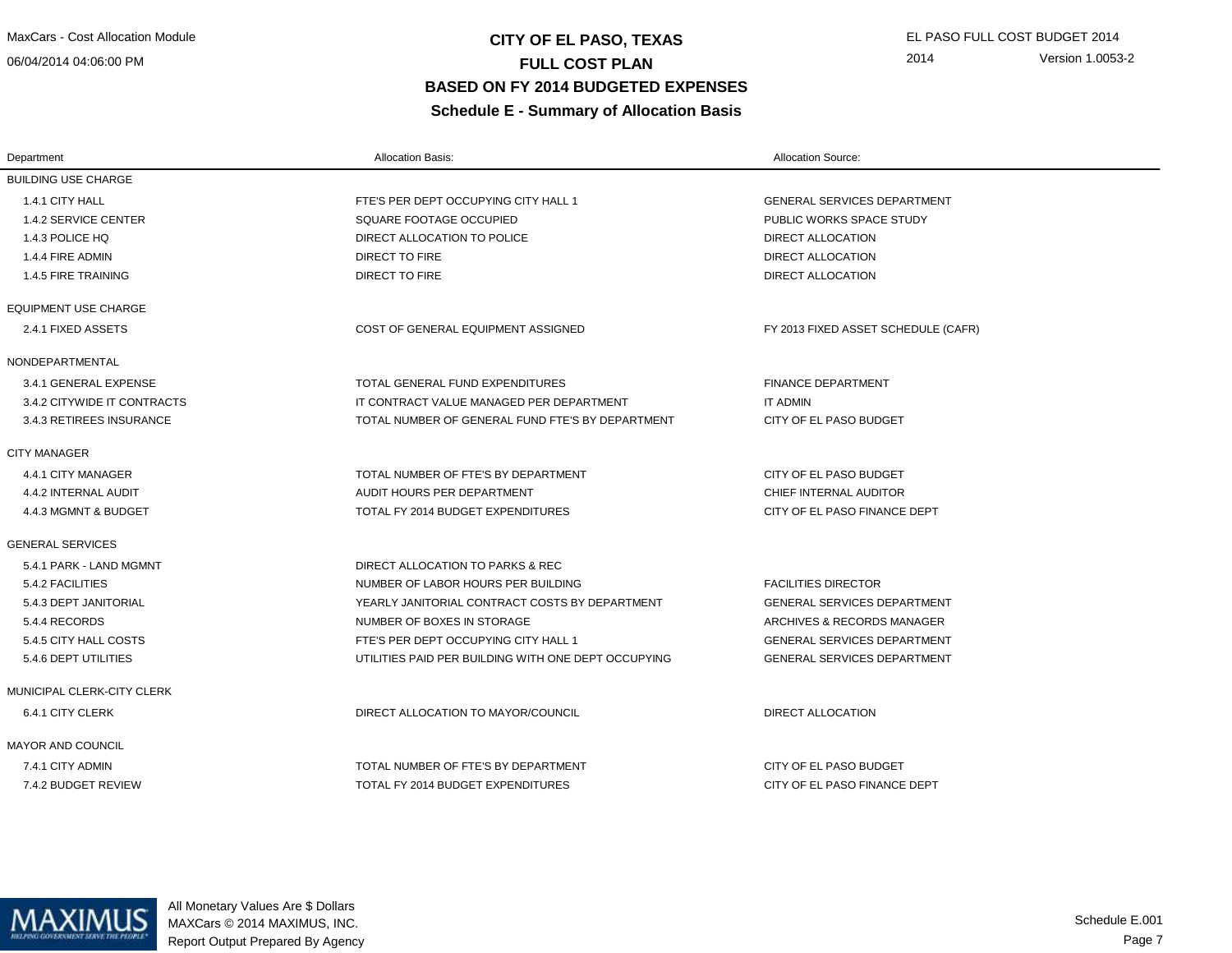06/04/2014 04:06:00 PM

# **CITY OF EL PASO, TEXAS** EL PASO FULL COST BUDGET 2014 **FULL COST PLAN BASED ON FY 2014 BUDGETED EXPENSESSchedule E - Summary of Allocation Basis**

| Department                  | <b>Allocation Basis:</b>                            | <b>Allocation Source:</b>           |
|-----------------------------|-----------------------------------------------------|-------------------------------------|
| <b>BUILDING USE CHARGE</b>  |                                                     |                                     |
| 1.4.1 CITY HALL             | FTE'S PER DEPT OCCUPYING CITY HALL 1                | <b>GENERAL SERVICES DEPARTMENT</b>  |
| 1.4.2 SERVICE CENTER        | SQUARE FOOTAGE OCCUPIED                             | PUBLIC WORKS SPACE STUDY            |
| 1.4.3 POLICE HQ             | DIRECT ALLOCATION TO POLICE                         | DIRECT ALLOCATION                   |
| 1.4.4 FIRE ADMIN            | DIRECT TO FIRE                                      | <b>DIRECT ALLOCATION</b>            |
| 1.4.5 FIRE TRAINING         | DIRECT TO FIRE                                      | <b>DIRECT ALLOCATION</b>            |
| <b>EQUIPMENT USE CHARGE</b> |                                                     |                                     |
| 2.4.1 FIXED ASSETS          | COST OF GENERAL EQUIPMENT ASSIGNED                  | FY 2013 FIXED ASSET SCHEDULE (CAFR) |
| NONDEPARTMENTAL             |                                                     |                                     |
| 3.4.1 GENERAL EXPENSE       | TOTAL GENERAL FUND EXPENDITURES                     | <b>FINANCE DEPARTMENT</b>           |
| 3.4.2 CITYWIDE IT CONTRACTS | IT CONTRACT VALUE MANAGED PER DEPARTMENT            | <b>IT ADMIN</b>                     |
| 3.4.3 RETIREES INSURANCE    | TOTAL NUMBER OF GENERAL FUND FTE'S BY DEPARTMENT    | CITY OF EL PASO BUDGET              |
| <b>CITY MANAGER</b>         |                                                     |                                     |
| 4.4.1 CITY MANAGER          | TOTAL NUMBER OF FTE'S BY DEPARTMENT                 | CITY OF EL PASO BUDGET              |
| 4.4.2 INTERNAL AUDIT        | AUDIT HOURS PER DEPARTMENT                          | CHIEF INTERNAL AUDITOR              |
| 4.4.3 MGMNT & BUDGET        | TOTAL FY 2014 BUDGET EXPENDITURES                   | CITY OF EL PASO FINANCE DEPT        |
| <b>GENERAL SERVICES</b>     |                                                     |                                     |
| 5.4.1 PARK - LAND MGMNT     | DIRECT ALLOCATION TO PARKS & REC                    |                                     |
| 5.4.2 FACILITIES            | NUMBER OF LABOR HOURS PER BUILDING                  | <b>FACILITIES DIRECTOR</b>          |
| 5.4.3 DEPT JANITORIAL       | YEARLY JANITORIAL CONTRACT COSTS BY DEPARTMENT      | <b>GENERAL SERVICES DEPARTMENT</b>  |
| 5.4.4 RECORDS               | NUMBER OF BOXES IN STORAGE                          | ARCHIVES & RECORDS MANAGER          |
| 5.4.5 CITY HALL COSTS       | FTE'S PER DEPT OCCUPYING CITY HALL 1                | <b>GENERAL SERVICES DEPARTMENT</b>  |
| 5.4.6 DEPT UTILITIES        | UTILITIES PAID PER BUILDING WITH ONE DEPT OCCUPYING | <b>GENERAL SERVICES DEPARTMENT</b>  |
| MUNICIPAL CLERK-CITY CLERK  |                                                     |                                     |
| 6.4.1 CITY CLERK            | DIRECT ALLOCATION TO MAYOR/COUNCIL                  | <b>DIRECT ALLOCATION</b>            |
| MAYOR AND COUNCIL           |                                                     |                                     |
| 7.4.1 CITY ADMIN            | TOTAL NUMBER OF FTE'S BY DEPARTMENT                 | CITY OF EL PASO BUDGET              |
| 7.4.2 BUDGET REVIEW         | TOTAL FY 2014 BUDGET EXPENDITURES                   | CITY OF EL PASO FINANCE DEPT        |

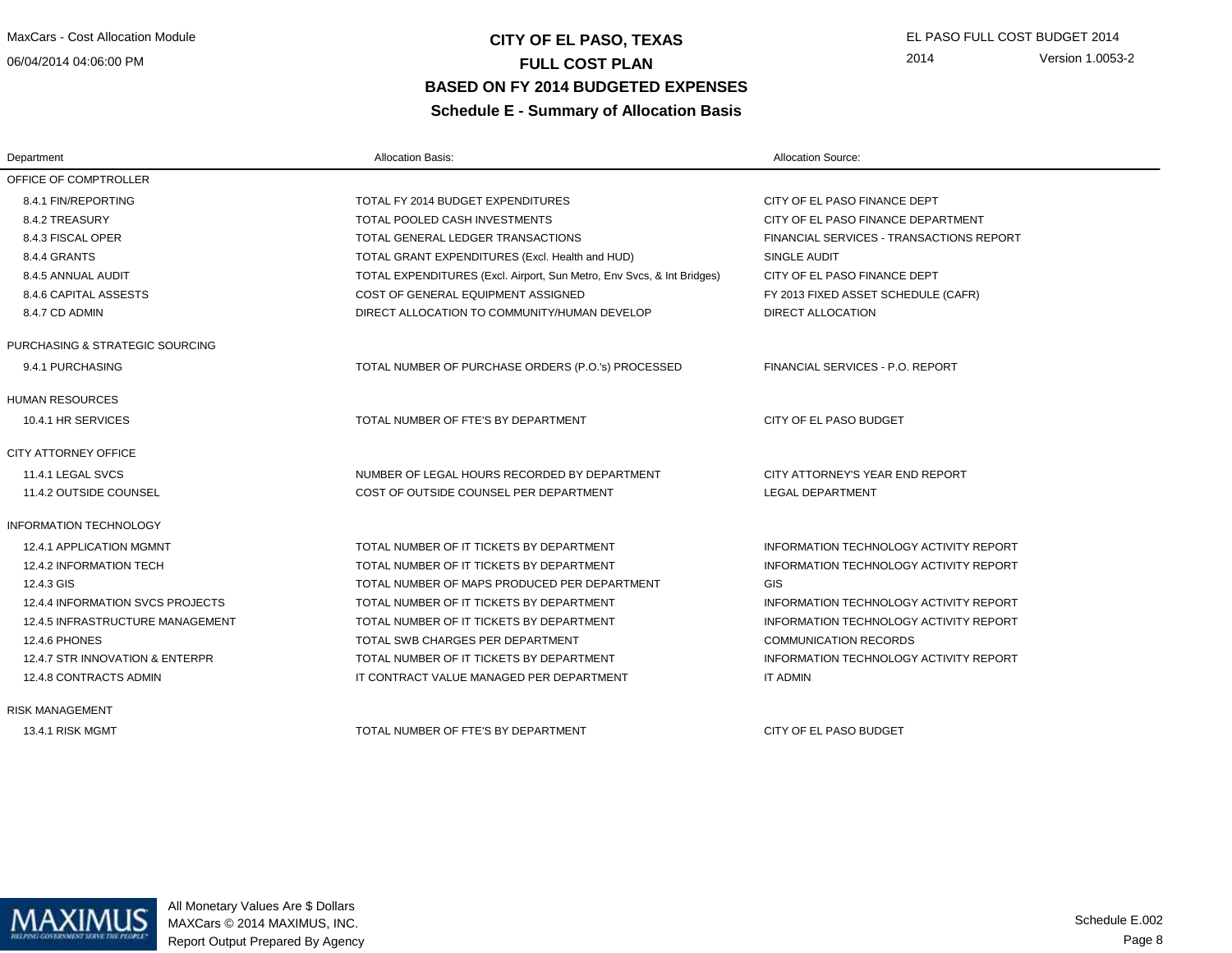06/04/2014 04:06:00 PM

# **CITY OF EL PASO, TEXAS** EL PASO FULL COST BUDGET 2014 **FULL COST PLAN BASED ON FY 2014 BUDGETED EXPENSESSchedule E - Summary of Allocation Basis**

| Department                       | <b>Allocation Basis:</b>                                               | <b>Allocation Source:</b>                |
|----------------------------------|------------------------------------------------------------------------|------------------------------------------|
| OFFICE OF COMPTROLLER            |                                                                        |                                          |
| 8.4.1 FIN/REPORTING              | TOTAL FY 2014 BUDGET EXPENDITURES                                      | CITY OF EL PASO FINANCE DEPT             |
| 8.4.2 TREASURY                   | TOTAL POOLED CASH INVESTMENTS                                          | CITY OF EL PASO FINANCE DEPARTMENT       |
| 8.4.3 FISCAL OPER                | TOTAL GENERAL LEDGER TRANSACTIONS                                      | FINANCIAL SERVICES - TRANSACTIONS REPORT |
| 8.4.4 GRANTS                     | TOTAL GRANT EXPENDITURES (Excl. Health and HUD)                        | SINGLE AUDIT                             |
| 8.4.5 ANNUAL AUDIT               | TOTAL EXPENDITURES (Excl. Airport, Sun Metro, Env Svcs, & Int Bridges) | CITY OF EL PASO FINANCE DEPT             |
| 8.4.6 CAPITAL ASSESTS            | COST OF GENERAL EQUIPMENT ASSIGNED                                     | FY 2013 FIXED ASSET SCHEDULE (CAFR)      |
| 8.4.7 CD ADMIN                   | DIRECT ALLOCATION TO COMMUNITY/HUMAN DEVELOP                           | DIRECT ALLOCATION                        |
| PURCHASING & STRATEGIC SOURCING  |                                                                        |                                          |
| 9.4.1 PURCHASING                 | TOTAL NUMBER OF PURCHASE ORDERS (P.O.'s) PROCESSED                     | FINANCIAL SERVICES - P.O. REPORT         |
| <b>HUMAN RESOURCES</b>           |                                                                        |                                          |
| 10.4.1 HR SERVICES               | TOTAL NUMBER OF FTE'S BY DEPARTMENT                                    | CITY OF EL PASO BUDGET                   |
| CITY ATTORNEY OFFICE             |                                                                        |                                          |
| 11.4.1 LEGAL SVCS                | NUMBER OF LEGAL HOURS RECORDED BY DEPARTMENT                           | CITY ATTORNEY'S YEAR END REPORT          |
| 11.4.2 OUTSIDE COUNSEL           | COST OF OUTSIDE COUNSEL PER DEPARTMENT                                 | <b>LEGAL DEPARTMENT</b>                  |
| <b>INFORMATION TECHNOLOGY</b>    |                                                                        |                                          |
| 12.4.1 APPLICATION MGMNT         | TOTAL NUMBER OF IT TICKETS BY DEPARTMENT                               | INFORMATION TECHNOLOGY ACTIVITY REPORT   |
| 12.4.2 INFORMATION TECH          | TOTAL NUMBER OF IT TICKETS BY DEPARTMENT                               | INFORMATION TECHNOLOGY ACTIVITY REPORT   |
| 12.4.3 GIS                       | TOTAL NUMBER OF MAPS PRODUCED PER DEPARTMENT                           | <b>GIS</b>                               |
| 12.4.4 INFORMATION SVCS PROJECTS | TOTAL NUMBER OF IT TICKETS BY DEPARTMENT                               | INFORMATION TECHNOLOGY ACTIVITY REPORT   |
| 12.4.5 INFRASTRUCTURE MANAGEMENT | TOTAL NUMBER OF IT TICKETS BY DEPARTMENT                               | INFORMATION TECHNOLOGY ACTIVITY REPORT   |
| <b>12.4.6 PHONES</b>             | TOTAL SWB CHARGES PER DEPARTMENT                                       | <b>COMMUNICATION RECORDS</b>             |
| 12.4.7 STR INNOVATION & ENTERPR  | TOTAL NUMBER OF IT TICKETS BY DEPARTMENT                               | INFORMATION TECHNOLOGY ACTIVITY REPORT   |
| 12.4.8 CONTRACTS ADMIN           | IT CONTRACT VALUE MANAGED PER DEPARTMENT                               | <b>IT ADMIN</b>                          |
| <b>RISK MANAGEMENT</b>           |                                                                        |                                          |
| 13.4.1 RISK MGMT                 | TOTAL NUMBER OF FTE'S BY DEPARTMENT                                    | CITY OF EL PASO BUDGET                   |



All Monetary Values Are \$ Dollars MAXCars © 2014 MAXIMUS, INC.Report Output Prepared By Agency

Page 8Schedule E.002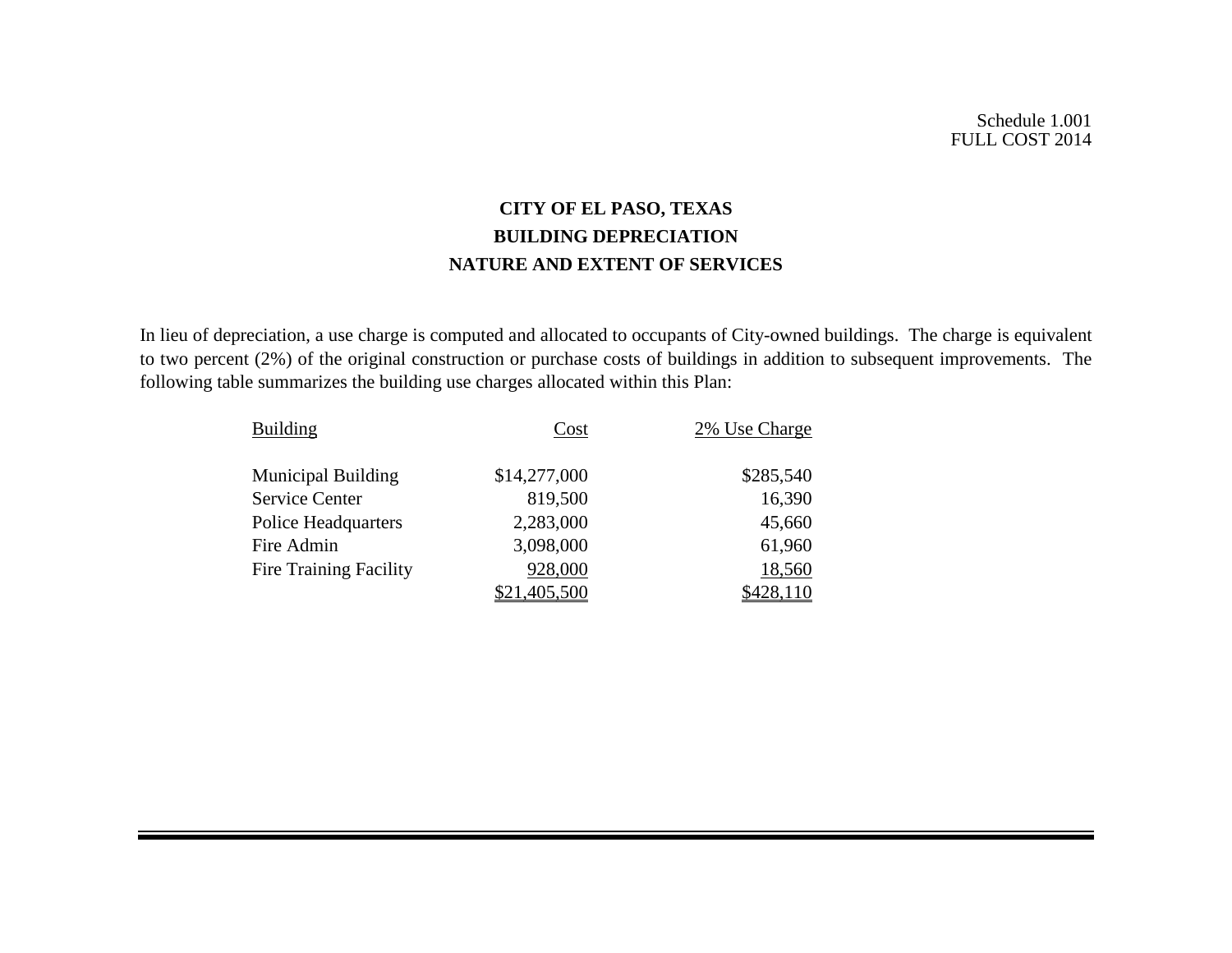# **CITY OF EL PASO, TEXAS BUILDING DEPRECIATION NATURE AND EXTENT OF SERVICES**

In lieu of depreciation, a use charge is computed and allocated to occupants of City-owned buildings. The charge is equivalent to two percent (2%) of the original construction or purchase costs of buildings in addition to subsequent improvements. The following table summarizes the building use charges allocated within this Plan:

| <b>Building</b>               | Cost         | 2% Use Charge |
|-------------------------------|--------------|---------------|
| <b>Municipal Building</b>     | \$14,277,000 | \$285,540     |
| <b>Service Center</b>         | 819,500      | 16,390        |
| <b>Police Headquarters</b>    | 2,283,000    | 45,660        |
| Fire Admin                    | 3,098,000    | 61,960        |
| <b>Fire Training Facility</b> | 928,000      | 18,560        |
|                               | ,405,500     |               |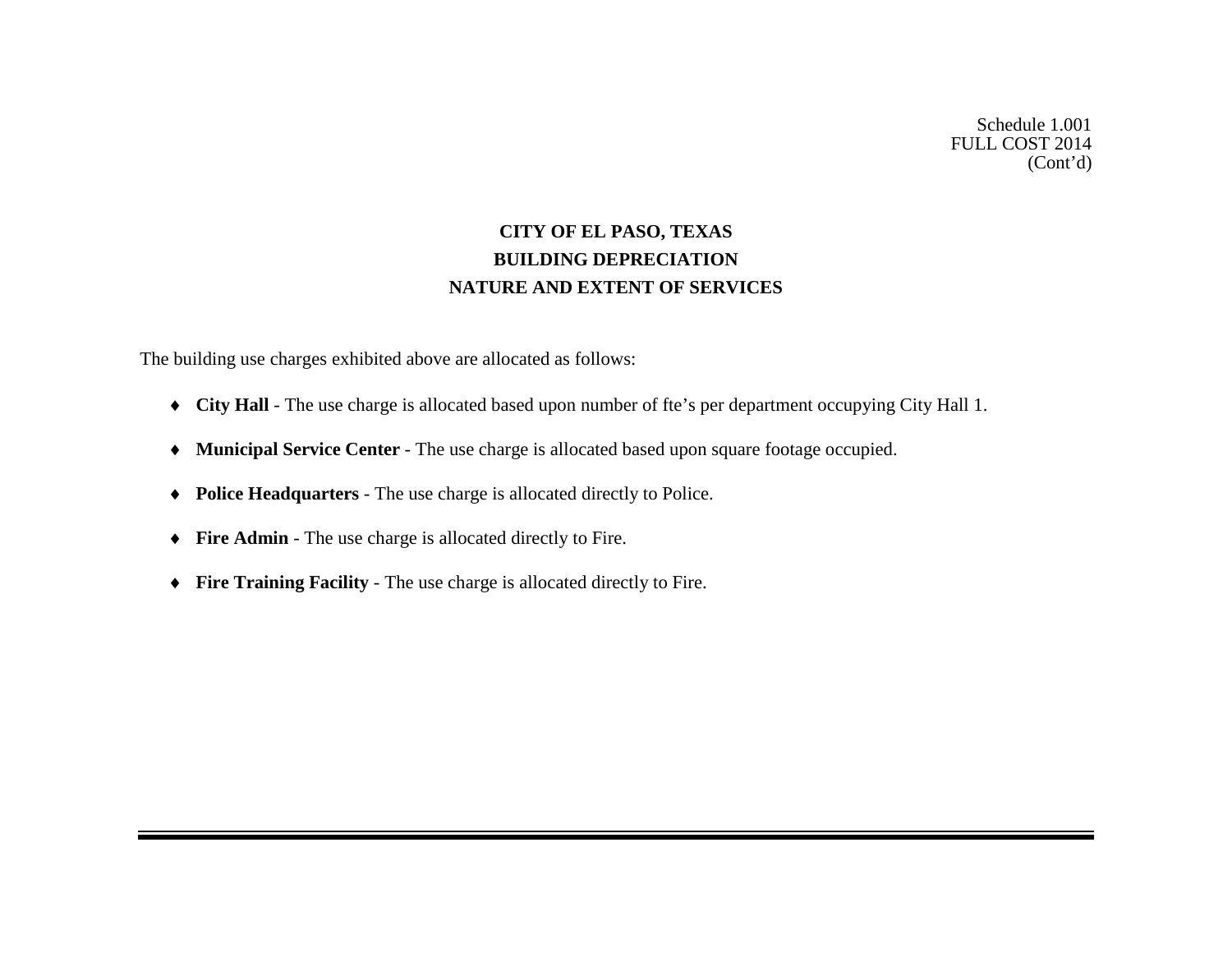Schedule 1.001 FULL COST 2014 (Cont'd)

# **CITY OF EL PASO, TEXAS BUILDING DEPRECIATION NATURE AND EXTENT OF SERVICES**

The building use charges exhibited above are allocated as follows:

- ♦ **City Hall** The use charge is allocated based upon number of fte's per department occupying City Hall 1.
- ♦ **Municipal Service Center** The use charge is allocated based upon square footage occupied.
- ♦ **Police Headquarters** The use charge is allocated directly to Police.
- ♦ **Fire Admin** The use charge is allocated directly to Fire.
- ♦ **Fire Training Facility** The use charge is allocated directly to Fire.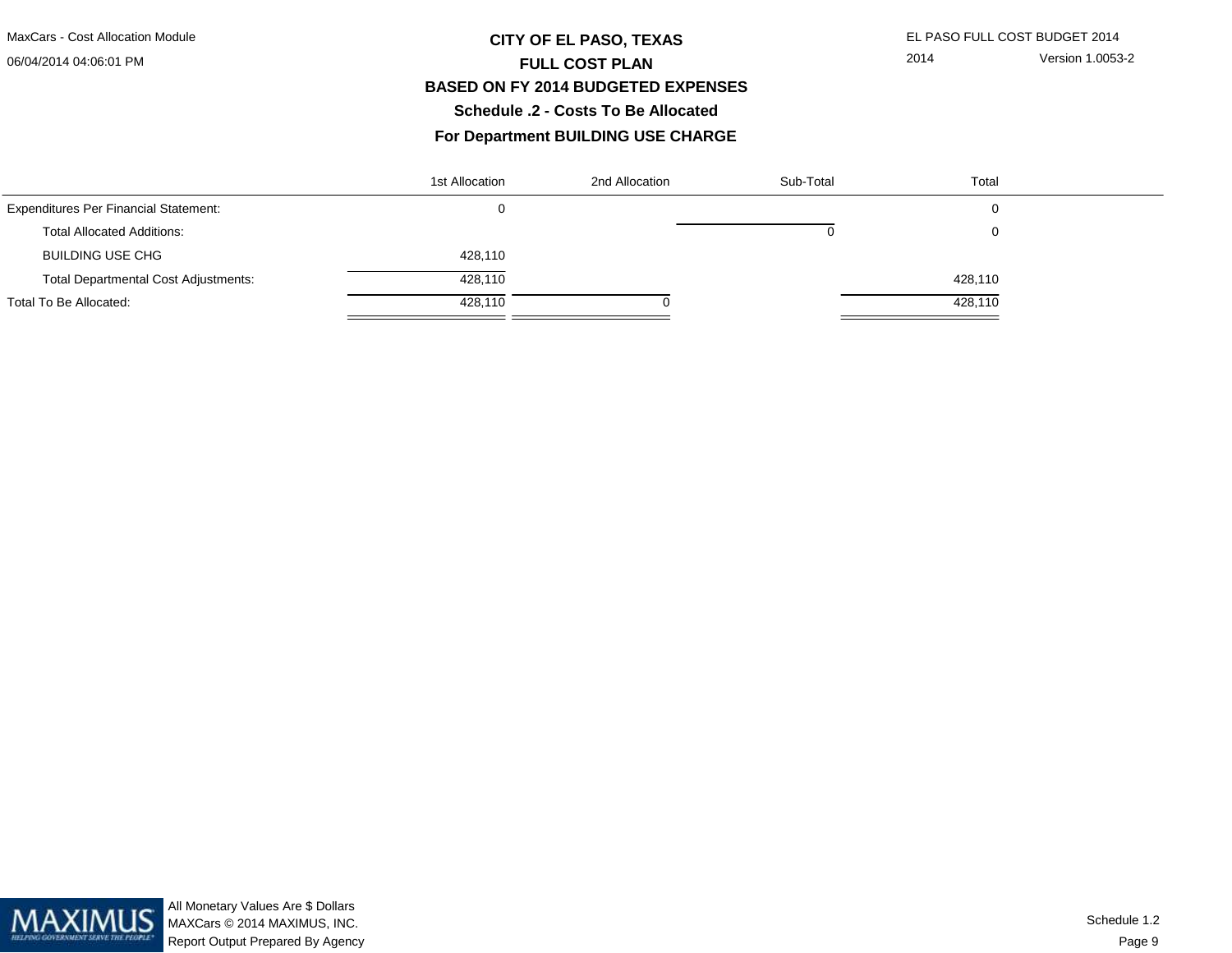#### 06/04/2014 04:06:01 PM

# **CITY OF EL PASO, TEXAS** EL PASO FULL COST BUDGET 2014 **FULL COST PLAN BASED ON FY 2014 BUDGETED EXPENSESSchedule .2 - Costs To Be Allocated**

### **For Department BUILDING USE CHARGE**

|                                              | 1st Allocation | 2nd Allocation | Sub-Total | Total   |  |
|----------------------------------------------|----------------|----------------|-----------|---------|--|
| <b>Expenditures Per Financial Statement:</b> |                |                |           | 0       |  |
| <b>Total Allocated Additions:</b>            |                |                |           | 0       |  |
| <b>BUILDING USE CHG</b>                      | 428,110        |                |           |         |  |
| <b>Total Departmental Cost Adjustments:</b>  | 428,110        |                |           | 428,110 |  |
| Total To Be Allocated:                       | 428,110        |                |           | 428,110 |  |

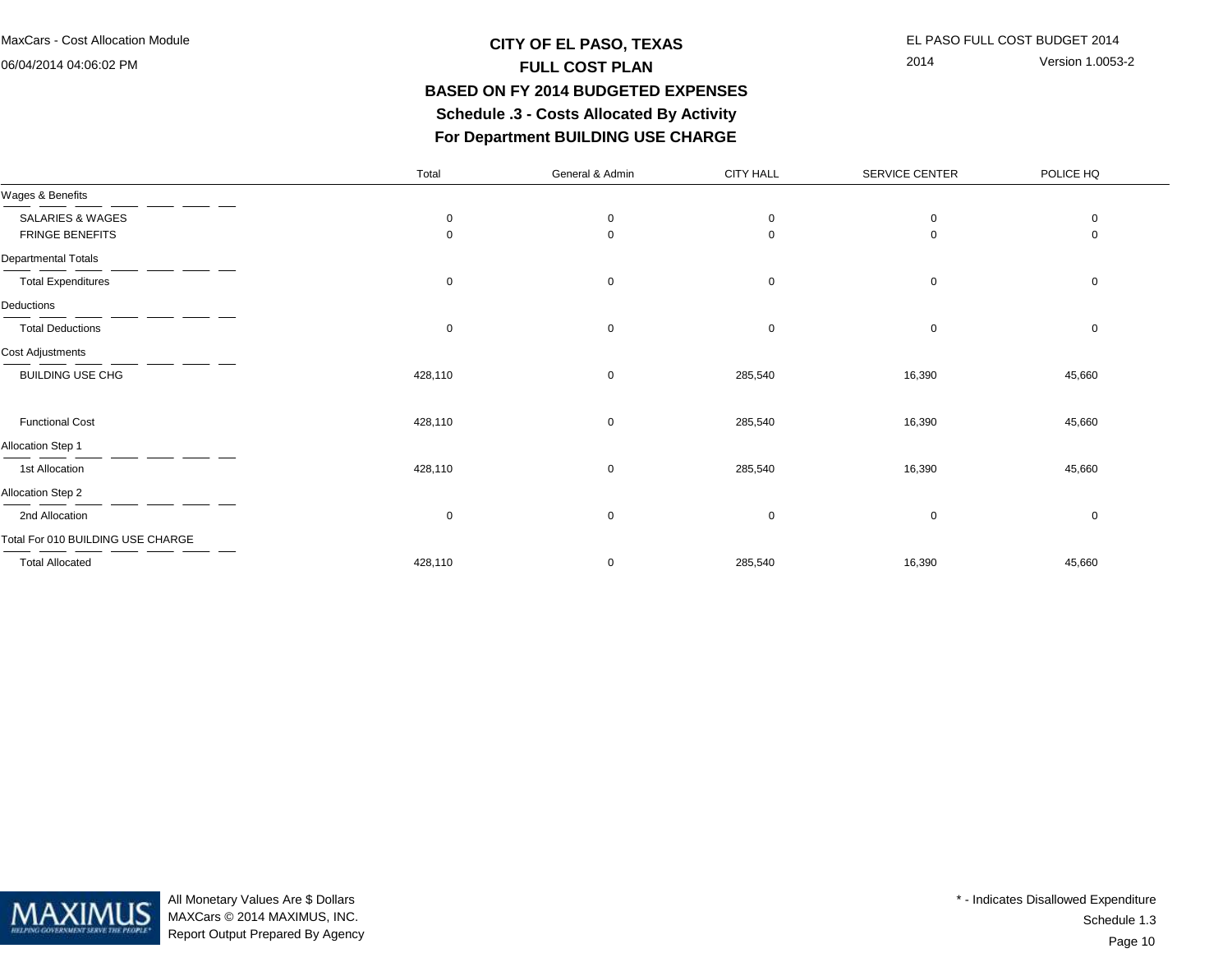06/04/2014 04:06:02 PM

**Deductions** 

# **CITY OF EL PASO, TEXAS** EL PASO FULL COST BUDGET 2014 **FULL COST PLAN BASED ON FY 2014 BUDGETED EXPENSES Schedule .3 - Costs Allocated By ActivityFor Department BUILDING USE CHARGE**

2014 Version 1.0053-2

# TotalGeneral & Admin CITY HALL SERVICE CENTER POLICE HQWages & BenefitsSALARIES & WAGES 0 0 0 0 0 $\mathbf 0$ FRINGE BENEFITS 0 0 0 0 0Departmental TotalsTotal Expenditures 0 0 0 0 0Total Deductions 0 0 0 0 0Cost AdjustmentsBUILDING USE CHG 428,110 285,540 16,390 45,660 Functional Cost 428,110 0 285,540 16,390 45,660

| <b>FUNCTIONAL COST</b>            | 420.IIV | υ | 200,04U | 10,390   | 40,00L |
|-----------------------------------|---------|---|---------|----------|--------|
| <b>Allocation Step 1</b>          |         |   |         |          |        |
| 1st Allocation                    | 428,110 | 0 | 285,540 | 16,390   | 45,660 |
| <b>Allocation Step 2</b>          |         |   |         |          |        |
| 2nd Allocation                    | 0       | 0 | 0       | $\Omega$ |        |
| Total For 010 BUILDING USE CHARGE |         |   |         |          |        |
| <b>Total Allocated</b>            | 428,110 | 0 | 285,540 | 16,390   | 45,660 |



All Monetary Values Are \$ Dollars MAXCars © 2014 MAXIMUS, INC.Report Output Prepared By Agency

Page 10Schedule 1.3\* - Indicates Disallowed Expenditure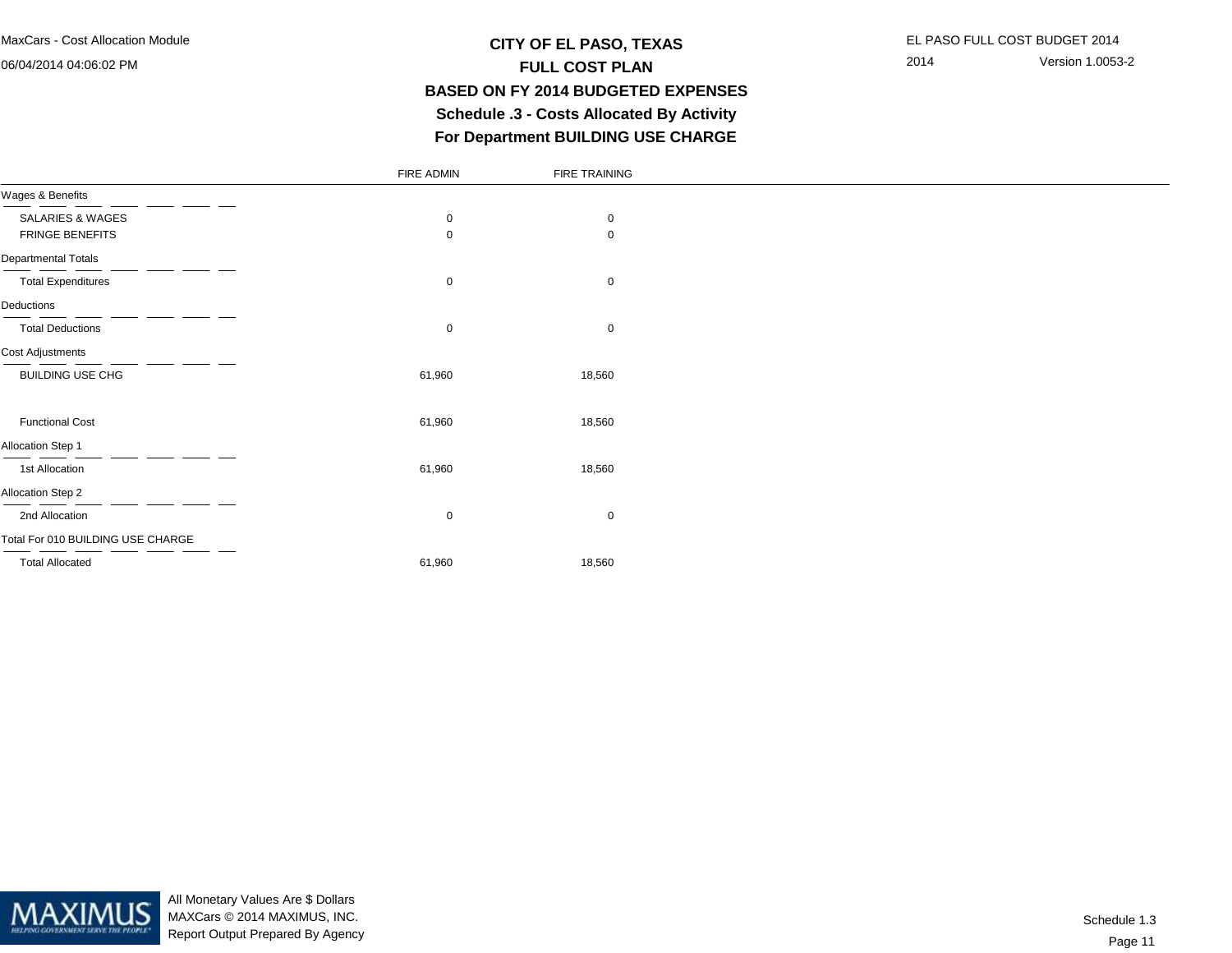#### 06/04/2014 04:06:02 PM

# **CITY OF EL PASO, TEXAS** EL PASO FULL COST BUDGET 2014 **FULL COST PLAN BASED ON FY 2014 BUDGETED EXPENSES Schedule .3 - Costs Allocated By ActivityFor Department BUILDING USE CHARGE**

|                                   | FIRE ADMIN  | FIRE TRAINING |
|-----------------------------------|-------------|---------------|
| Wages & Benefits                  |             |               |
| SALARIES & WAGES                  | $\mathbf 0$ | $\mathbf 0$   |
| FRINGE BENEFITS                   | $\mathbf 0$ | 0             |
| <b>Departmental Totals</b>        |             |               |
| <b>Total Expenditures</b>         | 0           | $\mathbf 0$   |
| Deductions                        |             |               |
| <b>Total Deductions</b>           | $\mathbf 0$ | $\mathbf 0$   |
| Cost Adjustments                  |             |               |
| BUILDING USE CHG                  | 61,960      | 18,560        |
|                                   |             |               |
| <b>Functional Cost</b>            | 61,960      | 18,560        |
| Allocation Step 1                 |             |               |
| 1st Allocation                    | 61,960      | 18,560        |
| Allocation Step 2                 |             |               |
| 2nd Allocation                    | $\mathbf 0$ | $\mathbf 0$   |
| Total For 010 BUILDING USE CHARGE |             |               |
| <b>Total Allocated</b>            | 61,960      | 18,560        |

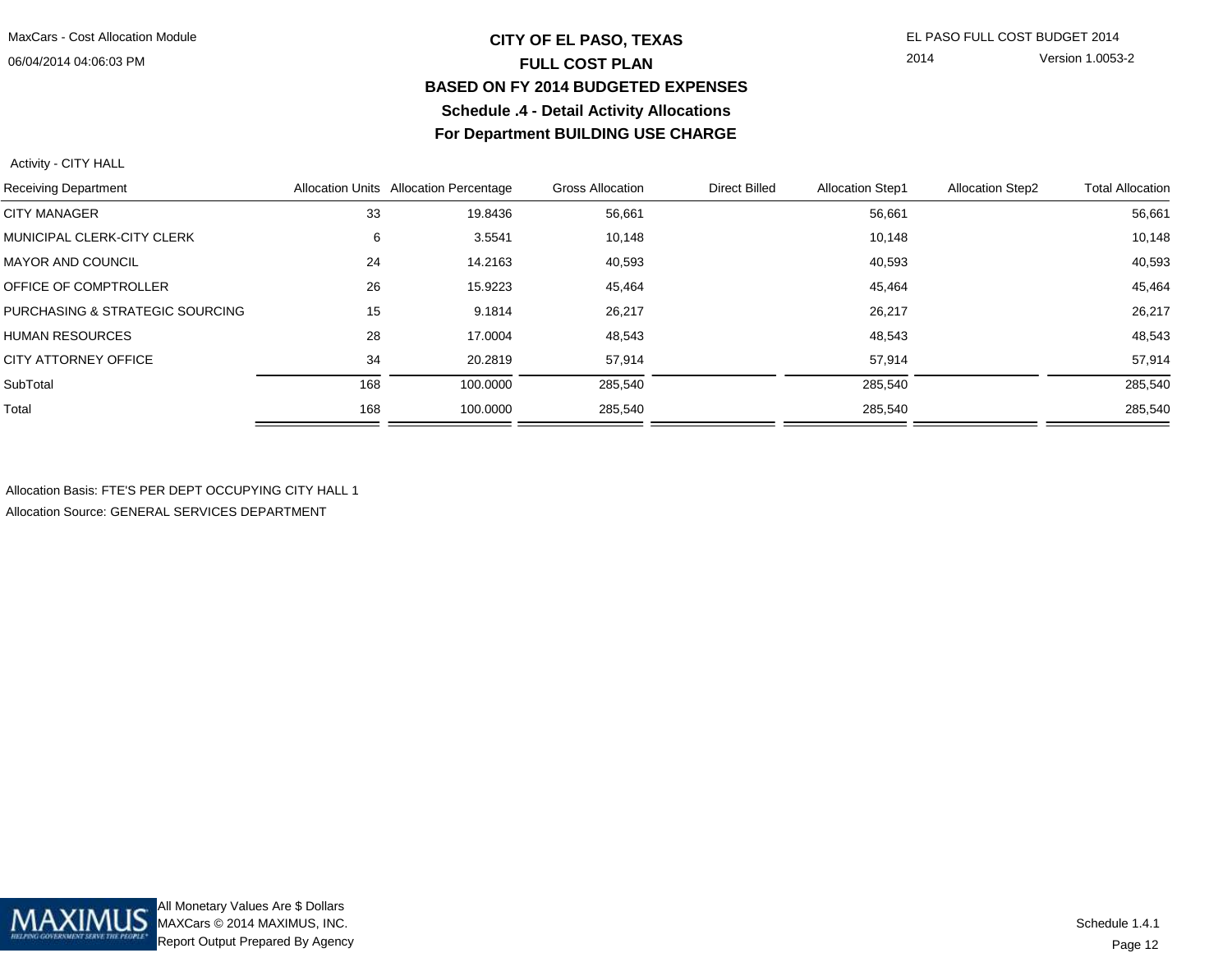### 06/04/2014 04:06:03 PM

# **CITY OF EL PASO, TEXAS** EL PASO FULL COST BUDGET 2014 **FULL COST PLAN BASED ON FY 2014 BUDGETED EXPENSESSchedule .4 - Detail Activity AllocationsFor Department BUILDING USE CHARGE**

2014 Version 1.0053-2

Activity - CITY HALL

| <b>Receiving Department</b>       |     | Allocation Units Allocation Percentage | <b>Gross Allocation</b> | <b>Direct Billed</b> | <b>Allocation Step1</b> | <b>Allocation Step2</b> | <b>Total Allocation</b> |
|-----------------------------------|-----|----------------------------------------|-------------------------|----------------------|-------------------------|-------------------------|-------------------------|
| <b>CITY MANAGER</b>               | 33  | 19.8436                                | 56,661                  |                      | 56,661                  |                         | 56,661                  |
| <b>MUNICIPAL CLERK-CITY CLERK</b> | 6   | 3.5541                                 | 10,148                  |                      | 10,148                  |                         | 10,148                  |
| <b>MAYOR AND COUNCIL</b>          | 24  | 14.2163                                | 40,593                  |                      | 40,593                  |                         | 40,593                  |
| OFFICE OF COMPTROLLER             | 26  | 15.9223                                | 45,464                  |                      | 45.464                  |                         | 45,464                  |
| PURCHASING & STRATEGIC SOURCING   | 15  | 9.1814                                 | 26,217                  |                      | 26,217                  |                         | 26,217                  |
| <b>HUMAN RESOURCES</b>            | 28  | 17.0004                                | 48,543                  |                      | 48,543                  |                         | 48,543                  |
| CITY ATTORNEY OFFICE              | 34  | 20.2819                                | 57,914                  |                      | 57,914                  |                         | 57,914                  |
| SubTotal                          | 168 | 100.0000                               | 285,540                 |                      | 285,540                 |                         | 285,540                 |
| Total                             | 168 | 100.0000                               | 285,540                 |                      | 285,540                 |                         | 285,540                 |
|                                   |     |                                        |                         |                      |                         |                         |                         |

Allocation Basis: FTE'S PER DEPT OCCUPYING CITY HALL 1Allocation Source: GENERAL SERVICES DEPARTMENT

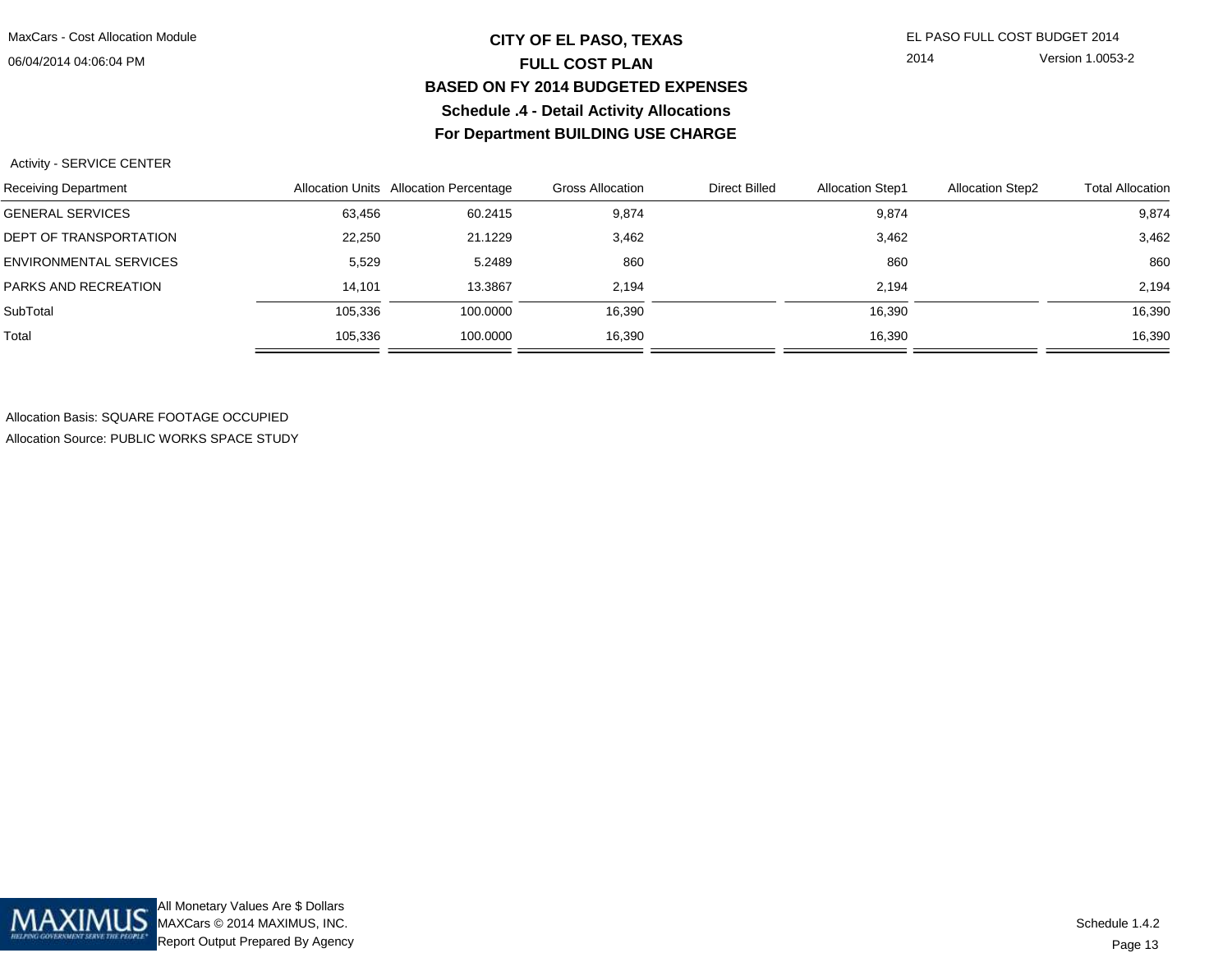### 06/04/2014 04:06:04 PM

# **CITY OF EL PASO, TEXAS** EL PASO FULL COST BUDGET 2014 **FULL COST PLAN BASED ON FY 2014 BUDGETED EXPENSESSchedule .4 - Detail Activity AllocationsFor Department BUILDING USE CHARGE**

2014 Version 1.0053-2

#### Activity - SERVICE CENTER

| Receiving Department    |         | Allocation Units Allocation Percentage | <b>Gross Allocation</b> | Direct Billed | <b>Allocation Step1</b> | <b>Allocation Step2</b> | <b>Total Allocation</b> |
|-------------------------|---------|----------------------------------------|-------------------------|---------------|-------------------------|-------------------------|-------------------------|
| <b>GENERAL SERVICES</b> | 63,456  | 60.2415                                | 9,874                   |               | 9,874                   |                         | 9,874                   |
| DEPT OF TRANSPORTATION  | 22,250  | 21.1229                                | 3,462                   |               | 3,462                   |                         | 3,462                   |
| ENVIRONMENTAL SERVICES  | 5,529   | 5.2489                                 | 860                     |               | 860                     |                         | 860                     |
| PARKS AND RECREATION    | 14.101  | 13.3867                                | 2.194                   |               | 2,194                   |                         | 2.194                   |
| SubTotal                | 105.336 | 100.0000                               | 16,390                  |               | 16,390                  |                         | 16,390                  |
| Total                   | 105.336 | 100.0000                               | 16,390                  |               | 16,390                  |                         | 16,390                  |

Allocation Basis: SQUARE FOOTAGE OCCUPIEDAllocation Source: PUBLIC WORKS SPACE STUDY

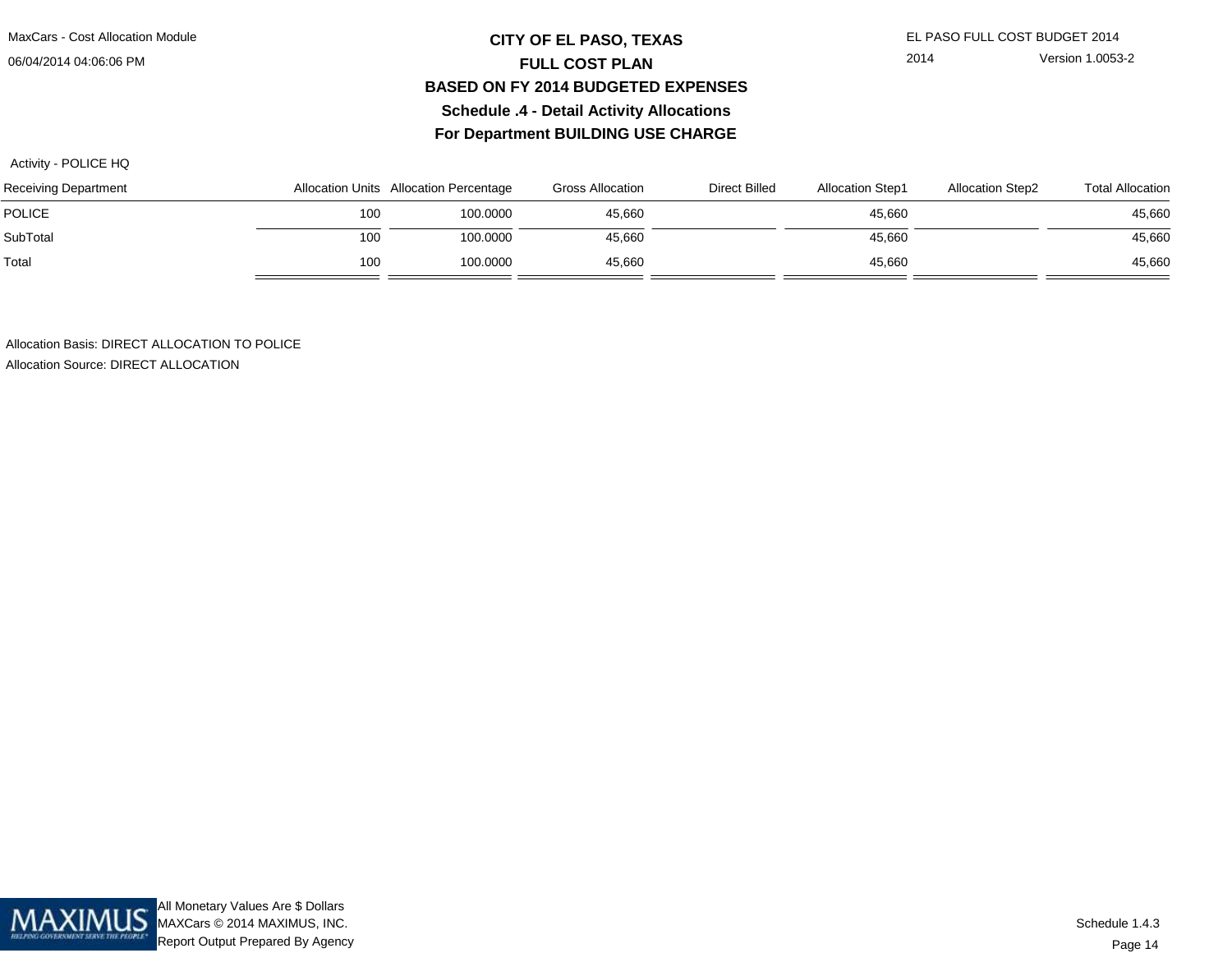MaxCars - Cost Allocation Module

06/04/2014 04:06:06 PM

# **CITY OF EL PASO, TEXAS** EL PASO FULL COST BUDGET 2014 **FULL COST PLAN BASED ON FY 2014 BUDGETED EXPENSESSchedule .4 - Detail Activity AllocationsFor Department BUILDING USE CHARGE**

2014 Version 1.0053-2

Activity - POLICE HQ

| Receiving Department |     | Allocation Units Allocation Percentage | <b>Gross Allocation</b> | Direct Billed | <b>Allocation Step1</b> | <b>Allocation Step2</b> | <b>Total Allocation</b> |
|----------------------|-----|----------------------------------------|-------------------------|---------------|-------------------------|-------------------------|-------------------------|
| <b>POLICE</b>        | 100 | 100.0000                               | 45,660                  |               | 45,660                  |                         | 45,660                  |
| SubTotal             | 100 | 100.0000                               | 45.660                  |               | 45,660                  |                         | 45,660                  |
| Total                | 100 | 100.0000                               | 45.660                  |               | 45,660                  |                         | 45,660                  |

Allocation Basis: DIRECT ALLOCATION TO POLICEAllocation Source: DIRECT ALLOCATION

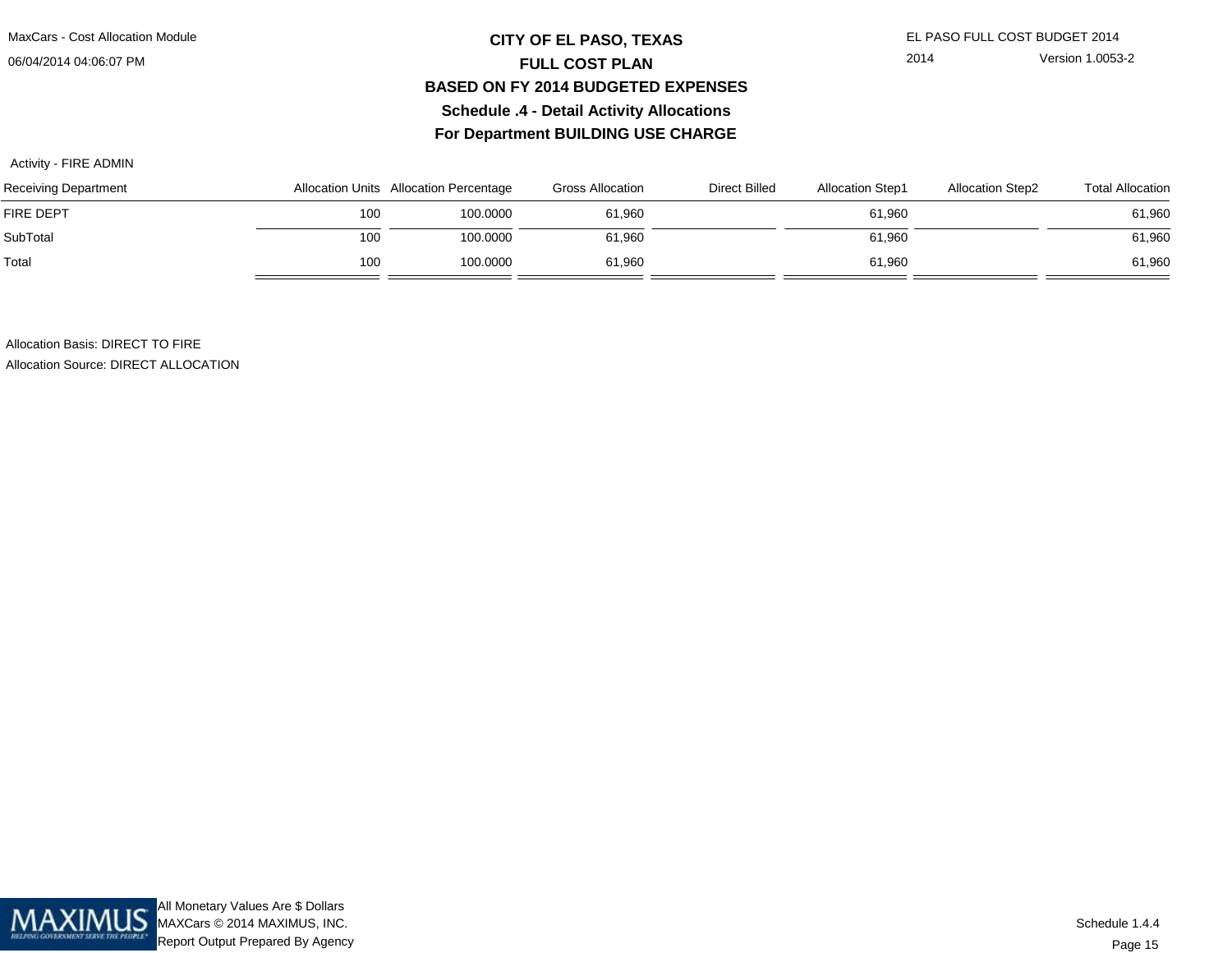06/04/2014 04:06:07 PM

# **CITY OF EL PASO, TEXAS** EL PASO FULL COST BUDGET 2014 **FULL COST PLAN BASED ON FY 2014 BUDGETED EXPENSESSchedule .4 - Detail Activity AllocationsFor Department BUILDING USE CHARGE**

2014 Version 1.0053-2

#### Activity - FIRE ADMIN

| Receiving Department |     | Allocation Units Allocation Percentage | <b>Gross Allocation</b> | Direct Billed | <b>Allocation Step1</b> | <b>Allocation Step2</b> | <b>Total Allocation</b> |
|----------------------|-----|----------------------------------------|-------------------------|---------------|-------------------------|-------------------------|-------------------------|
| <b>FIRE DEPT</b>     | 100 | 100.0000                               | 61.960                  |               | 61,960                  |                         | 61,960                  |
| SubTotal             | 100 | 100.0000                               | 61.960                  |               | 61,960                  |                         | 61,960                  |
| Total                | 100 | 100.0000                               | 61.960                  |               | 61,960                  |                         | 61,960                  |

Allocation Basis: DIRECT TO FIRE

Allocation Source: DIRECT ALLOCATION

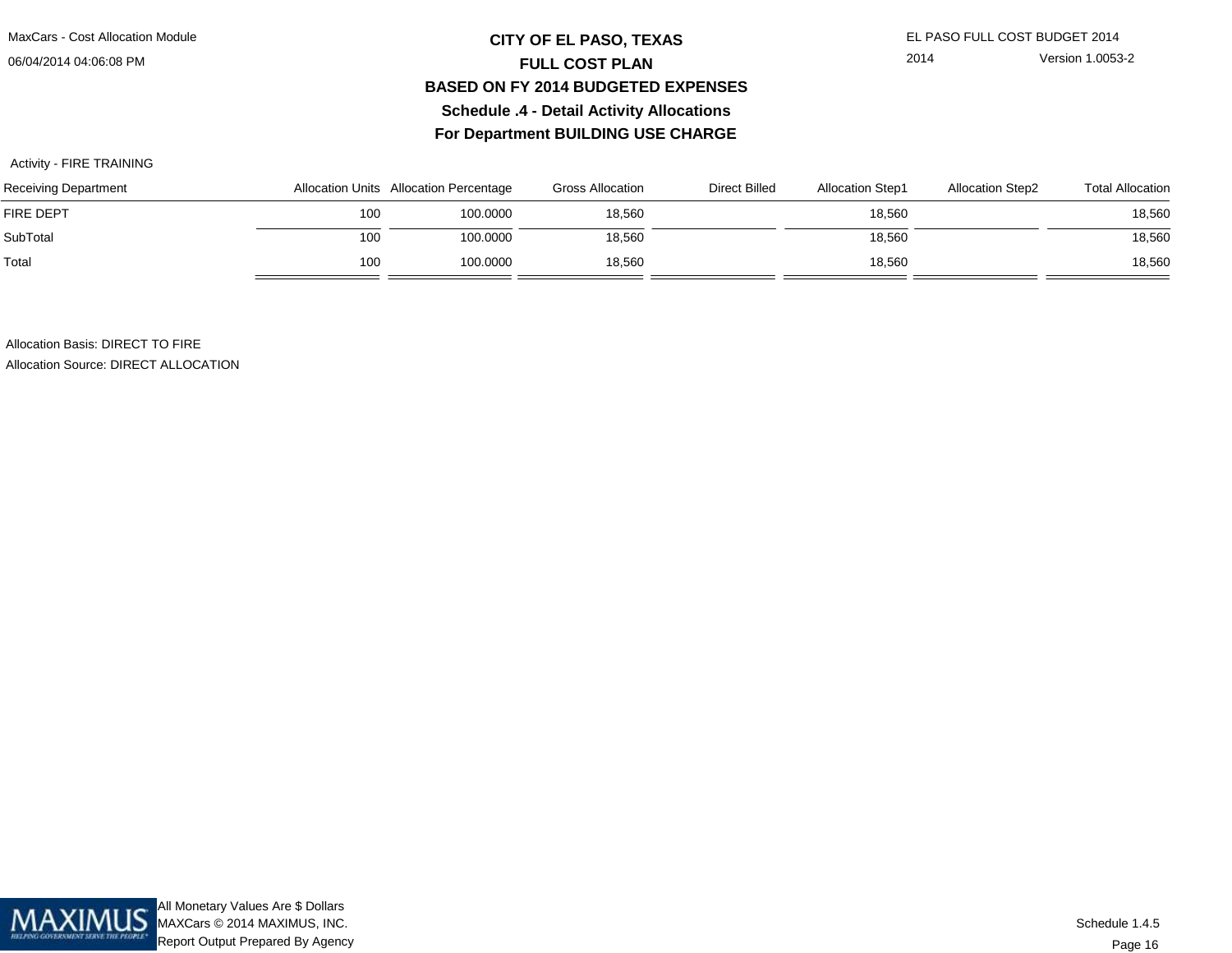MaxCars - Cost Allocation Module

06/04/2014 04:06:08 PM

# **CITY OF EL PASO, TEXAS** EL PASO FULL COST BUDGET 2014 **FULL COST PLAN BASED ON FY 2014 BUDGETED EXPENSESSchedule .4 - Detail Activity AllocationsFor Department BUILDING USE CHARGE**

2014 Version 1.0053-2

### Activity - FIRE TRAINING

| Receiving Department |     | Allocation Units Allocation Percentage | <b>Gross Allocation</b> | Direct Billed | <b>Allocation Step1</b> | <b>Allocation Step2</b> | <b>Total Allocation</b> |
|----------------------|-----|----------------------------------------|-------------------------|---------------|-------------------------|-------------------------|-------------------------|
| <b>FIRE DEPT</b>     | 100 | 100.0000                               | 18,560                  |               | 18,560                  |                         | 18,560                  |
| SubTotal             | 100 | 100.0000                               | 18,560                  |               | 18,560                  |                         | 18,560                  |
| Total                | 100 | 100.0000                               | 18,560                  |               | 18,560                  |                         | 18,560                  |

Allocation Basis: DIRECT TO FIRE

Allocation Source: DIRECT ALLOCATION

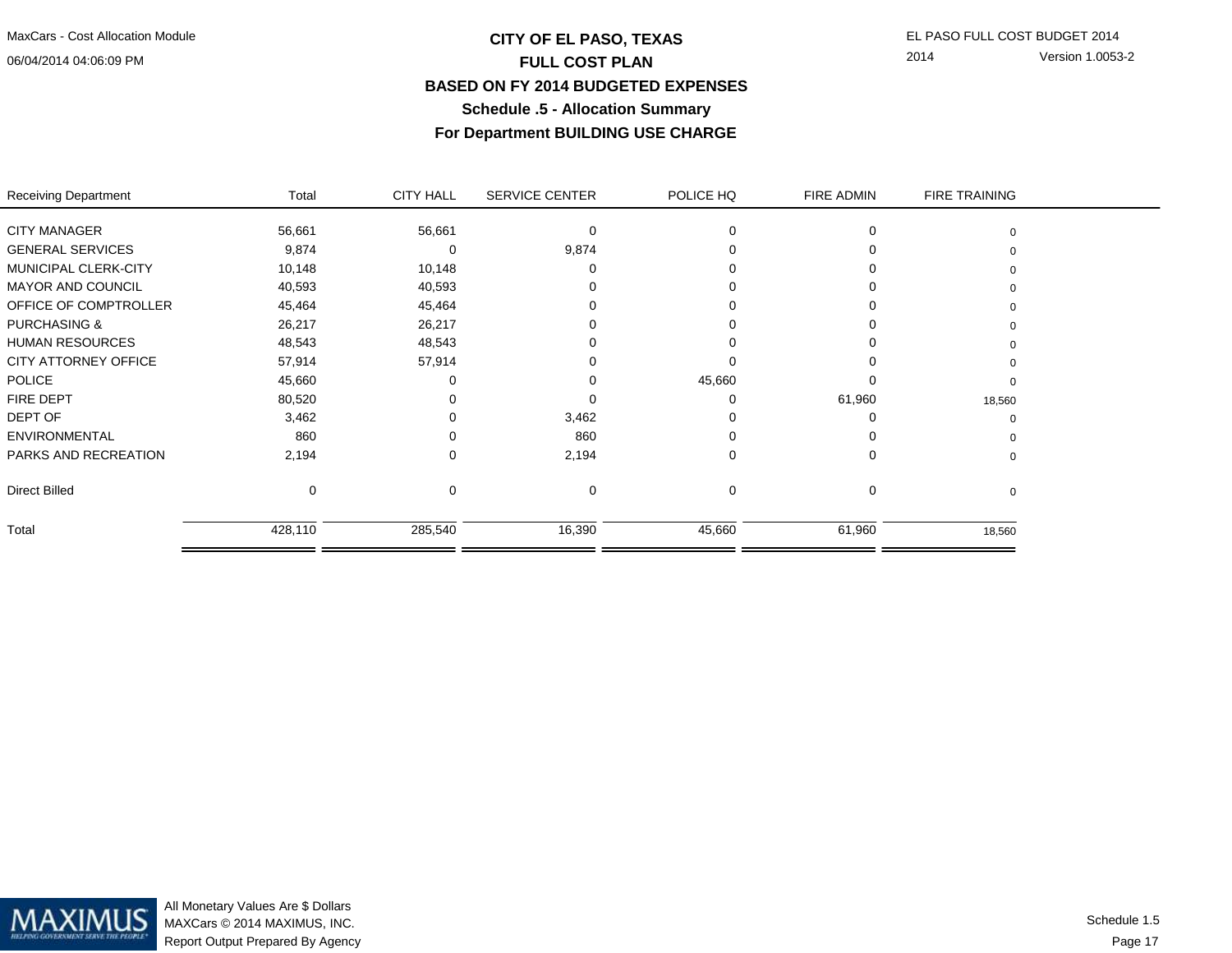06/04/2014 04:06:09 PM

# **CITY OF EL PASO, TEXAS** EL PASO FULL COST BUDGET 2014 **FULL COST PLAN BASED ON FY 2014 BUDGETED EXPENSESSchedule .5 - Allocation SummaryFor Department BUILDING USE CHARGE**

2014 Version 1.0053-2

| Receiving Department    | Total   | <b>CITY HALL</b> | <b>SERVICE CENTER</b> | POLICE HQ | FIRE ADMIN | <b>FIRE TRAINING</b> |  |
|-------------------------|---------|------------------|-----------------------|-----------|------------|----------------------|--|
|                         |         |                  |                       |           |            |                      |  |
| <b>CITY MANAGER</b>     | 56,661  | 56,661           | 0                     |           |            |                      |  |
| <b>GENERAL SERVICES</b> | 9,874   | O                | 9,874                 |           |            |                      |  |
| MUNICIPAL CLERK-CITY    | 10,148  | 10,148           |                       |           |            |                      |  |
| MAYOR AND COUNCIL       | 40,593  | 40,593           |                       |           |            |                      |  |
| OFFICE OF COMPTROLLER   | 45,464  | 45,464           |                       |           |            |                      |  |
| <b>PURCHASING &amp;</b> | 26,217  | 26,217           |                       |           |            |                      |  |
| HUMAN RESOURCES         | 48,543  | 48,543           |                       |           |            |                      |  |
| CITY ATTORNEY OFFICE    | 57,914  | 57,914           |                       |           |            |                      |  |
| <b>POLICE</b>           | 45,660  |                  |                       | 45,660    |            |                      |  |
| <b>FIRE DEPT</b>        | 80,520  |                  |                       |           | 61,960     | 18,560               |  |
| DEPT OF                 | 3,462   |                  | 3,462                 |           |            |                      |  |
| <b>ENVIRONMENTAL</b>    | 860     |                  | 860                   |           |            |                      |  |
| PARKS AND RECREATION    | 2,194   | ∩                | 2,194                 | 0         |            | 0                    |  |
| Direct Billed           | 0       | 0                | 0                     | $\Omega$  |            | 0                    |  |
| Total                   | 428,110 | 285,540          | 16,390                | 45,660    | 61,960     | 18,560               |  |
|                         |         |                  |                       |           |            |                      |  |



All Monetary Values Are \$ Dollars MAXCars © 2014 MAXIMUS, INC.Report Output Prepared By Agency

Page 17Schedule 1.5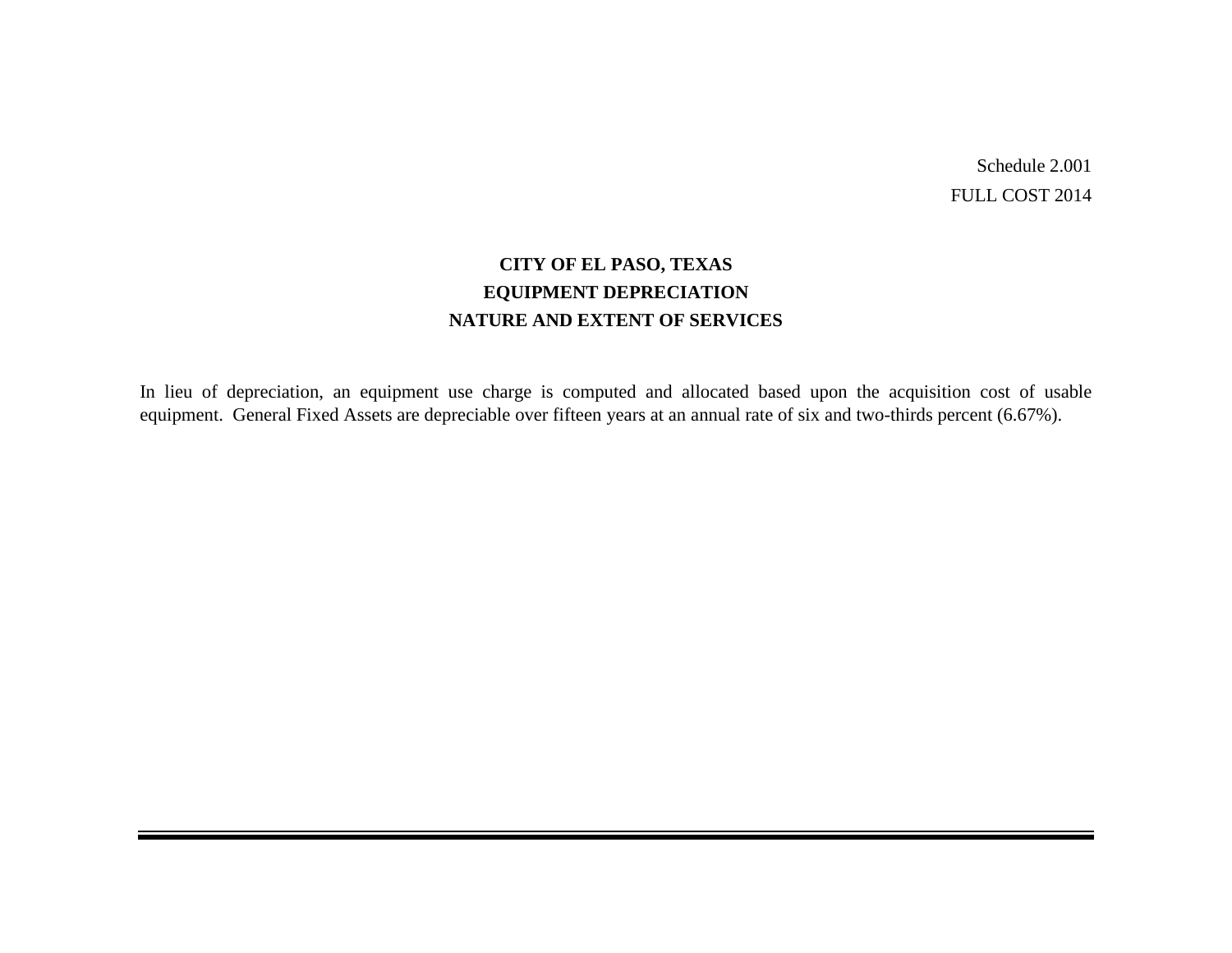Schedule 2.001 FULL COST 2014

# **CITY OF EL PASO, TEXAS EQUIPMENT DEPRECIATION NATURE AND EXTENT OF SERVICES**

In lieu of depreciation, an equipment use charge is computed and allocated based upon the acquisition cost of usable equipment. General Fixed Assets are depreciable over fifteen years at an annual rate of six and two-thirds percent (6.67%).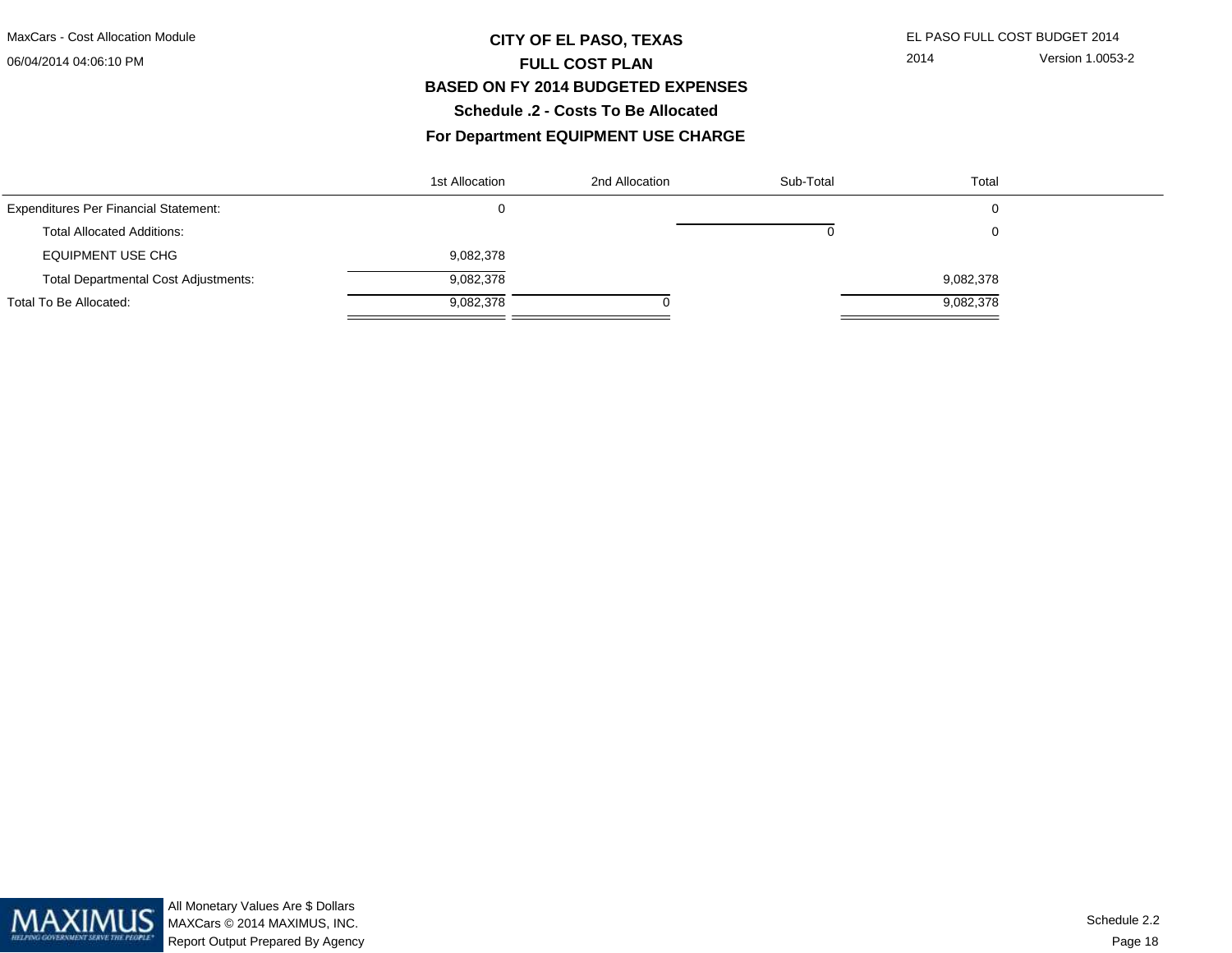#### 06/04/2014 04:06:10 PM

# **CITY OF EL PASO, TEXAS** EL PASO FULL COST BUDGET 2014 **FULL COST PLAN BASED ON FY 2014 BUDGETED EXPENSESSchedule .2 - Costs To Be Allocated**

### **For Department EQUIPMENT USE CHARGE**

|                                              | 1st Allocation | 2nd Allocation | Sub-Total | Total     |  |
|----------------------------------------------|----------------|----------------|-----------|-----------|--|
| <b>Expenditures Per Financial Statement:</b> |                |                |           | 0         |  |
| <b>Total Allocated Additions:</b>            |                |                |           | 0         |  |
| <b>EQUIPMENT USE CHG</b>                     | 9,082,378      |                |           |           |  |
| <b>Total Departmental Cost Adjustments:</b>  | 9,082,378      |                |           | 9,082,378 |  |
| Total To Be Allocated:                       | 9,082,378      |                |           | 9,082,378 |  |

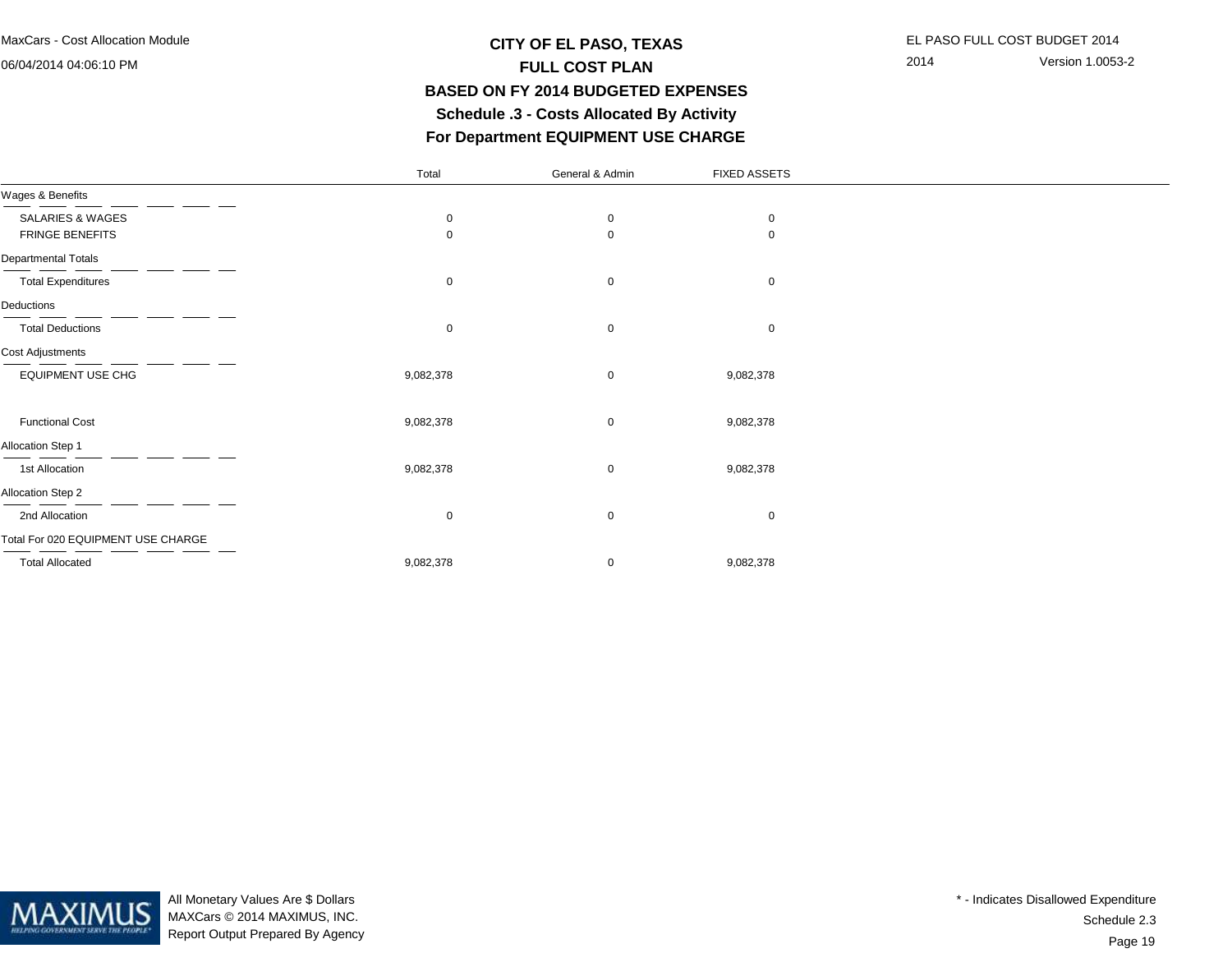06/04/2014 04:06:10 PM

# **CITY OF EL PASO, TEXAS** EL PASO FULL COST BUDGET 2014 **FULL COST PLAN BASED ON FY 2014 BUDGETED EXPENSES Schedule .3 - Costs Allocated By ActivityFor Department EQUIPMENT USE CHARGE**

2014 Version 1.0053-2

|                                    | Total       | General & Admin | <b>FIXED ASSETS</b> |  |
|------------------------------------|-------------|-----------------|---------------------|--|
| Wages & Benefits                   |             |                 |                     |  |
| <b>SALARIES &amp; WAGES</b>        | 0           | 0               | 0                   |  |
| <b>FRINGE BENEFITS</b>             | $\mathbf 0$ | 0               | $\mathbf 0$         |  |
| Departmental Totals                |             |                 |                     |  |
| <b>Total Expenditures</b>          | $\mathbf 0$ | $\mathbf 0$     | $\mathbf 0$         |  |
| Deductions                         |             |                 |                     |  |
| <b>Total Deductions</b>            | $\mathbf 0$ | $\mathbf 0$     | $\mathbf 0$         |  |
| Cost Adjustments                   |             |                 |                     |  |
| <b>EQUIPMENT USE CHG</b>           | 9,082,378   | 0               | 9,082,378           |  |
|                                    |             |                 |                     |  |
| <b>Functional Cost</b>             | 9,082,378   | 0               | 9,082,378           |  |
| Allocation Step 1                  |             |                 |                     |  |
| 1st Allocation                     | 9,082,378   | $\mathbf 0$     | 9,082,378           |  |
| Allocation Step 2                  |             |                 |                     |  |
| 2nd Allocation                     | $\mathbf 0$ | $\mathbf 0$     | $\mathbf 0$         |  |
| Total For 020 EQUIPMENT USE CHARGE |             |                 |                     |  |
| <b>Total Allocated</b>             | 9,082,378   | 0               | 9,082,378           |  |



All Monetary Values Are \$ Dollars MAXCars © 2014 MAXIMUS, INC.Report Output Prepared By Agency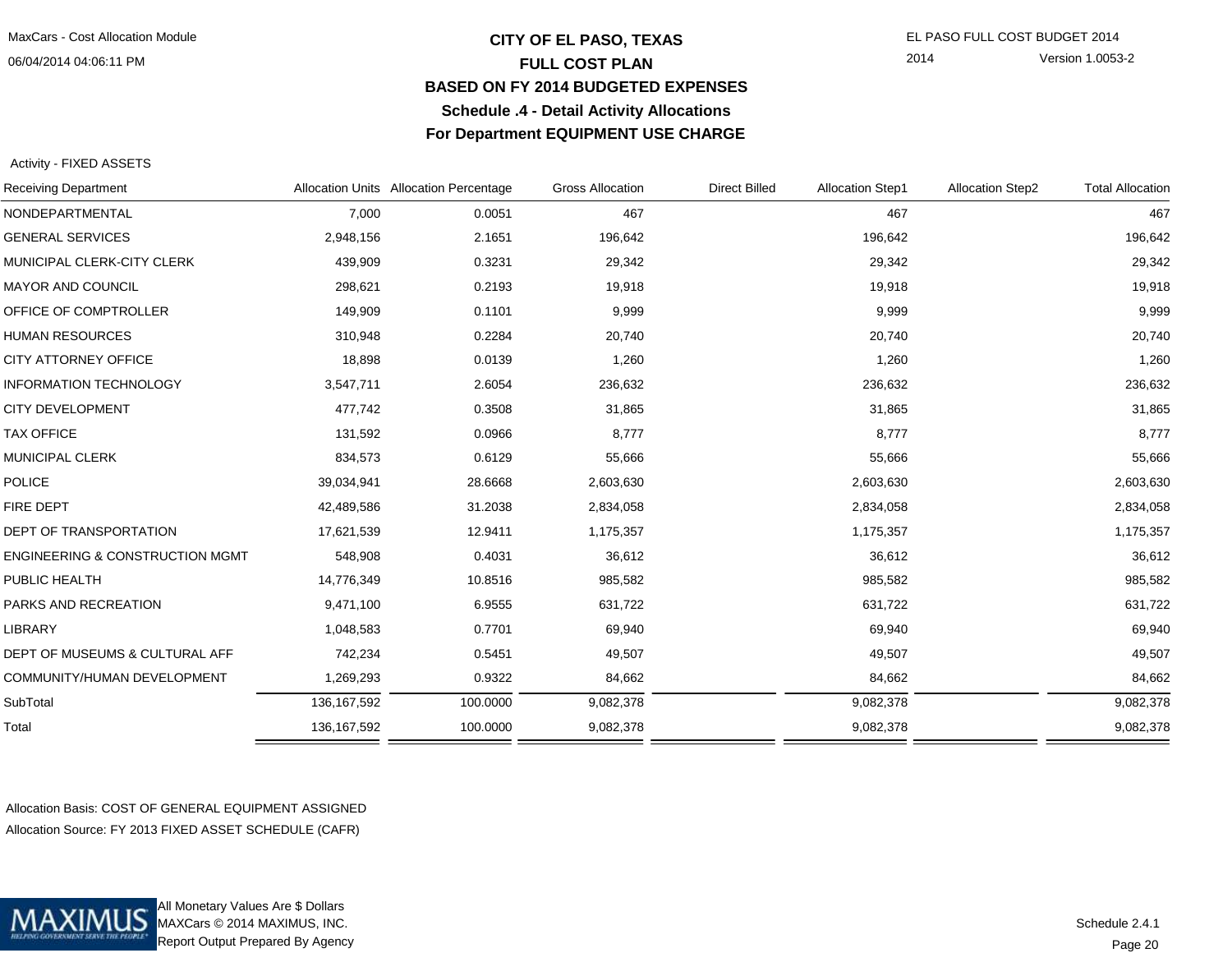### **CITY OF EL PASO, TEXAS** EL PASO FULL COST BUDGET 2014 **FULL COST PLAN BASED ON FY 2014 BUDGETED EXPENSESSchedule .4 - Detail Activity AllocationsFor Department EQUIPMENT USE CHARGE**

2014 Version 1.0053-2

#### Activity - FIXED ASSETS

| <b>Receiving Department</b>                |               | Allocation Units Allocation Percentage | <b>Gross Allocation</b> | <b>Direct Billed</b> | <b>Allocation Step1</b> | <b>Allocation Step2</b> | <b>Total Allocation</b> |
|--------------------------------------------|---------------|----------------------------------------|-------------------------|----------------------|-------------------------|-------------------------|-------------------------|
| NONDEPARTMENTAL                            | 7,000         | 0.0051                                 | 467                     |                      | 467                     |                         | 467                     |
| <b>GENERAL SERVICES</b>                    | 2,948,156     | 2.1651                                 | 196,642                 |                      | 196,642                 |                         | 196,642                 |
| MUNICIPAL CLERK-CITY CLERK                 | 439,909       | 0.3231                                 | 29,342                  |                      | 29,342                  |                         | 29,342                  |
| <b>MAYOR AND COUNCIL</b>                   | 298,621       | 0.2193                                 | 19,918                  |                      | 19,918                  |                         | 19,918                  |
| OFFICE OF COMPTROLLER                      | 149,909       | 0.1101                                 | 9,999                   |                      | 9,999                   |                         | 9,999                   |
| <b>HUMAN RESOURCES</b>                     | 310,948       | 0.2284                                 | 20,740                  |                      | 20,740                  |                         | 20,740                  |
| CITY ATTORNEY OFFICE                       | 18,898        | 0.0139                                 | 1,260                   |                      | 1,260                   |                         | 1,260                   |
| <b>INFORMATION TECHNOLOGY</b>              | 3,547,711     | 2.6054                                 | 236,632                 |                      | 236,632                 |                         | 236,632                 |
| <b>CITY DEVELOPMENT</b>                    | 477,742       | 0.3508                                 | 31,865                  |                      | 31,865                  |                         | 31,865                  |
| <b>TAX OFFICE</b>                          | 131,592       | 0.0966                                 | 8,777                   |                      | 8,777                   |                         | 8,777                   |
| MUNICIPAL CLERK                            | 834,573       | 0.6129                                 | 55,666                  |                      | 55,666                  |                         | 55,666                  |
| <b>POLICE</b>                              | 39,034,941    | 28.6668                                | 2,603,630               |                      | 2,603,630               |                         | 2,603,630               |
| FIRE DEPT                                  | 42,489,586    | 31.2038                                | 2,834,058               |                      | 2,834,058               |                         | 2,834,058               |
| <b>DEPT OF TRANSPORTATION</b>              | 17,621,539    | 12.9411                                | 1,175,357               |                      | 1,175,357               |                         | 1,175,357               |
| <b>ENGINEERING &amp; CONSTRUCTION MGMT</b> | 548,908       | 0.4031                                 | 36,612                  |                      | 36,612                  |                         | 36,612                  |
| PUBLIC HEALTH                              | 14,776,349    | 10.8516                                | 985,582                 |                      | 985,582                 |                         | 985,582                 |
| PARKS AND RECREATION                       | 9,471,100     | 6.9555                                 | 631,722                 |                      | 631,722                 |                         | 631,722                 |
| LIBRARY                                    | 1,048,583     | 0.7701                                 | 69,940                  |                      | 69,940                  |                         | 69,940                  |
| DEPT OF MUSEUMS & CULTURAL AFF             | 742,234       | 0.5451                                 | 49,507                  |                      | 49,507                  |                         | 49,507                  |
| COMMUNITY/HUMAN DEVELOPMENT                | 1,269,293     | 0.9322                                 | 84,662                  |                      | 84,662                  |                         | 84,662                  |
| SubTotal                                   | 136, 167, 592 | 100.0000                               | 9,082,378               |                      | 9,082,378               |                         | 9,082,378               |
| Total                                      | 136, 167, 592 | 100.0000                               | 9,082,378               |                      | 9,082,378               |                         | 9,082,378               |
|                                            |               |                                        |                         |                      |                         |                         |                         |

Allocation Basis: COST OF GENERAL EQUIPMENT ASSIGNEDAllocation Source: FY 2013 FIXED ASSET SCHEDULE (CAFR)



All Monetary Values Are \$ Dollars MAXCars © 2014 MAXIMUS, INC.Report Output Prepared By Agency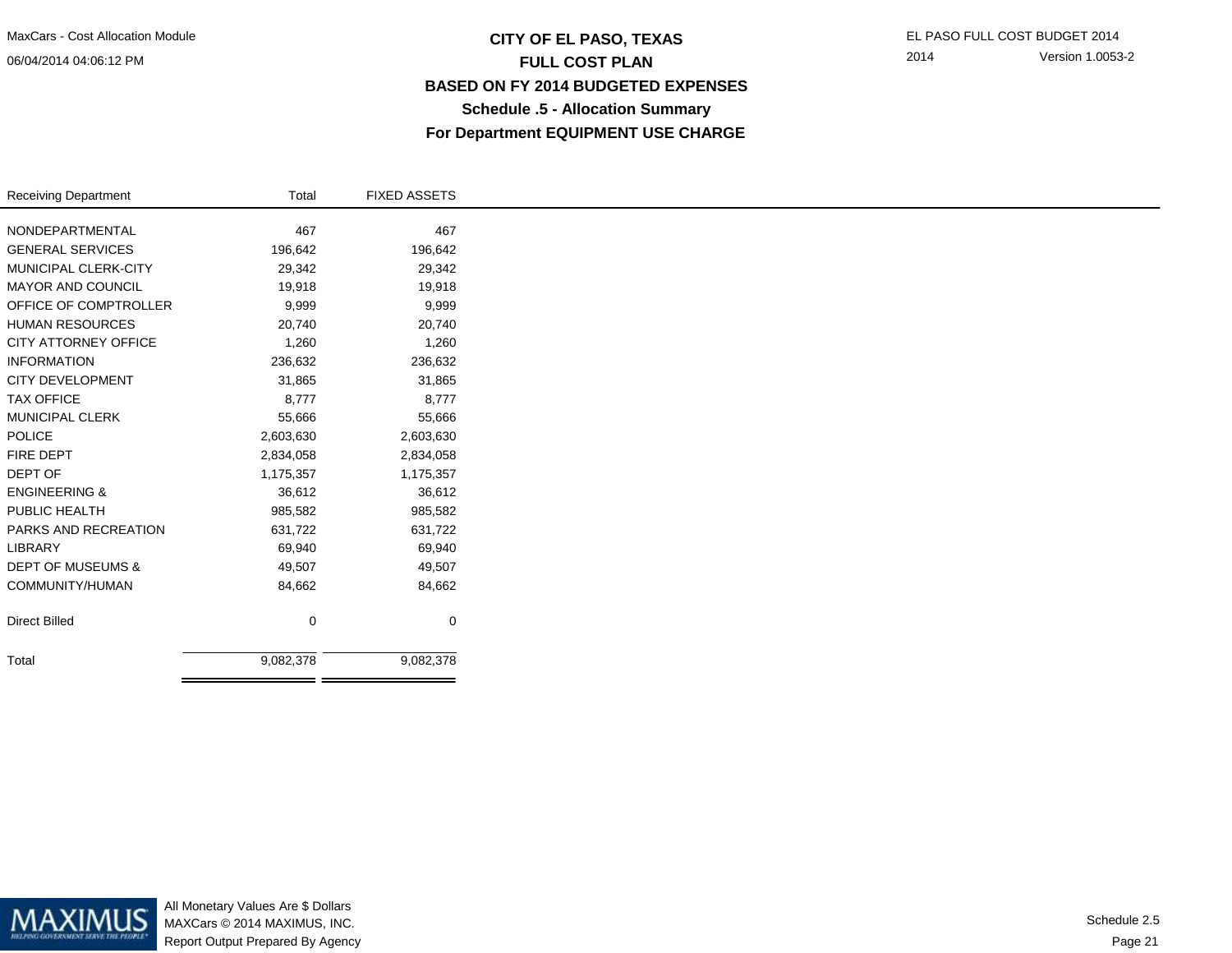## **CITY OF EL PASO, TEXAS** EL PASO FULL COST BUDGET 2014 **FULL COST PLAN BASED ON FY 2014 BUDGETED EXPENSESSchedule .5 - Allocation SummaryFor Department EQUIPMENT USE CHARGE**

2014 Version 1.0053-2

| <b>Receiving Department</b>  | Total     | <b>FIXED ASSETS</b> |
|------------------------------|-----------|---------------------|
| NONDEPARTMENTAL              | 467       | 467                 |
| <b>GENERAL SERVICES</b>      |           |                     |
|                              | 196,642   | 196,642             |
| MUNICIPAL CLERK-CITY         | 29,342    | 29,342              |
| <b>MAYOR AND COUNCIL</b>     | 19,918    | 19,918              |
| OFFICE OF COMPTROLLER        | 9,999     | 9,999               |
| <b>HUMAN RESOURCES</b>       | 20,740    | 20,740              |
| <b>CITY ATTORNEY OFFICE</b>  | 1,260     | 1,260               |
| <b>INFORMATION</b>           | 236,632   | 236,632             |
| <b>CITY DEVELOPMENT</b>      | 31,865    | 31,865              |
| <b>TAX OFFICE</b>            | 8,777     | 8,777               |
| <b>MUNICIPAL CLERK</b>       | 55,666    | 55,666              |
| <b>POLICE</b>                | 2,603,630 | 2,603,630           |
| <b>FIRE DEPT</b>             | 2,834,058 | 2,834,058           |
| DEPT OF                      | 1,175,357 | 1,175,357           |
| <b>ENGINEERING &amp;</b>     | 36,612    | 36,612              |
| PUBLIC HEALTH                | 985,582   | 985,582             |
| PARKS AND RECREATION         | 631,722   | 631,722             |
| LIBRARY                      | 69,940    | 69,940              |
| <b>DEPT OF MUSEUMS &amp;</b> | 49,507    | 49,507              |
| COMMUNITY/HUMAN              | 84,662    | 84,662              |
|                              |           |                     |
| <b>Direct Billed</b>         | 0         | 0                   |
| Total                        | 9,082,378 | 9,082,378           |
|                              |           |                     |



All Monetary Values Are \$ Dollars MAXCars © 2014 MAXIMUS, INC.Report Output Prepared By Agency

Page 21Schedule 2.5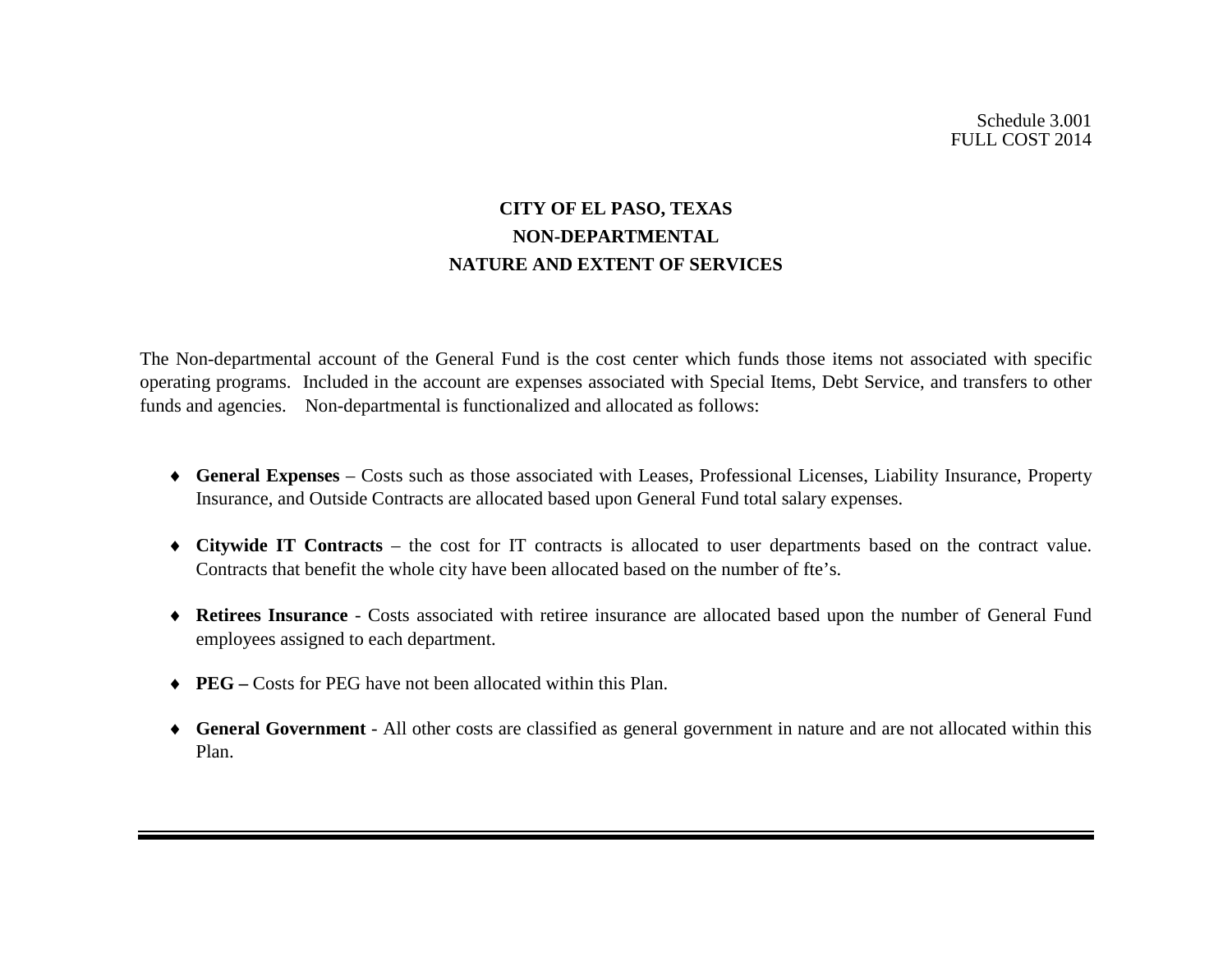# **CITY OF EL PASO, TEXAS NON-DEPARTMENTAL NATURE AND EXTENT OF SERVICES**

The Non-departmental account of the General Fund is the cost center which funds those items not associated with specific operating programs. Included in the account are expenses associated with Special Items, Debt Service, and transfers to other funds and agencies. Non-departmental is functionalized and allocated as follows:

- ♦ **General Expenses** Costs such as those associated with Leases, Professional Licenses, Liability Insurance, Property Insurance, and Outside Contracts are allocated based upon General Fund total salary expenses.
- ♦ **Citywide IT Contracts**  the cost for IT contracts is allocated to user departments based on the contract value. Contracts that benefit the whole city have been allocated based on the number of fte's.
- ♦ **Retirees Insurance** Costs associated with retiree insurance are allocated based upon the number of General Fund employees assigned to each department.
- ♦ **PEG –** Costs for PEG have not been allocated within this Plan.
- ♦ **General Government** All other costs are classified as general government in nature and are not allocated within this Plan.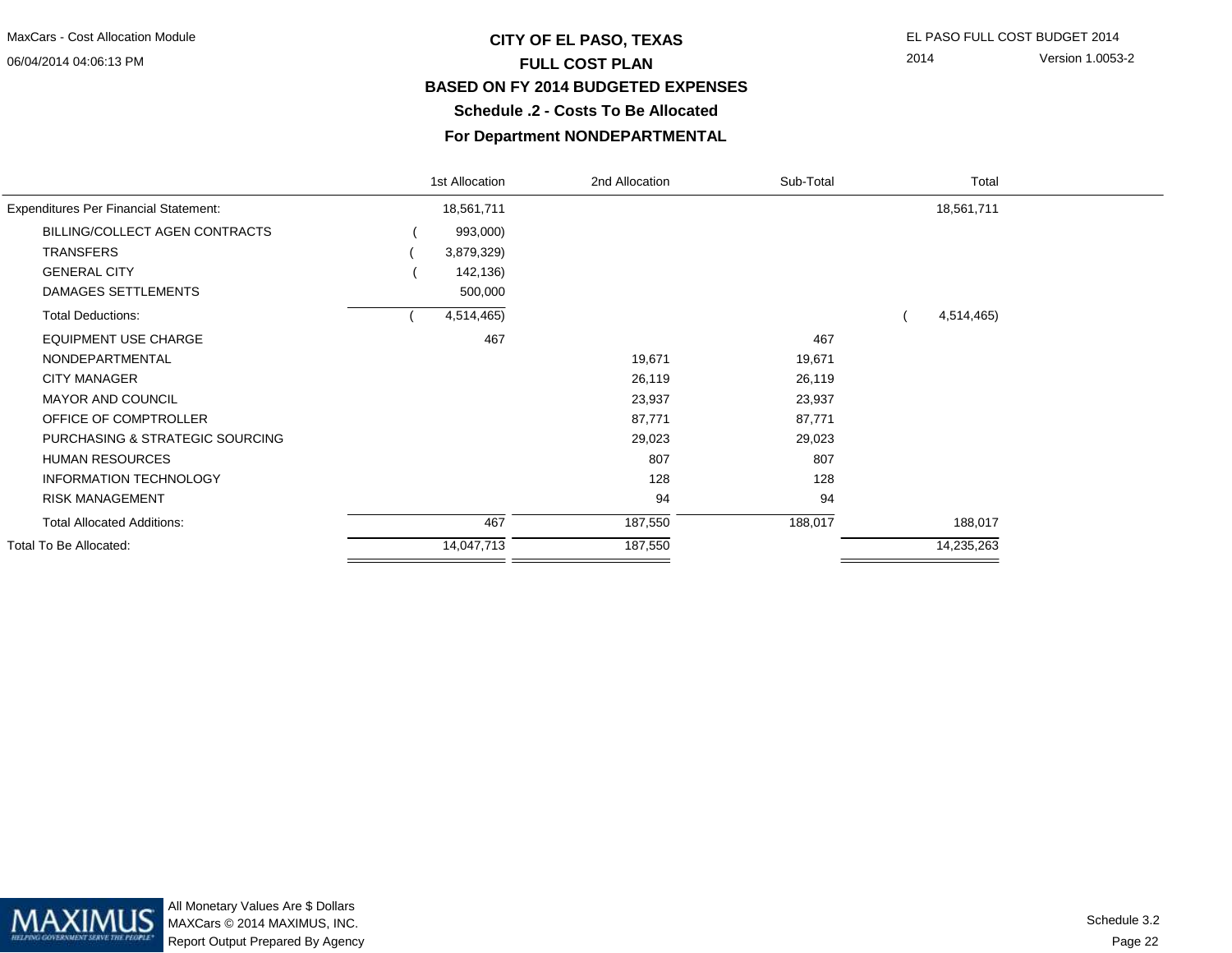# **CITY OF EL PASO, TEXAS** EL PASO FULL COST BUDGET 2014 **FULL COST PLAN BASED ON FY 2014 BUDGETED EXPENSESSchedule .2 - Costs To Be Allocated**

#### **For Department NONDEPARTMENTAL**

|                                              | 1st Allocation | 2nd Allocation | Sub-Total | Total      |  |
|----------------------------------------------|----------------|----------------|-----------|------------|--|
| <b>Expenditures Per Financial Statement:</b> | 18,561,711     |                |           | 18,561,711 |  |
| BILLING/COLLECT AGEN CONTRACTS               | 993,000)       |                |           |            |  |
| <b>TRANSFERS</b>                             | 3,879,329)     |                |           |            |  |
| <b>GENERAL CITY</b>                          | 142,136)       |                |           |            |  |
| DAMAGES SETTLEMENTS                          | 500,000        |                |           |            |  |
| <b>Total Deductions:</b>                     | 4,514,465)     |                |           | 4,514,465) |  |
| <b>EQUIPMENT USE CHARGE</b>                  | 467            |                | 467       |            |  |
| NONDEPARTMENTAL                              |                | 19,671         | 19,671    |            |  |
| <b>CITY MANAGER</b>                          |                | 26,119         | 26,119    |            |  |
| <b>MAYOR AND COUNCIL</b>                     |                | 23,937         | 23,937    |            |  |
| OFFICE OF COMPTROLLER                        |                | 87,771         | 87,771    |            |  |
| PURCHASING & STRATEGIC SOURCING              |                | 29,023         | 29,023    |            |  |
| <b>HUMAN RESOURCES</b>                       |                | 807            | 807       |            |  |
| <b>INFORMATION TECHNOLOGY</b>                |                | 128            | 128       |            |  |
| <b>RISK MANAGEMENT</b>                       |                | 94             | 94        |            |  |
| <b>Total Allocated Additions:</b>            | 467            | 187,550        | 188,017   | 188,017    |  |
| Total To Be Allocated:                       | 14,047,713     | 187,550        |           | 14,235,263 |  |
|                                              |                |                |           |            |  |

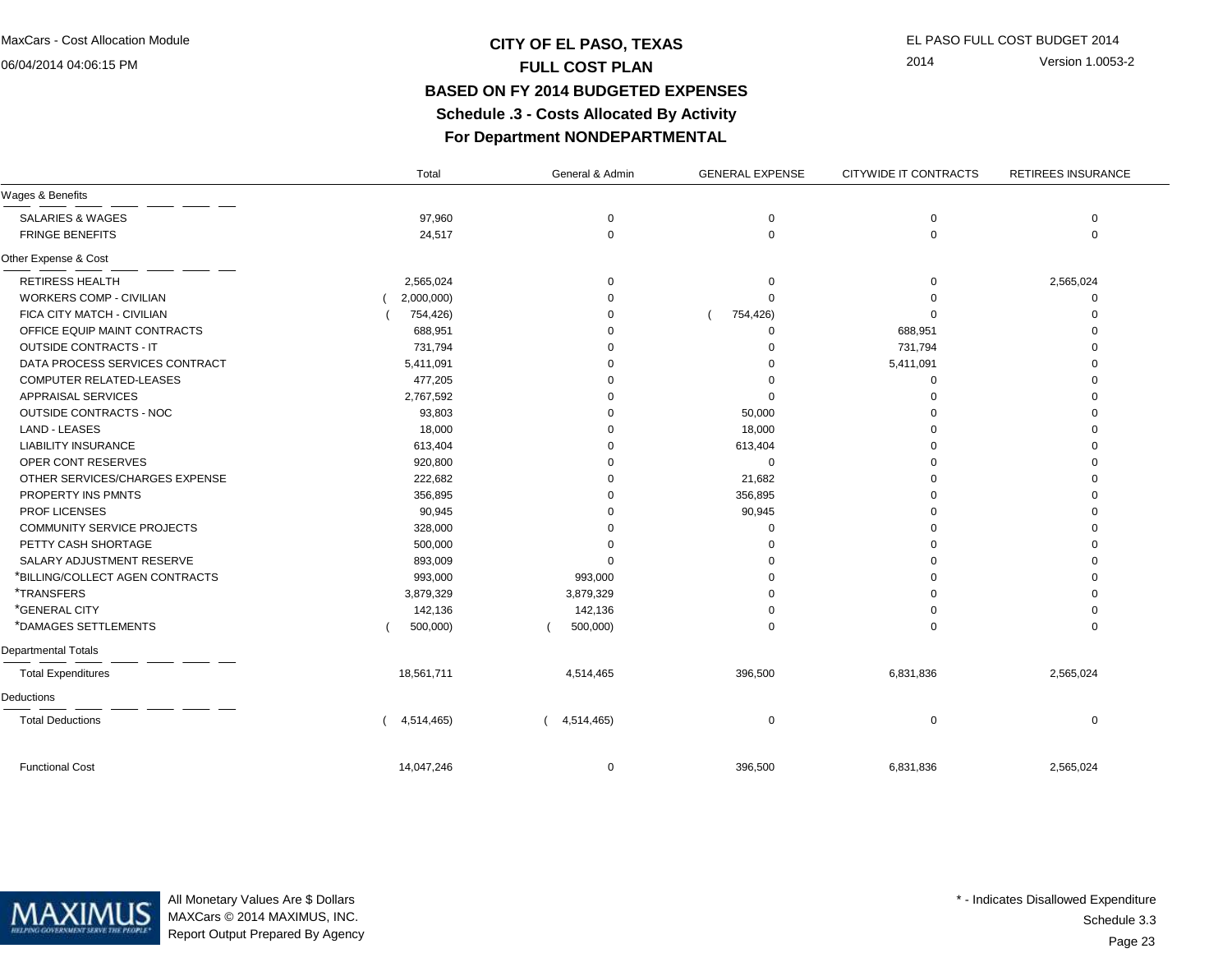## **CITY OF EL PASO, TEXAS** EL PASO FULL COST BUDGET 2014 **FULL COST PLAN BASED ON FY 2014 BUDGETED EXPENSES Schedule .3 - Costs Allocated By ActivityFor Department NONDEPARTMENTAL**

2014 Version 1.0053-2

|                                 | Total      | General & Admin | <b>GENERAL EXPENSE</b> | CITYWIDE IT CONTRACTS | RETIREES INSURANCE |
|---------------------------------|------------|-----------------|------------------------|-----------------------|--------------------|
| Wages & Benefits                |            |                 |                        |                       |                    |
| <b>SALARIES &amp; WAGES</b>     | 97,960     | 0               | 0                      | 0                     | 0                  |
| <b>FRINGE BENEFITS</b>          | 24,517     | 0               | $\mathbf 0$            | $\mathbf 0$           | $\Omega$           |
| Other Expense & Cost            |            |                 |                        |                       |                    |
| <b>RETIRESS HEALTH</b>          | 2,565,024  | $\Omega$        | 0                      | 0                     | 2,565,024          |
| <b>WORKERS COMP - CIVILIAN</b>  | 2,000,000) | U               |                        | $\Omega$              | $\Omega$           |
| FICA CITY MATCH - CIVILIAN      | 754,426)   | U               | 754,426)               | $\Omega$              |                    |
| OFFICE EQUIP MAINT CONTRACTS    | 688,951    |                 | $\Omega$               | 688,951               |                    |
| <b>OUTSIDE CONTRACTS - IT</b>   | 731,794    | ŋ               |                        | 731,794               |                    |
| DATA PROCESS SERVICES CONTRACT  | 5,411,091  |                 | ∩                      | 5,411,091             |                    |
| COMPUTER RELATED-LEASES         | 477,205    | O               |                        | $\mathbf 0$           |                    |
| <b>APPRAISAL SERVICES</b>       | 2,767,592  | O               | $\Omega$               | $\Omega$              |                    |
| OUTSIDE CONTRACTS - NOC         | 93,803     | <sup>0</sup>    | 50,000                 | $\Omega$              |                    |
| <b>LAND - LEASES</b>            | 18,000     |                 | 18,000                 | $\Omega$              |                    |
| <b>LIABILITY INSURANCE</b>      | 613,404    |                 | 613,404                | $\Omega$              |                    |
| OPER CONT RESERVES              | 920,800    |                 | $\mathbf 0$            | $\Omega$              |                    |
| OTHER SERVICES/CHARGES EXPENSE  | 222,682    |                 | 21,682                 | $\Omega$              |                    |
| PROPERTY INS PMNTS              | 356,895    |                 | 356,895                | $\Omega$              |                    |
| PROF LICENSES                   | 90,945     |                 | 90,945                 | $\Omega$              |                    |
| COMMUNITY SERVICE PROJECTS      | 328,000    |                 |                        | $\Omega$              |                    |
| PETTY CASH SHORTAGE             | 500,000    |                 |                        | $\Omega$              |                    |
| SALARY ADJUSTMENT RESERVE       | 893,009    | $\Omega$        | 0                      | $\Omega$              |                    |
| *BILLING/COLLECT AGEN CONTRACTS | 993,000    | 993,000         | $\Omega$               | $\Omega$              |                    |
| <i><b>*TRANSFERS</b></i>        | 3,879,329  | 3,879,329       |                        |                       |                    |
| *GENERAL CITY                   | 142,136    | 142,136         | ∩                      | $\Omega$              |                    |
| *DAMAGES SETTLEMENTS            | 500,000)   | 500,000)        | $\Omega$               | $\Omega$              | $\Omega$           |
| Departmental Totals             |            |                 |                        |                       |                    |
| <b>Total Expenditures</b>       | 18,561,711 | 4,514,465       | 396,500                | 6,831,836             | 2,565,024          |
| Deductions                      |            |                 |                        |                       |                    |
| <b>Total Deductions</b>         | 4,514,465) | 4,514,465)      | $\mathbf 0$            | 0                     | $\Omega$           |
| <b>Functional Cost</b>          | 14,047,246 | 0               | 396,500                | 6,831,836             | 2,565,024          |



All Monetary Values Are \$ Dollars MAXCars © 2014 MAXIMUS, INC.Report Output Prepared By Agency

Page 23Schedule 3.3\* - Indicates Disallowed Expenditure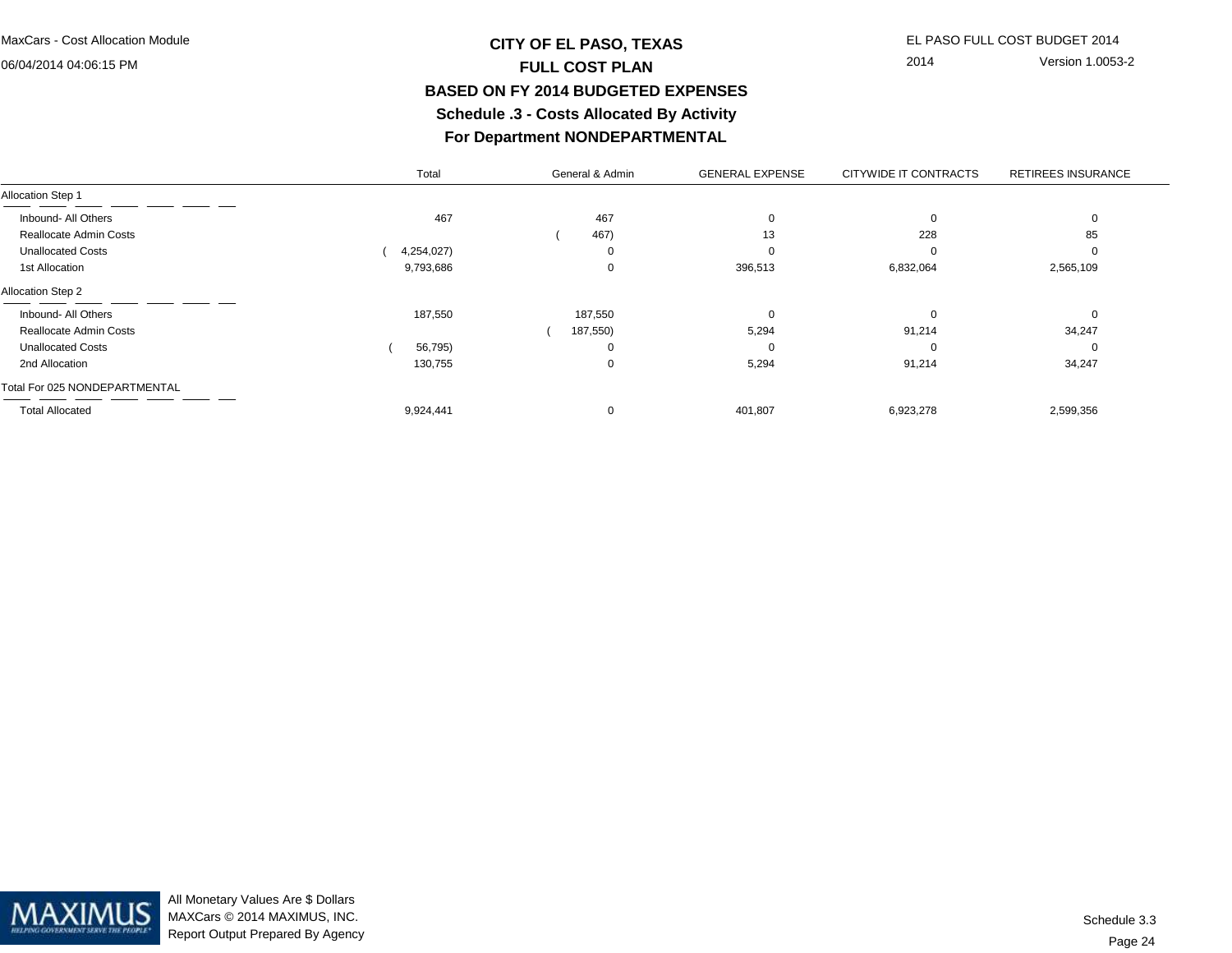## **CITY OF EL PASO, TEXAS** EL PASO FULL COST BUDGET 2014 **FULL COST PLAN BASED ON FY 2014 BUDGETED EXPENSES Schedule .3 - Costs Allocated By ActivityFor Department NONDEPARTMENTAL**

2014 Version 1.0053-2

|                               | Total      | General & Admin | <b>GENERAL EXPENSE</b> | CITYWIDE IT CONTRACTS | <b>RETIREES INSURANCE</b> |
|-------------------------------|------------|-----------------|------------------------|-----------------------|---------------------------|
| Allocation Step 1             |            |                 |                        |                       |                           |
| Inbound- All Others           | 467        | 467             | $\Omega$               |                       |                           |
| Reallocate Admin Costs        |            | 467)            | 13                     | 228                   | 85                        |
| <b>Unallocated Costs</b>      | 4,254,027) |                 | $\Omega$               |                       |                           |
| 1st Allocation                | 9,793,686  | $\Omega$        | 396,513                | 6,832,064             | 2,565,109                 |
| Allocation Step 2             |            |                 |                        |                       |                           |
| Inbound- All Others           | 187,550    | 187,550         | $\Omega$               | υ                     |                           |
| <b>Reallocate Admin Costs</b> |            | 187,550)        | 5,294                  | 91,214                | 34,247                    |
| <b>Unallocated Costs</b>      | 56,795)    |                 | 0                      | υ                     |                           |
| 2nd Allocation                | 130,755    | $\Omega$        | 5,294                  | 91,214                | 34,247                    |
| Total For 025 NONDEPARTMENTAL |            |                 |                        |                       |                           |
| <b>Total Allocated</b>        | 9,924,441  | $\Omega$        | 401,807                | 6,923,278             | 2,599,356                 |

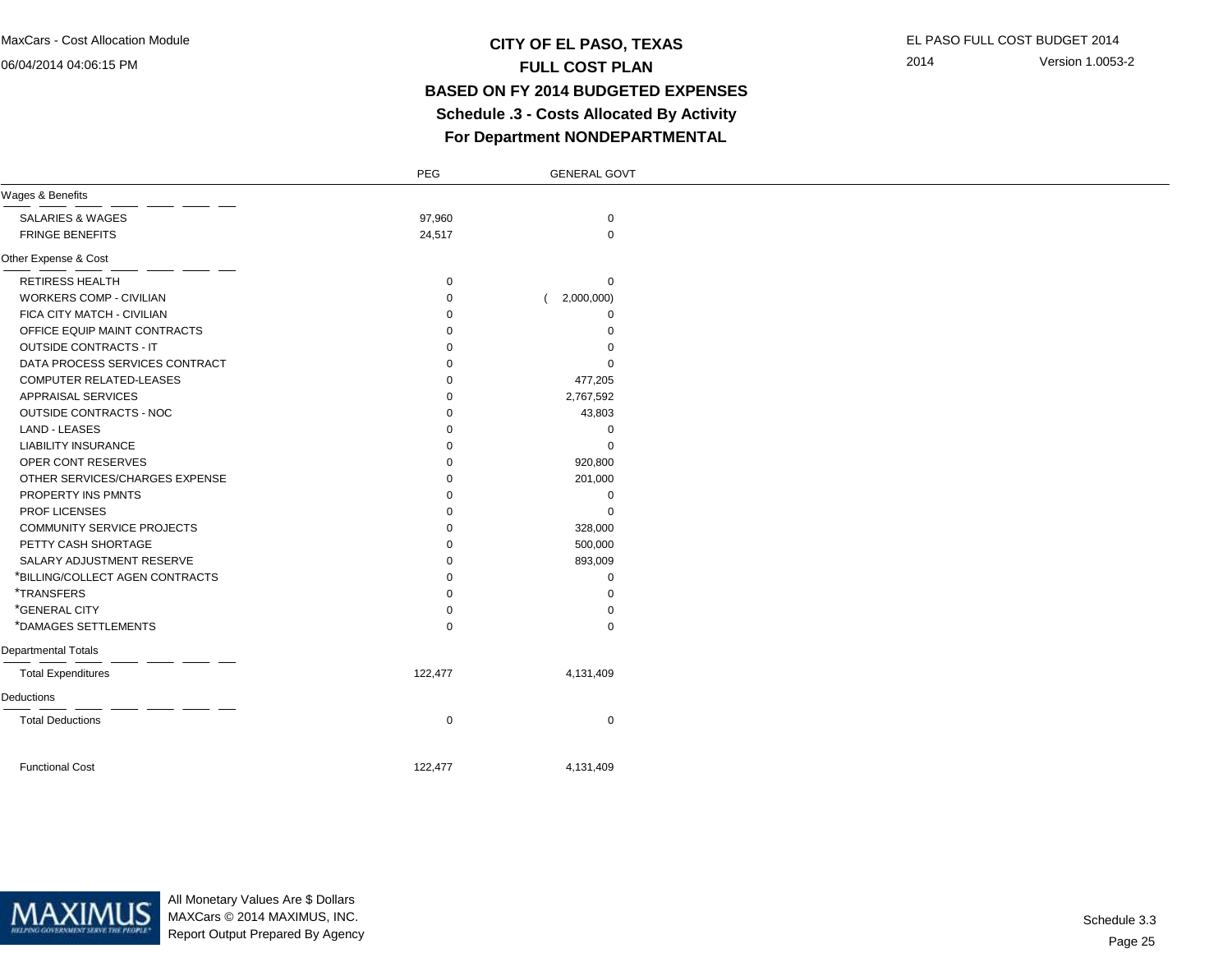### **CITY OF EL PASO, TEXAS** EL PASO FULL COST BUDGET 2014 **FULL COST PLAN BASED ON FY 2014 BUDGETED EXPENSES Schedule .3 - Costs Allocated By ActivityFor Department NONDEPARTMENTAL**

2014 Version 1.0053-2

|                                   | PEG         | <b>GENERAL GOVT</b> |  |
|-----------------------------------|-------------|---------------------|--|
| Wages & Benefits                  |             |                     |  |
| <b>SALARIES &amp; WAGES</b>       | 97,960      | $\mathbf 0$         |  |
| <b>FRINGE BENEFITS</b>            | 24,517      | $\mathbf 0$         |  |
| Other Expense & Cost              |             |                     |  |
| <b>RETIRESS HEALTH</b>            | $\mathbf 0$ | 0                   |  |
| <b>WORKERS COMP - CIVILIAN</b>    | $\mathbf 0$ | 2,000,000)          |  |
| FICA CITY MATCH - CIVILIAN        | $\Omega$    | $\Omega$            |  |
| OFFICE EQUIP MAINT CONTRACTS      | $\Omega$    | 0                   |  |
| <b>OUTSIDE CONTRACTS - IT</b>     | $\Omega$    | 0                   |  |
| DATA PROCESS SERVICES CONTRACT    | $\Omega$    | 0                   |  |
| COMPUTER RELATED-LEASES           | $\Omega$    | 477,205             |  |
| <b>APPRAISAL SERVICES</b>         | $\Omega$    | 2,767,592           |  |
| OUTSIDE CONTRACTS - NOC           | $\Omega$    | 43,803              |  |
| LAND - LEASES                     | $\Omega$    | 0                   |  |
| <b>LIABILITY INSURANCE</b>        | $\Omega$    | $\mathbf 0$         |  |
| OPER CONT RESERVES                | $\Omega$    | 920,800             |  |
| OTHER SERVICES/CHARGES EXPENSE    | $\Omega$    | 201,000             |  |
| PROPERTY INS PMNTS                | $\Omega$    | $\mathbf 0$         |  |
| PROF LICENSES                     | $\Omega$    | $\mathbf 0$         |  |
| <b>COMMUNITY SERVICE PROJECTS</b> | $\Omega$    | 328,000             |  |
| PETTY CASH SHORTAGE               | $\Omega$    | 500,000             |  |
| SALARY ADJUSTMENT RESERVE         | $\mathbf 0$ | 893,009             |  |
| *BILLING/COLLECT AGEN CONTRACTS   | $\Omega$    | 0                   |  |
| *TRANSFERS                        | $\Omega$    | $\mathbf 0$         |  |
| *GENERAL CITY                     | $\Omega$    | $\mathbf 0$         |  |
| *DAMAGES SETTLEMENTS              | $\Omega$    | $\mathbf 0$         |  |
| <b>Departmental Totals</b>        |             |                     |  |
| <b>Total Expenditures</b>         | 122,477     | 4,131,409           |  |
| Deductions                        |             |                     |  |
| <b>Total Deductions</b>           | $\mathbf 0$ | $\mathbf 0$         |  |
| <b>Functional Cost</b>            | 122,477     | 4,131,409           |  |
|                                   |             |                     |  |



All Monetary Values Are \$ Dollars MAXCars © 2014 MAXIMUS, INC.Report Output Prepared By Agency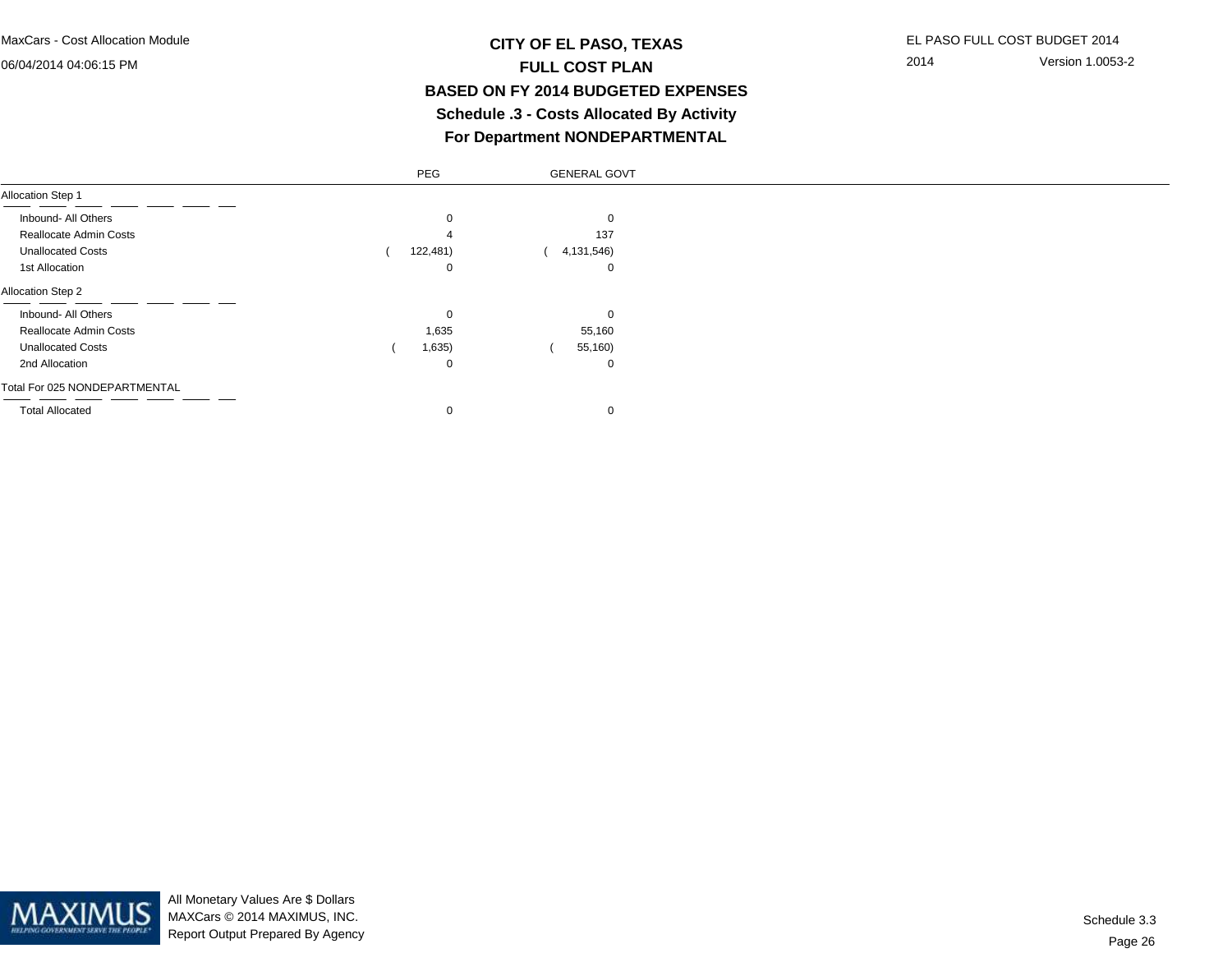### **CITY OF EL PASO, TEXAS** EL PASO FULL COST BUDGET 2014 **FULL COST PLAN BASED ON FY 2014 BUDGETED EXPENSES Schedule .3 - Costs Allocated By ActivityFor Department NONDEPARTMENTAL**

2014 Version 1.0053-2

|                               | PEG      | <b>GENERAL GOVT</b> |
|-------------------------------|----------|---------------------|
| <b>Allocation Step 1</b>      |          |                     |
| Inbound- All Others           | 0        | 0                   |
| Reallocate Admin Costs        |          | 137                 |
| <b>Unallocated Costs</b>      | 122,481) | 4,131,546)          |
| 1st Allocation                | 0        | 0                   |
| <b>Allocation Step 2</b>      |          |                     |
| Inbound- All Others           | 0        | $\Omega$            |
| Reallocate Admin Costs        | 1,635    | 55,160              |
| <b>Unallocated Costs</b>      | 1,635)   | 55,160)             |
| 2nd Allocation                | 0        | 0                   |
| Total For 025 NONDEPARTMENTAL |          |                     |
| <b>Total Allocated</b>        | 0        | $\mathbf 0$         |
|                               |          |                     |

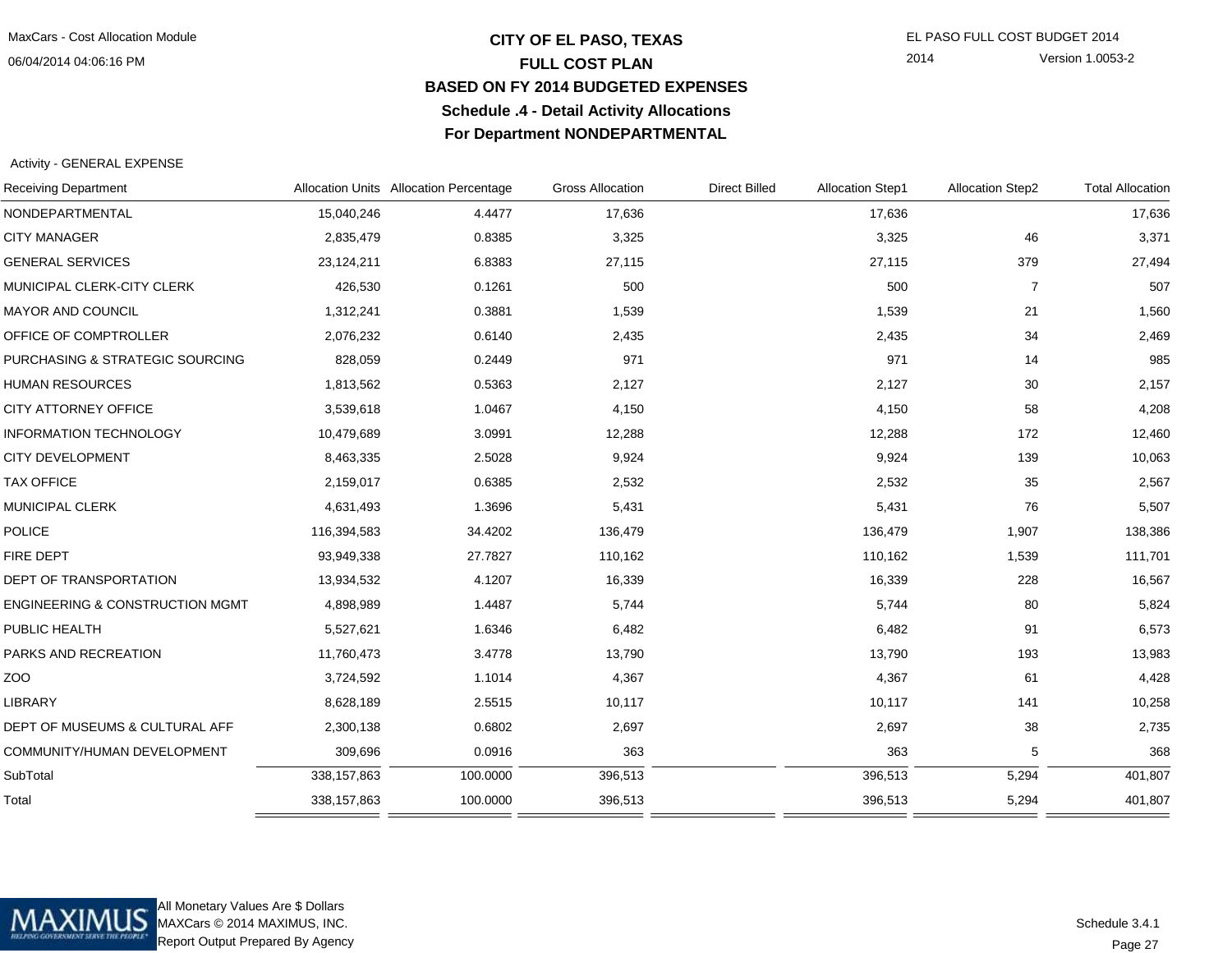### **CITY OF EL PASO, TEXAS** EL PASO FULL COST BUDGET 2014 **FULL COST PLAN BASED ON FY 2014 BUDGETED EXPENSESSchedule .4 - Detail Activity AllocationsFor Department NONDEPARTMENTAL**

2014 Version 1.0053-2

#### Activity - GENERAL EXPENSE

| <b>Receiving Department</b>                |               | Allocation Units Allocation Percentage | <b>Gross Allocation</b> | <b>Direct Billed</b> | Allocation Step1 | <b>Allocation Step2</b> | <b>Total Allocation</b> |
|--------------------------------------------|---------------|----------------------------------------|-------------------------|----------------------|------------------|-------------------------|-------------------------|
| NONDEPARTMENTAL                            | 15,040,246    | 4.4477                                 | 17,636                  |                      | 17,636           |                         | 17,636                  |
| <b>CITY MANAGER</b>                        | 2,835,479     | 0.8385                                 | 3,325                   |                      | 3,325            | 46                      | 3,371                   |
| <b>GENERAL SERVICES</b>                    | 23,124,211    | 6.8383                                 | 27,115                  |                      | 27,115           | 379                     | 27,494                  |
| MUNICIPAL CLERK-CITY CLERK                 | 426,530       | 0.1261                                 | 500                     |                      | 500              | 7                       | 507                     |
| MAYOR AND COUNCIL                          | 1,312,241     | 0.3881                                 | 1,539                   |                      | 1,539            | 21                      | 1,560                   |
| OFFICE OF COMPTROLLER                      | 2,076,232     | 0.6140                                 | 2,435                   |                      | 2,435            | 34                      | 2,469                   |
| PURCHASING & STRATEGIC SOURCING            | 828,059       | 0.2449                                 | 971                     |                      | 971              | 14                      | 985                     |
| <b>HUMAN RESOURCES</b>                     | 1,813,562     | 0.5363                                 | 2,127                   |                      | 2,127            | 30                      | 2,157                   |
| CITY ATTORNEY OFFICE                       | 3,539,618     | 1.0467                                 | 4,150                   |                      | 4,150            | 58                      | 4,208                   |
| <b>INFORMATION TECHNOLOGY</b>              | 10,479,689    | 3.0991                                 | 12,288                  |                      | 12,288           | 172                     | 12,460                  |
| <b>CITY DEVELOPMENT</b>                    | 8,463,335     | 2.5028                                 | 9,924                   |                      | 9,924            | 139                     | 10,063                  |
| <b>TAX OFFICE</b>                          | 2,159,017     | 0.6385                                 | 2,532                   |                      | 2,532            | 35                      | 2,567                   |
| <b>MUNICIPAL CLERK</b>                     | 4,631,493     | 1.3696                                 | 5,431                   |                      | 5,431            | 76                      | 5,507                   |
| <b>POLICE</b>                              | 116,394,583   | 34.4202                                | 136,479                 |                      | 136,479          | 1,907                   | 138,386                 |
| FIRE DEPT                                  | 93,949,338    | 27.7827                                | 110,162                 |                      | 110,162          | 1,539                   | 111,701                 |
| <b>DEPT OF TRANSPORTATION</b>              | 13,934,532    | 4.1207                                 | 16,339                  |                      | 16,339           | 228                     | 16,567                  |
| <b>ENGINEERING &amp; CONSTRUCTION MGMT</b> | 4,898,989     | 1.4487                                 | 5,744                   |                      | 5,744            | 80                      | 5,824                   |
| PUBLIC HEALTH                              | 5,527,621     | 1.6346                                 | 6,482                   |                      | 6,482            | 91                      | 6,573                   |
| PARKS AND RECREATION                       | 11,760,473    | 3.4778                                 | 13,790                  |                      | 13,790           | 193                     | 13,983                  |
| ZOO                                        | 3,724,592     | 1.1014                                 | 4,367                   |                      | 4,367            | 61                      | 4,428                   |
| <b>LIBRARY</b>                             | 8,628,189     | 2.5515                                 | 10,117                  |                      | 10,117           | 141                     | 10,258                  |
| DEPT OF MUSEUMS & CULTURAL AFF             | 2,300,138     | 0.6802                                 | 2,697                   |                      | 2,697            | 38                      | 2,735                   |
| COMMUNITY/HUMAN DEVELOPMENT                | 309,696       | 0.0916                                 | 363                     |                      | 363              | 5                       | 368                     |
| SubTotal                                   | 338, 157, 863 | 100.0000                               | 396,513                 |                      | 396,513          | 5,294                   | 401,807                 |
| Total                                      | 338, 157, 863 | 100.0000                               | 396,513                 |                      | 396,513          | 5,294                   | 401,807                 |
|                                            |               |                                        |                         |                      |                  |                         |                         |



All Monetary Values Are \$ Dollars MAXCars © 2014 MAXIMUS, INC.Report Output Prepared By Agency

Page 27Schedule 3.4.1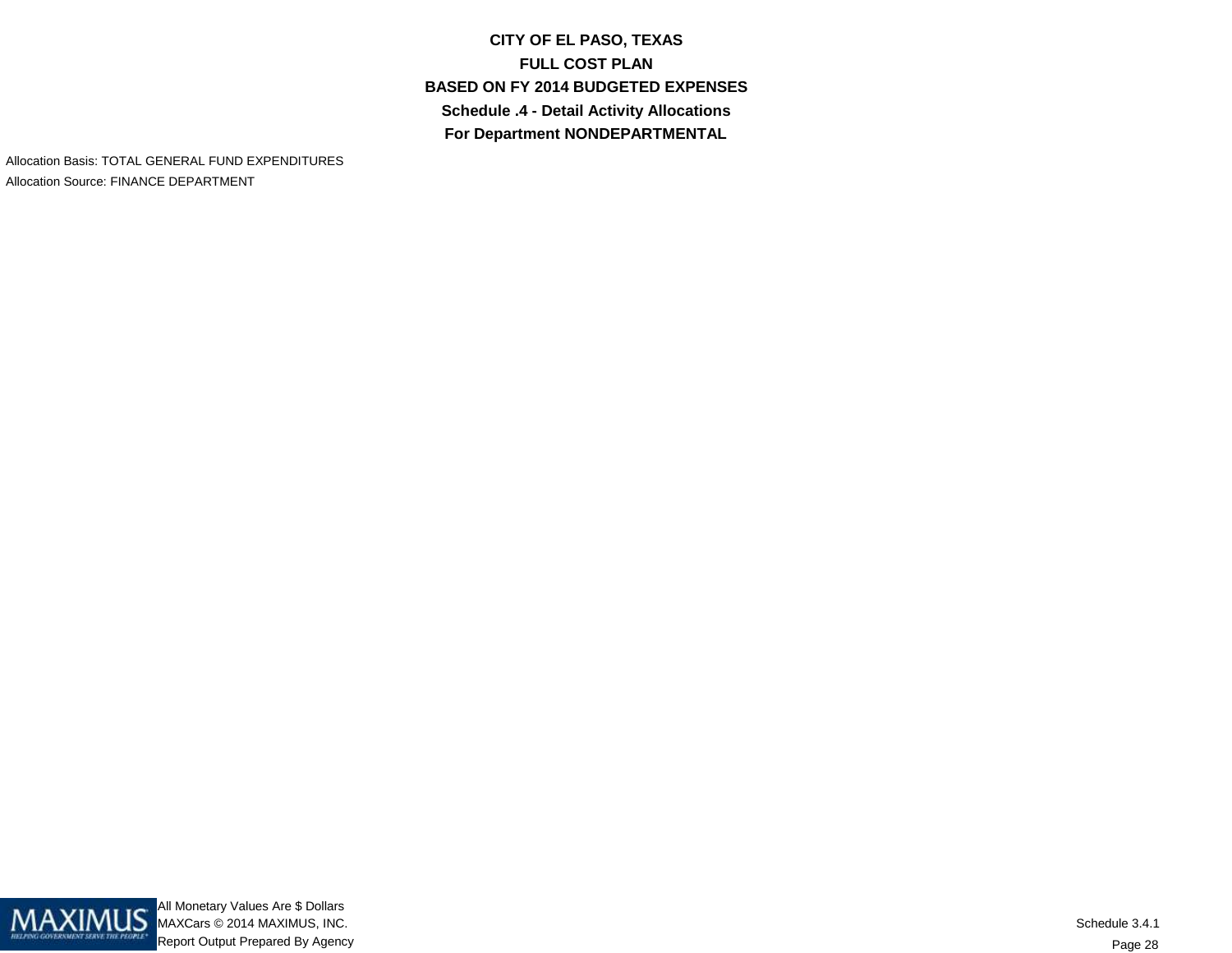**CITY OF EL PASO, TEXASFULL COST PLAN BASED ON FY 2014 BUDGETED EXPENSESSchedule .4 - Detail Activity AllocationsFor Department NONDEPARTMENTAL**

Allocation Basis: TOTAL GENERAL FUND EXPENDITURESAllocation Source: FINANCE DEPARTMENT

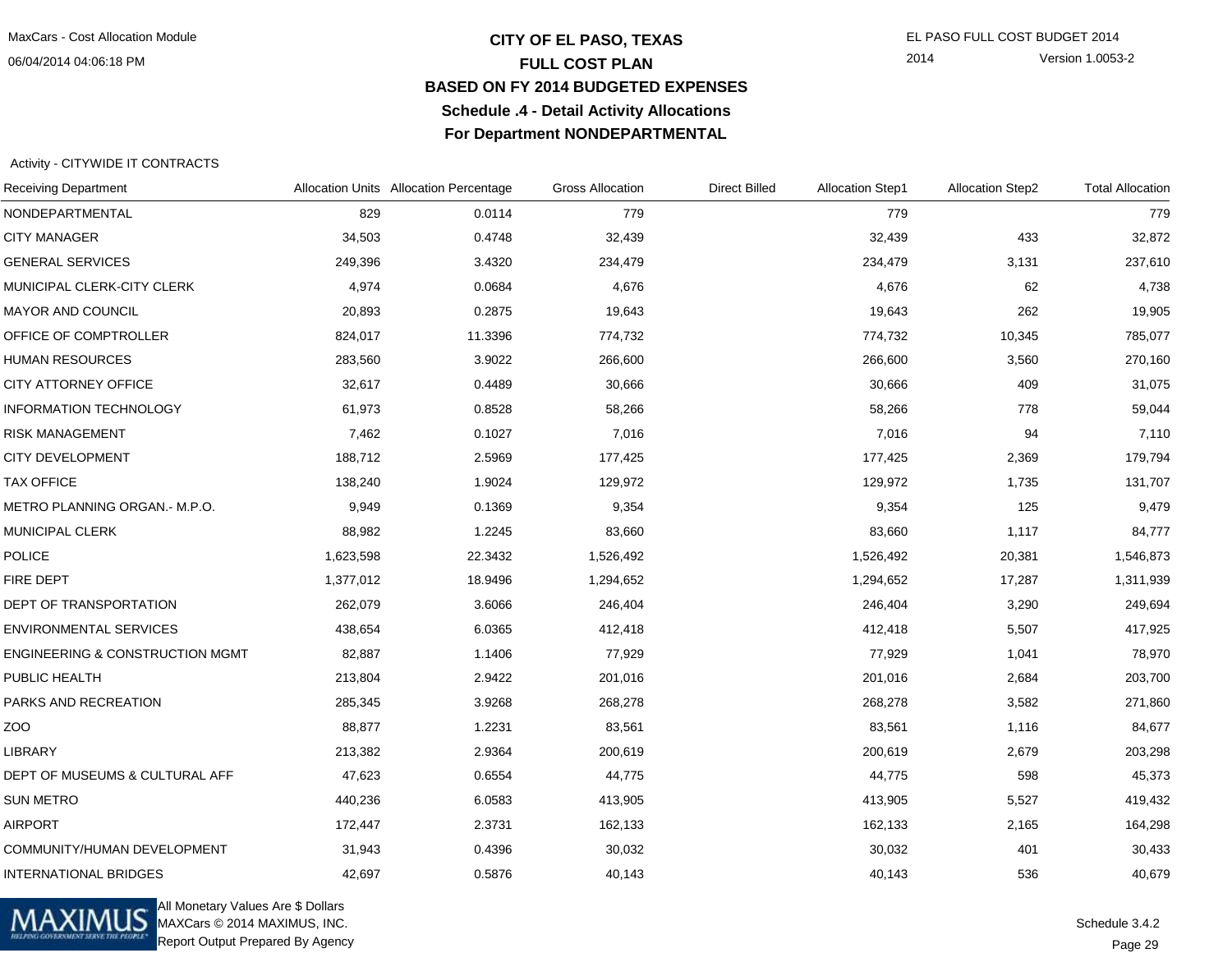### **CITY OF EL PASO, TEXAS** EL PASO FULL COST BUDGET 2014 **FULL COST PLAN BASED ON FY 2014 BUDGETED EXPENSESSchedule .4 - Detail Activity AllocationsFor Department NONDEPARTMENTAL**

2014 Version 1.0053-2

#### Activity - CITYWIDE IT CONTRACTS

| <b>Receiving Department</b>                |           | Allocation Units Allocation Percentage | <b>Gross Allocation</b> | <b>Direct Billed</b> | <b>Allocation Step1</b> | Allocation Step2 | <b>Total Allocation</b> |
|--------------------------------------------|-----------|----------------------------------------|-------------------------|----------------------|-------------------------|------------------|-------------------------|
| NONDEPARTMENTAL                            | 829       | 0.0114                                 | 779                     |                      | 779                     |                  | 779                     |
| <b>CITY MANAGER</b>                        | 34,503    | 0.4748                                 | 32,439                  |                      | 32,439                  | 433              | 32,872                  |
| <b>GENERAL SERVICES</b>                    | 249,396   | 3.4320                                 | 234,479                 |                      | 234,479                 | 3,131            | 237,610                 |
| MUNICIPAL CLERK-CITY CLERK                 | 4,974     | 0.0684                                 | 4,676                   |                      | 4,676                   | 62               | 4,738                   |
| <b>MAYOR AND COUNCIL</b>                   | 20,893    | 0.2875                                 | 19,643                  |                      | 19,643                  | 262              | 19,905                  |
| OFFICE OF COMPTROLLER                      | 824,017   | 11.3396                                | 774,732                 |                      | 774,732                 | 10,345           | 785,077                 |
| <b>HUMAN RESOURCES</b>                     | 283,560   | 3.9022                                 | 266,600                 |                      | 266,600                 | 3,560            | 270,160                 |
| CITY ATTORNEY OFFICE                       | 32,617    | 0.4489                                 | 30,666                  |                      | 30,666                  | 409              | 31,075                  |
| <b>INFORMATION TECHNOLOGY</b>              | 61,973    | 0.8528                                 | 58,266                  |                      | 58,266                  | 778              | 59,044                  |
| <b>RISK MANAGEMENT</b>                     | 7,462     | 0.1027                                 | 7,016                   |                      | 7,016                   | 94               | 7,110                   |
| <b>CITY DEVELOPMENT</b>                    | 188,712   | 2.5969                                 | 177,425                 |                      | 177,425                 | 2,369            | 179,794                 |
| <b>TAX OFFICE</b>                          | 138,240   | 1.9024                                 | 129,972                 |                      | 129,972                 | 1,735            | 131,707                 |
| METRO PLANNING ORGAN.- M.P.O.              | 9,949     | 0.1369                                 | 9,354                   |                      | 9,354                   | 125              | 9,479                   |
| <b>MUNICIPAL CLERK</b>                     | 88,982    | 1.2245                                 | 83,660                  |                      | 83,660                  | 1,117            | 84,777                  |
| <b>POLICE</b>                              | 1,623,598 | 22.3432                                | 1,526,492               |                      | 1,526,492               | 20,381           | 1,546,873               |
| FIRE DEPT                                  | 1,377,012 | 18.9496                                | 1,294,652               |                      | 1,294,652               | 17,287           | 1,311,939               |
| DEPT OF TRANSPORTATION                     | 262,079   | 3.6066                                 | 246,404                 |                      | 246,404                 | 3,290            | 249,694                 |
| <b>ENVIRONMENTAL SERVICES</b>              | 438,654   | 6.0365                                 | 412,418                 |                      | 412,418                 | 5,507            | 417,925                 |
| <b>ENGINEERING &amp; CONSTRUCTION MGMT</b> | 82,887    | 1.1406                                 | 77,929                  |                      | 77,929                  | 1,041            | 78,970                  |
| PUBLIC HEALTH                              | 213,804   | 2.9422                                 | 201,016                 |                      | 201,016                 | 2,684            | 203,700                 |
| PARKS AND RECREATION                       | 285,345   | 3.9268                                 | 268,278                 |                      | 268,278                 | 3,582            | 271,860                 |
| ZO <sub>O</sub>                            | 88,877    | 1.2231                                 | 83,561                  |                      | 83,561                  | 1,116            | 84,677                  |
| <b>LIBRARY</b>                             | 213,382   | 2.9364                                 | 200,619                 |                      | 200,619                 | 2,679            | 203,298                 |
| DEPT OF MUSEUMS & CULTURAL AFF             | 47,623    | 0.6554                                 | 44,775                  |                      | 44,775                  | 598              | 45,373                  |
| <b>SUN METRO</b>                           | 440,236   | 6.0583                                 | 413,905                 |                      | 413,905                 | 5,527            | 419,432                 |
| <b>AIRPORT</b>                             | 172,447   | 2.3731                                 | 162,133                 |                      | 162,133                 | 2,165            | 164,298                 |
| COMMUNITY/HUMAN DEVELOPMENT                | 31,943    | 0.4396                                 | 30,032                  |                      | 30,032                  | 401              | 30,433                  |
| <b>INTERNATIONAL BRIDGES</b>               | 42,697    | 0.5876                                 | 40,143                  |                      | 40,143                  | 536              | 40,679                  |



All Monetary Values Are \$ Dollars MAXCars © 2014 MAXIMUS, INC.Report Output Prepared By Agency

Schedule 3.4.2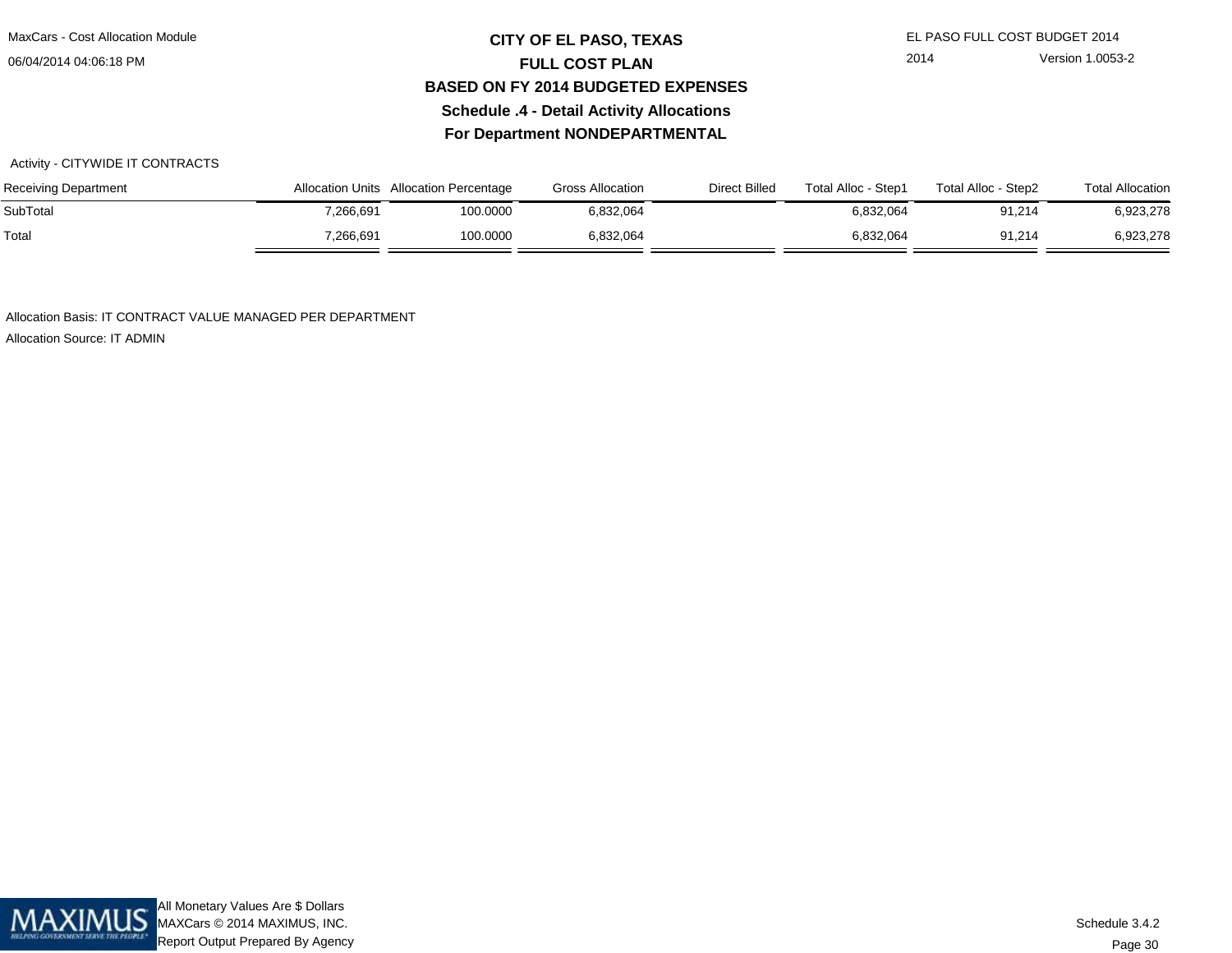### **CITY OF EL PASO, TEXAS** EL PASO FULL COST BUDGET 2014 **FULL COST PLAN BASED ON FY 2014 BUDGETED EXPENSESSchedule .4 - Detail Activity AllocationsFor Department NONDEPARTMENTAL**

2014 Version 1.0053-2

#### Activity - CITYWIDE IT CONTRACTS

| <b>Receiving Department</b> |           | Allocation Units Allocation Percentage | <b>Gross Allocation</b> | <b>Direct Billed</b> | Total Alloc - Step1 | Total Alloc - Step2 | <b>Total Allocation</b> |
|-----------------------------|-----------|----------------------------------------|-------------------------|----------------------|---------------------|---------------------|-------------------------|
| SubTotal                    | 7,266,691 | 100.0000                               | 6,832,064               |                      | 6,832,064           | 91,214              | 6,923,278               |
| Total                       | 7,266,691 | 100.0000                               | 6,832,064               |                      | 6.832.064           | 91,214              | 6,923,278               |

Allocation Basis: IT CONTRACT VALUE MANAGED PER DEPARTMENT

Allocation Source: IT ADMIN

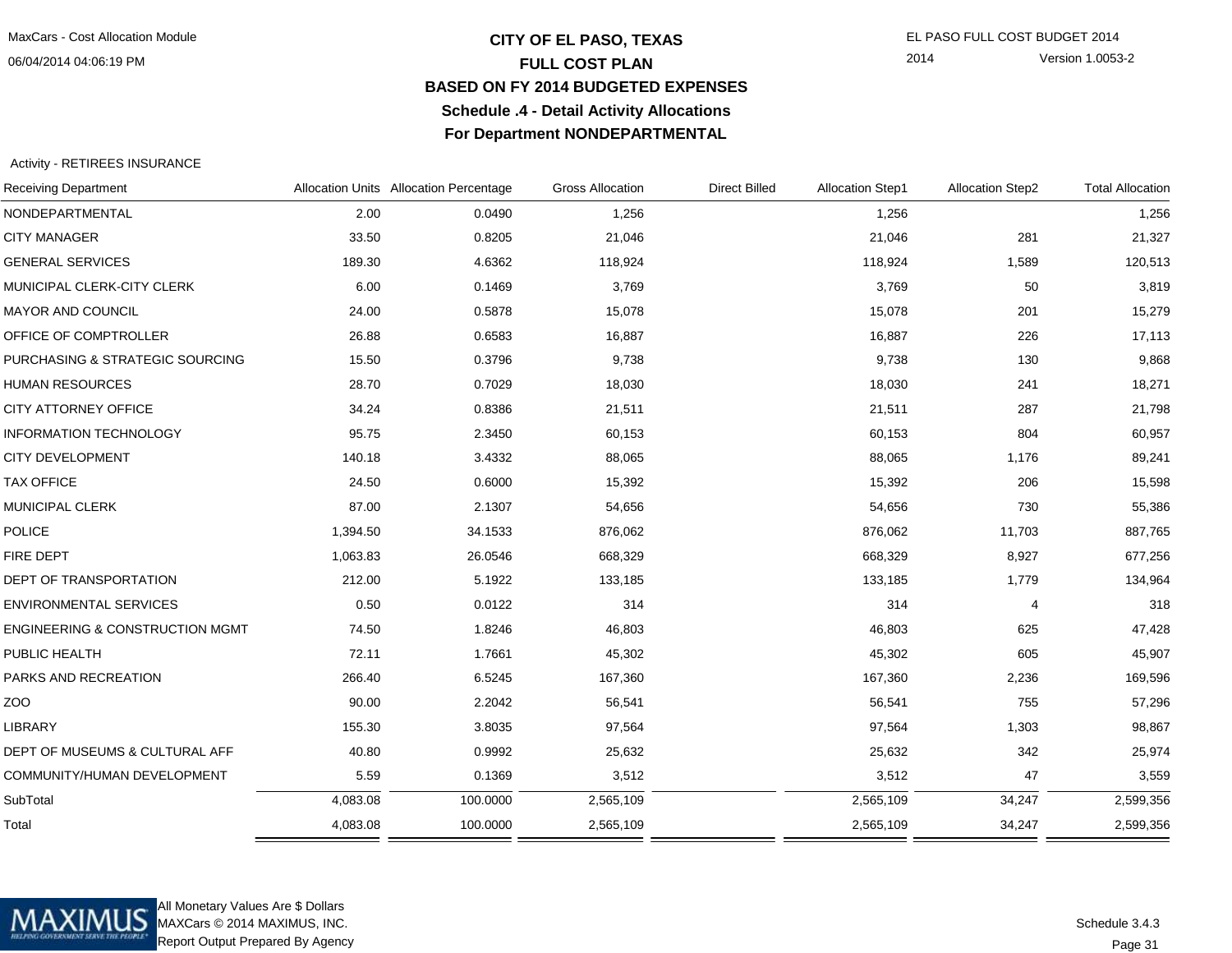### **CITY OF EL PASO, TEXAS** EL PASO FULL COST BUDGET 2014 **FULL COST PLAN BASED ON FY 2014 BUDGETED EXPENSESSchedule .4 - Detail Activity AllocationsFor Department NONDEPARTMENTAL**

2014 Version 1.0053-2

Activity - RETIREES INSURANCE

| <b>Receiving Department</b>                |          | Allocation Units Allocation Percentage | <b>Gross Allocation</b> | <b>Direct Billed</b> | <b>Allocation Step1</b> | <b>Allocation Step2</b> | <b>Total Allocation</b> |
|--------------------------------------------|----------|----------------------------------------|-------------------------|----------------------|-------------------------|-------------------------|-------------------------|
| NONDEPARTMENTAL                            | 2.00     | 0.0490                                 | 1,256                   |                      | 1,256                   |                         | 1,256                   |
| <b>CITY MANAGER</b>                        | 33.50    | 0.8205                                 | 21,046                  |                      | 21,046                  | 281                     | 21,327                  |
| <b>GENERAL SERVICES</b>                    | 189.30   | 4.6362                                 | 118,924                 |                      | 118,924                 | 1,589                   | 120,513                 |
| MUNICIPAL CLERK-CITY CLERK                 | 6.00     | 0.1469                                 | 3,769                   |                      | 3,769                   | 50                      | 3,819                   |
| MAYOR AND COUNCIL                          | 24.00    | 0.5878                                 | 15,078                  |                      | 15,078                  | 201                     | 15,279                  |
| OFFICE OF COMPTROLLER                      | 26.88    | 0.6583                                 | 16,887                  |                      | 16,887                  | 226                     | 17,113                  |
| PURCHASING & STRATEGIC SOURCING            | 15.50    | 0.3796                                 | 9,738                   |                      | 9,738                   | 130                     | 9,868                   |
| <b>HUMAN RESOURCES</b>                     | 28.70    | 0.7029                                 | 18,030                  |                      | 18,030                  | 241                     | 18,271                  |
| CITY ATTORNEY OFFICE                       | 34.24    | 0.8386                                 | 21,511                  |                      | 21,511                  | 287                     | 21,798                  |
| <b>INFORMATION TECHNOLOGY</b>              | 95.75    | 2.3450                                 | 60,153                  |                      | 60,153                  | 804                     | 60,957                  |
| <b>CITY DEVELOPMENT</b>                    | 140.18   | 3.4332                                 | 88,065                  |                      | 88,065                  | 1,176                   | 89,241                  |
| <b>TAX OFFICE</b>                          | 24.50    | 0.6000                                 | 15,392                  |                      | 15,392                  | 206                     | 15,598                  |
| MUNICIPAL CLERK                            | 87.00    | 2.1307                                 | 54,656                  |                      | 54,656                  | 730                     | 55,386                  |
| <b>POLICE</b>                              | 1,394.50 | 34.1533                                | 876,062                 |                      | 876,062                 | 11,703                  | 887,765                 |
| <b>FIRE DEPT</b>                           | 1,063.83 | 26.0546                                | 668,329                 |                      | 668,329                 | 8,927                   | 677,256                 |
| DEPT OF TRANSPORTATION                     | 212.00   | 5.1922                                 | 133,185                 |                      | 133,185                 | 1,779                   | 134,964                 |
| <b>ENVIRONMENTAL SERVICES</b>              | 0.50     | 0.0122                                 | 314                     |                      | 314                     | $\overline{4}$          | 318                     |
| <b>ENGINEERING &amp; CONSTRUCTION MGMT</b> | 74.50    | 1.8246                                 | 46,803                  |                      | 46,803                  | 625                     | 47,428                  |
| PUBLIC HEALTH                              | 72.11    | 1.7661                                 | 45,302                  |                      | 45,302                  | 605                     | 45,907                  |
| PARKS AND RECREATION                       | 266.40   | 6.5245                                 | 167,360                 |                      | 167,360                 | 2,236                   | 169,596                 |
| ZOO                                        | 90.00    | 2.2042                                 | 56,541                  |                      | 56,541                  | 755                     | 57,296                  |
| <b>LIBRARY</b>                             | 155.30   | 3.8035                                 | 97,564                  |                      | 97,564                  | 1,303                   | 98,867                  |
| DEPT OF MUSEUMS & CULTURAL AFF             | 40.80    | 0.9992                                 | 25,632                  |                      | 25,632                  | 342                     | 25,974                  |
| COMMUNITY/HUMAN DEVELOPMENT                | 5.59     | 0.1369                                 | 3,512                   |                      | 3,512                   | 47                      | 3,559                   |
| SubTotal                                   | 4,083.08 | 100.0000                               | 2,565,109               |                      | 2,565,109               | 34,247                  | 2,599,356               |
| Total                                      | 4,083.08 | 100.0000                               | 2,565,109               |                      | 2,565,109               | 34,247                  | 2,599,356               |
|                                            |          |                                        |                         |                      |                         |                         |                         |



All Monetary Values Are \$ Dollars MAXCars © 2014 MAXIMUS, INC.Report Output Prepared By Agency

Page 31Schedule 3.4.3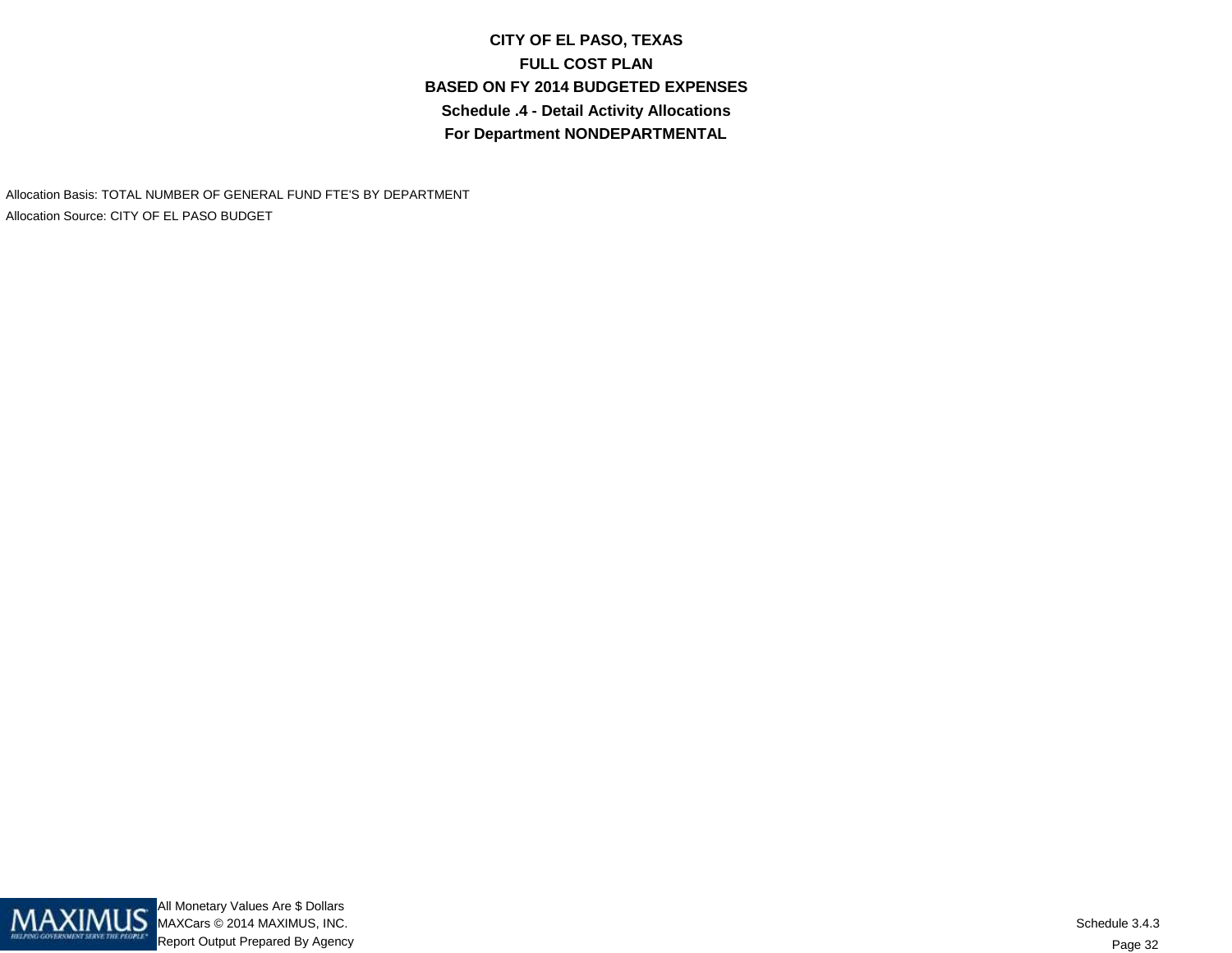**CITY OF EL PASO, TEXASFULL COST PLAN BASED ON FY 2014 BUDGETED EXPENSESSchedule .4 - Detail Activity AllocationsFor Department NONDEPARTMENTAL**

Allocation Basis: TOTAL NUMBER OF GENERAL FUND FTE'S BY DEPARTMENTAllocation Source: CITY OF EL PASO BUDGET

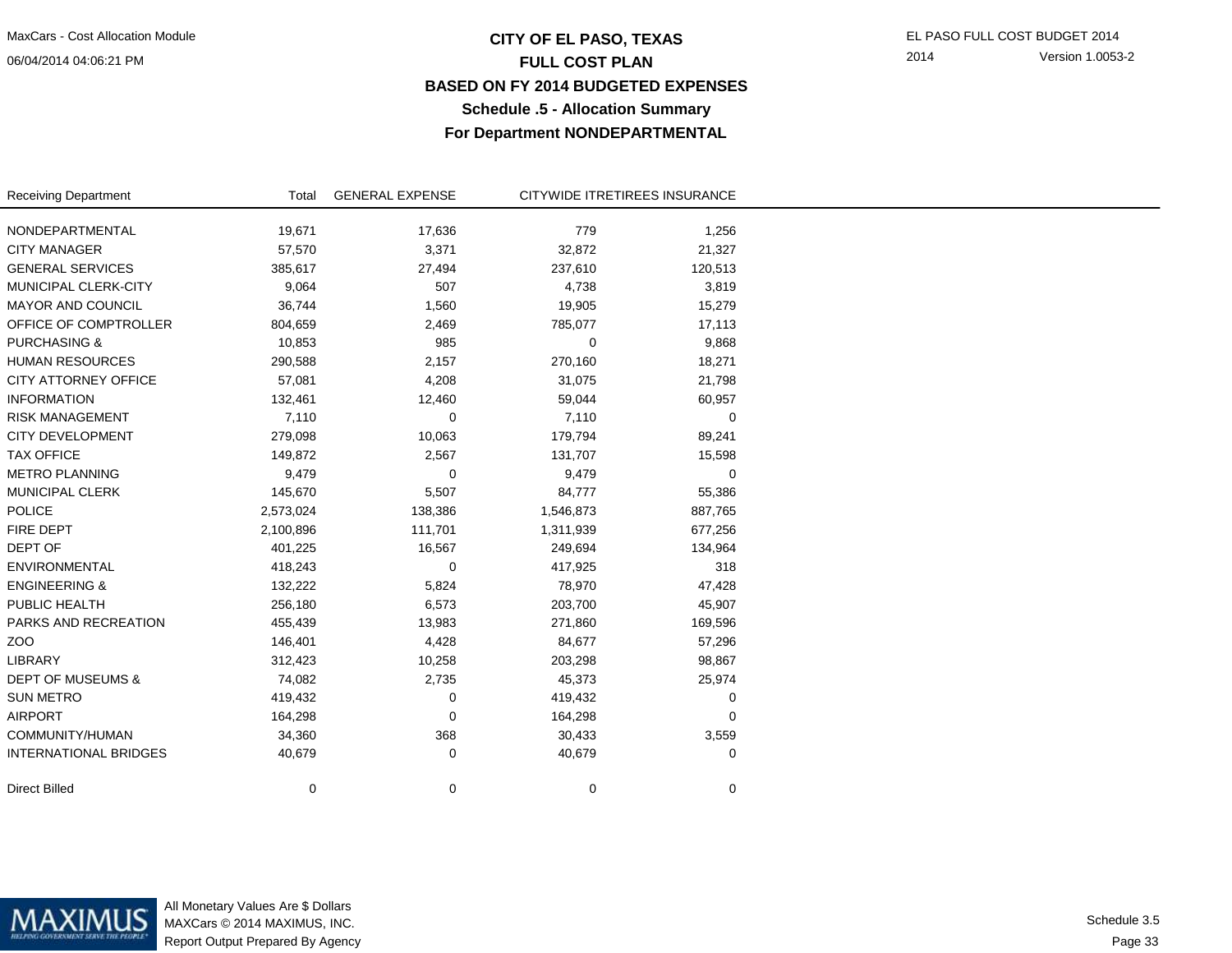### **CITY OF EL PASO, TEXAS** EL PASO FULL COST BUDGET 2014 **FULL COST PLAN BASED ON FY 2014 BUDGETED EXPENSESSchedule .5 - Allocation SummaryFor Department NONDEPARTMENTAL**

2014 Version 1.0053-2

| <b>Receiving Department</b>  | Total     | <b>GENERAL EXPENSE</b> | CITYWIDE ITRETIREES INSURANCE |         |  |
|------------------------------|-----------|------------------------|-------------------------------|---------|--|
| NONDEPARTMENTAL              | 19,671    | 17,636                 | 779                           | 1,256   |  |
| <b>CITY MANAGER</b>          | 57,570    | 3,371                  | 32,872                        | 21,327  |  |
| <b>GENERAL SERVICES</b>      | 385,617   | 27,494                 | 237,610                       | 120,513 |  |
| MUNICIPAL CLERK-CITY         | 9,064     | 507                    | 4,738                         | 3,819   |  |
| <b>MAYOR AND COUNCIL</b>     | 36,744    | 1,560                  | 19,905                        | 15,279  |  |
| OFFICE OF COMPTROLLER        | 804,659   | 2,469                  | 785,077                       | 17,113  |  |
| <b>PURCHASING &amp;</b>      | 10,853    | 985                    | 0                             | 9,868   |  |
| <b>HUMAN RESOURCES</b>       | 290,588   | 2,157                  | 270,160                       | 18,271  |  |
| <b>CITY ATTORNEY OFFICE</b>  | 57,081    | 4,208                  | 31,075                        | 21,798  |  |
| <b>INFORMATION</b>           | 132,461   | 12,460                 | 59,044                        | 60,957  |  |
| <b>RISK MANAGEMENT</b>       | 7,110     | 0                      | 7,110                         | 0       |  |
| <b>CITY DEVELOPMENT</b>      | 279,098   | 10,063                 | 179,794                       | 89,241  |  |
| <b>TAX OFFICE</b>            | 149,872   | 2,567                  | 131,707                       | 15,598  |  |
| <b>METRO PLANNING</b>        | 9,479     | 0                      | 9,479                         | 0       |  |
| <b>MUNICIPAL CLERK</b>       | 145,670   | 5,507                  | 84,777                        | 55,386  |  |
| <b>POLICE</b>                | 2,573,024 | 138,386                | 1,546,873                     | 887,765 |  |
| FIRE DEPT                    | 2,100,896 | 111,701                | 1,311,939                     | 677,256 |  |
| DEPT OF                      | 401,225   | 16,567                 | 249,694                       | 134,964 |  |
| ENVIRONMENTAL                | 418,243   | 0                      | 417,925                       | 318     |  |
| <b>ENGINEERING &amp;</b>     | 132,222   | 5,824                  | 78,970                        | 47,428  |  |
| PUBLIC HEALTH                | 256,180   | 6,573                  | 203,700                       | 45,907  |  |
| PARKS AND RECREATION         | 455,439   | 13,983                 | 271,860                       | 169,596 |  |
| ZOO                          | 146,401   | 4,428                  | 84,677                        | 57,296  |  |
| LIBRARY                      | 312,423   | 10,258                 | 203,298                       | 98,867  |  |
| <b>DEPT OF MUSEUMS &amp;</b> | 74,082    | 2,735                  | 45,373                        | 25,974  |  |
| <b>SUN METRO</b>             | 419,432   | 0                      | 419,432                       | 0       |  |
| <b>AIRPORT</b>               | 164,298   | 0                      | 164,298                       | 0       |  |
| COMMUNITY/HUMAN              | 34,360    | 368                    | 30,433                        | 3,559   |  |
| <b>INTERNATIONAL BRIDGES</b> | 40,679    | 0                      | 40,679                        | 0       |  |
| <b>Direct Billed</b>         | 0         | 0                      | 0                             | 0       |  |

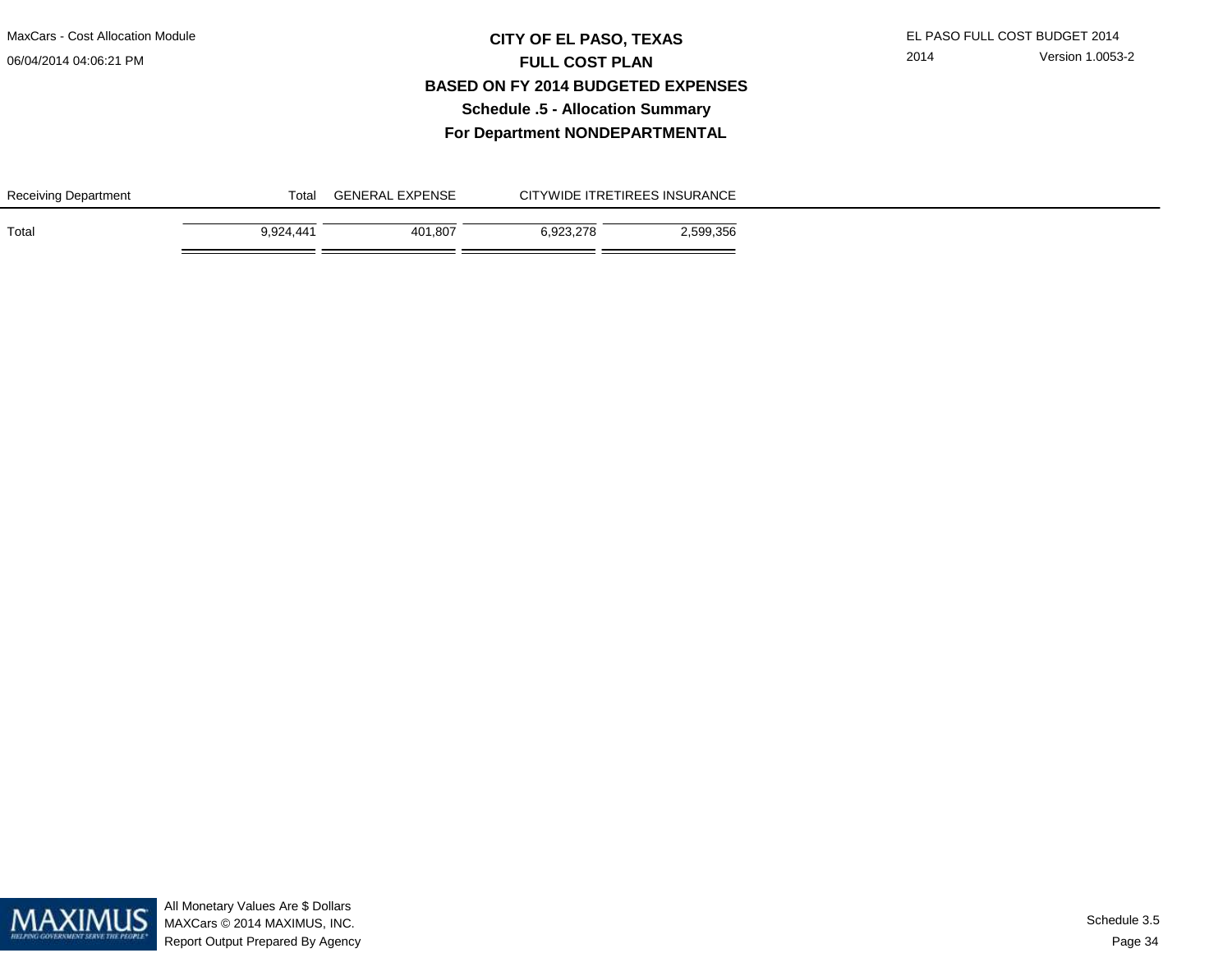## **CITY OF EL PASO, TEXAS** EL PASO FULL COST BUDGET 2014 **FULL COST PLAN BASED ON FY 2014 BUDGETED EXPENSESSchedule .5 - Allocation SummaryFor Department NONDEPARTMENTAL**

| Receiving Department | Total     | <b>GENERAL EXPENSE</b> | CITYWIDE ITRETIREES INSURANCE |           |  |
|----------------------|-----------|------------------------|-------------------------------|-----------|--|
| Total                | 9.924.441 | 401.807                | 6.923.278                     | 2,599,356 |  |



All Monetary Values Are \$ Dollars MAXCars © 2014 MAXIMUS, INC.Report Output Prepared By Agency

Page 34Schedule 3.5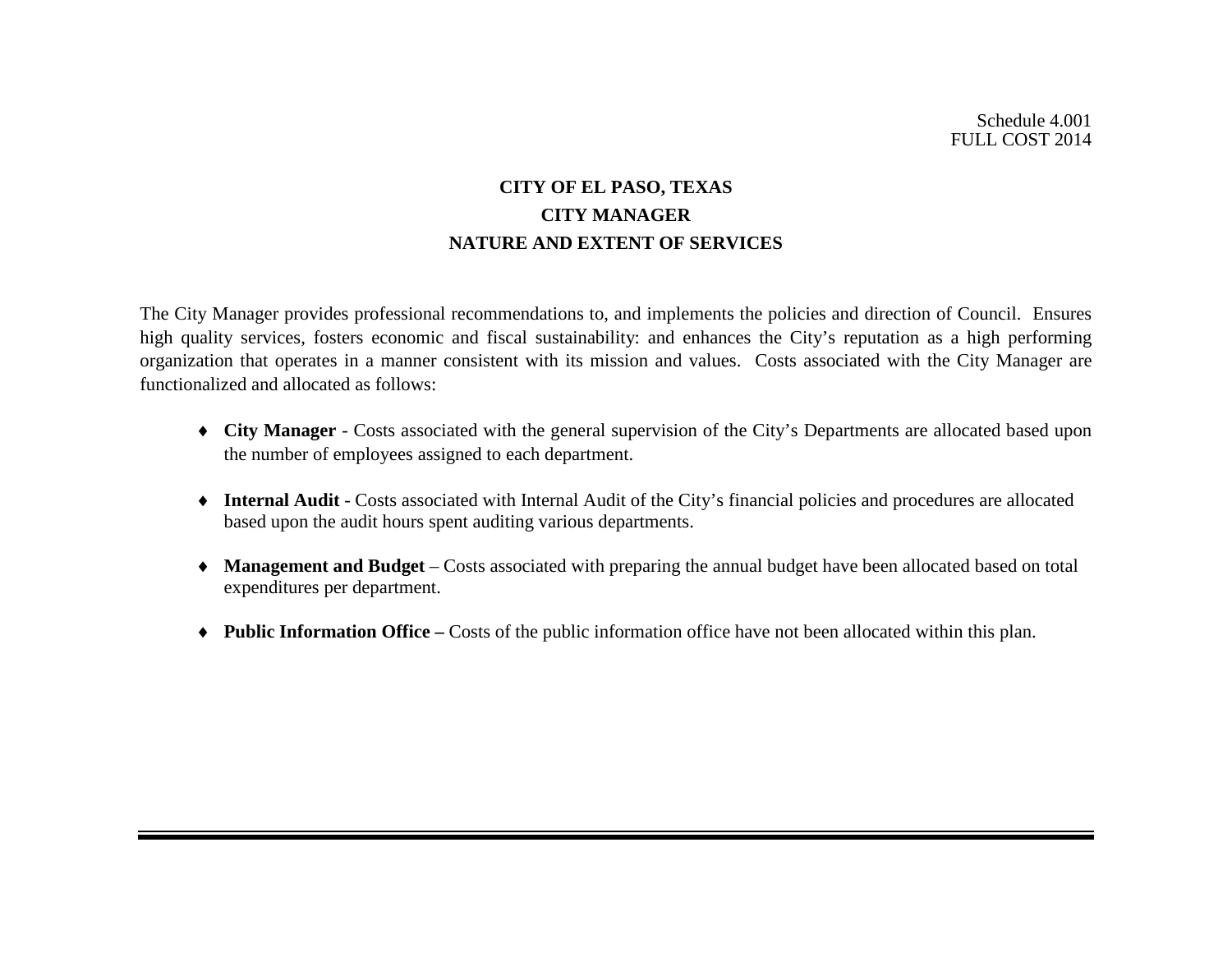# **CITY OF EL PASO, TEXAS CITY MANAGER NATURE AND EXTENT OF SERVICES**

The City Manager provides professional recommendations to, and implements the policies and direction of Council. Ensures high quality services, fosters economic and fiscal sustainability: and enhances the City's reputation as a high performing organization that operates in a manner consistent with its mission and values. Costs associated with the City Manager are functionalized and allocated as follows:

- ♦ **City Manager** Costs associated with the general supervision of the City's Departments are allocated based upon the number of employees assigned to each department.
- ♦ **Internal Audit** Costs associated with Internal Audit of the City's financial policies and procedures are allocated based upon the audit hours spent auditing various departments.
- ♦ **Management and Budget** Costs associated with preparing the annual budget have been allocated based on total expenditures per department.
- ♦ **Public Information Office –** Costs of the public information office have not been allocated within this plan.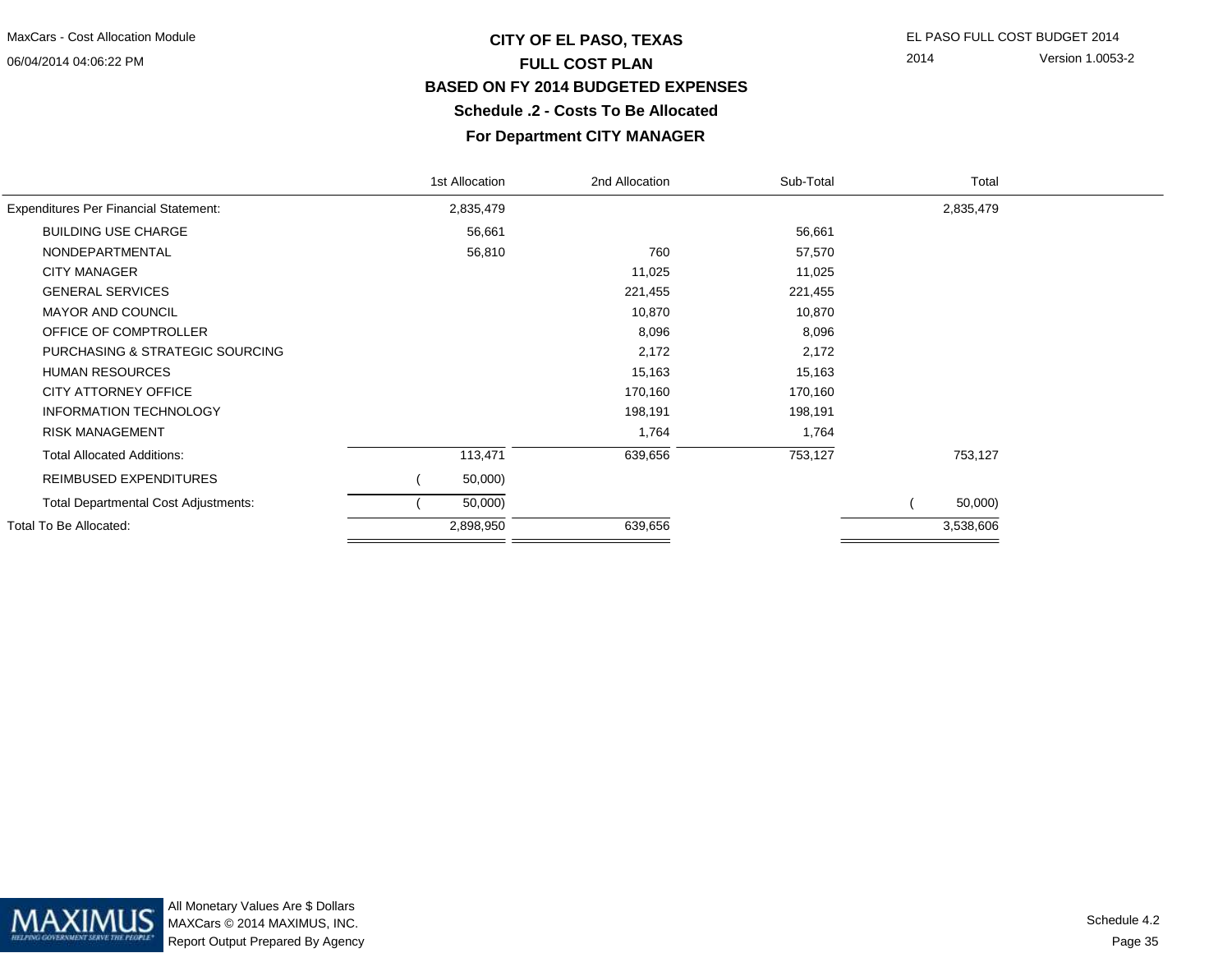# **CITY OF EL PASO, TEXAS** EL PASO FULL COST BUDGET 2014 **FULL COST PLAN BASED ON FY 2014 BUDGETED EXPENSESSchedule .2 - Costs To Be Allocated**

2014 Version 1.0053-2

#### **For Department CITY MANAGER**

| Total     |  |
|-----------|--|
| 2,835,479 |  |
|           |  |
|           |  |
|           |  |
|           |  |
|           |  |
|           |  |
|           |  |
|           |  |
|           |  |
|           |  |
|           |  |
| 753,127   |  |
|           |  |
| 50,000)   |  |
| 3,538,606 |  |
|           |  |

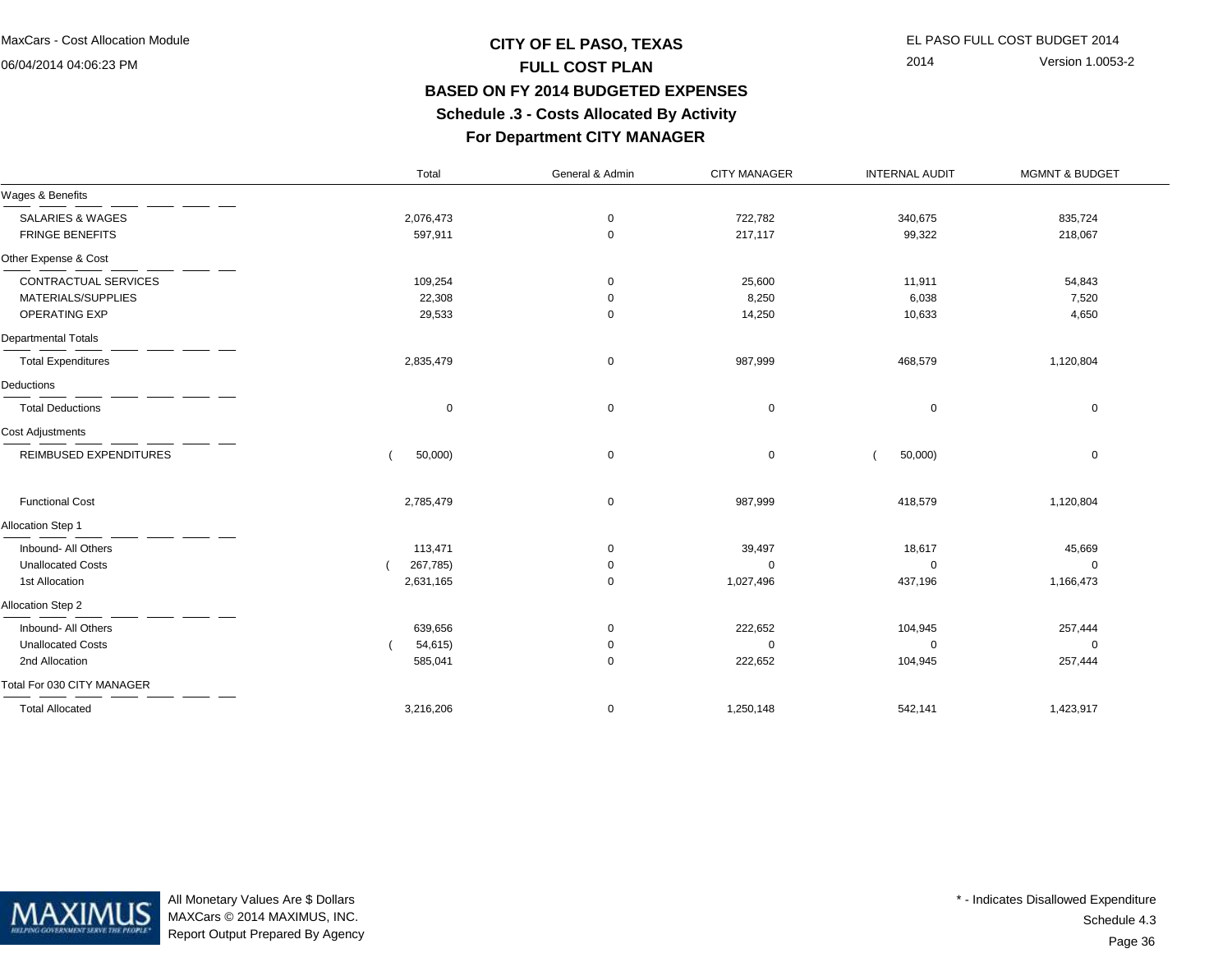# **CITY OF EL PASO, TEXAS** EL PASO FULL COST BUDGET 2014 **FULL COST PLAN BASED ON FY 2014 BUDGETED EXPENSESSchedule .3 - Costs Allocated By Activity**

2014 Version 1.0053-2

#### **For Department CITY MANAGER**

|                             | Total       | General & Admin | <b>CITY MANAGER</b> | <b>INTERNAL AUDIT</b> | <b>MGMNT &amp; BUDGET</b> |
|-----------------------------|-------------|-----------------|---------------------|-----------------------|---------------------------|
| Wages & Benefits            |             |                 |                     |                       |                           |
| <b>SALARIES &amp; WAGES</b> | 2,076,473   | $\mathbf 0$     | 722,782             | 340,675               | 835,724                   |
| <b>FRINGE BENEFITS</b>      | 597,911     | $\mathbf 0$     | 217,117             | 99,322                | 218,067                   |
| Other Expense & Cost        |             |                 |                     |                       |                           |
| CONTRACTUAL SERVICES        | 109,254     | 0               | 25,600              | 11,911                | 54,843                    |
| MATERIALS/SUPPLIES          | 22,308      | $\mathbf 0$     | 8,250               | 6,038                 | 7,520                     |
| OPERATING EXP               | 29,533      | $\mathbf 0$     | 14,250              | 10,633                | 4,650                     |
| <b>Departmental Totals</b>  |             |                 |                     |                       |                           |
| <b>Total Expenditures</b>   | 2,835,479   | 0               | 987,999             | 468,579               | 1,120,804                 |
| Deductions                  |             |                 |                     |                       |                           |
| <b>Total Deductions</b>     | $\mathbf 0$ | $\mathbf 0$     | $\mathbf 0$         | 0                     | $\mathbf 0$               |
| Cost Adjustments            |             |                 |                     |                       |                           |
| REIMBUSED EXPENDITURES      | 50,000)     | 0               | 0                   | 50,000)               | 0                         |
| <b>Functional Cost</b>      | 2,785,479   | $\mathbf 0$     | 987,999             | 418,579               | 1,120,804                 |
| Allocation Step 1           |             |                 |                     |                       |                           |
| Inbound- All Others         | 113,471     | 0               | 39,497              | 18,617                | 45,669                    |
| <b>Unallocated Costs</b>    | 267,785)    | 0               | 0                   | 0                     | $\Omega$                  |
| 1st Allocation              | 2,631,165   | $\mathbf 0$     | 1,027,496           | 437,196               | 1,166,473                 |
| Allocation Step 2           |             |                 |                     |                       |                           |
| Inbound- All Others         | 639,656     | $\mathbf 0$     | 222,652             | 104,945               | 257,444                   |
| <b>Unallocated Costs</b>    | 54,615)     | 0               | $\mathbf 0$         | $\Omega$              | $\Omega$                  |
| 2nd Allocation              | 585,041     | $\mathbf 0$     | 222,652             | 104,945               | 257,444                   |
| Total For 030 CITY MANAGER  |             |                 |                     |                       |                           |
| <b>Total Allocated</b>      | 3,216,206   | $\mathbf 0$     | 1,250,148           | 542,141               | 1,423,917                 |



All Monetary Values Are \$ Dollars MAXCars © 2014 MAXIMUS, INC.Report Output Prepared By Agency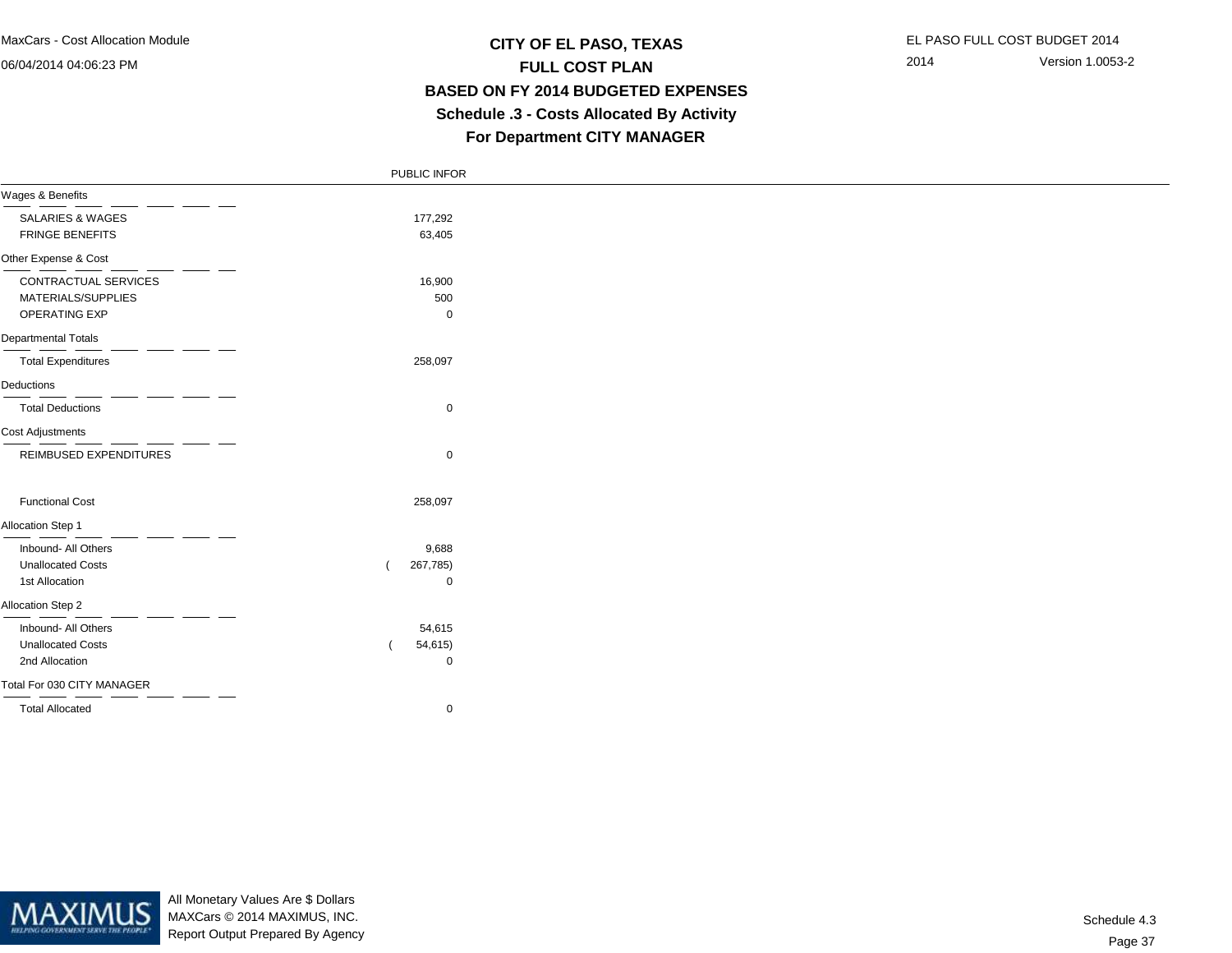### **CITY OF EL PASO, TEXAS** EL PASO FULL COST BUDGET 2014 **FULL COST PLAN BASED ON FY 2014 BUDGETED EXPENSES Schedule .3 - Costs Allocated By ActivityFor Department CITY MANAGER**

|                            | PUBLIC INFOR |  |
|----------------------------|--------------|--|
| Wages & Benefits           |              |  |
| SALARIES & WAGES           | 177,292      |  |
| <b>FRINGE BENEFITS</b>     | 63,405       |  |
| Other Expense & Cost       |              |  |
| CONTRACTUAL SERVICES       | 16,900       |  |
| MATERIALS/SUPPLIES         | 500          |  |
| OPERATING EXP              | 0            |  |
| <b>Departmental Totals</b> |              |  |
| <b>Total Expenditures</b>  | 258,097      |  |
| Deductions                 |              |  |
| <b>Total Deductions</b>    | $\mathbf 0$  |  |
| <b>Cost Adjustments</b>    |              |  |
| REIMBUSED EXPENDITURES     | $\mathbf 0$  |  |
| <b>Functional Cost</b>     | 258,097      |  |
| Allocation Step 1          |              |  |
| Inbound- All Others        | 9,688        |  |
| <b>Unallocated Costs</b>   | 267,785)     |  |
| 1st Allocation             | $\mathbf 0$  |  |
| Allocation Step 2          |              |  |
| Inbound- All Others        | 54,615       |  |
| <b>Unallocated Costs</b>   | 54,615)      |  |
| 2nd Allocation             | $\mathbf 0$  |  |
| Total For 030 CITY MANAGER |              |  |
| <b>Total Allocated</b>     | $\Omega$     |  |



All Monetary Values Are \$ Dollars MAXCars © 2014 MAXIMUS, INC.Report Output Prepared By Agency

Page 37Schedule 4.3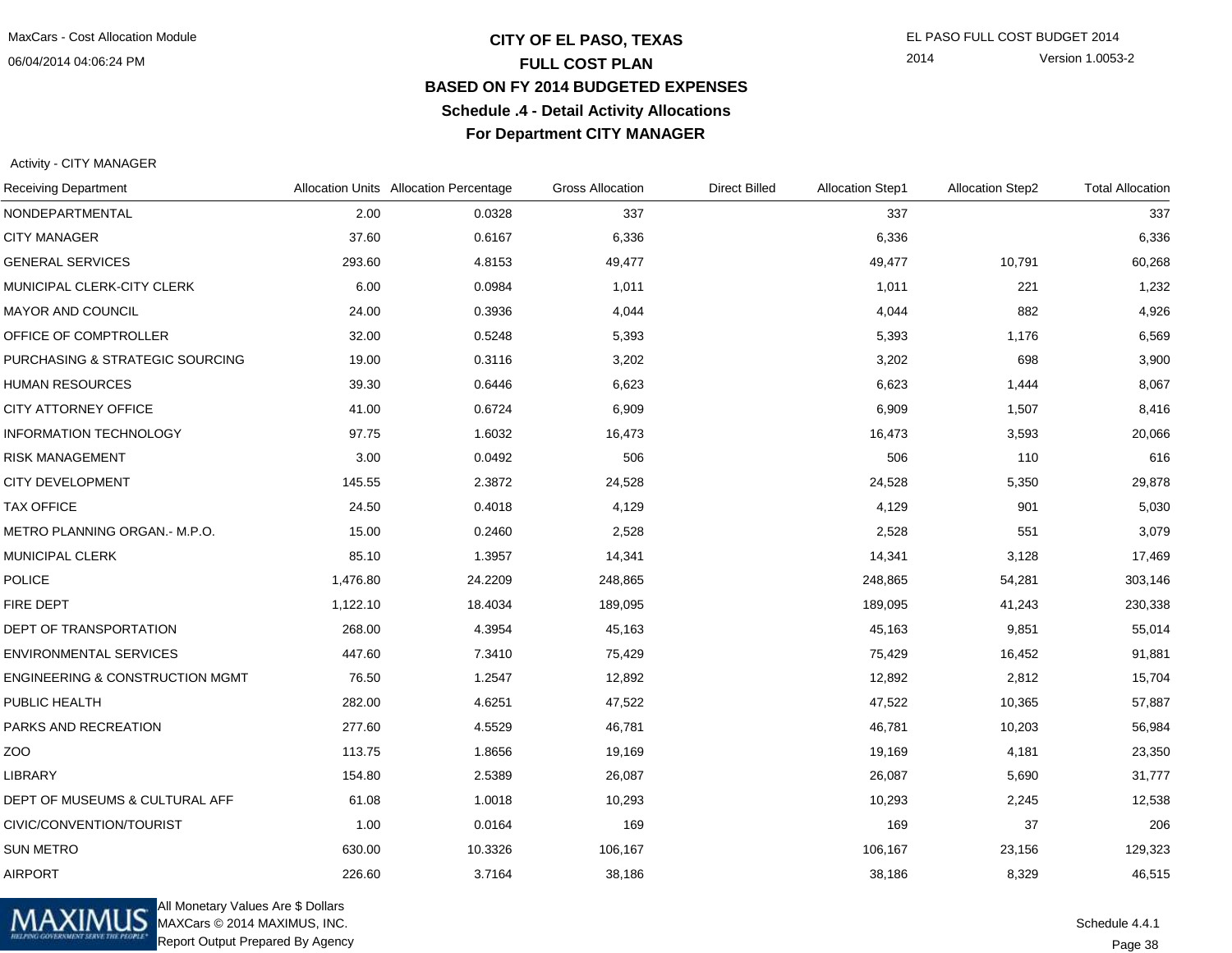### **CITY OF EL PASO, TEXAS** EL PASO FULL COST BUDGET 2014 **FULL COST PLAN BASED ON FY 2014 BUDGETED EXPENSESSchedule .4 - Detail Activity AllocationsFor Department CITY MANAGER**

2014 Version 1.0053-2

Activity - CITY MANAGER

| <b>Receiving Department</b>                |          | Allocation Units Allocation Percentage | <b>Gross Allocation</b> | <b>Direct Billed</b> | <b>Allocation Step1</b> | <b>Allocation Step2</b> | <b>Total Allocation</b> |
|--------------------------------------------|----------|----------------------------------------|-------------------------|----------------------|-------------------------|-------------------------|-------------------------|
| NONDEPARTMENTAL                            | 2.00     | 0.0328                                 | 337                     |                      | 337                     |                         | 337                     |
| <b>CITY MANAGER</b>                        | 37.60    | 0.6167                                 | 6,336                   |                      | 6,336                   |                         | 6,336                   |
| <b>GENERAL SERVICES</b>                    | 293.60   | 4.8153                                 | 49,477                  |                      | 49,477                  | 10,791                  | 60,268                  |
| MUNICIPAL CLERK-CITY CLERK                 | 6.00     | 0.0984                                 | 1,011                   |                      | 1,011                   | 221                     | 1,232                   |
| MAYOR AND COUNCIL                          | 24.00    | 0.3936                                 | 4,044                   |                      | 4,044                   | 882                     | 4,926                   |
| OFFICE OF COMPTROLLER                      | 32.00    | 0.5248                                 | 5,393                   |                      | 5,393                   | 1,176                   | 6,569                   |
| PURCHASING & STRATEGIC SOURCING            | 19.00    | 0.3116                                 | 3,202                   |                      | 3,202                   | 698                     | 3,900                   |
| <b>HUMAN RESOURCES</b>                     | 39.30    | 0.6446                                 | 6,623                   |                      | 6,623                   | 1,444                   | 8,067                   |
| CITY ATTORNEY OFFICE                       | 41.00    | 0.6724                                 | 6,909                   |                      | 6,909                   | 1,507                   | 8,416                   |
| <b>INFORMATION TECHNOLOGY</b>              | 97.75    | 1.6032                                 | 16,473                  |                      | 16,473                  | 3,593                   | 20,066                  |
| RISK MANAGEMENT                            | 3.00     | 0.0492                                 | 506                     |                      | 506                     | 110                     | 616                     |
| <b>CITY DEVELOPMENT</b>                    | 145.55   | 2.3872                                 | 24,528                  |                      | 24,528                  | 5,350                   | 29,878                  |
| <b>TAX OFFICE</b>                          | 24.50    | 0.4018                                 | 4,129                   |                      | 4,129                   | 901                     | 5,030                   |
| METRO PLANNING ORGAN.- M.P.O.              | 15.00    | 0.2460                                 | 2,528                   |                      | 2,528                   | 551                     | 3,079                   |
| <b>MUNICIPAL CLERK</b>                     | 85.10    | 1.3957                                 | 14,341                  |                      | 14,341                  | 3,128                   | 17,469                  |
| <b>POLICE</b>                              | 1,476.80 | 24.2209                                | 248,865                 |                      | 248,865                 | 54,281                  | 303,146                 |
| <b>FIRE DEPT</b>                           | 1,122.10 | 18.4034                                | 189,095                 |                      | 189,095                 | 41,243                  | 230,338                 |
| DEPT OF TRANSPORTATION                     | 268.00   | 4.3954                                 | 45,163                  |                      | 45,163                  | 9,851                   | 55,014                  |
| <b>ENVIRONMENTAL SERVICES</b>              | 447.60   | 7.3410                                 | 75,429                  |                      | 75,429                  | 16,452                  | 91,881                  |
| <b>ENGINEERING &amp; CONSTRUCTION MGMT</b> | 76.50    | 1.2547                                 | 12,892                  |                      | 12,892                  | 2,812                   | 15,704                  |
| PUBLIC HEALTH                              | 282.00   | 4.6251                                 | 47,522                  |                      | 47,522                  | 10,365                  | 57,887                  |
| PARKS AND RECREATION                       | 277.60   | 4.5529                                 | 46,781                  |                      | 46,781                  | 10,203                  | 56,984                  |
| ZOO                                        | 113.75   | 1.8656                                 | 19,169                  |                      | 19,169                  | 4,181                   | 23,350                  |
| <b>LIBRARY</b>                             | 154.80   | 2.5389                                 | 26,087                  |                      | 26,087                  | 5,690                   | 31,777                  |
| DEPT OF MUSEUMS & CULTURAL AFF             | 61.08    | 1.0018                                 | 10,293                  |                      | 10,293                  | 2,245                   | 12,538                  |
| CIVIC/CONVENTION/TOURIST                   | 1.00     | 0.0164                                 | 169                     |                      | 169                     | 37                      | 206                     |
| <b>SUN METRO</b>                           | 630.00   | 10.3326                                | 106,167                 |                      | 106,167                 | 23,156                  | 129,323                 |
| <b>AIRPORT</b>                             | 226.60   | 3.7164                                 | 38,186                  |                      | 38,186                  | 8,329                   | 46,515                  |



All Monetary Values Are \$ Dollars MAXCars © 2014 MAXIMUS, INC.Report Output Prepared By Agency

Schedule 4.4.1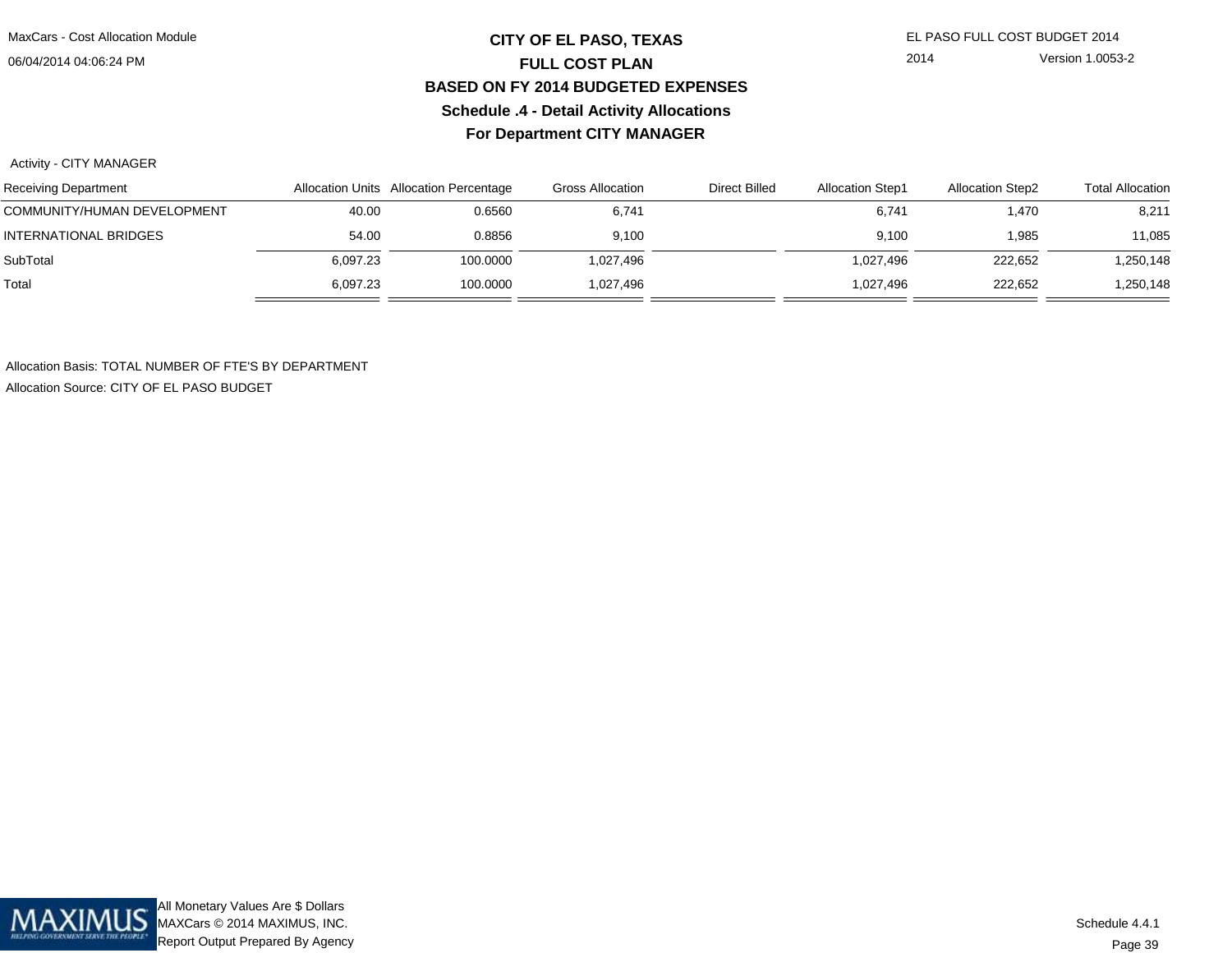## **CITY OF EL PASO, TEXAS** EL PASO FULL COST BUDGET 2014 **FULL COST PLAN BASED ON FY 2014 BUDGETED EXPENSESSchedule .4 - Detail Activity AllocationsFor Department CITY MANAGER**

2014 Version 1.0053-2

Activity - CITY MANAGER

| <b>Receiving Department</b> |          | Allocation Units Allocation Percentage | Gross Allocation | <b>Direct Billed</b> | <b>Allocation Step1</b> | <b>Allocation Step2</b> | <b>Total Allocation</b> |
|-----------------------------|----------|----------------------------------------|------------------|----------------------|-------------------------|-------------------------|-------------------------|
| COMMUNITY/HUMAN DEVELOPMENT | 40.00    | 0.6560                                 | 6,741            |                      | 6,741                   | 1,470                   | 8,211                   |
| INTERNATIONAL BRIDGES       | 54.00    | 0.8856                                 | 9.100            |                      | 9.100                   | .985                    | 11,085                  |
| SubTotal                    | 6,097.23 | 100.0000                               | 1,027,496        |                      | 1,027,496               | 222,652                 | 250,148,                |
| Total                       | 6.097.23 | 100.0000                               | 1,027,496        |                      | 1,027,496               | 222,652                 | ,250,148                |

Allocation Basis: TOTAL NUMBER OF FTE'S BY DEPARTMENTAllocation Source: CITY OF EL PASO BUDGET

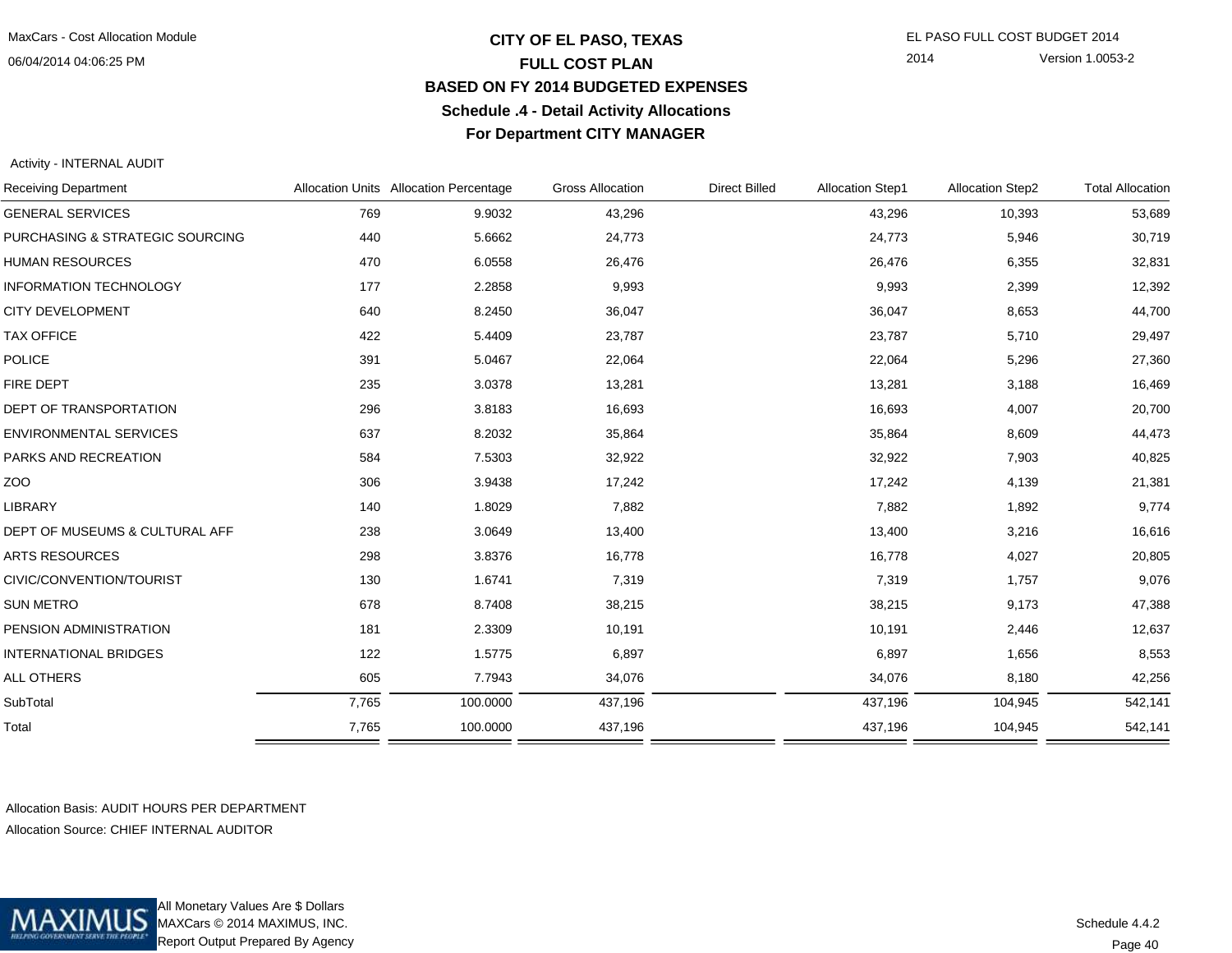## **CITY OF EL PASO, TEXAS** EL PASO FULL COST BUDGET 2014 **FULL COST PLAN BASED ON FY 2014 BUDGETED EXPENSESSchedule .4 - Detail Activity AllocationsFor Department CITY MANAGER**

2014 Version 1.0053-2

Activity - INTERNAL AUDIT

| <b>Receiving Department</b>     |       | Allocation Units Allocation Percentage | <b>Gross Allocation</b> | <b>Direct Billed</b> | <b>Allocation Step1</b> | <b>Allocation Step2</b> | <b>Total Allocation</b> |
|---------------------------------|-------|----------------------------------------|-------------------------|----------------------|-------------------------|-------------------------|-------------------------|
| <b>GENERAL SERVICES</b>         | 769   | 9.9032                                 | 43,296                  |                      | 43,296                  | 10,393                  | 53,689                  |
| PURCHASING & STRATEGIC SOURCING | 440   | 5.6662                                 | 24,773                  |                      | 24,773                  | 5,946                   | 30,719                  |
| <b>HUMAN RESOURCES</b>          | 470   | 6.0558                                 | 26,476                  |                      | 26,476                  | 6,355                   | 32,831                  |
| <b>INFORMATION TECHNOLOGY</b>   | 177   | 2.2858                                 | 9,993                   |                      | 9,993                   | 2,399                   | 12,392                  |
| <b>CITY DEVELOPMENT</b>         | 640   | 8.2450                                 | 36,047                  |                      | 36,047                  | 8,653                   | 44,700                  |
| <b>TAX OFFICE</b>               | 422   | 5.4409                                 | 23,787                  |                      | 23,787                  | 5,710                   | 29,497                  |
| POLICE                          | 391   | 5.0467                                 | 22,064                  |                      | 22,064                  | 5,296                   | 27,360                  |
| <b>FIRE DEPT</b>                | 235   | 3.0378                                 | 13,281                  |                      | 13,281                  | 3,188                   | 16,469                  |
| <b>DEPT OF TRANSPORTATION</b>   | 296   | 3.8183                                 | 16,693                  |                      | 16,693                  | 4,007                   | 20,700                  |
| <b>ENVIRONMENTAL SERVICES</b>   | 637   | 8.2032                                 | 35,864                  |                      | 35,864                  | 8,609                   | 44,473                  |
| PARKS AND RECREATION            | 584   | 7.5303                                 | 32,922                  |                      | 32,922                  | 7,903                   | 40,825                  |
| ZOO                             | 306   | 3.9438                                 | 17,242                  |                      | 17,242                  | 4,139                   | 21,381                  |
| <b>LIBRARY</b>                  | 140   | 1.8029                                 | 7,882                   |                      | 7,882                   | 1,892                   | 9,774                   |
| DEPT OF MUSEUMS & CULTURAL AFF  | 238   | 3.0649                                 | 13,400                  |                      | 13,400                  | 3,216                   | 16,616                  |
| <b>ARTS RESOURCES</b>           | 298   | 3.8376                                 | 16,778                  |                      | 16,778                  | 4,027                   | 20,805                  |
| CIVIC/CONVENTION/TOURIST        | 130   | 1.6741                                 | 7,319                   |                      | 7,319                   | 1,757                   | 9,076                   |
| <b>SUN METRO</b>                | 678   | 8.7408                                 | 38,215                  |                      | 38,215                  | 9,173                   | 47,388                  |
| PENSION ADMINISTRATION          | 181   | 2.3309                                 | 10,191                  |                      | 10,191                  | 2,446                   | 12,637                  |
| <b>INTERNATIONAL BRIDGES</b>    | 122   | 1.5775                                 | 6,897                   |                      | 6,897                   | 1,656                   | 8,553                   |
| ALL OTHERS                      | 605   | 7.7943                                 | 34,076                  |                      | 34,076                  | 8,180                   | 42,256                  |
| SubTotal                        | 7,765 | 100.0000                               | 437,196                 |                      | 437,196                 | 104,945                 | 542,141                 |
| Total                           | 7,765 | 100.0000                               | 437,196                 |                      | 437,196                 | 104,945                 | 542,141                 |
|                                 |       |                                        |                         |                      |                         |                         |                         |

Allocation Basis: AUDIT HOURS PER DEPARTMENTAllocation Source: CHIEF INTERNAL AUDITOR



All Monetary Values Are \$ Dollars MAXCars © 2014 MAXIMUS, INC.Report Output Prepared By Agency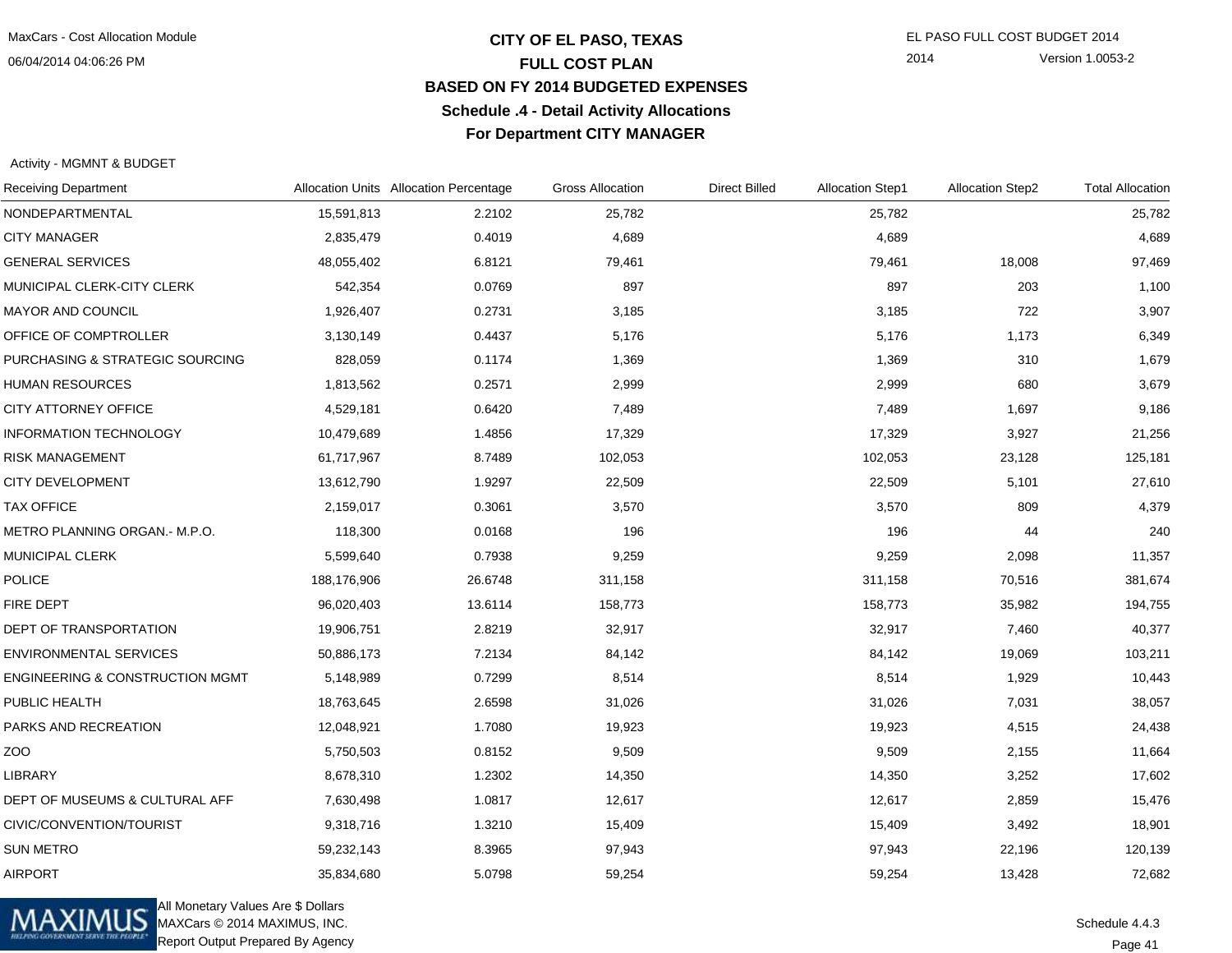## **CITY OF EL PASO, TEXAS** EL PASO FULL COST BUDGET 2014 **FULL COST PLAN BASED ON FY 2014 BUDGETED EXPENSESSchedule .4 - Detail Activity AllocationsFor Department CITY MANAGER**

2014 Version 1.0053-2

Activity - MGMNT & BUDGET

| <b>Receiving Department</b>                |             | Allocation Units Allocation Percentage | <b>Gross Allocation</b> | <b>Direct Billed</b> | <b>Allocation Step1</b> | <b>Allocation Step2</b> | <b>Total Allocation</b> |
|--------------------------------------------|-------------|----------------------------------------|-------------------------|----------------------|-------------------------|-------------------------|-------------------------|
| NONDEPARTMENTAL                            | 15,591,813  | 2.2102                                 | 25,782                  |                      | 25,782                  |                         | 25,782                  |
| <b>CITY MANAGER</b>                        | 2,835,479   | 0.4019                                 | 4,689                   |                      | 4,689                   |                         | 4,689                   |
| <b>GENERAL SERVICES</b>                    | 48,055,402  | 6.8121                                 | 79,461                  |                      | 79,461                  | 18,008                  | 97,469                  |
| MUNICIPAL CLERK-CITY CLERK                 | 542,354     | 0.0769                                 | 897                     |                      | 897                     | 203                     | 1,100                   |
| MAYOR AND COUNCIL                          | 1,926,407   | 0.2731                                 | 3,185                   |                      | 3,185                   | 722                     | 3,907                   |
| OFFICE OF COMPTROLLER                      | 3,130,149   | 0.4437                                 | 5,176                   |                      | 5,176                   | 1,173                   | 6,349                   |
| PURCHASING & STRATEGIC SOURCING            | 828,059     | 0.1174                                 | 1,369                   |                      | 1,369                   | 310                     | 1,679                   |
| <b>HUMAN RESOURCES</b>                     | 1,813,562   | 0.2571                                 | 2,999                   |                      | 2,999                   | 680                     | 3,679                   |
| CITY ATTORNEY OFFICE                       | 4,529,181   | 0.6420                                 | 7,489                   |                      | 7,489                   | 1,697                   | 9,186                   |
| <b>INFORMATION TECHNOLOGY</b>              | 10,479,689  | 1.4856                                 | 17,329                  |                      | 17,329                  | 3,927                   | 21,256                  |
| <b>RISK MANAGEMENT</b>                     | 61,717,967  | 8.7489                                 | 102,053                 |                      | 102,053                 | 23,128                  | 125,181                 |
| CITY DEVELOPMENT                           | 13,612,790  | 1.9297                                 | 22,509                  |                      | 22,509                  | 5,101                   | 27,610                  |
| <b>TAX OFFICE</b>                          | 2,159,017   | 0.3061                                 | 3,570                   |                      | 3,570                   | 809                     | 4,379                   |
| METRO PLANNING ORGAN.- M.P.O.              | 118,300     | 0.0168                                 | 196                     |                      | 196                     | 44                      | 240                     |
| MUNICIPAL CLERK                            | 5,599,640   | 0.7938                                 | 9,259                   |                      | 9,259                   | 2,098                   | 11,357                  |
| <b>POLICE</b>                              | 188,176,906 | 26.6748                                | 311,158                 |                      | 311,158                 | 70,516                  | 381,674                 |
| FIRE DEPT                                  | 96,020,403  | 13.6114                                | 158,773                 |                      | 158,773                 | 35,982                  | 194,755                 |
| DEPT OF TRANSPORTATION                     | 19,906,751  | 2.8219                                 | 32,917                  |                      | 32,917                  | 7,460                   | 40,377                  |
| <b>ENVIRONMENTAL SERVICES</b>              | 50,886,173  | 7.2134                                 | 84,142                  |                      | 84,142                  | 19,069                  | 103,211                 |
| <b>ENGINEERING &amp; CONSTRUCTION MGMT</b> | 5,148,989   | 0.7299                                 | 8,514                   |                      | 8,514                   | 1,929                   | 10,443                  |
| PUBLIC HEALTH                              | 18,763,645  | 2.6598                                 | 31,026                  |                      | 31,026                  | 7,031                   | 38,057                  |
| PARKS AND RECREATION                       | 12,048,921  | 1.7080                                 | 19,923                  |                      | 19,923                  | 4,515                   | 24,438                  |
| ZOO                                        | 5,750,503   | 0.8152                                 | 9,509                   |                      | 9,509                   | 2,155                   | 11,664                  |
| <b>LIBRARY</b>                             | 8,678,310   | 1.2302                                 | 14,350                  |                      | 14,350                  | 3,252                   | 17,602                  |
| DEPT OF MUSEUMS & CULTURAL AFF             | 7,630,498   | 1.0817                                 | 12,617                  |                      | 12,617                  | 2,859                   | 15,476                  |
| CIVIC/CONVENTION/TOURIST                   | 9,318,716   | 1.3210                                 | 15,409                  |                      | 15,409                  | 3,492                   | 18,901                  |
| <b>SUN METRO</b>                           | 59,232,143  | 8.3965                                 | 97,943                  |                      | 97,943                  | 22,196                  | 120,139                 |
| <b>AIRPORT</b>                             | 35,834,680  | 5.0798                                 | 59,254                  |                      | 59,254                  | 13,428                  | 72,682                  |



All Monetary Values Are \$ Dollars MAXCars © 2014 MAXIMUS, INC.Report Output Prepared By Agency

Page 41Schedule 4.4.3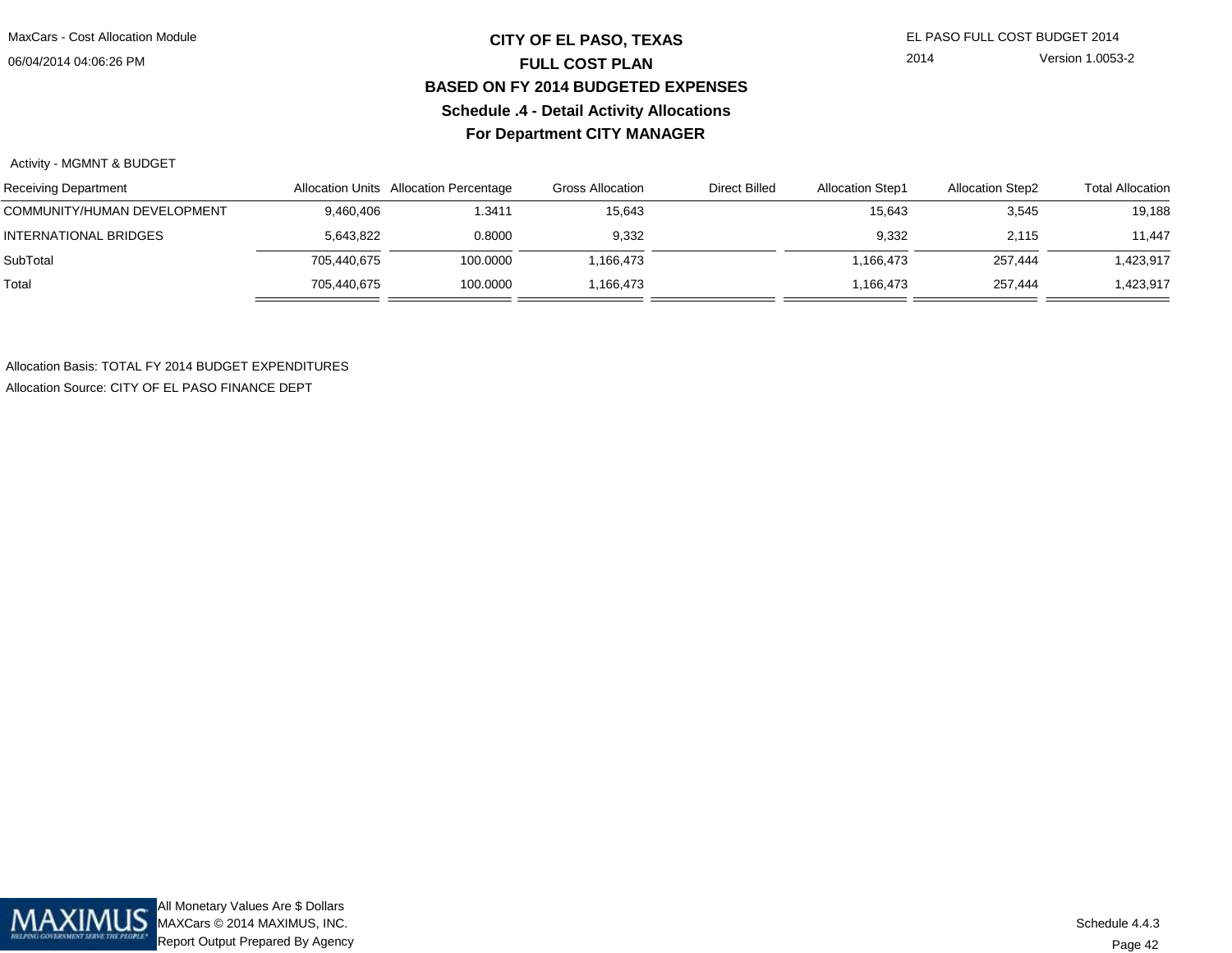## **CITY OF EL PASO, TEXAS** EL PASO FULL COST BUDGET 2014 **FULL COST PLAN BASED ON FY 2014 BUDGETED EXPENSESSchedule .4 - Detail Activity AllocationsFor Department CITY MANAGER**

2014 Version 1.0053-2

#### Activity - MGMNT & BUDGET

| Receiving Department        |             | Allocation Units Allocation Percentage | <b>Gross Allocation</b> | Direct Billed | <b>Allocation Step1</b> | <b>Allocation Step2</b> | <b>Total Allocation</b> |
|-----------------------------|-------------|----------------------------------------|-------------------------|---------------|-------------------------|-------------------------|-------------------------|
| COMMUNITY/HUMAN DEVELOPMENT | 9,460,406   | 1.3411                                 | 15.643                  |               | 15,643                  | 3,545                   | 19,188                  |
| INTERNATIONAL BRIDGES       | 5,643,822   | 0.8000                                 | 9,332                   |               | 9.332                   | 2.115                   | 11,447                  |
| SubTotal                    | 705,440,675 | 100.0000                               | .166.473                |               | 1.166.473               | 257.444                 | 1,423,917               |
| Total                       | 705,440,675 | 100.0000                               | .166.473                |               | 1.166.473               | 257.444                 | 423,917,ا               |

Allocation Basis: TOTAL FY 2014 BUDGET EXPENDITURESAllocation Source: CITY OF EL PASO FINANCE DEPT

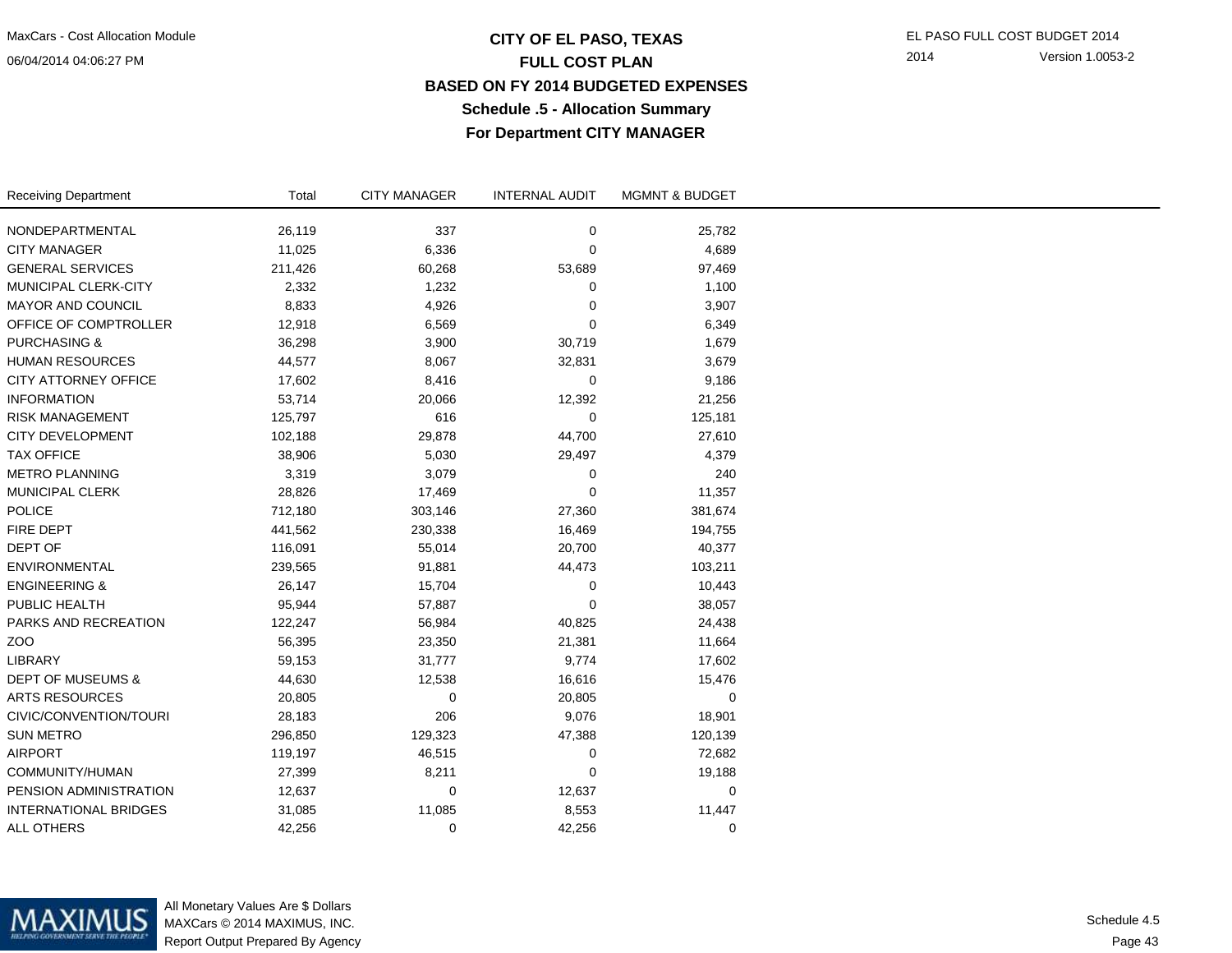### **CITY OF EL PASO, TEXAS** EL PASO FULL COST BUDGET 2014 **FULL COST PLAN BASED ON FY 2014 BUDGETED EXPENSESSchedule .5 - Allocation SummaryFor Department CITY MANAGER**

2014 Version 1.0053-2

| <b>Receiving Department</b>  | Total   | <b>CITY MANAGER</b> | <b>INTERNAL AUDIT</b> | <b>MGMNT &amp; BUDGET</b> |  |
|------------------------------|---------|---------------------|-----------------------|---------------------------|--|
|                              |         |                     |                       |                           |  |
| NONDEPARTMENTAL              | 26,119  | 337                 | 0                     | 25,782                    |  |
| <b>CITY MANAGER</b>          | 11,025  | 6,336               | $\mathbf 0$           | 4,689                     |  |
| <b>GENERAL SERVICES</b>      | 211,426 | 60,268              | 53,689                | 97,469                    |  |
| MUNICIPAL CLERK-CITY         | 2,332   | 1,232               | 0                     | 1,100                     |  |
| MAYOR AND COUNCIL            | 8,833   | 4,926               | $\mathbf 0$           | 3,907                     |  |
| OFFICE OF COMPTROLLER        | 12,918  | 6,569               | 0                     | 6,349                     |  |
| <b>PURCHASING &amp;</b>      | 36,298  | 3,900               | 30,719                | 1,679                     |  |
| <b>HUMAN RESOURCES</b>       | 44,577  | 8,067               | 32,831                | 3,679                     |  |
| CITY ATTORNEY OFFICE         | 17,602  | 8,416               | 0                     | 9,186                     |  |
| <b>INFORMATION</b>           | 53,714  | 20,066              | 12,392                | 21,256                    |  |
| <b>RISK MANAGEMENT</b>       | 125,797 | 616                 | 0                     | 125,181                   |  |
| <b>CITY DEVELOPMENT</b>      | 102,188 | 29,878              | 44,700                | 27,610                    |  |
| <b>TAX OFFICE</b>            | 38,906  | 5,030               | 29,497                | 4,379                     |  |
| <b>METRO PLANNING</b>        | 3,319   | 3,079               | 0                     | 240                       |  |
| <b>MUNICIPAL CLERK</b>       | 28,826  | 17,469              | 0                     | 11,357                    |  |
| <b>POLICE</b>                | 712,180 | 303,146             | 27,360                | 381,674                   |  |
| FIRE DEPT                    | 441,562 | 230,338             | 16,469                | 194,755                   |  |
| DEPT OF                      | 116,091 | 55,014              | 20,700                | 40,377                    |  |
| <b>ENVIRONMENTAL</b>         | 239,565 | 91,881              | 44,473                | 103,211                   |  |
| <b>ENGINEERING &amp;</b>     | 26,147  | 15,704              | 0                     | 10,443                    |  |
| PUBLIC HEALTH                | 95,944  | 57,887              | 0                     | 38,057                    |  |
| PARKS AND RECREATION         | 122,247 | 56,984              | 40,825                | 24,438                    |  |
| ZO <sub>O</sub>              | 56,395  | 23,350              | 21,381                | 11,664                    |  |
| LIBRARY                      | 59,153  | 31,777              | 9,774                 | 17,602                    |  |
| <b>DEPT OF MUSEUMS &amp;</b> | 44,630  | 12,538              | 16,616                | 15,476                    |  |
| <b>ARTS RESOURCES</b>        | 20,805  | 0                   | 20,805                | 0                         |  |
| CIVIC/CONVENTION/TOURI       | 28,183  | 206                 | 9,076                 | 18,901                    |  |
| <b>SUN METRO</b>             | 296,850 | 129,323             | 47,388                | 120,139                   |  |
| <b>AIRPORT</b>               | 119,197 | 46,515              | 0                     | 72,682                    |  |
| COMMUNITY/HUMAN              | 27,399  | 8,211               | 0                     | 19,188                    |  |
| PENSION ADMINISTRATION       | 12,637  | 0                   | 12,637                | 0                         |  |
| <b>INTERNATIONAL BRIDGES</b> | 31,085  | 11,085              | 8,553                 | 11,447                    |  |
| <b>ALL OTHERS</b>            | 42,256  | 0                   | 42,256                | 0                         |  |



All Monetary Values Are \$ Dollars MAXCars © 2014 MAXIMUS, INC.Report Output Prepared By Agency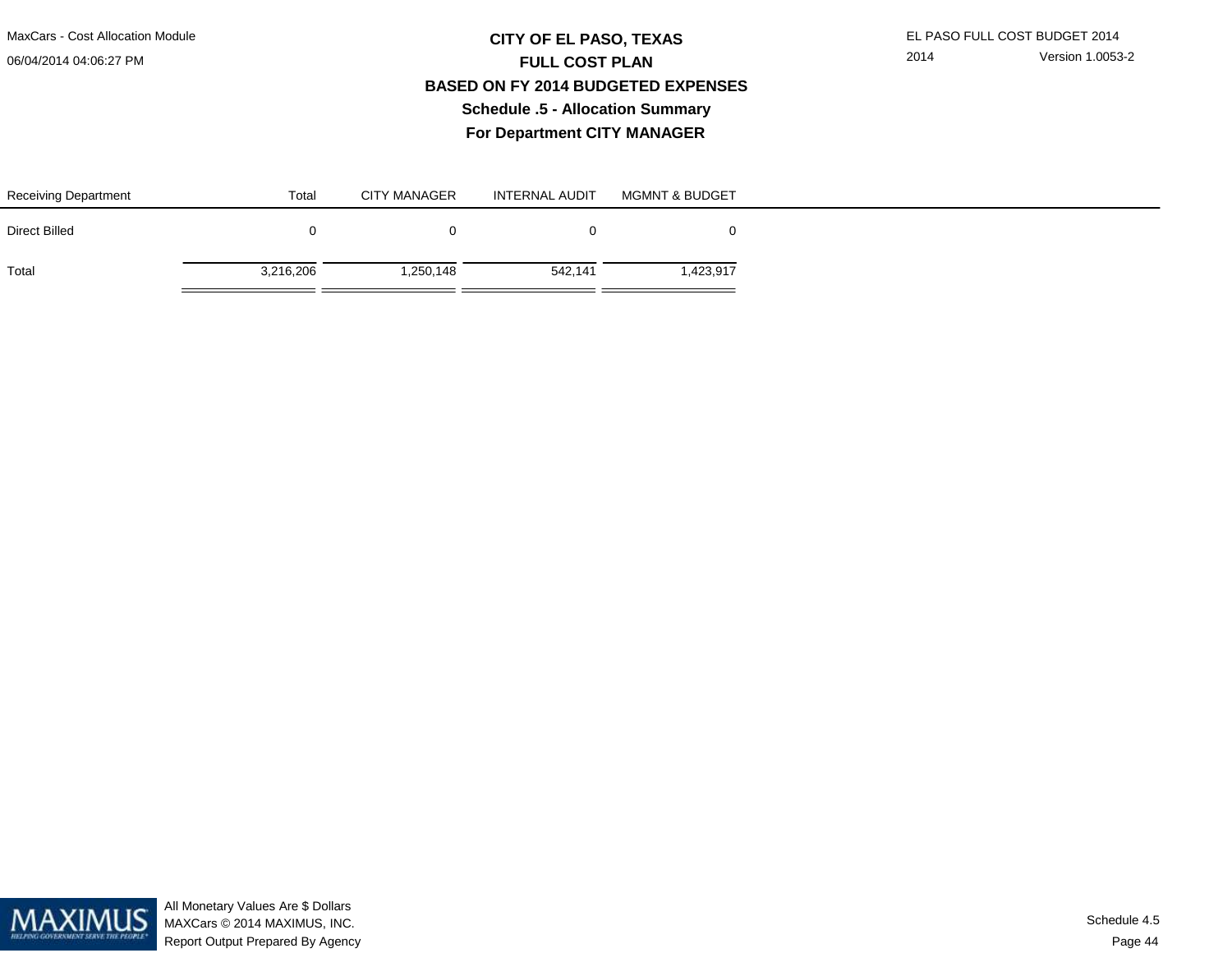## **CITY OF EL PASO, TEXAS** EL PASO FULL COST BUDGET 2014 **FULL COST PLAN BASED ON FY 2014 BUDGETED EXPENSESSchedule .5 - Allocation SummaryFor Department CITY MANAGER**

| <b>Receiving Department</b> | Total     | <b>CITY MANAGER</b> | <b>INTERNAL AUDIT</b> | <b>MGMNT &amp; BUDGET</b> |
|-----------------------------|-----------|---------------------|-----------------------|---------------------------|
| <b>Direct Billed</b>        |           |                     |                       |                           |
| Total                       | 3,216,206 | 250,148,            | 542,141               | 1,423,917                 |

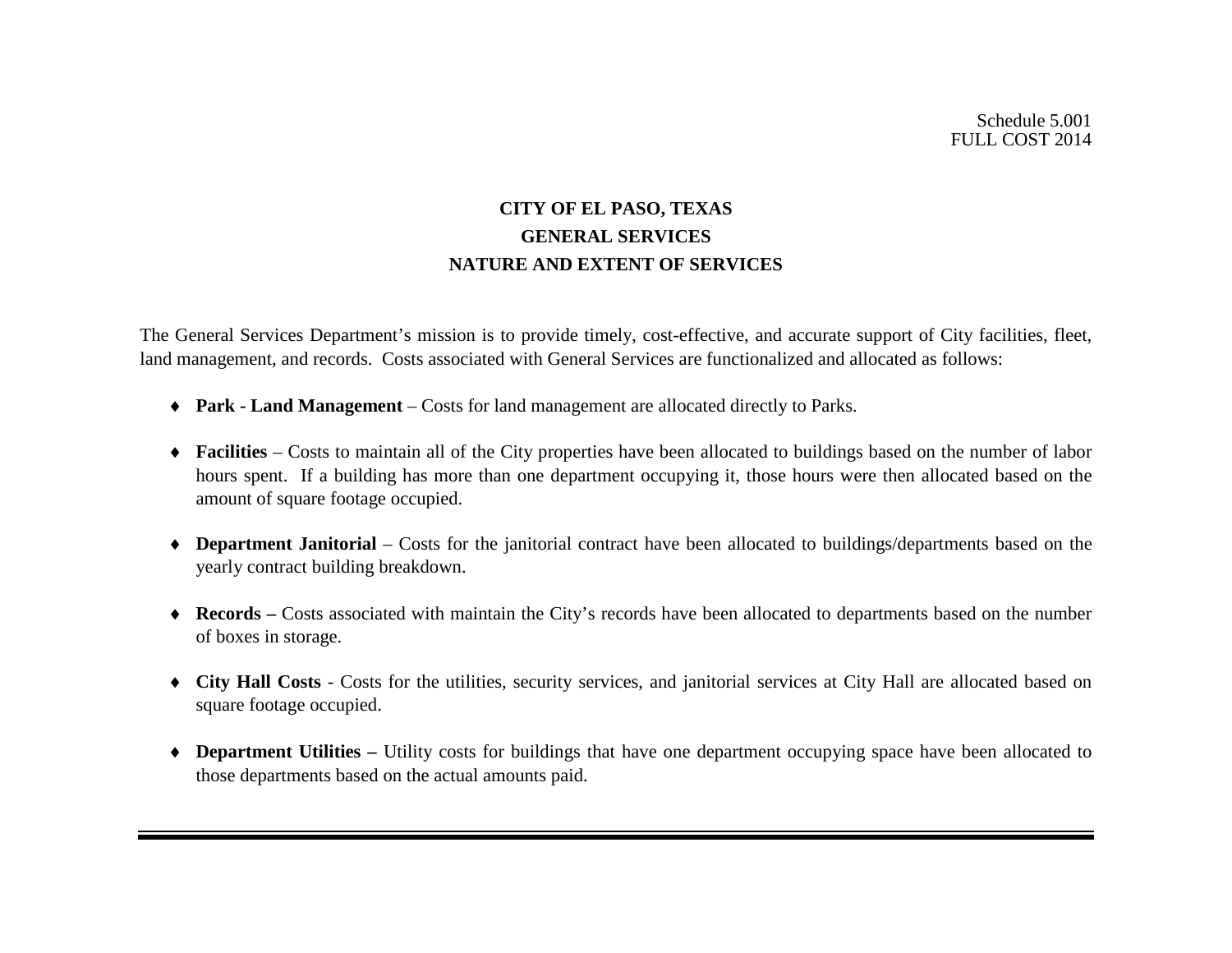# **CITY OF EL PASO, TEXAS GENERAL SERVICES NATURE AND EXTENT OF SERVICES**

The General Services Department's mission is to provide timely, cost-effective, and accurate support of City facilities, fleet, land management, and records. Costs associated with General Services are functionalized and allocated as follows:

- ♦ **Park - Land Management** Costs for land management are allocated directly to Parks.
- ♦ **Facilities**  Costs to maintain all of the City properties have been allocated to buildings based on the number of labor hours spent. If a building has more than one department occupying it, those hours were then allocated based on the amount of square footage occupied.
- ♦ **Department Janitorial** Costs for the janitorial contract have been allocated to buildings/departments based on the yearly contract building breakdown.
- ♦ **Records –** Costs associated with maintain the City's records have been allocated to departments based on the number of boxes in storage.
- ♦ **City Hall Costs** Costs for the utilities, security services, and janitorial services at City Hall are allocated based on square footage occupied.
- ♦ **Department Utilities –** Utility costs for buildings that have one department occupying space have been allocated to those departments based on the actual amounts paid.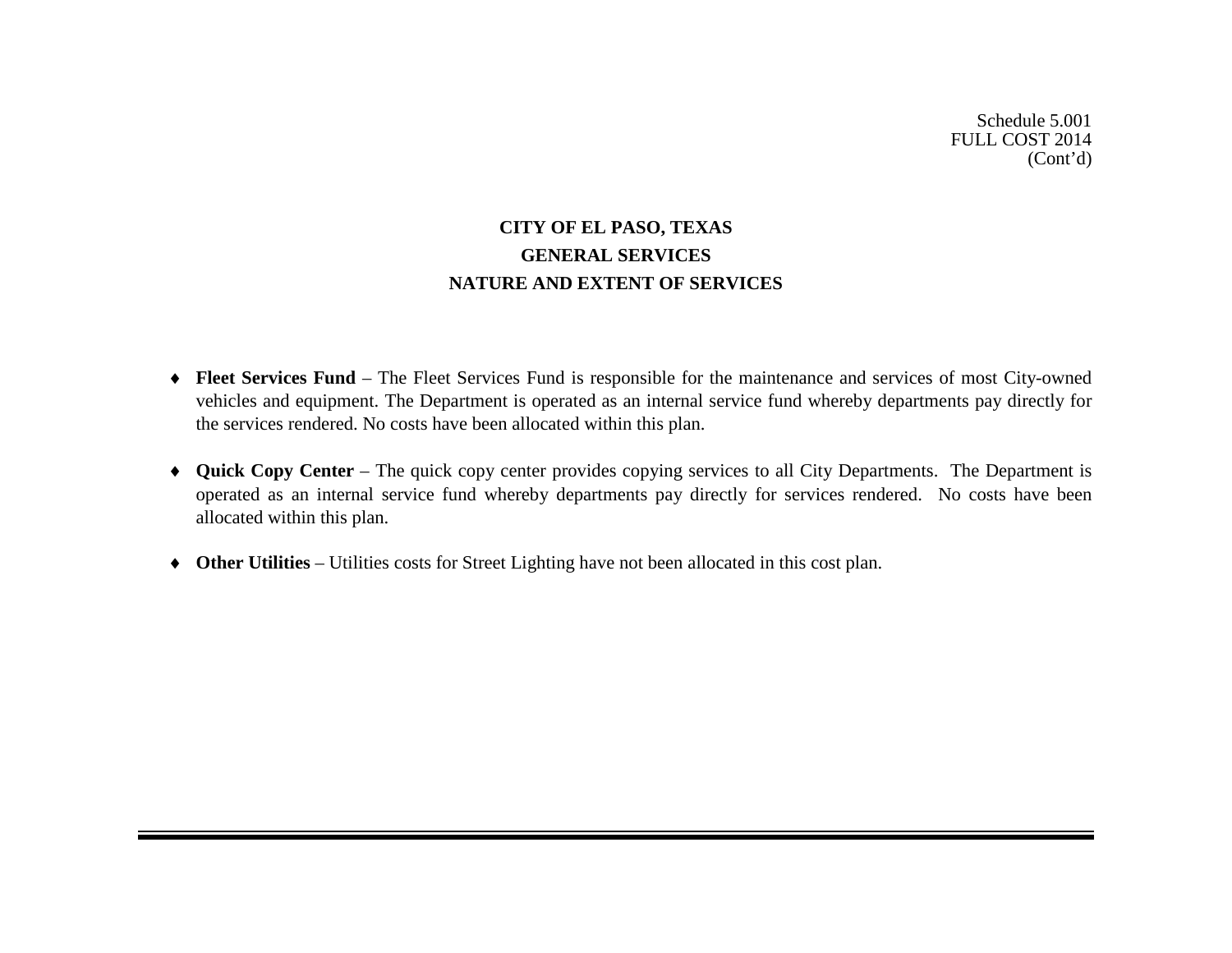# **CITY OF EL PASO, TEXAS GENERAL SERVICES NATURE AND EXTENT OF SERVICES**

- ♦ **Fleet Services Fund** The Fleet Services Fund is responsible for the maintenance and services of most City-owned vehicles and equipment. The Department is operated as an internal service fund whereby departments pay directly for the services rendered. No costs have been allocated within this plan.
- ♦ **Quick Copy Center** The quick copy center provides copying services to all City Departments. The Department is operated as an internal service fund whereby departments pay directly for services rendered. No costs have been allocated within this plan.
- ♦ **Other Utilities** Utilities costs for Street Lighting have not been allocated in this cost plan.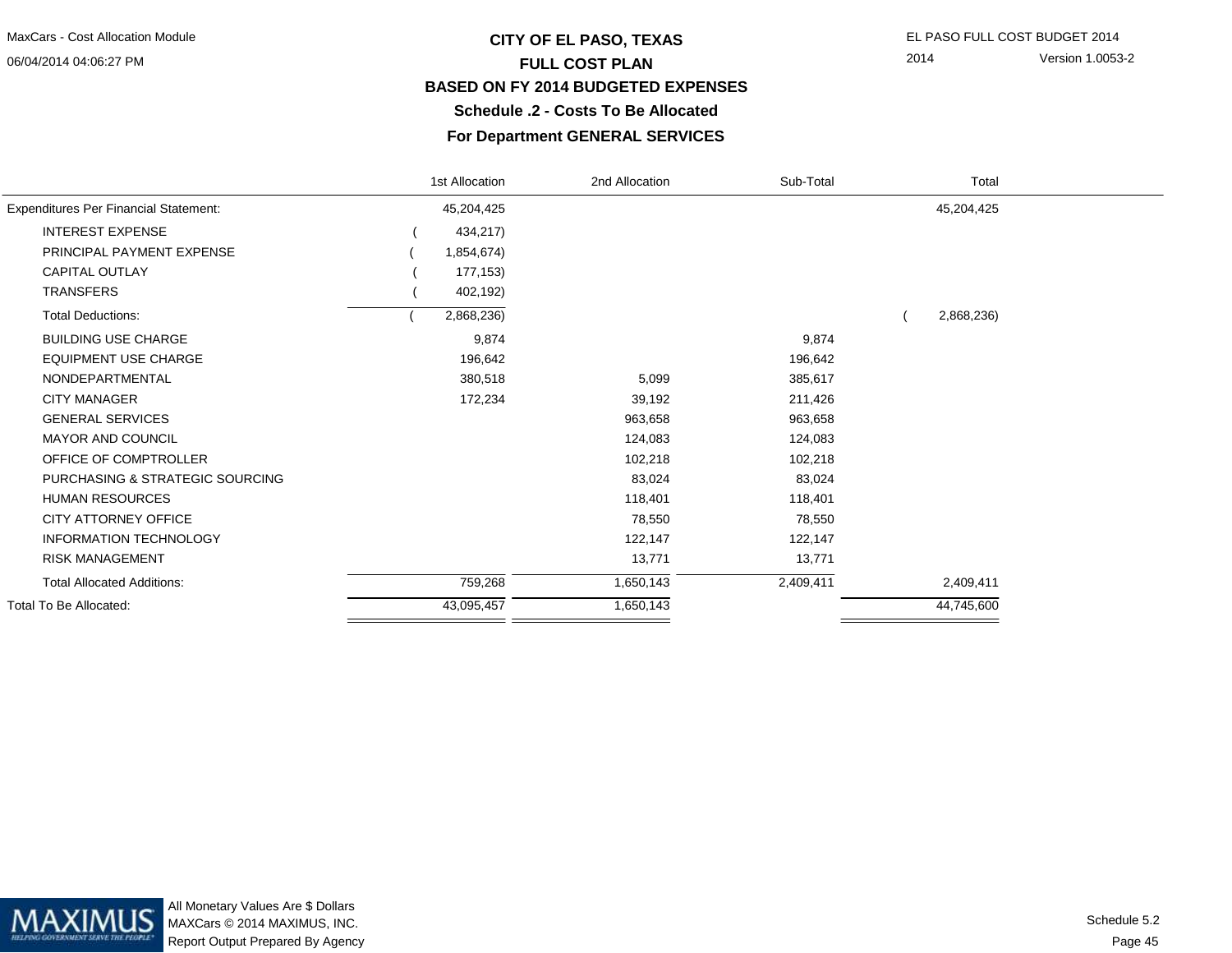# **CITY OF EL PASO, TEXAS** EL PASO FULL COST BUDGET 2014 **FULL COST PLAN BASED ON FY 2014 BUDGETED EXPENSESSchedule .2 - Costs To Be Allocated**

2014 Version 1.0053-2

#### **For Department GENERAL SERVICES**

|                                              | 1st Allocation | 2nd Allocation | Sub-Total | Total      |  |
|----------------------------------------------|----------------|----------------|-----------|------------|--|
| <b>Expenditures Per Financial Statement:</b> | 45,204,425     |                |           | 45,204,425 |  |
| <b>INTEREST EXPENSE</b>                      | 434,217)       |                |           |            |  |
| PRINCIPAL PAYMENT EXPENSE                    | 1,854,674)     |                |           |            |  |
| <b>CAPITAL OUTLAY</b>                        | 177,153)       |                |           |            |  |
| <b>TRANSFERS</b>                             | 402,192)       |                |           |            |  |
| <b>Total Deductions:</b>                     | 2,868,236)     |                |           | 2,868,236) |  |
| <b>BUILDING USE CHARGE</b>                   | 9,874          |                | 9,874     |            |  |
| <b>EQUIPMENT USE CHARGE</b>                  | 196,642        |                | 196,642   |            |  |
| NONDEPARTMENTAL                              | 380,518        | 5,099          | 385,617   |            |  |
| <b>CITY MANAGER</b>                          | 172,234        | 39,192         | 211,426   |            |  |
| <b>GENERAL SERVICES</b>                      |                | 963,658        | 963,658   |            |  |
| MAYOR AND COUNCIL                            |                | 124,083        | 124,083   |            |  |
| OFFICE OF COMPTROLLER                        |                | 102,218        | 102,218   |            |  |
| PURCHASING & STRATEGIC SOURCING              |                | 83,024         | 83,024    |            |  |
| <b>HUMAN RESOURCES</b>                       |                | 118,401        | 118,401   |            |  |
| CITY ATTORNEY OFFICE                         |                | 78,550         | 78,550    |            |  |
| <b>INFORMATION TECHNOLOGY</b>                |                | 122,147        | 122,147   |            |  |
| <b>RISK MANAGEMENT</b>                       |                | 13,771         | 13,771    |            |  |
| <b>Total Allocated Additions:</b>            | 759,268        | 1,650,143      | 2,409,411 | 2,409,411  |  |
| <b>Total To Be Allocated:</b>                | 43,095,457     | 1,650,143      |           | 44,745,600 |  |
|                                              |                |                |           |            |  |

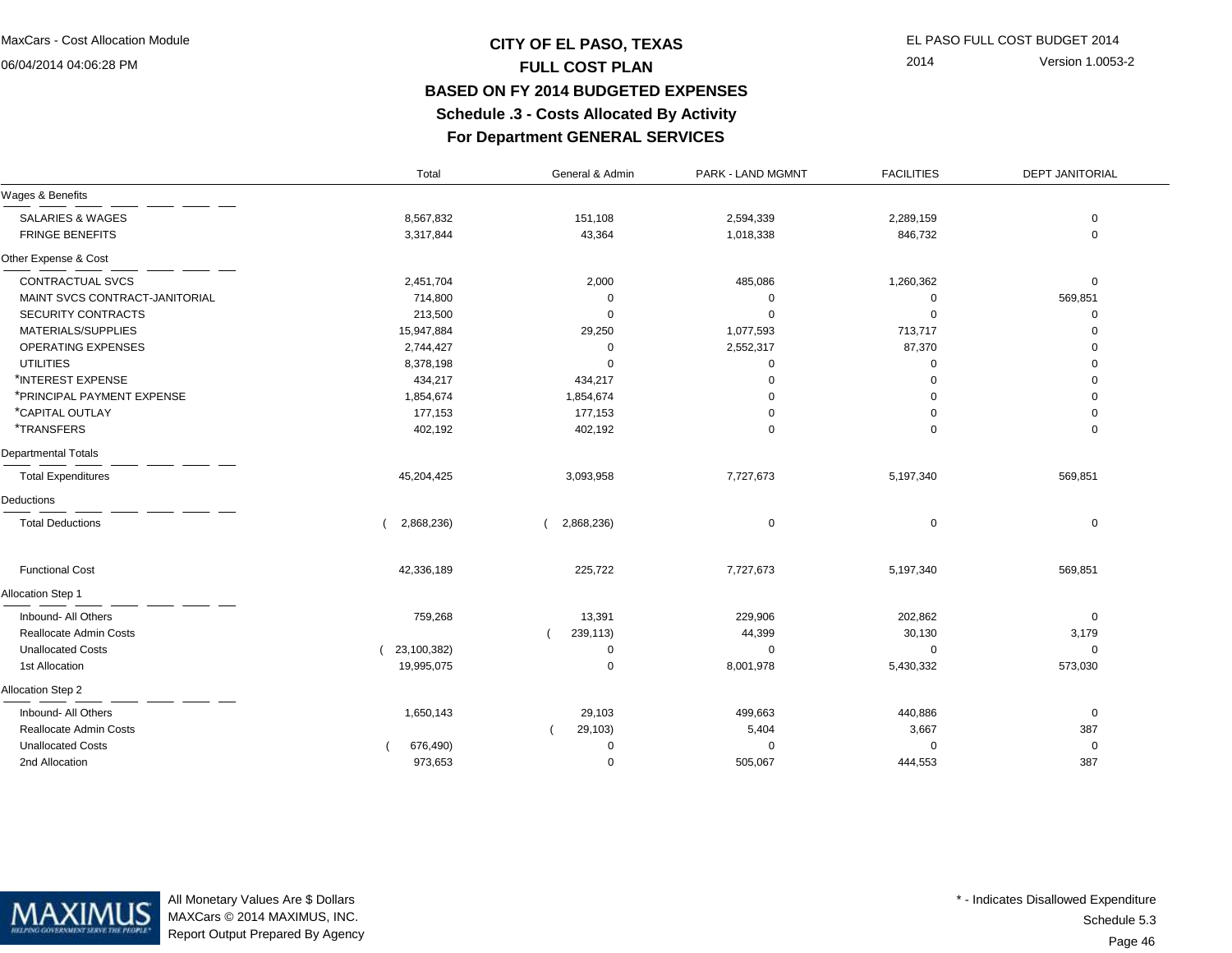# **CITY OF EL PASO, TEXAS** EL PASO FULL COST BUDGET 2014 **FULL COST PLAN BASED ON FY 2014 BUDGETED EXPENSESSchedule .3 - Costs Allocated By Activity**

2014 Version 1.0053-2

# **For Department GENERAL SERVICES**

|                                | Total       | General & Admin | PARK - LAND MGMNT | <b>FACILITIES</b> | <b>DEPT JANITORIAL</b> |
|--------------------------------|-------------|-----------------|-------------------|-------------------|------------------------|
| Wages & Benefits               |             |                 |                   |                   |                        |
| <b>SALARIES &amp; WAGES</b>    | 8,567,832   | 151,108         | 2,594,339         | 2,289,159         | 0                      |
| <b>FRINGE BENEFITS</b>         | 3,317,844   | 43,364          | 1,018,338         | 846,732           | $\mathbf 0$            |
| Other Expense & Cost           |             |                 |                   |                   |                        |
| CONTRACTUAL SVCS               | 2,451,704   | 2,000           | 485,086           | 1,260,362         | $\mathbf 0$            |
| MAINT SVCS CONTRACT-JANITORIAL | 714,800     | 0               | $\mathbf 0$       | 0                 | 569,851                |
| SECURITY CONTRACTS             | 213,500     | $\mathbf 0$     | $\mathbf 0$       | $\Omega$          | $\mathbf 0$            |
| MATERIALS/SUPPLIES             | 15,947,884  | 29,250          | 1,077,593         | 713,717           | $\mathbf 0$            |
| OPERATING EXPENSES             | 2,744,427   | 0               | 2,552,317         | 87,370            | $\mathbf 0$            |
| <b>UTILITIES</b>               | 8,378,198   | $\mathbf 0$     | $\mathbf 0$       | 0                 | $\mathbf 0$            |
| *INTEREST EXPENSE              | 434,217     | 434,217         | $\Omega$          | $\Omega$          | $\mathbf 0$            |
| *PRINCIPAL PAYMENT EXPENSE     | 1,854,674   | 1,854,674       | n                 | $\Omega$          | $\mathbf 0$            |
| *CAPITAL OUTLAY                | 177,153     | 177,153         | ∩                 | $\Omega$          | $\mathbf 0$            |
| <i><b>*TRANSFERS</b></i>       | 402,192     | 402,192         | $\Omega$          | 0                 | $\mathbf 0$            |
| <b>Departmental Totals</b>     |             |                 |                   |                   |                        |
| <b>Total Expenditures</b>      | 45,204,425  | 3,093,958       | 7,727,673         | 5,197,340         | 569,851                |
| Deductions                     |             |                 |                   |                   |                        |
| <b>Total Deductions</b>        | 2,868,236)  | 2,868,236)      | $\mathbf 0$       | 0                 | $\mathbf 0$            |
| <b>Functional Cost</b>         | 42,336,189  | 225,722         | 7,727,673         | 5,197,340         | 569,851                |
| Allocation Step 1              |             |                 |                   |                   |                        |
| Inbound- All Others            | 759,268     | 13,391          | 229,906           | 202,862           | $\mathbf 0$            |
| Reallocate Admin Costs         |             | 239,113)        | 44,399            | 30,130            | 3,179                  |
| <b>Unallocated Costs</b>       | 23,100,382) | 0               | $\mathbf 0$       | 0                 | $\mathbf 0$            |
| 1st Allocation                 | 19,995,075  | $\mathbf 0$     | 8,001,978         | 5,430,332         | 573,030                |
| Allocation Step 2              |             |                 |                   |                   |                        |
| Inbound- All Others            | 1,650,143   | 29,103          | 499,663           | 440,886           | $\mathbf 0$            |
| Reallocate Admin Costs         |             | 29,103)         | 5,404             | 3,667             | 387                    |
| <b>Unallocated Costs</b>       | 676,490)    | $\mathbf 0$     | $\Omega$          | $\Omega$          | $\mathbf 0$            |
| 2nd Allocation                 | 973,653     | $\mathbf 0$     | 505,067           | 444,553           | 387                    |



All Monetary Values Are \$ Dollars MAXCars © 2014 MAXIMUS, INC.Report Output Prepared By Agency

Page 46Schedule 5.3\* - Indicates Disallowed Expenditure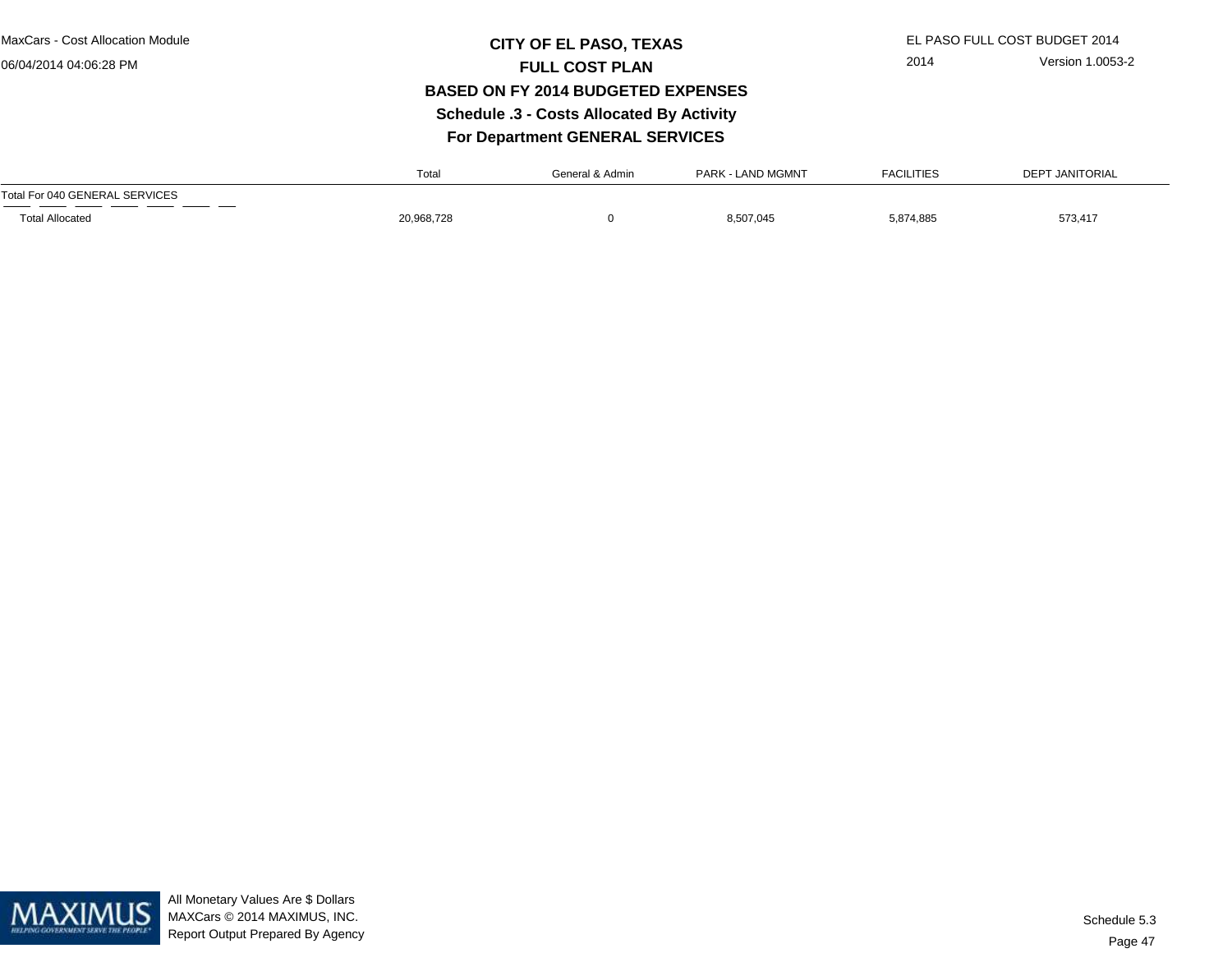MaxCars - Cost Allocation Module

06/04/2014 04:06:28 PM

# **CITY OF EL PASO, TEXAS** EL PASO FULL COST BUDGET 2014 **FULL COST PLAN BASED ON FY 2014 BUDGETED EXPENSESSchedule .3 - Costs Allocated By Activity**

2014 Version 1.0053-2

**For Department GENERAL SERVICES**

|                                | Total      | General & Admin | <b>PARK - LAND MGMNT</b> | <b>FACILITIES</b> | <b>DEPT JANITORIAL</b> |
|--------------------------------|------------|-----------------|--------------------------|-------------------|------------------------|
| Total For 040 GENERAL SERVICES |            |                 |                          |                   |                        |
| <b>Total Allocated</b>         | 20,968,728 |                 | 8,507,045                | 5,874,885         | 573,417                |

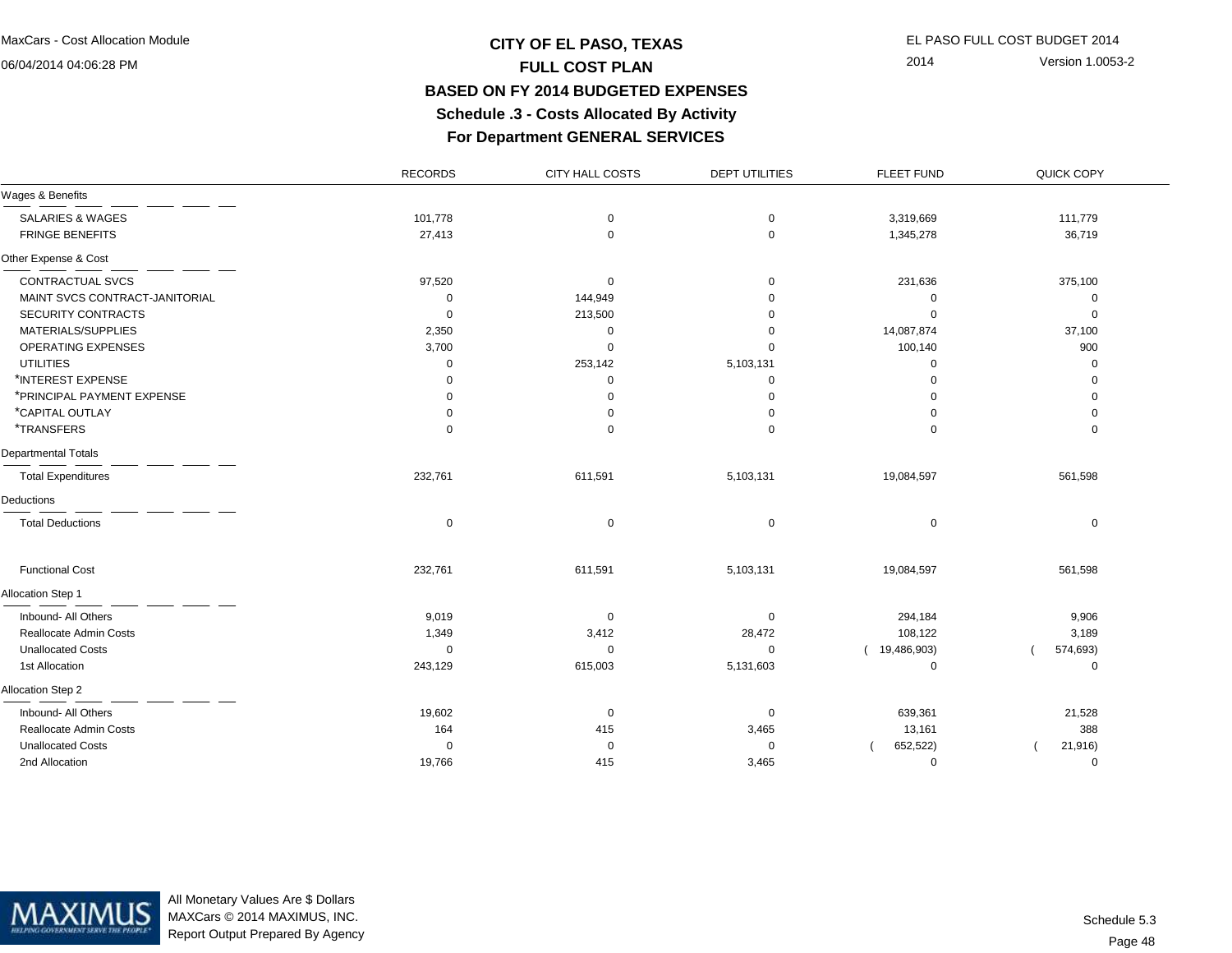# **CITY OF EL PASO, TEXAS** EL PASO FULL COST BUDGET 2014 **FULL COST PLAN BASED ON FY 2014 BUDGETED EXPENSESSchedule .3 - Costs Allocated By Activity**

2014 Version 1.0053-2

# **For Department GENERAL SERVICES**

|                                | <b>RECORDS</b> | CITY HALL COSTS | <b>DEPT UTILITIES</b> | <b>FLEET FUND</b> | QUICK COPY  |
|--------------------------------|----------------|-----------------|-----------------------|-------------------|-------------|
| Wages & Benefits               |                |                 |                       |                   |             |
| <b>SALARIES &amp; WAGES</b>    | 101,778        | 0               | $\mathbf 0$           | 3,319,669         | 111,779     |
| <b>FRINGE BENEFITS</b>         | 27,413         | $\mathbf 0$     | $\mathbf 0$           | 1,345,278         | 36,719      |
| Other Expense & Cost           |                |                 |                       |                   |             |
| CONTRACTUAL SVCS               | 97,520         | 0               | 0                     | 231,636           | 375,100     |
| MAINT SVCS CONTRACT-JANITORIAL | 0              | 144,949         | $\Omega$              | 0                 | 0           |
| <b>SECURITY CONTRACTS</b>      | 0              | 213,500         | $\Omega$              | $\mathbf 0$       | $\mathbf 0$ |
| MATERIALS/SUPPLIES             | 2,350          | 0               | $\Omega$              | 14,087,874        | 37,100      |
| OPERATING EXPENSES             | 3,700          | $\mathbf 0$     | 0                     | 100,140           | 900         |
| <b>UTILITIES</b>               | 0              | 253,142         | 5,103,131             | $\mathbf 0$       | $\mathbf 0$ |
| *INTEREST EXPENSE              | $\Omega$       | 0               | 0                     | $\Omega$          | $\mathbf 0$ |
| *PRINCIPAL PAYMENT EXPENSE     | $\Omega$       | 0               | $\Omega$              | $\Omega$          | $\mathbf 0$ |
| *CAPITAL OUTLAY                | $\Omega$       | 0               | $\Omega$              | $\Omega$          | 0           |
| <i><b>*TRANSFERS</b></i>       | $\Omega$       | 0               | $\Omega$              | $\mathbf 0$       | $\mathbf 0$ |
| Departmental Totals            |                |                 |                       |                   |             |
| <b>Total Expenditures</b>      | 232,761        | 611,591         | 5,103,131             | 19,084,597        | 561,598     |
| Deductions                     |                |                 |                       |                   |             |
| <b>Total Deductions</b>        | $\mathbf 0$    | 0               | $\mathbf 0$           | $\mathbf 0$       | $\mathbf 0$ |
| <b>Functional Cost</b>         | 232,761        | 611,591         | 5,103,131             | 19,084,597        | 561,598     |
| Allocation Step 1              |                |                 |                       |                   |             |
| Inbound- All Others            | 9,019          | 0               | $\mathbf 0$           | 294,184           | 9,906       |
| Reallocate Admin Costs         | 1,349          | 3,412           | 28,472                | 108,122           | 3,189       |
| <b>Unallocated Costs</b>       | 0              | 0               | 0                     | (19,486,903)      | 574,693)    |
| 1st Allocation                 | 243,129        | 615,003         | 5,131,603             | 0                 | 0           |
| Allocation Step 2              |                |                 |                       |                   |             |
| Inbound- All Others            | 19,602         | 0               | 0                     | 639,361           | 21,528      |
| Reallocate Admin Costs         | 164            | 415             | 3,465                 | 13,161            | 388         |
| <b>Unallocated Costs</b>       | $\Omega$       | 0               | $\mathbf 0$           | 652,522)          | 21,916)     |
| 2nd Allocation                 | 19,766         | 415             | 3,465                 | $\mathbf 0$       | $\mathbf 0$ |



All Monetary Values Are \$ Dollars MAXCars © 2014 MAXIMUS, INC.Report Output Prepared By Agency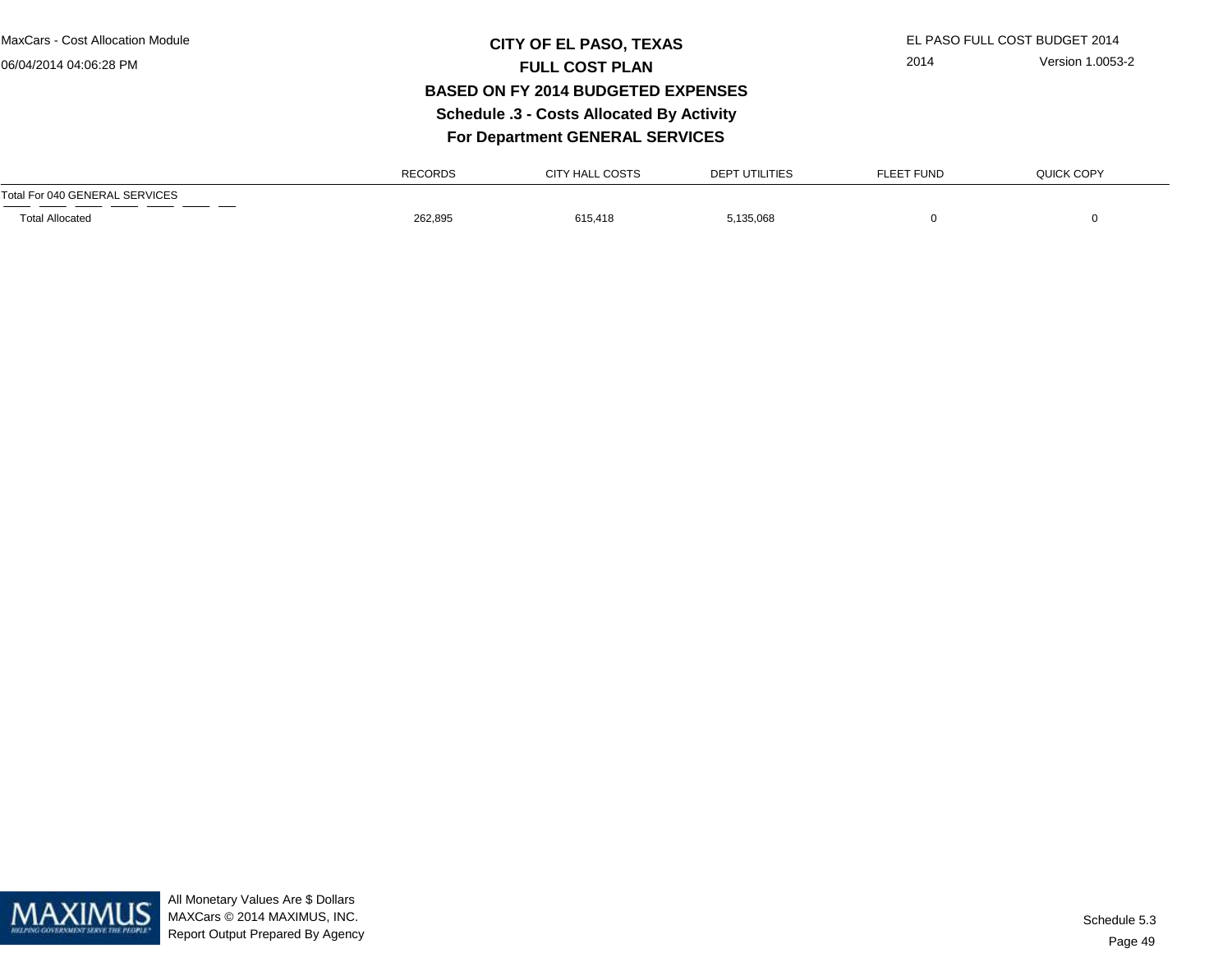### **CITY OF EL PASO, TEXAS** EL PASO FULL COST BUDGET 2014 **FULL COST PLAN BASED ON FY 2014 BUDGETED EXPENSES Schedule .3 - Costs Allocated By ActivityFor Department GENERAL SERVICES**

2014 Version 1.0053-2

RECORDSCITY HALL COSTS DEPT UTILITIES FLEET FUND QUICK COPYTotal For 040 GENERAL SERVICESTotal Allocated 262,895 615,418 5,135,068 0

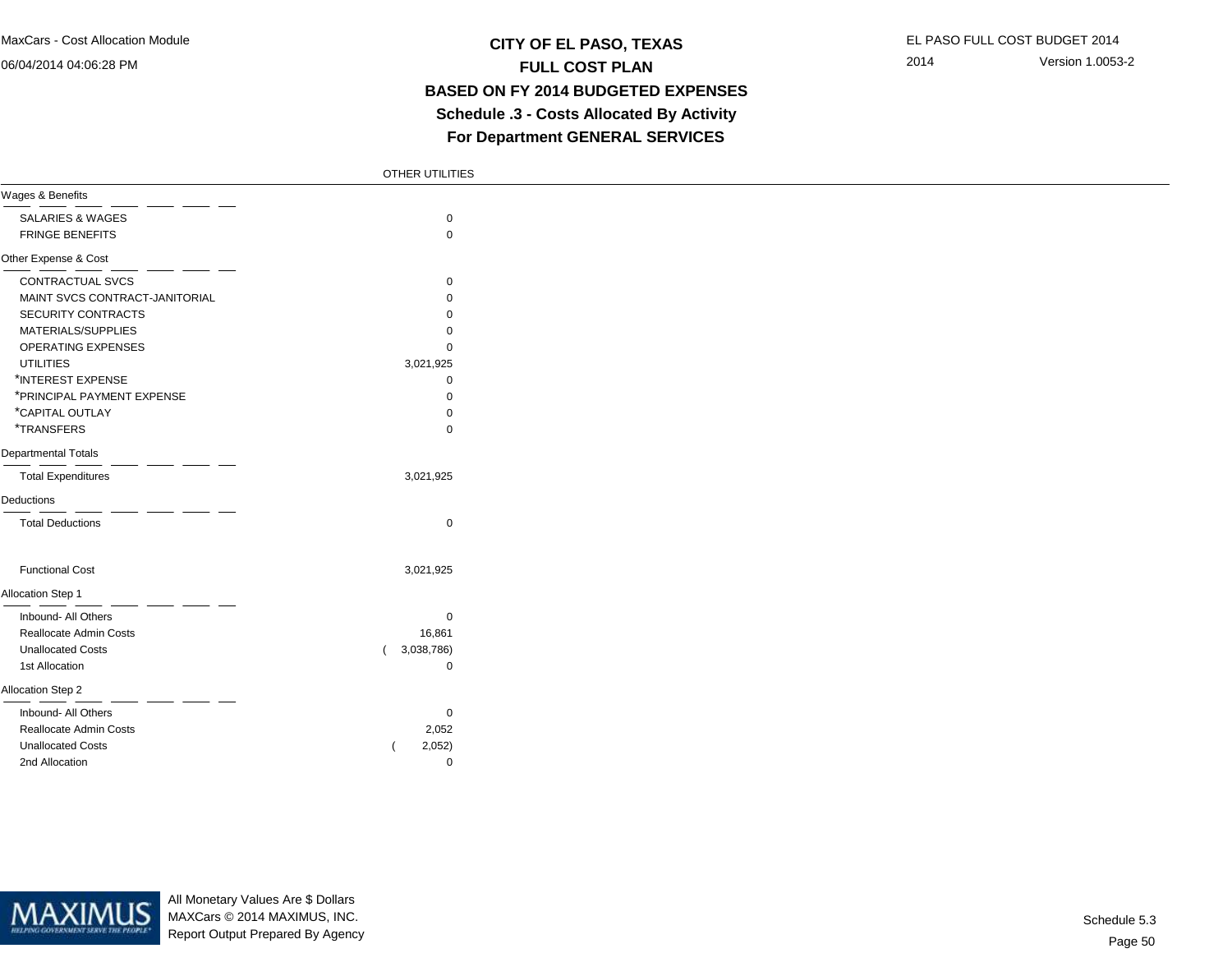### **CITY OF EL PASO, TEXAS** EL PASO FULL COST BUDGET 2014 **FULL COST PLAN BASED ON FY 2014 BUDGETED EXPENSES Schedule .3 - Costs Allocated By ActivityFor Department GENERAL SERVICES**

|                                | OTHER UTILITIES |  |
|--------------------------------|-----------------|--|
| Wages & Benefits               |                 |  |
| <b>SALARIES &amp; WAGES</b>    | $\mathbf 0$     |  |
| <b>FRINGE BENEFITS</b>         | $\mathbf 0$     |  |
| Other Expense & Cost           |                 |  |
| CONTRACTUAL SVCS               | $\mathbf 0$     |  |
| MAINT SVCS CONTRACT-JANITORIAL | $\mathbf 0$     |  |
| SECURITY CONTRACTS             | $\Omega$        |  |
| MATERIALS/SUPPLIES             | $\Omega$        |  |
| OPERATING EXPENSES             | $\mathbf 0$     |  |
| <b>UTILITIES</b>               | 3,021,925       |  |
| *INTEREST EXPENSE              | 0               |  |
| *PRINCIPAL PAYMENT EXPENSE     | $\mathbf 0$     |  |
| *CAPITAL OUTLAY                | $\Omega$        |  |
| <i><b>*TRANSFERS</b></i>       | $\Omega$        |  |
| Departmental Totals            |                 |  |
| <b>Total Expenditures</b>      | 3,021,925       |  |
| Deductions                     |                 |  |
| <b>Total Deductions</b>        | $\mathbf 0$     |  |
| <b>Functional Cost</b>         | 3,021,925       |  |
| Allocation Step 1              |                 |  |
| Inbound- All Others            | $\mathbf 0$     |  |
| Reallocate Admin Costs         | 16,861          |  |
| <b>Unallocated Costs</b>       | 3,038,786)      |  |
| 1st Allocation                 | $\mathbf 0$     |  |
| Allocation Step 2              |                 |  |
| Inbound- All Others            | 0               |  |
| Reallocate Admin Costs         | 2,052           |  |
| <b>Unallocated Costs</b>       | 2,052)          |  |
| 2nd Allocation                 | $\mathbf 0$     |  |



All Monetary Values Are \$ Dollars MAXCars © 2014 MAXIMUS, INC.Report Output Prepared By Agency

Page 50Schedule 5.3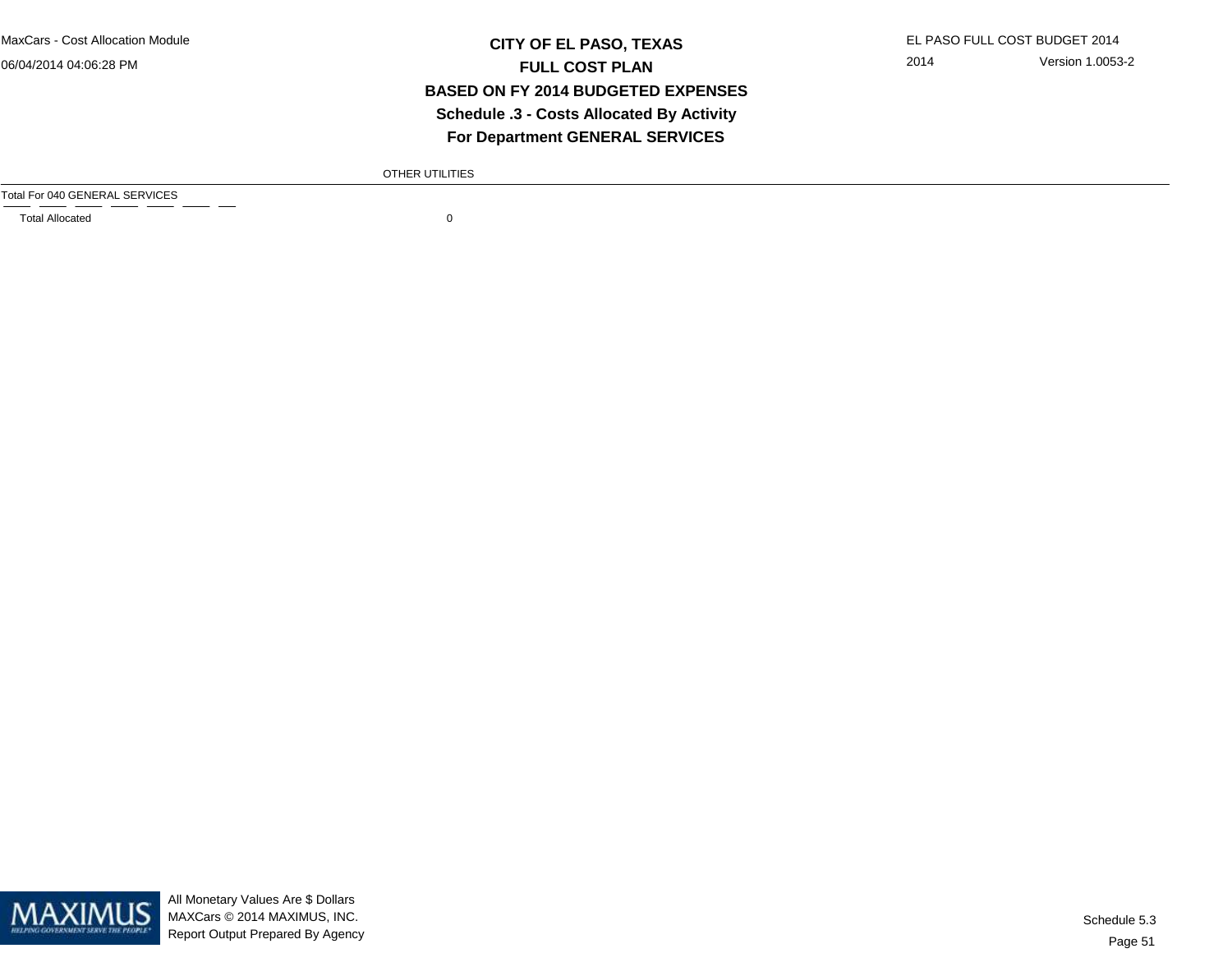MaxCars - Cost Allocation Module

06/04/2014 04:06:28 PM

### **CITY OF EL PASO, TEXAS** EL PASO FULL COST BUDGET 2014 **FULL COST PLAN BASED ON FY 2014 BUDGETED EXPENSES Schedule .3 - Costs Allocated By ActivityFor Department GENERAL SERVICES**

2014 Version 1.0053-2

OTHER UTILITIES

Total For 040 GENERAL SERVICES

Total Allocated 0



All Monetary Values Are \$ Dollars MAXCars © 2014 MAXIMUS, INC.Report Output Prepared By Agency

Page 51Schedule 5.3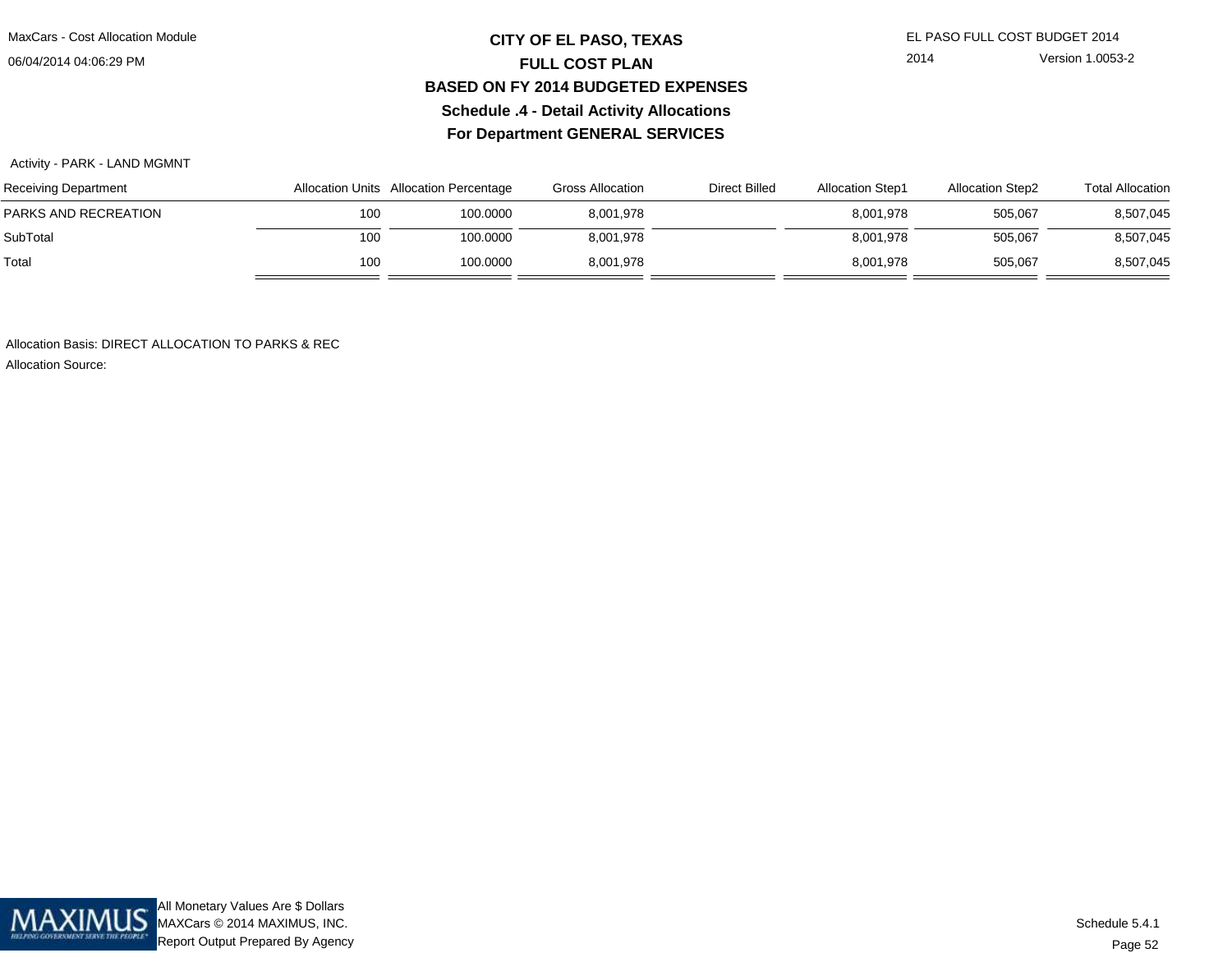MaxCars - Cost Allocation Module

06/04/2014 04:06:29 PM

## **CITY OF EL PASO, TEXAS** EL PASO FULL COST BUDGET 2014 **FULL COST PLAN BASED ON FY 2014 BUDGETED EXPENSESSchedule .4 - Detail Activity AllocationsFor Department GENERAL SERVICES**

2014 Version 1.0053-2

#### Activity - PARK - LAND MGMNT

| Receiving Department |     | Allocation Units Allocation Percentage | Gross Allocation | <b>Direct Billed</b> | <b>Allocation Step1</b> | <b>Allocation Step2</b> | <b>Total Allocation</b> |
|----------------------|-----|----------------------------------------|------------------|----------------------|-------------------------|-------------------------|-------------------------|
| PARKS AND RECREATION | 100 | 100.0000                               | 8,001,978        |                      | 8,001,978               | 505,067                 | 8,507,045               |
| SubTotal             | 100 | 100.0000                               | 8,001,978        |                      | 8.001.978               | 505,067                 | 8,507,045               |
| Total                | 100 | 100.0000                               | 8,001,978        |                      | 8,001,978               | 505,067                 | 8,507,045               |

Allocation Basis: DIRECT ALLOCATION TO PARKS & REC

Allocation Source:

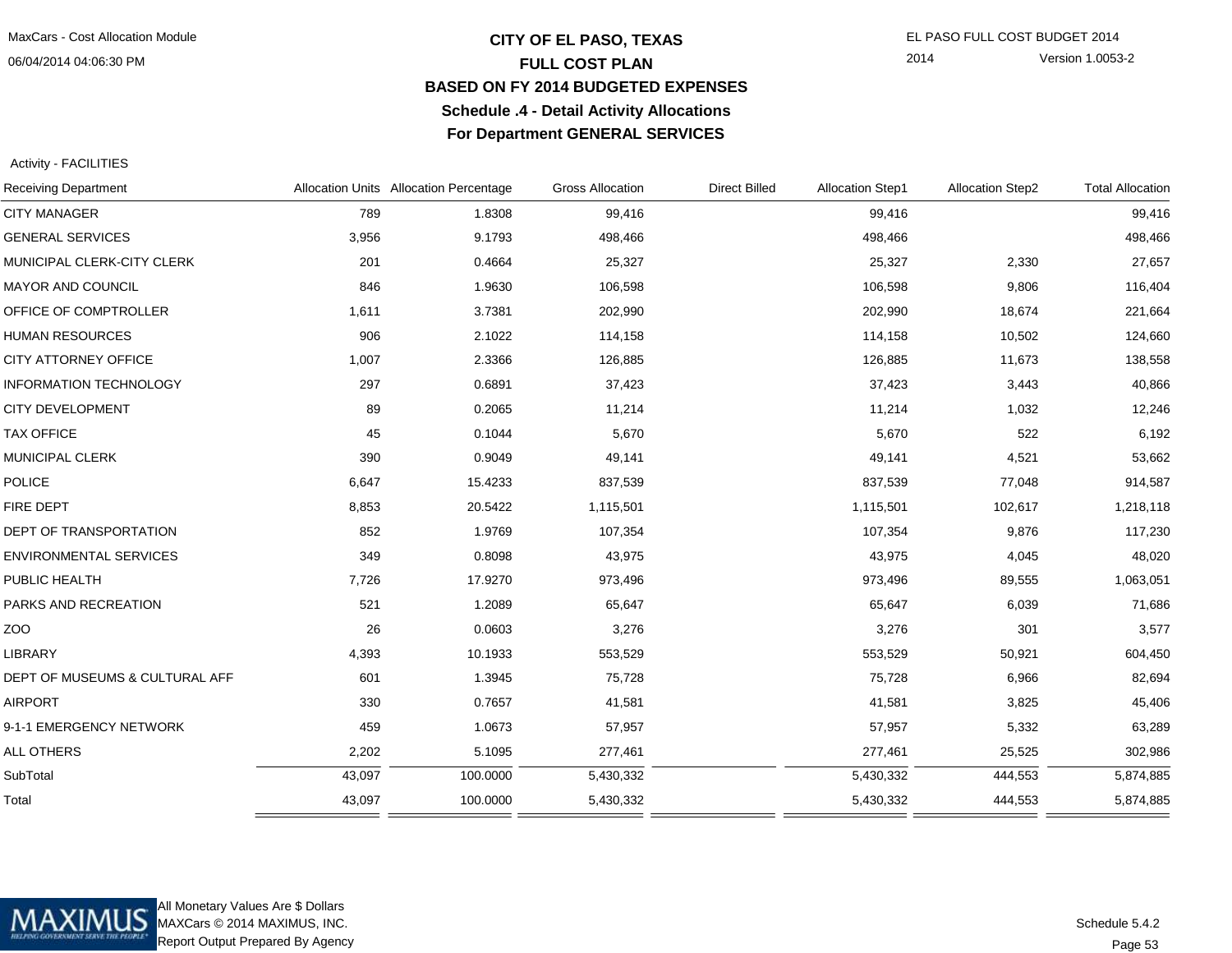## **CITY OF EL PASO, TEXAS** EL PASO FULL COST BUDGET 2014 **FULL COST PLAN BASED ON FY 2014 BUDGETED EXPENSESSchedule .4 - Detail Activity AllocationsFor Department GENERAL SERVICES**

2014 Version 1.0053-2

Activity - FACILITIES

| <b>Receiving Department</b>    |        | Allocation Units Allocation Percentage | <b>Gross Allocation</b> | <b>Direct Billed</b> | <b>Allocation Step1</b> | <b>Allocation Step2</b> | <b>Total Allocation</b> |
|--------------------------------|--------|----------------------------------------|-------------------------|----------------------|-------------------------|-------------------------|-------------------------|
| <b>CITY MANAGER</b>            | 789    | 1.8308                                 | 99,416                  |                      | 99,416                  |                         | 99,416                  |
| <b>GENERAL SERVICES</b>        | 3,956  | 9.1793                                 | 498,466                 |                      | 498,466                 |                         | 498,466                 |
| MUNICIPAL CLERK-CITY CLERK     | 201    | 0.4664                                 | 25,327                  |                      | 25,327                  | 2,330                   | 27,657                  |
| <b>MAYOR AND COUNCIL</b>       | 846    | 1.9630                                 | 106,598                 |                      | 106,598                 | 9,806                   | 116,404                 |
| OFFICE OF COMPTROLLER          | 1,611  | 3.7381                                 | 202,990                 |                      | 202,990                 | 18,674                  | 221,664                 |
| <b>HUMAN RESOURCES</b>         | 906    | 2.1022                                 | 114,158                 |                      | 114,158                 | 10,502                  | 124,660                 |
| CITY ATTORNEY OFFICE           | 1,007  | 2.3366                                 | 126,885                 |                      | 126,885                 | 11,673                  | 138,558                 |
| <b>INFORMATION TECHNOLOGY</b>  | 297    | 0.6891                                 | 37,423                  |                      | 37,423                  | 3,443                   | 40,866                  |
| <b>CITY DEVELOPMENT</b>        | 89     | 0.2065                                 | 11,214                  |                      | 11,214                  | 1,032                   | 12,246                  |
| <b>TAX OFFICE</b>              | 45     | 0.1044                                 | 5,670                   |                      | 5,670                   | 522                     | 6,192                   |
| MUNICIPAL CLERK                | 390    | 0.9049                                 | 49,141                  |                      | 49,141                  | 4,521                   | 53,662                  |
| <b>POLICE</b>                  | 6,647  | 15.4233                                | 837,539                 |                      | 837,539                 | 77,048                  | 914,587                 |
| FIRE DEPT                      | 8,853  | 20.5422                                | 1,115,501               |                      | 1,115,501               | 102,617                 | 1,218,118               |
| DEPT OF TRANSPORTATION         | 852    | 1.9769                                 | 107,354                 |                      | 107,354                 | 9,876                   | 117,230                 |
| <b>ENVIRONMENTAL SERVICES</b>  | 349    | 0.8098                                 | 43,975                  |                      | 43,975                  | 4,045                   | 48,020                  |
| PUBLIC HEALTH                  | 7,726  | 17.9270                                | 973,496                 |                      | 973,496                 | 89,555                  | 1,063,051               |
| PARKS AND RECREATION           | 521    | 1.2089                                 | 65,647                  |                      | 65,647                  | 6,039                   | 71,686                  |
| ZOO                            | 26     | 0.0603                                 | 3,276                   |                      | 3,276                   | 301                     | 3,577                   |
| LIBRARY                        | 4,393  | 10.1933                                | 553,529                 |                      | 553,529                 | 50,921                  | 604,450                 |
| DEPT OF MUSEUMS & CULTURAL AFF | 601    | 1.3945                                 | 75,728                  |                      | 75,728                  | 6,966                   | 82,694                  |
| <b>AIRPORT</b>                 | 330    | 0.7657                                 | 41,581                  |                      | 41,581                  | 3,825                   | 45,406                  |
| 9-1-1 EMERGENCY NETWORK        | 459    | 1.0673                                 | 57,957                  |                      | 57,957                  | 5,332                   | 63,289                  |
| ALL OTHERS                     | 2,202  | 5.1095                                 | 277,461                 |                      | 277,461                 | 25,525                  | 302,986                 |
| SubTotal                       | 43,097 | 100.0000                               | 5,430,332               |                      | 5,430,332               | 444,553                 | 5,874,885               |
| Total                          | 43,097 | 100.0000                               | 5,430,332               |                      | 5,430,332               | 444,553                 | 5,874,885               |
|                                |        |                                        |                         |                      |                         |                         |                         |



All Monetary Values Are \$ Dollars MAXCars © 2014 MAXIMUS, INC.Report Output Prepared By Agency

Page 53Schedule 5.4.2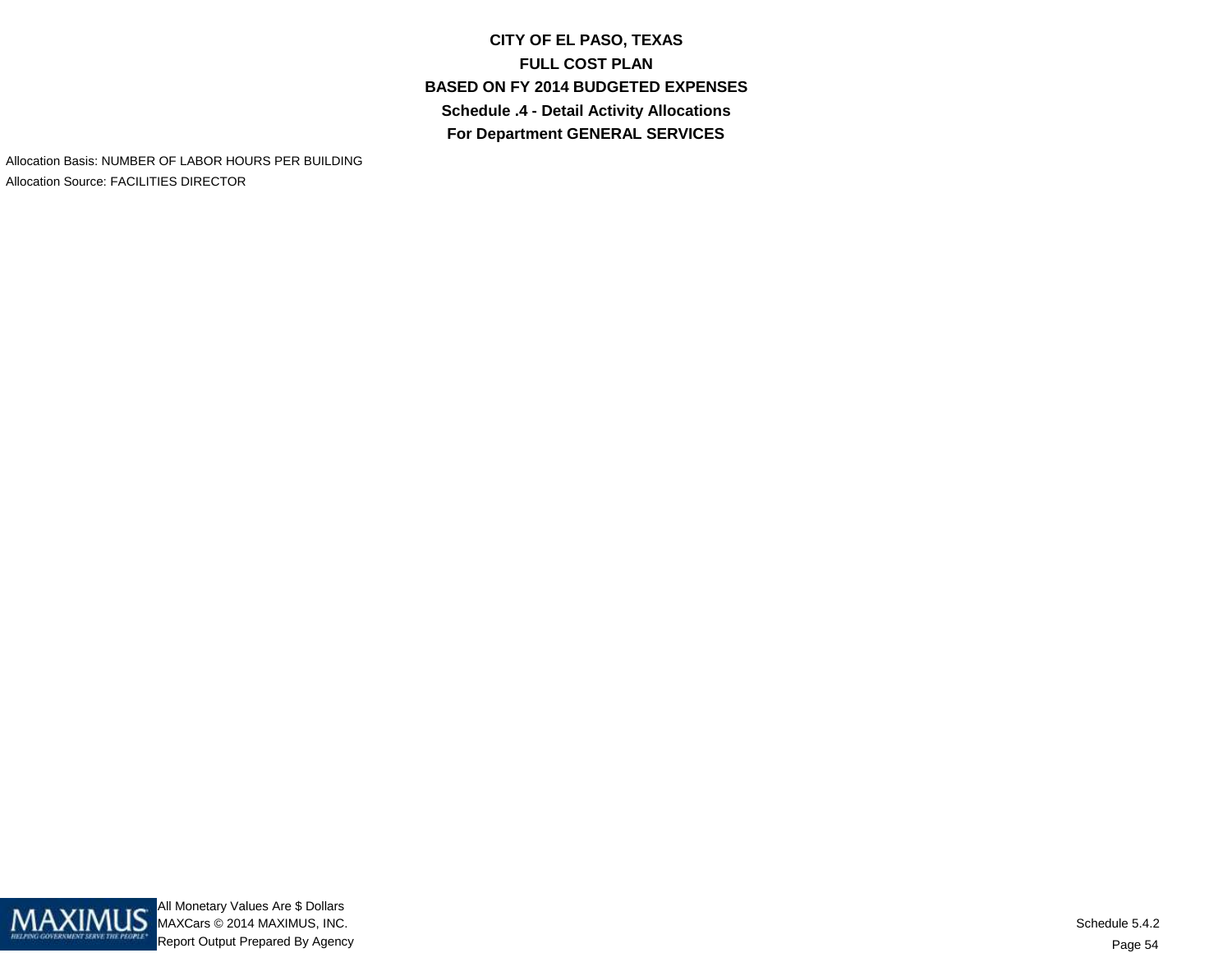**CITY OF EL PASO, TEXASFULL COST PLAN BASED ON FY 2014 BUDGETED EXPENSESSchedule .4 - Detail Activity AllocationsFor Department GENERAL SERVICES**

Allocation Basis: NUMBER OF LABOR HOURS PER BUILDINGAllocation Source: FACILITIES DIRECTOR

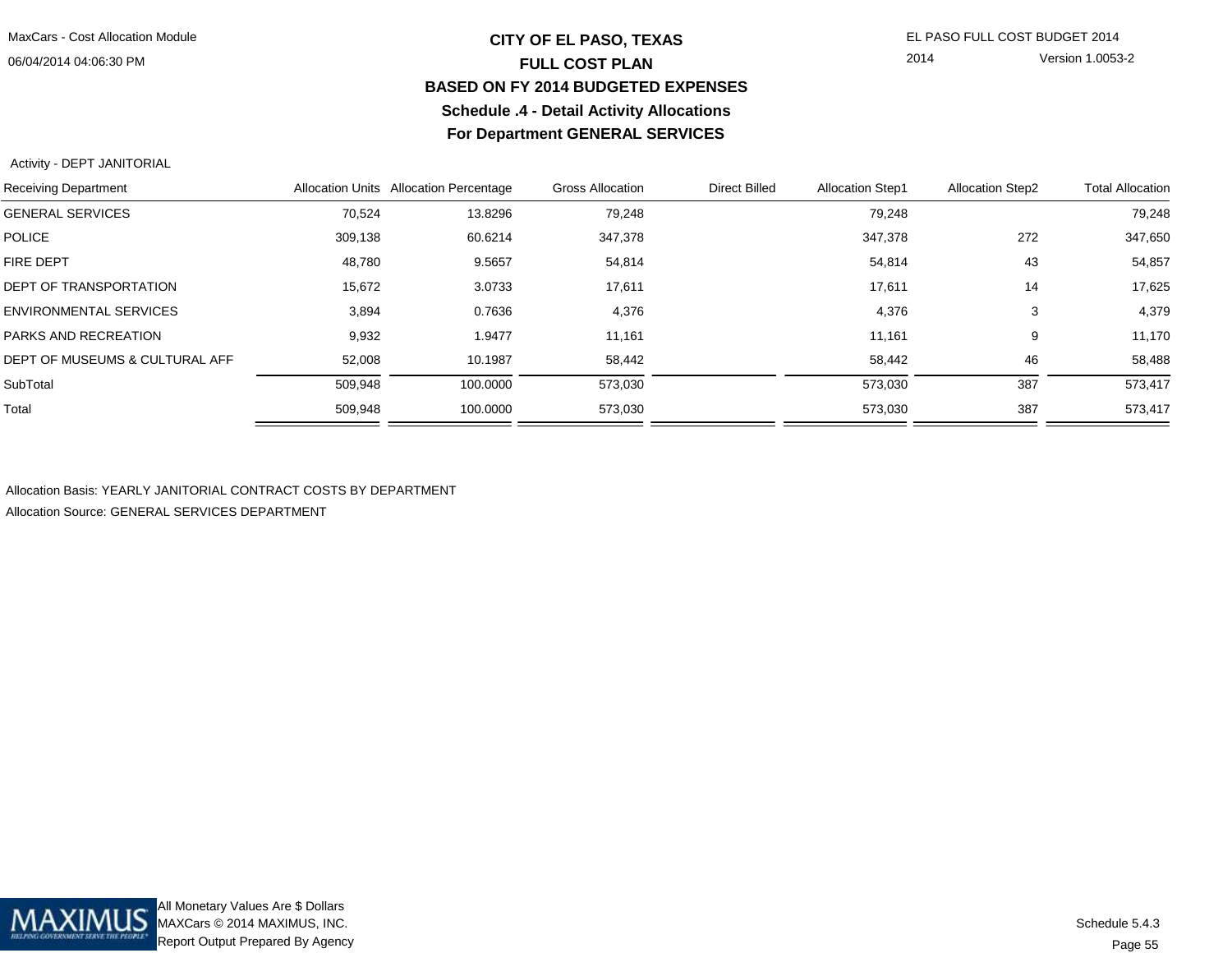## **CITY OF EL PASO, TEXAS** EL PASO FULL COST BUDGET 2014 **FULL COST PLAN BASED ON FY 2014 BUDGETED EXPENSESSchedule .4 - Detail Activity AllocationsFor Department GENERAL SERVICES**

2014 Version 1.0053-2

#### Activity - DEPT JANITORIAL

| <b>Receiving Department</b>    |         | Allocation Units Allocation Percentage | <b>Gross Allocation</b> | <b>Direct Billed</b> | <b>Allocation Step1</b> | <b>Allocation Step2</b> | <b>Total Allocation</b> |
|--------------------------------|---------|----------------------------------------|-------------------------|----------------------|-------------------------|-------------------------|-------------------------|
| <b>GENERAL SERVICES</b>        | 70.524  | 13.8296                                | 79,248                  |                      | 79.248                  |                         | 79,248                  |
| <b>POLICE</b>                  | 309,138 | 60.6214                                | 347,378                 |                      | 347,378                 | 272                     | 347,650                 |
| <b>FIRE DEPT</b>               | 48,780  | 9.5657                                 | 54,814                  |                      | 54,814                  | 43                      | 54,857                  |
| <b>DEPT OF TRANSPORTATION</b>  | 15,672  | 3.0733                                 | 17,611                  |                      | 17,611                  | 14                      | 17,625                  |
| <b>ENVIRONMENTAL SERVICES</b>  | 3,894   | 0.7636                                 | 4,376                   |                      | 4,376                   | 3                       | 4,379                   |
| PARKS AND RECREATION           | 9,932   | 1.9477                                 | 11,161                  |                      | 11,161                  | 9                       | 11,170                  |
| DEPT OF MUSEUMS & CULTURAL AFF | 52,008  | 10.1987                                | 58.442                  |                      | 58,442                  | 46                      | 58,488                  |
| SubTotal                       | 509,948 | 100.0000                               | 573,030                 |                      | 573,030                 | 387                     | 573,417                 |
| Total                          | 509,948 | 100.0000                               | 573,030                 |                      | 573,030                 | 387                     | 573,417                 |

Allocation Basis: YEARLY JANITORIAL CONTRACT COSTS BY DEPARTMENT

Allocation Source: GENERAL SERVICES DEPARTMENT

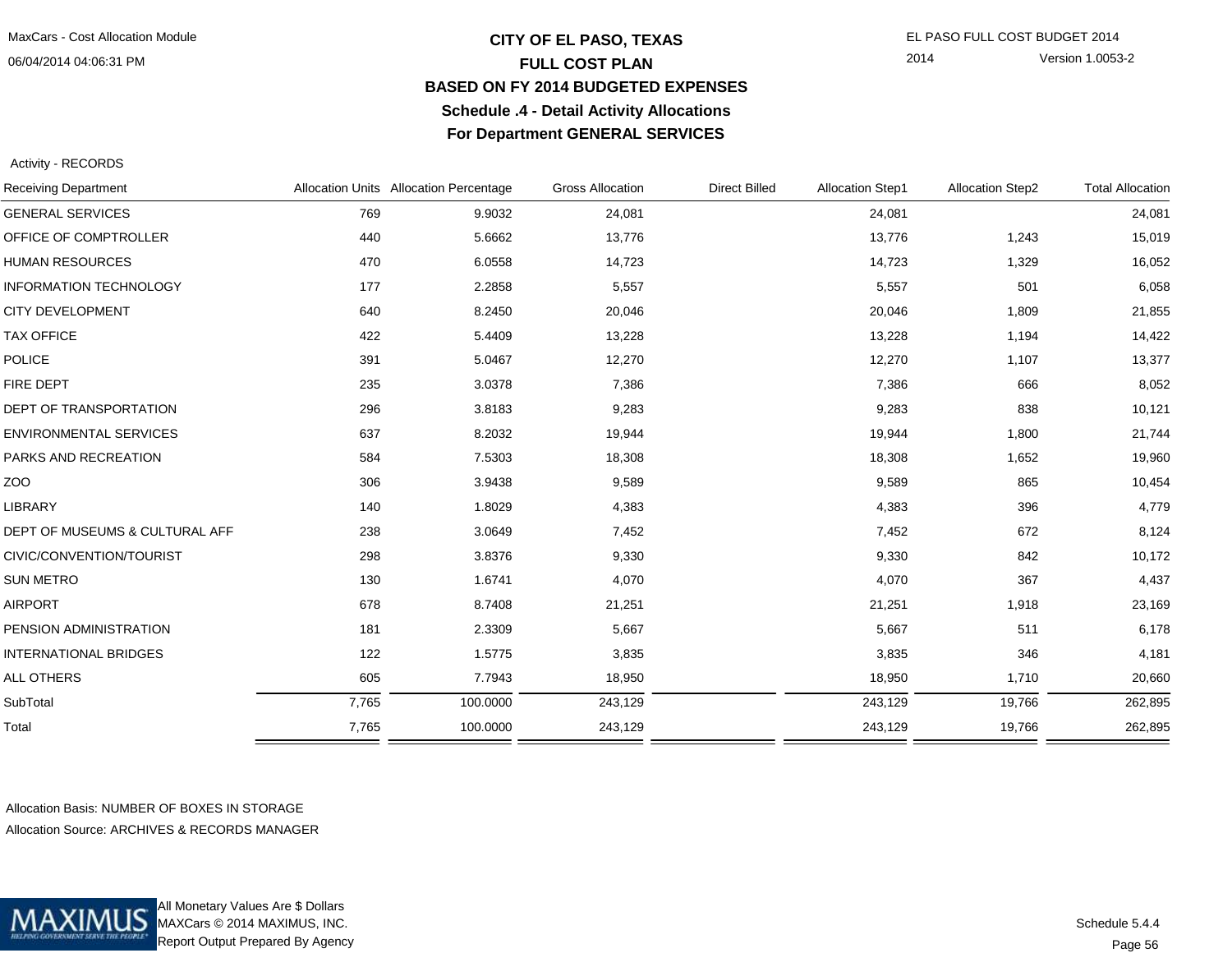## **CITY OF EL PASO, TEXAS** EL PASO FULL COST BUDGET 2014 **FULL COST PLAN BASED ON FY 2014 BUDGETED EXPENSESSchedule .4 - Detail Activity AllocationsFor Department GENERAL SERVICES**

2014 Version 1.0053-2

Activity - RECORDS

| <b>Receiving Department</b>    |       | Allocation Units Allocation Percentage |         | <b>Direct Billed</b> | <b>Allocation Step1</b> | <b>Allocation Step2</b> | <b>Total Allocation</b> |  |
|--------------------------------|-------|----------------------------------------|---------|----------------------|-------------------------|-------------------------|-------------------------|--|
| <b>GENERAL SERVICES</b>        | 769   | 9.9032                                 | 24,081  |                      | 24,081                  |                         | 24,081                  |  |
| OFFICE OF COMPTROLLER          | 440   | 5.6662                                 | 13,776  |                      | 13,776                  | 1,243                   | 15,019                  |  |
| <b>HUMAN RESOURCES</b>         | 470   | 6.0558                                 | 14,723  |                      | 14,723                  | 1,329                   | 16,052                  |  |
| <b>INFORMATION TECHNOLOGY</b>  | 177   | 2.2858                                 | 5,557   |                      | 5,557                   | 501                     | 6,058                   |  |
| <b>CITY DEVELOPMENT</b>        | 640   | 8.2450                                 | 20,046  |                      | 20,046                  | 1,809                   | 21,855                  |  |
| <b>TAX OFFICE</b>              | 422   | 5.4409                                 | 13,228  |                      | 13,228                  | 1,194                   | 14,422                  |  |
| POLICE                         | 391   | 5.0467                                 | 12,270  |                      | 12,270                  | 1,107                   | 13,377                  |  |
| FIRE DEPT                      | 235   | 3.0378                                 | 7,386   |                      | 7,386                   | 666                     | 8,052                   |  |
| DEPT OF TRANSPORTATION         | 296   | 3.8183                                 | 9,283   |                      | 9,283                   | 838                     | 10,121                  |  |
| <b>ENVIRONMENTAL SERVICES</b>  | 637   | 8.2032                                 | 19,944  |                      | 19,944                  | 1,800                   | 21,744                  |  |
| PARKS AND RECREATION           | 584   | 7.5303                                 | 18,308  |                      | 18,308                  | 1,652                   | 19,960                  |  |
| ZOO                            | 306   | 3.9438                                 | 9,589   |                      | 9,589                   | 865                     | 10,454                  |  |
| LIBRARY                        | 140   | 1.8029                                 | 4,383   |                      | 4,383                   | 396                     | 4,779                   |  |
| DEPT OF MUSEUMS & CULTURAL AFF | 238   | 3.0649                                 | 7,452   |                      | 7,452                   | 672                     | 8,124                   |  |
| CIVIC/CONVENTION/TOURIST       | 298   | 3.8376                                 | 9,330   |                      | 9,330                   | 842                     | 10,172                  |  |
| SUN METRO                      | 130   | 1.6741                                 | 4,070   |                      | 4,070                   | 367                     | 4,437                   |  |
| <b>AIRPORT</b>                 | 678   | 8.7408                                 | 21,251  |                      | 21,251                  | 1,918                   | 23,169                  |  |
| PENSION ADMINISTRATION         | 181   | 2.3309                                 | 5,667   |                      | 5,667                   | 511                     | 6,178                   |  |
| <b>INTERNATIONAL BRIDGES</b>   | 122   | 1.5775                                 | 3,835   |                      | 3,835                   | 346                     | 4,181                   |  |
| <b>ALL OTHERS</b>              | 605   | 7.7943                                 | 18,950  |                      | 18,950                  | 1,710                   | 20,660                  |  |
| SubTotal                       | 7,765 | 100.0000                               | 243,129 |                      | 243,129                 | 19,766                  | 262,895                 |  |
| Total                          | 7,765 | 100.0000                               | 243,129 |                      | 243,129                 | 19,766                  | 262,895                 |  |
|                                |       |                                        |         |                      |                         |                         |                         |  |

Allocation Basis: NUMBER OF BOXES IN STORAGEAllocation Source: ARCHIVES & RECORDS MANAGER



All Monetary Values Are \$ Dollars MAXCars © 2014 MAXIMUS, INC.Report Output Prepared By Agency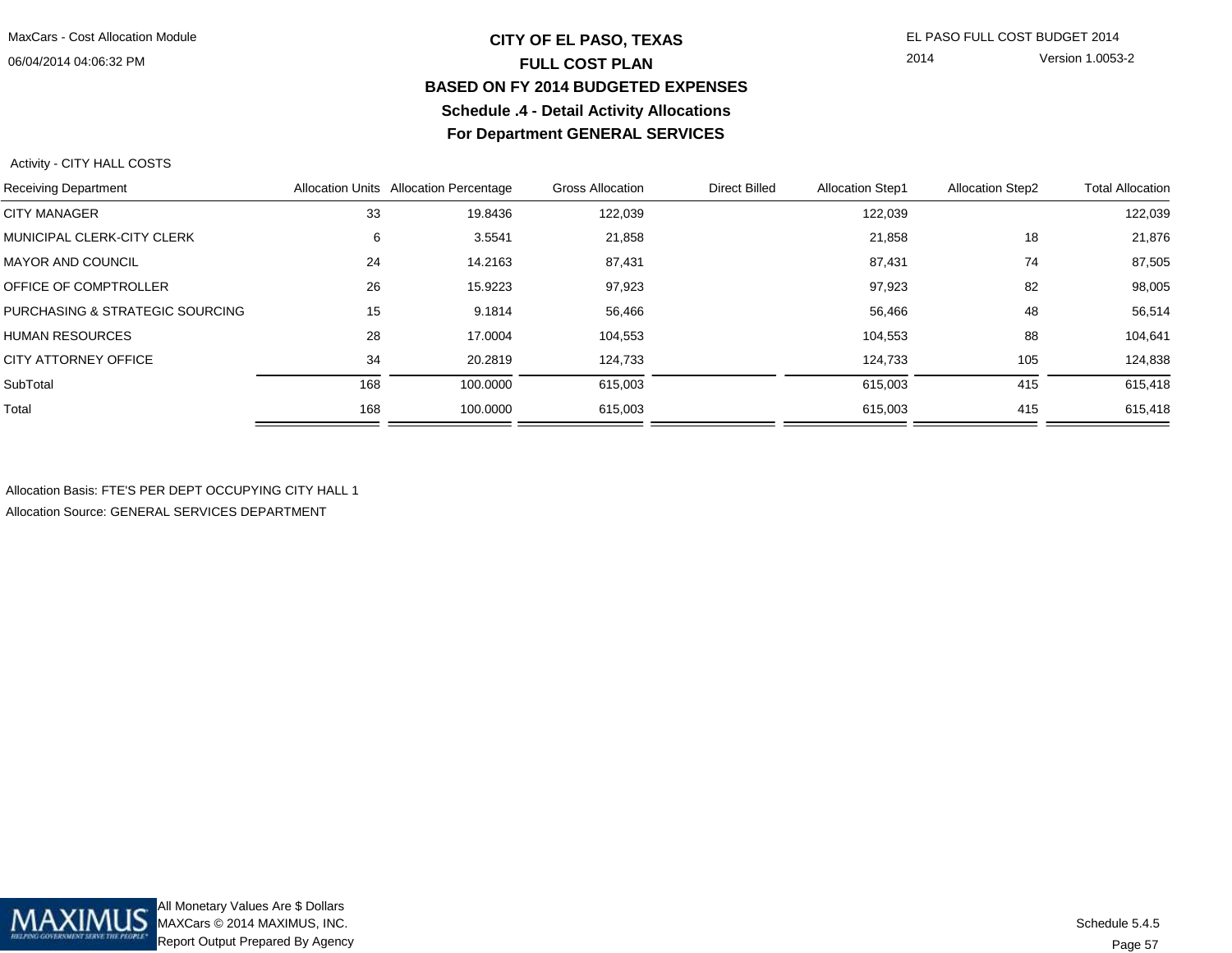## **CITY OF EL PASO, TEXAS** EL PASO FULL COST BUDGET 2014 **FULL COST PLAN BASED ON FY 2014 BUDGETED EXPENSESSchedule .4 - Detail Activity AllocationsFor Department GENERAL SERVICES**

2014 Version 1.0053-2

Activity - CITY HALL COSTS

| <b>Receiving Department</b>     |     | Allocation Units Allocation Percentage | <b>Gross Allocation</b> | Direct Billed | <b>Allocation Step1</b> | <b>Allocation Step2</b> | <b>Total Allocation</b> |
|---------------------------------|-----|----------------------------------------|-------------------------|---------------|-------------------------|-------------------------|-------------------------|
| <b>CITY MANAGER</b>             | 33  | 19.8436                                | 122,039                 |               | 122,039                 |                         | 122,039                 |
| MUNICIPAL CLERK-CITY CLERK      | 6   | 3.5541                                 | 21,858                  |               | 21,858                  | 18                      | 21,876                  |
| <b>MAYOR AND COUNCIL</b>        | 24  | 14.2163                                | 87,431                  |               | 87,431                  | 74                      | 87,505                  |
| OFFICE OF COMPTROLLER           | 26  | 15.9223                                | 97,923                  |               | 97,923                  | 82                      | 98,005                  |
| PURCHASING & STRATEGIC SOURCING | 15  | 9.1814                                 | 56,466                  |               | 56,466                  | 48                      | 56,514                  |
| <b>HUMAN RESOURCES</b>          | 28  | 17.0004                                | 104,553                 |               | 104,553                 | 88                      | 104,641                 |
| CITY ATTORNEY OFFICE            | 34  | 20.2819                                | 124,733                 |               | 124,733                 | 105                     | 124,838                 |
| SubTotal                        | 168 | 100.0000                               | 615,003                 |               | 615,003                 | 415                     | 615,418                 |
| Total                           | 168 | 100.0000                               | 615,003                 |               | 615,003                 | 415                     | 615,418                 |
|                                 |     |                                        |                         |               |                         |                         |                         |

Allocation Basis: FTE'S PER DEPT OCCUPYING CITY HALL 1Allocation Source: GENERAL SERVICES DEPARTMENT

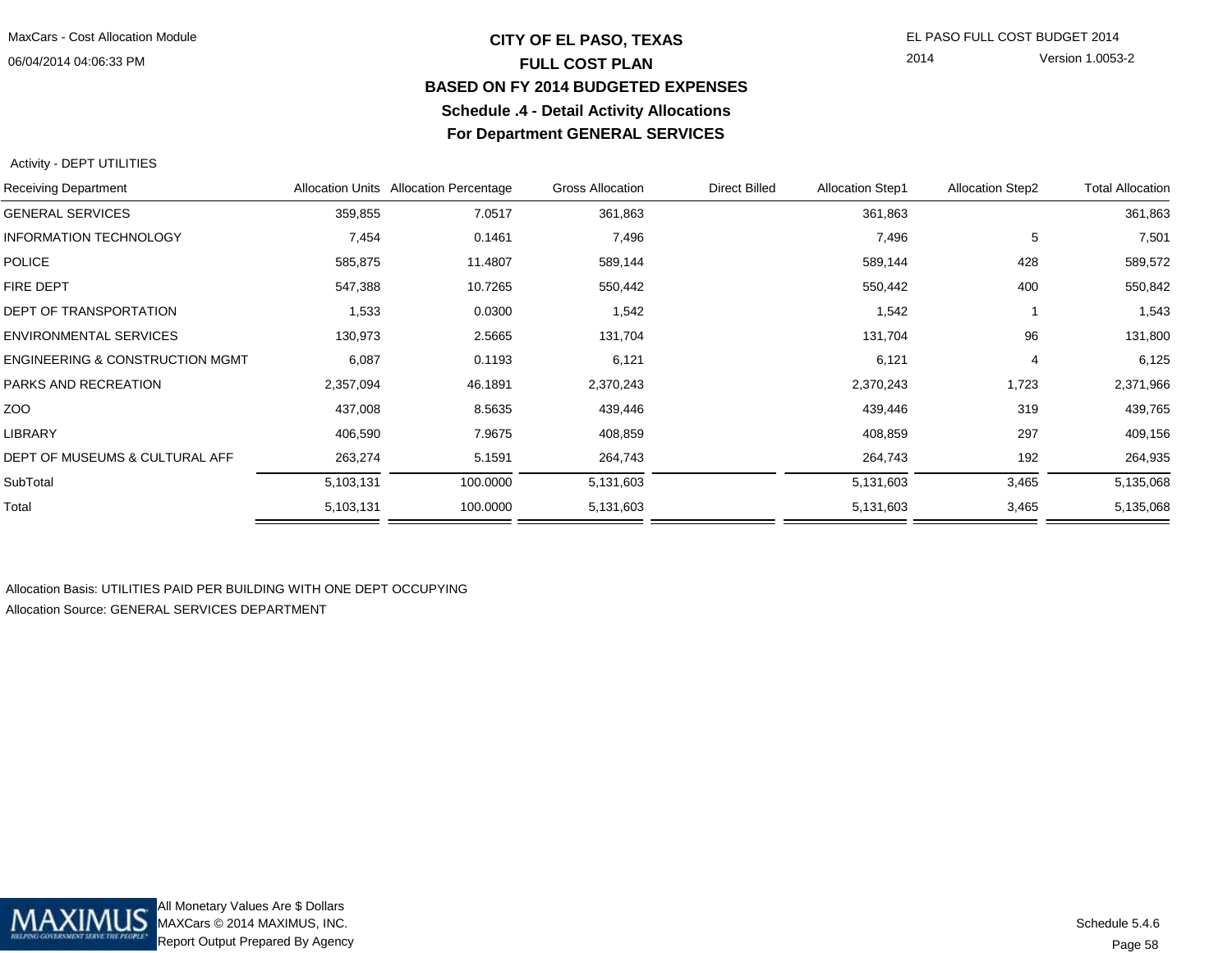## **CITY OF EL PASO, TEXAS** EL PASO FULL COST BUDGET 2014 **FULL COST PLAN BASED ON FY 2014 BUDGETED EXPENSESSchedule .4 - Detail Activity AllocationsFor Department GENERAL SERVICES**

2014 Version 1.0053-2

#### Activity - DEPT UTILITIES

|           |          | Gross Allocation                       | <b>Direct Billed</b> | <b>Allocation Step1</b> | <b>Allocation Step2</b> | <b>Total Allocation</b> |
|-----------|----------|----------------------------------------|----------------------|-------------------------|-------------------------|-------------------------|
| 359,855   | 7.0517   | 361,863                                |                      | 361,863                 |                         | 361,863                 |
| 7,454     | 0.1461   | 7,496                                  |                      | 7,496                   | 5                       | 7,501                   |
| 585,875   | 11.4807  | 589,144                                |                      | 589,144                 | 428                     | 589,572                 |
| 547,388   | 10.7265  | 550,442                                |                      | 550,442                 | 400                     | 550,842                 |
| 1,533     | 0.0300   | 1,542                                  |                      | 1,542                   |                         | 1,543                   |
| 130,973   | 2.5665   | 131,704                                |                      | 131,704                 | 96                      | 131,800                 |
| 6,087     | 0.1193   | 6,121                                  |                      | 6,121                   | 4                       | 6,125                   |
| 2,357,094 | 46.1891  | 2,370,243                              |                      | 2,370,243               | 1,723                   | 2,371,966               |
| 437,008   | 8.5635   | 439,446                                |                      | 439,446                 | 319                     | 439,765                 |
| 406,590   | 7.9675   | 408,859                                |                      | 408,859                 | 297                     | 409,156                 |
| 263,274   | 5.1591   | 264,743                                |                      | 264,743                 | 192                     | 264,935                 |
| 5,103,131 | 100.0000 | 5,131,603                              |                      | 5,131,603               | 3,465                   | 5,135,068               |
| 5,103,131 | 100.0000 | 5,131,603                              |                      | 5,131,603               | 3,465                   | 5,135,068               |
|           |          | Allocation Units Allocation Percentage |                      |                         |                         |                         |

Allocation Basis: UTILITIES PAID PER BUILDING WITH ONE DEPT OCCUPYINGAllocation Source: GENERAL SERVICES DEPARTMENT

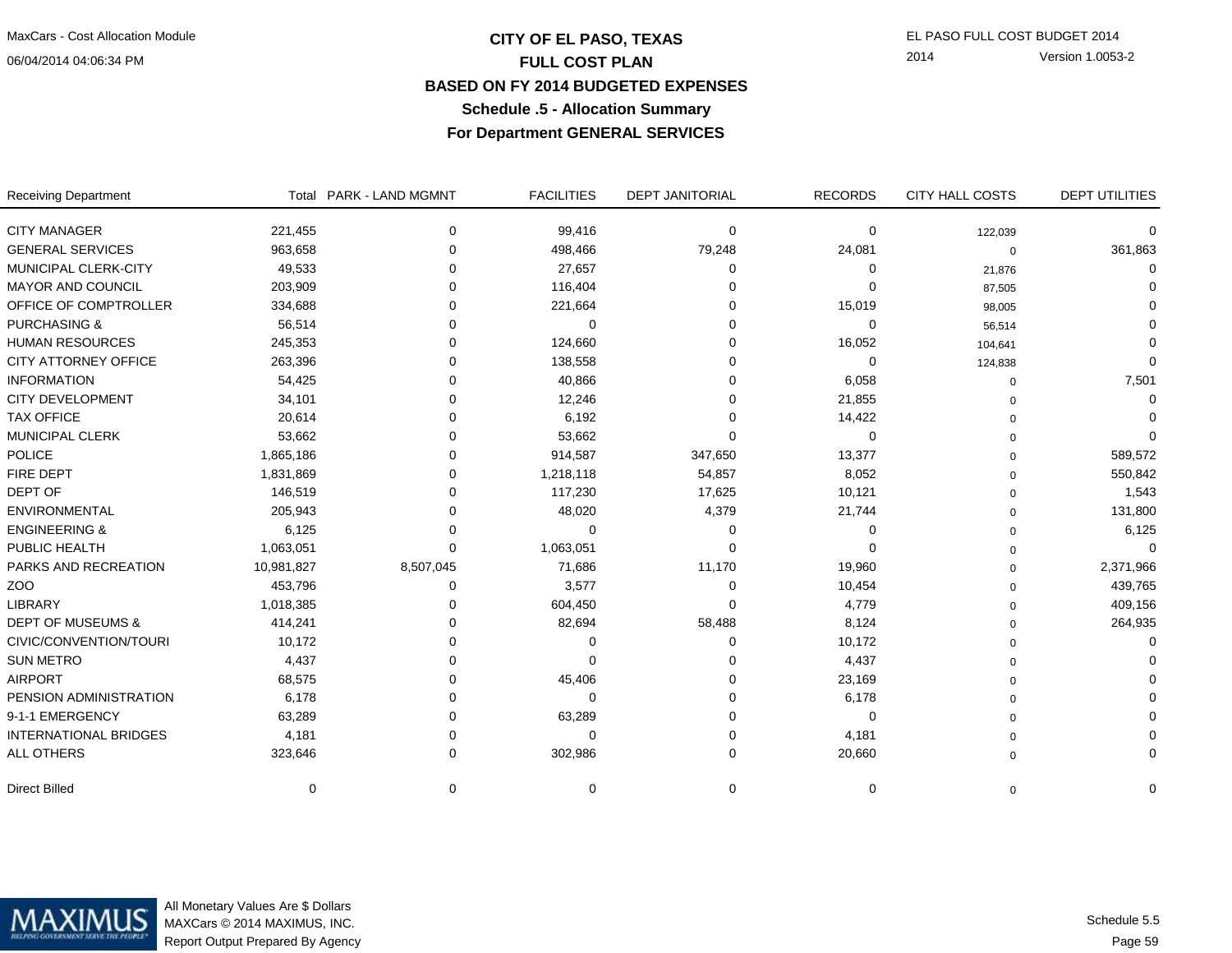## **CITY OF EL PASO, TEXAS** EL PASO FULL COST BUDGET 2014 **FULL COST PLAN BASED ON FY 2014 BUDGETED EXPENSESSchedule .5 - Allocation SummaryFor Department GENERAL SERVICES**

2014 Version 1.0053-2

t Total PARK - LAND MGMNT FACILITIES DEPT JANITORIAL RECORDS CITY HALL COSTS DEPT UTILITIES **FACILITIES** DEPT JANITORIAL RECORDS Receiving DepartmentCITY MANAGER 221,455 0 99,416 0 0 122,039 0 361.863 GENERAL SERVICES 963,658 0 498,466 79,248 24,081 0 361,863 $\mathbf 0$ 0 1,876 1,876 1,877 1,878 1,877 1,878 1,877 1,878 1,877 1,877 1,877 1,877 1,877 1,877 1,877 1,877 1,877 1,877 1  $\mathbf 0$ MAYOR AND COUNCIL 203,909 0 116,404 0 0 87,505 0 $\mathbf 0$ OFFICE OF COMPTROLLER 334,688 0 0 221,664 0 26,005 15,019 98,005  $\mathbf 0$ PURCHASING & 56,514 0 0 0 0 56,514 0 $\Omega$ HUMAN RESOURCES 245,353 0 124,660 0 16,052 104,641 0  $\mathbf 0$ CITY ATTORNEY OFFICE 263,396 0 138,558 0 0 7,501 INFORMATION 54,425 0 40,866 0 6,058 0 7,501 $\mathbf 0$ CITY DEVELOPMENT 34,101 0 12,246 0 21,855 0  $\mathbf 0$ TAX OFFICE 20,614 0 6,192 0 14,422 0 0  $\mathbf 0$ MUNICIPAL CLERK 53,662 0 53,662 0 0 589,572 POLICE 1,865,186 0 914,587 347,650 13,377 0 589,572550,842 FIRE DEPT 1,831,869 0 1,218,118 54,857 8,052 550,842 1,543 DEPT OF 146,519 0 117,230 17,625 10,121 1,543 131.800 ENVIRONMENTAL 205,943 0 48,020 4,379 21,744 0 131,8006,125 ENGINEERING & 6,125 0 0 0 0 0 6,125 $\mathbf 0$ PUBLIC HEALTH 1,063,051 0 1,063,051 0 0 2.371.966 PARKS AND RECREATION 10,981,827 8,507,045 71,686 11,170 19,960 99060 19,960 0 2,371,686 11,170 19,960 19,960 0 439,765 ZOO 453,796 0 3,577 0 10,454 0 439,765409.156 LIBRARY 1,018,385 0 604,450 0 4,779 0 409,156264,935 DEPT OF MUSEUMS & 414,241 0 82,694 58,488 8,124 0 264,935 $\mathbf 0$ CIVIC/CONVENTION/TOURI 10,172 0 0 0 0 10,172 0  $\Omega$ SUN METRO 4,437 0 0 0 4,437 0 0  $\mathbf 0$ AIRPORT 68,575 0 45,406 0 23,169 0 0  $\mathbf 0$ PENSION ADMINISTRATION 6,178 0 0 0 6,178 0 0 $\mathbf 0$ 9-1-1 EMERGENCY 63,289 0 63,289 0 0  $\mathbf 0$ INTERNATIONAL BRIDGES 4,181 0 0 0 4,181 0 0 $\mathbf 0$ ALL OTHERS 323,646 0 302,986 0 20,660 0 0Direct Billed 0 0 0 0 0 0 0

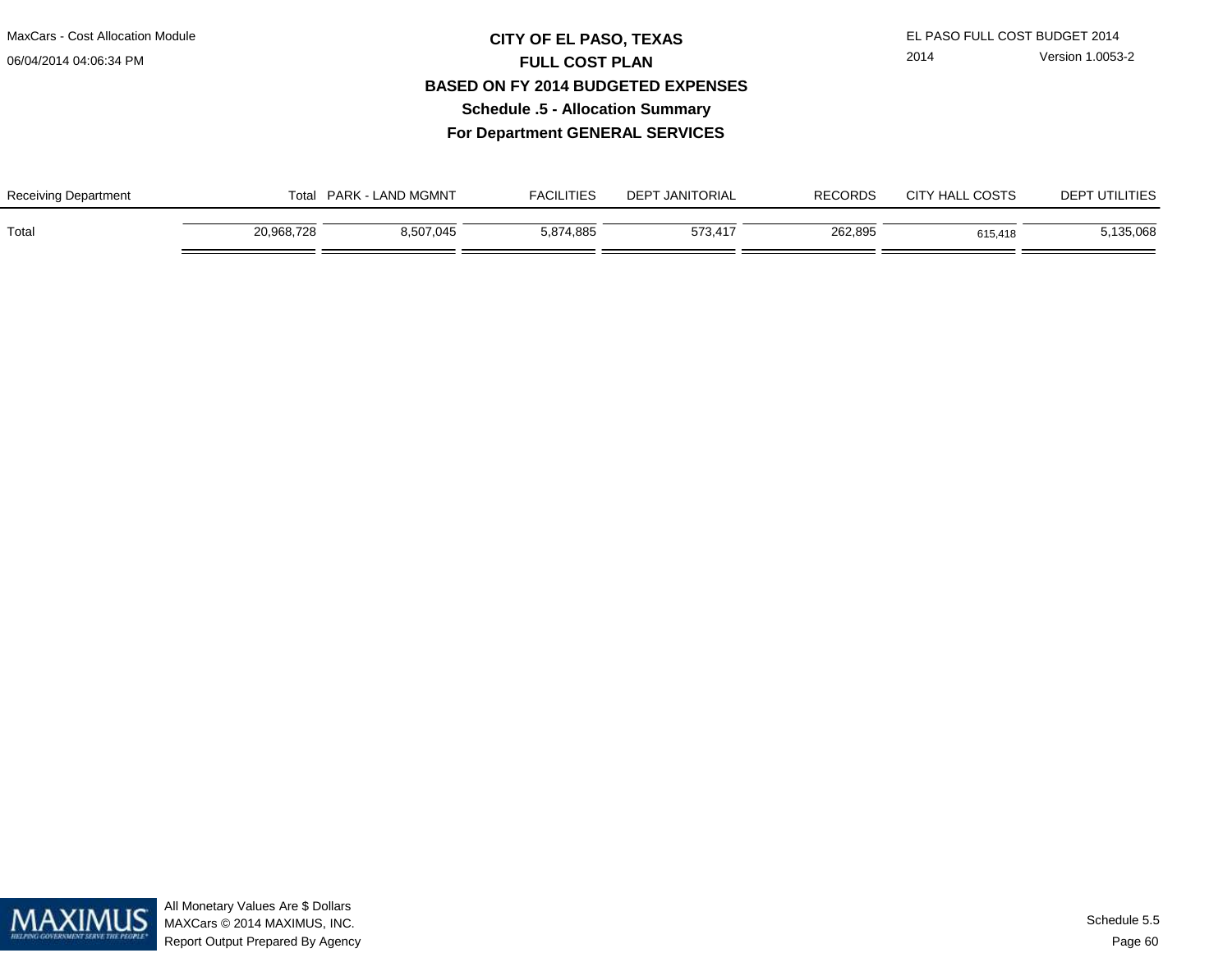## **CITY OF EL PASO, TEXAS** EL PASO FULL COST BUDGET 2014 **FULL COST PLAN BASED ON FY 2014 BUDGETED EXPENSESSchedule .5 - Allocation SummaryFor Department GENERAL SERVICES**

| <b>Receiving Department</b> | <b>. - LAND MGMNT</b><br><b>PARK</b><br>Total |           | FACILITIES | <b>T JANITORIAL</b><br>DEPT | <b>RECORDS</b> | <b>COSTS</b><br><b>CITY HAL</b> | <sup>-</sup> UTILITIES<br>DEP <sub>1</sub> |
|-----------------------------|-----------------------------------------------|-----------|------------|-----------------------------|----------------|---------------------------------|--------------------------------------------|
| Total                       | 20,968,728                                    | 8,507,045 | 5,874,885  | 573,417                     | 262,895        | 615,418                         | 5,135,068                                  |

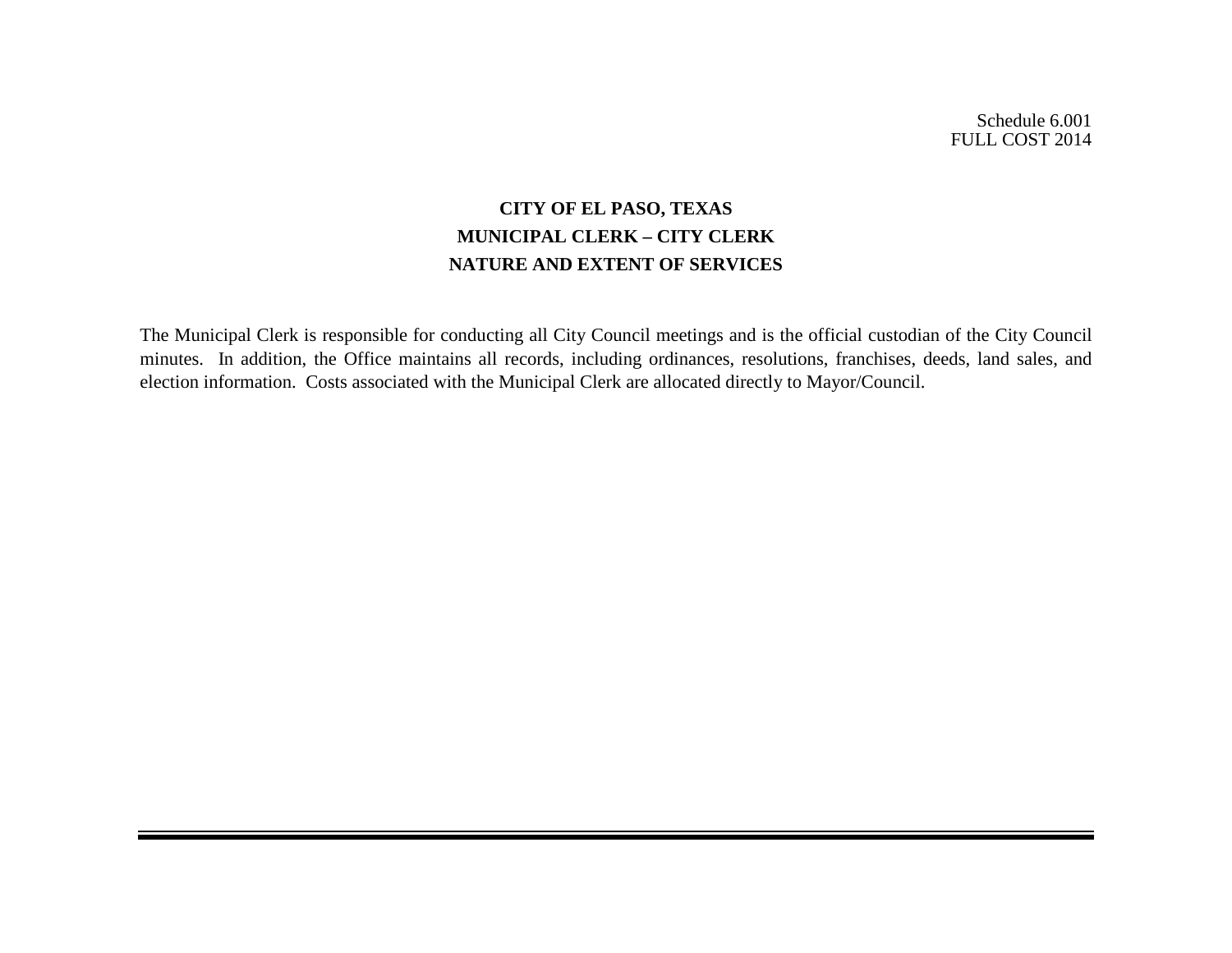Schedule 6.001 FULL COST 2014

## **CITY OF EL PASO, TEXAS MUNICIPAL CLERK – CITY CLERK NATURE AND EXTENT OF SERVICES**

The Municipal Clerk is responsible for conducting all City Council meetings and is the official custodian of the City Council minutes. In addition, the Office maintains all records, including ordinances, resolutions, franchises, deeds, land sales, and election information. Costs associated with the Municipal Clerk are allocated directly to Mayor/Council.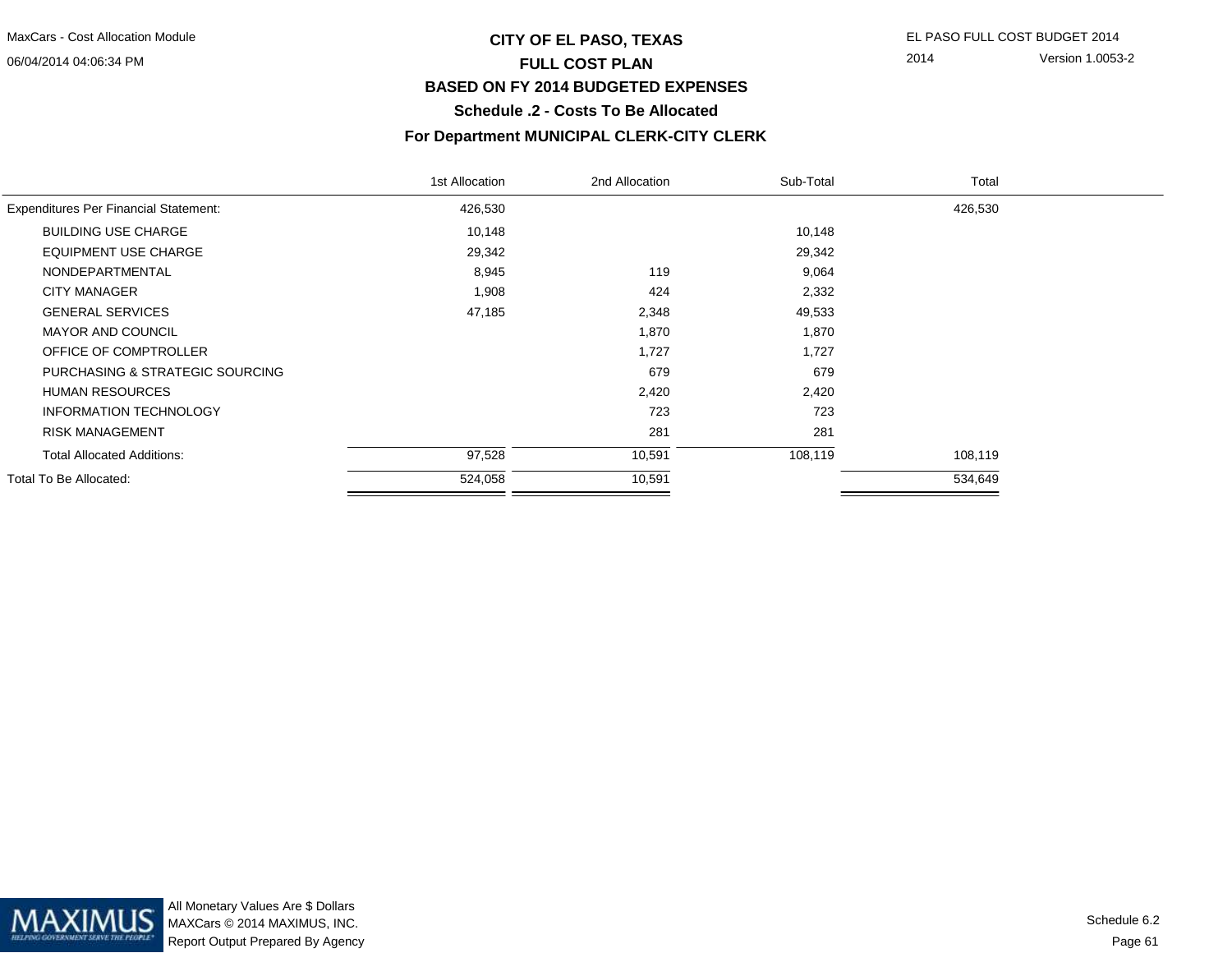## **CITY OF EL PASO, TEXAS** EL PASO FULL COST BUDGET 2014 **FULL COST PLAN BASED ON FY 2014 BUDGETED EXPENSESSchedule .2 - Costs To Be Allocated**

2014 Version 1.0053-2

## **For Department MUNICIPAL CLERK-CITY CLERK**

|                                              | 1st Allocation | 2nd Allocation | Sub-Total | Total   |  |
|----------------------------------------------|----------------|----------------|-----------|---------|--|
| <b>Expenditures Per Financial Statement:</b> | 426,530        |                |           | 426,530 |  |
| <b>BUILDING USE CHARGE</b>                   | 10,148         |                | 10,148    |         |  |
| <b>EQUIPMENT USE CHARGE</b>                  | 29,342         |                | 29,342    |         |  |
| NONDEPARTMENTAL                              | 8,945          | 119            | 9,064     |         |  |
| <b>CITY MANAGER</b>                          | 1,908          | 424            | 2,332     |         |  |
| <b>GENERAL SERVICES</b>                      | 47,185         | 2,348          | 49,533    |         |  |
| <b>MAYOR AND COUNCIL</b>                     |                | 1,870          | 1,870     |         |  |
| OFFICE OF COMPTROLLER                        |                | 1,727          | 1,727     |         |  |
| PURCHASING & STRATEGIC SOURCING              |                | 679            | 679       |         |  |
| <b>HUMAN RESOURCES</b>                       |                | 2,420          | 2,420     |         |  |
| <b>INFORMATION TECHNOLOGY</b>                |                | 723            | 723       |         |  |
| <b>RISK MANAGEMENT</b>                       |                | 281            | 281       |         |  |
| <b>Total Allocated Additions:</b>            | 97,528         | 10,591         | 108,119   | 108,119 |  |
| Total To Be Allocated:                       | 524,058        | 10,591         |           | 534,649 |  |

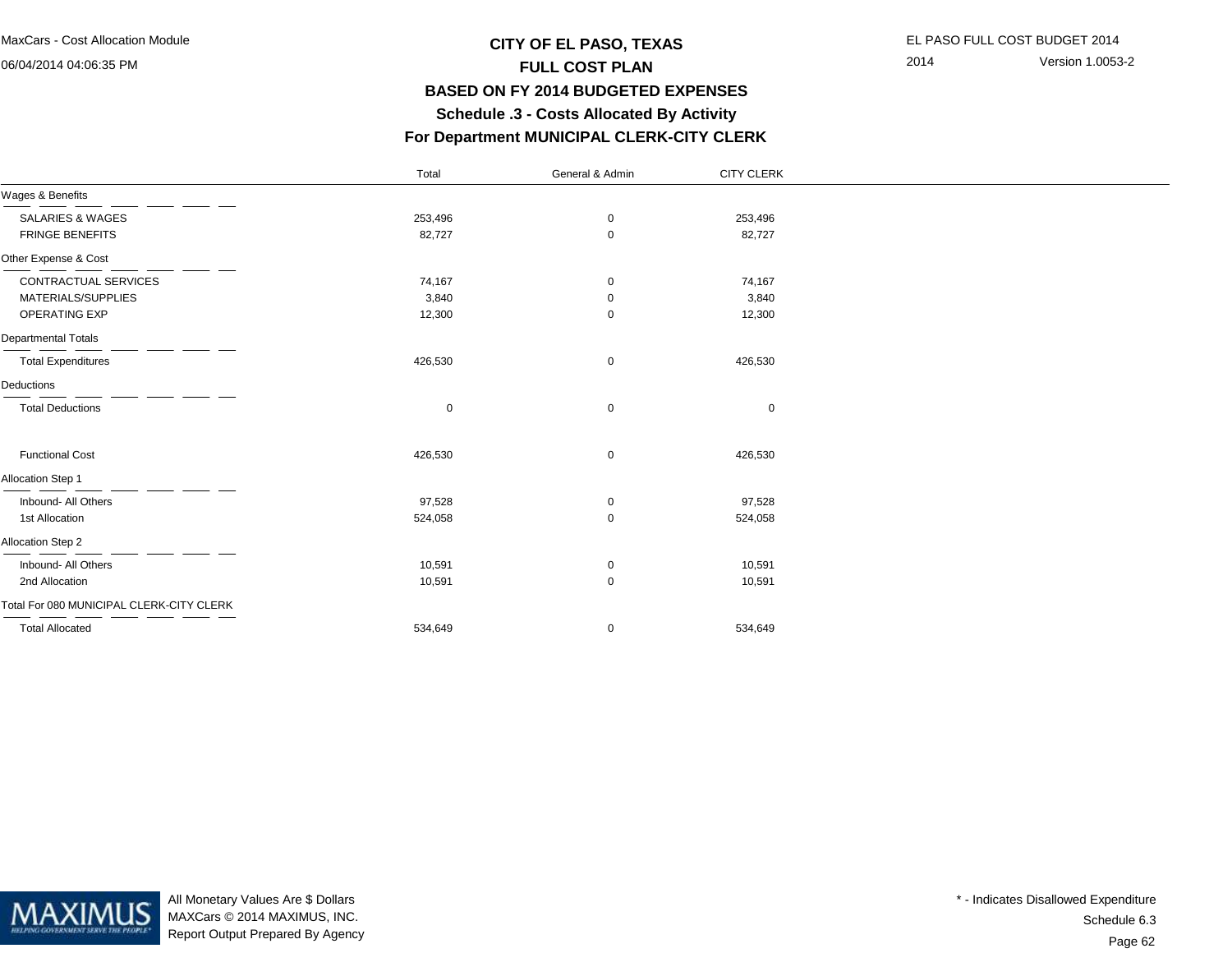## **CITY OF EL PASO, TEXAS** EL PASO FULL COST BUDGET 2014 **FULL COST PLAN BASED ON FY 2014 BUDGETED EXPENSES Schedule .3 - Costs Allocated By ActivityFor Department MUNICIPAL CLERK-CITY CLERK**

General & Admin CITY CLERK

2014 Version 1.0053-2

| Wages & Benefits                         |         |             |             |
|------------------------------------------|---------|-------------|-------------|
| SALARIES & WAGES                         | 253,496 | 0           | 253,496     |
| FRINGE BENEFITS                          | 82,727  | $\mathbf 0$ | 82,727      |
| Other Expense & Cost                     |         |             |             |
| CONTRACTUAL SERVICES                     | 74,167  | 0           | 74,167      |
| MATERIALS/SUPPLIES                       | 3,840   | 0           | 3,840       |
| OPERATING EXP                            | 12,300  | $\mathbf 0$ | 12,300      |
| Departmental Totals                      |         |             |             |
| <b>Total Expenditures</b>                | 426,530 | $\mathbf 0$ | 426,530     |
| Deductions                               |         |             |             |
| <b>Total Deductions</b>                  | 0       | $\mathbf 0$ | $\mathbf 0$ |
| <b>Functional Cost</b>                   | 426,530 | $\mathbf 0$ | 426,530     |
| Allocation Step 1                        |         |             |             |
| Inbound- All Others                      | 97,528  | 0           | 97,528      |
| 1st Allocation                           | 524,058 | $\mathbf 0$ | 524,058     |
| Allocation Step 2                        |         |             |             |
| Inbound- All Others                      | 10,591  | 0           | 10,591      |
| 2nd Allocation                           | 10,591  | $\pmb{0}$   | 10,591      |
| Total For 080 MUNICIPAL CLERK-CITY CLERK |         |             |             |

Total

Total Allocated 534,649 0 534,649



All Monetary Values Are \$ Dollars MAXCars © 2014 MAXIMUS, INC.Report Output Prepared By Agency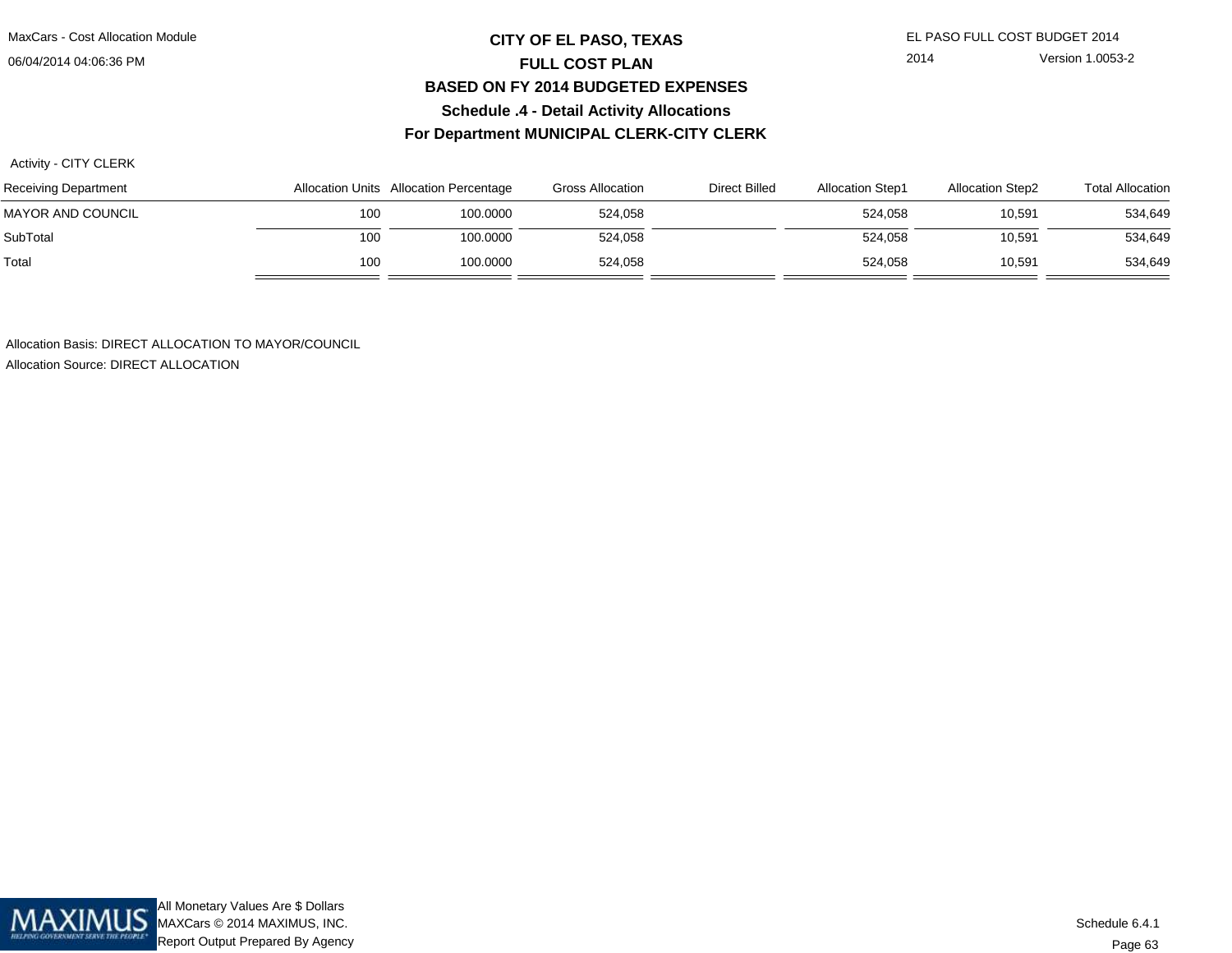MaxCars - Cost Allocation Module

06/04/2014 04:06:36 PM

## **CITY OF EL PASO, TEXAS** EL PASO FULL COST BUDGET 2014 **FULL COST PLAN BASED ON FY 2014 BUDGETED EXPENSESSchedule .4 - Detail Activity AllocationsFor Department MUNICIPAL CLERK-CITY CLERK**

2014 Version 1.0053-2

Activity - CITY CLERK

| Receiving Department | Allocation Units Allocation Percentage |          | <b>Gross Allocation</b> | Direct Billed | <b>Allocation Step1</b> | <b>Allocation Step2</b> | <b>Total Allocation</b> |
|----------------------|----------------------------------------|----------|-------------------------|---------------|-------------------------|-------------------------|-------------------------|
| MAYOR AND COUNCIL    | 100                                    | 100.0000 | 524.058                 |               | 524.058                 | 10.591                  | 534,649                 |
| SubTotal             | 100                                    | 100.0000 | 524,058                 |               | 524.058                 | 10,591                  | 534,649                 |
| Total                | 100                                    | 100.0000 | 524,058                 |               | 524,058                 | 10,591                  | 534,649                 |

Allocation Basis: DIRECT ALLOCATION TO MAYOR/COUNCIL

Allocation Source: DIRECT ALLOCATION

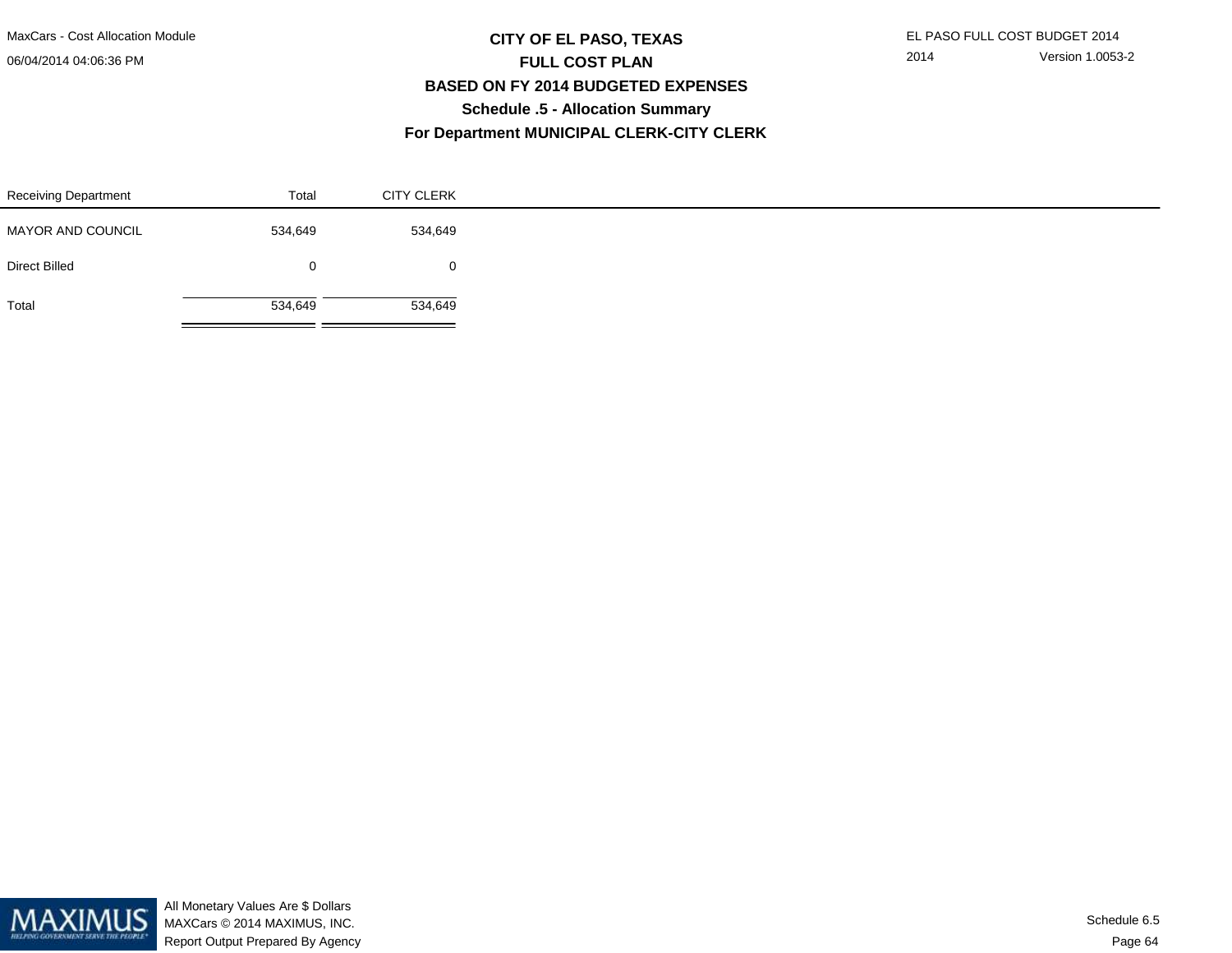MaxCars - Cost Allocation Module

06/04/2014 04:06:36 PM

## **CITY OF EL PASO, TEXAS** EL PASO FULL COST BUDGET 2014 **FULL COST PLAN BASED ON FY 2014 BUDGETED EXPENSESSchedule .5 - Allocation SummaryFor Department MUNICIPAL CLERK-CITY CLERK**

2014 Version 1.0053-2

| <b>Receiving Department</b> | Total        | <b>CITY CLERK</b> |  |
|-----------------------------|--------------|-------------------|--|
| MAYOR AND COUNCIL           | 534,649      | 534,649           |  |
| <b>Direct Billed</b>        | $\mathbf{0}$ | $\mathbf{0}$      |  |
| Total                       | 534,649      | 534,649           |  |

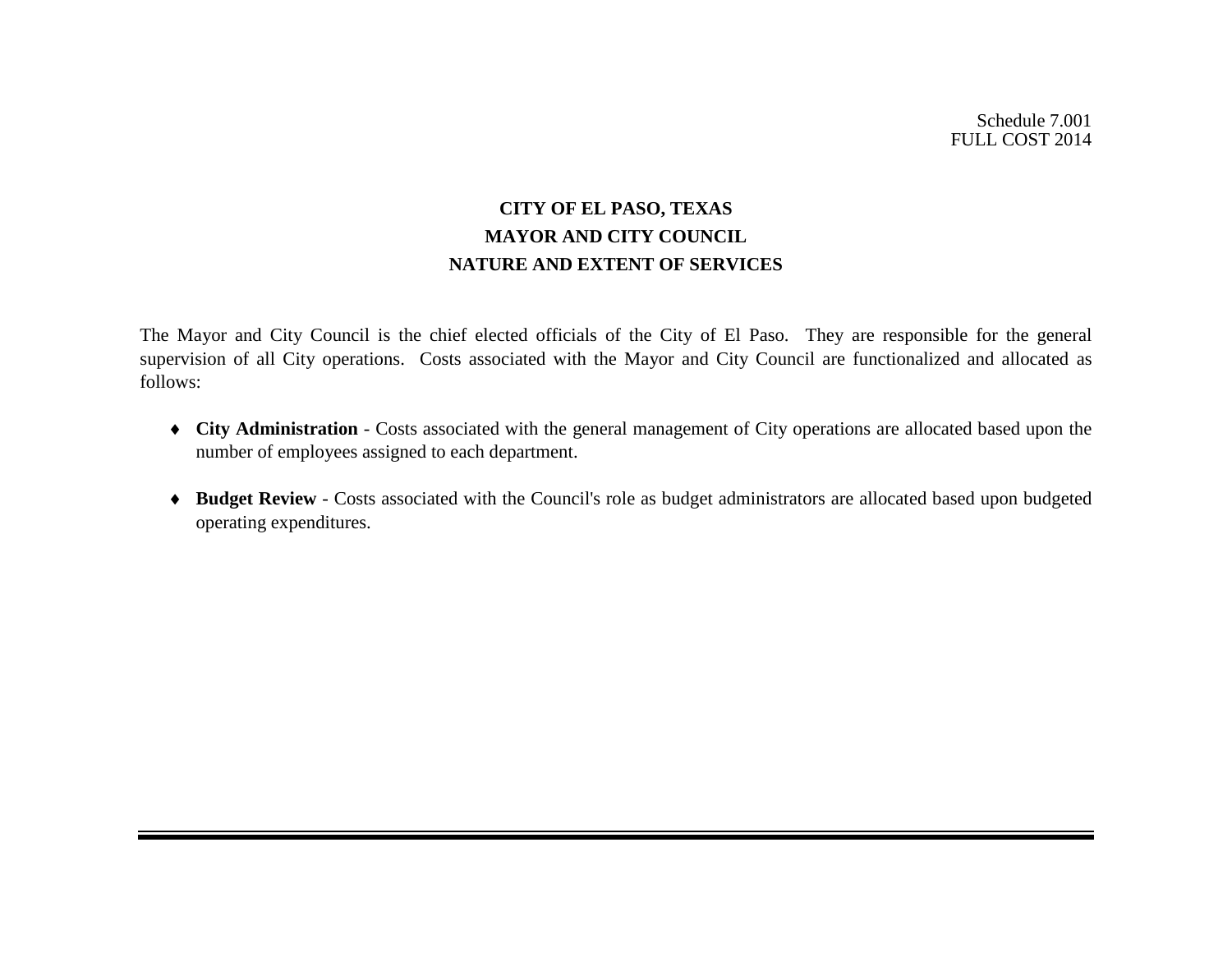## **CITY OF EL PASO, TEXAS MAYOR AND CITY COUNCIL NATURE AND EXTENT OF SERVICES**

The Mayor and City Council is the chief elected officials of the City of El Paso. They are responsible for the general supervision of all City operations. Costs associated with the Mayor and City Council are functionalized and allocated as follows:

- ♦ **City Administration** Costs associated with the general management of City operations are allocated based upon the number of employees assigned to each department.
- ♦ **Budget Review** Costs associated with the Council's role as budget administrators are allocated based upon budgeted operating expenditures.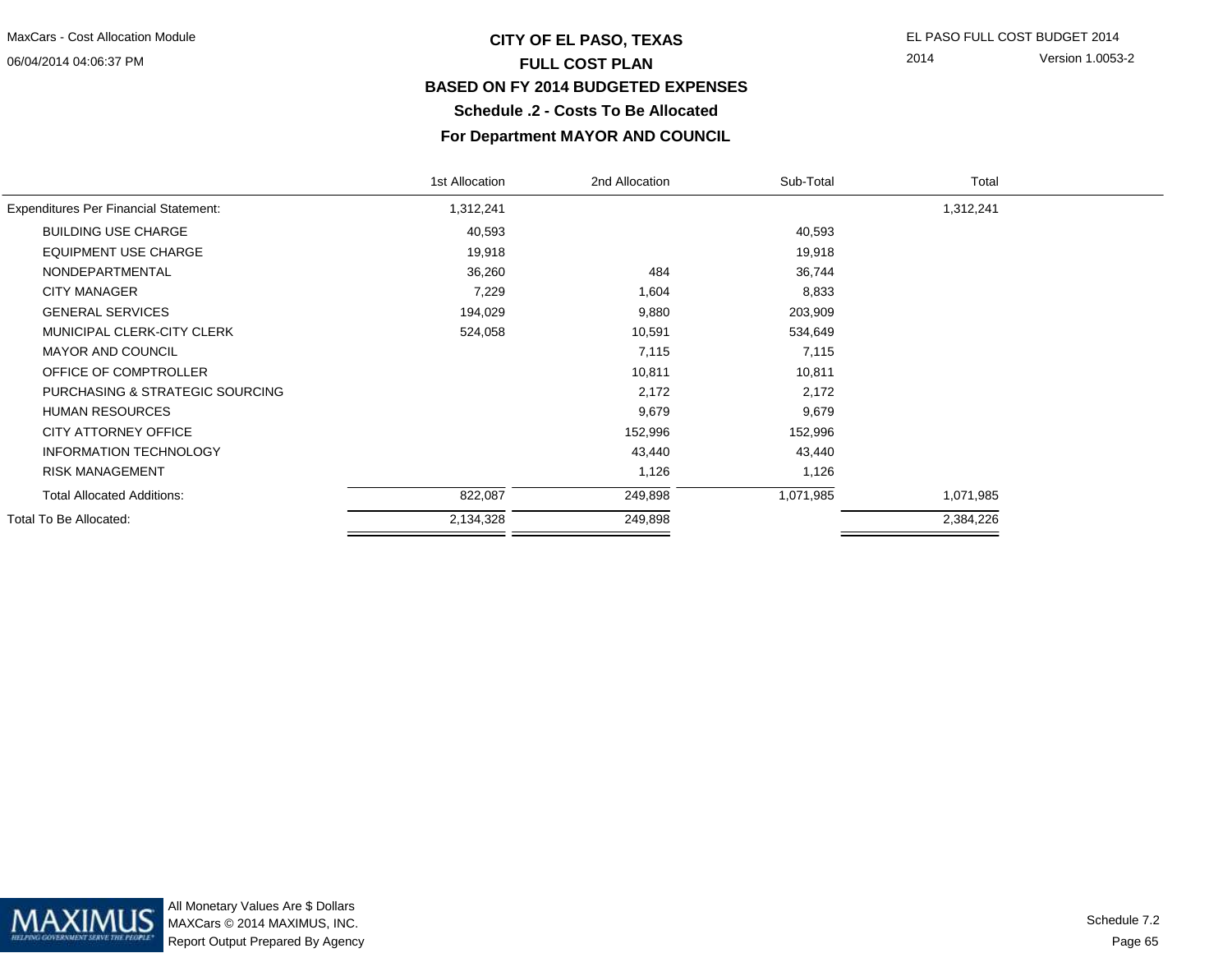## **CITY OF EL PASO, TEXAS** EL PASO FULL COST BUDGET 2014 **FULL COST PLAN BASED ON FY 2014 BUDGETED EXPENSESSchedule .2 - Costs To Be Allocated**

2014 Version 1.0053-2

## **For Department MAYOR AND COUNCIL**

|                                              | 1st Allocation | 2nd Allocation | Sub-Total | Total     |  |
|----------------------------------------------|----------------|----------------|-----------|-----------|--|
| <b>Expenditures Per Financial Statement:</b> | 1,312,241      |                |           | 1,312,241 |  |
| <b>BUILDING USE CHARGE</b>                   | 40,593         |                | 40,593    |           |  |
| <b>EQUIPMENT USE CHARGE</b>                  | 19,918         |                | 19,918    |           |  |
| NONDEPARTMENTAL                              | 36,260         | 484            | 36,744    |           |  |
| <b>CITY MANAGER</b>                          | 7,229          | 1,604          | 8,833     |           |  |
| <b>GENERAL SERVICES</b>                      | 194,029        | 9,880          | 203,909   |           |  |
| MUNICIPAL CLERK-CITY CLERK                   | 524,058        | 10,591         | 534,649   |           |  |
| <b>MAYOR AND COUNCIL</b>                     |                | 7,115          | 7,115     |           |  |
| OFFICE OF COMPTROLLER                        |                | 10,811         | 10,811    |           |  |
| PURCHASING & STRATEGIC SOURCING              |                | 2,172          | 2,172     |           |  |
| <b>HUMAN RESOURCES</b>                       |                | 9,679          | 9,679     |           |  |
| CITY ATTORNEY OFFICE                         |                | 152,996        | 152,996   |           |  |
| <b>INFORMATION TECHNOLOGY</b>                |                | 43,440         | 43,440    |           |  |
| <b>RISK MANAGEMENT</b>                       |                | 1,126          | 1,126     |           |  |
| <b>Total Allocated Additions:</b>            | 822,087        | 249,898        | 1,071,985 | 1,071,985 |  |
| Total To Be Allocated:                       | 2,134,328      | 249,898        |           | 2,384,226 |  |
|                                              |                |                |           |           |  |

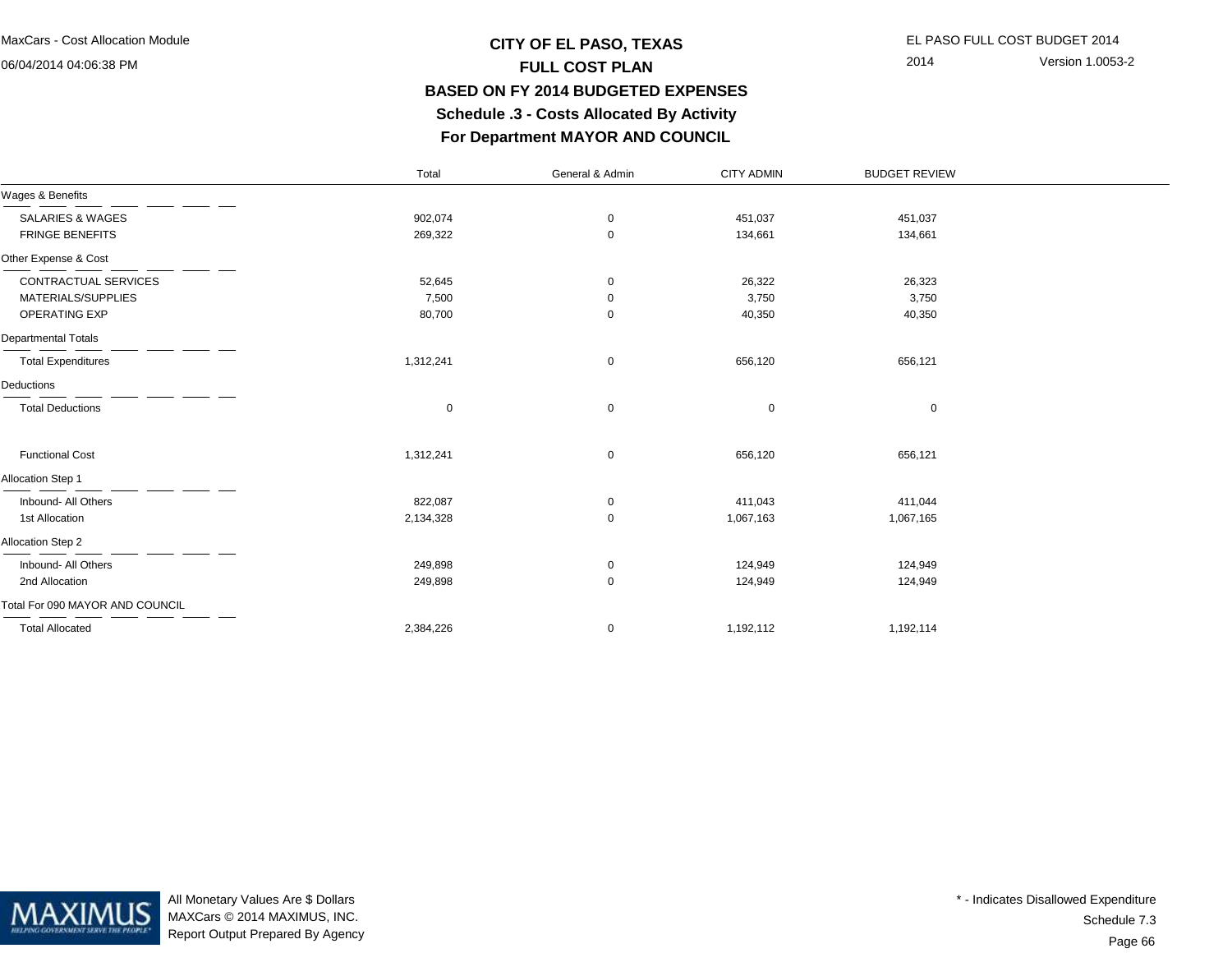## **CITY OF EL PASO, TEXAS** EL PASO FULL COST BUDGET 2014 **FULL COST PLAN BASED ON FY 2014 BUDGETED EXPENSES Schedule .3 - Costs Allocated By ActivityFor Department MAYOR AND COUNCIL**

2014 Version 1.0053-2

|                                 | Total       | General & Admin | <b>CITY ADMIN</b> | <b>BUDGET REVIEW</b> |  |
|---------------------------------|-------------|-----------------|-------------------|----------------------|--|
| Wages & Benefits                |             |                 |                   |                      |  |
| SALARIES & WAGES                | 902,074     | 0               | 451,037           | 451,037              |  |
| <b>FRINGE BENEFITS</b>          | 269,322     | 0               | 134,661           | 134,661              |  |
| Other Expense & Cost            |             |                 |                   |                      |  |
| CONTRACTUAL SERVICES            | 52,645      | 0               | 26,322            | 26,323               |  |
| MATERIALS/SUPPLIES              | 7,500       | 0               | 3,750             | 3,750                |  |
| OPERATING EXP                   | 80,700      | 0               | 40,350            | 40,350               |  |
| <b>Departmental Totals</b>      |             |                 |                   |                      |  |
| <b>Total Expenditures</b>       | 1,312,241   | 0               | 656,120           | 656,121              |  |
| Deductions                      |             |                 |                   |                      |  |
| <b>Total Deductions</b>         | $\mathbf 0$ | 0               | 0                 | $\mathbf 0$          |  |
| <b>Functional Cost</b>          | 1,312,241   | 0               | 656,120           | 656,121              |  |
| Allocation Step 1               |             |                 |                   |                      |  |
| Inbound- All Others             | 822,087     | 0               | 411,043           | 411,044              |  |
| 1st Allocation                  | 2,134,328   | 0               | 1,067,163         | 1,067,165            |  |
| Allocation Step 2               |             |                 |                   |                      |  |
| Inbound- All Others             | 249,898     | 0               | 124,949           | 124,949              |  |
| 2nd Allocation                  | 249,898     | 0               | 124,949           | 124,949              |  |
| Total For 090 MAYOR AND COUNCIL |             |                 |                   |                      |  |
| <b>Total Allocated</b>          | 2,384,226   | 0               | 1,192,112         | 1,192,114            |  |



All Monetary Values Are \$ Dollars MAXCars © 2014 MAXIMUS, INC.Report Output Prepared By Agency

Page 66Schedule 7.3\* - Indicates Disallowed Expenditure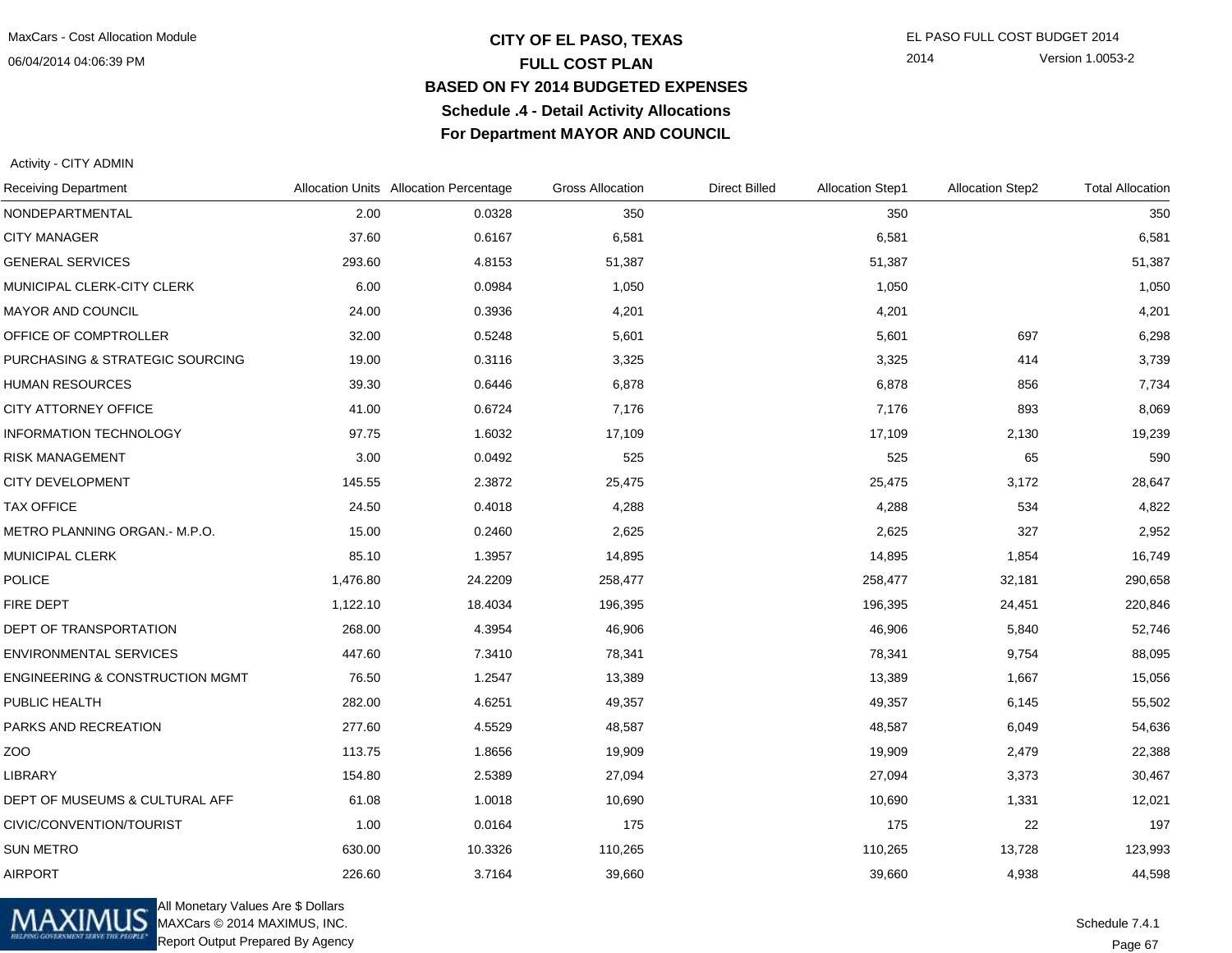## **CITY OF EL PASO, TEXAS** EL PASO FULL COST BUDGET 2014 **FULL COST PLAN BASED ON FY 2014 BUDGETED EXPENSESSchedule .4 - Detail Activity AllocationsFor Department MAYOR AND COUNCIL**

2014 Version 1.0053-2

Activity - CITY ADMIN

| <b>Receiving Department</b>                |          | Allocation Units Allocation Percentage | <b>Gross Allocation</b> | <b>Direct Billed</b> | <b>Allocation Step1</b> | <b>Allocation Step2</b> | <b>Total Allocation</b> |
|--------------------------------------------|----------|----------------------------------------|-------------------------|----------------------|-------------------------|-------------------------|-------------------------|
| NONDEPARTMENTAL                            | 2.00     | 0.0328                                 | 350                     |                      | 350                     |                         | 350                     |
| <b>CITY MANAGER</b>                        | 37.60    | 0.6167                                 | 6,581                   |                      | 6,581                   |                         | 6,581                   |
| <b>GENERAL SERVICES</b>                    | 293.60   | 4.8153                                 | 51,387                  |                      | 51,387                  |                         | 51,387                  |
| MUNICIPAL CLERK-CITY CLERK                 | 6.00     | 0.0984                                 | 1,050                   |                      | 1,050                   |                         | 1,050                   |
| MAYOR AND COUNCIL                          | 24.00    | 0.3936                                 | 4,201                   |                      | 4,201                   |                         | 4,201                   |
| OFFICE OF COMPTROLLER                      | 32.00    | 0.5248                                 | 5,601                   |                      | 5,601                   | 697                     | 6,298                   |
| PURCHASING & STRATEGIC SOURCING            | 19.00    | 0.3116                                 | 3,325                   |                      | 3,325                   | 414                     | 3,739                   |
| <b>HUMAN RESOURCES</b>                     | 39.30    | 0.6446                                 | 6,878                   |                      | 6,878                   | 856                     | 7,734                   |
| CITY ATTORNEY OFFICE                       | 41.00    | 0.6724                                 | 7,176                   |                      | 7,176                   | 893                     | 8,069                   |
| <b>INFORMATION TECHNOLOGY</b>              | 97.75    | 1.6032                                 | 17,109                  |                      | 17,109                  | 2,130                   | 19,239                  |
| <b>RISK MANAGEMENT</b>                     | 3.00     | 0.0492                                 | 525                     |                      | 525                     | 65                      | 590                     |
| <b>CITY DEVELOPMENT</b>                    | 145.55   | 2.3872                                 | 25,475                  |                      | 25,475                  | 3,172                   | 28,647                  |
| <b>TAX OFFICE</b>                          | 24.50    | 0.4018                                 | 4,288                   |                      | 4,288                   | 534                     | 4,822                   |
| METRO PLANNING ORGAN.- M.P.O.              | 15.00    | 0.2460                                 | 2,625                   |                      | 2,625                   | 327                     | 2,952                   |
| <b>MUNICIPAL CLERK</b>                     | 85.10    | 1.3957                                 | 14,895                  |                      | 14,895                  | 1,854                   | 16,749                  |
| <b>POLICE</b>                              | 1,476.80 | 24.2209                                | 258,477                 |                      | 258,477                 | 32,181                  | 290,658                 |
| FIRE DEPT                                  | 1,122.10 | 18.4034                                | 196,395                 |                      | 196,395                 | 24,451                  | 220,846                 |
| DEPT OF TRANSPORTATION                     | 268.00   | 4.3954                                 | 46,906                  |                      | 46,906                  | 5,840                   | 52,746                  |
| <b>ENVIRONMENTAL SERVICES</b>              | 447.60   | 7.3410                                 | 78,341                  |                      | 78,341                  | 9,754                   | 88,095                  |
| <b>ENGINEERING &amp; CONSTRUCTION MGMT</b> | 76.50    | 1.2547                                 | 13,389                  |                      | 13,389                  | 1,667                   | 15,056                  |
| PUBLIC HEALTH                              | 282.00   | 4.6251                                 | 49,357                  |                      | 49,357                  | 6,145                   | 55,502                  |
| PARKS AND RECREATION                       | 277.60   | 4.5529                                 | 48,587                  |                      | 48,587                  | 6,049                   | 54,636                  |
| ZOO                                        | 113.75   | 1.8656                                 | 19,909                  |                      | 19,909                  | 2,479                   | 22,388                  |
| <b>LIBRARY</b>                             | 154.80   | 2.5389                                 | 27,094                  |                      | 27,094                  | 3,373                   | 30,467                  |
| DEPT OF MUSEUMS & CULTURAL AFF             | 61.08    | 1.0018                                 | 10,690                  |                      | 10,690                  | 1,331                   | 12,021                  |
| CIVIC/CONVENTION/TOURIST                   | 1.00     | 0.0164                                 | 175                     |                      | 175                     | 22                      | 197                     |
| <b>SUN METRO</b>                           | 630.00   | 10.3326                                | 110,265                 |                      | 110,265                 | 13,728                  | 123,993                 |
| <b>AIRPORT</b>                             | 226.60   | 3.7164                                 | 39,660                  |                      | 39,660                  | 4,938                   | 44,598                  |



All Monetary Values Are \$ Dollars MAXCars © 2014 MAXIMUS, INC.Report Output Prepared By Agency

Page 67Schedule 7.4.1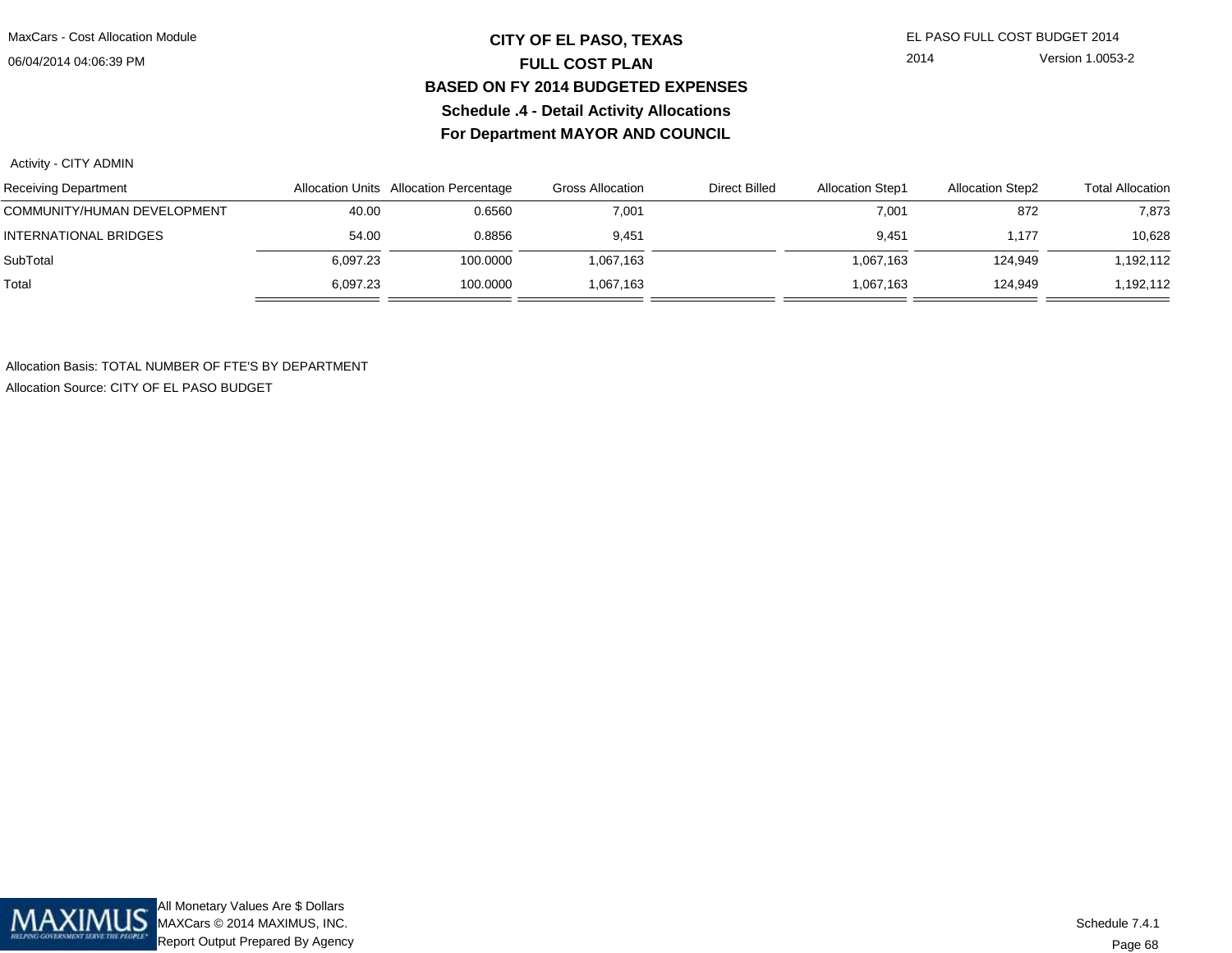## **CITY OF EL PASO, TEXAS** EL PASO FULL COST BUDGET 2014 **FULL COST PLAN BASED ON FY 2014 BUDGETED EXPENSESSchedule .4 - Detail Activity AllocationsFor Department MAYOR AND COUNCIL**

2014 Version 1.0053-2

Activity - CITY ADMIN

| <b>Receiving Department</b>  |          | Allocation Units Allocation Percentage | <b>Gross Allocation</b> | <b>Direct Billed</b> | <b>Allocation Step1</b> | <b>Allocation Step2</b> | <b>Total Allocation</b> |
|------------------------------|----------|----------------------------------------|-------------------------|----------------------|-------------------------|-------------------------|-------------------------|
| COMMUNITY/HUMAN DEVELOPMENT  | 40.00    | 0.6560                                 | 7,001                   |                      | 7,001                   | 872                     | 7,873                   |
| <b>INTERNATIONAL BRIDGES</b> | 54.00    | 0.8856                                 | 9,451                   |                      | 9.451                   | 1.177                   | 10,628                  |
| SubTotal                     | 6,097.23 | 100.0000                               | 1,067,163               |                      | 1,067,163               | 124,949                 | 1,192,112               |
| Total                        | 6.097.23 | 100.0000                               | 1,067,163               |                      | 1,067,163               | 124,949                 | 1,192,112               |

Allocation Basis: TOTAL NUMBER OF FTE'S BY DEPARTMENTAllocation Source: CITY OF EL PASO BUDGET

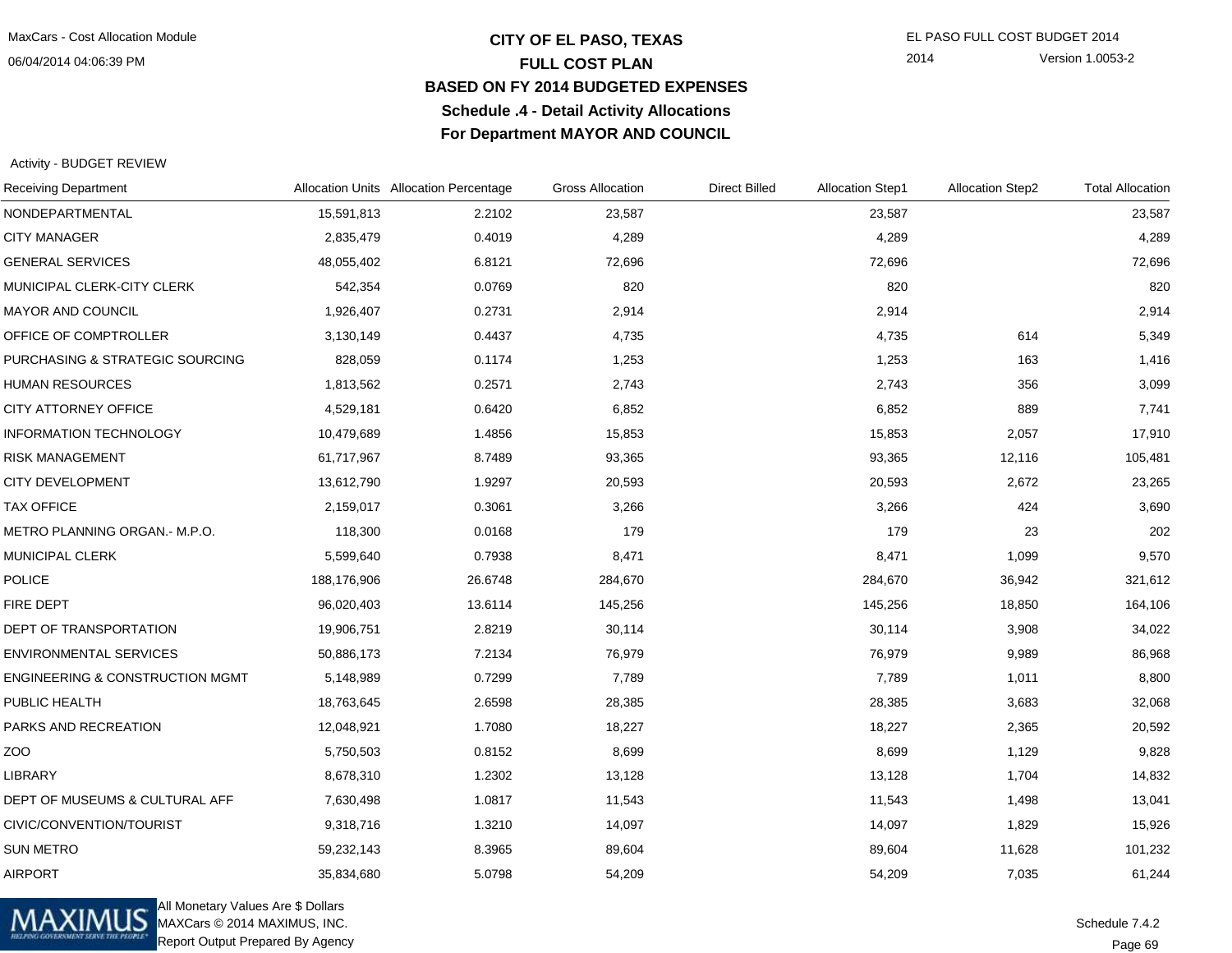## **CITY OF EL PASO, TEXAS** EL PASO FULL COST BUDGET 2014 **FULL COST PLAN BASED ON FY 2014 BUDGETED EXPENSESSchedule .4 - Detail Activity AllocationsFor Department MAYOR AND COUNCIL**

2014 Version 1.0053-2

#### Activity - BUDGET REVIEW

| <b>Receiving Department</b>                |             | Allocation Units Allocation Percentage | <b>Gross Allocation</b> | <b>Direct Billed</b> | <b>Allocation Step1</b> | <b>Allocation Step2</b> | <b>Total Allocation</b> |
|--------------------------------------------|-------------|----------------------------------------|-------------------------|----------------------|-------------------------|-------------------------|-------------------------|
| NONDEPARTMENTAL                            | 15,591,813  | 2.2102                                 | 23,587                  |                      | 23,587                  |                         | 23,587                  |
| <b>CITY MANAGER</b>                        | 2,835,479   | 0.4019                                 | 4,289                   |                      | 4,289                   |                         | 4,289                   |
| <b>GENERAL SERVICES</b>                    | 48,055,402  | 6.8121                                 | 72,696                  |                      | 72,696                  |                         | 72,696                  |
| MUNICIPAL CLERK-CITY CLERK                 | 542,354     | 0.0769                                 | 820                     |                      | 820                     |                         | 820                     |
| MAYOR AND COUNCIL                          | 1,926,407   | 0.2731                                 | 2,914                   |                      | 2,914                   |                         | 2,914                   |
| OFFICE OF COMPTROLLER                      | 3,130,149   | 0.4437                                 | 4,735                   |                      | 4,735                   | 614                     | 5,349                   |
| PURCHASING & STRATEGIC SOURCING            | 828,059     | 0.1174                                 | 1,253                   |                      | 1,253                   | 163                     | 1,416                   |
| HUMAN RESOURCES                            | 1,813,562   | 0.2571                                 | 2,743                   |                      | 2,743                   | 356                     | 3,099                   |
| CITY ATTORNEY OFFICE                       | 4,529,181   | 0.6420                                 | 6,852                   |                      | 6,852                   | 889                     | 7,741                   |
| <b>INFORMATION TECHNOLOGY</b>              | 10,479,689  | 1.4856                                 | 15,853                  |                      | 15,853                  | 2,057                   | 17,910                  |
| <b>RISK MANAGEMENT</b>                     | 61,717,967  | 8.7489                                 | 93,365                  |                      | 93,365                  | 12,116                  | 105,481                 |
| CITY DEVELOPMENT                           | 13,612,790  | 1.9297                                 | 20,593                  |                      | 20,593                  | 2,672                   | 23,265                  |
| <b>TAX OFFICE</b>                          | 2,159,017   | 0.3061                                 | 3,266                   |                      | 3,266                   | 424                     | 3,690                   |
| METRO PLANNING ORGAN.- M.P.O.              | 118,300     | 0.0168                                 | 179                     |                      | 179                     | 23                      | 202                     |
| MUNICIPAL CLERK                            | 5,599,640   | 0.7938                                 | 8,471                   |                      | 8,471                   | 1,099                   | 9,570                   |
| <b>POLICE</b>                              | 188,176,906 | 26.6748                                | 284,670                 |                      | 284,670                 | 36,942                  | 321,612                 |
| FIRE DEPT                                  | 96,020,403  | 13.6114                                | 145,256                 |                      | 145,256                 | 18,850                  | 164,106                 |
| DEPT OF TRANSPORTATION                     | 19,906,751  | 2.8219                                 | 30,114                  |                      | 30,114                  | 3,908                   | 34,022                  |
| <b>ENVIRONMENTAL SERVICES</b>              | 50,886,173  | 7.2134                                 | 76,979                  |                      | 76,979                  | 9,989                   | 86,968                  |
| <b>ENGINEERING &amp; CONSTRUCTION MGMT</b> | 5,148,989   | 0.7299                                 | 7,789                   |                      | 7,789                   | 1,011                   | 8,800                   |
| PUBLIC HEALTH                              | 18,763,645  | 2.6598                                 | 28,385                  |                      | 28,385                  | 3,683                   | 32,068                  |
| PARKS AND RECREATION                       | 12,048,921  | 1.7080                                 | 18,227                  |                      | 18,227                  | 2,365                   | 20,592                  |
| ZOO                                        | 5,750,503   | 0.8152                                 | 8,699                   |                      | 8,699                   | 1,129                   | 9,828                   |
| <b>LIBRARY</b>                             | 8,678,310   | 1.2302                                 | 13,128                  |                      | 13,128                  | 1,704                   | 14,832                  |
| DEPT OF MUSEUMS & CULTURAL AFF             | 7,630,498   | 1.0817                                 | 11,543                  |                      | 11,543                  | 1,498                   | 13,041                  |
| CIVIC/CONVENTION/TOURIST                   | 9,318,716   | 1.3210                                 | 14,097                  |                      | 14,097                  | 1,829                   | 15,926                  |
| <b>SUN METRO</b>                           | 59,232,143  | 8.3965                                 | 89,604                  |                      | 89,604                  | 11,628                  | 101,232                 |
| <b>AIRPORT</b>                             | 35,834,680  | 5.0798                                 | 54,209                  |                      | 54,209                  | 7,035                   | 61,244                  |



All Monetary Values Are \$ Dollars MAXCars © 2014 MAXIMUS, INC.Report Output Prepared By Agency

Page 69Schedule 7.4.2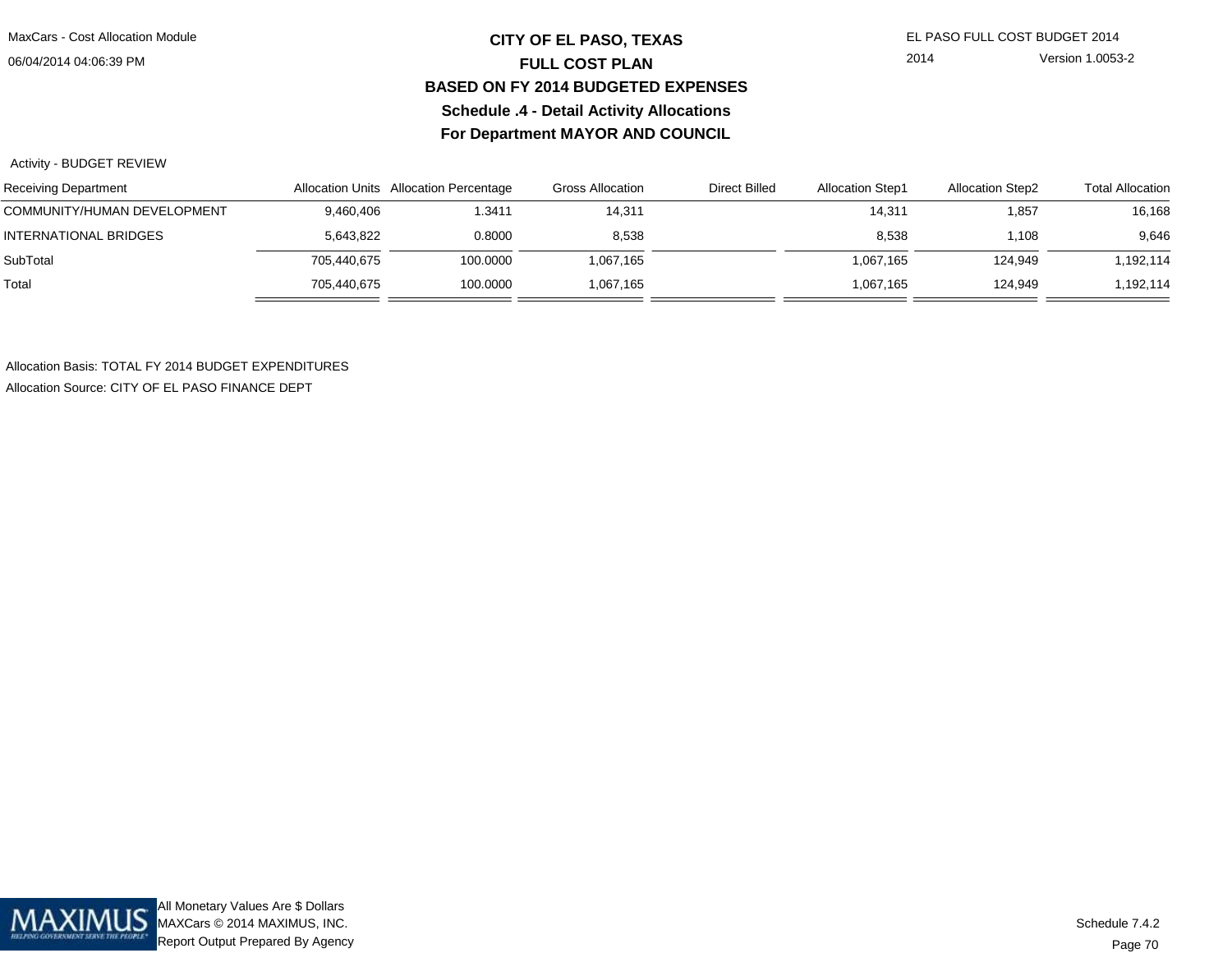## **CITY OF EL PASO, TEXAS** EL PASO FULL COST BUDGET 2014 **FULL COST PLAN BASED ON FY 2014 BUDGETED EXPENSESSchedule .4 - Detail Activity AllocationsFor Department MAYOR AND COUNCIL**

2014 Version 1.0053-2

Activity - BUDGET REVIEW

| <b>Receiving Department</b>  |             | Allocation Units Allocation Percentage | Gross Allocation | <b>Direct Billed</b> | <b>Allocation Step1</b> | <b>Allocation Step2</b> | <b>Total Allocation</b> |
|------------------------------|-------------|----------------------------------------|------------------|----------------------|-------------------------|-------------------------|-------------------------|
| COMMUNITY/HUMAN DEVELOPMENT  | 9,460,406   | 1.3411                                 | 14,311           |                      | 14,311                  | 1,857                   | 16,168                  |
| <b>INTERNATIONAL BRIDGES</b> | 5,643,822   | 0.8000                                 | 8,538            |                      | 8,538                   | 1,108                   | 9,646                   |
| SubTotal                     | 705.440.675 | 100.0000                               | 1,067,165        |                      | 1.067.165               | 124.949                 | 1,192,114               |
| Total                        | 705.440.675 | 100.0000                               | .067,165         |                      | 1.067.165               | 124.949                 | ,192,114                |

Allocation Basis: TOTAL FY 2014 BUDGET EXPENDITURESAllocation Source: CITY OF EL PASO FINANCE DEPT

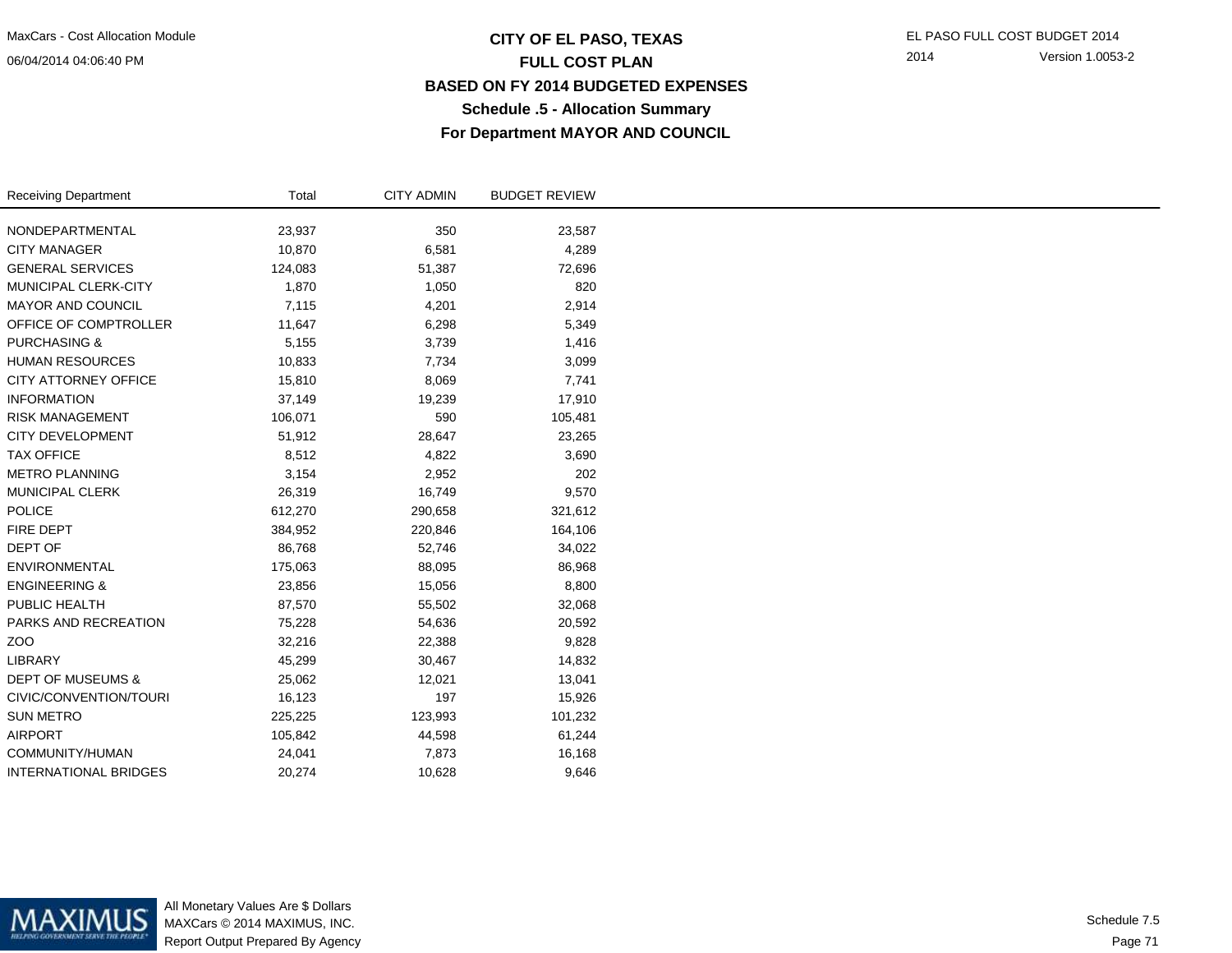#### 06/04/2014 04:06:40 PM

## **CITY OF EL PASO, TEXAS** EL PASO FULL COST BUDGET 2014 **FULL COST PLAN BASED ON FY 2014 BUDGETED EXPENSESSchedule .5 - Allocation SummaryFor Department MAYOR AND COUNCIL**

2014 Version 1.0053-2

| <b>Receiving Department</b>  | Total   | <b>CITY ADMIN</b> | <b>BUDGET REVIEW</b> |
|------------------------------|---------|-------------------|----------------------|
| NONDEPARTMENTAL              | 23,937  | 350               | 23,587               |
| <b>CITY MANAGER</b>          | 10,870  | 6,581             | 4,289                |
| <b>GENERAL SERVICES</b>      | 124,083 | 51,387            | 72,696               |
| MUNICIPAL CLERK-CITY         | 1,870   | 1,050             | 820                  |
| <b>MAYOR AND COUNCIL</b>     | 7,115   | 4,201             | 2,914                |
| OFFICE OF COMPTROLLER        | 11,647  | 6,298             | 5,349                |
| <b>PURCHASING &amp;</b>      | 5,155   | 3,739             | 1,416                |
| <b>HUMAN RESOURCES</b>       | 10,833  | 7,734             | 3,099                |
| CITY ATTORNEY OFFICE         | 15,810  | 8,069             | 7,741                |
| <b>INFORMATION</b>           | 37,149  | 19,239            | 17,910               |
| <b>RISK MANAGEMENT</b>       | 106,071 | 590               | 105,481              |
| <b>CITY DEVELOPMENT</b>      | 51,912  | 28,647            | 23,265               |
| <b>TAX OFFICE</b>            | 8,512   | 4,822             | 3,690                |
| <b>METRO PLANNING</b>        | 3,154   | 2,952             | 202                  |
| MUNICIPAL CLERK              | 26,319  | 16,749            | 9,570                |
| POLICE                       | 612,270 | 290,658           | 321,612              |
| <b>FIRE DEPT</b>             | 384,952 | 220,846           | 164,106              |
| DEPT OF                      | 86,768  | 52,746            | 34,022               |
| <b>ENVIRONMENTAL</b>         | 175,063 | 88,095            | 86,968               |
| <b>ENGINEERING &amp;</b>     | 23,856  | 15,056            | 8,800                |
| PUBLIC HEALTH                | 87,570  | 55,502            | 32,068               |
| PARKS AND RECREATION         | 75,228  | 54,636            | 20,592               |
| ZO <sub>O</sub>              | 32,216  | 22,388            | 9,828                |
| <b>LIBRARY</b>               | 45,299  | 30,467            | 14,832               |
| <b>DEPT OF MUSEUMS &amp;</b> | 25,062  | 12,021            | 13,041               |
| CIVIC/CONVENTION/TOURI       | 16,123  | 197               | 15,926               |
| <b>SUN METRO</b>             | 225,225 | 123,993           | 101,232              |
| <b>AIRPORT</b>               | 105,842 | 44,598            | 61,244               |
| COMMUNITY/HUMAN              | 24,041  | 7,873             | 16,168               |
| <b>INTERNATIONAL BRIDGES</b> | 20,274  | 10,628            | 9,646                |

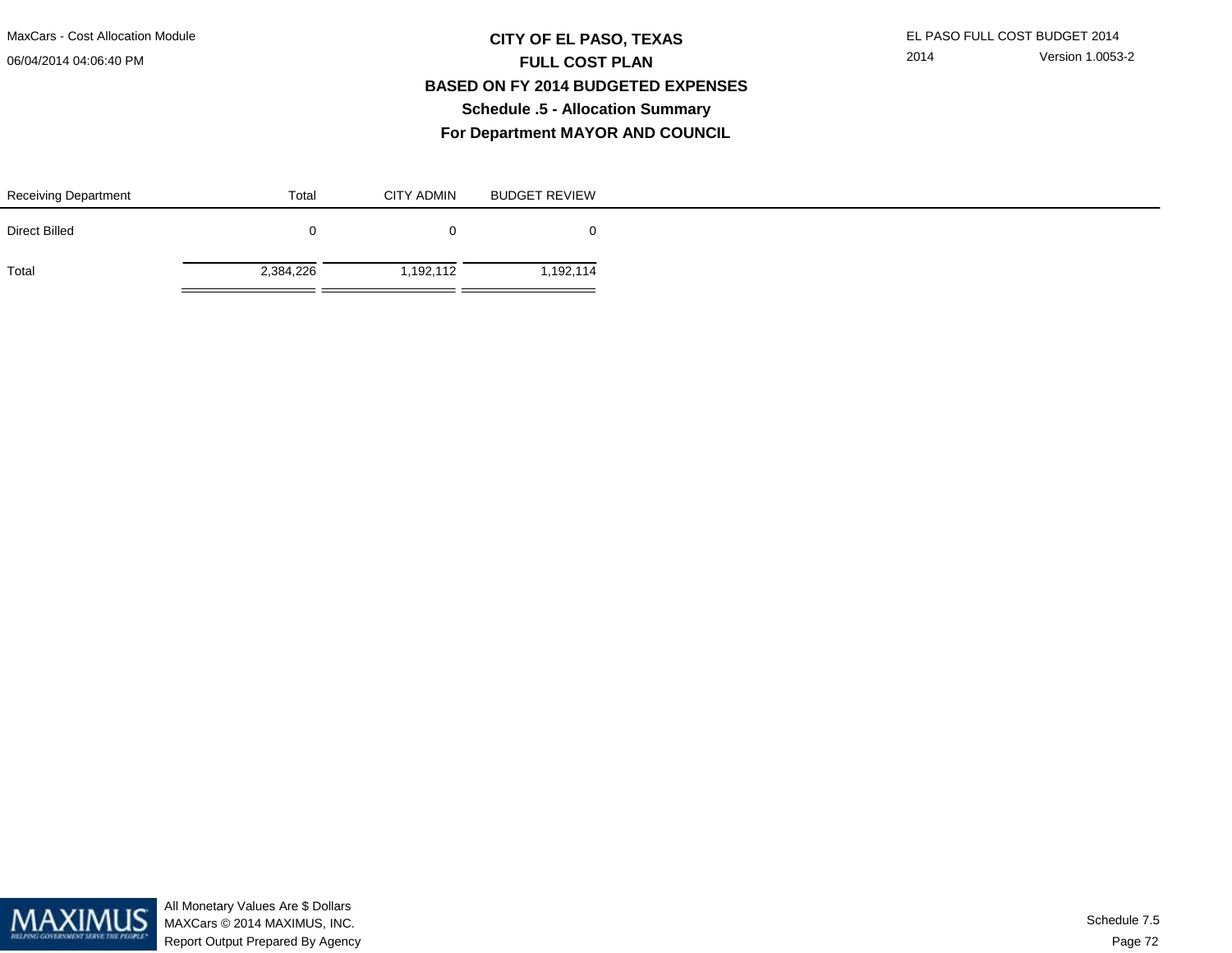#### 06/04/2014 04:06:40 PM

## **CITY OF EL PASO, TEXAS** EL PASO FULL COST BUDGET 2014 **FULL COST PLAN BASED ON FY 2014 BUDGETED EXPENSESSchedule .5 - Allocation SummaryFor Department MAYOR AND COUNCIL**

| <b>Receiving Department</b> | Total     | <b>CITY ADMIN</b> | <b>BUDGET REVIEW</b> |
|-----------------------------|-----------|-------------------|----------------------|
| Direct Billed               |           |                   |                      |
| Total                       | 2,384,226 | ,192,112          | 1,192,114            |

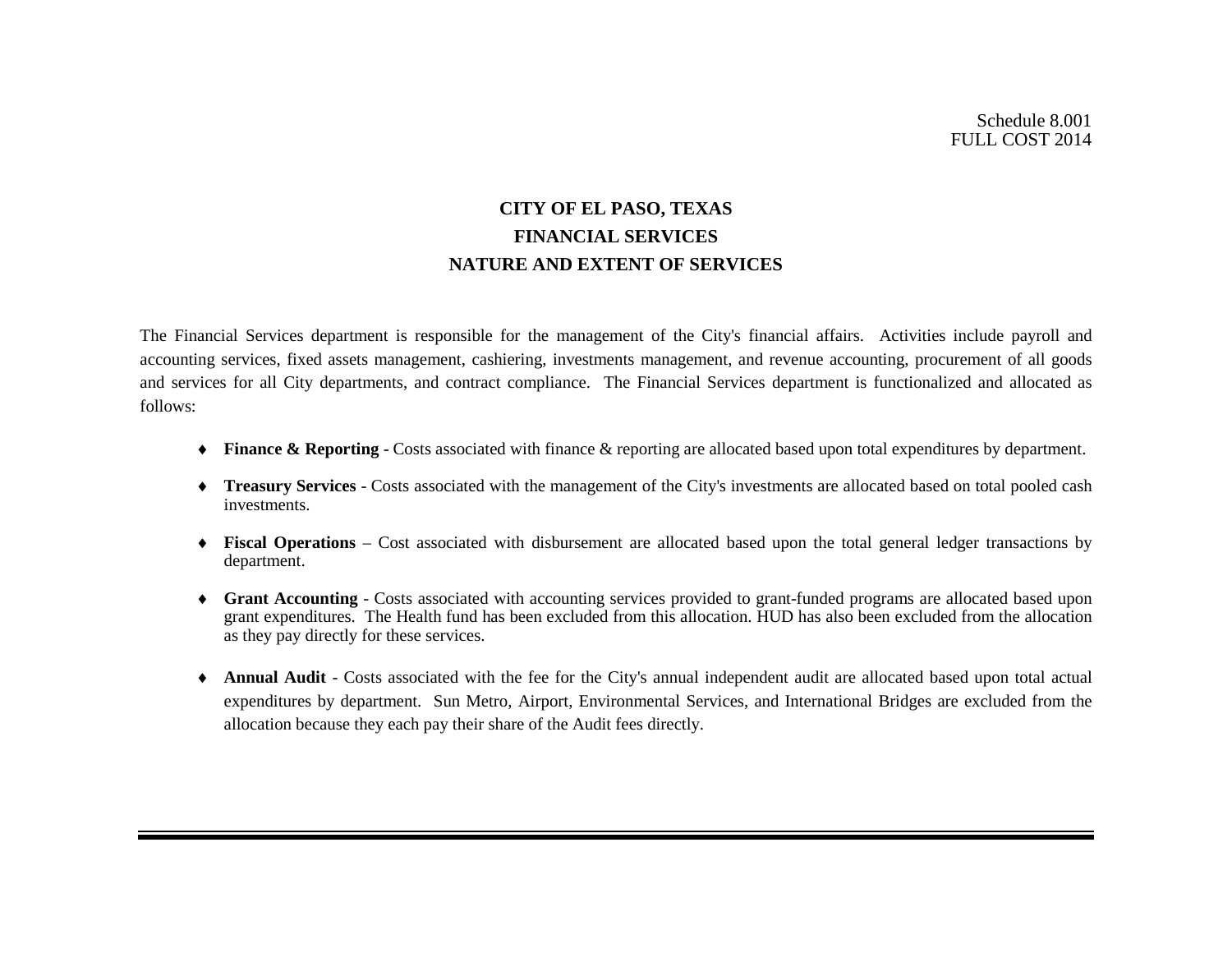## **CITY OF EL PASO, TEXAS FINANCIAL SERVICES NATURE AND EXTENT OF SERVICES**

The Financial Services department is responsible for the management of the City's financial affairs. Activities include payroll and accounting services, fixed assets management, cashiering, investments management, and revenue accounting, procurement of all goods and services for all City departments, and contract compliance. The Financial Services department is functionalized and allocated as follows:

- ♦ **Finance & Reporting**  Costs associated with finance & reporting are allocated based upon total expenditures by department.
- ♦ **Treasury Services** Costs associated with the management of the City's investments are allocated based on total pooled cash investments.
- ♦ **Fiscal Operations** Cost associated with disbursement are allocated based upon the total general ledger transactions by department.
- ♦ **Grant Accounting** Costs associated with accounting services provided to grant-funded programs are allocated based upon grant expenditures. The Health fund has been excluded from this allocation. HUD has also been excluded from the allocation as they pay directly for these services.
- ♦ **Annual Audit** Costs associated with the fee for the City's annual independent audit are allocated based upon total actual expenditures by department. Sun Metro, Airport, Environmental Services, and International Bridges are excluded from the allocation because they each pay their share of the Audit fees directly.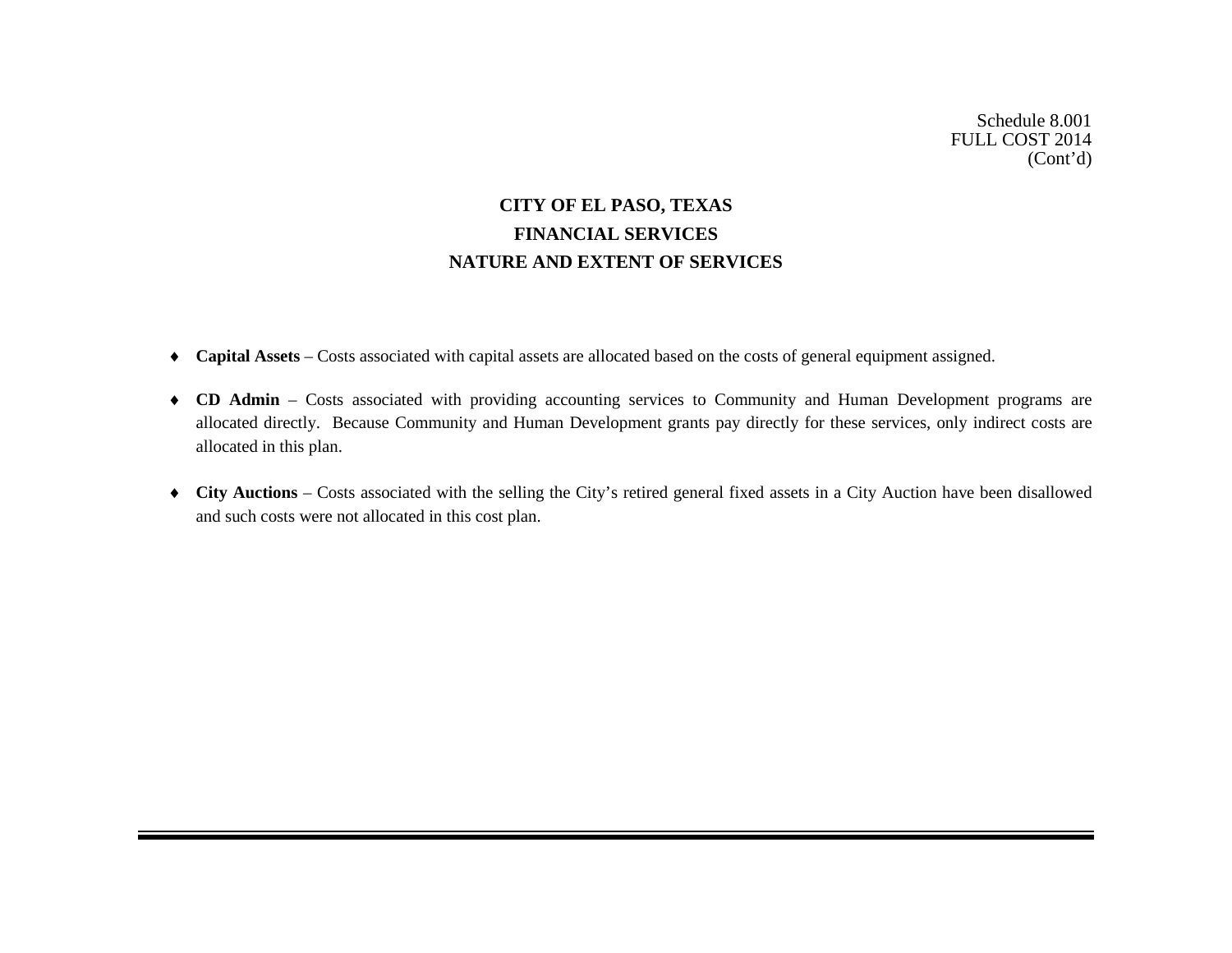## **CITY OF EL PASO, TEXAS FINANCIAL SERVICES NATURE AND EXTENT OF SERVICES**

- ♦ **Capital Assets**  Costs associated with capital assets are allocated based on the costs of general equipment assigned.
- ♦ **CD Admin** Costs associated with providing accounting services to Community and Human Development programs are allocated directly. Because Community and Human Development grants pay directly for these services, only indirect costs are allocated in this plan.
- ♦ **City Auctions**  Costs associated with the selling the City's retired general fixed assets in a City Auction have been disallowed and such costs were not allocated in this cost plan.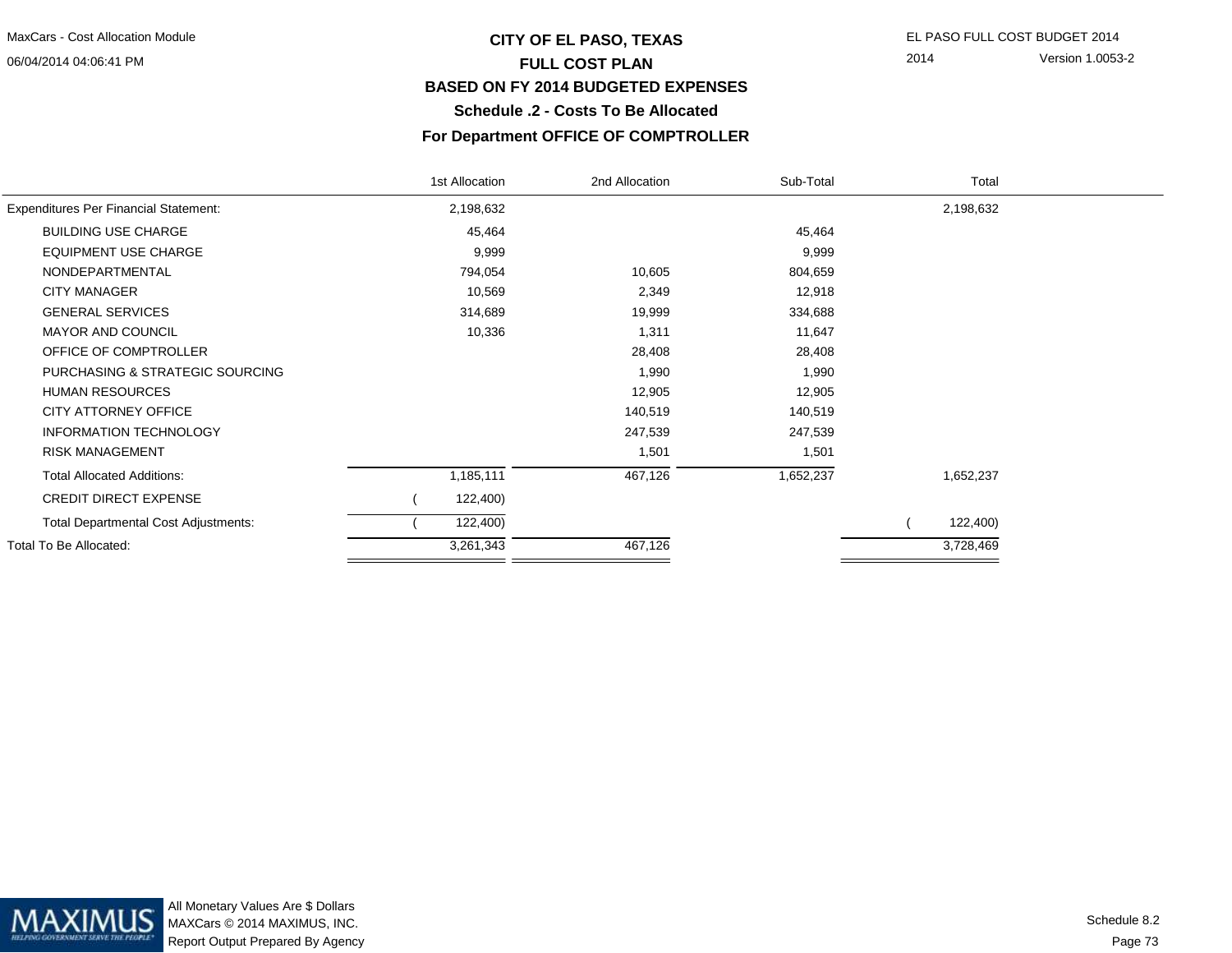#### 06/04/2014 04:06:41 PM

## **CITY OF EL PASO, TEXAS** EL PASO FULL COST BUDGET 2014 **FULL COST PLAN BASED ON FY 2014 BUDGETED EXPENSESSchedule .2 - Costs To Be Allocated**

2014 Version 1.0053-2

## **For Department OFFICE OF COMPTROLLER**

|                                              | 1st Allocation | 2nd Allocation | Sub-Total | Total     |  |
|----------------------------------------------|----------------|----------------|-----------|-----------|--|
| <b>Expenditures Per Financial Statement:</b> | 2,198,632      |                |           | 2,198,632 |  |
| <b>BUILDING USE CHARGE</b>                   | 45,464         |                | 45,464    |           |  |
| <b>EQUIPMENT USE CHARGE</b>                  | 9,999          |                | 9,999     |           |  |
| NONDEPARTMENTAL                              | 794,054        | 10,605         | 804,659   |           |  |
| <b>CITY MANAGER</b>                          | 10,569         | 2,349          | 12,918    |           |  |
| <b>GENERAL SERVICES</b>                      | 314,689        | 19,999         | 334,688   |           |  |
| <b>MAYOR AND COUNCIL</b>                     | 10,336         | 1,311          | 11,647    |           |  |
| OFFICE OF COMPTROLLER                        |                | 28,408         | 28,408    |           |  |
| PURCHASING & STRATEGIC SOURCING              |                | 1,990          | 1,990     |           |  |
| <b>HUMAN RESOURCES</b>                       |                | 12,905         | 12,905    |           |  |
| <b>CITY ATTORNEY OFFICE</b>                  |                | 140,519        | 140,519   |           |  |
| <b>INFORMATION TECHNOLOGY</b>                |                | 247,539        | 247,539   |           |  |
| <b>RISK MANAGEMENT</b>                       |                | 1,501          | 1,501     |           |  |
| <b>Total Allocated Additions:</b>            | 1,185,111      | 467,126        | 1,652,237 | 1,652,237 |  |
| <b>CREDIT DIRECT EXPENSE</b>                 | 122,400)       |                |           |           |  |
| <b>Total Departmental Cost Adjustments:</b>  | 122,400)       |                |           | 122,400)  |  |
| Total To Be Allocated:                       | 3,261,343      | 467,126        |           | 3,728,469 |  |
|                                              |                |                |           |           |  |

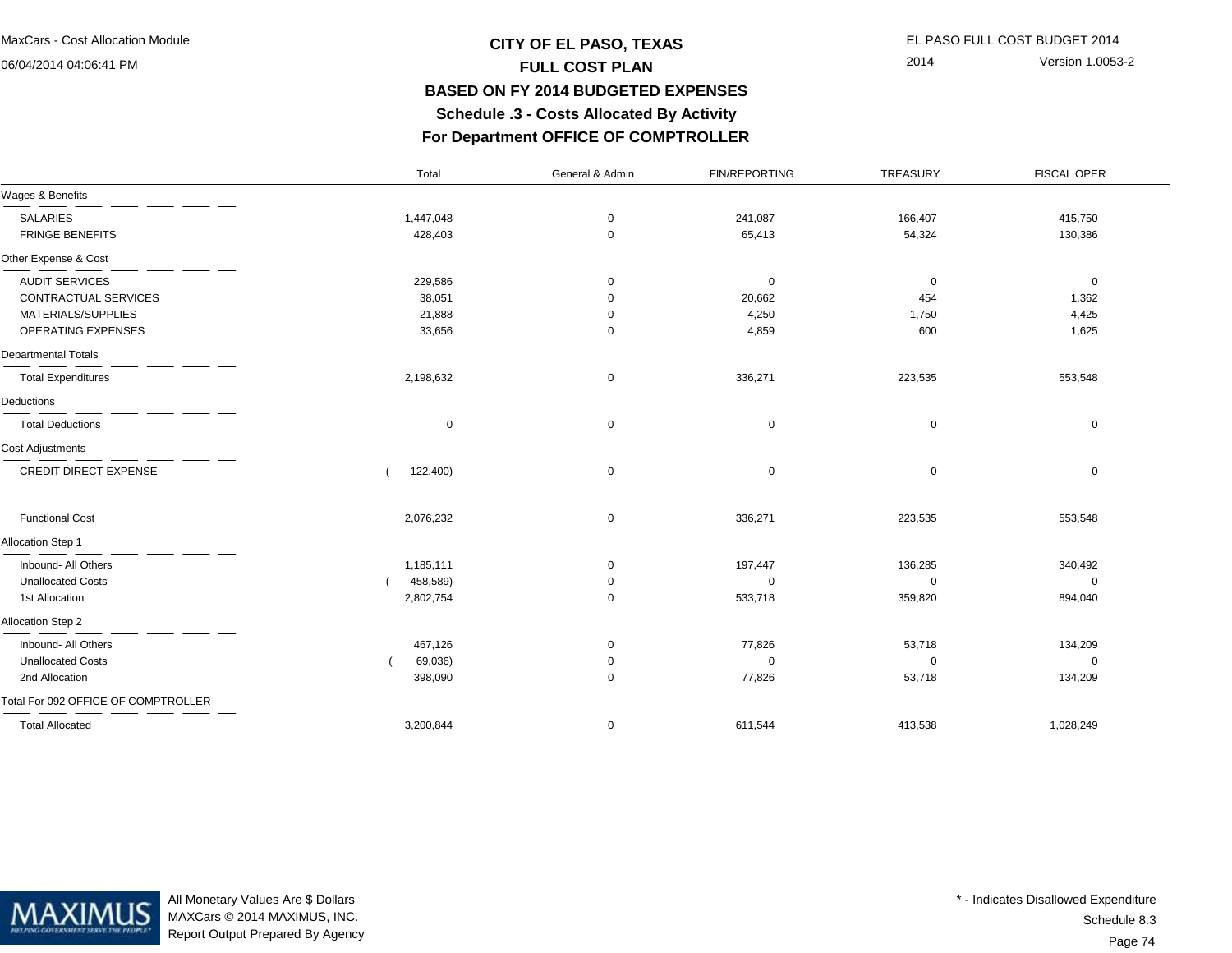06/04/2014 04:06:41 PM

## **CITY OF EL PASO, TEXAS** EL PASO FULL COST BUDGET 2014 **FULL COST PLAN BASED ON FY 2014 BUDGETED EXPENSES Schedule .3 - Costs Allocated By ActivityFor Department OFFICE OF COMPTROLLER**

Total

2014 Version 1.0053-2

FISCAL OPER

# General & Admin FIN/REPORTING TREASURY

| Wages & Benefits                    |             |             |             |             |             |  |
|-------------------------------------|-------------|-------------|-------------|-------------|-------------|--|
| <b>SALARIES</b>                     | 1,447,048   | $\mathbf 0$ | 241,087     | 166,407     | 415,750     |  |
| <b>FRINGE BENEFITS</b>              | 428,403     | $\mathbf 0$ | 65,413      | 54,324      | 130,386     |  |
| Other Expense & Cost                |             |             |             |             |             |  |
| <b>AUDIT SERVICES</b>               | 229,586     | $\mathbf 0$ | $\mathbf 0$ | 0           | $\mathbf 0$ |  |
| CONTRACTUAL SERVICES                | 38,051      | 0           | 20,662      | 454         | 1,362       |  |
| MATERIALS/SUPPLIES                  | 21,888      | $\mathbf 0$ | 4,250       | 1,750       | 4,425       |  |
| OPERATING EXPENSES                  | 33,656      | $\mathbf 0$ | 4,859       | 600         | 1,625       |  |
| Departmental Totals                 |             |             |             |             |             |  |
| <b>Total Expenditures</b>           | 2,198,632   | $\mathbf 0$ | 336,271     | 223,535     | 553,548     |  |
| Deductions                          |             |             |             |             |             |  |
| <b>Total Deductions</b>             | $\mathbf 0$ | $\mathbf 0$ | $\mathbf 0$ | $\mathbf 0$ | 0           |  |
| Cost Adjustments                    |             |             |             |             |             |  |
| CREDIT DIRECT EXPENSE               | 122,400)    | $\mathbf 0$ | $\mathbf 0$ | 0           | 0           |  |
| <b>Functional Cost</b>              | 2,076,232   | $\mathbf 0$ | 336,271     | 223,535     | 553,548     |  |
| Allocation Step 1                   |             |             |             |             |             |  |
| Inbound- All Others                 | 1,185,111   | 0           | 197,447     | 136,285     | 340,492     |  |
| <b>Unallocated Costs</b>            | 458,589)    | $\mathbf 0$ | $\mathbf 0$ | $\mathbf 0$ | $\mathbf 0$ |  |
| 1st Allocation                      | 2,802,754   | $\mathbf 0$ | 533,718     | 359,820     | 894,040     |  |
| Allocation Step 2                   |             |             |             |             |             |  |
| Inbound- All Others                 | 467,126     | $\mathbf 0$ | 77,826      | 53,718      | 134,209     |  |
| <b>Unallocated Costs</b>            | 69,036)     | 0           | 0           | $\Omega$    | $\Omega$    |  |
| 2nd Allocation                      | 398,090     | $\mathbf 0$ | 77,826      | 53,718      | 134,209     |  |
| Total For 092 OFFICE OF COMPTROLLER |             |             |             |             |             |  |
| <b>Total Allocated</b>              | 3,200,844   | $\mathbf 0$ | 611,544     | 413,538     | 1,028,249   |  |



All Monetary Values Are \$ Dollars MAXCars © 2014 MAXIMUS, INC.Report Output Prepared By Agency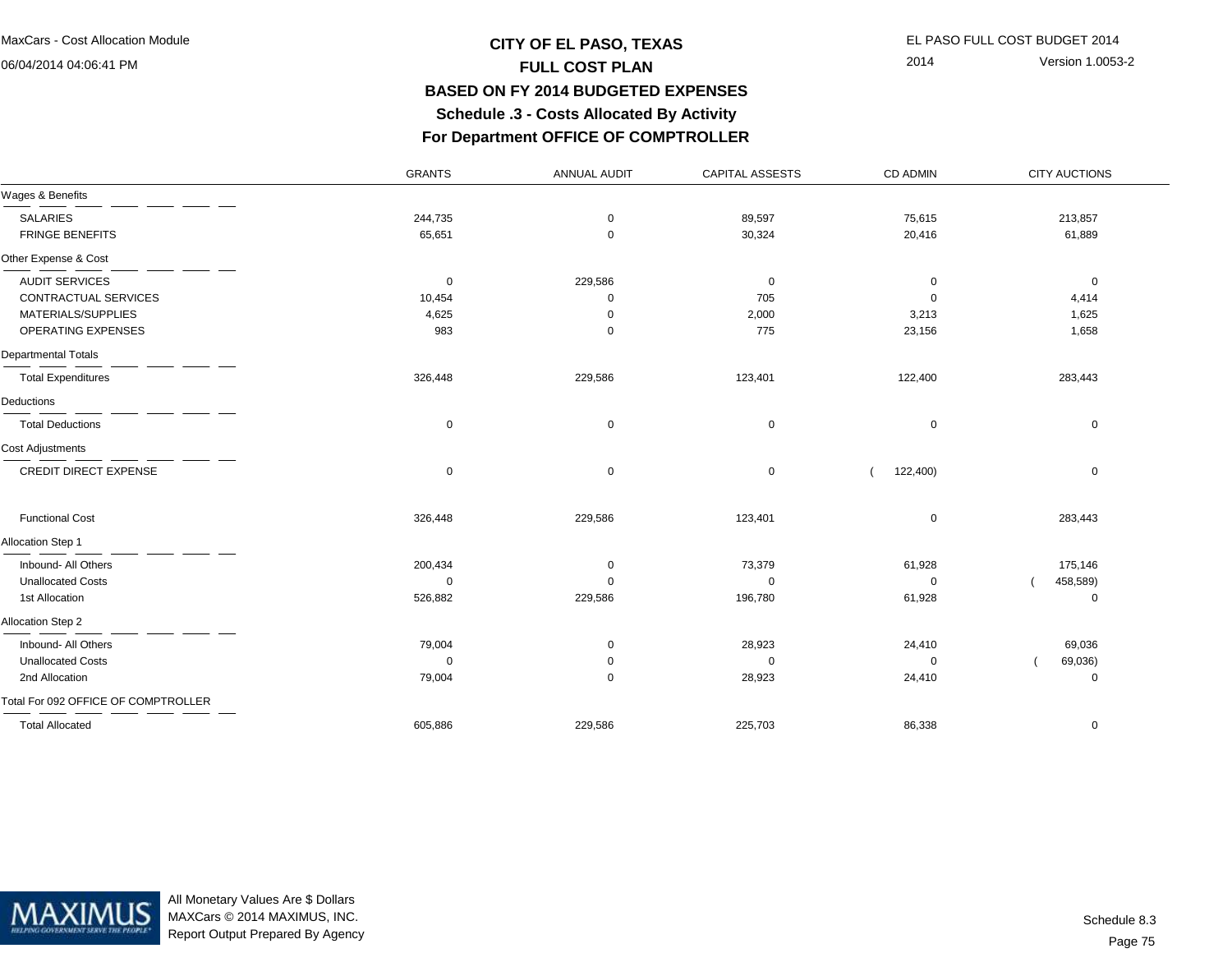06/04/2014 04:06:41 PM

## **CITY OF EL PASO, TEXAS** EL PASO FULL COST BUDGET 2014 **FULL COST PLAN BASED ON FY 2014 BUDGETED EXPENSES Schedule .3 - Costs Allocated By ActivityFor Department OFFICE OF COMPTROLLER**

ANNUAL AUDIT CAPITAL ASSESTS CD ADMIN

GRANTS

2014 Version 1.0053-2

CITY AUCTIONS

| Wages & Benefits                    |             |             |             |             |          |
|-------------------------------------|-------------|-------------|-------------|-------------|----------|
| <b>SALARIES</b>                     | 244,735     | $\mathbf 0$ | 89,597      | 75,615      | 213,857  |
| <b>FRINGE BENEFITS</b>              | 65,651      | 0           | 30,324      | 20,416      | 61,889   |
| Other Expense & Cost                |             |             |             |             |          |
| <b>AUDIT SERVICES</b>               | $\mathbf 0$ | 229,586     | 0           | 0           | 0        |
| CONTRACTUAL SERVICES                | 10,454      | $\mathbf 0$ | 705         | $\Omega$    | 4,414    |
| MATERIALS/SUPPLIES                  | 4,625       | $\Omega$    | 2,000       | 3,213       | 1,625    |
| OPERATING EXPENSES                  | 983         | $\mathbf 0$ | 775         | 23,156      | 1,658    |
| Departmental Totals                 |             |             |             |             |          |
| <b>Total Expenditures</b>           | 326,448     | 229,586     | 123,401     | 122,400     | 283,443  |
| Deductions                          |             |             |             |             |          |
| <b>Total Deductions</b>             | $\mathbf 0$ | $\mathbf 0$ | $\mathbf 0$ | $\mathbf 0$ | 0        |
| Cost Adjustments                    |             |             |             |             |          |
| <b>CREDIT DIRECT EXPENSE</b>        | 0           | $\mathbf 0$ | $\mathbf 0$ | 122,400)    | 0        |
| <b>Functional Cost</b>              | 326,448     | 229,586     | 123,401     | 0           | 283,443  |
| <b>Allocation Step 1</b>            |             |             |             |             |          |
| Inbound- All Others                 | 200,434     | 0           | 73,379      | 61,928      | 175,146  |
| <b>Unallocated Costs</b>            | $\Omega$    | $\Omega$    | 0           | $\Omega$    | 458,589) |
| 1st Allocation                      | 526,882     | 229,586     | 196,780     | 61,928      | 0        |
| Allocation Step 2                   |             |             |             |             |          |
| Inbound- All Others                 | 79,004      | 0           | 28,923      | 24,410      | 69,036   |
| <b>Unallocated Costs</b>            | $\Omega$    | 0           | $\Omega$    | $\Omega$    | 69,036)  |
| 2nd Allocation                      | 79,004      | 0           | 28,923      | 24,410      | 0        |
| Total For 092 OFFICE OF COMPTROLLER |             |             |             |             |          |
| <b>Total Allocated</b>              | 605,886     | 229,586     | 225,703     | 86,338      | 0        |



All Monetary Values Are \$ Dollars MAXCars © 2014 MAXIMUS, INC.Report Output Prepared By Agency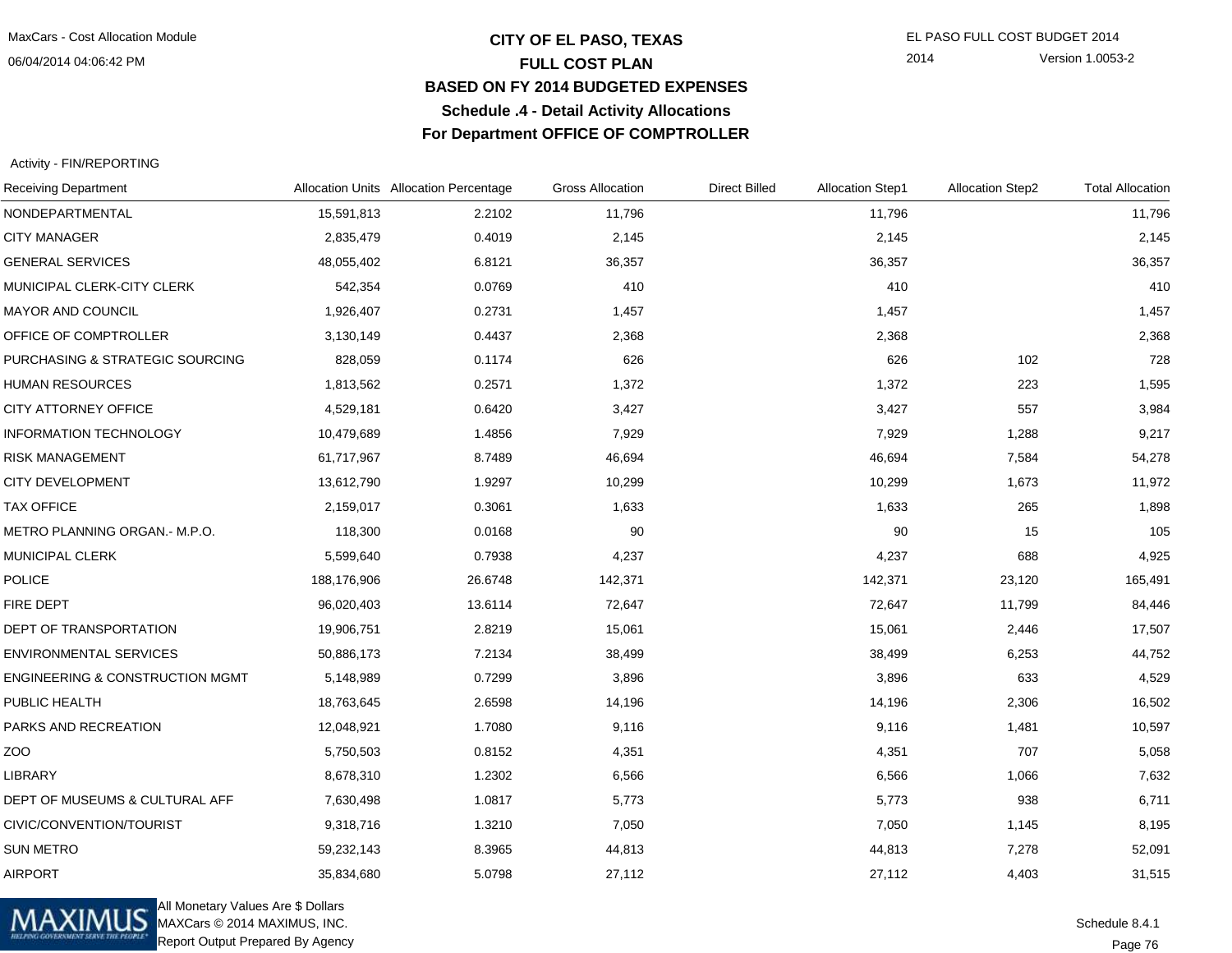06/04/2014 04:06:42 PM

## **CITY OF EL PASO, TEXAS** EL PASO FULL COST BUDGET 2014 **FULL COST PLAN BASED ON FY 2014 BUDGETED EXPENSESSchedule .4 - Detail Activity AllocationsFor Department OFFICE OF COMPTROLLER**

2014 Version 1.0053-2

#### Activity - FIN/REPORTING

| <b>Receiving Department</b>                |             | Allocation Units Allocation Percentage | <b>Gross Allocation</b> | <b>Direct Billed</b> | <b>Allocation Step1</b> | <b>Allocation Step2</b> | <b>Total Allocation</b> |
|--------------------------------------------|-------------|----------------------------------------|-------------------------|----------------------|-------------------------|-------------------------|-------------------------|
| NONDEPARTMENTAL                            | 15,591,813  | 2.2102                                 | 11,796                  |                      | 11,796                  |                         | 11,796                  |
| <b>CITY MANAGER</b>                        | 2,835,479   | 0.4019                                 | 2,145                   |                      | 2,145                   |                         | 2,145                   |
| <b>GENERAL SERVICES</b>                    | 48,055,402  | 6.8121                                 | 36,357                  |                      | 36,357                  |                         | 36,357                  |
| MUNICIPAL CLERK-CITY CLERK                 | 542,354     | 0.0769                                 | 410                     |                      | 410                     |                         | 410                     |
| MAYOR AND COUNCIL                          | 1,926,407   | 0.2731                                 | 1,457                   |                      | 1,457                   |                         | 1,457                   |
| OFFICE OF COMPTROLLER                      | 3,130,149   | 0.4437                                 | 2,368                   |                      | 2,368                   |                         | 2,368                   |
| PURCHASING & STRATEGIC SOURCING            | 828,059     | 0.1174                                 | 626                     |                      | 626                     | 102                     | 728                     |
| <b>HUMAN RESOURCES</b>                     | 1,813,562   | 0.2571                                 | 1,372                   |                      | 1,372                   | 223                     | 1,595                   |
| CITY ATTORNEY OFFICE                       | 4,529,181   | 0.6420                                 | 3,427                   |                      | 3,427                   | 557                     | 3,984                   |
| <b>INFORMATION TECHNOLOGY</b>              | 10,479,689  | 1.4856                                 | 7,929                   |                      | 7,929                   | 1,288                   | 9,217                   |
| <b>RISK MANAGEMENT</b>                     | 61,717,967  | 8.7489                                 | 46,694                  |                      | 46,694                  | 7,584                   | 54,278                  |
| <b>CITY DEVELOPMENT</b>                    | 13,612,790  | 1.9297                                 | 10,299                  |                      | 10,299                  | 1,673                   | 11,972                  |
| <b>TAX OFFICE</b>                          | 2,159,017   | 0.3061                                 | 1,633                   |                      | 1,633                   | 265                     | 1,898                   |
| METRO PLANNING ORGAN.- M.P.O.              | 118,300     | 0.0168                                 | 90                      |                      | 90                      | 15                      | 105                     |
| <b>MUNICIPAL CLERK</b>                     | 5,599,640   | 0.7938                                 | 4,237                   |                      | 4,237                   | 688                     | 4,925                   |
| <b>POLICE</b>                              | 188,176,906 | 26.6748                                | 142,371                 |                      | 142,371                 | 23,120                  | 165,491                 |
| <b>FIRE DEPT</b>                           | 96,020,403  | 13.6114                                | 72,647                  |                      | 72,647                  | 11,799                  | 84,446                  |
| DEPT OF TRANSPORTATION                     | 19,906,751  | 2.8219                                 | 15,061                  |                      | 15,061                  | 2,446                   | 17,507                  |
| <b>ENVIRONMENTAL SERVICES</b>              | 50,886,173  | 7.2134                                 | 38,499                  |                      | 38,499                  | 6,253                   | 44,752                  |
| <b>ENGINEERING &amp; CONSTRUCTION MGMT</b> | 5,148,989   | 0.7299                                 | 3,896                   |                      | 3,896                   | 633                     | 4,529                   |
| PUBLIC HEALTH                              | 18,763,645  | 2.6598                                 | 14,196                  |                      | 14,196                  | 2,306                   | 16,502                  |
| PARKS AND RECREATION                       | 12,048,921  | 1.7080                                 | 9,116                   |                      | 9,116                   | 1,481                   | 10,597                  |
| ZO <sub>O</sub>                            | 5,750,503   | 0.8152                                 | 4,351                   |                      | 4,351                   | 707                     | 5,058                   |
| <b>LIBRARY</b>                             | 8,678,310   | 1.2302                                 | 6,566                   |                      | 6,566                   | 1,066                   | 7,632                   |
| DEPT OF MUSEUMS & CULTURAL AFF             | 7,630,498   | 1.0817                                 | 5,773                   |                      | 5,773                   | 938                     | 6,711                   |
| CIVIC/CONVENTION/TOURIST                   | 9,318,716   | 1.3210                                 | 7,050                   |                      | 7,050                   | 1,145                   | 8,195                   |
| <b>SUN METRO</b>                           | 59,232,143  | 8.3965                                 | 44,813                  |                      | 44,813                  | 7,278                   | 52,091                  |
| <b>AIRPORT</b>                             | 35,834,680  | 5.0798                                 | 27,112                  |                      | 27,112                  | 4,403                   | 31,515                  |



All Monetary Values Are \$ Dollars MAXCars © 2014 MAXIMUS, INC.Report Output Prepared By Agency

Page 76Schedule 8.4.1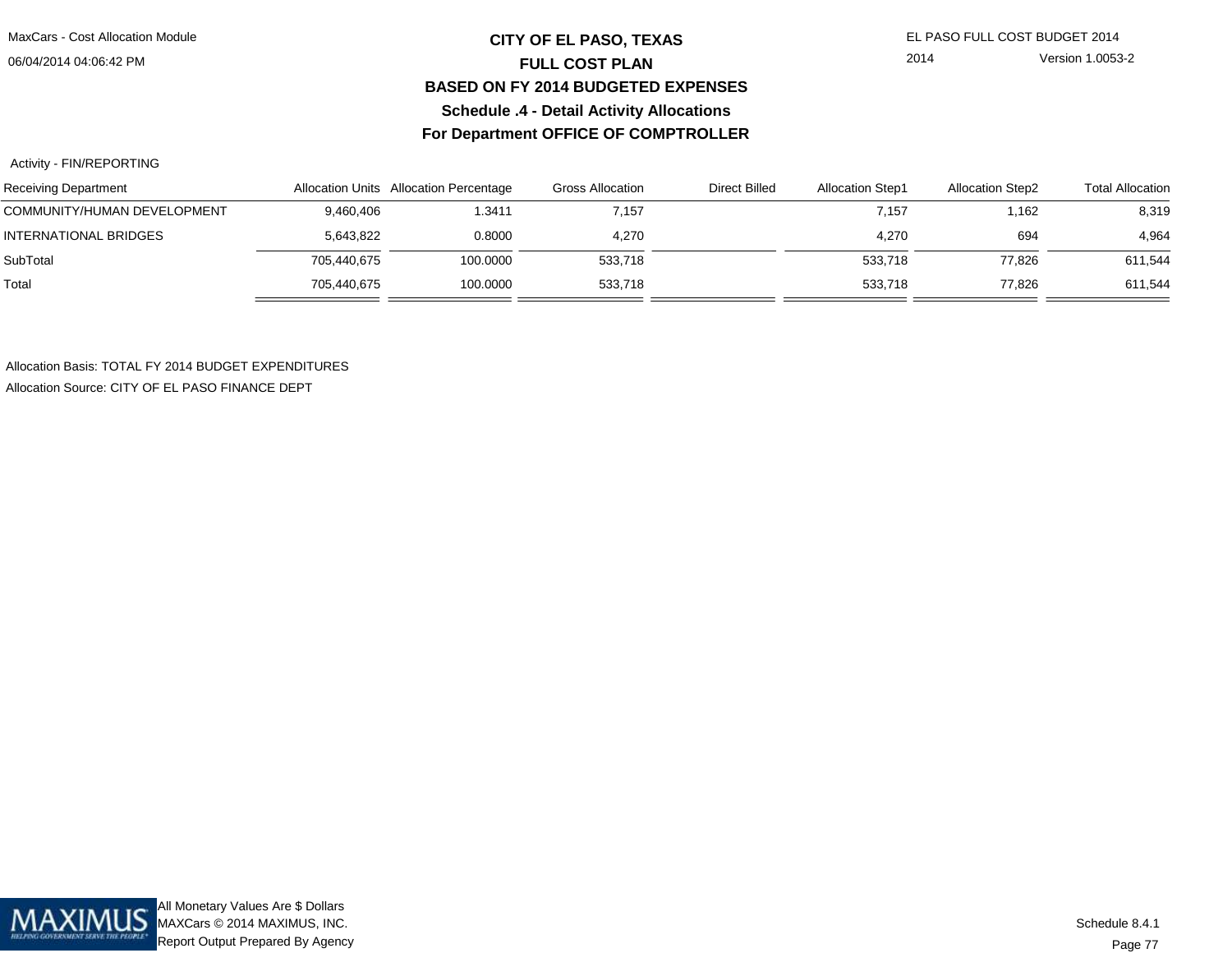06/04/2014 04:06:42 PM

## **CITY OF EL PASO, TEXAS** EL PASO FULL COST BUDGET 2014 **FULL COST PLAN BASED ON FY 2014 BUDGETED EXPENSESSchedule .4 - Detail Activity AllocationsFor Department OFFICE OF COMPTROLLER**

Activity - FIN/REPORTING

| <b>Receiving Department</b> |             | Allocation Units Allocation Percentage | Gross Allocation | <b>Direct Billed</b> | <b>Allocation Step1</b> | <b>Allocation Step2</b> | <b>Total Allocation</b> |
|-----------------------------|-------------|----------------------------------------|------------------|----------------------|-------------------------|-------------------------|-------------------------|
| COMMUNITY/HUMAN DEVELOPMENT | 9,460,406   | 1.3411                                 | 7,157            |                      | 7,157                   | 1.162                   | 8,319                   |
| INTERNATIONAL BRIDGES       | 5,643,822   | 0.8000                                 | 4.270            |                      | 4,270                   | 694                     | 4,964                   |
| SubTotal                    | 705,440,675 | 100.0000                               | 533,718          |                      | 533,718                 | 77,826                  | 611,544                 |
| Total                       | 705,440,675 | 100.0000                               | 533.718          |                      | 533,718                 | 77.826                  | 611,544                 |

Allocation Basis: TOTAL FY 2014 BUDGET EXPENDITURESAllocation Source: CITY OF EL PASO FINANCE DEPT

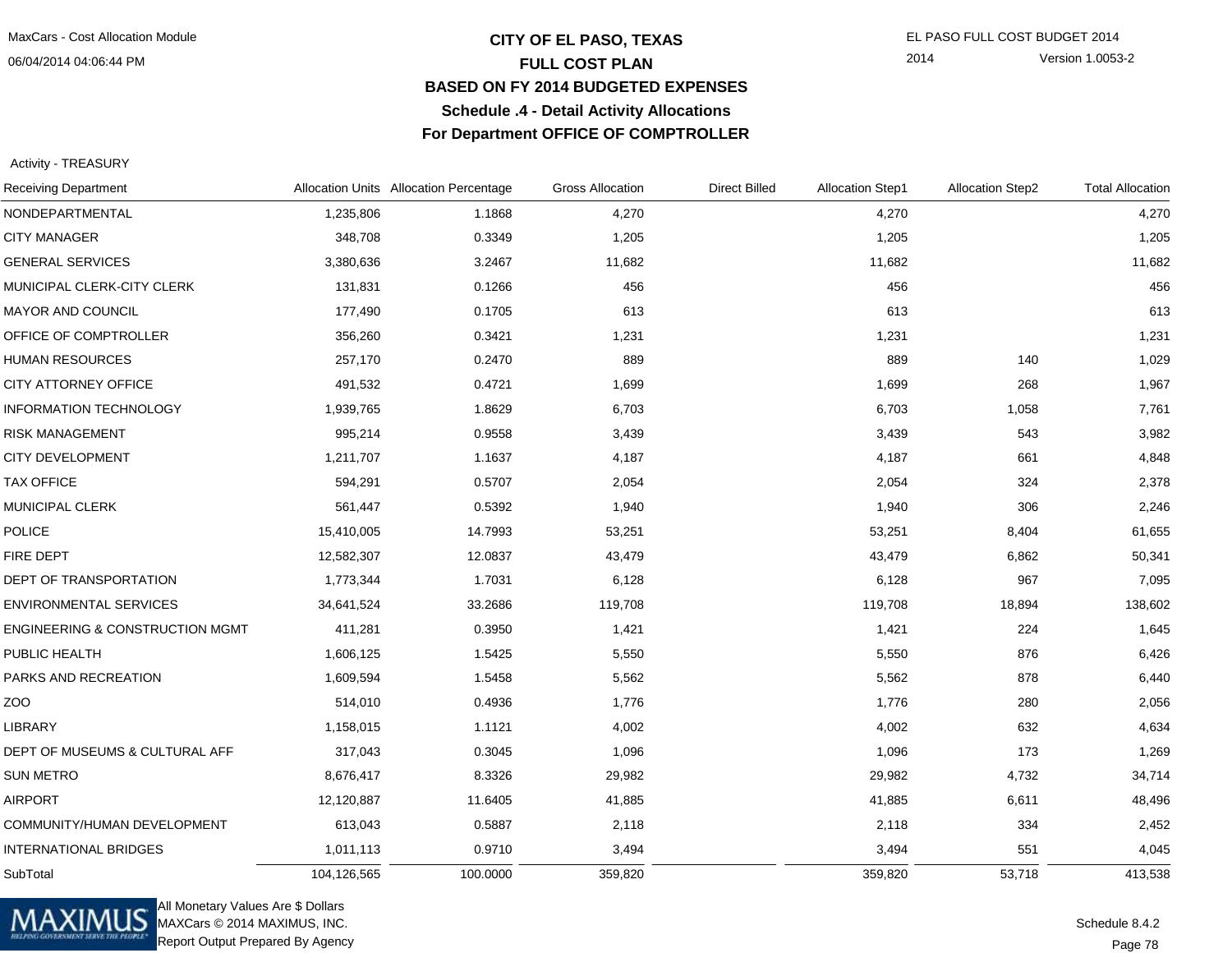#### 06/04/2014 04:06:44 PM

## **CITY OF EL PASO, TEXAS** EL PASO FULL COST BUDGET 2014 **FULL COST PLAN BASED ON FY 2014 BUDGETED EXPENSESSchedule .4 - Detail Activity AllocationsFor Department OFFICE OF COMPTROLLER**

2014 Version 1.0053-2

Activity - TREASURY

| <b>Receiving Department</b>                | Allocation Units Allocation Percentage |          | <b>Gross Allocation</b> | <b>Direct Billed</b> | <b>Allocation Step1</b> | <b>Allocation Step2</b> | <b>Total Allocation</b> |
|--------------------------------------------|----------------------------------------|----------|-------------------------|----------------------|-------------------------|-------------------------|-------------------------|
| NONDEPARTMENTAL                            | 1,235,806                              | 1.1868   | 4,270                   |                      | 4,270                   |                         | 4,270                   |
| <b>CITY MANAGER</b>                        | 348,708                                | 0.3349   | 1,205                   |                      | 1,205                   |                         | 1,205                   |
| <b>GENERAL SERVICES</b>                    | 3,380,636                              | 3.2467   | 11,682                  |                      | 11,682                  |                         | 11,682                  |
| MUNICIPAL CLERK-CITY CLERK                 | 131,831                                | 0.1266   | 456                     |                      | 456                     |                         | 456                     |
| MAYOR AND COUNCIL                          | 177,490                                | 0.1705   | 613                     |                      | 613                     |                         | 613                     |
| OFFICE OF COMPTROLLER                      | 356,260                                | 0.3421   | 1,231                   |                      | 1,231                   |                         | 1,231                   |
| <b>HUMAN RESOURCES</b>                     | 257,170                                | 0.2470   | 889                     |                      | 889                     | 140                     | 1,029                   |
| <b>CITY ATTORNEY OFFICE</b>                | 491,532                                | 0.4721   | 1,699                   |                      | 1,699                   | 268                     | 1,967                   |
| INFORMATION TECHNOLOGY                     | 1,939,765                              | 1.8629   | 6,703                   |                      | 6,703                   | 1,058                   | 7,761                   |
| <b>RISK MANAGEMENT</b>                     | 995,214                                | 0.9558   | 3,439                   |                      | 3,439                   | 543                     | 3,982                   |
| <b>CITY DEVELOPMENT</b>                    | 1,211,707                              | 1.1637   | 4,187                   |                      | 4,187                   | 661                     | 4,848                   |
| <b>TAX OFFICE</b>                          | 594,291                                | 0.5707   | 2,054                   |                      | 2,054                   | 324                     | 2,378                   |
| MUNICIPAL CLERK                            | 561,447                                | 0.5392   | 1,940                   |                      | 1,940                   | 306                     | 2,246                   |
| <b>POLICE</b>                              | 15,410,005                             | 14.7993  | 53,251                  |                      | 53,251                  | 8,404                   | 61,655                  |
| FIRE DEPT                                  | 12,582,307                             | 12.0837  | 43,479                  |                      | 43,479                  | 6,862                   | 50,341                  |
| DEPT OF TRANSPORTATION                     | 1,773,344                              | 1.7031   | 6,128                   |                      | 6,128                   | 967                     | 7,095                   |
| <b>ENVIRONMENTAL SERVICES</b>              | 34,641,524                             | 33.2686  | 119,708                 |                      | 119,708                 | 18,894                  | 138,602                 |
| <b>ENGINEERING &amp; CONSTRUCTION MGMT</b> | 411,281                                | 0.3950   | 1,421                   |                      | 1,421                   | 224                     | 1,645                   |
| PUBLIC HEALTH                              | 1,606,125                              | 1.5425   | 5,550                   |                      | 5,550                   | 876                     | 6,426                   |
| PARKS AND RECREATION                       | 1,609,594                              | 1.5458   | 5,562                   |                      | 5,562                   | 878                     | 6,440                   |
| ZOO                                        | 514,010                                | 0.4936   | 1,776                   |                      | 1,776                   | 280                     | 2,056                   |
| LIBRARY                                    | 1,158,015                              | 1.1121   | 4,002                   |                      | 4,002                   | 632                     | 4,634                   |
| DEPT OF MUSEUMS & CULTURAL AFF             | 317,043                                | 0.3045   | 1,096                   |                      | 1,096                   | 173                     | 1,269                   |
| <b>SUN METRO</b>                           | 8,676,417                              | 8.3326   | 29,982                  |                      | 29,982                  | 4,732                   | 34,714                  |
| <b>AIRPORT</b>                             | 12,120,887                             | 11.6405  | 41,885                  |                      | 41,885                  | 6,611                   | 48,496                  |
| COMMUNITY/HUMAN DEVELOPMENT                | 613,043                                | 0.5887   | 2,118                   |                      | 2,118                   | 334                     | 2,452                   |
| <b>INTERNATIONAL BRIDGES</b>               | 1,011,113                              | 0.9710   | 3,494                   |                      | 3,494                   | 551                     | 4,045                   |
| SubTotal                                   | 104,126,565                            | 100.0000 | 359,820                 |                      | 359,820                 | 53,718                  | 413,538                 |



All Monetary Values Are \$ Dollars MAXCars © 2014 MAXIMUS, INC.Report Output Prepared By Agency

Page 78Schedule 8.4.2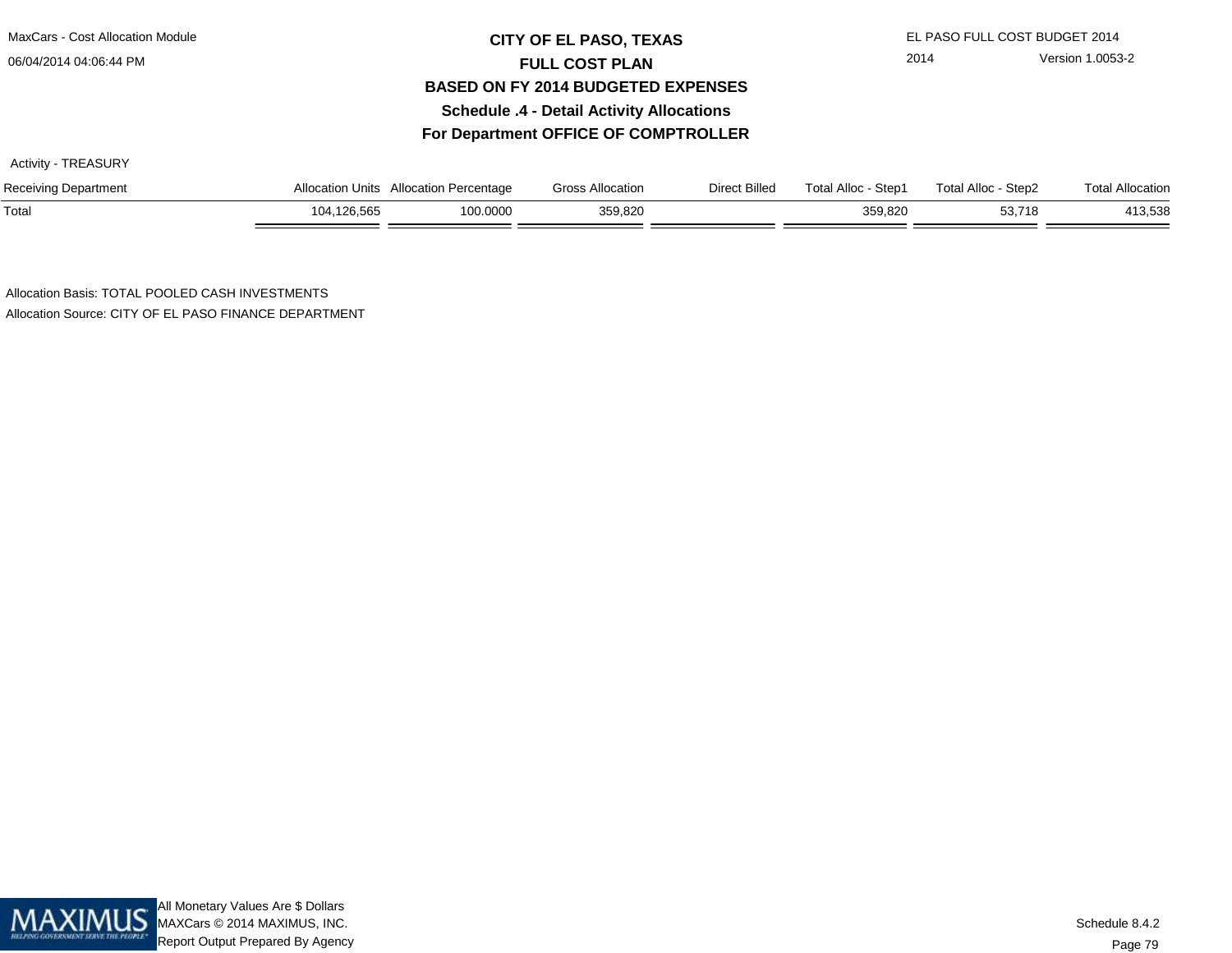### 06/04/2014 04:06:44 PM

## **CITY OF EL PASO, TEXAS** EL PASO FULL COST BUDGET 2014 **FULL COST PLAN BASED ON FY 2014 BUDGETED EXPENSESSchedule .4 - Detail Activity AllocationsFor Department OFFICE OF COMPTROLLER**

Activity - TREASURY

| <b>Receiving Department</b> | Allocation Units    | <b>Allocation Percentage</b> | Gross Allocation                            | Direct Billed | Total Alloc<br>Step1 | <b>Total Alloc</b><br>Step2 | <b>Total Allocation</b> |
|-----------------------------|---------------------|------------------------------|---------------------------------------------|---------------|----------------------|-----------------------------|-------------------------|
| Total                       | l, 126, 565<br>104. | 0.0000                       | 359,820<br>$\sqrt{ }$ $\sqrt{ }$ $\sqrt{ }$ |               | 359,820              | $-3.718$<br>ວວ. /           | 413,538                 |

Allocation Basis: TOTAL POOLED CASH INVESTMENTSAllocation Source: CITY OF EL PASO FINANCE DEPARTMENT

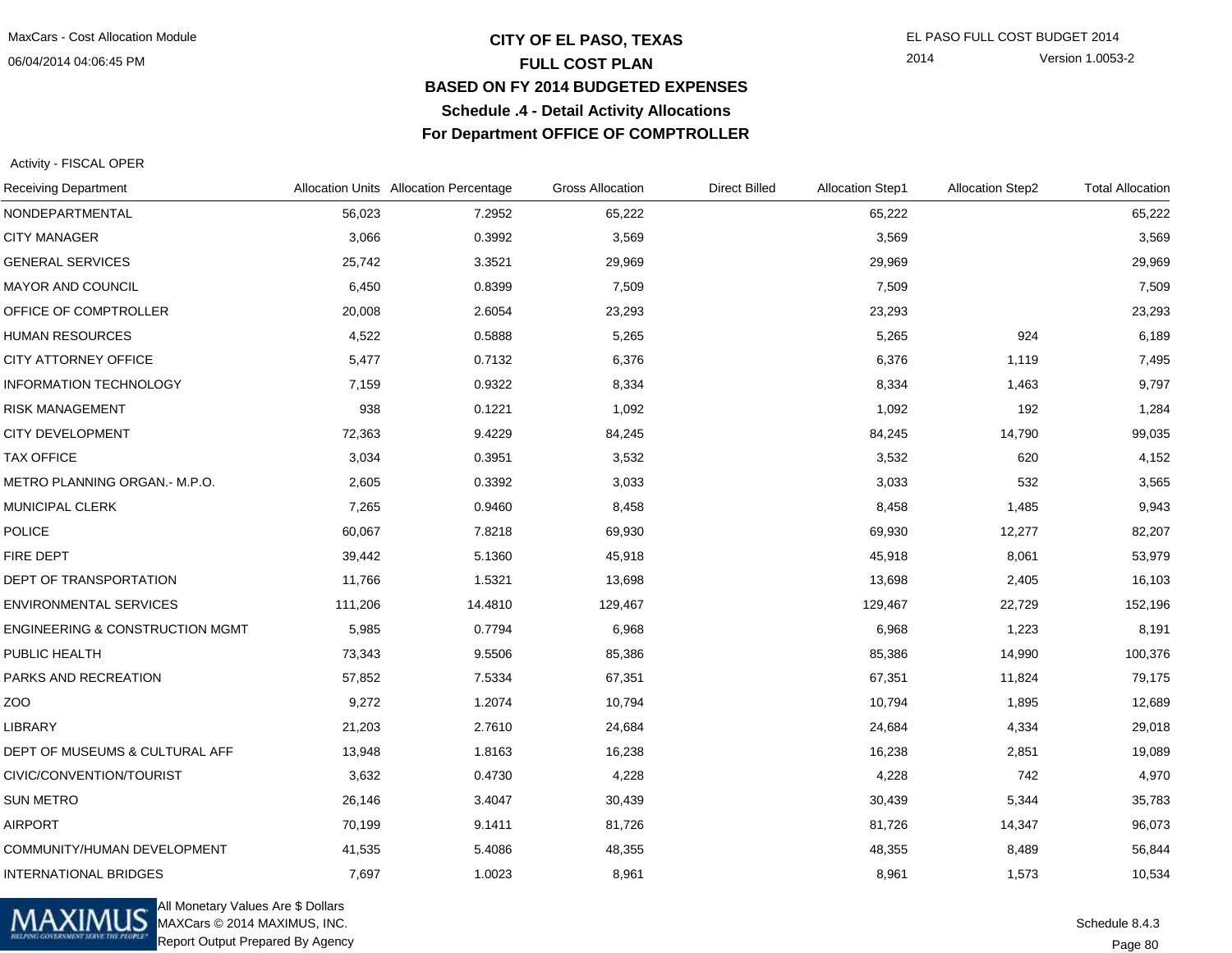06/04/2014 04:06:45 PM

## **CITY OF EL PASO, TEXAS** EL PASO FULL COST BUDGET 2014 **FULL COST PLAN BASED ON FY 2014 BUDGETED EXPENSESSchedule .4 - Detail Activity AllocationsFor Department OFFICE OF COMPTROLLER**

2014 Version 1.0053-2

Activity - FISCAL OPER

| <b>Receiving Department</b>                |         | Allocation Units Allocation Percentage | <b>Gross Allocation</b> | <b>Direct Billed</b> | <b>Allocation Step1</b> | <b>Allocation Step2</b> | <b>Total Allocation</b> |
|--------------------------------------------|---------|----------------------------------------|-------------------------|----------------------|-------------------------|-------------------------|-------------------------|
| NONDEPARTMENTAL                            | 56,023  | 7.2952                                 | 65,222                  |                      | 65,222                  |                         | 65,222                  |
| <b>CITY MANAGER</b>                        | 3,066   | 0.3992                                 | 3,569                   |                      | 3,569                   |                         | 3,569                   |
| <b>GENERAL SERVICES</b>                    | 25,742  | 3.3521                                 | 29,969                  |                      | 29,969                  |                         | 29,969                  |
| <b>MAYOR AND COUNCIL</b>                   | 6,450   | 0.8399                                 | 7,509                   |                      | 7,509                   |                         | 7,509                   |
| OFFICE OF COMPTROLLER                      | 20,008  | 2.6054                                 | 23,293                  |                      | 23,293                  |                         | 23,293                  |
| <b>HUMAN RESOURCES</b>                     | 4,522   | 0.5888                                 | 5,265                   |                      | 5,265                   | 924                     | 6,189                   |
| <b>CITY ATTORNEY OFFICE</b>                | 5,477   | 0.7132                                 | 6,376                   |                      | 6,376                   | 1,119                   | 7,495                   |
| <b>INFORMATION TECHNOLOGY</b>              | 7,159   | 0.9322                                 | 8,334                   |                      | 8,334                   | 1,463                   | 9,797                   |
| RISK MANAGEMENT                            | 938     | 0.1221                                 | 1,092                   |                      | 1,092                   | 192                     | 1,284                   |
| <b>CITY DEVELOPMENT</b>                    | 72,363  | 9.4229                                 | 84,245                  |                      | 84,245                  | 14,790                  | 99,035                  |
| <b>TAX OFFICE</b>                          | 3,034   | 0.3951                                 | 3,532                   |                      | 3,532                   | 620                     | 4,152                   |
| METRO PLANNING ORGAN.- M.P.O.              | 2,605   | 0.3392                                 | 3,033                   |                      | 3,033                   | 532                     | 3,565                   |
| <b>MUNICIPAL CLERK</b>                     | 7,265   | 0.9460                                 | 8,458                   |                      | 8,458                   | 1,485                   | 9,943                   |
| <b>POLICE</b>                              | 60,067  | 7.8218                                 | 69,930                  |                      | 69,930                  | 12,277                  | 82,207                  |
| FIRE DEPT                                  | 39,442  | 5.1360                                 | 45,918                  |                      | 45,918                  | 8,061                   | 53,979                  |
| DEPT OF TRANSPORTATION                     | 11,766  | 1.5321                                 | 13,698                  |                      | 13,698                  | 2,405                   | 16,103                  |
| <b>ENVIRONMENTAL SERVICES</b>              | 111,206 | 14.4810                                | 129,467                 |                      | 129,467                 | 22,729                  | 152,196                 |
| <b>ENGINEERING &amp; CONSTRUCTION MGMT</b> | 5,985   | 0.7794                                 | 6,968                   |                      | 6,968                   | 1,223                   | 8,191                   |
| PUBLIC HEALTH                              | 73,343  | 9.5506                                 | 85,386                  |                      | 85,386                  | 14,990                  | 100,376                 |
| PARKS AND RECREATION                       | 57,852  | 7.5334                                 | 67,351                  |                      | 67,351                  | 11,824                  | 79,175                  |
| ZOO                                        | 9,272   | 1.2074                                 | 10,794                  |                      | 10,794                  | 1,895                   | 12,689                  |
| <b>LIBRARY</b>                             | 21,203  | 2.7610                                 | 24,684                  |                      | 24,684                  | 4,334                   | 29,018                  |
| DEPT OF MUSEUMS & CULTURAL AFF             | 13,948  | 1.8163                                 | 16,238                  |                      | 16,238                  | 2,851                   | 19,089                  |
| CIVIC/CONVENTION/TOURIST                   | 3,632   | 0.4730                                 | 4,228                   |                      | 4,228                   | 742                     | 4,970                   |
| <b>SUN METRO</b>                           | 26,146  | 3.4047                                 | 30,439                  |                      | 30,439                  | 5,344                   | 35,783                  |
| <b>AIRPORT</b>                             | 70,199  | 9.1411                                 | 81,726                  |                      | 81,726                  | 14,347                  | 96,073                  |
| COMMUNITY/HUMAN DEVELOPMENT                | 41,535  | 5.4086                                 | 48,355                  |                      | 48,355                  | 8,489                   | 56,844                  |
| <b>INTERNATIONAL BRIDGES</b>               | 7,697   | 1.0023                                 | 8,961                   |                      | 8,961                   | 1,573                   | 10,534                  |



All Monetary Values Are \$ Dollars MAXCars © 2014 MAXIMUS, INC.Report Output Prepared By Agency

Page 80Schedule 8.4.3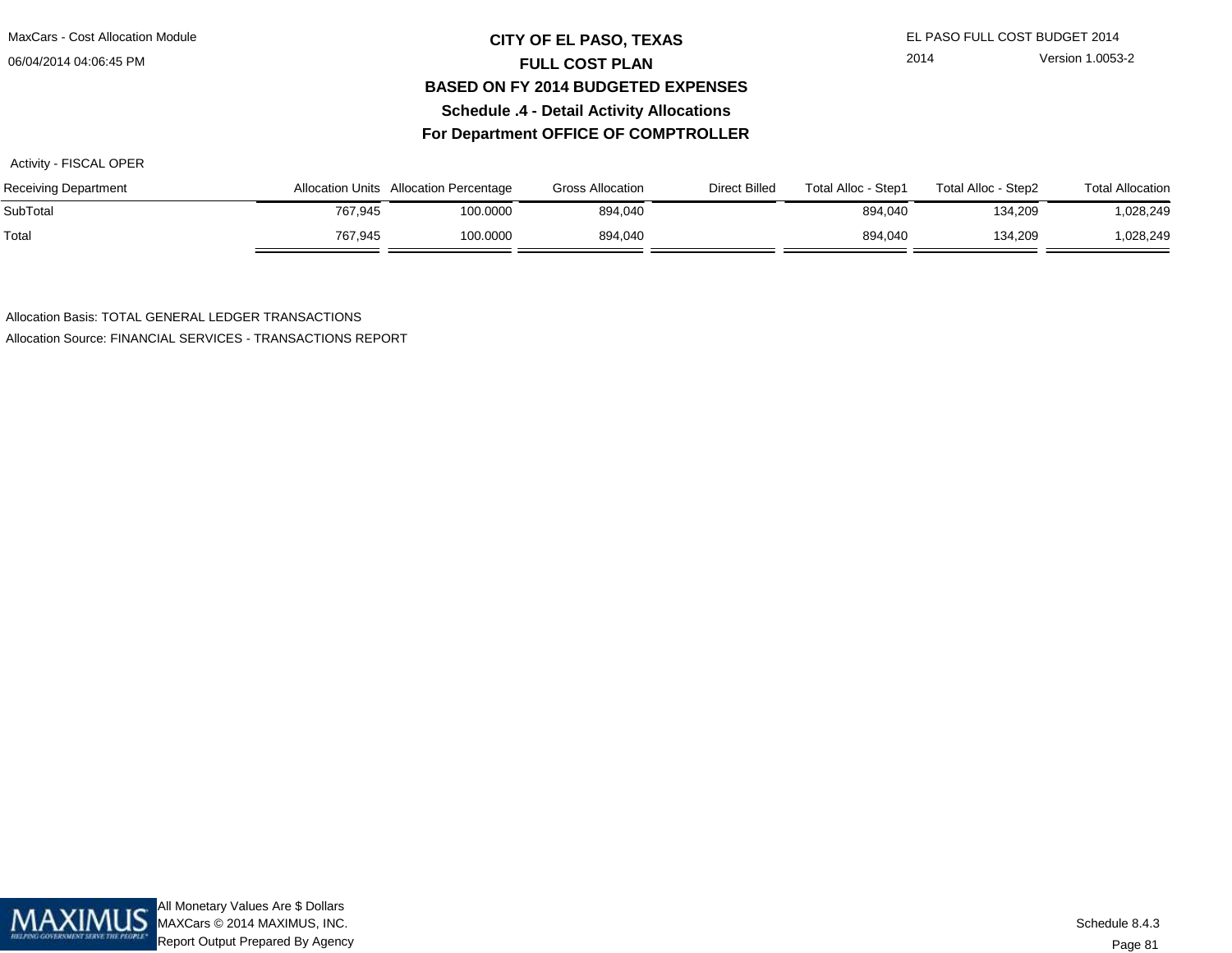06/04/2014 04:06:45 PM

## **CITY OF EL PASO, TEXAS** EL PASO FULL COST BUDGET 2014 **FULL COST PLAN BASED ON FY 2014 BUDGETED EXPENSESSchedule .4 - Detail Activity AllocationsFor Department OFFICE OF COMPTROLLER**

Activity - FISCAL OPER

| <b>Receiving Department</b> |         | Allocation Units Allocation Percentage | <b>Gross Allocation</b> | Direct Billed | Total Alloc - Step1 | Total Alloc - Step2 | <b>Total Allocation</b> |
|-----------------------------|---------|----------------------------------------|-------------------------|---------------|---------------------|---------------------|-------------------------|
| SubTotal                    | 767.945 | 100.0000                               | 894,040                 |               | 894.040             | 134.209             | 1,028,249               |
| Total                       | 767.945 | 100.0000                               | 894.040                 |               | 894.040             | 134.209             | 1,028,249               |

Allocation Basis: TOTAL GENERAL LEDGER TRANSACTIONSAllocation Source: FINANCIAL SERVICES - TRANSACTIONS REPORT

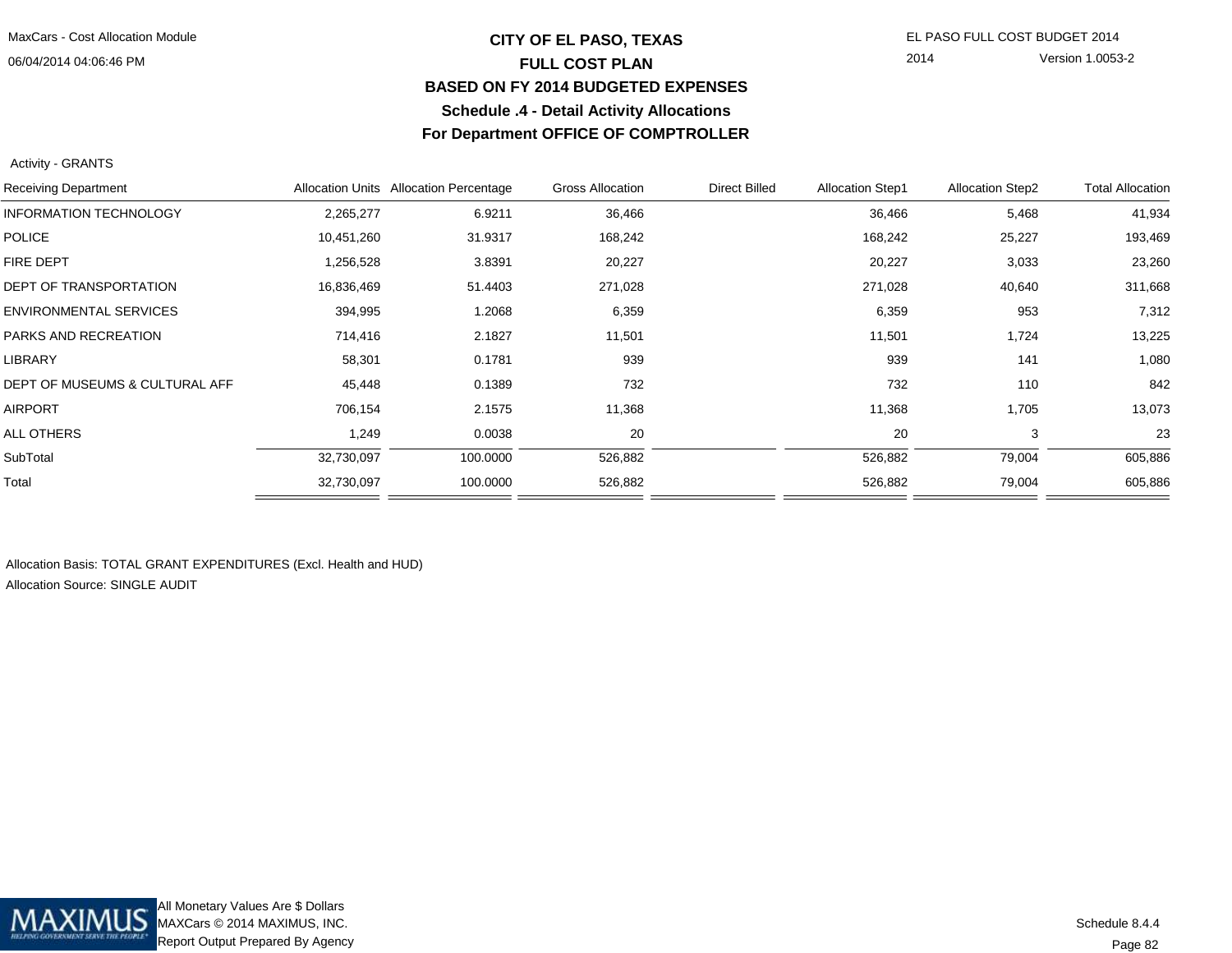06/04/2014 04:06:46 PM

## **CITY OF EL PASO, TEXAS** EL PASO FULL COST BUDGET 2014 **FULL COST PLAN BASED ON FY 2014 BUDGETED EXPENSESSchedule .4 - Detail Activity AllocationsFor Department OFFICE OF COMPTROLLER**

2014 Version 1.0053-2

#### Activity - GRANTS

| <b>Receiving Department</b>    |            | Allocation Units Allocation Percentage | <b>Gross Allocation</b> | <b>Direct Billed</b> | <b>Allocation Step1</b> | <b>Allocation Step2</b> | <b>Total Allocation</b> |
|--------------------------------|------------|----------------------------------------|-------------------------|----------------------|-------------------------|-------------------------|-------------------------|
| <b>INFORMATION TECHNOLOGY</b>  | 2,265,277  | 6.9211                                 | 36,466                  |                      | 36,466                  | 5,468                   | 41,934                  |
| <b>POLICE</b>                  | 10,451,260 | 31.9317                                | 168,242                 |                      | 168,242                 | 25,227                  | 193,469                 |
| <b>FIRE DEPT</b>               | 1,256,528  | 3.8391                                 | 20,227                  |                      | 20,227                  | 3,033                   | 23,260                  |
| <b>DEPT OF TRANSPORTATION</b>  | 16,836,469 | 51.4403                                | 271,028                 |                      | 271,028                 | 40,640                  | 311,668                 |
| <b>ENVIRONMENTAL SERVICES</b>  | 394,995    | 1.2068                                 | 6,359                   |                      | 6,359                   | 953                     | 7,312                   |
| PARKS AND RECREATION           | 714,416    | 2.1827                                 | 11,501                  |                      | 11,501                  | 1,724                   | 13,225                  |
| <b>LIBRARY</b>                 | 58,301     | 0.1781                                 | 939                     |                      | 939                     | 141                     | 1,080                   |
| DEPT OF MUSEUMS & CULTURAL AFF | 45,448     | 0.1389                                 | 732                     |                      | 732                     | 110                     | 842                     |
| <b>AIRPORT</b>                 | 706,154    | 2.1575                                 | 11,368                  |                      | 11,368                  | 1,705                   | 13,073                  |
| ALL OTHERS                     | 1,249      | 0.0038                                 | 20                      |                      | 20                      | 3                       | 23                      |
| SubTotal                       | 32,730,097 | 100.0000                               | 526,882                 |                      | 526,882                 | 79,004                  | 605,886                 |
| Total                          | 32,730,097 | 100.0000                               | 526,882                 |                      | 526,882                 | 79,004                  | 605,886                 |
|                                |            |                                        |                         |                      |                         |                         |                         |

Allocation Basis: TOTAL GRANT EXPENDITURES (Excl. Health and HUD)Allocation Source: SINGLE AUDIT

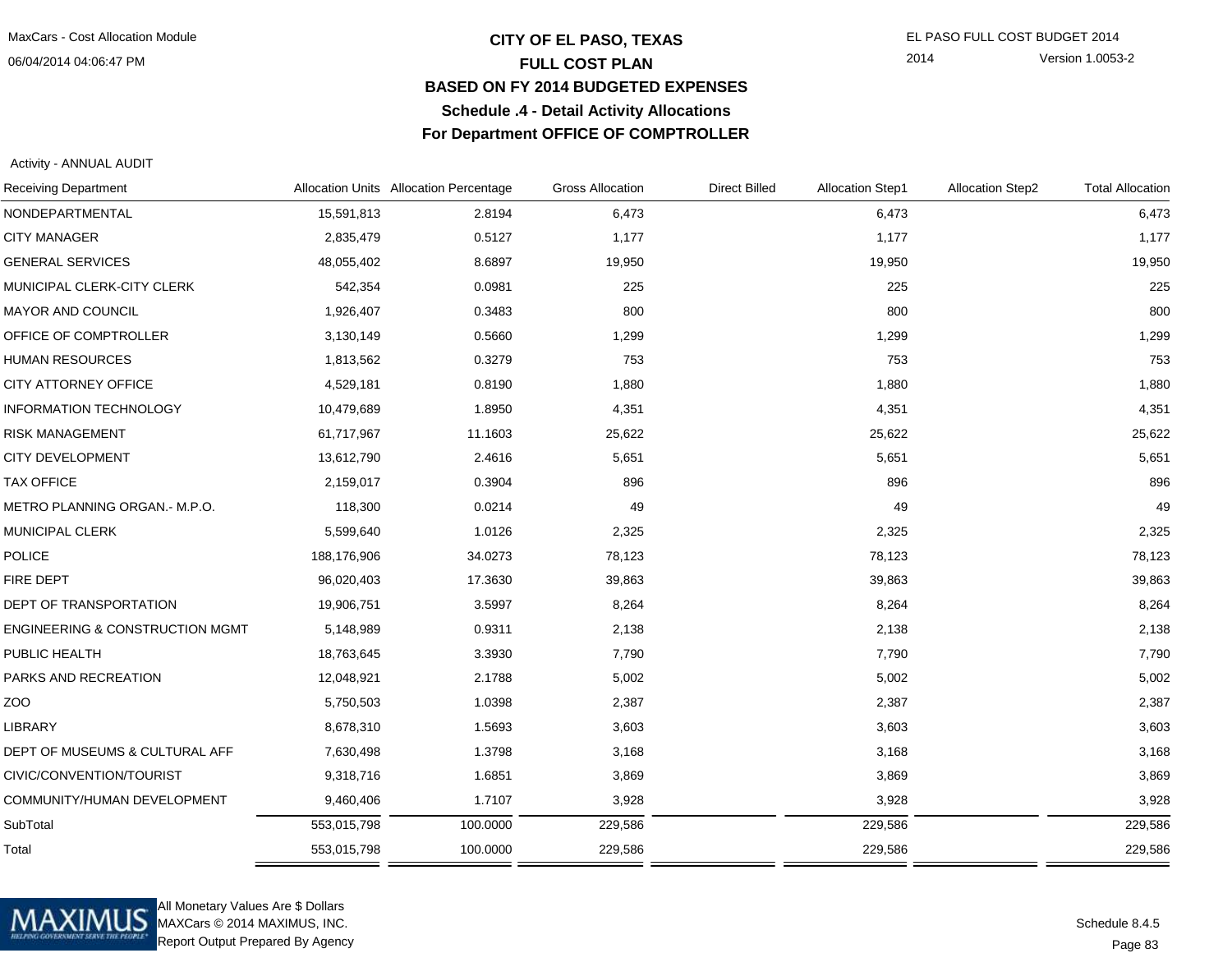06/04/2014 04:06:47 PM

## **CITY OF EL PASO, TEXAS** EL PASO FULL COST BUDGET 2014 **FULL COST PLAN BASED ON FY 2014 BUDGETED EXPENSESSchedule .4 - Detail Activity AllocationsFor Department OFFICE OF COMPTROLLER**

2014 Version 1.0053-2

Activity - ANNUAL AUDIT

| <b>Receiving Department</b>                |             | Allocation Units Allocation Percentage | <b>Gross Allocation</b> | <b>Direct Billed</b> | <b>Allocation Step1</b> | <b>Allocation Step2</b> | <b>Total Allocation</b> |
|--------------------------------------------|-------------|----------------------------------------|-------------------------|----------------------|-------------------------|-------------------------|-------------------------|
| NONDEPARTMENTAL                            | 15,591,813  | 2.8194                                 | 6,473                   |                      | 6,473                   |                         | 6,473                   |
| <b>CITY MANAGER</b>                        | 2,835,479   | 0.5127                                 | 1,177                   |                      | 1,177                   |                         | 1,177                   |
| <b>GENERAL SERVICES</b>                    | 48,055,402  | 8.6897                                 | 19,950                  |                      | 19,950                  |                         | 19,950                  |
| MUNICIPAL CLERK-CITY CLERK                 | 542,354     | 0.0981                                 | 225                     |                      | 225                     |                         | 225                     |
| MAYOR AND COUNCIL                          | 1,926,407   | 0.3483                                 | 800                     |                      | 800                     |                         | 800                     |
| OFFICE OF COMPTROLLER                      | 3,130,149   | 0.5660                                 | 1,299                   |                      | 1,299                   |                         | 1,299                   |
| <b>HUMAN RESOURCES</b>                     | 1,813,562   | 0.3279                                 | 753                     |                      | 753                     |                         | 753                     |
| CITY ATTORNEY OFFICE                       | 4,529,181   | 0.8190                                 | 1,880                   |                      | 1,880                   |                         | 1,880                   |
| <b>INFORMATION TECHNOLOGY</b>              | 10,479,689  | 1.8950                                 | 4,351                   |                      | 4,351                   |                         | 4,351                   |
| <b>RISK MANAGEMENT</b>                     | 61,717,967  | 11.1603                                | 25,622                  |                      | 25,622                  |                         | 25,622                  |
| <b>CITY DEVELOPMENT</b>                    | 13,612,790  | 2.4616                                 | 5,651                   |                      | 5,651                   |                         | 5,651                   |
| <b>TAX OFFICE</b>                          | 2,159,017   | 0.3904                                 | 896                     |                      | 896                     |                         | 896                     |
| METRO PLANNING ORGAN.- M.P.O.              | 118,300     | 0.0214                                 | 49                      |                      | 49                      |                         | 49                      |
| <b>MUNICIPAL CLERK</b>                     | 5,599,640   | 1.0126                                 | 2,325                   |                      | 2,325                   |                         | 2,325                   |
| POLICE                                     | 188,176,906 | 34.0273                                | 78,123                  |                      | 78,123                  |                         | 78,123                  |
| FIRE DEPT                                  | 96,020,403  | 17.3630                                | 39,863                  |                      | 39,863                  |                         | 39,863                  |
| DEPT OF TRANSPORTATION                     | 19,906,751  | 3.5997                                 | 8,264                   |                      | 8,264                   |                         | 8,264                   |
| <b>ENGINEERING &amp; CONSTRUCTION MGMT</b> | 5,148,989   | 0.9311                                 | 2,138                   |                      | 2,138                   |                         | 2,138                   |
| PUBLIC HEALTH                              | 18,763,645  | 3.3930                                 | 7,790                   |                      | 7,790                   |                         | 7,790                   |
| PARKS AND RECREATION                       | 12,048,921  | 2.1788                                 | 5,002                   |                      | 5,002                   |                         | 5,002                   |
| ZOO                                        | 5,750,503   | 1.0398                                 | 2,387                   |                      | 2,387                   |                         | 2,387                   |
| <b>LIBRARY</b>                             | 8,678,310   | 1.5693                                 | 3,603                   |                      | 3,603                   |                         | 3,603                   |
| DEPT OF MUSEUMS & CULTURAL AFF             | 7,630,498   | 1.3798                                 | 3,168                   |                      | 3,168                   |                         | 3,168                   |
| CIVIC/CONVENTION/TOURIST                   | 9,318,716   | 1.6851                                 | 3,869                   |                      | 3,869                   |                         | 3,869                   |
| COMMUNITY/HUMAN DEVELOPMENT                | 9,460,406   | 1.7107                                 | 3,928                   |                      | 3,928                   |                         | 3,928                   |
| SubTotal                                   | 553,015,798 | 100.0000                               | 229,586                 |                      | 229,586                 |                         | 229,586                 |
| Total                                      | 553,015,798 | 100.0000                               | 229,586                 |                      | 229,586                 |                         | 229,586                 |
|                                            |             |                                        |                         |                      |                         |                         |                         |



All Monetary Values Are \$ Dollars MAXCars © 2014 MAXIMUS, INC.Report Output Prepared By Agency

Page 83Schedule 8.4.5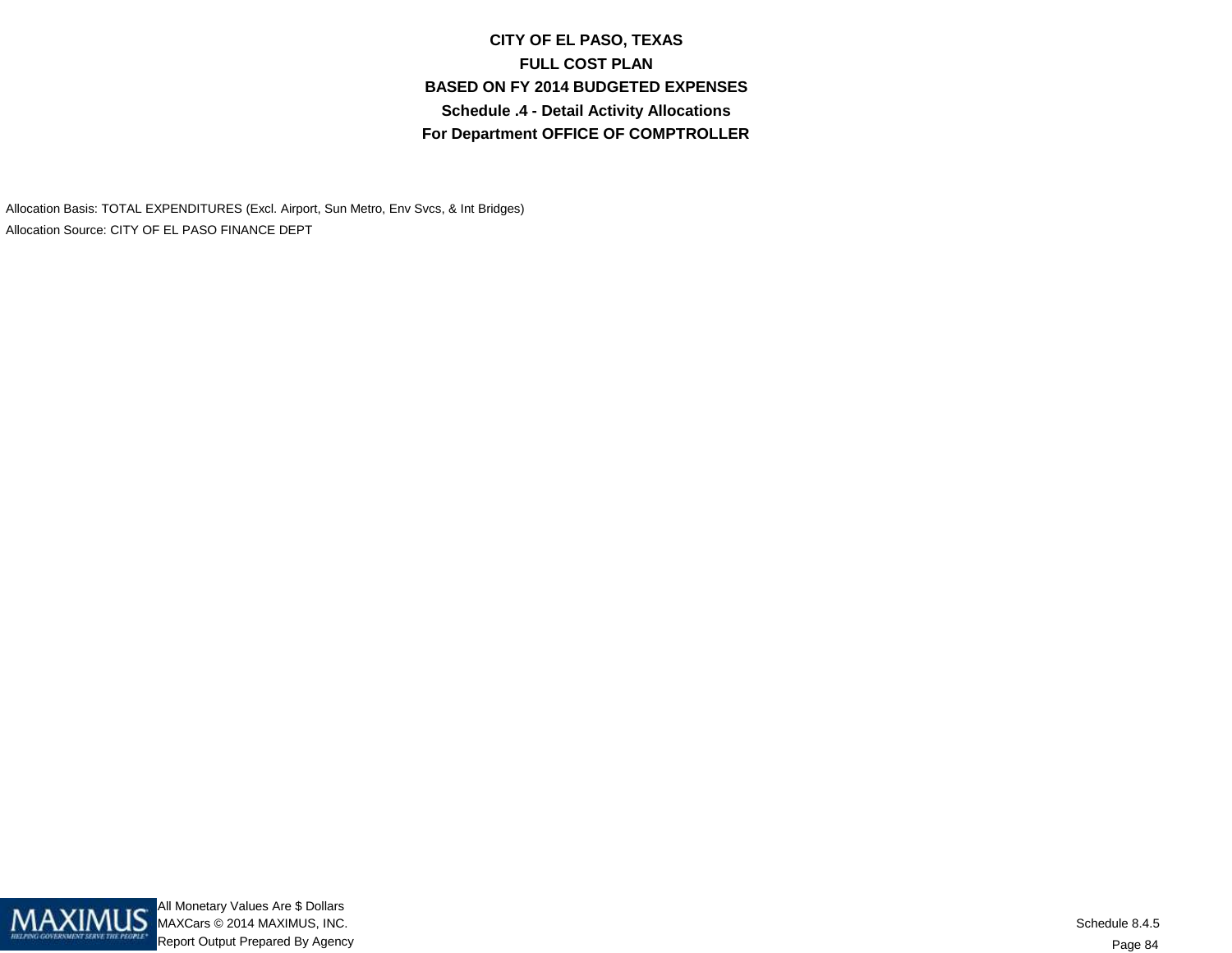**CITY OF EL PASO, TEXASFULL COST PLAN BASED ON FY 2014 BUDGETED EXPENSESSchedule .4 - Detail Activity AllocationsFor Department OFFICE OF COMPTROLLER**

Allocation Basis: TOTAL EXPENDITURES (Excl. Airport, Sun Metro, Env Svcs, & Int Bridges)Allocation Source: CITY OF EL PASO FINANCE DEPT

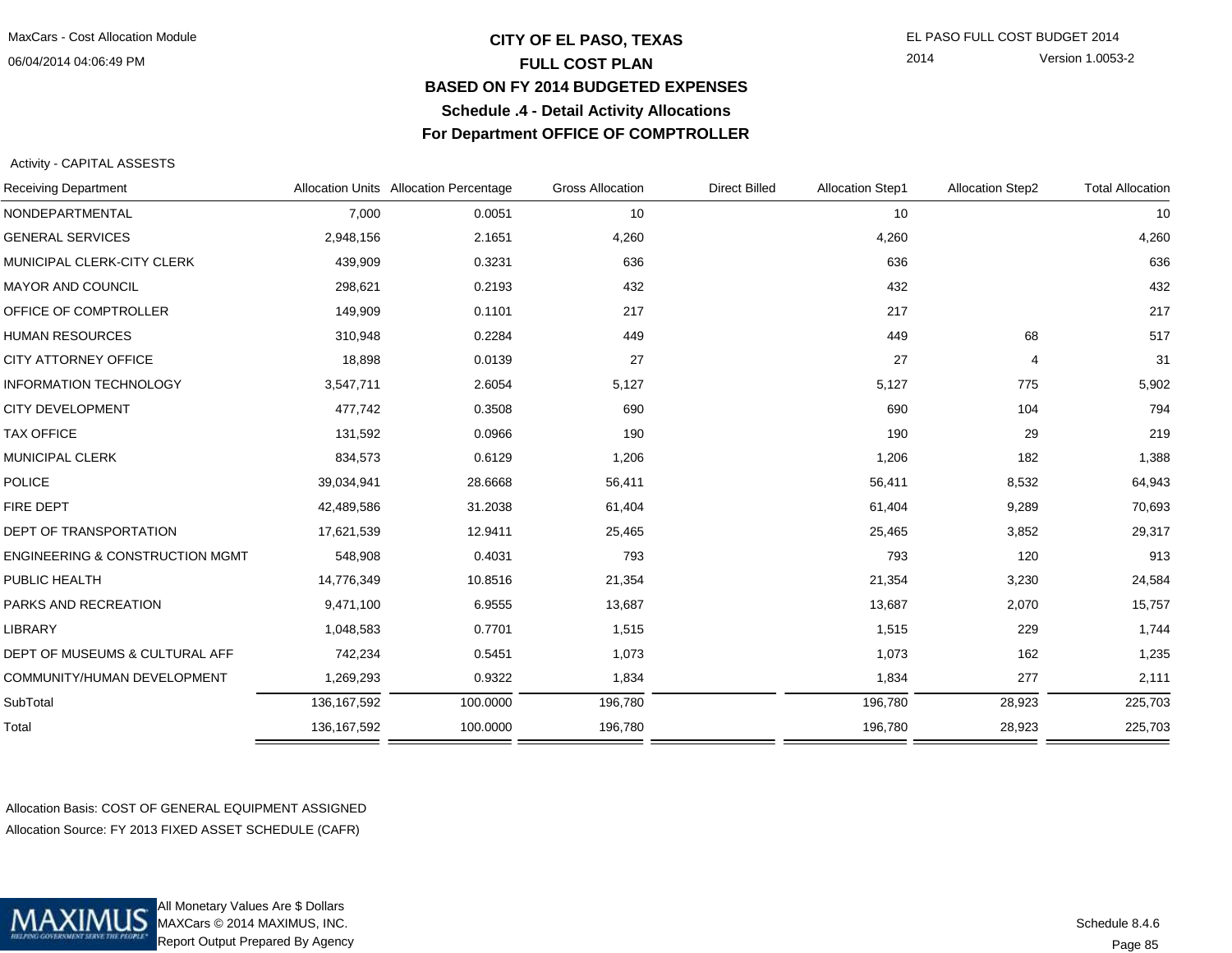06/04/2014 04:06:49 PM

## **CITY OF EL PASO, TEXAS** EL PASO FULL COST BUDGET 2014 **FULL COST PLAN BASED ON FY 2014 BUDGETED EXPENSESSchedule .4 - Detail Activity AllocationsFor Department OFFICE OF COMPTROLLER**

2014 Version 1.0053-2

#### Activity - CAPITAL ASSESTS

|               |          | <b>Gross Allocation</b>                | <b>Direct Billed</b> | <b>Allocation Step1</b> | <b>Allocation Step2</b> | <b>Total Allocation</b> |
|---------------|----------|----------------------------------------|----------------------|-------------------------|-------------------------|-------------------------|
| 7,000         | 0.0051   | 10                                     |                      | 10                      |                         | 10                      |
| 2,948,156     | 2.1651   | 4,260                                  |                      | 4,260                   |                         | 4,260                   |
| 439,909       | 0.3231   | 636                                    |                      | 636                     |                         | 636                     |
| 298,621       | 0.2193   | 432                                    |                      | 432                     |                         | 432                     |
| 149,909       | 0.1101   | 217                                    |                      | 217                     |                         | 217                     |
| 310,948       | 0.2284   | 449                                    |                      | 449                     | 68                      | 517                     |
| 18,898        | 0.0139   | 27                                     |                      | 27                      | $\overline{4}$          | 31                      |
| 3,547,711     | 2.6054   | 5,127                                  |                      | 5,127                   | 775                     | 5,902                   |
| 477,742       | 0.3508   | 690                                    |                      | 690                     | 104                     | 794                     |
| 131,592       | 0.0966   | 190                                    |                      | 190                     | 29                      | 219                     |
| 834,573       | 0.6129   | 1,206                                  |                      | 1,206                   | 182                     | 1,388                   |
| 39,034,941    | 28.6668  | 56,411                                 |                      | 56,411                  | 8,532                   | 64,943                  |
| 42,489,586    | 31.2038  | 61,404                                 |                      | 61,404                  | 9,289                   | 70,693                  |
| 17,621,539    | 12.9411  | 25,465                                 |                      | 25,465                  | 3,852                   | 29,317                  |
| 548,908       | 0.4031   | 793                                    |                      | 793                     | 120                     | 913                     |
| 14,776,349    | 10.8516  | 21,354                                 |                      | 21,354                  | 3,230                   | 24,584                  |
| 9,471,100     | 6.9555   | 13,687                                 |                      | 13,687                  | 2,070                   | 15,757                  |
| 1,048,583     | 0.7701   | 1,515                                  |                      | 1,515                   | 229                     | 1,744                   |
| 742,234       | 0.5451   | 1,073                                  |                      | 1,073                   | 162                     | 1,235                   |
| 1,269,293     | 0.9322   | 1,834                                  |                      | 1,834                   | 277                     | 2,111                   |
| 136, 167, 592 | 100.0000 | 196,780                                |                      | 196,780                 | 28,923                  | 225,703                 |
| 136, 167, 592 | 100.0000 | 196,780                                |                      | 196,780                 | 28,923                  | 225,703                 |
|               |          | Allocation Units Allocation Percentage |                      |                         |                         |                         |

Allocation Basis: COST OF GENERAL EQUIPMENT ASSIGNEDAllocation Source: FY 2013 FIXED ASSET SCHEDULE (CAFR)



All Monetary Values Are \$ Dollars MAXCars © 2014 MAXIMUS, INC.Report Output Prepared By Agency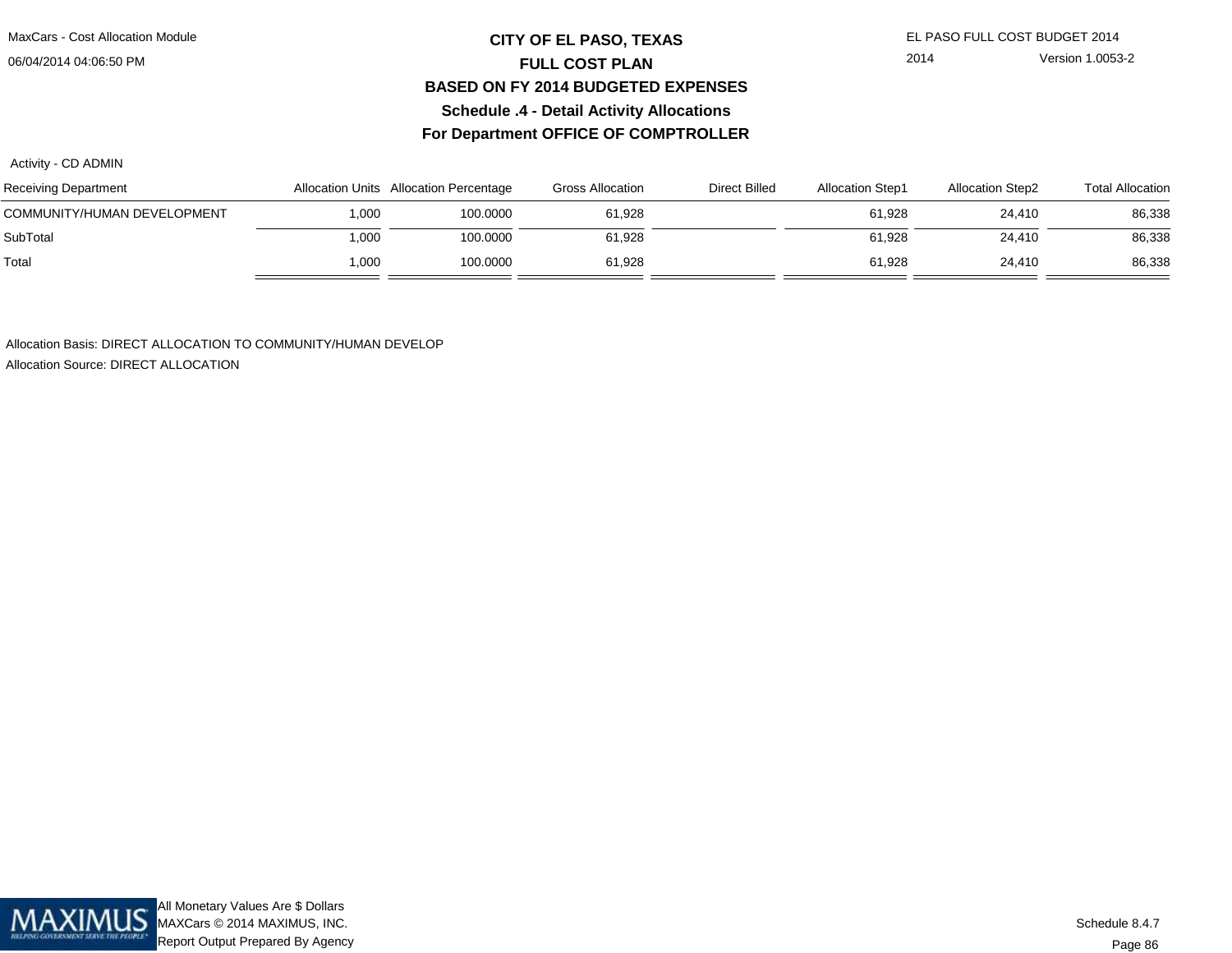MaxCars - Cost Allocation Module

06/04/2014 04:06:50 PM

#### **CITY OF EL PASO, TEXAS** EL PASO FULL COST BUDGET 2014 **FULL COST PLAN BASED ON FY 2014 BUDGETED EXPENSESSchedule .4 - Detail Activity AllocationsFor Department OFFICE OF COMPTROLLER**

2014 Version 1.0053-2

Activity - CD ADMIN

| Receiving Department        |       | Allocation Units Allocation Percentage | <b>Gross Allocation</b> | Direct Billed | <b>Allocation Step1</b> | <b>Allocation Step2</b> | <b>Total Allocation</b> |
|-----------------------------|-------|----------------------------------------|-------------------------|---------------|-------------------------|-------------------------|-------------------------|
| COMMUNITY/HUMAN DEVELOPMENT | 1.000 | 100.0000                               | 61.928                  |               | 61.928                  | 24.410                  | 86,338                  |
| SubTotal                    | 1,000 | 100.0000                               | 61,928                  |               | 61,928                  | 24.410                  | 86,338                  |
| Total                       | 1.000 | 100.0000                               | 61.928                  |               | 61.928                  | 24.410                  | 86,338                  |

Allocation Basis: DIRECT ALLOCATION TO COMMUNITY/HUMAN DEVELOP

Allocation Source: DIRECT ALLOCATION

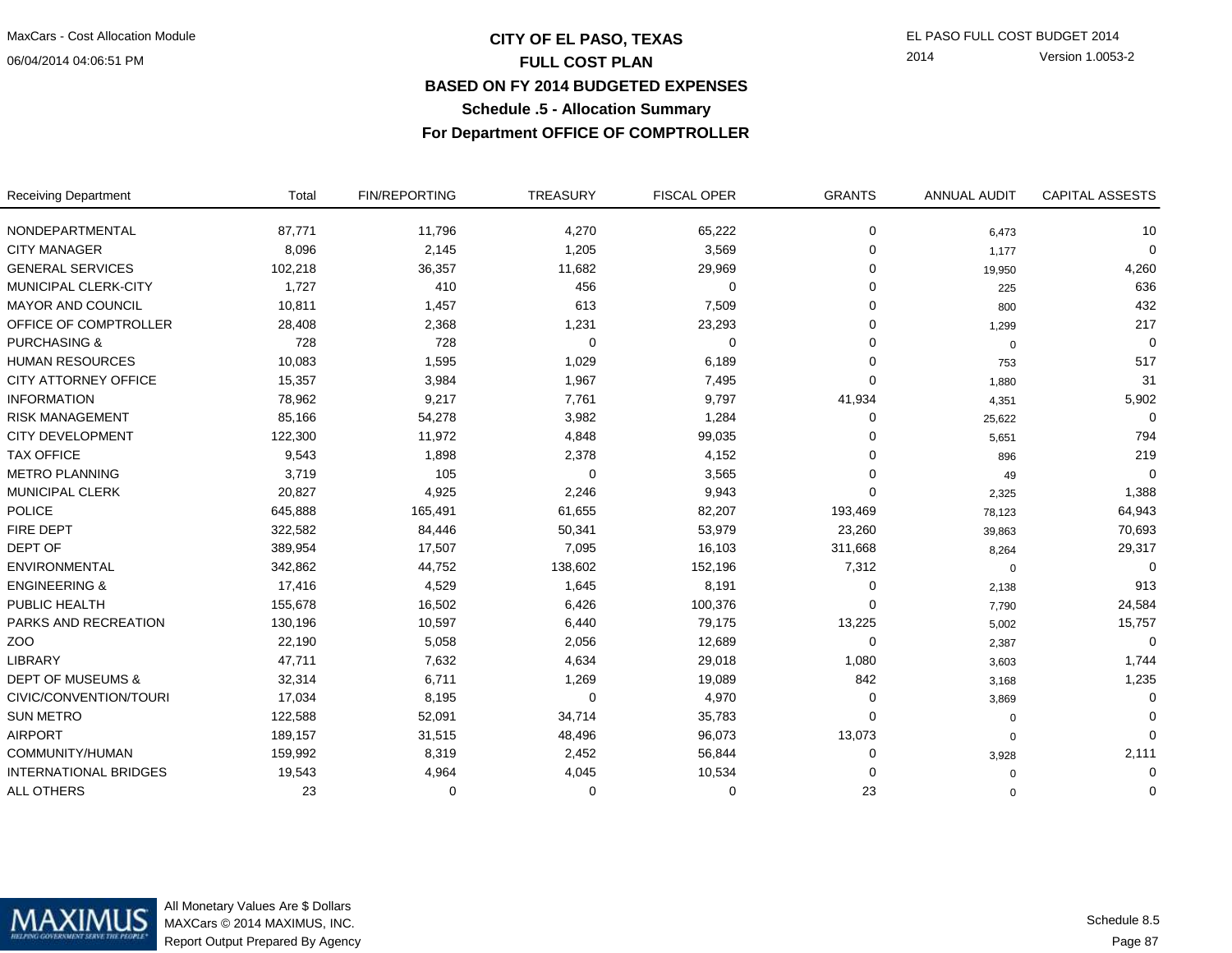# **CITY OF EL PASO, TEXAS** EL PASO FULL COST BUDGET 2014 **FULL COST PLAN BASED ON FY 2014 BUDGETED EXPENSESSchedule .5 - Allocation Summary**

2014 Version 1.0053-2

**For Department OFFICE OF COMPTROLLER**

| <b>Receiving Department</b>  | Total   | <b>FIN/REPORTING</b> | TREASURY | <b>FISCAL OPER</b> | <b>GRANTS</b> | <b>ANNUAL AUDIT</b> | <b>CAPITAL ASSESTS</b> |
|------------------------------|---------|----------------------|----------|--------------------|---------------|---------------------|------------------------|
| NONDEPARTMENTAL              | 87,771  | 11,796               | 4,270    | 65,222             | 0             | 6,473               | 10                     |
| <b>CITY MANAGER</b>          | 8,096   | 2,145                | 1,205    | 3,569              | 0             | 1,177               | $\Omega$               |
| <b>GENERAL SERVICES</b>      | 102,218 | 36,357               | 11,682   | 29,969             | 0             | 19,950              | 4,260                  |
| MUNICIPAL CLERK-CITY         | 1,727   | 410                  | 456      | 0                  | 0             | 225                 | 636                    |
| <b>MAYOR AND COUNCIL</b>     | 10,811  | 1,457                | 613      | 7,509              | 0             | 800                 | 432                    |
| OFFICE OF COMPTROLLER        | 28,408  | 2,368                | 1,231    | 23,293             | 0             | 1,299               | 217                    |
| <b>PURCHASING &amp;</b>      | 728     | 728                  | 0        | 0                  | 0             | $\mathbf 0$         | $\Omega$               |
| <b>HUMAN RESOURCES</b>       | 10,083  | 1,595                | 1,029    | 6,189              | 0             | 753                 | 517                    |
| CITY ATTORNEY OFFICE         | 15,357  | 3,984                | 1,967    | 7,495              | $\Omega$      | 1,880               | 31                     |
| <b>INFORMATION</b>           | 78,962  | 9,217                | 7,761    | 9,797              | 41,934        | 4,351               | 5,902                  |
| <b>RISK MANAGEMENT</b>       | 85,166  | 54,278               | 3,982    | 1,284              | 0             | 25,622              | $\Omega$               |
| <b>CITY DEVELOPMENT</b>      | 122,300 | 11,972               | 4,848    | 99,035             | 0             | 5,651               | 794                    |
| <b>TAX OFFICE</b>            | 9,543   | 1,898                | 2,378    | 4,152              | 0             | 896                 | 219                    |
| <b>METRO PLANNING</b>        | 3,719   | 105                  | $\Omega$ | 3,565              | 0             | 49                  | $\Omega$               |
| <b>MUNICIPAL CLERK</b>       | 20,827  | 4,925                | 2,246    | 9,943              | $\Omega$      | 2,325               | 1,388                  |
| <b>POLICE</b>                | 645,888 | 165,491              | 61,655   | 82,207             | 193,469       | 78,123              | 64,943                 |
| FIRE DEPT                    | 322,582 | 84,446               | 50,341   | 53,979             | 23,260        | 39,863              | 70,693                 |
| DEPT OF                      | 389,954 | 17,507               | 7,095    | 16,103             | 311,668       | 8,264               | 29,317                 |
| ENVIRONMENTAL                | 342,862 | 44,752               | 138,602  | 152,196            | 7,312         | $\Omega$            |                        |
| <b>ENGINEERING &amp;</b>     | 17,416  | 4,529                | 1,645    | 8,191              | 0             | 2,138               | 913                    |
| PUBLIC HEALTH                | 155,678 | 16,502               | 6,426    | 100,376            | 0             | 7,790               | 24,584                 |
| PARKS AND RECREATION         | 130,196 | 10,597               | 6,440    | 79,175             | 13,225        | 5,002               | 15,757                 |
| ZO <sub>O</sub>              | 22,190  | 5,058                | 2,056    | 12,689             | 0             | 2,387               | $\Omega$               |
| <b>LIBRARY</b>               | 47,711  | 7,632                | 4,634    | 29,018             | 1,080         | 3,603               | 1,744                  |
| <b>DEPT OF MUSEUMS &amp;</b> | 32,314  | 6,711                | 1,269    | 19,089             | 842           | 3,168               | 1,235                  |
| CIVIC/CONVENTION/TOURI       | 17,034  | 8,195                | $\Omega$ | 4,970              | 0             | 3,869               | $\Omega$               |
| <b>SUN METRO</b>             | 122,588 | 52,091               | 34,714   | 35,783             | 0             | 0                   | $\Omega$               |
| <b>AIRPORT</b>               | 189,157 | 31,515               | 48,496   | 96,073             | 13,073        | $\mathbf 0$         | $\Omega$               |
| COMMUNITY/HUMAN              | 159,992 | 8,319                | 2,452    | 56,844             | 0             | 3,928               | 2,111                  |
| <b>INTERNATIONAL BRIDGES</b> | 19,543  | 4,964                | 4,045    | 10,534             | 0             | $\Omega$            | 0                      |
| <b>ALL OTHERS</b>            | 23      | $\Omega$             | $\Omega$ | $\Omega$           | 23            | $\Omega$            | $\Omega$               |

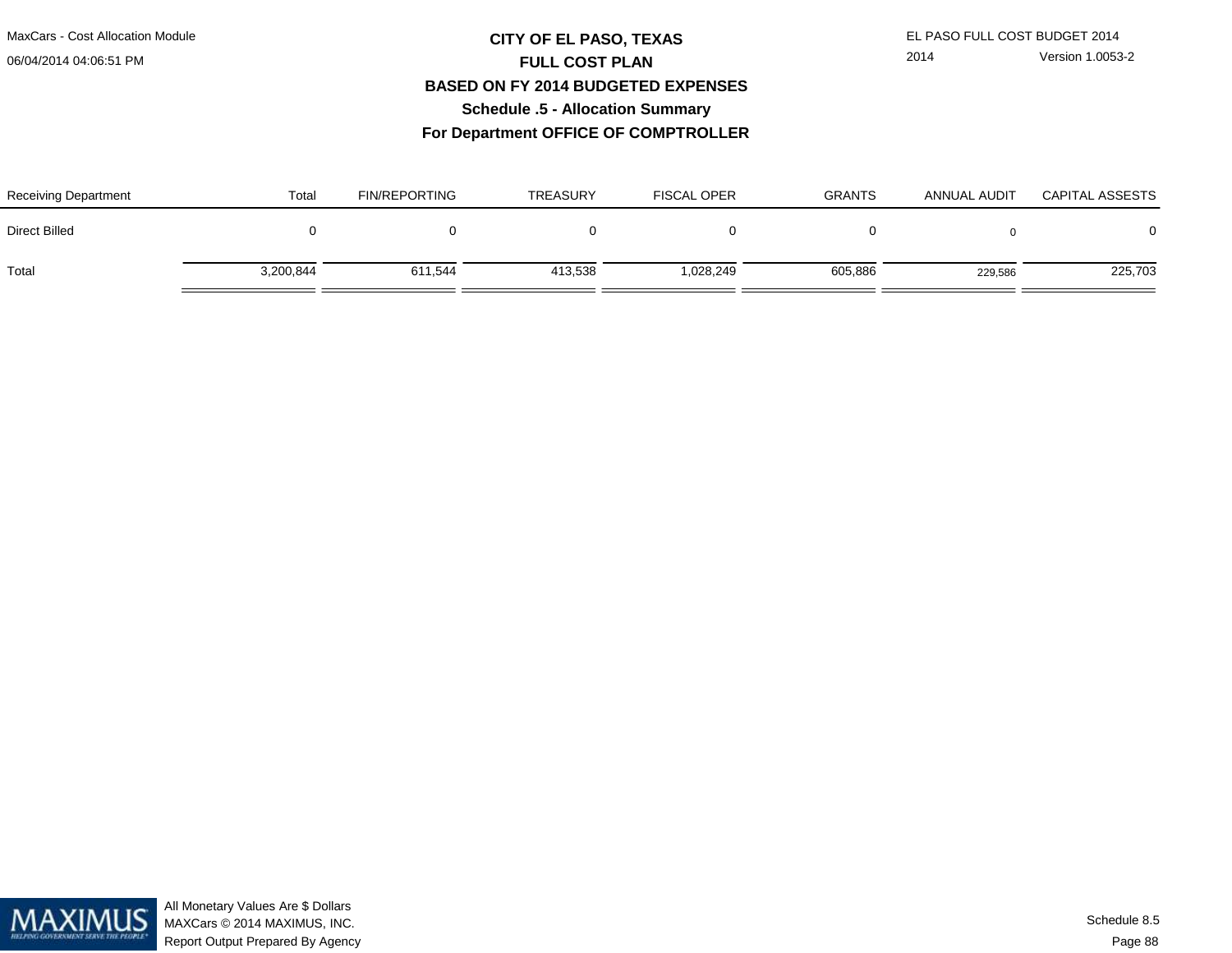# **CITY OF EL PASO, TEXAS** EL PASO FULL COST BUDGET 2014 **FULL COST PLAN BASED ON FY 2014 BUDGETED EXPENSESSchedule .5 - Allocation Summary**

2014 Version 1.0053-2

**For Department OFFICE OF COMPTROLLER**

| <b>Receiving Department</b> | Total     | <b>FIN/REPORTING</b> | <b>TREASURY</b> | <b>FISCAL OPER</b> | <b>GRANTS</b> | ANNUAL AUDIT | <b>CAPITAL ASSESTS</b> |
|-----------------------------|-----------|----------------------|-----------------|--------------------|---------------|--------------|------------------------|
| Direct Billed               |           |                      |                 |                    |               |              | $\Omega$               |
| Total                       | 3,200,844 | 611.544              | 413,538         | 028,249.ا          | 605,886       | 229,586      | 225,703                |

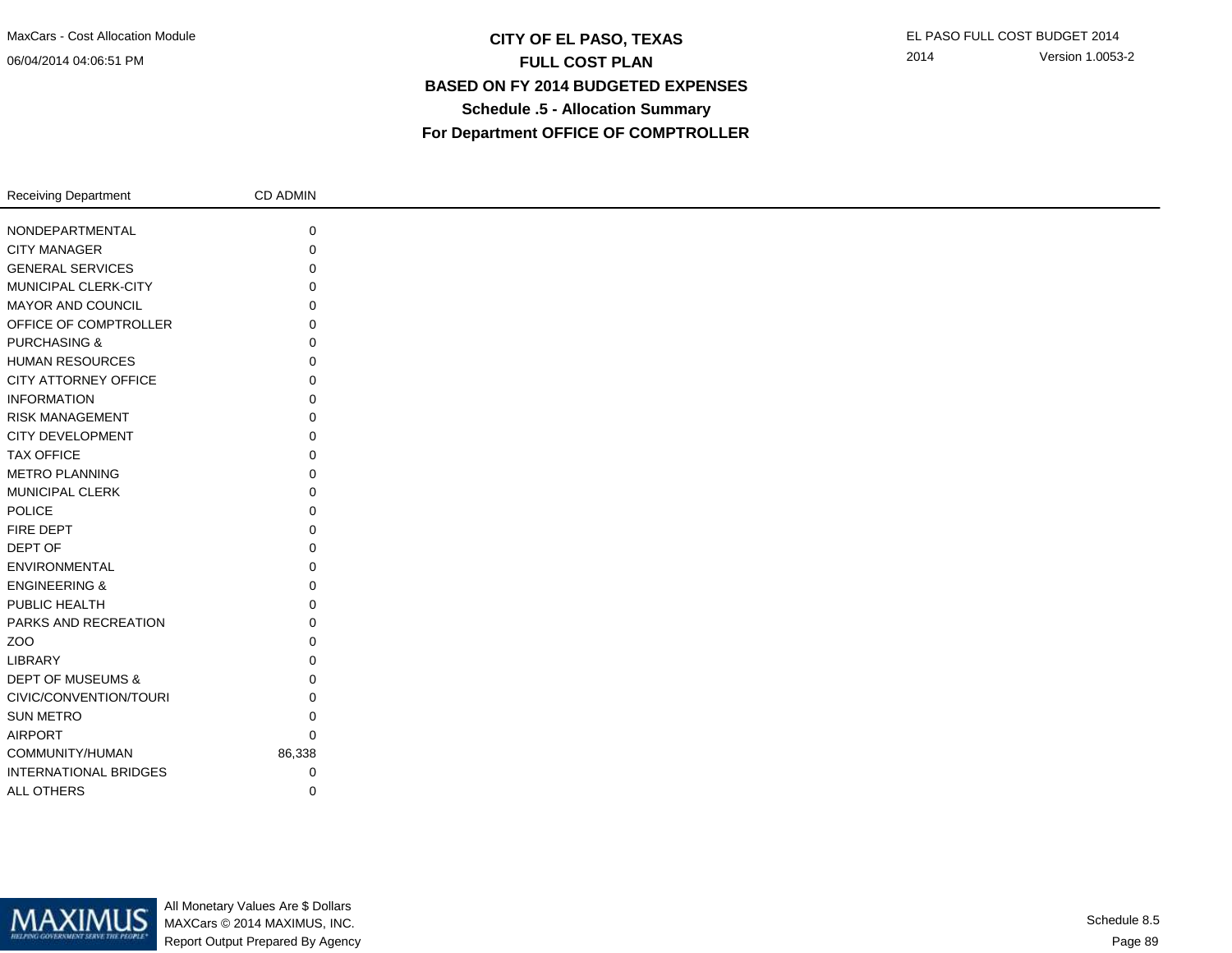## **CITY OF EL PASO, TEXAS** EL PASO FULL COST BUDGET 2014 **FULL COST PLAN BASED ON FY 2014 BUDGETED EXPENSESSchedule .5 - Allocation SummaryFor Department OFFICE OF COMPTROLLER**

| <b>Receiving Department</b>  | CD ADMIN |
|------------------------------|----------|
|                              |          |
| NONDEPARTMENTAL              | 0        |
| <b>CITY MANAGER</b>          | 0        |
| <b>GENERAL SERVICES</b>      | $\Omega$ |
| MUNICIPAL CLERK-CITY         | 0        |
| MAYOR AND COUNCIL            | $\Omega$ |
| OFFICE OF COMPTROLLER        | O        |
| <b>PURCHASING &amp;</b>      | O        |
| <b>HUMAN RESOURCES</b>       | 0        |
| CITY ATTORNEY OFFICE         | 0        |
| <b>INFORMATION</b>           | 0        |
| <b>RISK MANAGEMENT</b>       | $\Omega$ |
| CITY DEVELOPMENT             | $\Omega$ |
| <b>TAX OFFICE</b>            | 0        |
| <b>METRO PLANNING</b>        | 0        |
| <b>MUNICIPAL CLERK</b>       | $\Omega$ |
| POLICE                       | $\Omega$ |
| FIRE DEPT                    | $\Omega$ |
| DEPT OF                      | 0        |
| ENVIRONMENTAL                | $\Omega$ |
| <b>ENGINEERING &amp;</b>     | 0        |
| PUBLIC HEALTH                | 0        |
| PARKS AND RECREATION         | U        |
| ZOO                          | O        |
| LIBRARY                      | O        |
| DEPT OF MUSEUMS &            | 0        |
| CIVIC/CONVENTION/TOURI       | 0        |
| <b>SUN METRO</b>             | $\Omega$ |
| <b>AIRPORT</b>               | $\Omega$ |
| COMMUNITY/HUMAN              | 86,338   |
| <b>INTERNATIONAL BRIDGES</b> | 0        |
| ALL OTHERS                   | 0        |
|                              |          |



All Monetary Values Are \$ Dollars MAXCars © 2014 MAXIMUS, INC.Report Output Prepared By Agency

Page 89Schedule 8.5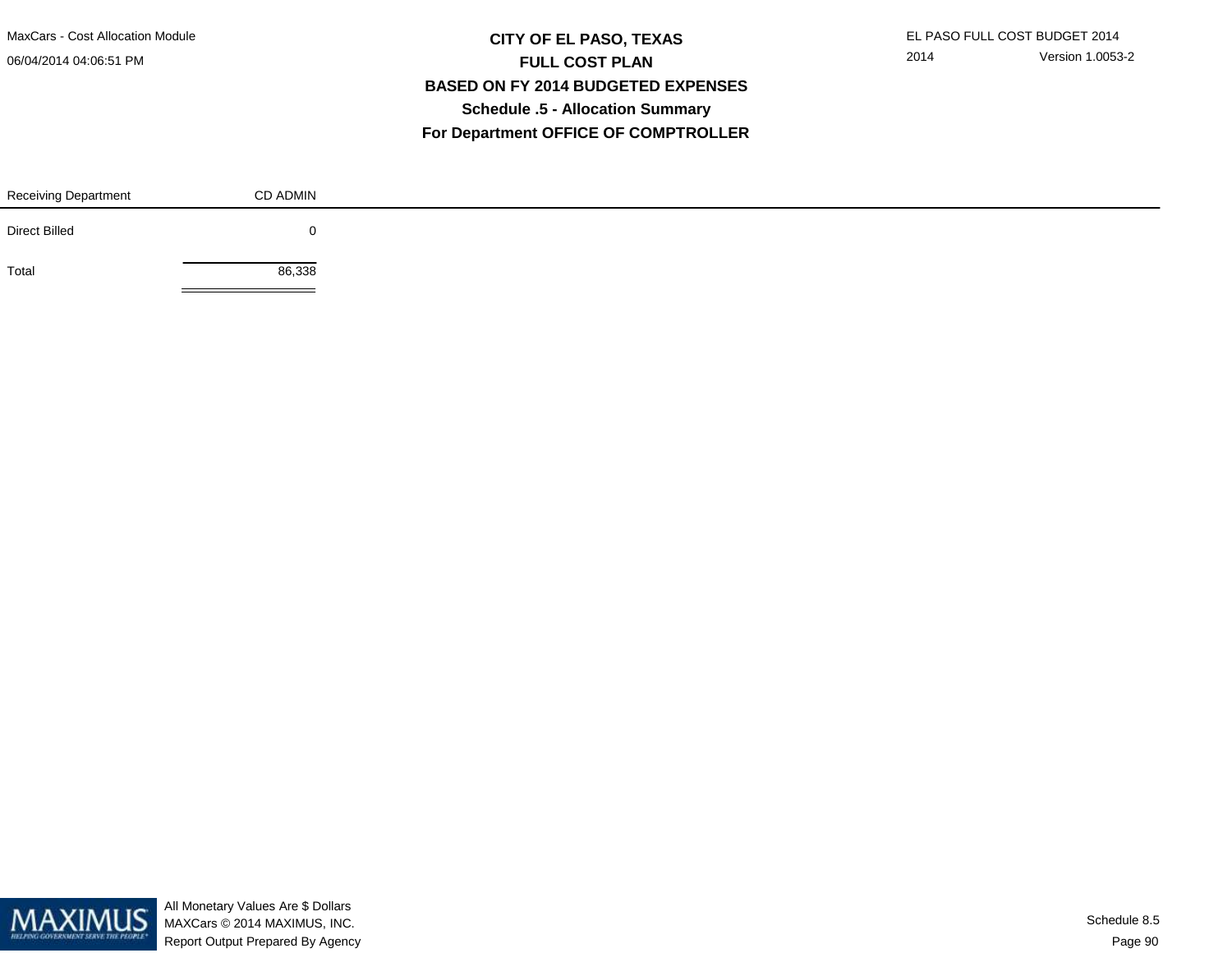MaxCars - Cost Allocation Module

06/04/2014 04:06:51 PM

## **CITY OF EL PASO, TEXAS** EL PASO FULL COST BUDGET 2014 **FULL COST PLAN BASED ON FY 2014 BUDGETED EXPENSESSchedule .5 - Allocation SummaryFor Department OFFICE OF COMPTROLLER**

| <b>Receiving Department</b> | CD ADMIN |  |
|-----------------------------|----------|--|
| <b>Direct Billed</b>        |          |  |
| Total                       | 86,338   |  |

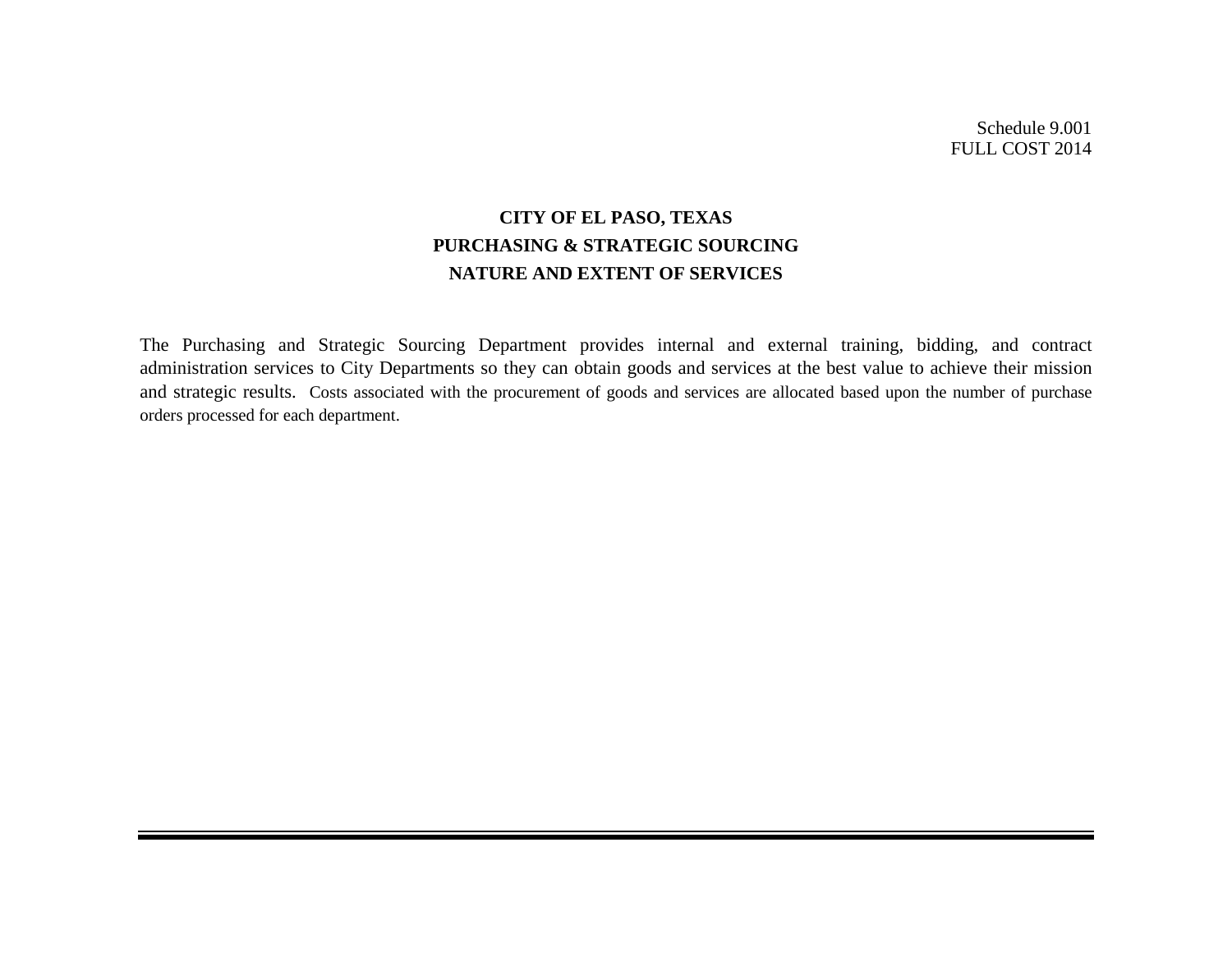Schedule 9.001 FULL COST 2014

# **CITY OF EL PASO, TEXAS PURCHASING & STRATEGIC SOURCING NATURE AND EXTENT OF SERVICES**

The Purchasing and Strategic Sourcing Department provides internal and external training, bidding, and contract administration services to City Departments so they can obtain goods and services at the best value to achieve their mission and strategic results. Costs associated with the procurement of goods and services are allocated based upon the number of purchase orders processed for each department.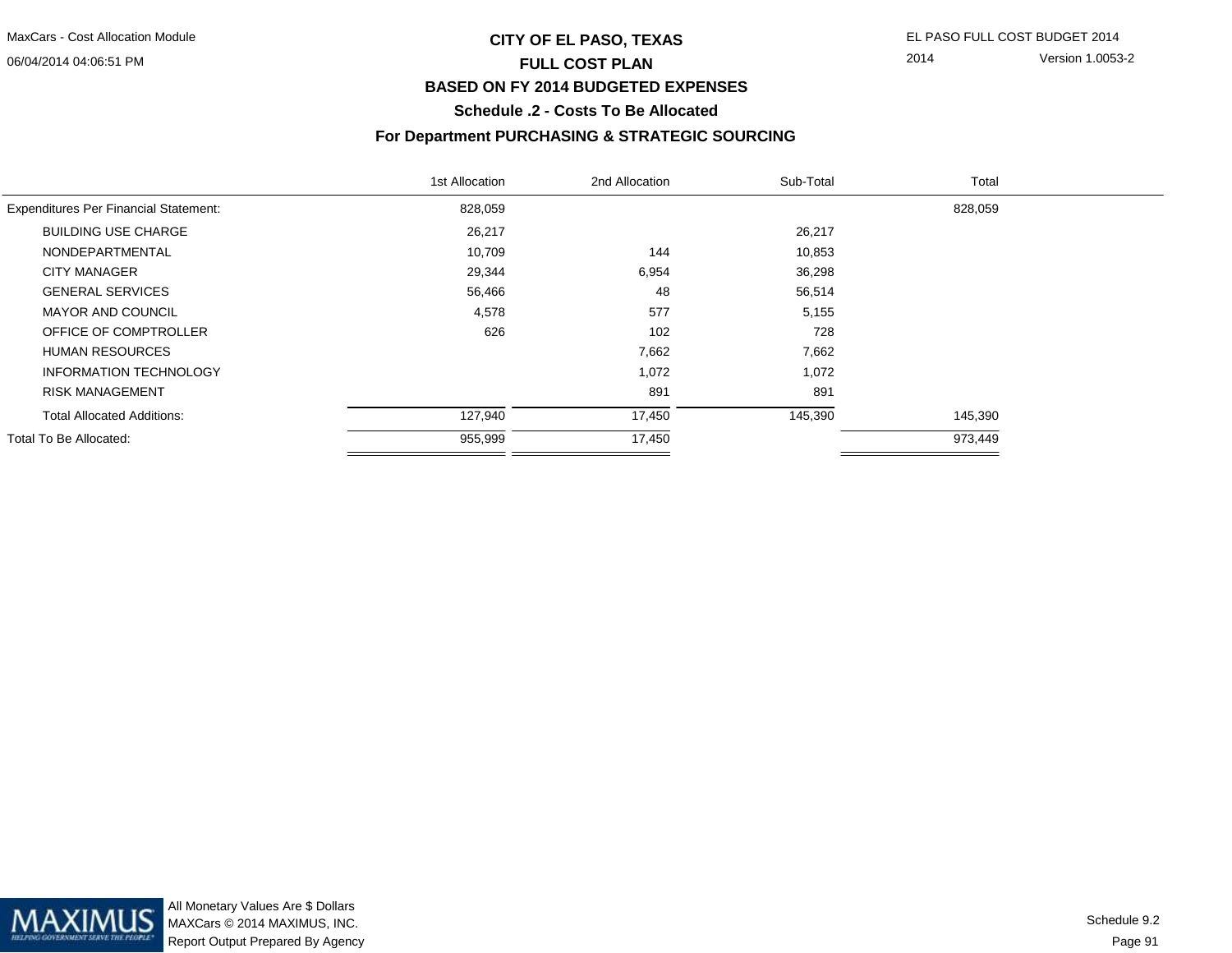## **CITY OF EL PASO, TEXAS** EL PASO FULL COST BUDGET 2014 **FULL COST PLANBASED ON FY 2014 BUDGETED EXPENSES**

2014 Version 1.0053-2

**Schedule .2 - Costs To Be Allocated**

#### **For Department PURCHASING & STRATEGIC SOURCING**

| 1st Allocation | 2nd Allocation | Sub-Total | Total   |  |
|----------------|----------------|-----------|---------|--|
| 828,059        |                |           | 828,059 |  |
| 26,217         |                | 26,217    |         |  |
| 10,709         | 144            | 10,853    |         |  |
| 29,344         | 6,954          | 36,298    |         |  |
| 56,466         | 48             | 56,514    |         |  |
| 4,578          | 577            | 5,155     |         |  |
| 626            | 102            | 728       |         |  |
|                | 7,662          | 7,662     |         |  |
|                | 1,072          | 1,072     |         |  |
|                | 891            | 891       |         |  |
| 127,940        | 17,450         | 145,390   | 145,390 |  |
| 955,999        | 17,450         |           | 973,449 |  |
|                |                |           |         |  |

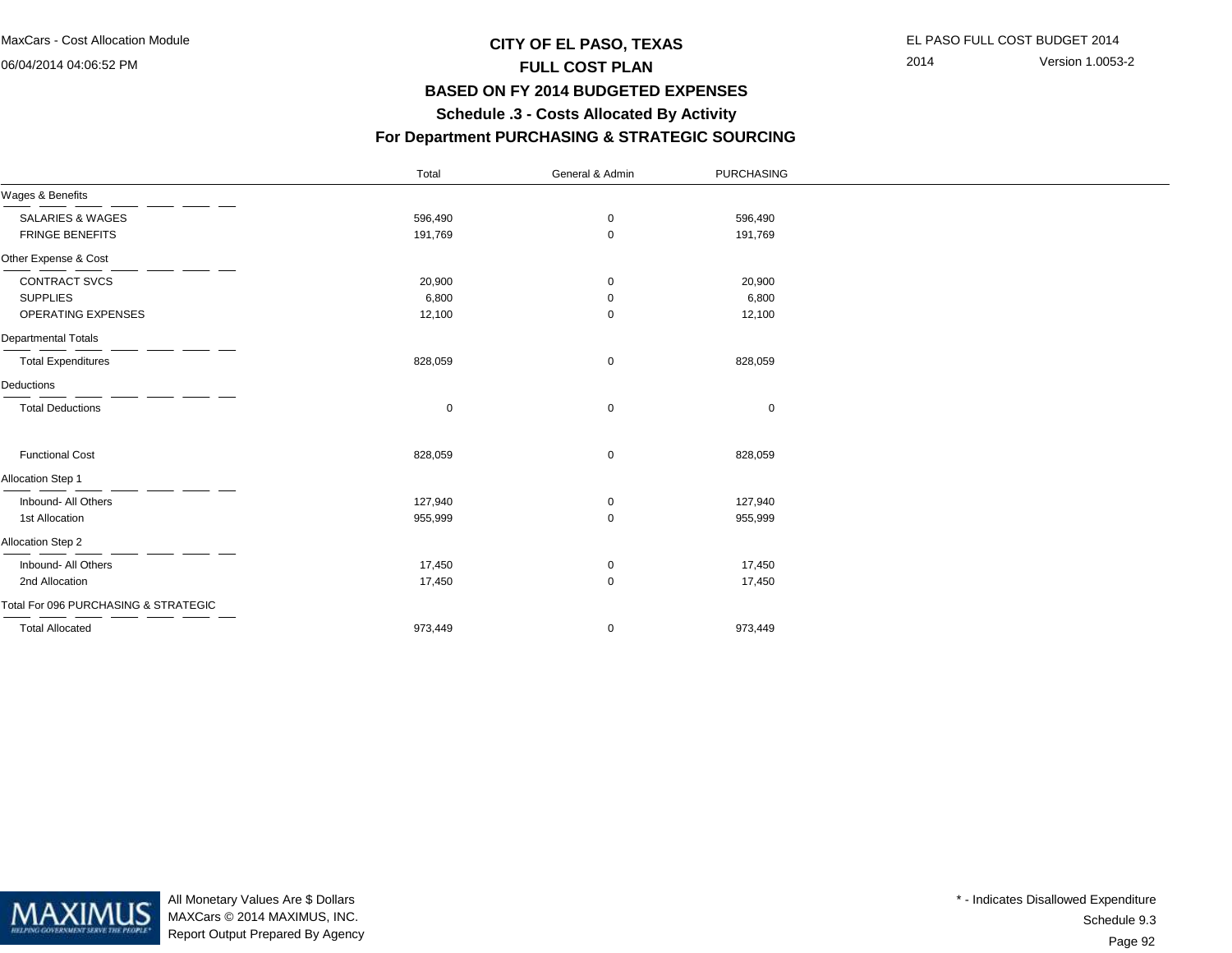## **CITY OF EL PASO, TEXAS** EL PASO FULL COST BUDGET 2014 **FULL COST PLAN BASED ON FY 2014 BUDGETED EXPENSESSchedule .3 - Costs Allocated By Activity**

2014 Version 1.0053-2

#### 

|  |  |  | For Department PURCHASING & STRATEGIC SOURCING |  |
|--|--|--|------------------------------------------------|--|
|--|--|--|------------------------------------------------|--|

|                                      | Total       | General & Admin | PURCHASING  |  |
|--------------------------------------|-------------|-----------------|-------------|--|
| Wages & Benefits                     |             |                 |             |  |
| <b>SALARIES &amp; WAGES</b>          | 596,490     | 0               | 596,490     |  |
| <b>FRINGE BENEFITS</b>               | 191,769     | $\mathbf 0$     | 191,769     |  |
| Other Expense & Cost                 |             |                 |             |  |
| CONTRACT SVCS                        | 20,900      | 0               | 20,900      |  |
| <b>SUPPLIES</b>                      | 6,800       | 0               | 6,800       |  |
| OPERATING EXPENSES                   | 12,100      | $\mathbf 0$     | 12,100      |  |
| Departmental Totals                  |             |                 |             |  |
| <b>Total Expenditures</b>            | 828,059     | 0               | 828,059     |  |
| Deductions                           |             |                 |             |  |
| <b>Total Deductions</b>              | $\mathbf 0$ | 0               | $\mathbf 0$ |  |
| <b>Functional Cost</b>               | 828,059     | 0               | 828,059     |  |
| Allocation Step 1                    |             |                 |             |  |
| Inbound- All Others                  | 127,940     | 0               | 127,940     |  |
| 1st Allocation                       | 955,999     | $\mathbf 0$     | 955,999     |  |
| Allocation Step 2                    |             |                 |             |  |
| Inbound- All Others                  | 17,450      | 0               | 17,450      |  |
| 2nd Allocation                       | 17,450      | $\mathbf 0$     | 17,450      |  |
| Total For 096 PURCHASING & STRATEGIC |             |                 |             |  |
| <b>Total Allocated</b>               | 973,449     | 0               | 973,449     |  |



All Monetary Values Are \$ Dollars MAXCars © 2014 MAXIMUS, INC.Report Output Prepared By Agency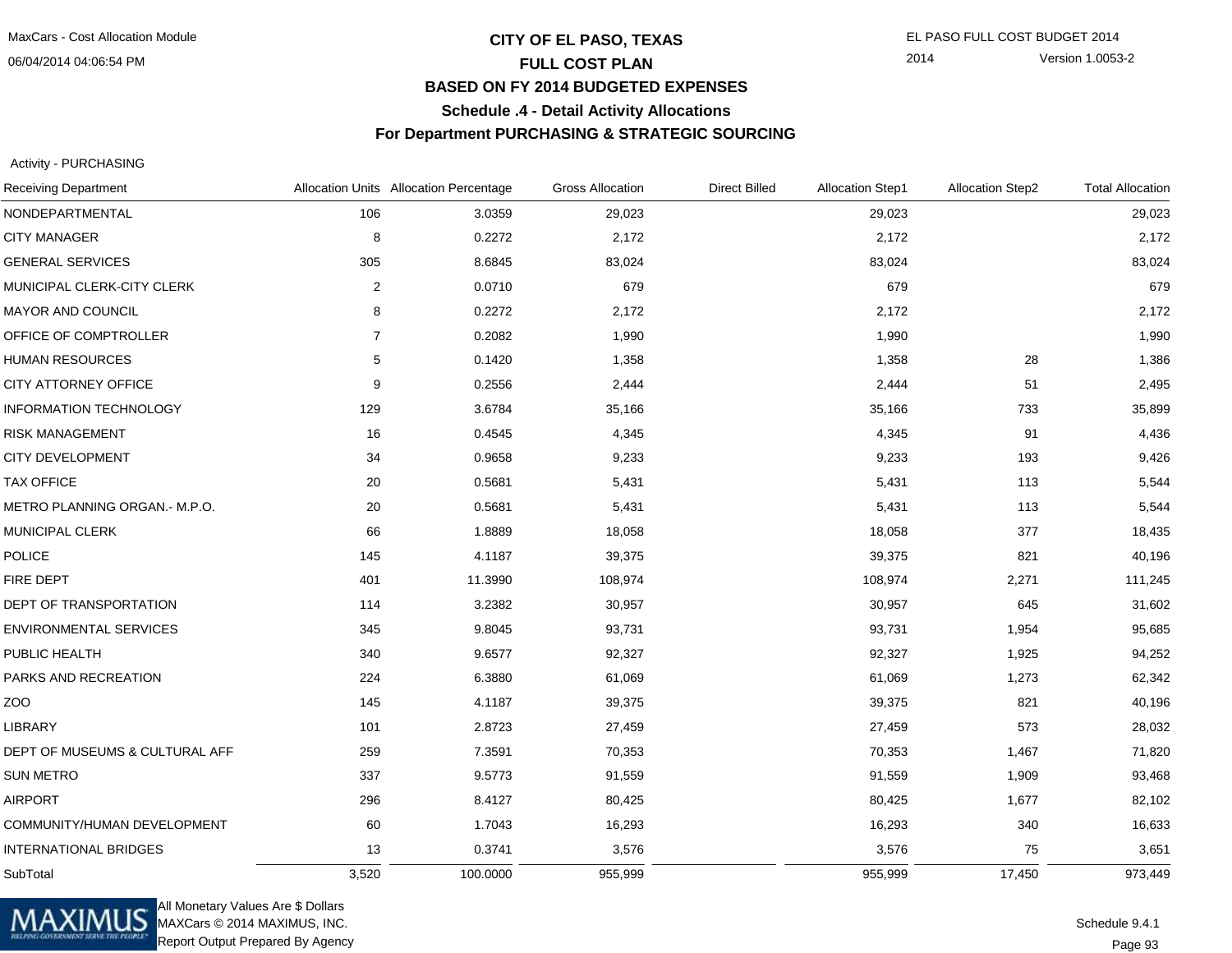## **CITY OF EL PASO, TEXAS** EL PASO FULL COST BUDGET 2014 **FULL COST PLAN BASED ON FY 2014 BUDGETED EXPENSESSchedule .4 - Detail Activity Allocations**

#### **For Department PURCHASING & STRATEGIC SOURCING**

Activity - PURCHASING

| <b>Receiving Department</b>    |                  | Allocation Units Allocation Percentage | <b>Gross Allocation</b> | <b>Direct Billed</b> | <b>Allocation Step1</b> | <b>Allocation Step2</b> | <b>Total Allocation</b> |
|--------------------------------|------------------|----------------------------------------|-------------------------|----------------------|-------------------------|-------------------------|-------------------------|
| NONDEPARTMENTAL                | 106              | 3.0359                                 | 29,023                  |                      | 29,023                  |                         | 29,023                  |
| <b>CITY MANAGER</b>            | 8                | 0.2272                                 | 2,172                   |                      | 2,172                   |                         | 2,172                   |
| <b>GENERAL SERVICES</b>        | 305              | 8.6845                                 | 83,024                  |                      | 83,024                  |                         | 83,024                  |
| MUNICIPAL CLERK-CITY CLERK     | $\boldsymbol{2}$ | 0.0710                                 | 679                     |                      | 679                     |                         | 679                     |
| MAYOR AND COUNCIL              | 8                | 0.2272                                 | 2,172                   |                      | 2,172                   |                         | 2,172                   |
| OFFICE OF COMPTROLLER          | $\overline{7}$   | 0.2082                                 | 1,990                   |                      | 1,990                   |                         | 1,990                   |
| <b>HUMAN RESOURCES</b>         | 5                | 0.1420                                 | 1,358                   |                      | 1,358                   | 28                      | 1,386                   |
| CITY ATTORNEY OFFICE           | 9                | 0.2556                                 | 2,444                   |                      | 2,444                   | 51                      | 2,495                   |
| <b>INFORMATION TECHNOLOGY</b>  | 129              | 3.6784                                 | 35,166                  |                      | 35,166                  | 733                     | 35,899                  |
| <b>RISK MANAGEMENT</b>         | 16               | 0.4545                                 | 4,345                   |                      | 4,345                   | 91                      | 4,436                   |
| CITY DEVELOPMENT               | 34               | 0.9658                                 | 9,233                   |                      | 9,233                   | 193                     | 9,426                   |
| <b>TAX OFFICE</b>              | 20               | 0.5681                                 | 5,431                   |                      | 5,431                   | 113                     | 5,544                   |
| METRO PLANNING ORGAN.- M.P.O.  | 20               | 0.5681                                 | 5,431                   |                      | 5,431                   | 113                     | 5,544                   |
| MUNICIPAL CLERK                | 66               | 1.8889                                 | 18,058                  |                      | 18,058                  | 377                     | 18,435                  |
| <b>POLICE</b>                  | 145              | 4.1187                                 | 39,375                  |                      | 39,375                  | 821                     | 40,196                  |
| FIRE DEPT                      | 401              | 11.3990                                | 108,974                 |                      | 108,974                 | 2,271                   | 111,245                 |
| DEPT OF TRANSPORTATION         | 114              | 3.2382                                 | 30,957                  |                      | 30,957                  | 645                     | 31,602                  |
| ENVIRONMENTAL SERVICES         | 345              | 9.8045                                 | 93,731                  |                      | 93,731                  | 1,954                   | 95,685                  |
| PUBLIC HEALTH                  | 340              | 9.6577                                 | 92,327                  |                      | 92,327                  | 1,925                   | 94,252                  |
| PARKS AND RECREATION           | 224              | 6.3880                                 | 61,069                  |                      | 61,069                  | 1,273                   | 62,342                  |
| ZOO                            | 145              | 4.1187                                 | 39,375                  |                      | 39,375                  | 821                     | 40,196                  |
| <b>LIBRARY</b>                 | 101              | 2.8723                                 | 27,459                  |                      | 27,459                  | 573                     | 28,032                  |
| DEPT OF MUSEUMS & CULTURAL AFF | 259              | 7.3591                                 | 70,353                  |                      | 70,353                  | 1,467                   | 71,820                  |
| <b>SUN METRO</b>               | 337              | 9.5773                                 | 91,559                  |                      | 91,559                  | 1,909                   | 93,468                  |
| <b>AIRPORT</b>                 | 296              | 8.4127                                 | 80,425                  |                      | 80,425                  | 1,677                   | 82,102                  |
| COMMUNITY/HUMAN DEVELOPMENT    | 60               | 1.7043                                 | 16,293                  |                      | 16,293                  | 340                     | 16,633                  |
| <b>INTERNATIONAL BRIDGES</b>   | 13               | 0.3741                                 | 3,576                   |                      | 3,576                   | 75                      | 3,651                   |
| SubTotal                       | 3,520            | 100.0000                               | 955,999                 |                      | 955,999                 | 17,450                  | 973,449                 |



All Monetary Values Are \$ Dollars MAXCars © 2014 MAXIMUS, INC.Report Output Prepared By Agency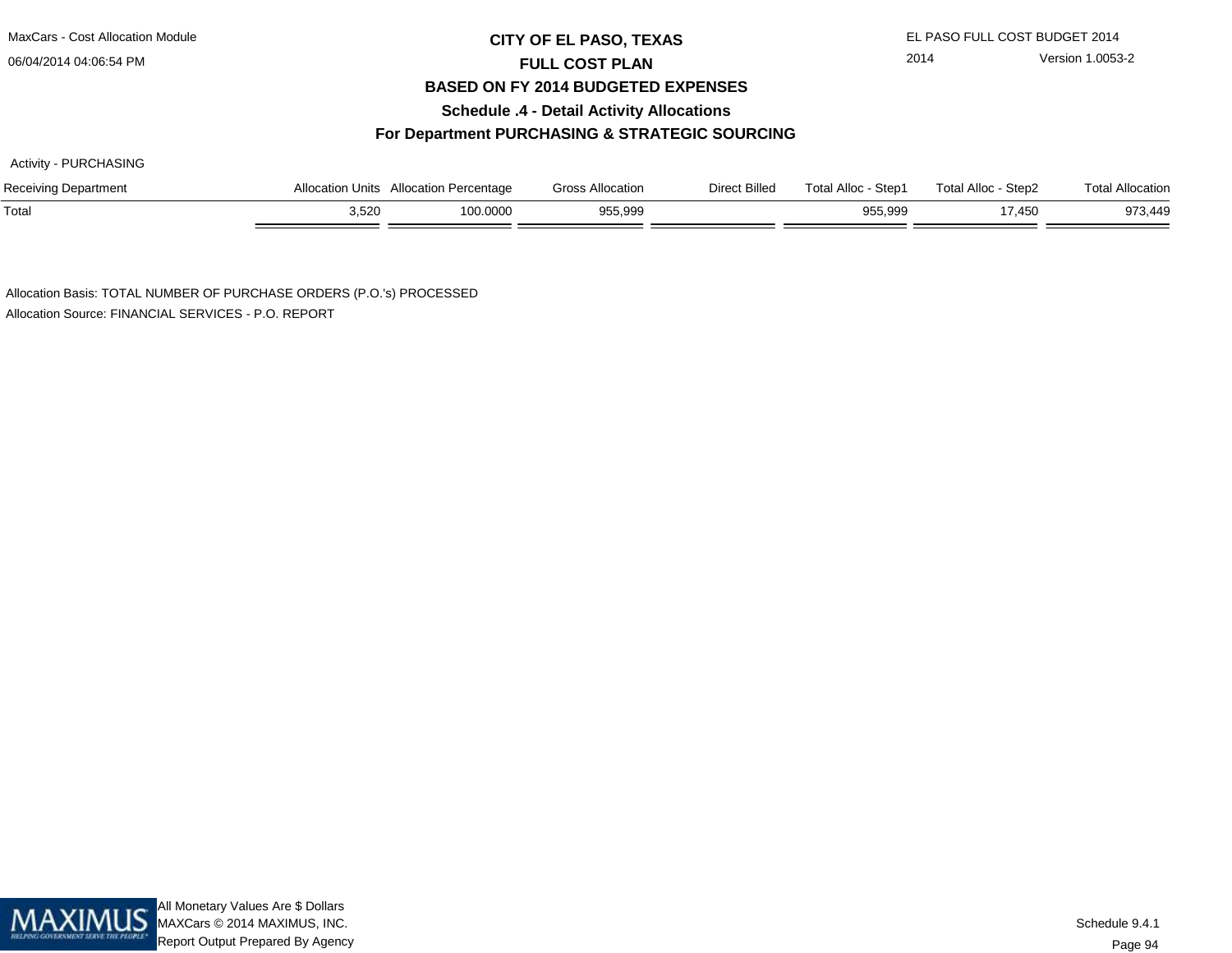MaxCars - Cost Allocation Module

06/04/2014 04:06:54 PM

## **CITY OF EL PASO, TEXAS** EL PASO FULL COST BUDGET 2014 **FULL COST PLAN BASED ON FY 2014 BUDGETED EXPENSESSchedule .4 - Detail Activity Allocations**

# 2014 Version 1.0053-2

#### **For Department PURCHASING & STRATEGIC SOURCING**

Activity - PURCHASING

| Receiving Department | Allocation Units | Allocation Percentage | <b>Gross Allocation</b> | Direct Billed | <b>Total Alloc</b><br>Step1 | Total Alloc -<br>Step2 | Total Allocation |
|----------------------|------------------|-----------------------|-------------------------|---------------|-----------------------------|------------------------|------------------|
| Total                | 3,520            | 100.0000              | 955,999                 |               | 955,999                     | 7,450                  | 973.449          |

Allocation Basis: TOTAL NUMBER OF PURCHASE ORDERS (P.O.'s) PROCESSEDAllocation Source: FINANCIAL SERVICES - P.O. REPORT

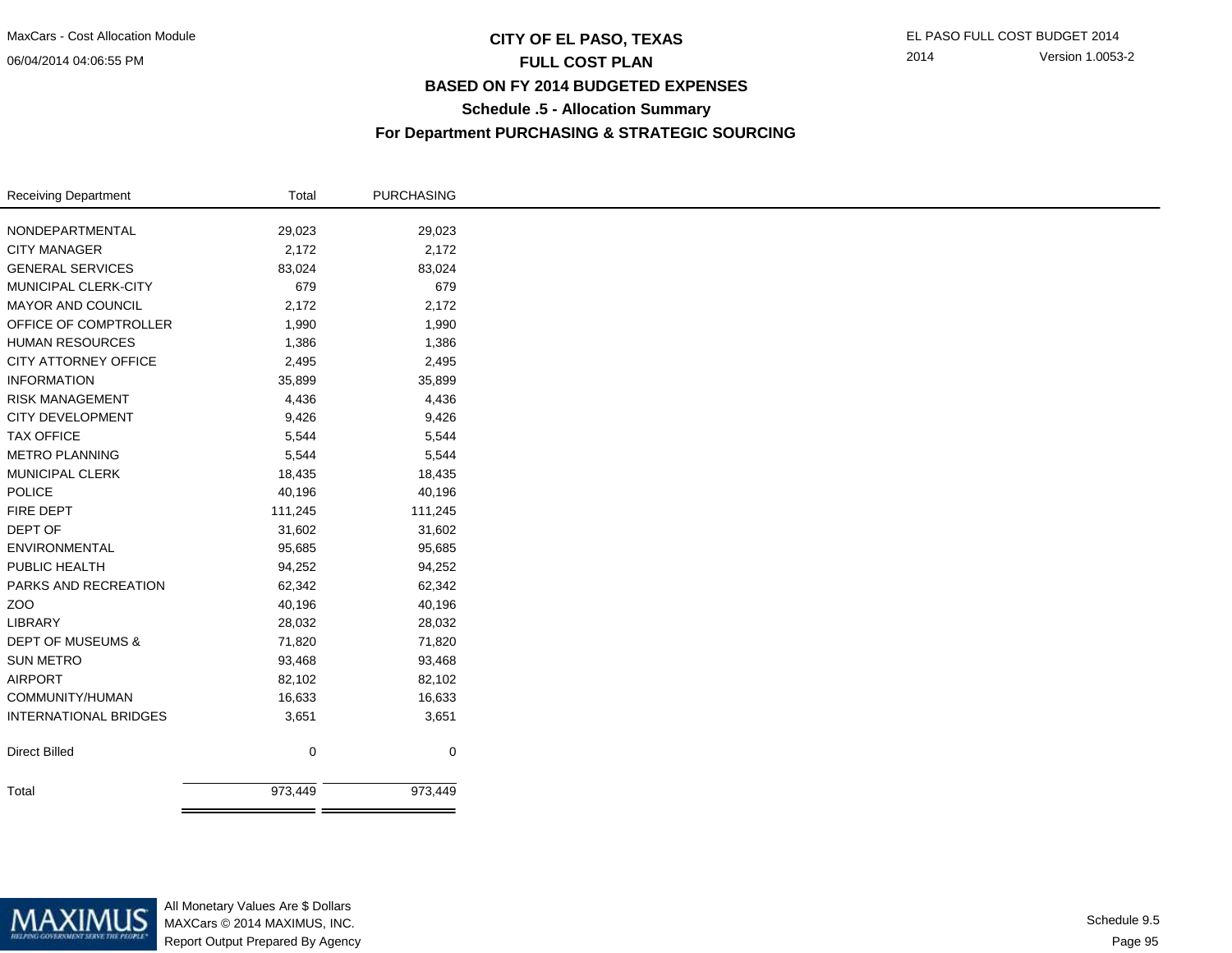## **CITY OF EL PASO, TEXAS** EL PASO FULL COST BUDGET 2014 **FULL COST PLAN BASED ON FY 2014 BUDGETED EXPENSESSchedule .5 - Allocation SummaryFor Department PURCHASING & STRATEGIC SOURCING**

| Receiving Department         | Total   | <b>PURCHASING</b> |
|------------------------------|---------|-------------------|
| NONDEPARTMENTAL              | 29,023  | 29,023            |
| <b>CITY MANAGER</b>          | 2,172   | 2,172             |
| <b>GENERAL SERVICES</b>      |         |                   |
|                              | 83,024  | 83,024            |
| MUNICIPAL CLERK-CITY         | 679     | 679               |
| MAYOR AND COUNCIL            | 2,172   | 2,172             |
| OFFICE OF COMPTROLLER        | 1,990   | 1,990             |
| <b>HUMAN RESOURCES</b>       | 1,386   | 1,386             |
| CITY ATTORNEY OFFICE         | 2,495   | 2,495             |
| <b>INFORMATION</b>           | 35,899  | 35,899            |
| <b>RISK MANAGEMENT</b>       | 4,436   | 4,436             |
| CITY DEVELOPMENT             | 9,426   | 9,426             |
| <b>TAX OFFICE</b>            | 5,544   | 5,544             |
| <b>METRO PLANNING</b>        | 5,544   | 5,544             |
| MUNICIPAL CLERK              | 18,435  | 18,435            |
| <b>POLICE</b>                | 40,196  | 40,196            |
| FIRE DEPT                    | 111,245 | 111,245           |
| DEPT OF                      | 31,602  | 31,602            |
| ENVIRONMENTAL                | 95,685  | 95,685            |
| PUBLIC HEALTH                | 94,252  | 94,252            |
| PARKS AND RECREATION         | 62,342  | 62,342            |
| ZOO                          | 40,196  | 40,196            |
| LIBRARY                      | 28,032  | 28,032            |
| <b>DEPT OF MUSEUMS &amp;</b> | 71,820  | 71,820            |
| <b>SUN METRO</b>             | 93,468  | 93,468            |
| <b>AIRPORT</b>               | 82,102  | 82,102            |
| COMMUNITY/HUMAN              | 16,633  | 16,633            |
| <b>INTERNATIONAL BRIDGES</b> | 3,651   | 3,651             |
|                              |         |                   |
| <b>Direct Billed</b>         | 0       | 0                 |
| Total                        | 973,449 | 973,449           |
|                              |         |                   |



All Monetary Values Are \$ Dollars MAXCars © 2014 MAXIMUS, INC.Report Output Prepared By Agency

Page 95Schedule 9.5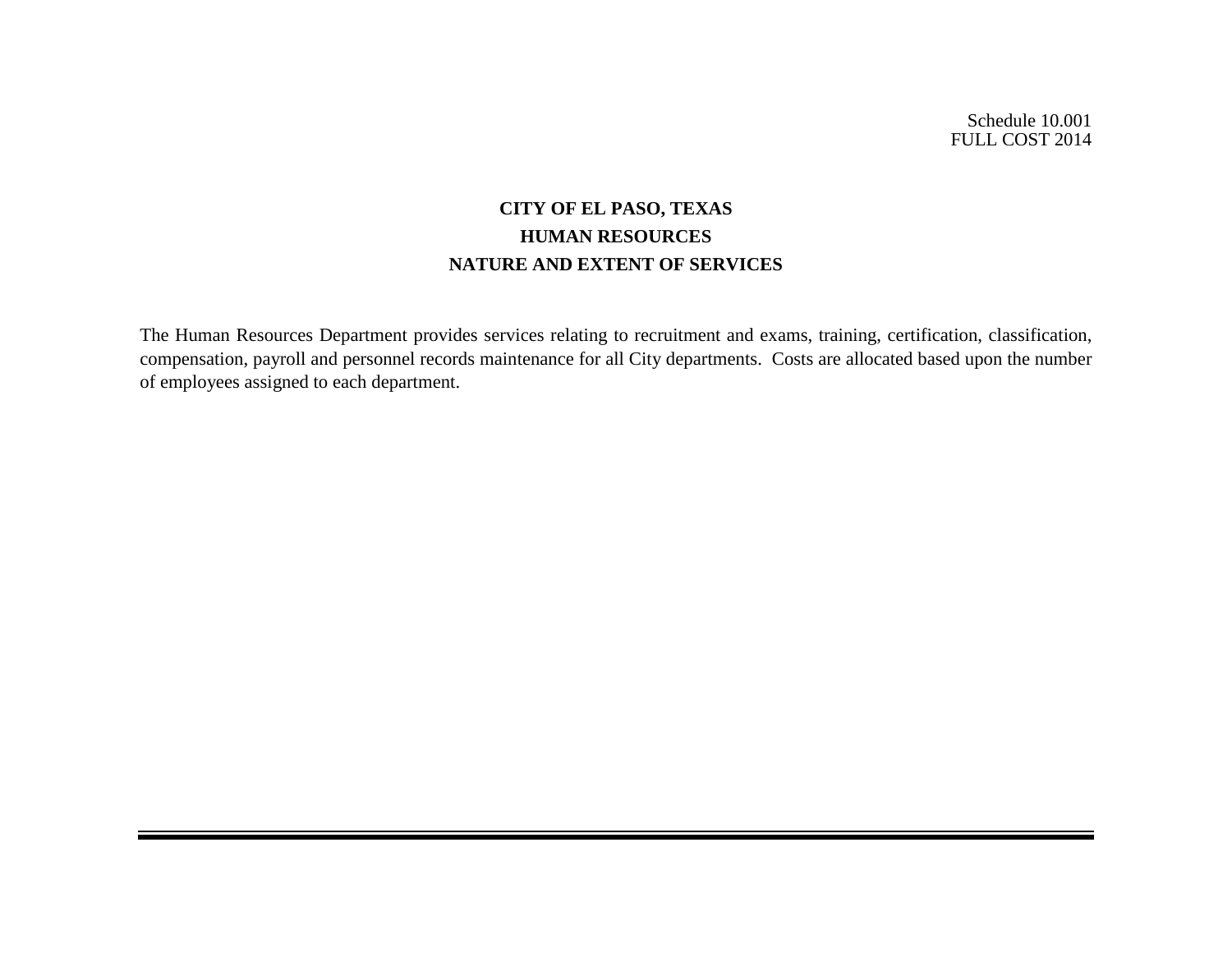Schedule 10.001 FULL COST 2014

# **CITY OF EL PASO, TEXAS HUMAN RESOURCES NATURE AND EXTENT OF SERVICES**

The Human Resources Department provides services relating to recruitment and exams, training, certification, classification, compensation, payroll and personnel records maintenance for all City departments. Costs are allocated based upon the number of employees assigned to each department.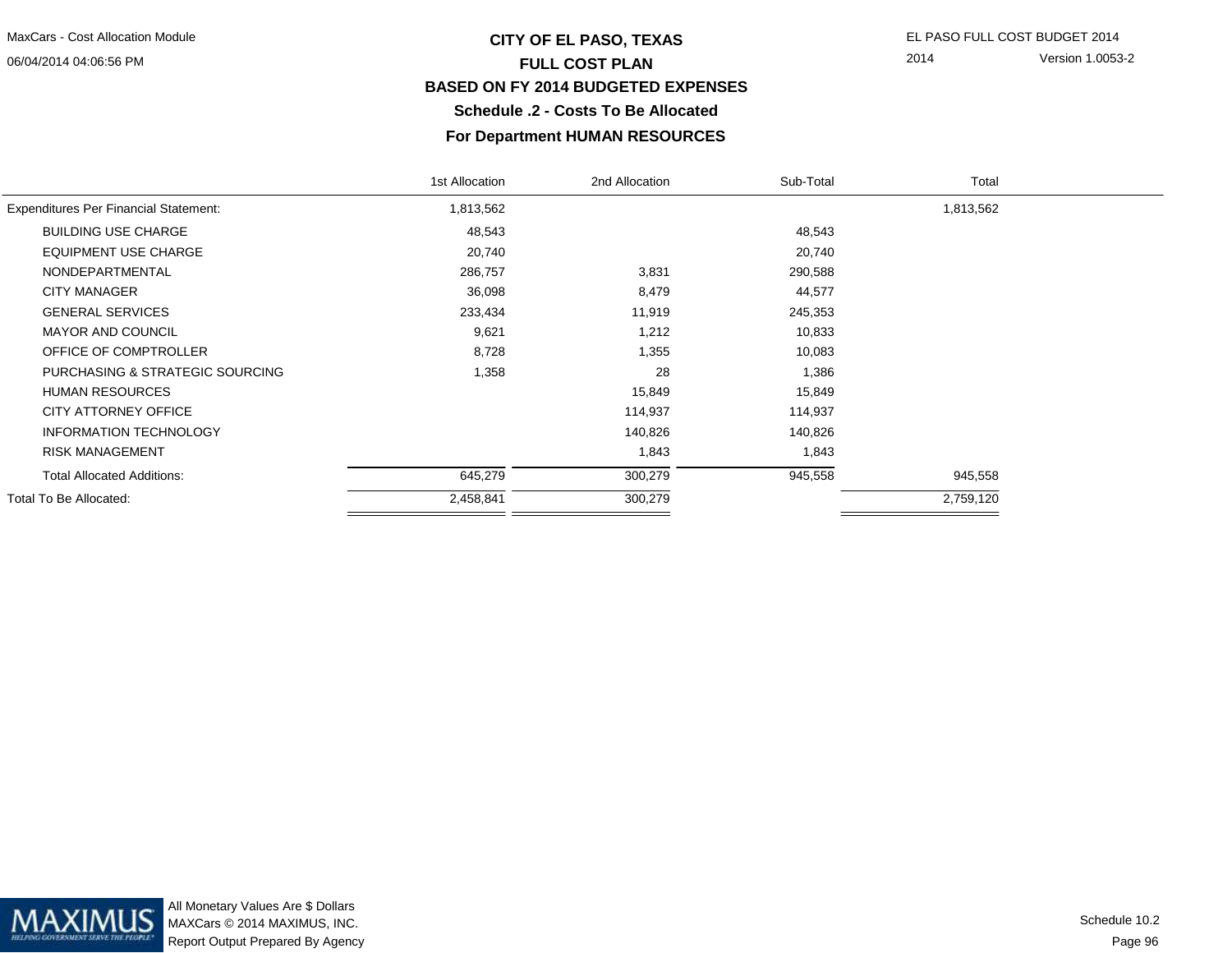# **CITY OF EL PASO, TEXAS** EL PASO FULL COST BUDGET 2014 **FULL COST PLAN BASED ON FY 2014 BUDGETED EXPENSESSchedule .2 - Costs To Be Allocated**

2014 Version 1.0053-2

#### **For Department HUMAN RESOURCES**

|                                              | 1st Allocation | 2nd Allocation | Sub-Total | Total     |  |
|----------------------------------------------|----------------|----------------|-----------|-----------|--|
| <b>Expenditures Per Financial Statement:</b> | 1,813,562      |                |           | 1,813,562 |  |
| <b>BUILDING USE CHARGE</b>                   | 48,543         |                | 48,543    |           |  |
| <b>EQUIPMENT USE CHARGE</b>                  | 20,740         |                | 20,740    |           |  |
| NONDEPARTMENTAL                              | 286,757        | 3,831          | 290,588   |           |  |
| <b>CITY MANAGER</b>                          | 36,098         | 8,479          | 44,577    |           |  |
| <b>GENERAL SERVICES</b>                      | 233,434        | 11,919         | 245,353   |           |  |
| <b>MAYOR AND COUNCIL</b>                     | 9,621          | 1,212          | 10,833    |           |  |
| OFFICE OF COMPTROLLER                        | 8,728          | 1,355          | 10,083    |           |  |
| PURCHASING & STRATEGIC SOURCING              | 1,358          | 28             | 1,386     |           |  |
| <b>HUMAN RESOURCES</b>                       |                | 15,849         | 15,849    |           |  |
| CITY ATTORNEY OFFICE                         |                | 114,937        | 114,937   |           |  |
| <b>INFORMATION TECHNOLOGY</b>                |                | 140,826        | 140,826   |           |  |
| <b>RISK MANAGEMENT</b>                       |                | 1,843          | 1,843     |           |  |
| <b>Total Allocated Additions:</b>            | 645,279        | 300,279        | 945,558   | 945,558   |  |
| Total To Be Allocated:                       | 2,458,841      | 300,279        |           | 2,759,120 |  |
|                                              |                |                |           |           |  |

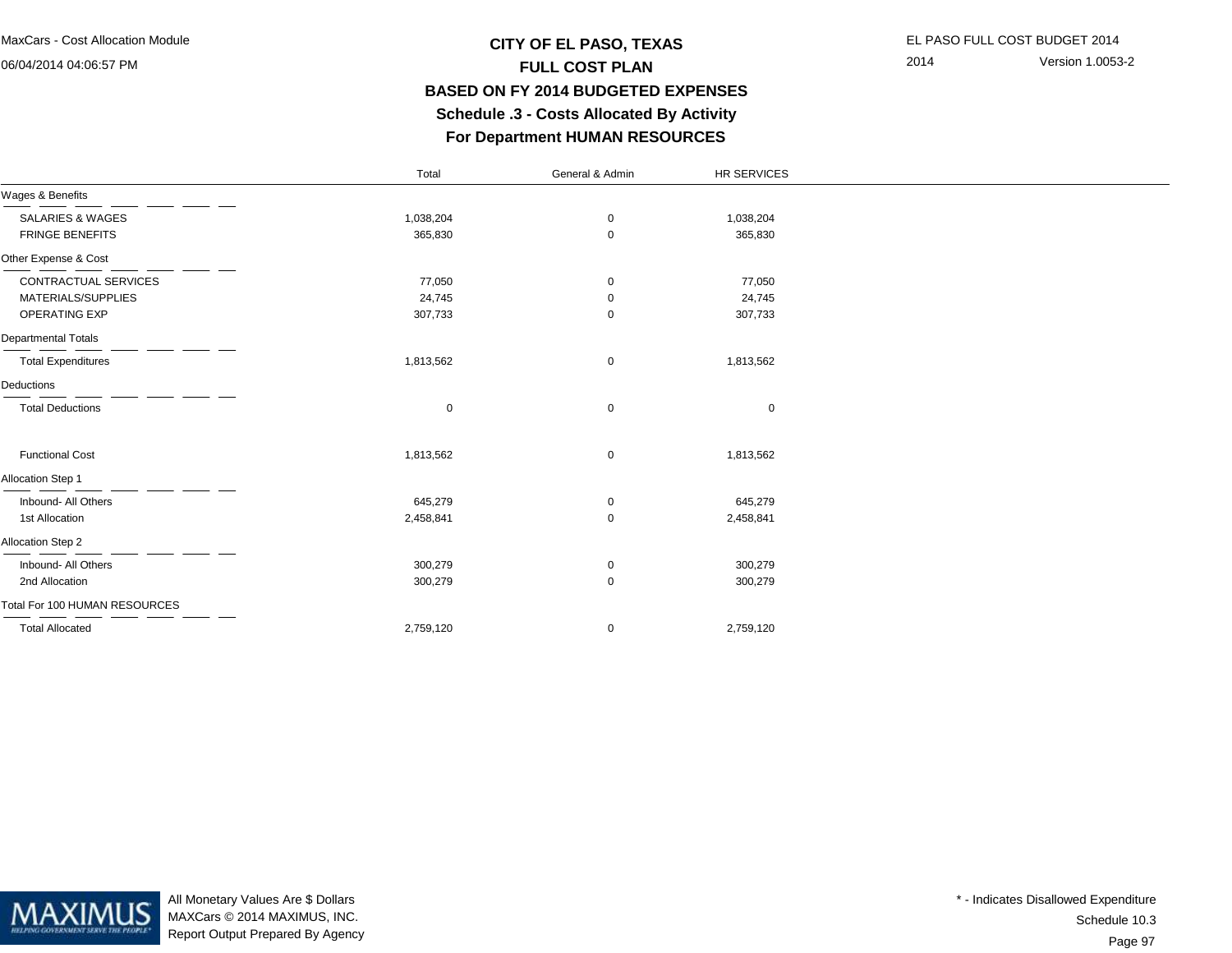### **CITY OF EL PASO, TEXAS** EL PASO FULL COST BUDGET 2014 **FULL COST PLAN BASED ON FY 2014 BUDGETED EXPENSES Schedule .3 - Costs Allocated By ActivityFor Department HUMAN RESOURCES**

2014 Version 1.0053-2

|                               | Total     | General & Admin | HR SERVICES |  |
|-------------------------------|-----------|-----------------|-------------|--|
| Wages & Benefits              |           |                 |             |  |
| <b>SALARIES &amp; WAGES</b>   | 1,038,204 | 0               | 1,038,204   |  |
| <b>FRINGE BENEFITS</b>        | 365,830   | $\mathbf 0$     | 365,830     |  |
| Other Expense & Cost          |           |                 |             |  |
| CONTRACTUAL SERVICES          | 77,050    | 0               | 77,050      |  |
| MATERIALS/SUPPLIES            | 24,745    | 0               | 24,745      |  |
| <b>OPERATING EXP</b>          | 307,733   | 0               | 307,733     |  |
| <b>Departmental Totals</b>    |           |                 |             |  |
| <b>Total Expenditures</b>     | 1,813,562 | $\mathbf 0$     | 1,813,562   |  |
| Deductions                    |           |                 |             |  |
| <b>Total Deductions</b>       | 0         | $\mathbf 0$     | $\mathbf 0$ |  |
| <b>Functional Cost</b>        | 1,813,562 | $\mathbf 0$     | 1,813,562   |  |
| Allocation Step 1             |           |                 |             |  |
| Inbound- All Others           | 645,279   | 0               | 645,279     |  |
| 1st Allocation                | 2,458,841 | $\mathbf 0$     | 2,458,841   |  |
| Allocation Step 2             |           |                 |             |  |
| Inbound- All Others           | 300,279   | $\mathbf 0$     | 300,279     |  |
| 2nd Allocation                | 300,279   | $\mathbf 0$     | 300,279     |  |
| Total For 100 HUMAN RESOURCES |           |                 |             |  |
| <b>Total Allocated</b>        | 2,759,120 | $\mathbf 0$     | 2,759,120   |  |



All Monetary Values Are \$ Dollars MAXCars © 2014 MAXIMUS, INC.Report Output Prepared By Agency

Page 97Schedule 10.3\* - Indicates Disallowed Expenditure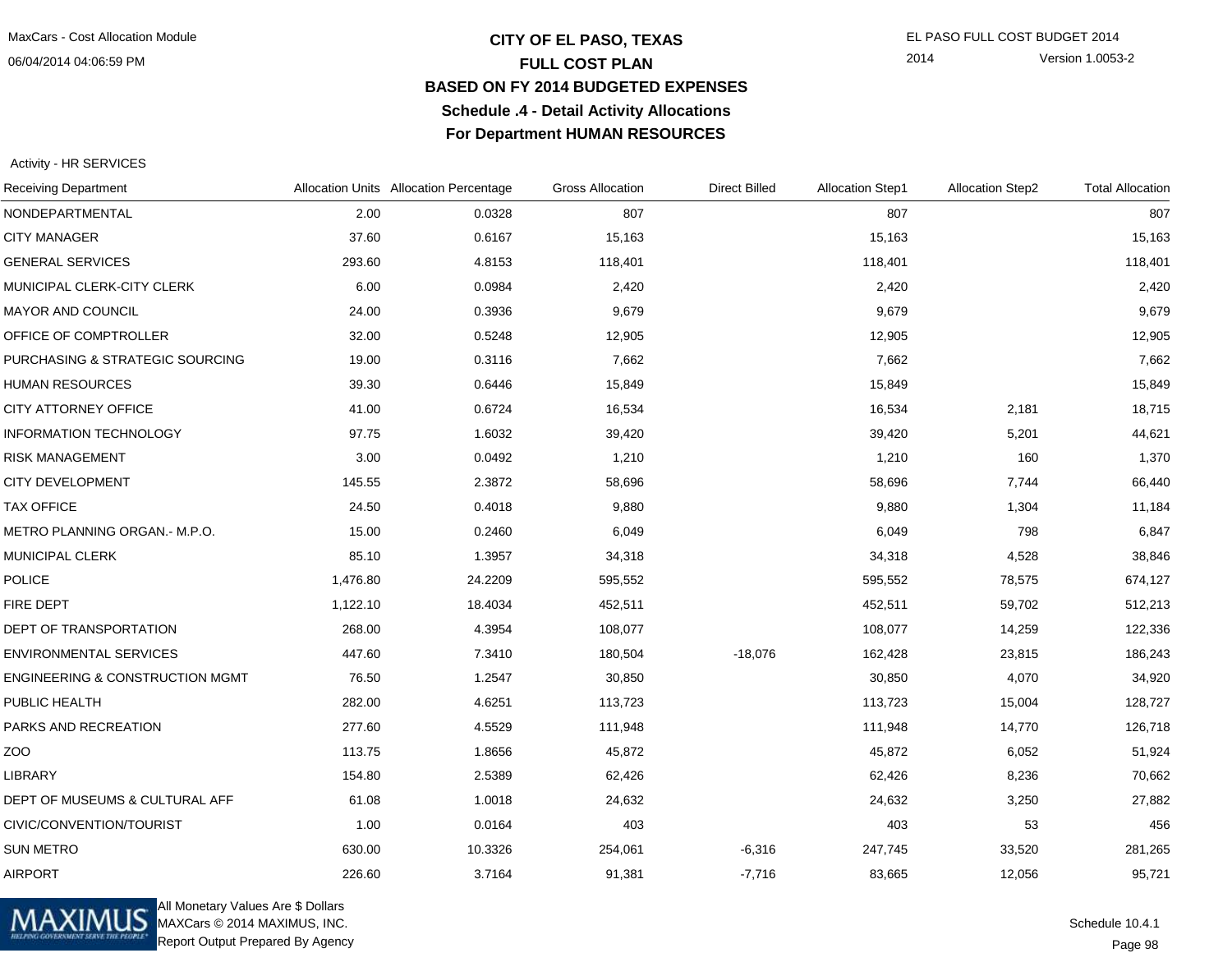#### **CITY OF EL PASO, TEXAS** EL PASO FULL COST BUDGET 2014 **FULL COST PLAN BASED ON FY 2014 BUDGETED EXPENSESSchedule .4 - Detail Activity AllocationsFor Department HUMAN RESOURCES**

2014 Version 1.0053-2

#### Activity - HR SERVICES

| <b>Receiving Department</b>                |          | Allocation Units Allocation Percentage | <b>Gross Allocation</b> | <b>Direct Billed</b> | <b>Allocation Step1</b> | <b>Allocation Step2</b> | <b>Total Allocation</b> |
|--------------------------------------------|----------|----------------------------------------|-------------------------|----------------------|-------------------------|-------------------------|-------------------------|
| NONDEPARTMENTAL                            | 2.00     | 0.0328                                 | 807                     |                      | 807                     |                         | 807                     |
| <b>CITY MANAGER</b>                        | 37.60    | 0.6167                                 | 15,163                  |                      | 15,163                  |                         | 15,163                  |
| <b>GENERAL SERVICES</b>                    | 293.60   | 4.8153                                 | 118,401                 |                      | 118,401                 |                         | 118,401                 |
| MUNICIPAL CLERK-CITY CLERK                 | 6.00     | 0.0984                                 | 2,420                   |                      | 2,420                   |                         | 2,420                   |
| MAYOR AND COUNCIL                          | 24.00    | 0.3936                                 | 9,679                   |                      | 9,679                   |                         | 9,679                   |
| OFFICE OF COMPTROLLER                      | 32.00    | 0.5248                                 | 12,905                  |                      | 12,905                  |                         | 12,905                  |
| PURCHASING & STRATEGIC SOURCING            | 19.00    | 0.3116                                 | 7,662                   |                      | 7,662                   |                         | 7,662                   |
| <b>HUMAN RESOURCES</b>                     | 39.30    | 0.6446                                 | 15,849                  |                      | 15,849                  |                         | 15,849                  |
| CITY ATTORNEY OFFICE                       | 41.00    | 0.6724                                 | 16,534                  |                      | 16,534                  | 2,181                   | 18,715                  |
| <b>INFORMATION TECHNOLOGY</b>              | 97.75    | 1.6032                                 | 39,420                  |                      | 39,420                  | 5,201                   | 44,621                  |
| <b>RISK MANAGEMENT</b>                     | 3.00     | 0.0492                                 | 1,210                   |                      | 1,210                   | 160                     | 1,370                   |
| <b>CITY DEVELOPMENT</b>                    | 145.55   | 2.3872                                 | 58,696                  |                      | 58,696                  | 7,744                   | 66,440                  |
| <b>TAX OFFICE</b>                          | 24.50    | 0.4018                                 | 9,880                   |                      | 9,880                   | 1,304                   | 11,184                  |
| METRO PLANNING ORGAN.- M.P.O.              | 15.00    | 0.2460                                 | 6,049                   |                      | 6,049                   | 798                     | 6,847                   |
| <b>MUNICIPAL CLERK</b>                     | 85.10    | 1.3957                                 | 34,318                  |                      | 34,318                  | 4,528                   | 38,846                  |
| <b>POLICE</b>                              | 1,476.80 | 24.2209                                | 595,552                 |                      | 595,552                 | 78,575                  | 674,127                 |
| FIRE DEPT                                  | 1,122.10 | 18.4034                                | 452,511                 |                      | 452,511                 | 59,702                  | 512,213                 |
| DEPT OF TRANSPORTATION                     | 268.00   | 4.3954                                 | 108,077                 |                      | 108,077                 | 14,259                  | 122,336                 |
| <b>ENVIRONMENTAL SERVICES</b>              | 447.60   | 7.3410                                 | 180,504                 | $-18,076$            | 162,428                 | 23,815                  | 186,243                 |
| <b>ENGINEERING &amp; CONSTRUCTION MGMT</b> | 76.50    | 1.2547                                 | 30,850                  |                      | 30,850                  | 4,070                   | 34,920                  |
| PUBLIC HEALTH                              | 282.00   | 4.6251                                 | 113,723                 |                      | 113,723                 | 15,004                  | 128,727                 |
| PARKS AND RECREATION                       | 277.60   | 4.5529                                 | 111,948                 |                      | 111,948                 | 14,770                  | 126,718                 |
| ZOO                                        | 113.75   | 1.8656                                 | 45,872                  |                      | 45,872                  | 6,052                   | 51,924                  |
| <b>LIBRARY</b>                             | 154.80   | 2.5389                                 | 62,426                  |                      | 62,426                  | 8,236                   | 70,662                  |
| DEPT OF MUSEUMS & CULTURAL AFF             | 61.08    | 1.0018                                 | 24,632                  |                      | 24,632                  | 3,250                   | 27,882                  |
| CIVIC/CONVENTION/TOURIST                   | 1.00     | 0.0164                                 | 403                     |                      | 403                     | 53                      | 456                     |
| <b>SUN METRO</b>                           | 630.00   | 10.3326                                | 254,061                 | $-6,316$             | 247,745                 | 33,520                  | 281,265                 |
| <b>AIRPORT</b>                             | 226.60   | 3.7164                                 | 91,381                  | $-7,716$             | 83,665                  | 12,056                  | 95,721                  |



All Monetary Values Are \$ Dollars MAXCars © 2014 MAXIMUS, INC.Report Output Prepared By Agency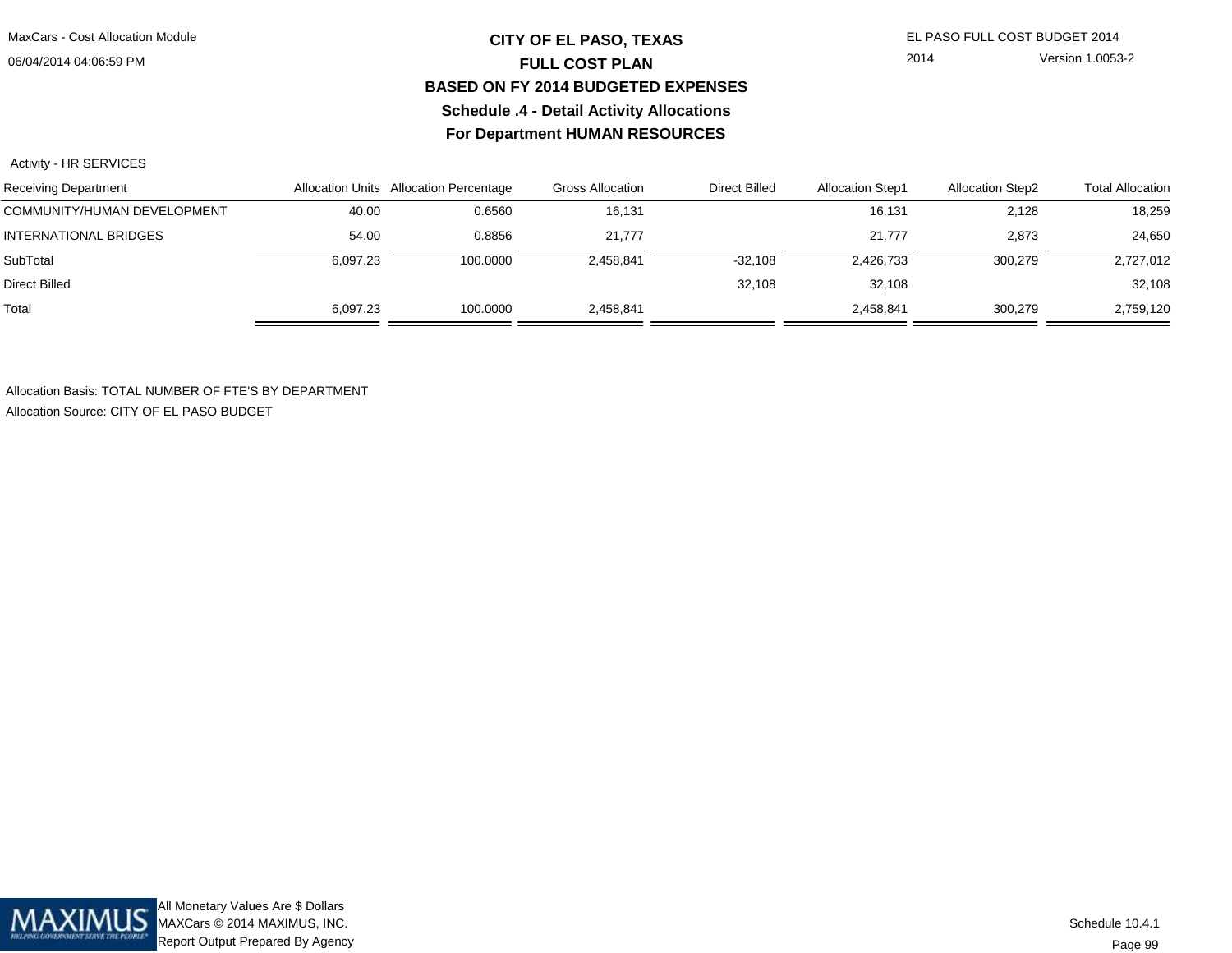## **CITY OF EL PASO, TEXAS** EL PASO FULL COST BUDGET 2014 **FULL COST PLAN BASED ON FY 2014 BUDGETED EXPENSESSchedule .4 - Detail Activity AllocationsFor Department HUMAN RESOURCES**

2014 Version 1.0053-2

Activity - HR SERVICES

| <b>Receiving Department</b> |          | Allocation Units Allocation Percentage | Gross Allocation | <b>Direct Billed</b> | <b>Allocation Step1</b> | <b>Allocation Step2</b> | <b>Total Allocation</b> |
|-----------------------------|----------|----------------------------------------|------------------|----------------------|-------------------------|-------------------------|-------------------------|
| COMMUNITY/HUMAN DEVELOPMENT | 40.00    | 0.6560                                 | 16,131           |                      | 16,131                  | 2,128                   | 18,259                  |
| INTERNATIONAL BRIDGES       | 54.00    | 0.8856                                 | 21.777           |                      | 21.777                  | 2,873                   | 24,650                  |
| SubTotal                    | 6.097.23 | 100.0000                               | 2.458.841        | $-32.108$            | 2,426,733               | 300.279                 | 2,727,012               |
| Direct Billed               |          |                                        |                  | 32.108               | 32.108                  |                         | 32,108                  |
| Total                       | 6.097.23 | 100.0000                               | 2,458,841        |                      | 2,458,841               | 300.279                 | 2,759,120               |

Allocation Basis: TOTAL NUMBER OF FTE'S BY DEPARTMENTAllocation Source: CITY OF EL PASO BUDGET

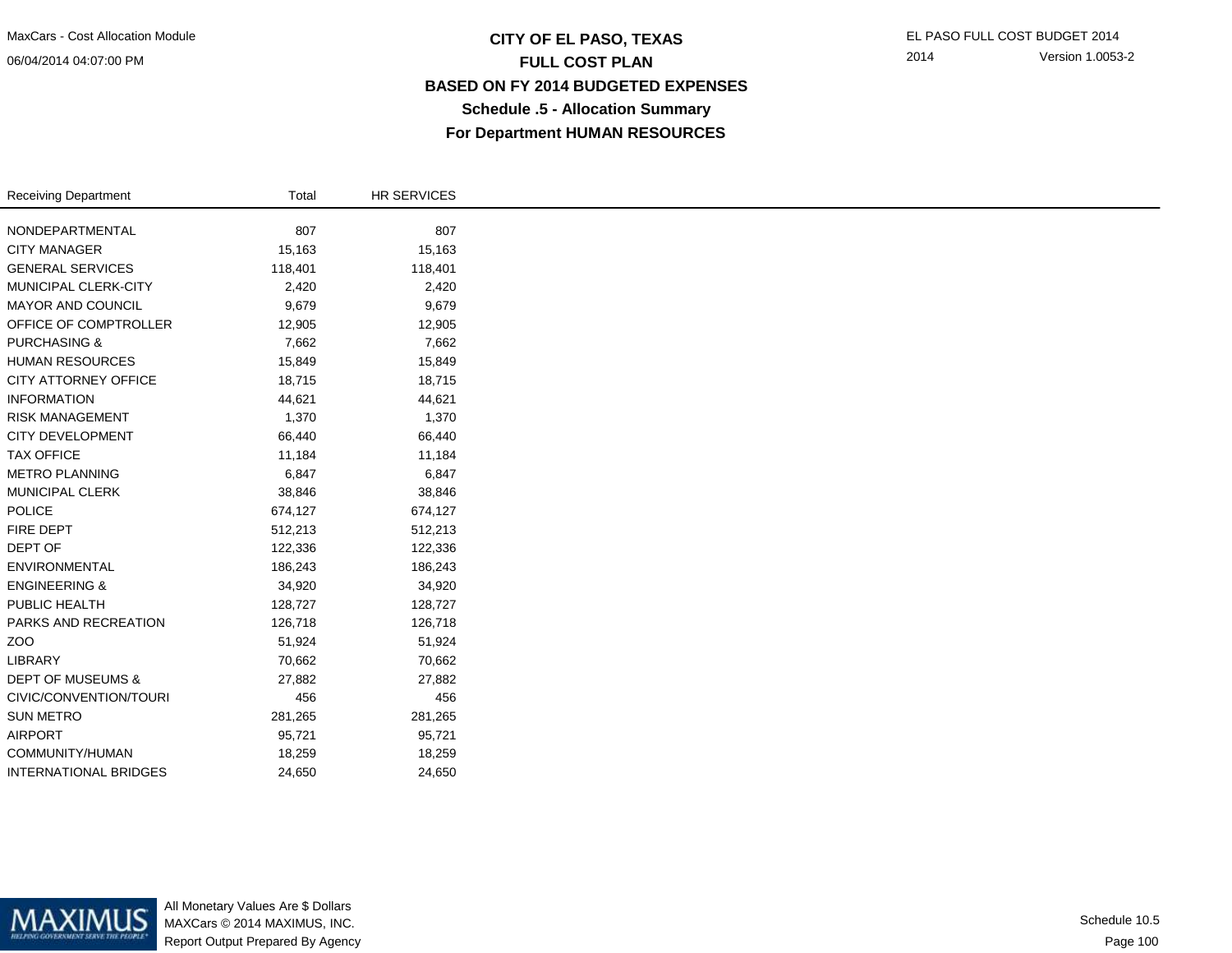06/04/2014 04:07:00 PM

## **CITY OF EL PASO, TEXAS** EL PASO FULL COST BUDGET 2014 **FULL COST PLAN BASED ON FY 2014 BUDGETED EXPENSESSchedule .5 - Allocation SummaryFor Department HUMAN RESOURCES**

| <b>Receiving Department</b>  | Total   | <b>HR SERVICES</b> |
|------------------------------|---------|--------------------|
| NONDEPARTMENTAL              | 807     | 807                |
|                              |         |                    |
| <b>CITY MANAGER</b>          | 15,163  | 15,163             |
| <b>GENERAL SERVICES</b>      | 118,401 | 118,401            |
| MUNICIPAL CLERK-CITY         | 2,420   | 2,420              |
| MAYOR AND COUNCIL            | 9,679   | 9,679              |
| OFFICE OF COMPTROLLER        | 12,905  | 12,905             |
| <b>PURCHASING &amp;</b>      | 7,662   | 7,662              |
| <b>HUMAN RESOURCES</b>       | 15,849  | 15,849             |
| CITY ATTORNEY OFFICE         | 18,715  | 18,715             |
| <b>INFORMATION</b>           | 44,621  | 44,621             |
| <b>RISK MANAGEMENT</b>       | 1,370   | 1,370              |
| <b>CITY DEVELOPMENT</b>      | 66,440  | 66,440             |
| <b>TAX OFFICE</b>            | 11,184  | 11,184             |
| <b>METRO PLANNING</b>        | 6,847   | 6,847              |
| <b>MUNICIPAL CLERK</b>       | 38,846  | 38,846             |
| <b>POLICE</b>                | 674,127 | 674,127            |
| FIRE DEPT                    | 512,213 | 512,213            |
| DEPT OF                      | 122,336 | 122,336            |
| ENVIRONMENTAL                | 186,243 | 186,243            |
| <b>ENGINEERING &amp;</b>     | 34,920  | 34,920             |
| PUBLIC HEALTH                | 128,727 | 128,727            |
| PARKS AND RECREATION         | 126,718 | 126,718            |
| ZOO                          | 51,924  | 51,924             |
| LIBRARY                      | 70,662  | 70,662             |
| <b>DEPT OF MUSEUMS &amp;</b> | 27,882  | 27,882             |
| CIVIC/CONVENTION/TOURI       | 456     | 456                |
| <b>SUN METRO</b>             | 281,265 | 281,265            |
| <b>AIRPORT</b>               | 95,721  | 95,721             |
| COMMUNITY/HUMAN              | 18,259  | 18,259             |
| <b>INTERNATIONAL BRIDGES</b> | 24,650  | 24,650             |



All Monetary Values Are \$ Dollars MAXCars © 2014 MAXIMUS, INC.Report Output Prepared By Agency

Page 100Schedule 10.5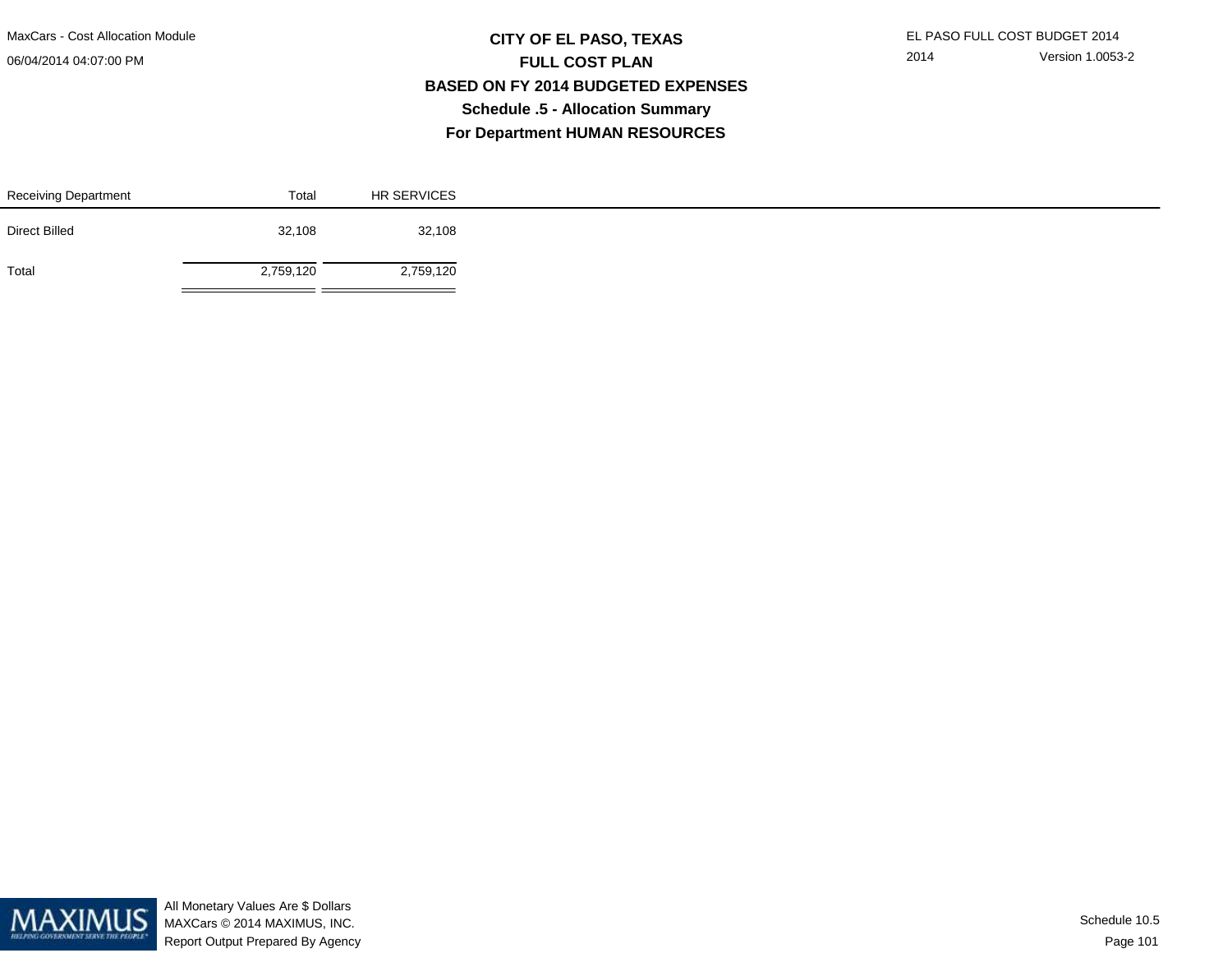MaxCars - Cost Allocation Module

06/04/2014 04:07:00 PM

÷.

## **CITY OF EL PASO, TEXAS** EL PASO FULL COST BUDGET 2014 **FULL COST PLAN BASED ON FY 2014 BUDGETED EXPENSESSchedule .5 - Allocation SummaryFor Department HUMAN RESOURCES**

| Receiving Department | Total     | <b>HR SERVICES</b> |
|----------------------|-----------|--------------------|
| Direct Billed        | 32,108    | 32,108             |
| Total                | 2,759,120 | 2,759,120          |

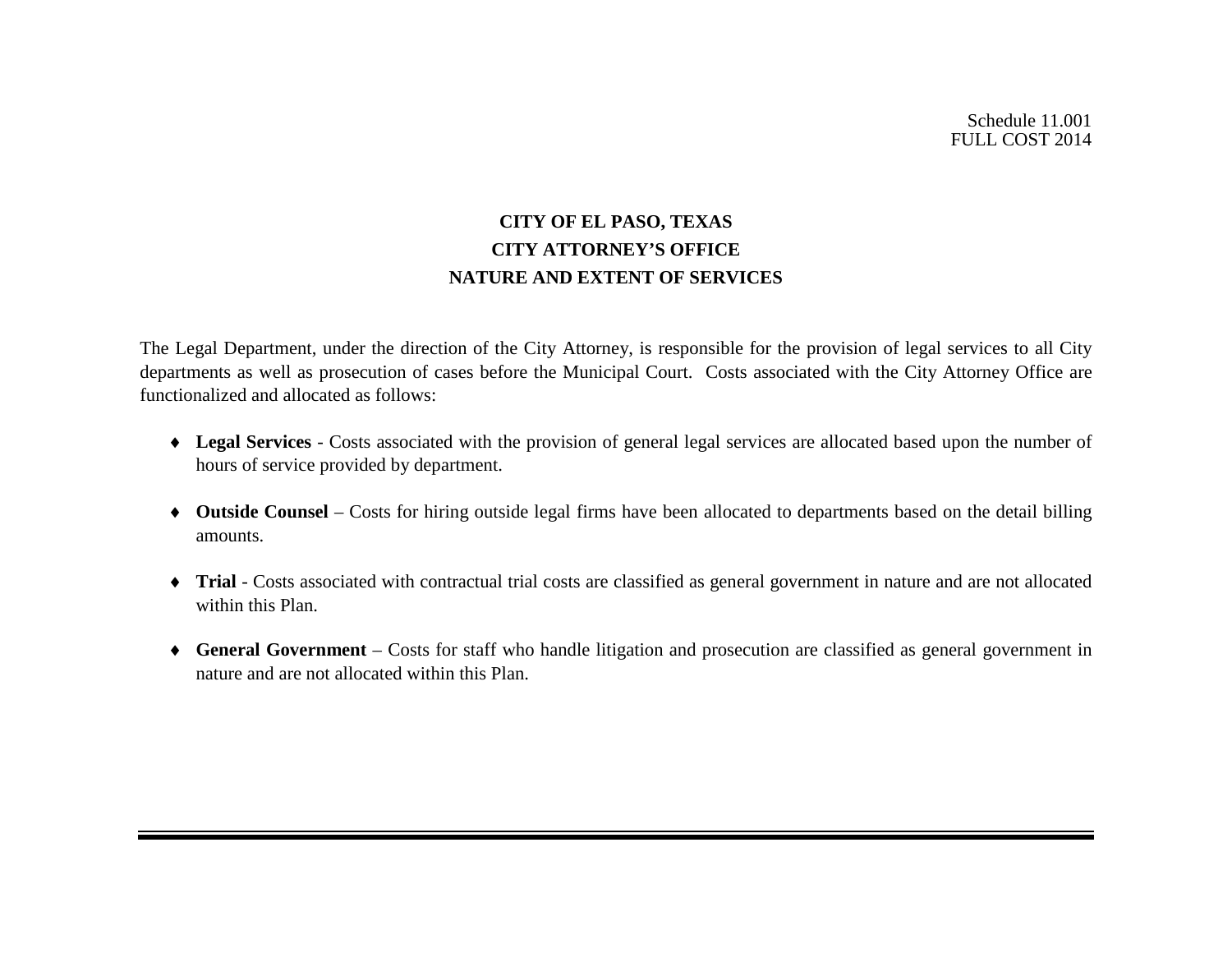# **CITY OF EL PASO, TEXAS CITY ATTORNEY'S OFFICE NATURE AND EXTENT OF SERVICES**

The Legal Department, under the direction of the City Attorney, is responsible for the provision of legal services to all City departments as well as prosecution of cases before the Municipal Court. Costs associated with the City Attorney Office are functionalized and allocated as follows:

- ♦ **Legal Services** Costs associated with the provision of general legal services are allocated based upon the number of hours of service provided by department.
- ♦ **Outside Counsel**  Costs for hiring outside legal firms have been allocated to departments based on the detail billing amounts.
- ♦ **Trial** Costs associated with contractual trial costs are classified as general government in nature and are not allocated within this Plan.
- ♦ **General Government** Costs for staff who handle litigation and prosecution are classified as general government in nature and are not allocated within this Plan.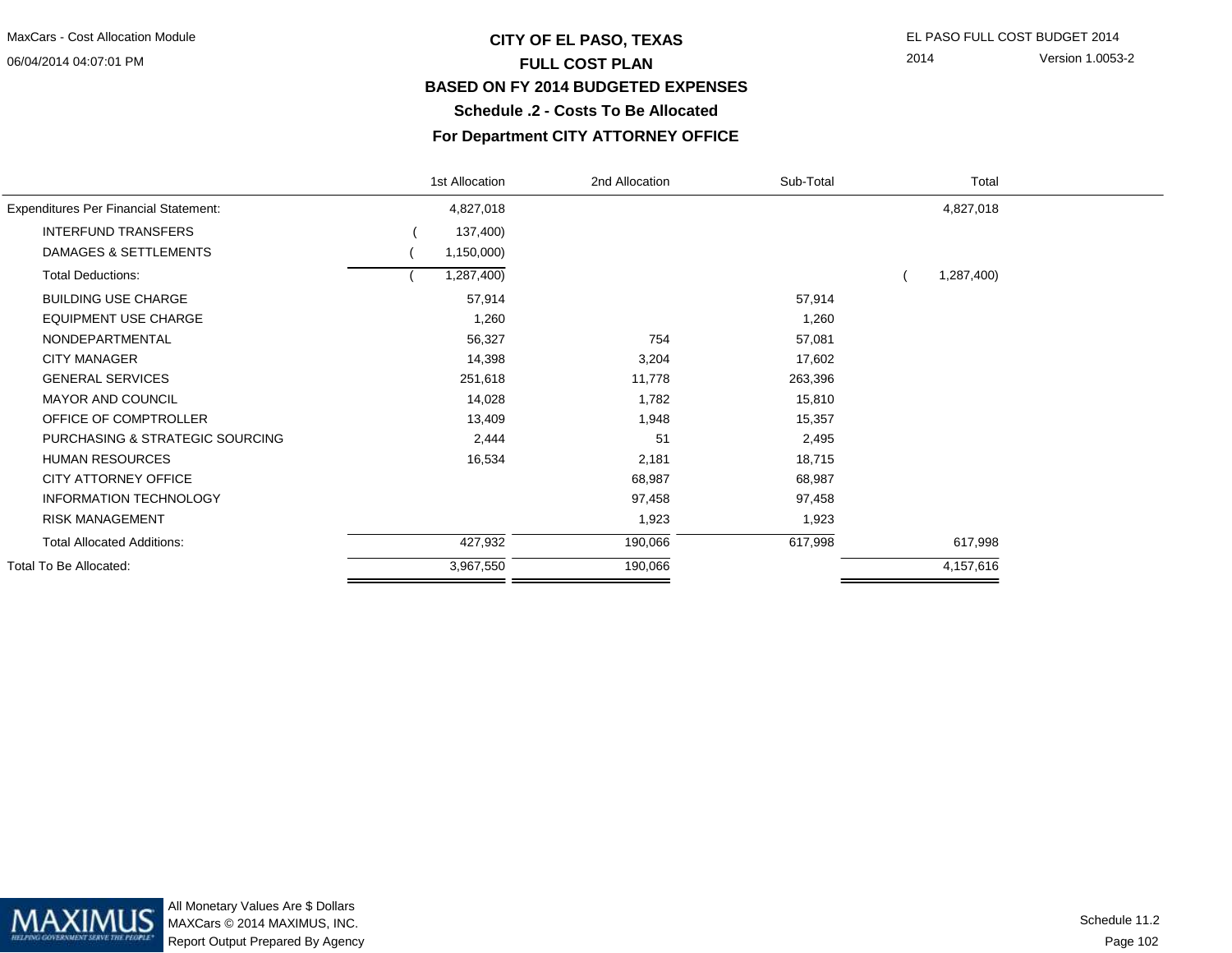#### 06/04/2014 04:07:01 PM

## **CITY OF EL PASO, TEXAS** EL PASO FULL COST BUDGET 2014 **FULL COST PLAN BASED ON FY 2014 BUDGETED EXPENSESSchedule .2 - Costs To Be Allocated**

2014 Version 1.0053-2

#### **For Department CITY ATTORNEY OFFICE**

|                                              | 1st Allocation | 2nd Allocation | Sub-Total | Total      |  |
|----------------------------------------------|----------------|----------------|-----------|------------|--|
| <b>Expenditures Per Financial Statement:</b> | 4,827,018      |                |           | 4,827,018  |  |
| <b>INTERFUND TRANSFERS</b>                   | 137,400)       |                |           |            |  |
| DAMAGES & SETTLEMENTS                        | 1,150,000)     |                |           |            |  |
| <b>Total Deductions:</b>                     | 1,287,400)     |                |           | 1,287,400) |  |
| <b>BUILDING USE CHARGE</b>                   | 57,914         |                | 57,914    |            |  |
| <b>EQUIPMENT USE CHARGE</b>                  | 1,260          |                | 1,260     |            |  |
| NONDEPARTMENTAL                              | 56,327         | 754            | 57,081    |            |  |
| <b>CITY MANAGER</b>                          | 14,398         | 3,204          | 17,602    |            |  |
| <b>GENERAL SERVICES</b>                      | 251,618        | 11,778         | 263,396   |            |  |
| <b>MAYOR AND COUNCIL</b>                     | 14,028         | 1,782          | 15,810    |            |  |
| OFFICE OF COMPTROLLER                        | 13,409         | 1,948          | 15,357    |            |  |
| PURCHASING & STRATEGIC SOURCING              | 2,444          | 51             | 2,495     |            |  |
| <b>HUMAN RESOURCES</b>                       | 16,534         | 2,181          | 18,715    |            |  |
| <b>CITY ATTORNEY OFFICE</b>                  |                | 68,987         | 68,987    |            |  |
| <b>INFORMATION TECHNOLOGY</b>                |                | 97,458         | 97,458    |            |  |
| <b>RISK MANAGEMENT</b>                       |                | 1,923          | 1,923     |            |  |
| <b>Total Allocated Additions:</b>            | 427,932        | 190,066        | 617,998   | 617,998    |  |
| Total To Be Allocated:                       | 3,967,550      | 190,066        |           | 4,157,616  |  |
|                                              |                |                |           |            |  |



All Monetary Values Are \$ Dollars MAXCars © 2014 MAXIMUS, INC.Report Output Prepared By Agency

Page 102Schedule 11.2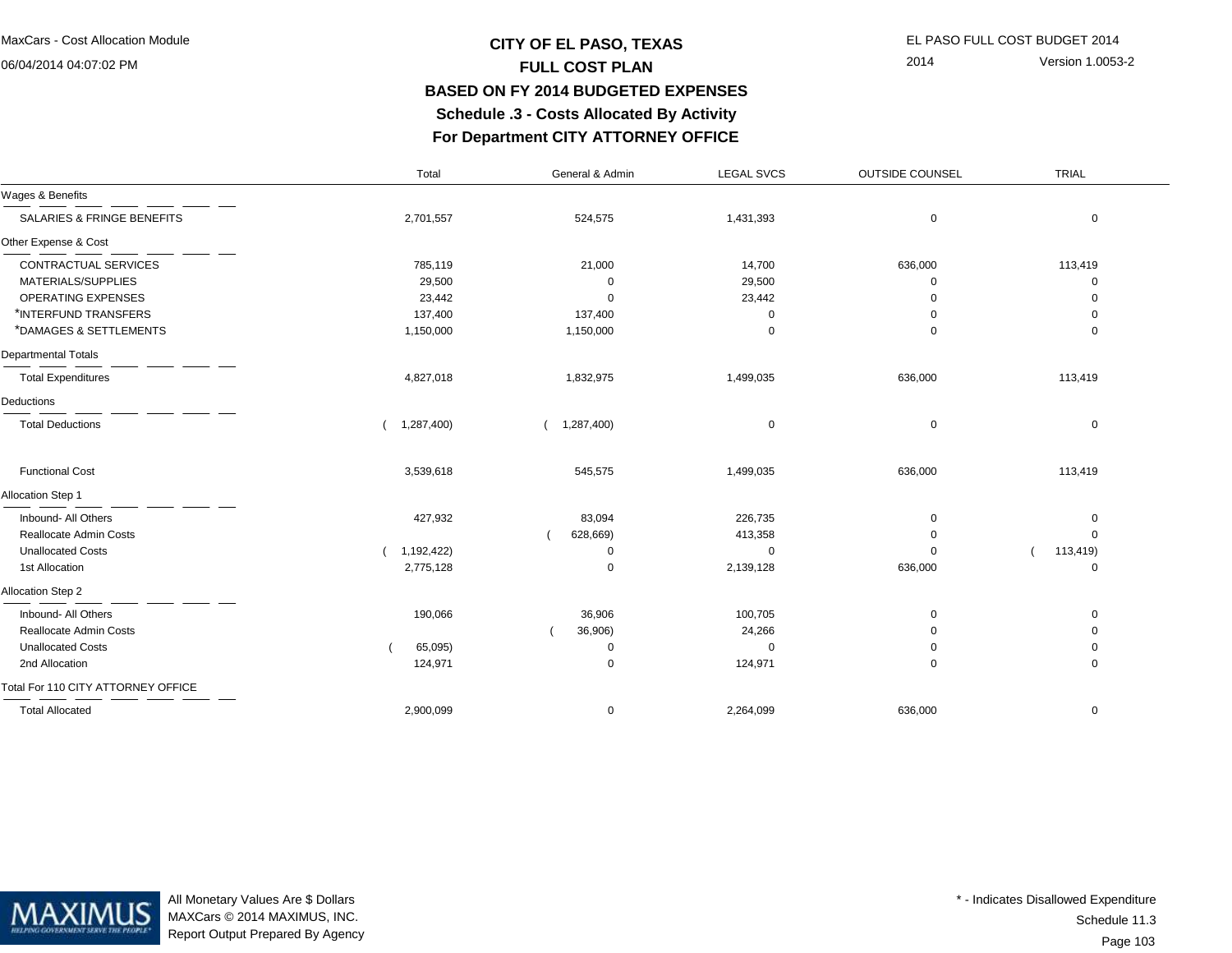06/04/2014 04:07:02 PM

## **CITY OF EL PASO, TEXAS** EL PASO FULL COST BUDGET 2014 **FULL COST PLAN BASED ON FY 2014 BUDGETED EXPENSES Schedule .3 - Costs Allocated By ActivityFor Department CITY ATTORNEY OFFICE**

2014 Version 1.0053-2

|                                    | Total      | General & Admin | <b>LEGAL SVCS</b> | <b>OUTSIDE COUNSEL</b> | TRIAL       |
|------------------------------------|------------|-----------------|-------------------|------------------------|-------------|
| Wages & Benefits                   |            |                 |                   |                        |             |
| SALARIES & FRINGE BENEFITS         | 2,701,557  | 524,575         | 1,431,393         | 0                      | $\mathbf 0$ |
| Other Expense & Cost               |            |                 |                   |                        |             |
| CONTRACTUAL SERVICES               | 785,119    | 21,000          | 14,700            | 636,000                | 113,419     |
| MATERIALS/SUPPLIES                 | 29,500     |                 | 29,500            | ∩                      | $\Omega$    |
| OPERATING EXPENSES                 | 23,442     |                 | 23,442            | $\Omega$               | $\Omega$    |
| *INTERFUND TRANSFERS               | 137,400    | 137,400         | ი                 | $\Omega$               | 0           |
| *DAMAGES & SETTLEMENTS             | 1,150,000  | 1,150,000       | $\Omega$          | $\mathbf 0$            | 0           |
| <b>Departmental Totals</b>         |            |                 |                   |                        |             |
| <b>Total Expenditures</b>          | 4,827,018  | 1,832,975       | 1,499,035         | 636,000                | 113,419     |
| Deductions                         |            |                 |                   |                        |             |
| <b>Total Deductions</b>            | 1,287,400) | 1,287,400)      | 0                 | 0                      | $\mathbf 0$ |
| <b>Functional Cost</b>             | 3,539,618  | 545,575         | 1,499,035         | 636,000                | 113,419     |
| Allocation Step 1                  |            |                 |                   |                        |             |
| Inbound- All Others                | 427,932    | 83,094          | 226,735           | $\mathbf 0$            | 0           |
| Reallocate Admin Costs             |            | 628,669)        | 413,358           | 0                      | $\mathbf 0$ |
| <b>Unallocated Costs</b>           | 1,192,422) |                 | 0                 | $\Omega$               | 113,419)    |
| 1st Allocation                     | 2,775,128  | $\Omega$        | 2,139,128         | 636,000                | 0           |
| Allocation Step 2                  |            |                 |                   |                        |             |
| Inbound- All Others                | 190,066    | 36,906          | 100,705           | $\Omega$               | 0           |
| Reallocate Admin Costs             |            | 36,906)         | 24,266            |                        | $\Omega$    |
| <b>Unallocated Costs</b>           | 65,095)    | ∩               | $\Omega$          | $\Omega$               | 0           |
| 2nd Allocation                     | 124,971    | $\mathbf 0$     | 124,971           | 0                      | 0           |
| Total For 110 CITY ATTORNEY OFFICE |            |                 |                   |                        |             |
| <b>Total Allocated</b>             | 2,900,099  | $\mathbf 0$     | 2,264,099         | 636,000                | $\mathbf 0$ |



All Monetary Values Are \$ Dollars MAXCars © 2014 MAXIMUS, INC.Report Output Prepared By Agency

Page 103Schedule 11.3\* - Indicates Disallowed Expenditure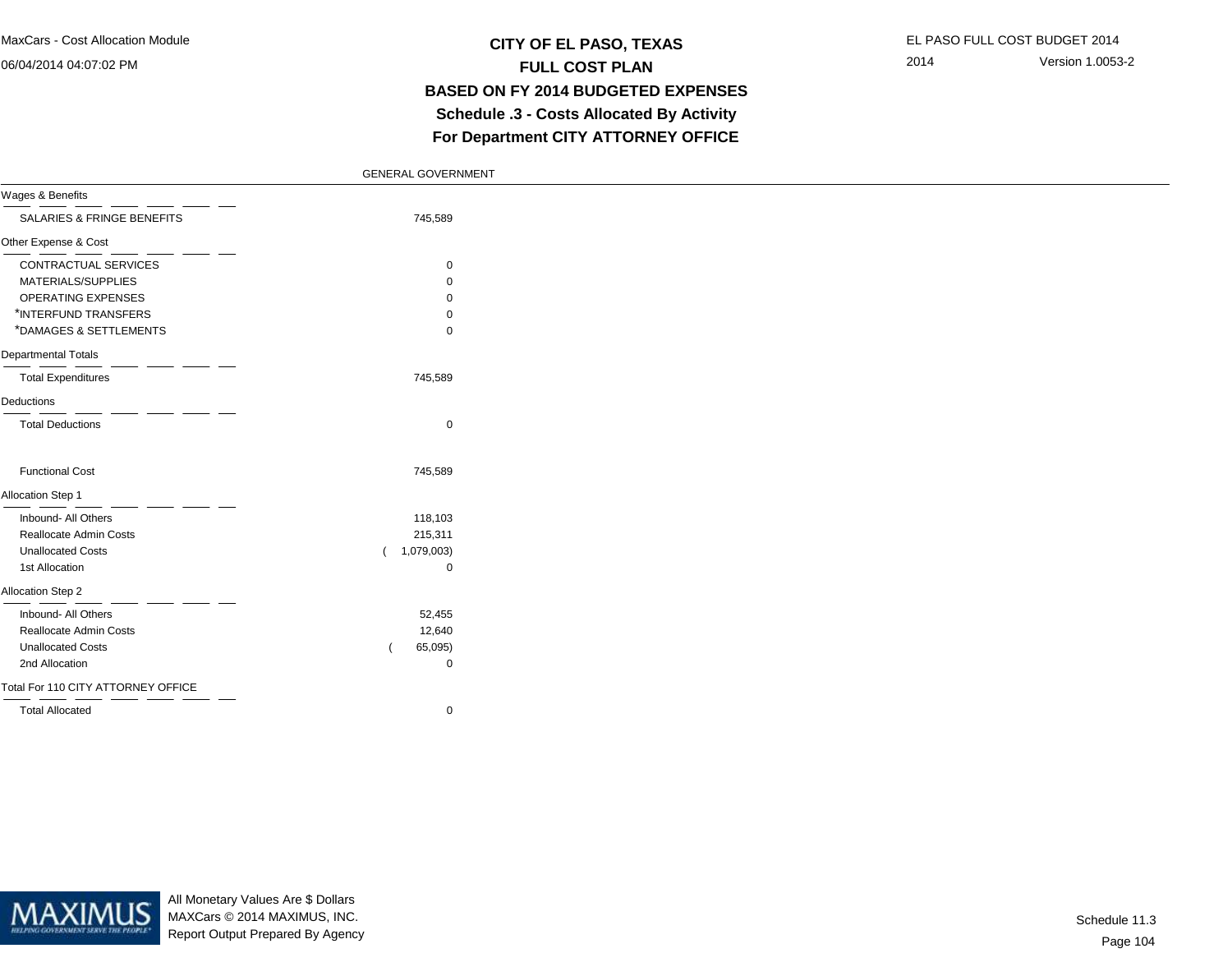#### 06/04/2014 04:07:02 PM

### **CITY OF EL PASO, TEXAS** EL PASO FULL COST BUDGET 2014 **FULL COST PLAN BASED ON FY 2014 BUDGETED EXPENSES Schedule .3 - Costs Allocated By ActivityFor Department CITY ATTORNEY OFFICE**

2014 Version 1.0053-2

|  | <b>GENERAL GOVERNMENT</b> |
|--|---------------------------|
|  |                           |

| Wages & Benefits                   |             |  |
|------------------------------------|-------------|--|
| SALARIES & FRINGE BENEFITS         | 745,589     |  |
| Other Expense & Cost               |             |  |
| CONTRACTUAL SERVICES               | $\mathbf 0$ |  |
| MATERIALS/SUPPLIES                 | 0           |  |
| OPERATING EXPENSES                 | 0           |  |
| *INTERFUND TRANSFERS               | 0           |  |
| *DAMAGES & SETTLEMENTS             | 0           |  |
| Departmental Totals                |             |  |
| <b>Total Expenditures</b>          | 745,589     |  |
| Deductions                         |             |  |
| <b>Total Deductions</b>            | $\mathbf 0$ |  |
| <b>Functional Cost</b>             | 745,589     |  |
| Allocation Step 1                  |             |  |
| Inbound- All Others                | 118,103     |  |
| Reallocate Admin Costs             | 215,311     |  |
| <b>Unallocated Costs</b>           | 1,079,003)  |  |
| 1st Allocation                     | 0           |  |
| Allocation Step 2                  |             |  |
| Inbound- All Others                | 52,455      |  |
| Reallocate Admin Costs             | 12,640      |  |
| <b>Unallocated Costs</b>           | 65,095)     |  |
| 2nd Allocation                     | 0           |  |
| Total For 110 CITY ATTORNEY OFFICE |             |  |
| <b>Total Allocated</b>             | 0           |  |



All Monetary Values Are \$ Dollars MAXCars © 2014 MAXIMUS, INC.Report Output Prepared By Agency

Page 104Schedule 11.3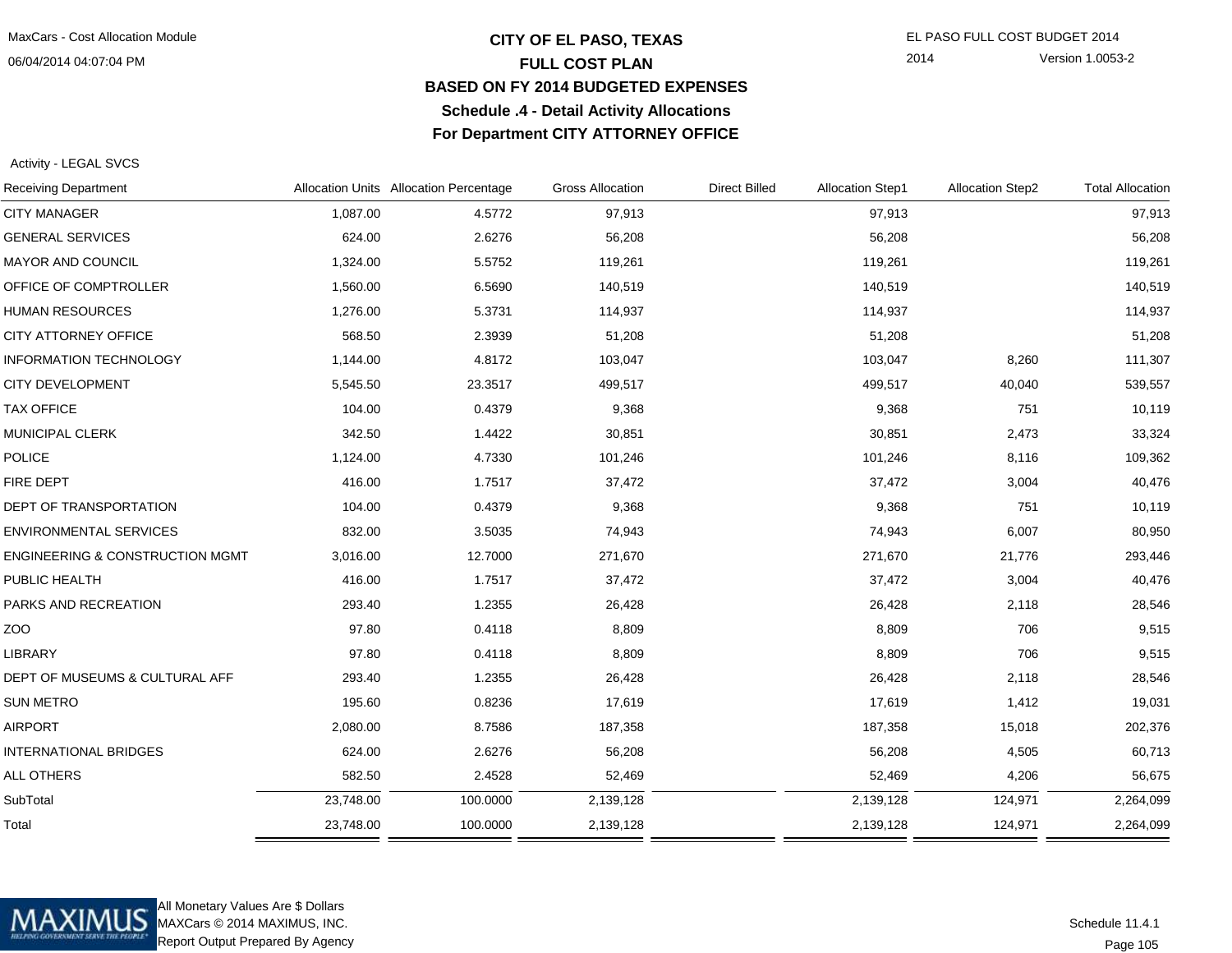06/04/2014 04:07:04 PM

#### **CITY OF EL PASO, TEXAS** EL PASO FULL COST BUDGET 2014 **FULL COST PLAN BASED ON FY 2014 BUDGETED EXPENSESSchedule .4 - Detail Activity AllocationsFor Department CITY ATTORNEY OFFICE**

2014 Version 1.0053-2

Activity - LEGAL SVCS

| <b>Receiving Department</b>                |           | Allocation Units Allocation Percentage | <b>Gross Allocation</b> | <b>Direct Billed</b> | <b>Allocation Step1</b> | <b>Allocation Step2</b> | <b>Total Allocation</b> |
|--------------------------------------------|-----------|----------------------------------------|-------------------------|----------------------|-------------------------|-------------------------|-------------------------|
| <b>CITY MANAGER</b>                        | 1,087.00  | 4.5772                                 | 97,913                  |                      | 97,913                  |                         | 97,913                  |
| <b>GENERAL SERVICES</b>                    | 624.00    | 2.6276                                 | 56,208                  |                      | 56,208                  |                         | 56,208                  |
| <b>MAYOR AND COUNCIL</b>                   | 1,324.00  | 5.5752                                 | 119,261                 |                      | 119,261                 |                         | 119,261                 |
| OFFICE OF COMPTROLLER                      | 1,560.00  | 6.5690                                 | 140,519                 |                      | 140,519                 |                         | 140,519                 |
| <b>HUMAN RESOURCES</b>                     | 1,276.00  | 5.3731                                 | 114,937                 |                      | 114,937                 |                         | 114,937                 |
| CITY ATTORNEY OFFICE                       | 568.50    | 2.3939                                 | 51,208                  |                      | 51,208                  |                         | 51,208                  |
| <b>INFORMATION TECHNOLOGY</b>              | 1,144.00  | 4.8172                                 | 103,047                 |                      | 103,047                 | 8,260                   | 111,307                 |
| <b>CITY DEVELOPMENT</b>                    | 5,545.50  | 23.3517                                | 499,517                 |                      | 499,517                 | 40,040                  | 539,557                 |
| <b>TAX OFFICE</b>                          | 104.00    | 0.4379                                 | 9,368                   |                      | 9,368                   | 751                     | 10,119                  |
| MUNICIPAL CLERK                            | 342.50    | 1.4422                                 | 30,851                  |                      | 30,851                  | 2,473                   | 33,324                  |
| <b>POLICE</b>                              | 1,124.00  | 4.7330                                 | 101,246                 |                      | 101,246                 | 8,116                   | 109,362                 |
| FIRE DEPT                                  | 416.00    | 1.7517                                 | 37,472                  |                      | 37,472                  | 3,004                   | 40,476                  |
| DEPT OF TRANSPORTATION                     | 104.00    | 0.4379                                 | 9,368                   |                      | 9,368                   | 751                     | 10,119                  |
| <b>ENVIRONMENTAL SERVICES</b>              | 832.00    | 3.5035                                 | 74,943                  |                      | 74,943                  | 6,007                   | 80,950                  |
| <b>ENGINEERING &amp; CONSTRUCTION MGMT</b> | 3,016.00  | 12.7000                                | 271,670                 |                      | 271,670                 | 21,776                  | 293,446                 |
| PUBLIC HEALTH                              | 416.00    | 1.7517                                 | 37,472                  |                      | 37,472                  | 3,004                   | 40,476                  |
| PARKS AND RECREATION                       | 293.40    | 1.2355                                 | 26,428                  |                      | 26,428                  | 2,118                   | 28,546                  |
| ZOO                                        | 97.80     | 0.4118                                 | 8,809                   |                      | 8,809                   | 706                     | 9,515                   |
| LIBRARY                                    | 97.80     | 0.4118                                 | 8,809                   |                      | 8,809                   | 706                     | 9,515                   |
| DEPT OF MUSEUMS & CULTURAL AFF             | 293.40    | 1.2355                                 | 26,428                  |                      | 26,428                  | 2,118                   | 28,546                  |
| <b>SUN METRO</b>                           | 195.60    | 0.8236                                 | 17,619                  |                      | 17,619                  | 1,412                   | 19,031                  |
| <b>AIRPORT</b>                             | 2,080.00  | 8.7586                                 | 187,358                 |                      | 187,358                 | 15,018                  | 202,376                 |
| <b>INTERNATIONAL BRIDGES</b>               | 624.00    | 2.6276                                 | 56,208                  |                      | 56,208                  | 4,505                   | 60,713                  |
| ALL OTHERS                                 | 582.50    | 2.4528                                 | 52,469                  |                      | 52,469                  | 4,206                   | 56,675                  |
| SubTotal                                   | 23,748.00 | 100.0000                               | 2,139,128               |                      | 2,139,128               | 124,971                 | 2,264,099               |
| Total                                      | 23,748.00 | 100.0000                               | 2,139,128               |                      | 2,139,128               | 124,971                 | 2,264,099               |
|                                            |           |                                        |                         |                      |                         |                         |                         |



All Monetary Values Are \$ Dollars MAXCars © 2014 MAXIMUS, INC.Report Output Prepared By Agency

Page 105Schedule 11.4.1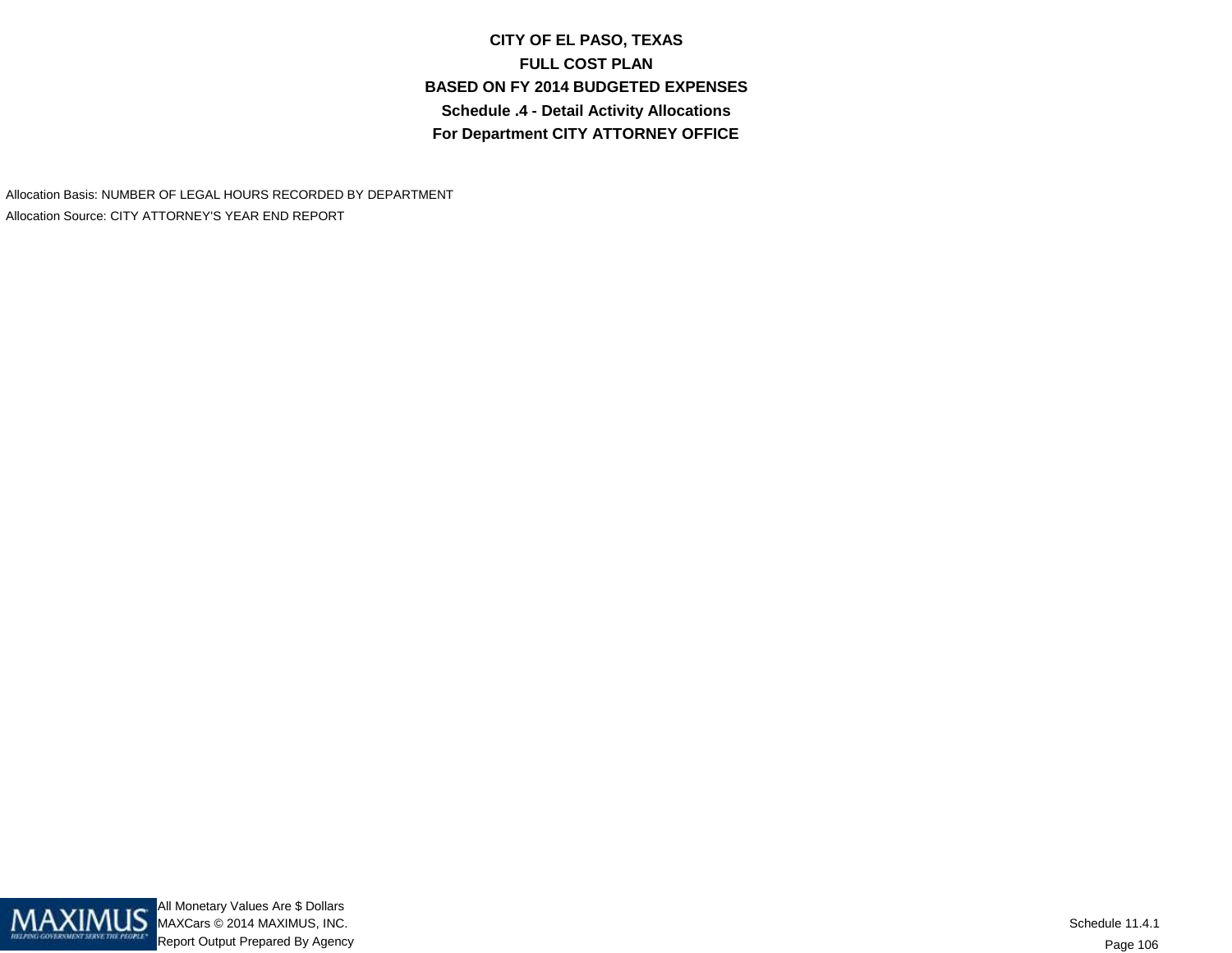**CITY OF EL PASO, TEXASFULL COST PLAN BASED ON FY 2014 BUDGETED EXPENSESSchedule .4 - Detail Activity AllocationsFor Department CITY ATTORNEY OFFICE**

Allocation Basis: NUMBER OF LEGAL HOURS RECORDED BY DEPARTMENTAllocation Source: CITY ATTORNEY'S YEAR END REPORT

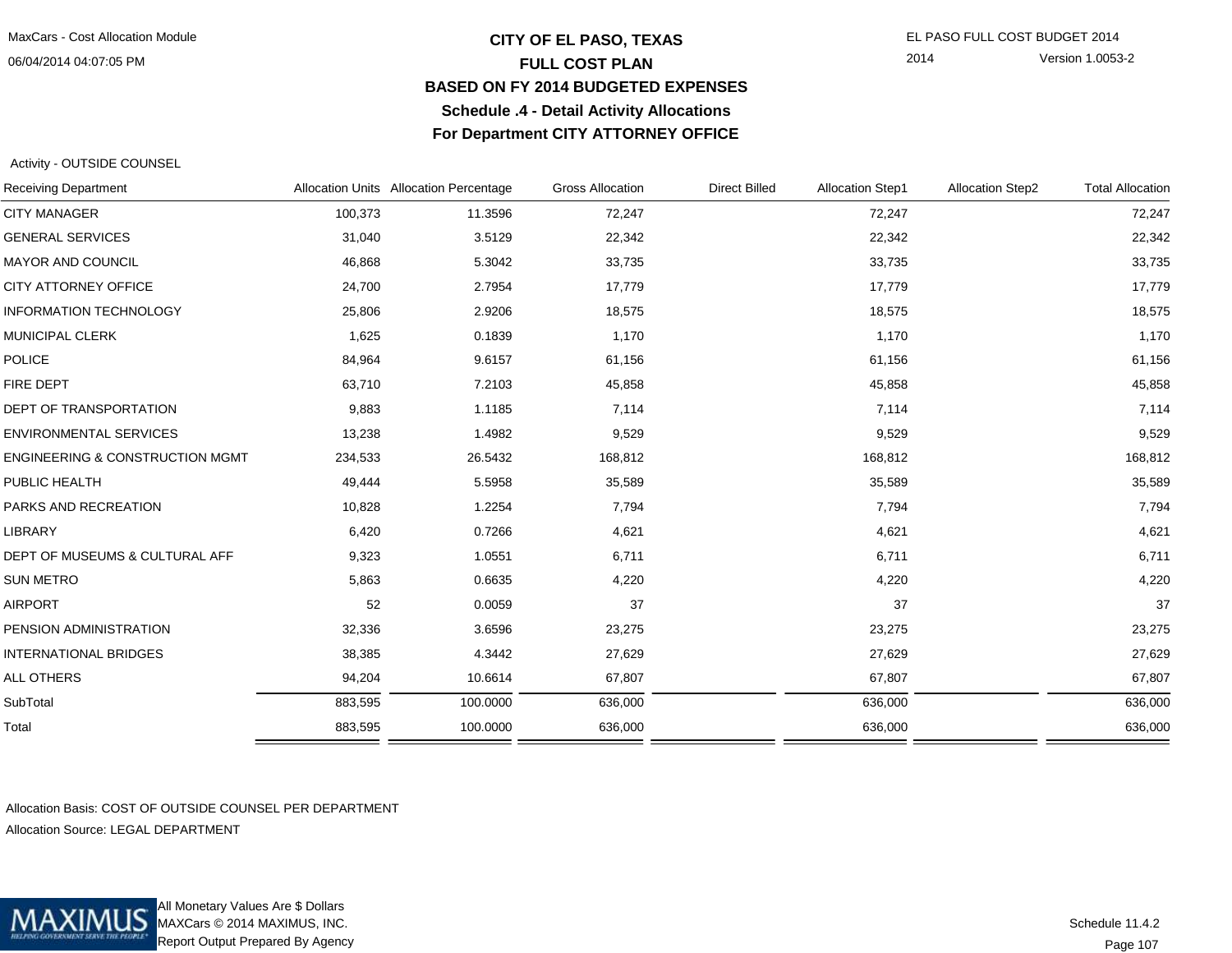06/04/2014 04:07:05 PM

#### **CITY OF EL PASO, TEXAS** EL PASO FULL COST BUDGET 2014 **FULL COST PLAN BASED ON FY 2014 BUDGETED EXPENSESSchedule .4 - Detail Activity AllocationsFor Department CITY ATTORNEY OFFICE**

2014 Version 1.0053-2

Activity - OUTSIDE COUNSEL

| <b>Receiving Department</b>     |         | Allocation Units Allocation Percentage | <b>Gross Allocation</b> | <b>Direct Billed</b> | <b>Allocation Step1</b> | <b>Allocation Step2</b> | <b>Total Allocation</b> |
|---------------------------------|---------|----------------------------------------|-------------------------|----------------------|-------------------------|-------------------------|-------------------------|
| <b>CITY MANAGER</b>             | 100,373 | 11.3596                                | 72,247                  |                      | 72,247                  |                         | 72,247                  |
| <b>GENERAL SERVICES</b>         | 31,040  | 3.5129                                 | 22,342                  |                      | 22,342                  |                         | 22,342                  |
| <b>MAYOR AND COUNCIL</b>        | 46,868  | 5.3042                                 | 33,735                  |                      | 33,735                  |                         | 33,735                  |
| CITY ATTORNEY OFFICE            | 24,700  | 2.7954                                 | 17,779                  |                      | 17,779                  |                         | 17,779                  |
| <b>INFORMATION TECHNOLOGY</b>   | 25,806  | 2.9206                                 | 18,575                  |                      | 18,575                  |                         | 18,575                  |
| MUNICIPAL CLERK                 | 1,625   | 0.1839                                 | 1,170                   |                      | 1,170                   |                         | 1,170                   |
| POLICE                          | 84,964  | 9.6157                                 | 61,156                  |                      | 61,156                  |                         | 61,156                  |
| FIRE DEPT                       | 63,710  | 7.2103                                 | 45,858                  |                      | 45,858                  |                         | 45,858                  |
| <b>DEPT OF TRANSPORTATION</b>   | 9,883   | 1.1185                                 | 7,114                   |                      | 7,114                   |                         | 7,114                   |
| <b>ENVIRONMENTAL SERVICES</b>   | 13,238  | 1.4982                                 | 9,529                   |                      | 9,529                   |                         | 9,529                   |
| ENGINEERING & CONSTRUCTION MGMT | 234,533 | 26.5432                                | 168,812                 |                      | 168,812                 |                         | 168,812                 |
| PUBLIC HEALTH                   | 49,444  | 5.5958                                 | 35,589                  |                      | 35,589                  |                         | 35,589                  |
| PARKS AND RECREATION            | 10,828  | 1.2254                                 | 7,794                   |                      | 7,794                   |                         | 7,794                   |
| LIBRARY                         | 6,420   | 0.7266                                 | 4,621                   |                      | 4,621                   |                         | 4,621                   |
| DEPT OF MUSEUMS & CULTURAL AFF  | 9,323   | 1.0551                                 | 6,711                   |                      | 6,711                   |                         | 6,711                   |
| <b>SUN METRO</b>                | 5,863   | 0.6635                                 | 4,220                   |                      | 4,220                   |                         | 4,220                   |
| <b>AIRPORT</b>                  | 52      | 0.0059                                 | 37                      |                      | 37                      |                         | 37                      |
| PENSION ADMINISTRATION          | 32,336  | 3.6596                                 | 23,275                  |                      | 23,275                  |                         | 23,275                  |
| <b>INTERNATIONAL BRIDGES</b>    | 38,385  | 4.3442                                 | 27,629                  |                      | 27,629                  |                         | 27,629                  |
| ALL OTHERS                      | 94,204  | 10.6614                                | 67,807                  |                      | 67,807                  |                         | 67,807                  |
| SubTotal                        | 883,595 | 100.0000                               | 636,000                 |                      | 636,000                 |                         | 636,000                 |
| Total                           | 883,595 | 100.0000                               | 636,000                 |                      | 636,000                 |                         | 636,000                 |
|                                 |         |                                        |                         |                      |                         |                         |                         |

Allocation Basis: COST OF OUTSIDE COUNSEL PER DEPARTMENTAllocation Source: LEGAL DEPARTMENT



All Monetary Values Are \$ Dollars MAXCars © 2014 MAXIMUS, INC.Report Output Prepared By Agency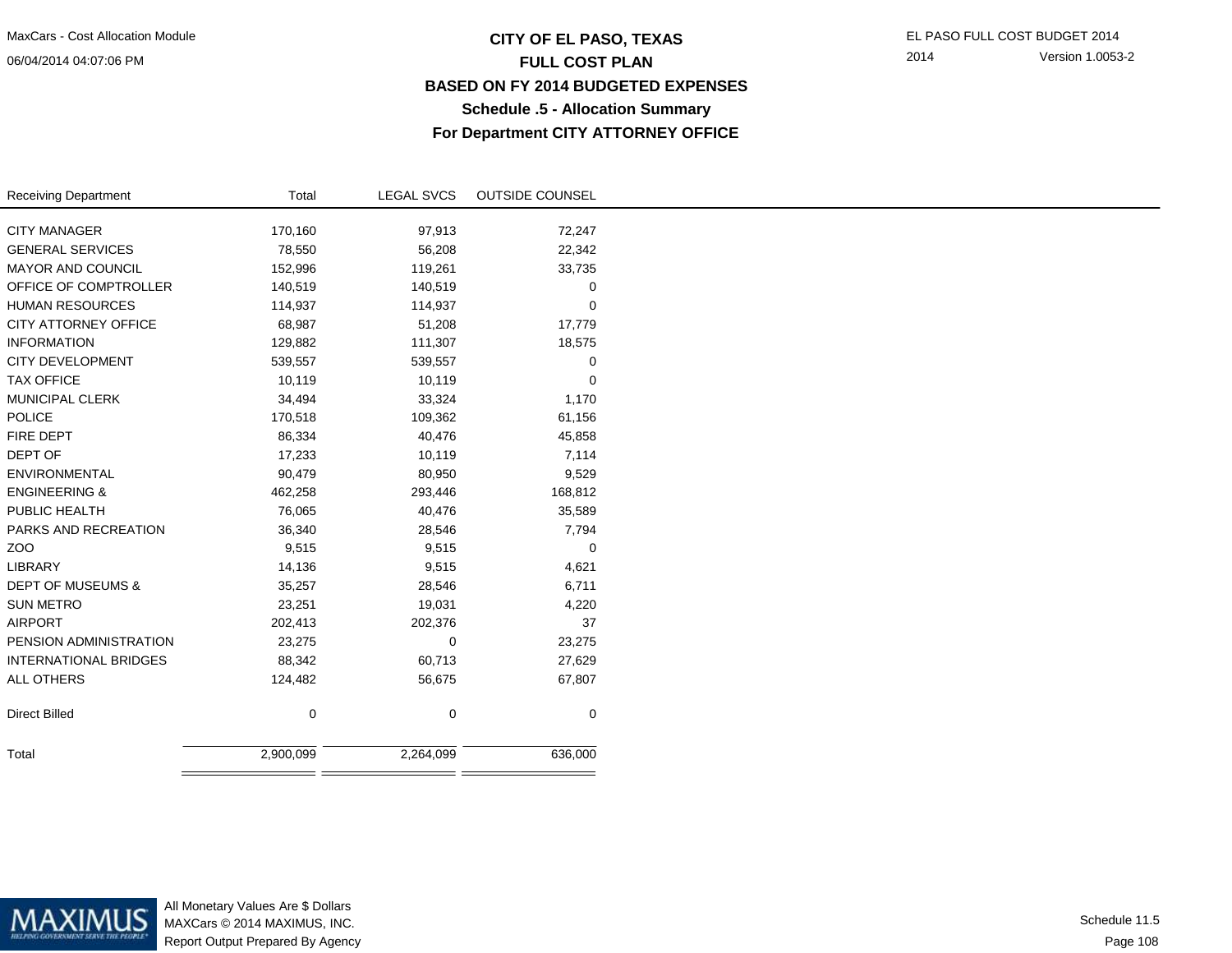06/04/2014 04:07:06 PM

## **CITY OF EL PASO, TEXAS** EL PASO FULL COST BUDGET 2014 **FULL COST PLAN BASED ON FY 2014 BUDGETED EXPENSESSchedule .5 - Allocation SummaryFor Department CITY ATTORNEY OFFICE**

| <b>Receiving Department</b>  | Total       | LEGAL SVCS  | <b>OUTSIDE COUNSEL</b> |
|------------------------------|-------------|-------------|------------------------|
|                              |             |             |                        |
| <b>CITY MANAGER</b>          | 170,160     | 97,913      | 72,247                 |
| <b>GENERAL SERVICES</b>      | 78,550      | 56,208      | 22,342                 |
| MAYOR AND COUNCIL            | 152,996     | 119,261     | 33,735                 |
| OFFICE OF COMPTROLLER        | 140,519     | 140,519     | 0                      |
| <b>HUMAN RESOURCES</b>       | 114,937     | 114,937     | 0                      |
| <b>CITY ATTORNEY OFFICE</b>  | 68,987      | 51,208      | 17,779                 |
| <b>INFORMATION</b>           | 129,882     | 111,307     | 18,575                 |
| <b>CITY DEVELOPMENT</b>      | 539,557     | 539,557     | 0                      |
| <b>TAX OFFICE</b>            | 10,119      | 10,119      | $\pmb{0}$              |
| MUNICIPAL CLERK              | 34,494      | 33,324      | 1,170                  |
| <b>POLICE</b>                | 170,518     | 109,362     | 61,156                 |
| FIRE DEPT                    | 86,334      | 40,476      | 45,858                 |
| DEPT OF                      | 17,233      | 10,119      | 7,114                  |
| <b>ENVIRONMENTAL</b>         | 90,479      | 80,950      | 9,529                  |
| <b>ENGINEERING &amp;</b>     | 462,258     | 293,446     | 168,812                |
| PUBLIC HEALTH                | 76,065      | 40,476      | 35,589                 |
| PARKS AND RECREATION         | 36,340      | 28,546      | 7,794                  |
| ZOO                          | 9,515       | 9,515       | 0                      |
| LIBRARY                      | 14,136      | 9,515       | 4,621                  |
| <b>DEPT OF MUSEUMS &amp;</b> | 35,257      | 28,546      | 6,711                  |
| <b>SUN METRO</b>             | 23,251      | 19,031      | 4,220                  |
| <b>AIRPORT</b>               | 202,413     | 202,376     | 37                     |
| PENSION ADMINISTRATION       | 23,275      | 0           | 23,275                 |
| INTERNATIONAL BRIDGES        | 88,342      | 60,713      | 27,629                 |
| ALL OTHERS                   | 124,482     | 56,675      | 67,807                 |
|                              |             |             |                        |
| <b>Direct Billed</b>         | $\mathbf 0$ | $\mathbf 0$ | $\mathbf 0$            |
|                              |             |             |                        |
| Total                        | 2,900,099   | 2,264,099   | 636,000                |
|                              |             |             |                        |



All Monetary Values Are \$ Dollars MAXCars © 2014 MAXIMUS, INC.Report Output Prepared By Agency

Page 108Schedule 11.5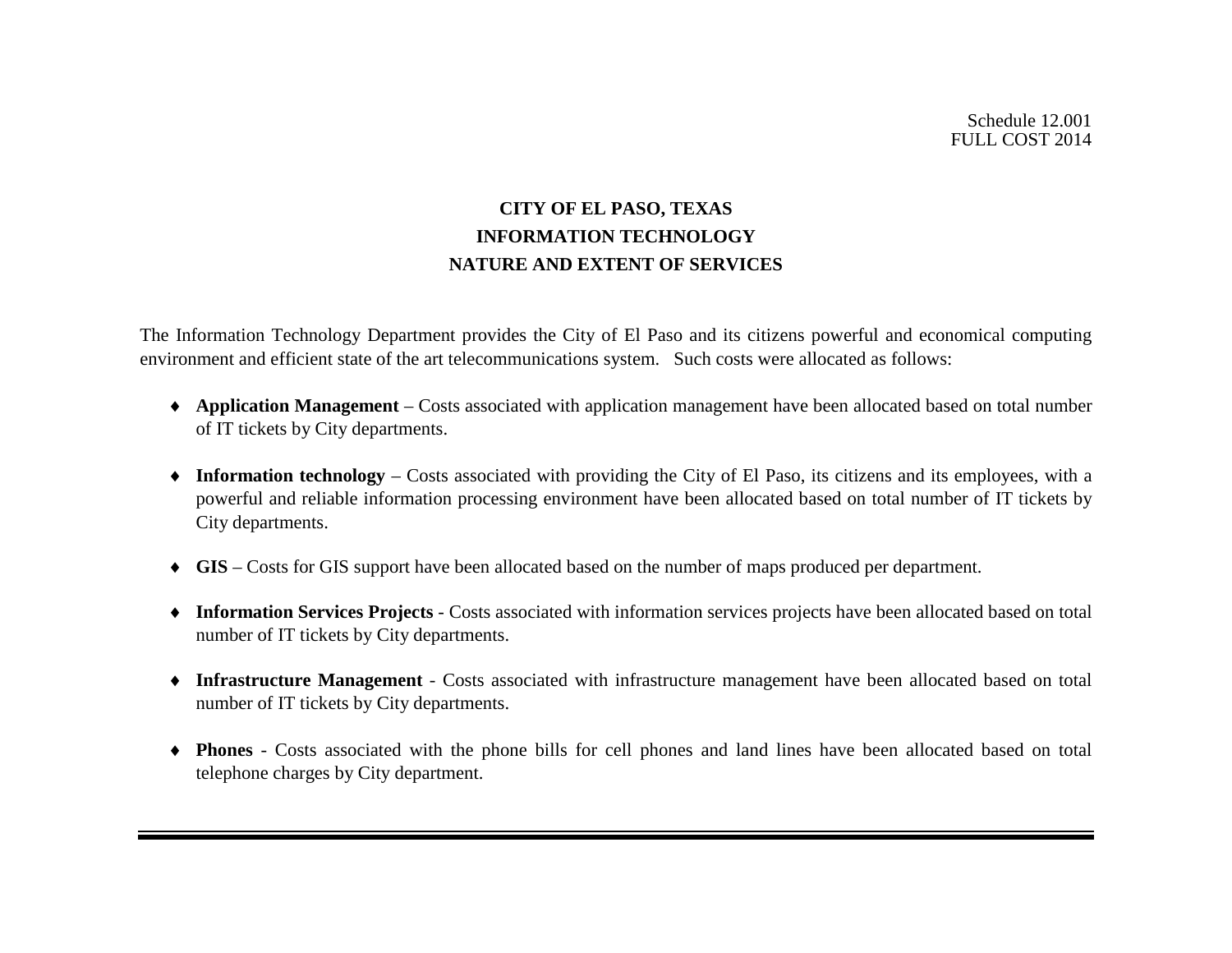# **CITY OF EL PASO, TEXAS INFORMATION TECHNOLOGY NATURE AND EXTENT OF SERVICES**

The Information Technology Department provides the City of El Paso and its citizens powerful and economical computing environment and efficient state of the art telecommunications system. Such costs were allocated as follows:

- ♦ **Application Management** Costs associated with application management have been allocated based on total number of IT tickets by City departments.
- ♦ **Information technology** Costs associated with providing the City of El Paso, its citizens and its employees, with a powerful and reliable information processing environment have been allocated based on total number of IT tickets by City departments.
- ♦ **GIS** Costs for GIS support have been allocated based on the number of maps produced per department.
- ♦ **Information Services Projects** Costs associated with information services projects have been allocated based on total number of IT tickets by City departments.
- ♦ **Infrastructure Management** Costs associated with infrastructure management have been allocated based on total number of IT tickets by City departments.
- ♦ **Phones** Costs associated with the phone bills for cell phones and land lines have been allocated based on total telephone charges by City department.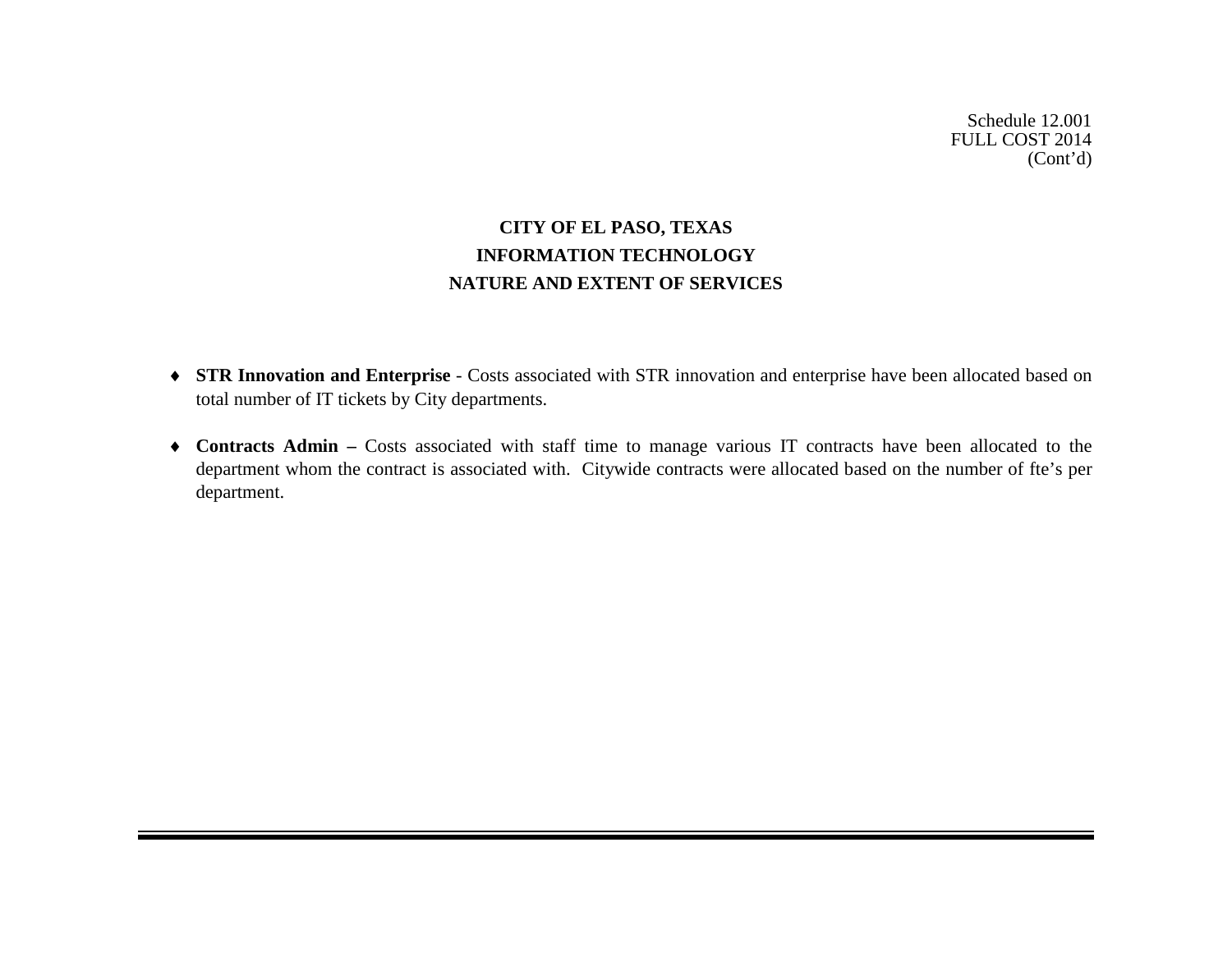# **CITY OF EL PASO, TEXAS INFORMATION TECHNOLOGY NATURE AND EXTENT OF SERVICES**

- ♦ **STR Innovation and Enterprise** Costs associated with STR innovation and enterprise have been allocated based on total number of IT tickets by City departments.
- ♦ **Contracts Admin –** Costs associated with staff time to manage various IT contracts have been allocated to the department whom the contract is associated with. Citywide contracts were allocated based on the number of fte's per department.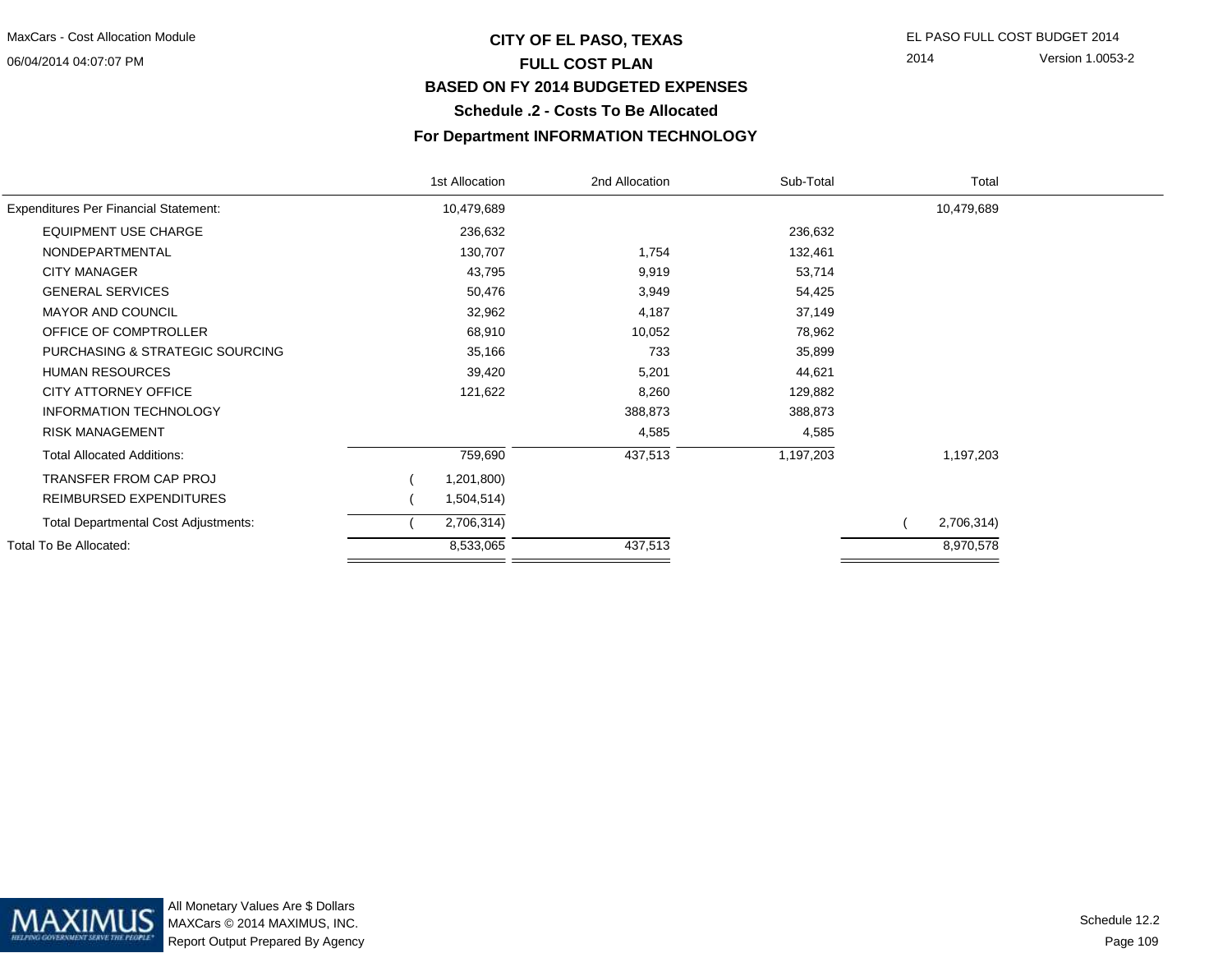#### 06/04/2014 04:07:07 PM

## **CITY OF EL PASO, TEXAS** EL PASO FULL COST BUDGET 2014 **FULL COST PLAN BASED ON FY 2014 BUDGETED EXPENSESSchedule .2 - Costs To Be Allocated**

#### **For Department INFORMATION TECHNOLOGY**

|                                              | 1st Allocation | 2nd Allocation | Sub-Total | Total      |  |
|----------------------------------------------|----------------|----------------|-----------|------------|--|
| <b>Expenditures Per Financial Statement:</b> | 10,479,689     |                |           | 10,479,689 |  |
| <b>EQUIPMENT USE CHARGE</b>                  | 236,632        |                | 236,632   |            |  |
| NONDEPARTMENTAL                              | 130,707        | 1,754          | 132,461   |            |  |
| <b>CITY MANAGER</b>                          | 43,795         | 9,919          | 53,714    |            |  |
| <b>GENERAL SERVICES</b>                      | 50,476         | 3,949          | 54,425    |            |  |
| <b>MAYOR AND COUNCIL</b>                     | 32,962         | 4,187          | 37,149    |            |  |
| OFFICE OF COMPTROLLER                        | 68,910         | 10,052         | 78,962    |            |  |
| PURCHASING & STRATEGIC SOURCING              | 35,166         | 733            | 35,899    |            |  |
| <b>HUMAN RESOURCES</b>                       | 39,420         | 5,201          | 44,621    |            |  |
| CITY ATTORNEY OFFICE                         | 121,622        | 8,260          | 129,882   |            |  |
| <b>INFORMATION TECHNOLOGY</b>                |                | 388,873        | 388,873   |            |  |
| <b>RISK MANAGEMENT</b>                       |                | 4,585          | 4,585     |            |  |
| <b>Total Allocated Additions:</b>            | 759,690        | 437,513        | 1,197,203 | 1,197,203  |  |
| TRANSFER FROM CAP PROJ                       | 1,201,800)     |                |           |            |  |
| REIMBURSED EXPENDITURES                      | 1,504,514)     |                |           |            |  |
| Total Departmental Cost Adjustments:         | 2,706,314)     |                |           | 2,706,314) |  |
| Total To Be Allocated:                       | 8,533,065      | 437,513        |           | 8,970,578  |  |

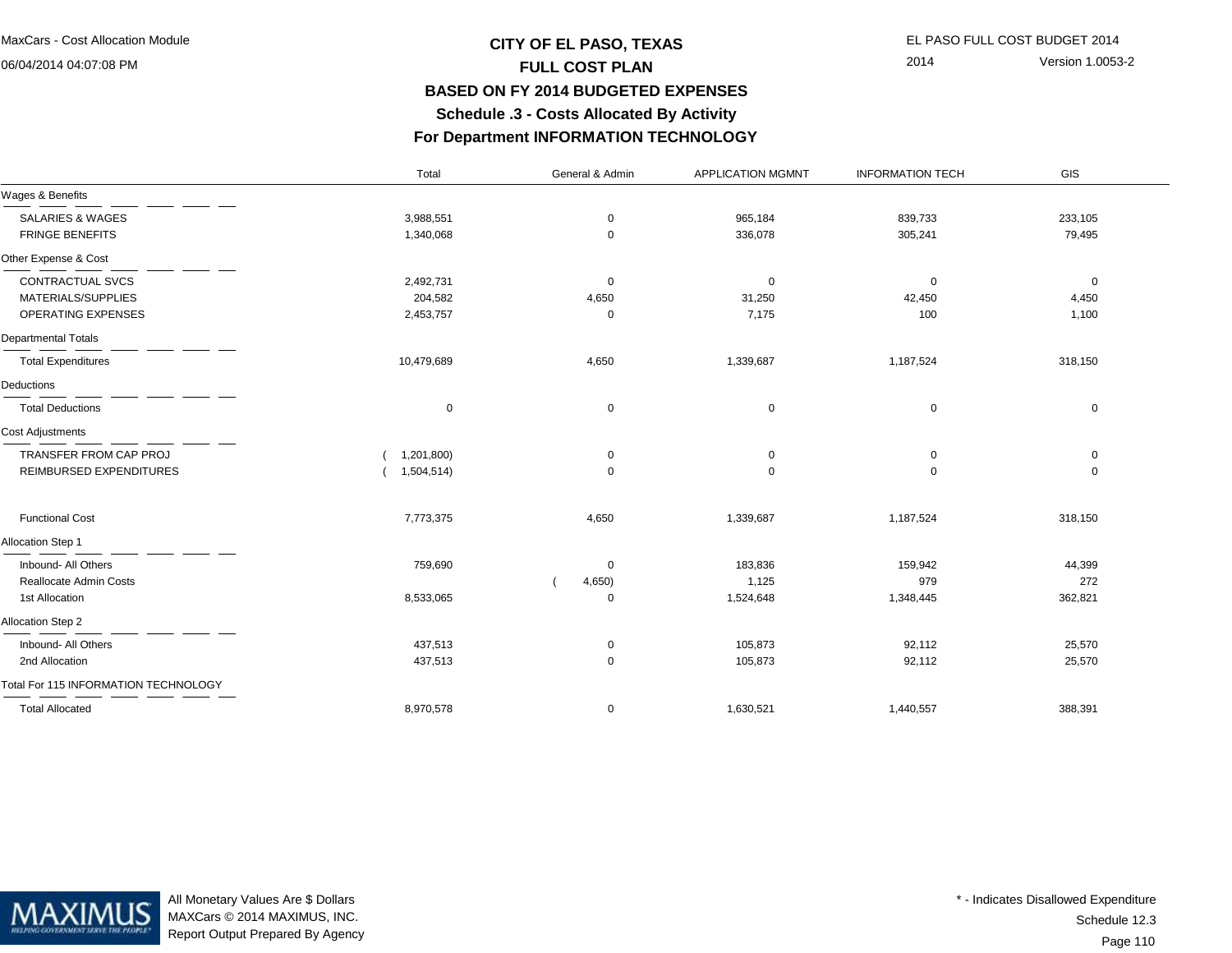06/04/2014 04:07:08 PM

## **CITY OF EL PASO, TEXAS** EL PASO FULL COST BUDGET 2014 **FULL COST PLAN BASED ON FY 2014 BUDGETED EXPENSESSchedule .3 - Costs Allocated By Activity**

2014 Version 1.0053-2

**For Department INFORMATION TECHNOLOGY**

|                                             | Total       | General & Admin | <b>APPLICATION MGMNT</b> | <b>INFORMATION TECH</b> | GIS         |  |
|---------------------------------------------|-------------|-----------------|--------------------------|-------------------------|-------------|--|
| Wages & Benefits                            |             |                 |                          |                         |             |  |
| <b>SALARIES &amp; WAGES</b>                 | 3,988,551   | $\mathbf 0$     | 965,184                  | 839,733                 | 233,105     |  |
| <b>FRINGE BENEFITS</b>                      | 1,340,068   | 0               | 336,078                  | 305,241                 | 79,495      |  |
| Other Expense & Cost                        |             |                 |                          |                         |             |  |
| CONTRACTUAL SVCS                            | 2,492,731   | 0               | 0                        | $\mathbf 0$             | 0           |  |
| MATERIALS/SUPPLIES                          | 204,582     | 4,650           | 31,250                   | 42,450                  | 4,450       |  |
| OPERATING EXPENSES                          | 2,453,757   | 0               | 7,175                    | 100                     | 1,100       |  |
| Departmental Totals                         |             |                 |                          |                         |             |  |
| <b>Total Expenditures</b>                   | 10,479,689  | 4,650           | 1,339,687                | 1,187,524               | 318,150     |  |
| Deductions                                  |             |                 |                          |                         |             |  |
| <b>Total Deductions</b>                     | $\mathbf 0$ | $\mathbf 0$     | $\mathbf 0$              | $\mathbf 0$             | $\mathbf 0$ |  |
| <b>Cost Adjustments</b>                     |             |                 |                          |                         |             |  |
| TRANSFER FROM CAP PROJ                      | 1,201,800)  | 0               | 0                        | 0                       | 0           |  |
| REIMBURSED EXPENDITURES                     | 1,504,514)  | $\mathbf 0$     | $\mathbf 0$              | $\mathbf 0$             | $\mathbf 0$ |  |
| <b>Functional Cost</b>                      | 7,773,375   | 4,650           | 1,339,687                | 1,187,524               | 318,150     |  |
| Allocation Step 1                           |             |                 |                          |                         |             |  |
| Inbound- All Others                         | 759,690     | 0               | 183,836                  | 159,942                 | 44,399      |  |
| <b>Reallocate Admin Costs</b>               |             | 4,650)          | 1,125                    | 979                     | 272         |  |
| 1st Allocation                              | 8,533,065   | 0               | 1,524,648                | 1,348,445               | 362,821     |  |
| Allocation Step 2                           |             |                 |                          |                         |             |  |
| Inbound- All Others                         | 437,513     | 0               | 105,873                  | 92,112                  | 25,570      |  |
| 2nd Allocation                              | 437,513     | $\mathbf 0$     | 105,873                  | 92,112                  | 25,570      |  |
| <b>Total For 115 INFORMATION TECHNOLOGY</b> |             |                 |                          |                         |             |  |
| <b>Total Allocated</b>                      | 8,970,578   | 0               | 1,630,521                | 1,440,557               | 388,391     |  |



All Monetary Values Are \$ Dollars MAXCars © 2014 MAXIMUS, INC.Report Output Prepared By Agency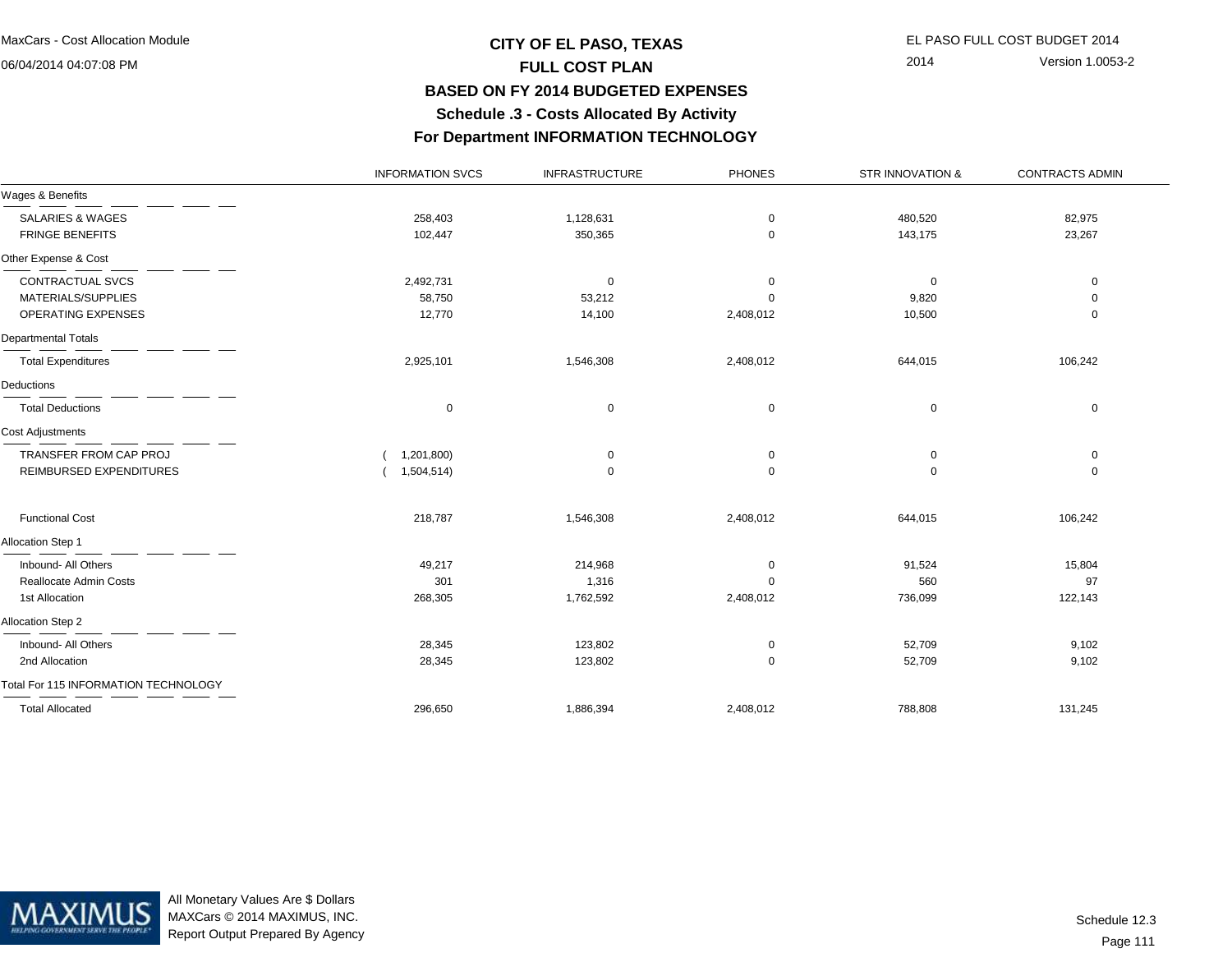06/04/2014 04:07:08 PM

# **CITY OF EL PASO, TEXAS** EL PASO FULL COST BUDGET 2014 **FULL COST PLAN BASED ON FY 2014 BUDGETED EXPENSESSchedule .3 - Costs Allocated By Activity**

2014 Version 1.0053-2

**For Department INFORMATION TECHNOLOGY**

|                                      | <b>INFORMATION SVCS</b> | <b>INFRASTRUCTURE</b> | <b>PHONES</b> | STR INNOVATION & | <b>CONTRACTS ADMIN</b> |
|--------------------------------------|-------------------------|-----------------------|---------------|------------------|------------------------|
| Wages & Benefits                     |                         |                       |               |                  |                        |
| <b>SALARIES &amp; WAGES</b>          | 258,403                 | 1,128,631             | $\mathbf 0$   | 480,520          | 82,975                 |
| <b>FRINGE BENEFITS</b>               | 102,447                 | 350,365               | $\mathbf 0$   | 143,175          | 23,267                 |
| Other Expense & Cost                 |                         |                       |               |                  |                        |
| CONTRACTUAL SVCS                     | 2,492,731               | 0                     | 0             | $\mathbf 0$      | $\mathbf 0$            |
| MATERIALS/SUPPLIES                   | 58,750                  | 53,212                | $\Omega$      | 9,820            | $\mathbf 0$            |
| OPERATING EXPENSES                   | 12,770                  | 14,100                | 2,408,012     | 10,500           | $\mathbf 0$            |
| Departmental Totals                  |                         |                       |               |                  |                        |
| <b>Total Expenditures</b>            | 2,925,101               | 1,546,308             | 2,408,012     | 644,015          | 106,242                |
| Deductions                           |                         |                       |               |                  |                        |
| <b>Total Deductions</b>              | 0                       | 0                     | $\mathbf 0$   | 0                | $\mathbf 0$            |
| <b>Cost Adjustments</b>              |                         |                       |               |                  |                        |
| TRANSFER FROM CAP PROJ               | 1,201,800)              | 0                     | 0             | 0                | 0                      |
| REIMBURSED EXPENDITURES              | 1,504,514)              | $\mathbf 0$           | $\mathbf 0$   | $\mathbf 0$      | $\mathbf 0$            |
| <b>Functional Cost</b>               | 218,787                 | 1,546,308             | 2,408,012     | 644,015          | 106,242                |
| Allocation Step 1                    |                         |                       |               |                  |                        |
| Inbound- All Others                  | 49,217                  | 214,968               | 0             | 91,524           | 15,804                 |
| Reallocate Admin Costs               | 301                     | 1,316                 | $\Omega$      | 560              | 97                     |
| 1st Allocation                       | 268,305                 | 1,762,592             | 2,408,012     | 736,099          | 122,143                |
| Allocation Step 2                    |                         |                       |               |                  |                        |
| Inbound- All Others                  | 28,345                  | 123,802               | 0             | 52,709           | 9,102                  |
| 2nd Allocation                       | 28,345                  | 123,802               | 0             | 52,709           | 9,102                  |
| Total For 115 INFORMATION TECHNOLOGY |                         |                       |               |                  |                        |
| <b>Total Allocated</b>               | 296,650                 | 1,886,394             | 2,408,012     | 788,808          | 131,245                |



All Monetary Values Are \$ Dollars MAXCars © 2014 MAXIMUS, INC.Report Output Prepared By Agency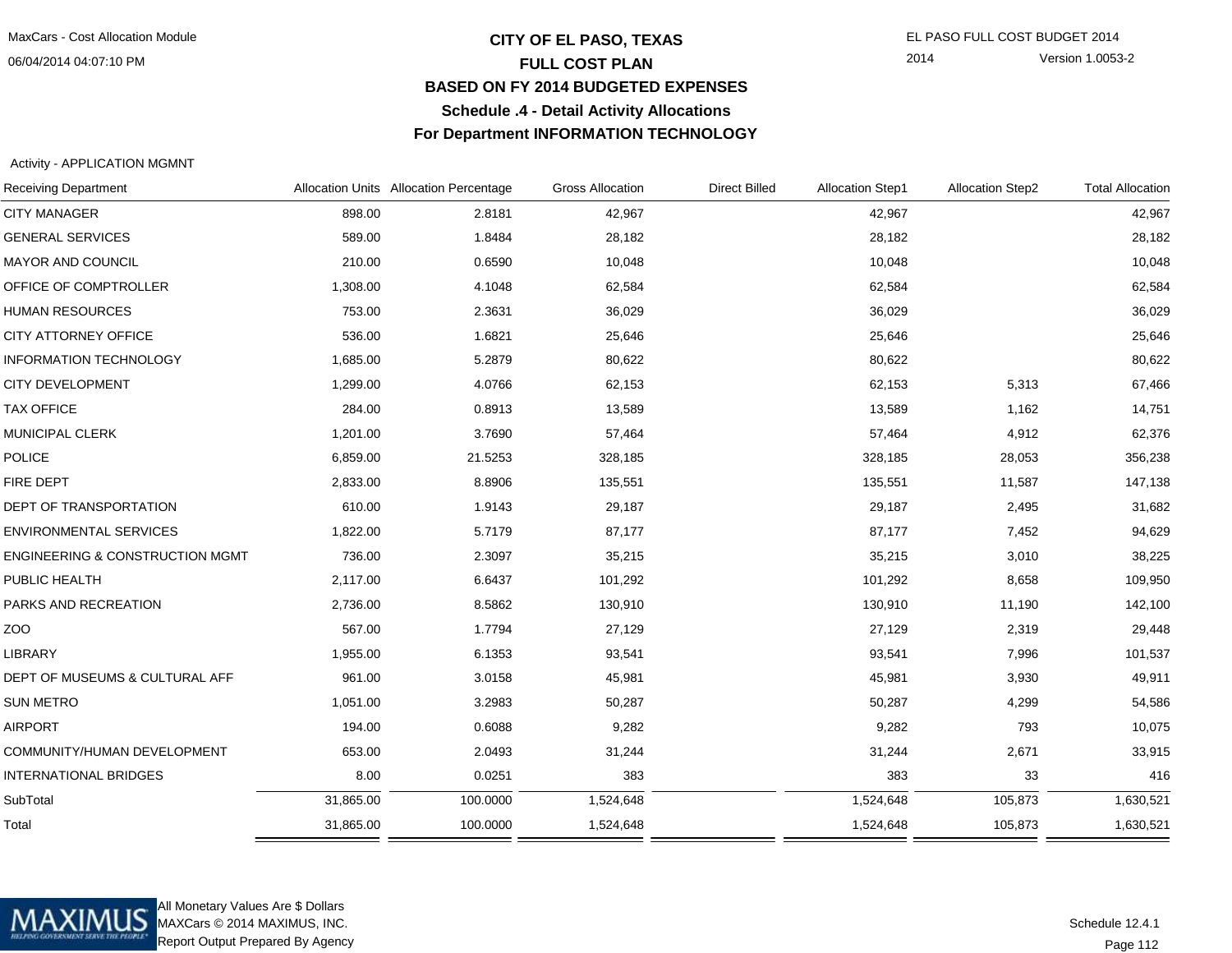06/04/2014 04:07:10 PM

## **CITY OF EL PASO, TEXAS** EL PASO FULL COST BUDGET 2014 **FULL COST PLAN BASED ON FY 2014 BUDGETED EXPENSESSchedule .4 - Detail Activity AllocationsFor Department INFORMATION TECHNOLOGY**

2014 Version 1.0053-2

Activity - APPLICATION MGMNT

| <b>Receiving Department</b>                |           | Allocation Units Allocation Percentage | <b>Gross Allocation</b> | <b>Direct Billed</b> | <b>Allocation Step1</b> | <b>Allocation Step2</b> | <b>Total Allocation</b> |
|--------------------------------------------|-----------|----------------------------------------|-------------------------|----------------------|-------------------------|-------------------------|-------------------------|
| <b>CITY MANAGER</b>                        | 898.00    | 2.8181                                 | 42,967                  |                      | 42,967                  |                         | 42,967                  |
| <b>GENERAL SERVICES</b>                    | 589.00    | 1.8484                                 | 28,182                  |                      | 28,182                  |                         | 28,182                  |
| MAYOR AND COUNCIL                          | 210.00    | 0.6590                                 | 10,048                  |                      | 10,048                  |                         | 10,048                  |
| OFFICE OF COMPTROLLER                      | 1,308.00  | 4.1048                                 | 62,584                  |                      | 62,584                  |                         | 62,584                  |
| <b>HUMAN RESOURCES</b>                     | 753.00    | 2.3631                                 | 36,029                  |                      | 36,029                  |                         | 36,029                  |
| CITY ATTORNEY OFFICE                       | 536.00    | 1.6821                                 | 25,646                  |                      | 25,646                  |                         | 25,646                  |
| <b>INFORMATION TECHNOLOGY</b>              | 1,685.00  | 5.2879                                 | 80,622                  |                      | 80,622                  |                         | 80,622                  |
| <b>CITY DEVELOPMENT</b>                    | 1,299.00  | 4.0766                                 | 62,153                  |                      | 62,153                  | 5,313                   | 67,466                  |
| <b>TAX OFFICE</b>                          | 284.00    | 0.8913                                 | 13,589                  |                      | 13,589                  | 1,162                   | 14,751                  |
| MUNICIPAL CLERK                            | 1,201.00  | 3.7690                                 | 57,464                  |                      | 57,464                  | 4,912                   | 62,376                  |
| POLICE                                     | 6,859.00  | 21.5253                                | 328,185                 |                      | 328,185                 | 28,053                  | 356,238                 |
| FIRE DEPT                                  | 2,833.00  | 8.8906                                 | 135,551                 |                      | 135,551                 | 11,587                  | 147,138                 |
| DEPT OF TRANSPORTATION                     | 610.00    | 1.9143                                 | 29,187                  |                      | 29,187                  | 2,495                   | 31,682                  |
| <b>ENVIRONMENTAL SERVICES</b>              | 1,822.00  | 5.7179                                 | 87,177                  |                      | 87,177                  | 7,452                   | 94,629                  |
| <b>ENGINEERING &amp; CONSTRUCTION MGMT</b> | 736.00    | 2.3097                                 | 35,215                  |                      | 35,215                  | 3,010                   | 38,225                  |
| PUBLIC HEALTH                              | 2,117.00  | 6.6437                                 | 101,292                 |                      | 101,292                 | 8,658                   | 109,950                 |
| PARKS AND RECREATION                       | 2,736.00  | 8.5862                                 | 130,910                 |                      | 130,910                 | 11,190                  | 142,100                 |
| ZOO                                        | 567.00    | 1.7794                                 | 27,129                  |                      | 27,129                  | 2,319                   | 29,448                  |
| <b>LIBRARY</b>                             | 1,955.00  | 6.1353                                 | 93,541                  |                      | 93,541                  | 7,996                   | 101,537                 |
| DEPT OF MUSEUMS & CULTURAL AFF             | 961.00    | 3.0158                                 | 45,981                  |                      | 45,981                  | 3,930                   | 49,911                  |
| <b>SUN METRO</b>                           | 1,051.00  | 3.2983                                 | 50,287                  |                      | 50,287                  | 4,299                   | 54,586                  |
| <b>AIRPORT</b>                             | 194.00    | 0.6088                                 | 9,282                   |                      | 9,282                   | 793                     | 10,075                  |
| COMMUNITY/HUMAN DEVELOPMENT                | 653.00    | 2.0493                                 | 31,244                  |                      | 31,244                  | 2,671                   | 33,915                  |
| <b>INTERNATIONAL BRIDGES</b>               | 8.00      | 0.0251                                 | 383                     |                      | 383                     | 33                      | 416                     |
| SubTotal                                   | 31,865.00 | 100.0000                               | 1,524,648               |                      | 1,524,648               | 105,873                 | 1,630,521               |
| Total                                      | 31,865.00 | 100.0000                               | 1,524,648               |                      | 1,524,648               | 105,873                 | 1,630,521               |



All Monetary Values Are \$ Dollars MAXCars © 2014 MAXIMUS, INC.Report Output Prepared By Agency

Page 112Schedule 12.4.1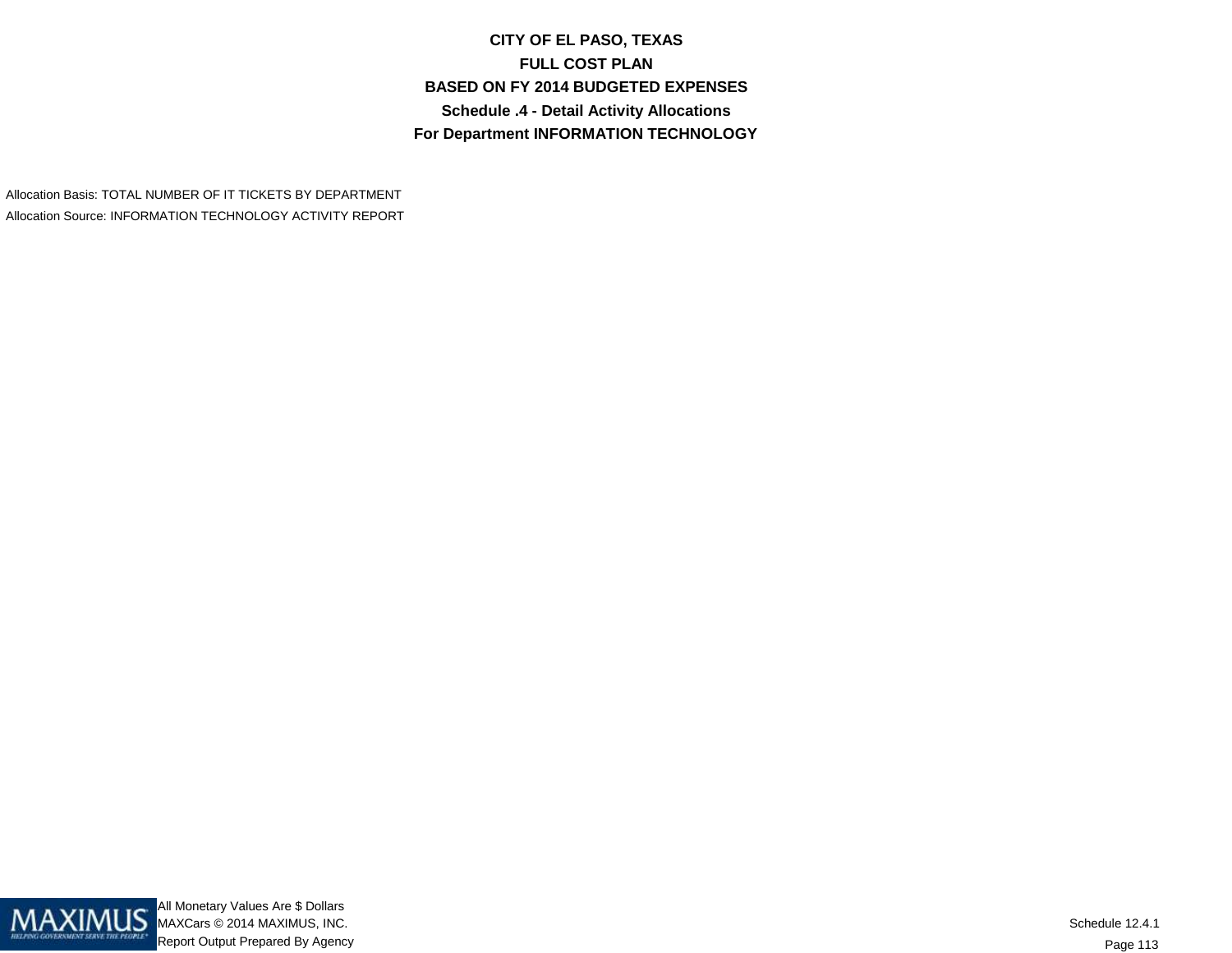**CITY OF EL PASO, TEXASFULL COST PLAN BASED ON FY 2014 BUDGETED EXPENSESSchedule .4 - Detail Activity AllocationsFor Department INFORMATION TECHNOLOGY**

Allocation Basis: TOTAL NUMBER OF IT TICKETS BY DEPARTMENTAllocation Source: INFORMATION TECHNOLOGY ACTIVITY REPORT

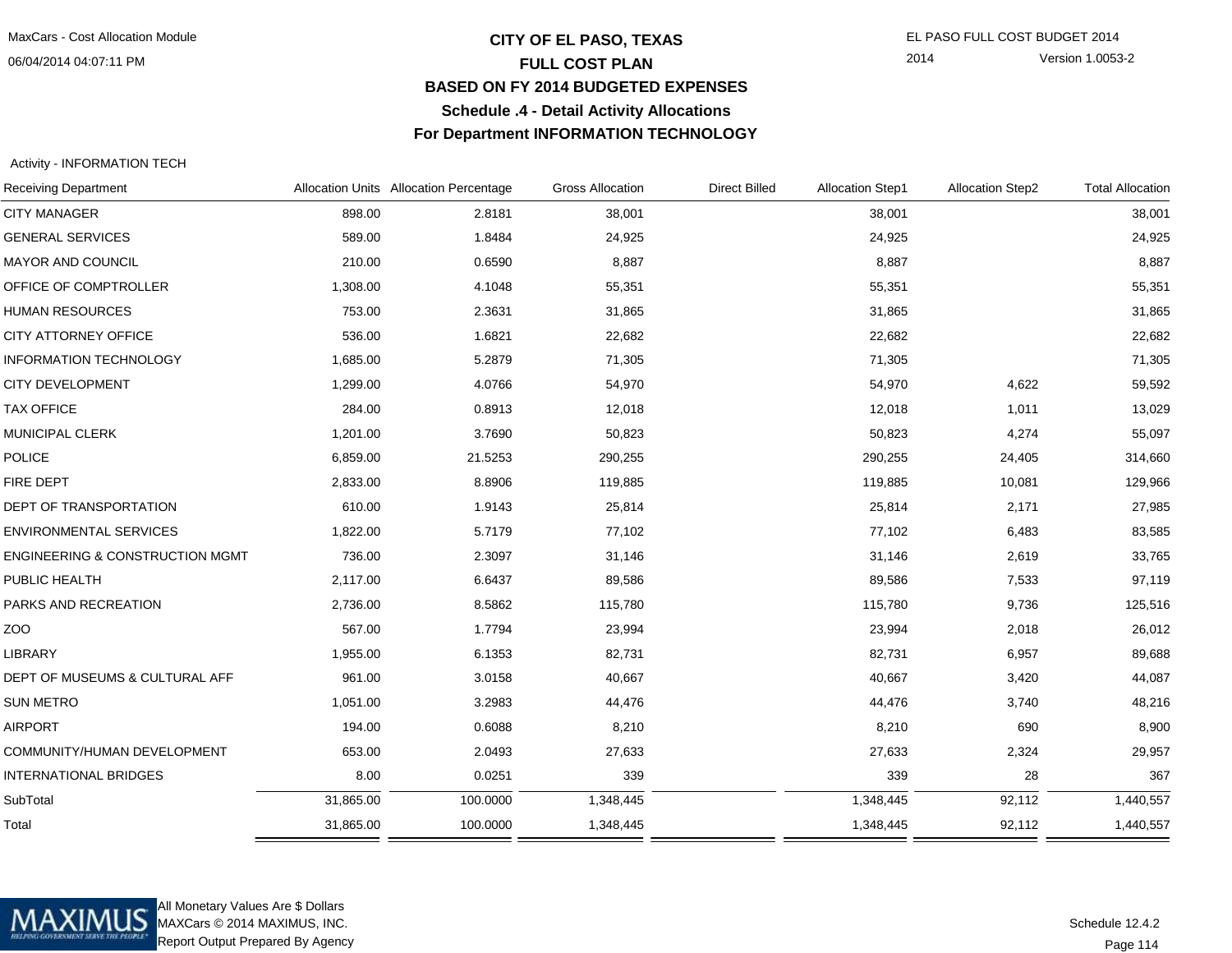06/04/2014 04:07:11 PM

## **CITY OF EL PASO, TEXAS** EL PASO FULL COST BUDGET 2014 **FULL COST PLAN BASED ON FY 2014 BUDGETED EXPENSESSchedule .4 - Detail Activity AllocationsFor Department INFORMATION TECHNOLOGY**

2014 Version 1.0053-2

Activity - INFORMATION TECH

| <b>Receiving Department</b>                |           | Allocation Units Allocation Percentage | <b>Gross Allocation</b> | <b>Direct Billed</b> | <b>Allocation Step1</b> | <b>Allocation Step2</b> | <b>Total Allocation</b> |
|--------------------------------------------|-----------|----------------------------------------|-------------------------|----------------------|-------------------------|-------------------------|-------------------------|
| <b>CITY MANAGER</b>                        | 898.00    | 2.8181                                 | 38,001                  |                      | 38,001                  |                         | 38,001                  |
| <b>GENERAL SERVICES</b>                    | 589.00    | 1.8484                                 | 24,925                  |                      | 24,925                  |                         | 24,925                  |
| MAYOR AND COUNCIL                          | 210.00    | 0.6590                                 | 8,887                   |                      | 8,887                   |                         | 8,887                   |
| OFFICE OF COMPTROLLER                      | 1,308.00  | 4.1048                                 | 55,351                  |                      | 55,351                  |                         | 55,351                  |
| <b>HUMAN RESOURCES</b>                     | 753.00    | 2.3631                                 | 31,865                  |                      | 31,865                  |                         | 31,865                  |
| CITY ATTORNEY OFFICE                       | 536.00    | 1.6821                                 | 22,682                  |                      | 22,682                  |                         | 22,682                  |
| <b>INFORMATION TECHNOLOGY</b>              | 1,685.00  | 5.2879                                 | 71,305                  |                      | 71,305                  |                         | 71,305                  |
| CITY DEVELOPMENT                           | 1,299.00  | 4.0766                                 | 54,970                  |                      | 54,970                  | 4,622                   | 59,592                  |
| <b>TAX OFFICE</b>                          | 284.00    | 0.8913                                 | 12,018                  |                      | 12,018                  | 1,011                   | 13,029                  |
| MUNICIPAL CLERK                            | 1,201.00  | 3.7690                                 | 50,823                  |                      | 50,823                  | 4,274                   | 55,097                  |
| POLICE                                     | 6,859.00  | 21.5253                                | 290,255                 |                      | 290,255                 | 24,405                  | 314,660                 |
| FIRE DEPT                                  | 2,833.00  | 8.8906                                 | 119,885                 |                      | 119,885                 | 10,081                  | 129,966                 |
| <b>DEPT OF TRANSPORTATION</b>              | 610.00    | 1.9143                                 | 25,814                  |                      | 25,814                  | 2,171                   | 27,985                  |
| <b>ENVIRONMENTAL SERVICES</b>              | 1,822.00  | 5.7179                                 | 77,102                  |                      | 77,102                  | 6,483                   | 83,585                  |
| <b>ENGINEERING &amp; CONSTRUCTION MGMT</b> | 736.00    | 2.3097                                 | 31,146                  |                      | 31,146                  | 2,619                   | 33,765                  |
| PUBLIC HEALTH                              | 2,117.00  | 6.6437                                 | 89,586                  |                      | 89,586                  | 7,533                   | 97,119                  |
| PARKS AND RECREATION                       | 2,736.00  | 8.5862                                 | 115,780                 |                      | 115,780                 | 9,736                   | 125,516                 |
| ZO <sub>O</sub>                            | 567.00    | 1.7794                                 | 23,994                  |                      | 23,994                  | 2,018                   | 26,012                  |
| LIBRARY                                    | 1,955.00  | 6.1353                                 | 82,731                  |                      | 82,731                  | 6,957                   | 89,688                  |
| DEPT OF MUSEUMS & CULTURAL AFF             | 961.00    | 3.0158                                 | 40,667                  |                      | 40,667                  | 3,420                   | 44,087                  |
| <b>SUN METRO</b>                           | 1,051.00  | 3.2983                                 | 44,476                  |                      | 44,476                  | 3,740                   | 48,216                  |
| <b>AIRPORT</b>                             | 194.00    | 0.6088                                 | 8,210                   |                      | 8,210                   | 690                     | 8,900                   |
| COMMUNITY/HUMAN DEVELOPMENT                | 653.00    | 2.0493                                 | 27,633                  |                      | 27,633                  | 2,324                   | 29,957                  |
| <b>INTERNATIONAL BRIDGES</b>               | 8.00      | 0.0251                                 | 339                     |                      | 339                     | 28                      | 367                     |
| SubTotal                                   | 31,865.00 | 100.0000                               | 1,348,445               |                      | 1,348,445               | 92,112                  | 1,440,557               |
| Total                                      | 31,865.00 | 100.0000                               | 1,348,445               |                      | 1,348,445               | 92,112                  | 1,440,557               |



All Monetary Values Are \$ Dollars MAXCars © 2014 MAXIMUS, INC.Report Output Prepared By Agency

Page 114Schedule 12.4.2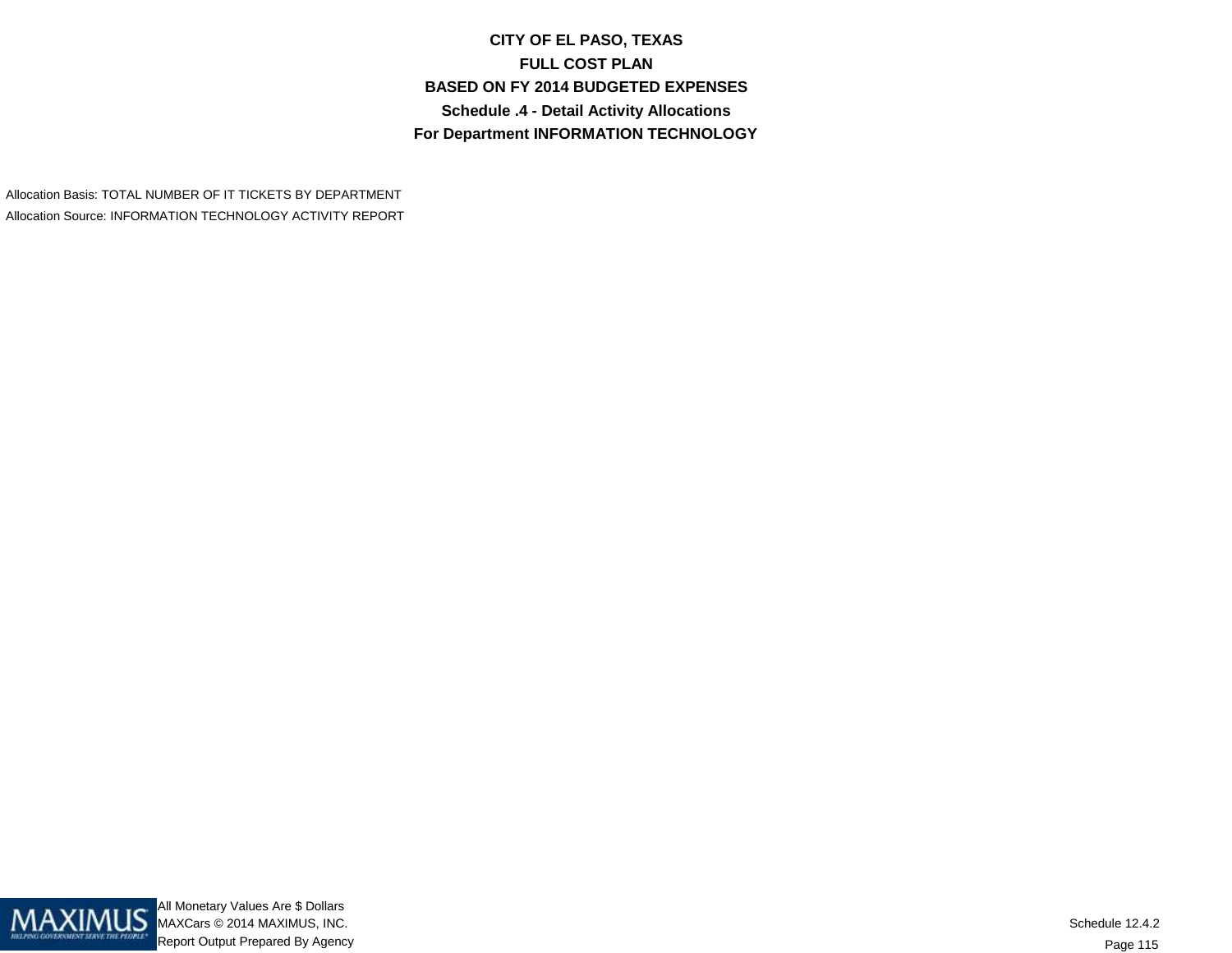**CITY OF EL PASO, TEXASFULL COST PLAN BASED ON FY 2014 BUDGETED EXPENSESSchedule .4 - Detail Activity AllocationsFor Department INFORMATION TECHNOLOGY**

Allocation Basis: TOTAL NUMBER OF IT TICKETS BY DEPARTMENTAllocation Source: INFORMATION TECHNOLOGY ACTIVITY REPORT

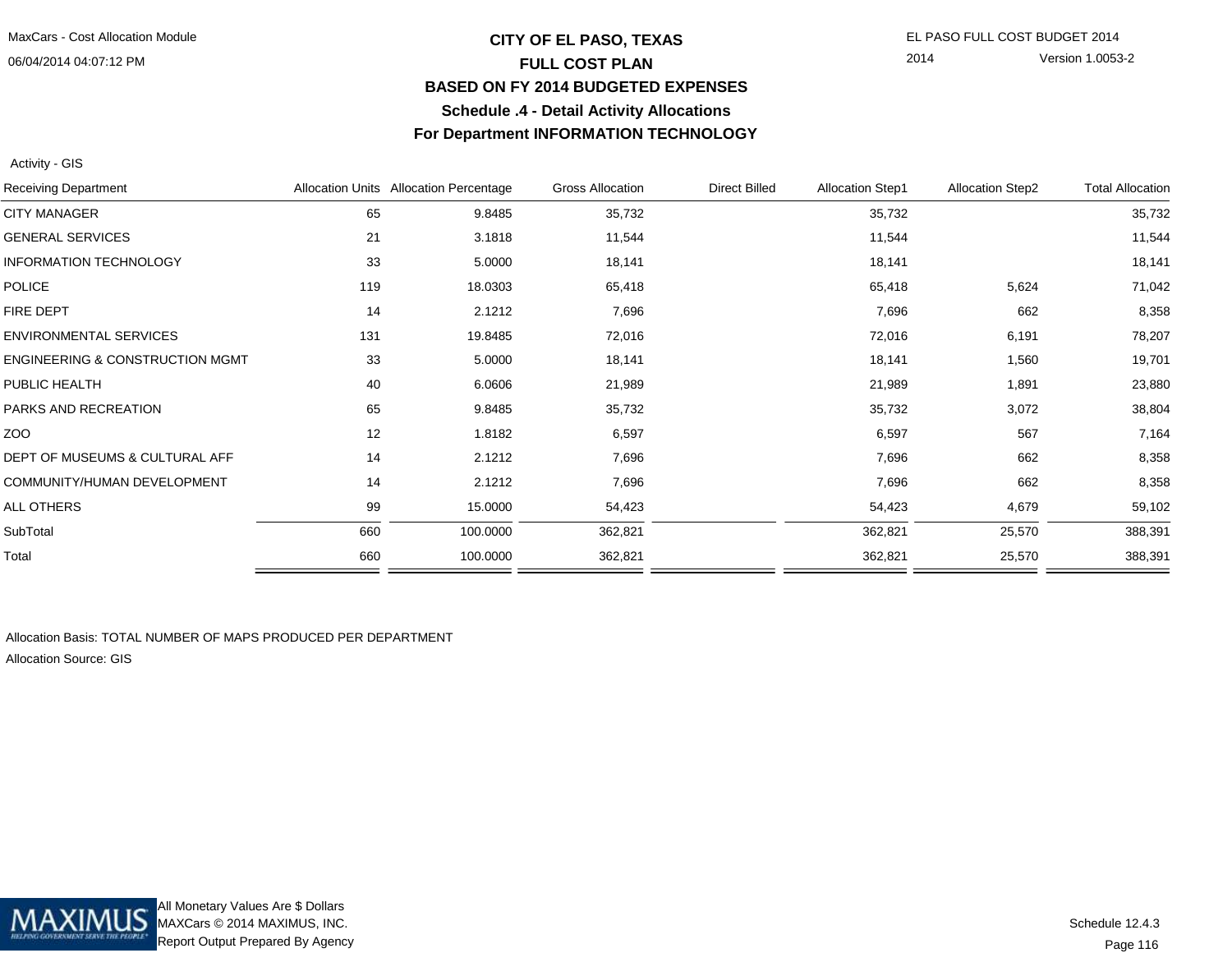## **CITY OF EL PASO, TEXAS** EL PASO FULL COST BUDGET 2014 **FULL COST PLAN BASED ON FY 2014 BUDGETED EXPENSESSchedule .4 - Detail Activity AllocationsFor Department INFORMATION TECHNOLOGY**

2014 Version 1.0053-2

Activity - GIS

| <b>Receiving Department</b>                |     | Allocation Units Allocation Percentage | <b>Gross Allocation</b> | <b>Direct Billed</b> | <b>Allocation Step1</b> | <b>Allocation Step2</b> | <b>Total Allocation</b> |
|--------------------------------------------|-----|----------------------------------------|-------------------------|----------------------|-------------------------|-------------------------|-------------------------|
| <b>CITY MANAGER</b>                        | 65  | 9.8485                                 | 35,732                  |                      | 35,732                  |                         | 35,732                  |
| <b>GENERAL SERVICES</b>                    | 21  | 3.1818                                 | 11,544                  |                      | 11,544                  |                         | 11,544                  |
| <b>INFORMATION TECHNOLOGY</b>              | 33  | 5.0000                                 | 18,141                  |                      | 18,141                  |                         | 18,141                  |
| <b>POLICE</b>                              | 119 | 18.0303                                | 65,418                  |                      | 65,418                  | 5,624                   | 71,042                  |
| FIRE DEPT                                  | 14  | 2.1212                                 | 7,696                   |                      | 7,696                   | 662                     | 8,358                   |
| <b>ENVIRONMENTAL SERVICES</b>              | 131 | 19.8485                                | 72,016                  |                      | 72,016                  | 6,191                   | 78,207                  |
| <b>ENGINEERING &amp; CONSTRUCTION MGMT</b> | 33  | 5.0000                                 | 18,141                  |                      | 18,141                  | 1,560                   | 19,701                  |
| PUBLIC HEALTH                              | 40  | 6.0606                                 | 21,989                  |                      | 21,989                  | 1,891                   | 23,880                  |
| PARKS AND RECREATION                       | 65  | 9.8485                                 | 35,732                  |                      | 35,732                  | 3,072                   | 38,804                  |
| ZOO                                        | 12  | 1.8182                                 | 6,597                   |                      | 6,597                   | 567                     | 7,164                   |
| DEPT OF MUSEUMS & CULTURAL AFF             | 14  | 2.1212                                 | 7,696                   |                      | 7,696                   | 662                     | 8,358                   |
| COMMUNITY/HUMAN DEVELOPMENT                | 14  | 2.1212                                 | 7,696                   |                      | 7,696                   | 662                     | 8,358                   |
| ALL OTHERS                                 | 99  | 15.0000                                | 54,423                  |                      | 54,423                  | 4,679                   | 59,102                  |
| SubTotal                                   | 660 | 100.0000                               | 362,821                 |                      | 362,821                 | 25,570                  | 388,391                 |
| Total                                      | 660 | 100.0000                               | 362,821                 |                      | 362,821                 | 25,570                  | 388,391                 |
|                                            |     |                                        |                         |                      |                         |                         |                         |

Allocation Basis: TOTAL NUMBER OF MAPS PRODUCED PER DEPARTMENTAllocation Source: GIS

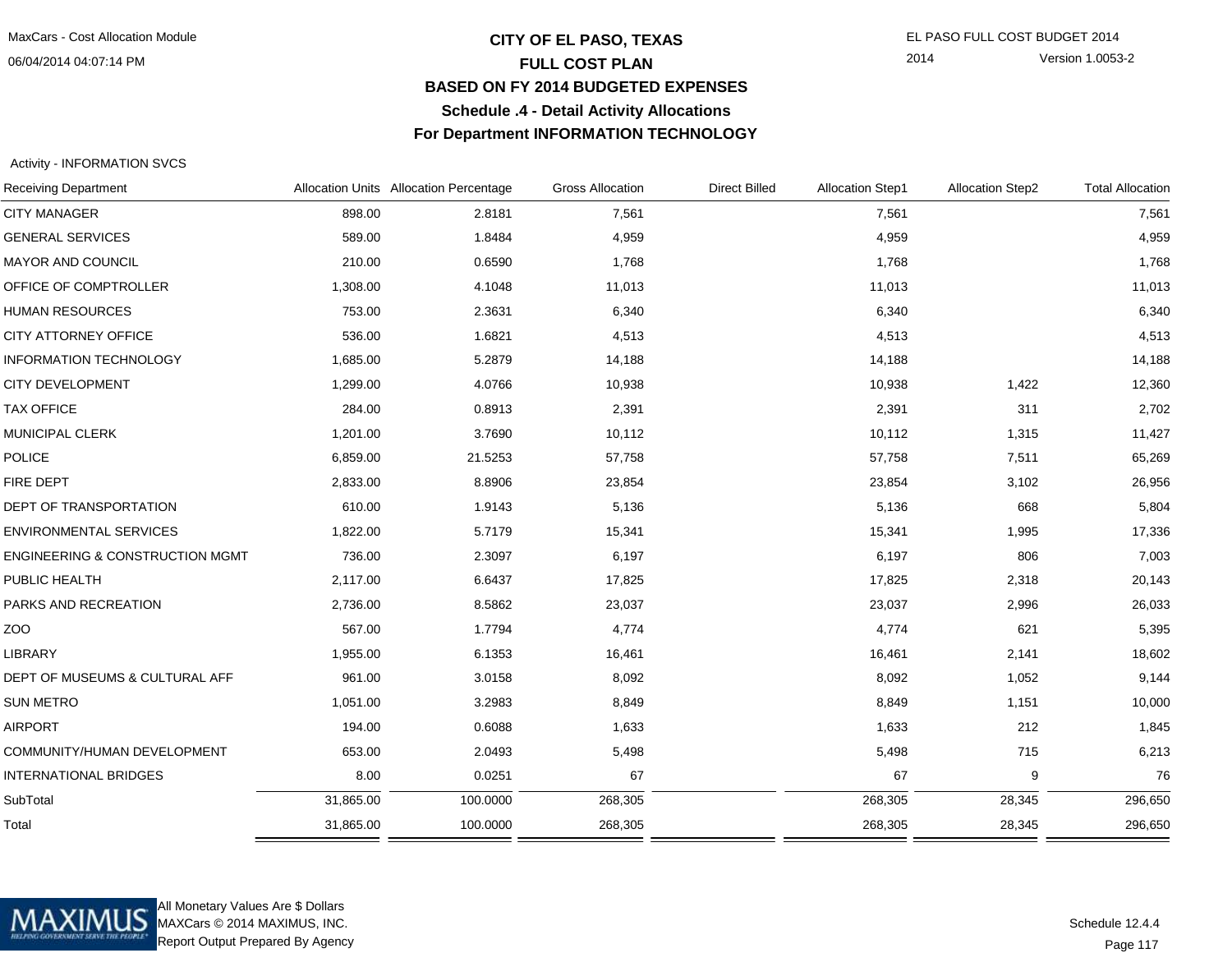## **CITY OF EL PASO, TEXAS** EL PASO FULL COST BUDGET 2014 **FULL COST PLAN BASED ON FY 2014 BUDGETED EXPENSESSchedule .4 - Detail Activity AllocationsFor Department INFORMATION TECHNOLOGY**

2014 Version 1.0053-2

### Activity - INFORMATION SVCS

|           |          | <b>Gross Allocation</b>                | <b>Direct Billed</b> |         |        | <b>Total Allocation</b>                            |
|-----------|----------|----------------------------------------|----------------------|---------|--------|----------------------------------------------------|
| 898.00    | 2.8181   | 7,561                                  |                      | 7,561   |        | 7,561                                              |
| 589.00    | 1.8484   | 4,959                                  |                      | 4,959   |        | 4,959                                              |
| 210.00    | 0.6590   | 1,768                                  |                      | 1,768   |        | 1,768                                              |
| 1,308.00  | 4.1048   | 11,013                                 |                      | 11,013  |        | 11,013                                             |
| 753.00    | 2.3631   | 6,340                                  |                      | 6,340   |        | 6,340                                              |
| 536.00    | 1.6821   | 4,513                                  |                      | 4,513   |        | 4,513                                              |
| 1,685.00  | 5.2879   | 14,188                                 |                      | 14,188  |        | 14,188                                             |
| 1,299.00  | 4.0766   | 10,938                                 |                      | 10,938  | 1,422  | 12,360                                             |
| 284.00    | 0.8913   | 2,391                                  |                      | 2,391   | 311    | 2,702                                              |
| 1,201.00  | 3.7690   | 10,112                                 |                      | 10,112  | 1,315  | 11,427                                             |
| 6,859.00  | 21.5253  | 57,758                                 |                      | 57,758  | 7,511  | 65,269                                             |
| 2,833.00  | 8.8906   | 23,854                                 |                      | 23,854  | 3,102  | 26,956                                             |
| 610.00    | 1.9143   | 5,136                                  |                      | 5,136   | 668    | 5,804                                              |
| 1,822.00  | 5.7179   | 15,341                                 |                      | 15,341  | 1,995  | 17,336                                             |
| 736.00    | 2.3097   | 6,197                                  |                      | 6,197   | 806    | 7,003                                              |
| 2,117.00  | 6.6437   | 17,825                                 |                      | 17,825  | 2,318  | 20,143                                             |
| 2,736.00  | 8.5862   | 23,037                                 |                      | 23,037  | 2,996  | 26,033                                             |
| 567.00    | 1.7794   | 4,774                                  |                      | 4,774   | 621    | 5,395                                              |
| 1,955.00  | 6.1353   | 16,461                                 |                      | 16,461  | 2,141  | 18,602                                             |
| 961.00    | 3.0158   | 8,092                                  |                      | 8,092   | 1,052  | 9,144                                              |
| 1,051.00  | 3.2983   | 8,849                                  |                      | 8,849   | 1,151  | 10,000                                             |
| 194.00    | 0.6088   | 1,633                                  |                      | 1,633   | 212    | 1,845                                              |
| 653.00    | 2.0493   | 5,498                                  |                      | 5,498   | 715    | 6,213                                              |
| 8.00      | 0.0251   | 67                                     |                      | 67      | 9      | 76                                                 |
| 31,865.00 | 100.0000 | 268,305                                |                      | 268,305 | 28,345 | 296,650                                            |
| 31,865.00 | 100.0000 | 268,305                                |                      | 268,305 | 28,345 | 296,650                                            |
|           |          | Allocation Units Allocation Percentage |                      |         |        | <b>Allocation Step1</b><br><b>Allocation Step2</b> |



All Monetary Values Are \$ Dollars MAXCars © 2014 MAXIMUS, INC.Report Output Prepared By Agency

Page 117Schedule 12.4.4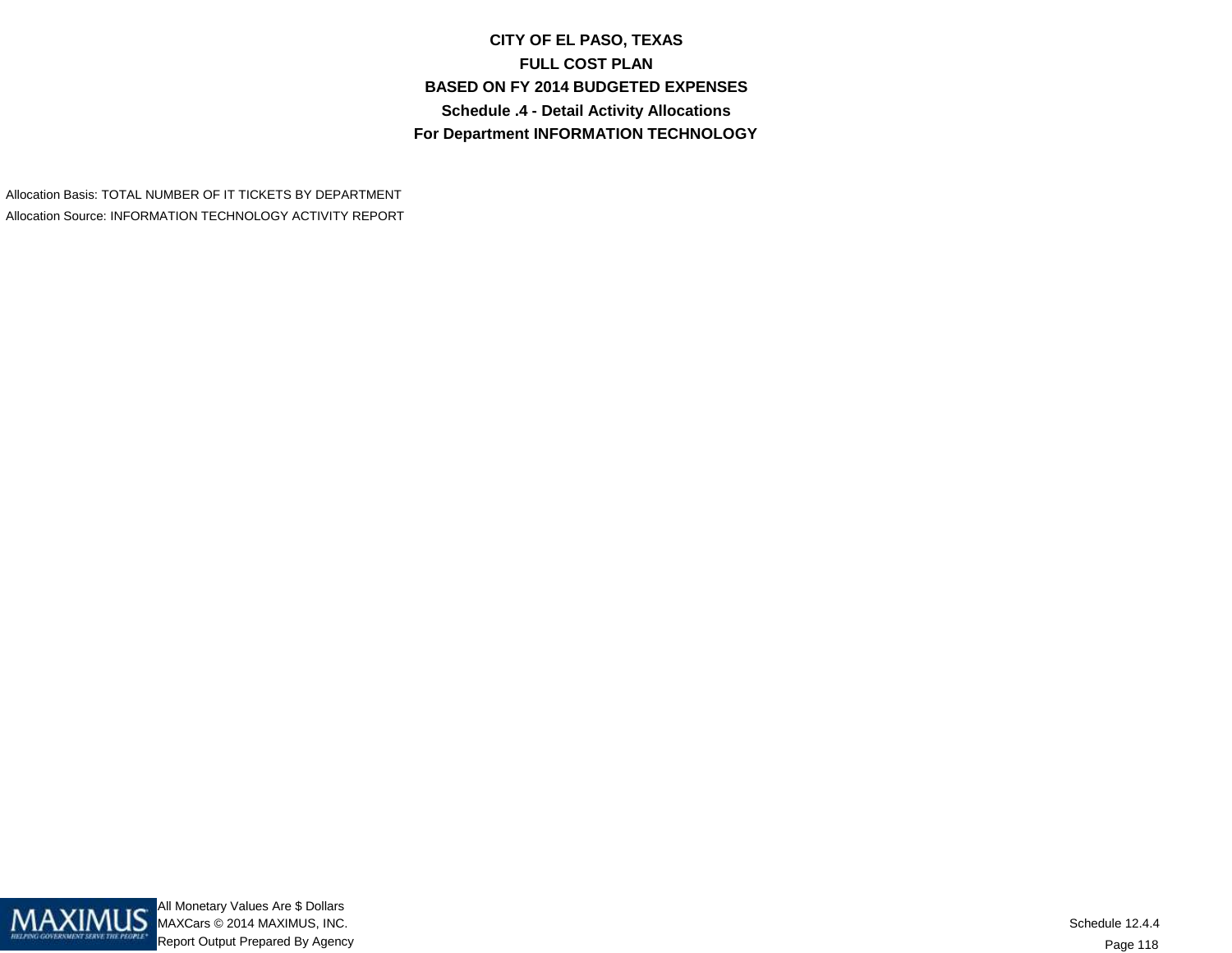**CITY OF EL PASO, TEXASFULL COST PLAN BASED ON FY 2014 BUDGETED EXPENSESSchedule .4 - Detail Activity AllocationsFor Department INFORMATION TECHNOLOGY**

Allocation Basis: TOTAL NUMBER OF IT TICKETS BY DEPARTMENTAllocation Source: INFORMATION TECHNOLOGY ACTIVITY REPORT

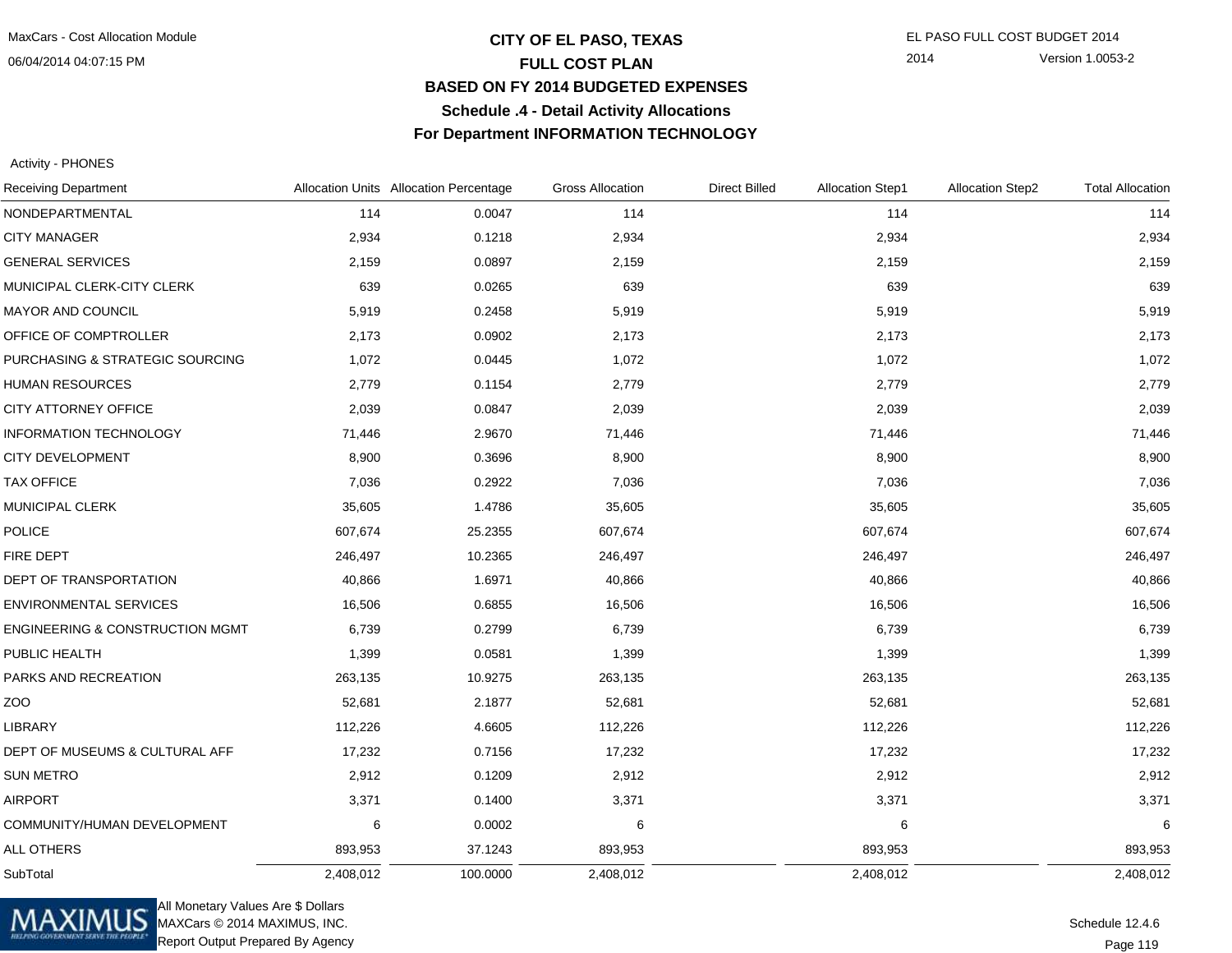## **CITY OF EL PASO, TEXAS** EL PASO FULL COST BUDGET 2014 **FULL COST PLAN BASED ON FY 2014 BUDGETED EXPENSESSchedule .4 - Detail Activity AllocationsFor Department INFORMATION TECHNOLOGY**

2014 Version 1.0053-2

Activity - PHONES

| <b>Receiving Department</b>                |           | Allocation Units Allocation Percentage | <b>Gross Allocation</b> | <b>Direct Billed</b> | <b>Allocation Step1</b> | <b>Allocation Step2</b> | <b>Total Allocation</b> |
|--------------------------------------------|-----------|----------------------------------------|-------------------------|----------------------|-------------------------|-------------------------|-------------------------|
| NONDEPARTMENTAL                            | 114       | 0.0047                                 | 114                     |                      | 114                     |                         | 114                     |
| <b>CITY MANAGER</b>                        | 2,934     | 0.1218                                 | 2,934                   |                      | 2,934                   |                         | 2,934                   |
| <b>GENERAL SERVICES</b>                    | 2,159     | 0.0897                                 | 2,159                   |                      | 2,159                   |                         | 2,159                   |
| MUNICIPAL CLERK-CITY CLERK                 | 639       | 0.0265                                 | 639                     |                      | 639                     |                         | 639                     |
| <b>MAYOR AND COUNCIL</b>                   | 5,919     | 0.2458                                 | 5,919                   |                      | 5,919                   |                         | 5,919                   |
| OFFICE OF COMPTROLLER                      | 2,173     | 0.0902                                 | 2,173                   |                      | 2,173                   |                         | 2,173                   |
| PURCHASING & STRATEGIC SOURCING            | 1,072     | 0.0445                                 | 1,072                   |                      | 1,072                   |                         | 1,072                   |
| <b>HUMAN RESOURCES</b>                     | 2,779     | 0.1154                                 | 2,779                   |                      | 2,779                   |                         | 2,779                   |
| CITY ATTORNEY OFFICE                       | 2,039     | 0.0847                                 | 2,039                   |                      | 2,039                   |                         | 2,039                   |
| <b>INFORMATION TECHNOLOGY</b>              | 71,446    | 2.9670                                 | 71,446                  |                      | 71,446                  |                         | 71,446                  |
| <b>CITY DEVELOPMENT</b>                    | 8,900     | 0.3696                                 | 8,900                   |                      | 8,900                   |                         | 8,900                   |
| <b>TAX OFFICE</b>                          | 7,036     | 0.2922                                 | 7,036                   |                      | 7,036                   |                         | 7,036                   |
| MUNICIPAL CLERK                            | 35,605    | 1.4786                                 | 35,605                  |                      | 35,605                  |                         | 35,605                  |
| <b>POLICE</b>                              | 607,674   | 25.2355                                | 607,674                 |                      | 607,674                 |                         | 607,674                 |
| FIRE DEPT                                  | 246,497   | 10.2365                                | 246,497                 |                      | 246,497                 |                         | 246,497                 |
| DEPT OF TRANSPORTATION                     | 40,866    | 1.6971                                 | 40,866                  |                      | 40,866                  |                         | 40,866                  |
| <b>ENVIRONMENTAL SERVICES</b>              | 16,506    | 0.6855                                 | 16,506                  |                      | 16,506                  |                         | 16,506                  |
| <b>ENGINEERING &amp; CONSTRUCTION MGMT</b> | 6,739     | 0.2799                                 | 6,739                   |                      | 6,739                   |                         | 6,739                   |
| PUBLIC HEALTH                              | 1,399     | 0.0581                                 | 1,399                   |                      | 1,399                   |                         | 1,399                   |
| PARKS AND RECREATION                       | 263,135   | 10.9275                                | 263,135                 |                      | 263,135                 |                         | 263,135                 |
| ZOO                                        | 52,681    | 2.1877                                 | 52,681                  |                      | 52,681                  |                         | 52,681                  |
| LIBRARY                                    | 112,226   | 4.6605                                 | 112,226                 |                      | 112,226                 |                         | 112,226                 |
| DEPT OF MUSEUMS & CULTURAL AFF             | 17,232    | 0.7156                                 | 17,232                  |                      | 17,232                  |                         | 17,232                  |
| <b>SUN METRO</b>                           | 2,912     | 0.1209                                 | 2,912                   |                      | 2,912                   |                         | 2,912                   |
| <b>AIRPORT</b>                             | 3,371     | 0.1400                                 | 3,371                   |                      | 3,371                   |                         | 3,371                   |
| COMMUNITY/HUMAN DEVELOPMENT                | 6         | 0.0002                                 | 6                       |                      | 6                       |                         | 6                       |
| <b>ALL OTHERS</b>                          | 893,953   | 37.1243                                | 893,953                 |                      | 893,953                 |                         | 893,953                 |
| SubTotal                                   | 2,408,012 | 100.0000                               | 2,408,012               |                      | 2,408,012               |                         | 2,408,012               |



All Monetary Values Are \$ Dollars MAXCars © 2014 MAXIMUS, INC.Report Output Prepared By Agency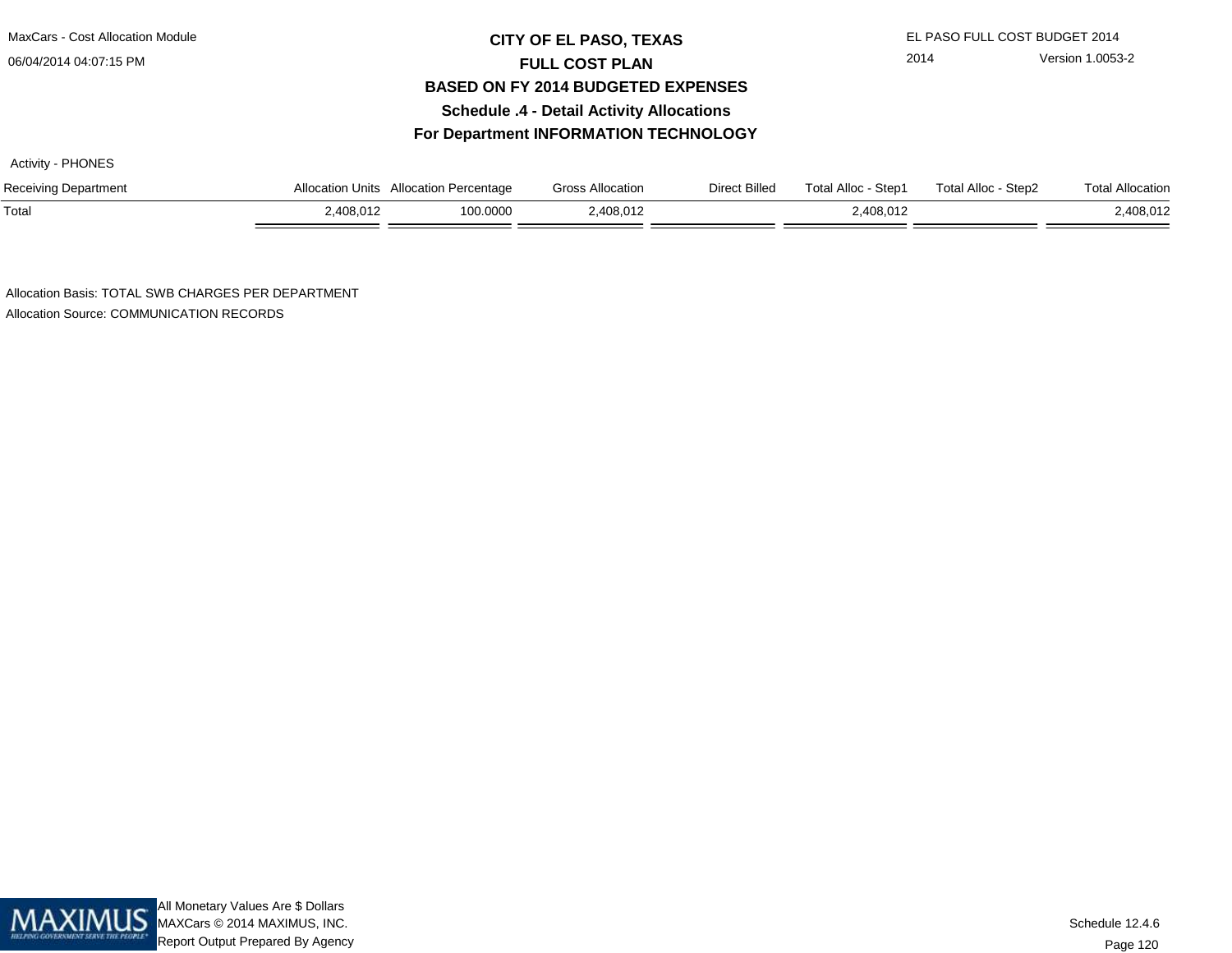## **CITY OF EL PASO, TEXAS** EL PASO FULL COST BUDGET 2014 **FULL COST PLAN BASED ON FY 2014 BUDGETED EXPENSESSchedule .4 - Detail Activity AllocationsFor Department INFORMATION TECHNOLOGY**

Activity - PHONES

| Receiving Department | Allocation Units | Allocation Percentage | <b>Gross Allocation</b> | Direct Billed | Total Alloc -<br>Step1 | Total Alloc - Step2 | Total Allocation |
|----------------------|------------------|-----------------------|-------------------------|---------------|------------------------|---------------------|------------------|
| Total                | .408.012         | 100.0000              | .408,012                |               | .408.012               |                     | 2,408,012        |

Allocation Basis: TOTAL SWB CHARGES PER DEPARTMENTAllocation Source: COMMUNICATION RECORDS

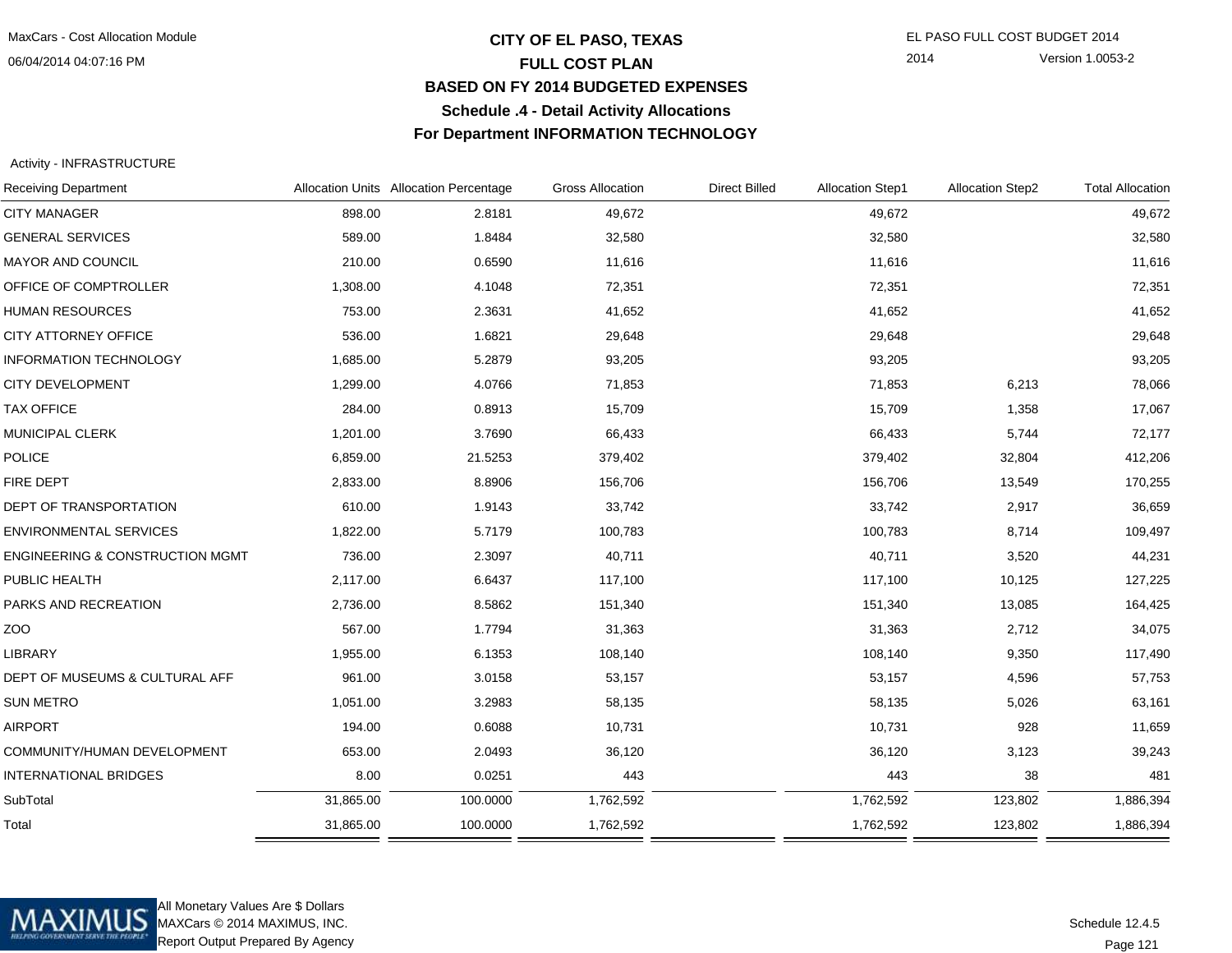## **CITY OF EL PASO, TEXAS** EL PASO FULL COST BUDGET 2014 **FULL COST PLAN BASED ON FY 2014 BUDGETED EXPENSESSchedule .4 - Detail Activity AllocationsFor Department INFORMATION TECHNOLOGY**

2014 Version 1.0053-2

### Activity - INFRASTRUCTURE

| <b>Receiving Department</b>                |           | Allocation Units Allocation Percentage | <b>Gross Allocation</b> | <b>Direct Billed</b> | <b>Allocation Step1</b> | <b>Allocation Step2</b> | <b>Total Allocation</b> |
|--------------------------------------------|-----------|----------------------------------------|-------------------------|----------------------|-------------------------|-------------------------|-------------------------|
| <b>CITY MANAGER</b>                        | 898.00    | 2.8181                                 | 49,672                  |                      | 49,672                  |                         | 49,672                  |
| <b>GENERAL SERVICES</b>                    | 589.00    | 1.8484                                 | 32,580                  |                      | 32,580                  |                         | 32,580                  |
| <b>MAYOR AND COUNCIL</b>                   | 210.00    | 0.6590                                 | 11,616                  |                      | 11,616                  |                         | 11,616                  |
| OFFICE OF COMPTROLLER                      | 1,308.00  | 4.1048                                 | 72,351                  |                      | 72,351                  |                         | 72,351                  |
| <b>HUMAN RESOURCES</b>                     | 753.00    | 2.3631                                 | 41,652                  |                      | 41,652                  |                         | 41,652                  |
| CITY ATTORNEY OFFICE                       | 536.00    | 1.6821                                 | 29,648                  |                      | 29,648                  |                         | 29,648                  |
| <b>INFORMATION TECHNOLOGY</b>              | 1,685.00  | 5.2879                                 | 93,205                  |                      | 93,205                  |                         | 93,205                  |
| <b>CITY DEVELOPMENT</b>                    | 1,299.00  | 4.0766                                 | 71,853                  |                      | 71,853                  | 6,213                   | 78,066                  |
| <b>TAX OFFICE</b>                          | 284.00    | 0.8913                                 | 15,709                  |                      | 15,709                  | 1,358                   | 17,067                  |
| MUNICIPAL CLERK                            | 1,201.00  | 3.7690                                 | 66,433                  |                      | 66,433                  | 5,744                   | 72,177                  |
| <b>POLICE</b>                              | 6,859.00  | 21.5253                                | 379,402                 |                      | 379,402                 | 32,804                  | 412,206                 |
| FIRE DEPT                                  | 2,833.00  | 8.8906                                 | 156,706                 |                      | 156,706                 | 13,549                  | 170,255                 |
| DEPT OF TRANSPORTATION                     | 610.00    | 1.9143                                 | 33,742                  |                      | 33,742                  | 2,917                   | 36,659                  |
| <b>ENVIRONMENTAL SERVICES</b>              | 1,822.00  | 5.7179                                 | 100,783                 |                      | 100,783                 | 8,714                   | 109,497                 |
| <b>ENGINEERING &amp; CONSTRUCTION MGMT</b> | 736.00    | 2.3097                                 | 40,711                  |                      | 40,711                  | 3,520                   | 44,231                  |
| PUBLIC HEALTH                              | 2,117.00  | 6.6437                                 | 117,100                 |                      | 117,100                 | 10,125                  | 127,225                 |
| PARKS AND RECREATION                       | 2,736.00  | 8.5862                                 | 151,340                 |                      | 151,340                 | 13,085                  | 164,425                 |
| ZOO                                        | 567.00    | 1.7794                                 | 31,363                  |                      | 31,363                  | 2,712                   | 34,075                  |
| <b>LIBRARY</b>                             | 1,955.00  | 6.1353                                 | 108,140                 |                      | 108,140                 | 9,350                   | 117,490                 |
| DEPT OF MUSEUMS & CULTURAL AFF             | 961.00    | 3.0158                                 | 53,157                  |                      | 53,157                  | 4,596                   | 57,753                  |
| <b>SUN METRO</b>                           | 1,051.00  | 3.2983                                 | 58,135                  |                      | 58,135                  | 5,026                   | 63,161                  |
| <b>AIRPORT</b>                             | 194.00    | 0.6088                                 | 10,731                  |                      | 10,731                  | 928                     | 11,659                  |
| COMMUNITY/HUMAN DEVELOPMENT                | 653.00    | 2.0493                                 | 36,120                  |                      | 36,120                  | 3,123                   | 39,243                  |
| <b>INTERNATIONAL BRIDGES</b>               | 8.00      | 0.0251                                 | 443                     |                      | 443                     | 38                      | 481                     |
| SubTotal                                   | 31,865.00 | 100.0000                               | 1,762,592               |                      | 1,762,592               | 123,802                 | 1,886,394               |
| Total                                      | 31,865.00 | 100.0000                               | 1,762,592               |                      | 1,762,592               | 123,802                 | 1,886,394               |
|                                            |           |                                        |                         |                      |                         |                         |                         |



All Monetary Values Are \$ Dollars MAXCars © 2014 MAXIMUS, INC.Report Output Prepared By Agency

Page 121Schedule 12.4.5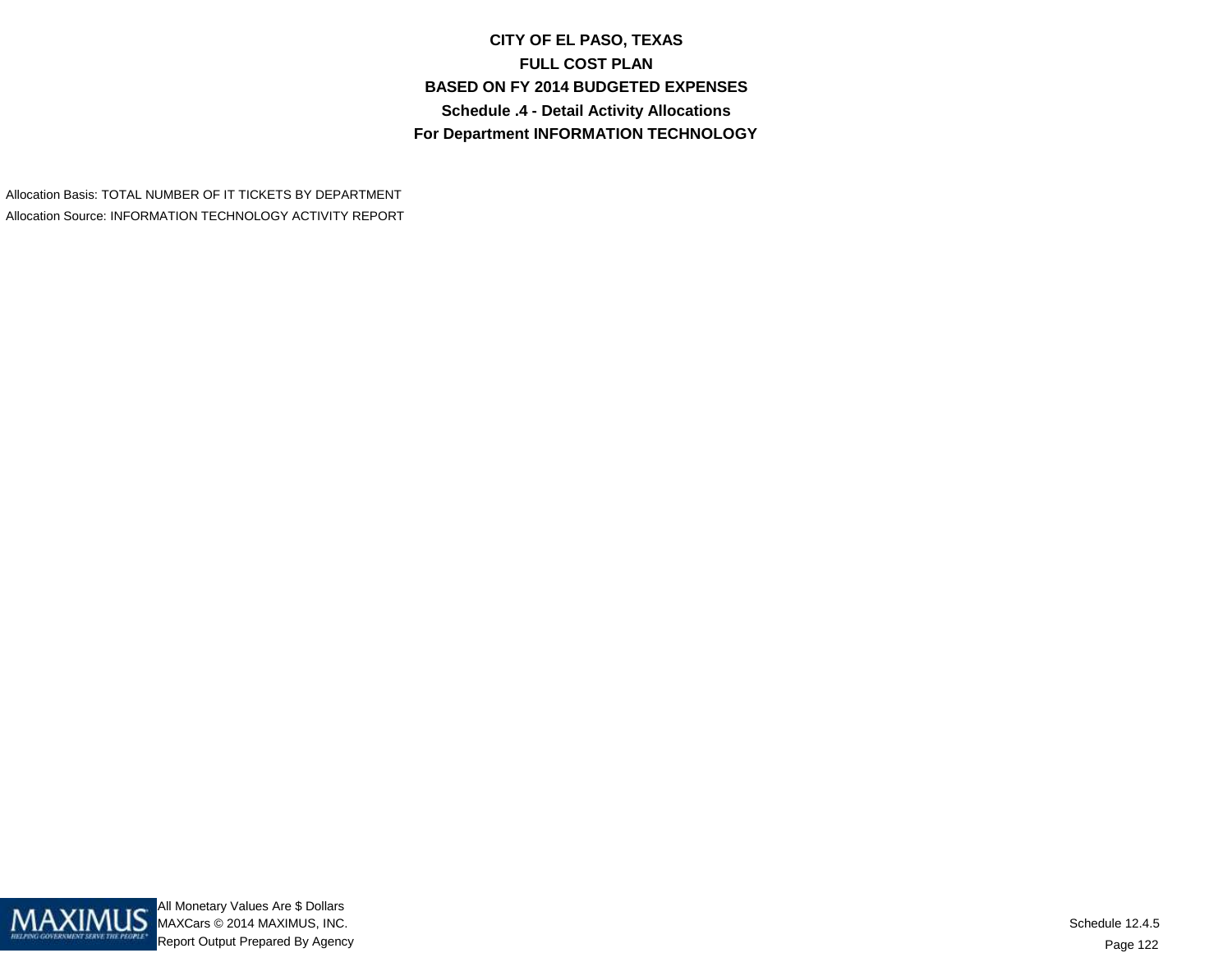**CITY OF EL PASO, TEXASFULL COST PLAN BASED ON FY 2014 BUDGETED EXPENSESSchedule .4 - Detail Activity AllocationsFor Department INFORMATION TECHNOLOGY**

Allocation Basis: TOTAL NUMBER OF IT TICKETS BY DEPARTMENTAllocation Source: INFORMATION TECHNOLOGY ACTIVITY REPORT

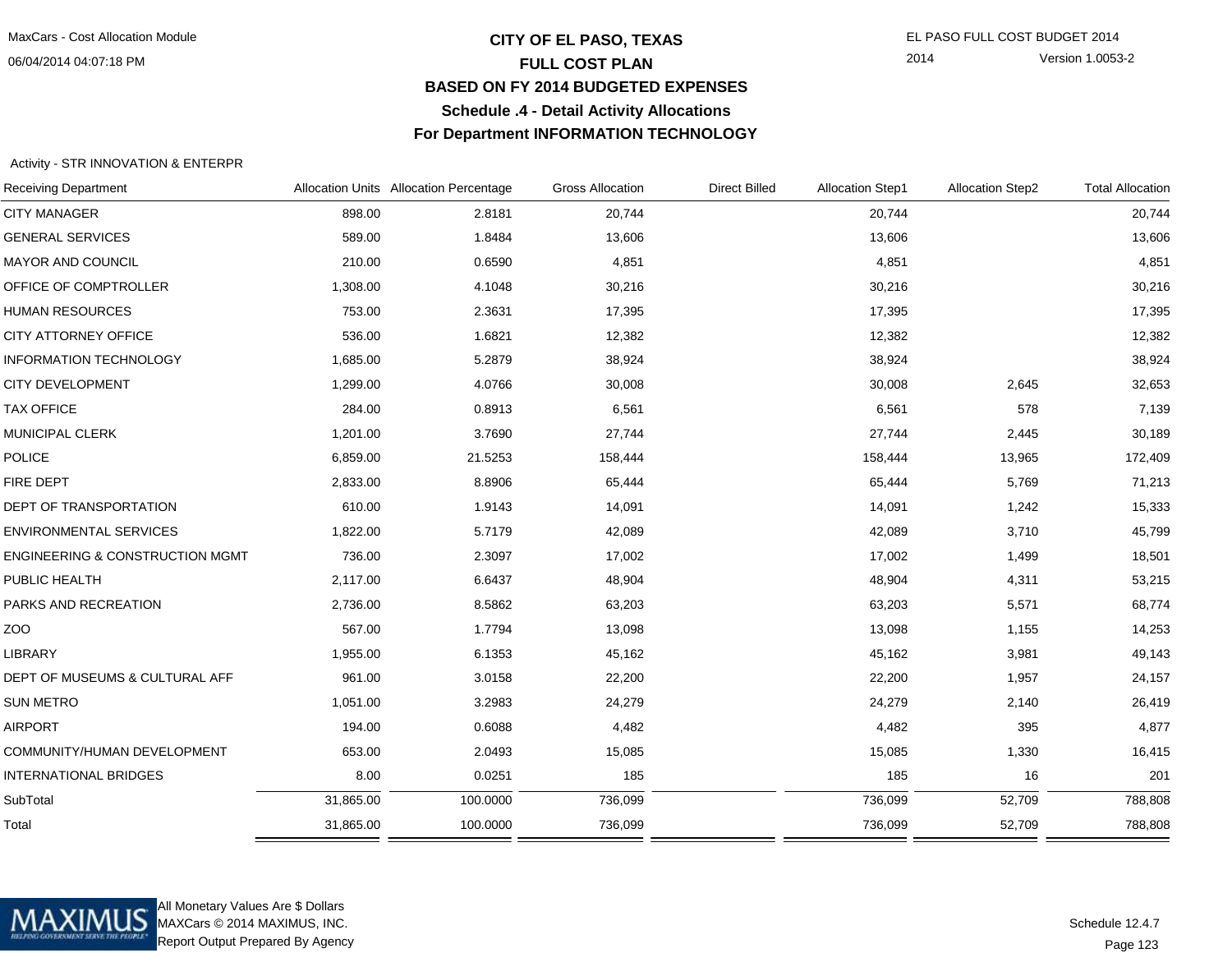## **CITY OF EL PASO, TEXAS** EL PASO FULL COST BUDGET 2014 **FULL COST PLAN BASED ON FY 2014 BUDGETED EXPENSESSchedule .4 - Detail Activity AllocationsFor Department INFORMATION TECHNOLOGY**

2014 Version 1.0053-2

### Activity - STR INNOVATION & ENTERPR

| <b>Receiving Department</b>                |           | Allocation Units Allocation Percentage | <b>Gross Allocation</b> | <b>Direct Billed</b> | <b>Allocation Step1</b> | <b>Allocation Step2</b> | <b>Total Allocation</b> |
|--------------------------------------------|-----------|----------------------------------------|-------------------------|----------------------|-------------------------|-------------------------|-------------------------|
| <b>CITY MANAGER</b>                        | 898.00    | 2.8181                                 | 20,744                  |                      | 20,744                  |                         | 20,744                  |
| <b>GENERAL SERVICES</b>                    | 589.00    | 1.8484                                 | 13,606                  |                      | 13,606                  |                         | 13,606                  |
| MAYOR AND COUNCIL                          | 210.00    | 0.6590                                 | 4,851                   |                      | 4,851                   |                         | 4,851                   |
| OFFICE OF COMPTROLLER                      | 1,308.00  | 4.1048                                 | 30,216                  |                      | 30,216                  |                         | 30,216                  |
| <b>HUMAN RESOURCES</b>                     | 753.00    | 2.3631                                 | 17,395                  |                      | 17,395                  |                         | 17,395                  |
| CITY ATTORNEY OFFICE                       | 536.00    | 1.6821                                 | 12,382                  |                      | 12,382                  |                         | 12,382                  |
| <b>INFORMATION TECHNOLOGY</b>              | 1,685.00  | 5.2879                                 | 38,924                  |                      | 38,924                  |                         | 38,924                  |
| <b>CITY DEVELOPMENT</b>                    | 1,299.00  | 4.0766                                 | 30,008                  |                      | 30,008                  | 2,645                   | 32,653                  |
| <b>TAX OFFICE</b>                          | 284.00    | 0.8913                                 | 6,561                   |                      | 6,561                   | 578                     | 7,139                   |
| MUNICIPAL CLERK                            | 1,201.00  | 3.7690                                 | 27,744                  |                      | 27,744                  | 2,445                   | 30,189                  |
| <b>POLICE</b>                              | 6,859.00  | 21.5253                                | 158,444                 |                      | 158,444                 | 13,965                  | 172,409                 |
| FIRE DEPT                                  | 2,833.00  | 8.8906                                 | 65,444                  |                      | 65,444                  | 5,769                   | 71,213                  |
| DEPT OF TRANSPORTATION                     | 610.00    | 1.9143                                 | 14,091                  |                      | 14,091                  | 1,242                   | 15,333                  |
| <b>ENVIRONMENTAL SERVICES</b>              | 1,822.00  | 5.7179                                 | 42,089                  |                      | 42,089                  | 3,710                   | 45,799                  |
| <b>ENGINEERING &amp; CONSTRUCTION MGMT</b> | 736.00    | 2.3097                                 | 17,002                  |                      | 17,002                  | 1,499                   | 18,501                  |
| PUBLIC HEALTH                              | 2,117.00  | 6.6437                                 | 48,904                  |                      | 48,904                  | 4,311                   | 53,215                  |
| PARKS AND RECREATION                       | 2,736.00  | 8.5862                                 | 63,203                  |                      | 63,203                  | 5,571                   | 68,774                  |
| ZOO                                        | 567.00    | 1.7794                                 | 13,098                  |                      | 13,098                  | 1,155                   | 14,253                  |
| <b>LIBRARY</b>                             | 1,955.00  | 6.1353                                 | 45,162                  |                      | 45,162                  | 3,981                   | 49,143                  |
| DEPT OF MUSEUMS & CULTURAL AFF             | 961.00    | 3.0158                                 | 22,200                  |                      | 22,200                  | 1,957                   | 24,157                  |
| <b>SUN METRO</b>                           | 1,051.00  | 3.2983                                 | 24,279                  |                      | 24,279                  | 2,140                   | 26,419                  |
| <b>AIRPORT</b>                             | 194.00    | 0.6088                                 | 4,482                   |                      | 4,482                   | 395                     | 4,877                   |
| COMMUNITY/HUMAN DEVELOPMENT                | 653.00    | 2.0493                                 | 15,085                  |                      | 15,085                  | 1,330                   | 16,415                  |
| <b>INTERNATIONAL BRIDGES</b>               | 8.00      | 0.0251                                 | 185                     |                      | 185                     | 16                      | 201                     |
| SubTotal                                   | 31,865.00 | 100.0000                               | 736,099                 |                      | 736,099                 | 52,709                  | 788,808                 |
| Total                                      | 31,865.00 | 100.0000                               | 736,099                 |                      | 736,099                 | 52,709                  | 788,808                 |
|                                            |           |                                        |                         |                      |                         |                         |                         |



All Monetary Values Are \$ Dollars MAXCars © 2014 MAXIMUS, INC.Report Output Prepared By Agency

Page 123Schedule 12.4.7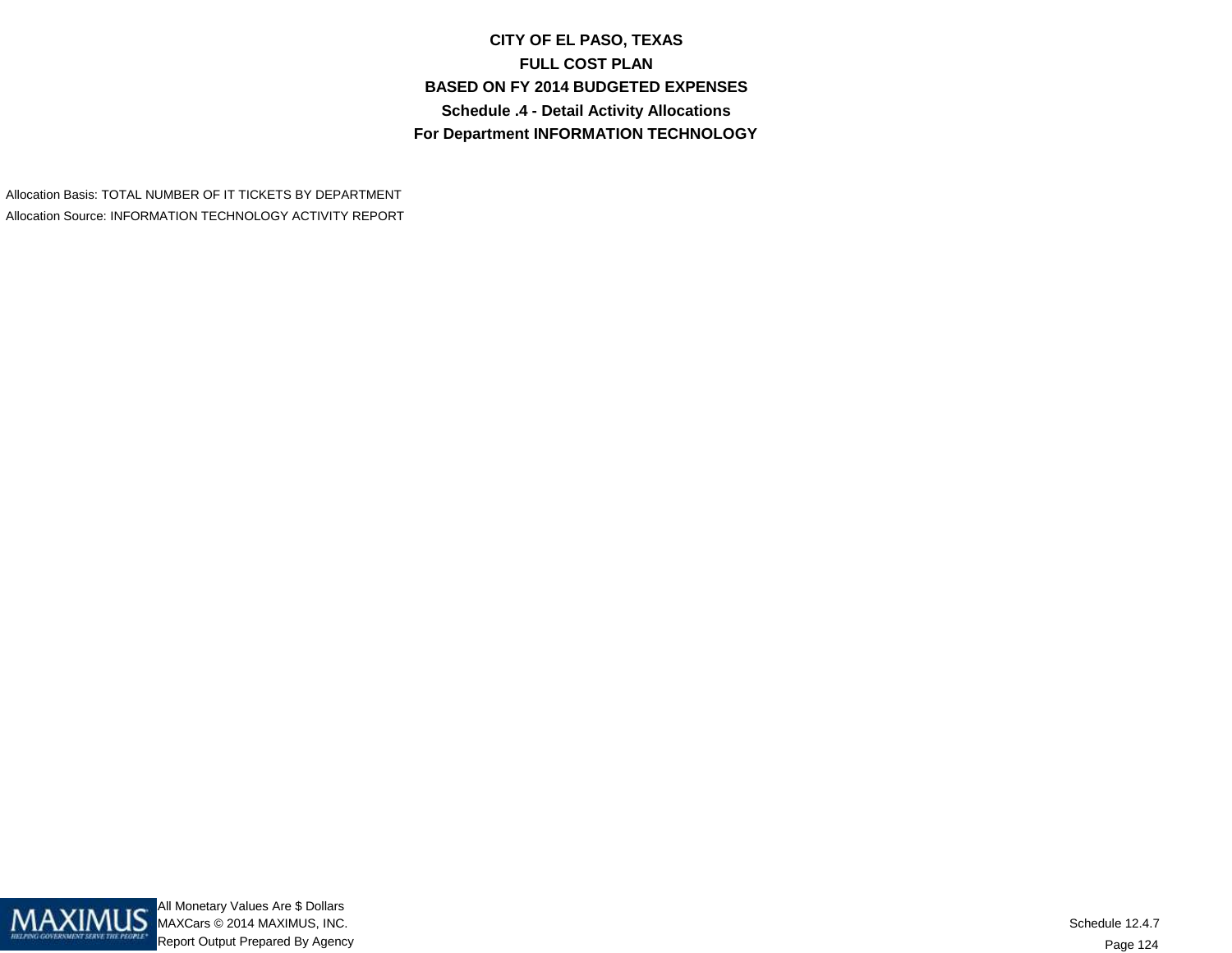**CITY OF EL PASO, TEXASFULL COST PLAN BASED ON FY 2014 BUDGETED EXPENSESSchedule .4 - Detail Activity AllocationsFor Department INFORMATION TECHNOLOGY**

Allocation Basis: TOTAL NUMBER OF IT TICKETS BY DEPARTMENTAllocation Source: INFORMATION TECHNOLOGY ACTIVITY REPORT

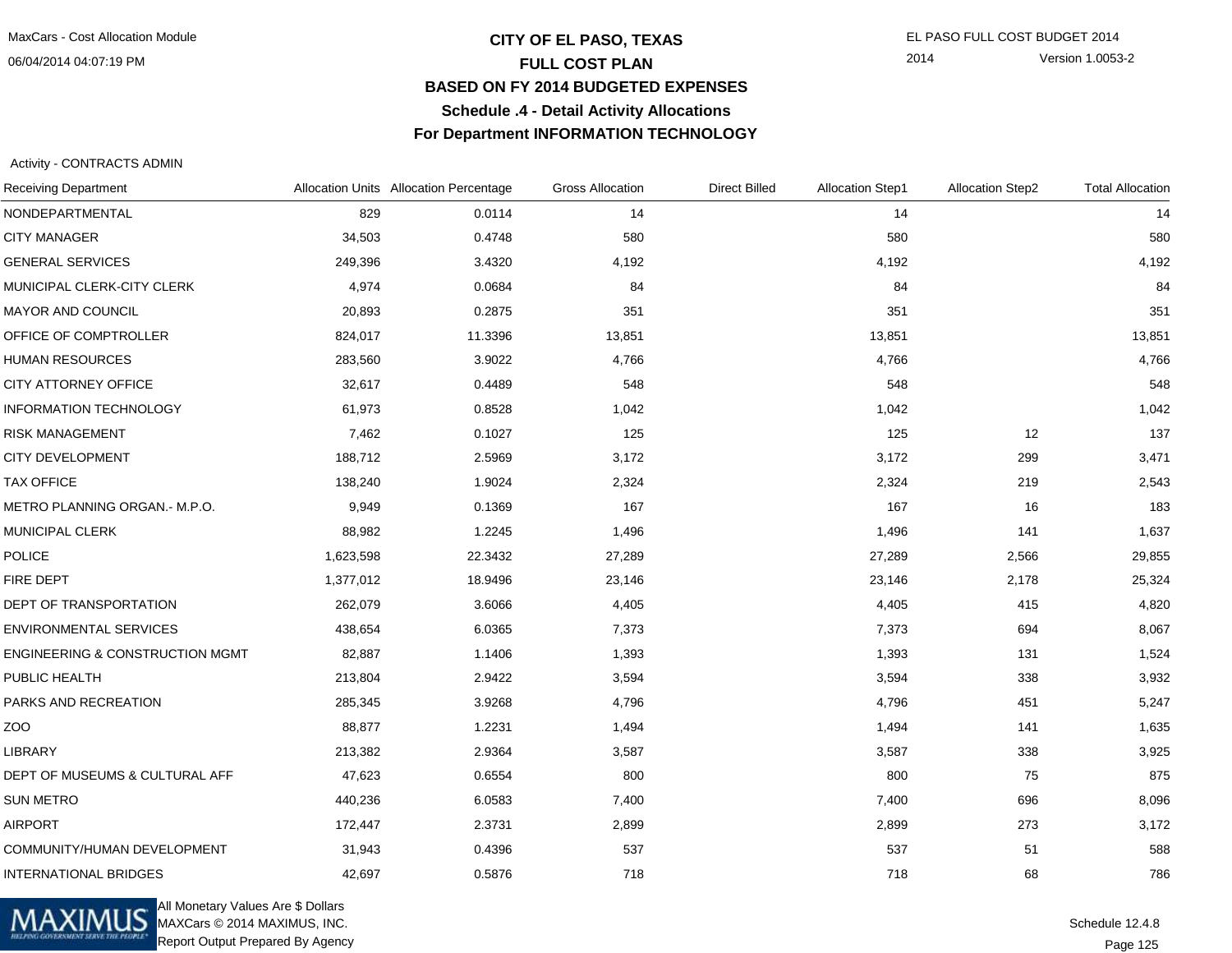## **CITY OF EL PASO, TEXAS** EL PASO FULL COST BUDGET 2014 **FULL COST PLAN BASED ON FY 2014 BUDGETED EXPENSESSchedule .4 - Detail Activity AllocationsFor Department INFORMATION TECHNOLOGY**

2014 Version 1.0053-2

### Activity - CONTRACTS ADMIN

| <b>Receiving Department</b>                |           | Allocation Units Allocation Percentage | <b>Gross Allocation</b> | <b>Direct Billed</b> | <b>Allocation Step1</b> | <b>Allocation Step2</b> | <b>Total Allocation</b> |
|--------------------------------------------|-----------|----------------------------------------|-------------------------|----------------------|-------------------------|-------------------------|-------------------------|
| NONDEPARTMENTAL                            | 829       | 0.0114                                 | 14                      |                      | 14                      |                         | 14                      |
| <b>CITY MANAGER</b>                        | 34,503    | 0.4748                                 | 580                     |                      | 580                     |                         | 580                     |
| <b>GENERAL SERVICES</b>                    | 249,396   | 3.4320                                 | 4,192                   |                      | 4,192                   |                         | 4,192                   |
| MUNICIPAL CLERK-CITY CLERK                 | 4,974     | 0.0684                                 | 84                      |                      | 84                      |                         | 84                      |
| MAYOR AND COUNCIL                          | 20,893    | 0.2875                                 | 351                     |                      | 351                     |                         | 351                     |
| OFFICE OF COMPTROLLER                      | 824,017   | 11.3396                                | 13,851                  |                      | 13,851                  |                         | 13,851                  |
| <b>HUMAN RESOURCES</b>                     | 283,560   | 3.9022                                 | 4,766                   |                      | 4,766                   |                         | 4,766                   |
| CITY ATTORNEY OFFICE                       | 32,617    | 0.4489                                 | 548                     |                      | 548                     |                         | 548                     |
| <b>INFORMATION TECHNOLOGY</b>              | 61,973    | 0.8528                                 | 1,042                   |                      | 1,042                   |                         | 1,042                   |
| <b>RISK MANAGEMENT</b>                     | 7,462     | 0.1027                                 | 125                     |                      | 125                     | 12                      | 137                     |
| <b>CITY DEVELOPMENT</b>                    | 188,712   | 2.5969                                 | 3,172                   |                      | 3,172                   | 299                     | 3,471                   |
| <b>TAX OFFICE</b>                          | 138,240   | 1.9024                                 | 2,324                   |                      | 2,324                   | 219                     | 2,543                   |
| METRO PLANNING ORGAN.- M.P.O.              | 9,949     | 0.1369                                 | 167                     |                      | 167                     | 16                      | 183                     |
| MUNICIPAL CLERK                            | 88,982    | 1.2245                                 | 1,496                   |                      | 1,496                   | 141                     | 1,637                   |
| <b>POLICE</b>                              | 1,623,598 | 22.3432                                | 27,289                  |                      | 27,289                  | 2,566                   | 29,855                  |
| FIRE DEPT                                  | 1,377,012 | 18.9496                                | 23,146                  |                      | 23,146                  | 2,178                   | 25,324                  |
| DEPT OF TRANSPORTATION                     | 262,079   | 3.6066                                 | 4,405                   |                      | 4,405                   | 415                     | 4,820                   |
| <b>ENVIRONMENTAL SERVICES</b>              | 438,654   | 6.0365                                 | 7,373                   |                      | 7,373                   | 694                     | 8,067                   |
| <b>ENGINEERING &amp; CONSTRUCTION MGMT</b> | 82,887    | 1.1406                                 | 1,393                   |                      | 1,393                   | 131                     | 1,524                   |
| PUBLIC HEALTH                              | 213,804   | 2.9422                                 | 3,594                   |                      | 3,594                   | 338                     | 3,932                   |
| PARKS AND RECREATION                       | 285,345   | 3.9268                                 | 4,796                   |                      | 4,796                   | 451                     | 5,247                   |
| ZOO                                        | 88,877    | 1.2231                                 | 1,494                   |                      | 1,494                   | 141                     | 1,635                   |
| <b>LIBRARY</b>                             | 213,382   | 2.9364                                 | 3,587                   |                      | 3,587                   | 338                     | 3,925                   |
| DEPT OF MUSEUMS & CULTURAL AFF             | 47,623    | 0.6554                                 | 800                     |                      | 800                     | 75                      | 875                     |
| <b>SUN METRO</b>                           | 440,236   | 6.0583                                 | 7,400                   |                      | 7,400                   | 696                     | 8,096                   |
| <b>AIRPORT</b>                             | 172,447   | 2.3731                                 | 2,899                   |                      | 2,899                   | 273                     | 3,172                   |
| COMMUNITY/HUMAN DEVELOPMENT                | 31,943    | 0.4396                                 | 537                     |                      | 537                     | 51                      | 588                     |
| <b>INTERNATIONAL BRIDGES</b>               | 42,697    | 0.5876                                 | 718                     |                      | 718                     | 68                      | 786                     |



All Monetary Values Are \$ Dollars MAXCars © 2014 MAXIMUS, INC.Report Output Prepared By Agency

Page 125Schedule 12.4.8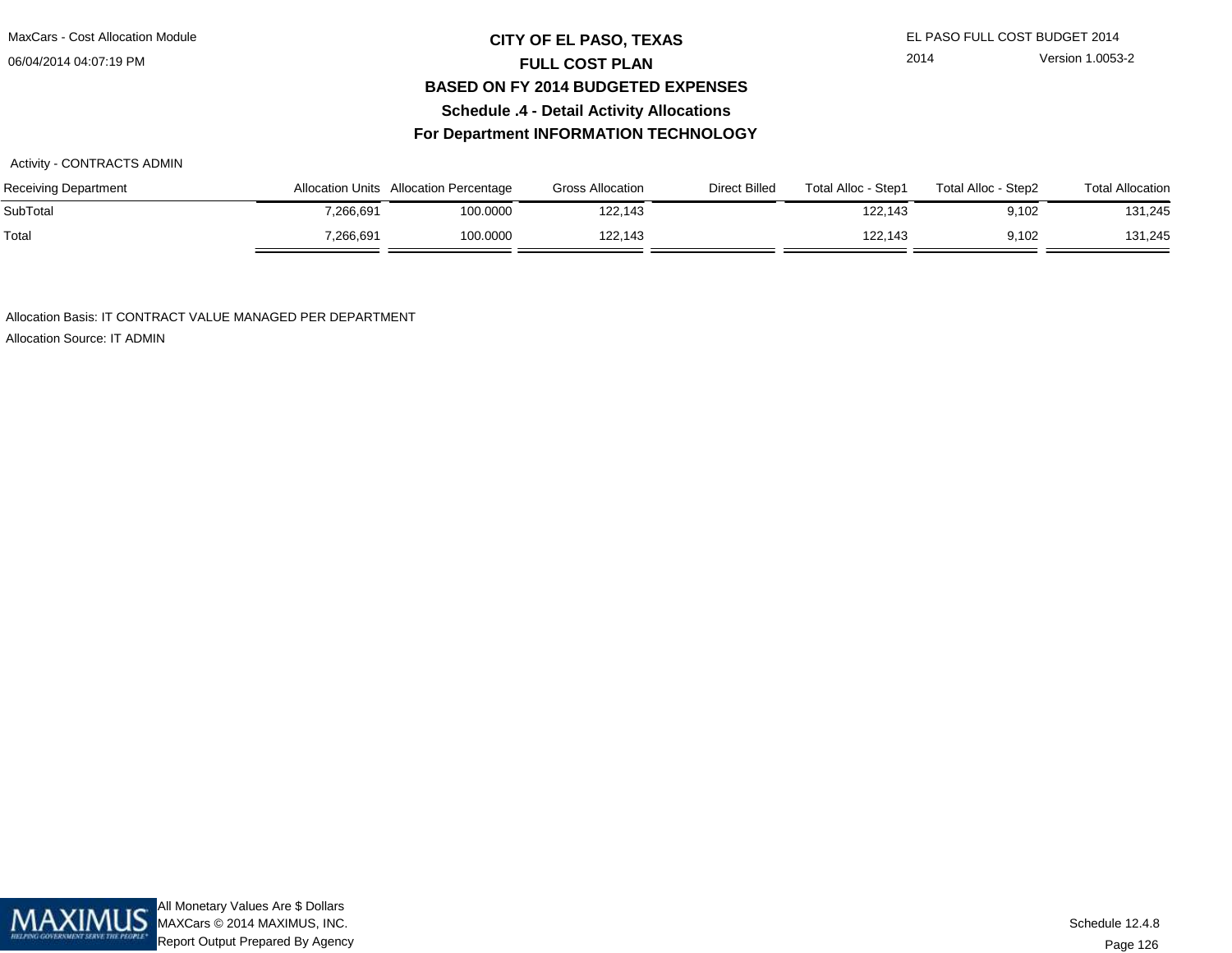## **CITY OF EL PASO, TEXAS** EL PASO FULL COST BUDGET 2014 **FULL COST PLAN BASED ON FY 2014 BUDGETED EXPENSESSchedule .4 - Detail Activity AllocationsFor Department INFORMATION TECHNOLOGY**

#### Activity - CONTRACTS ADMIN

| <b>Receiving Department</b> |           | Allocation Units Allocation Percentage | <b>Gross Allocation</b> | Direct Billed | Total Alloc - Step1 | Total Alloc - Step2 | <b>Total Allocation</b> |
|-----------------------------|-----------|----------------------------------------|-------------------------|---------------|---------------------|---------------------|-------------------------|
| SubTotal                    | 7,266,691 | 100.0000                               | 122,143                 |               | 122.143             | 9,102               | 131,245                 |
| Total                       | 7,266,691 | 100.0000                               | 122.143                 |               | 122.143             | 9,102               | 131,245                 |

Allocation Basis: IT CONTRACT VALUE MANAGED PER DEPARTMENT

Allocation Source: IT ADMIN

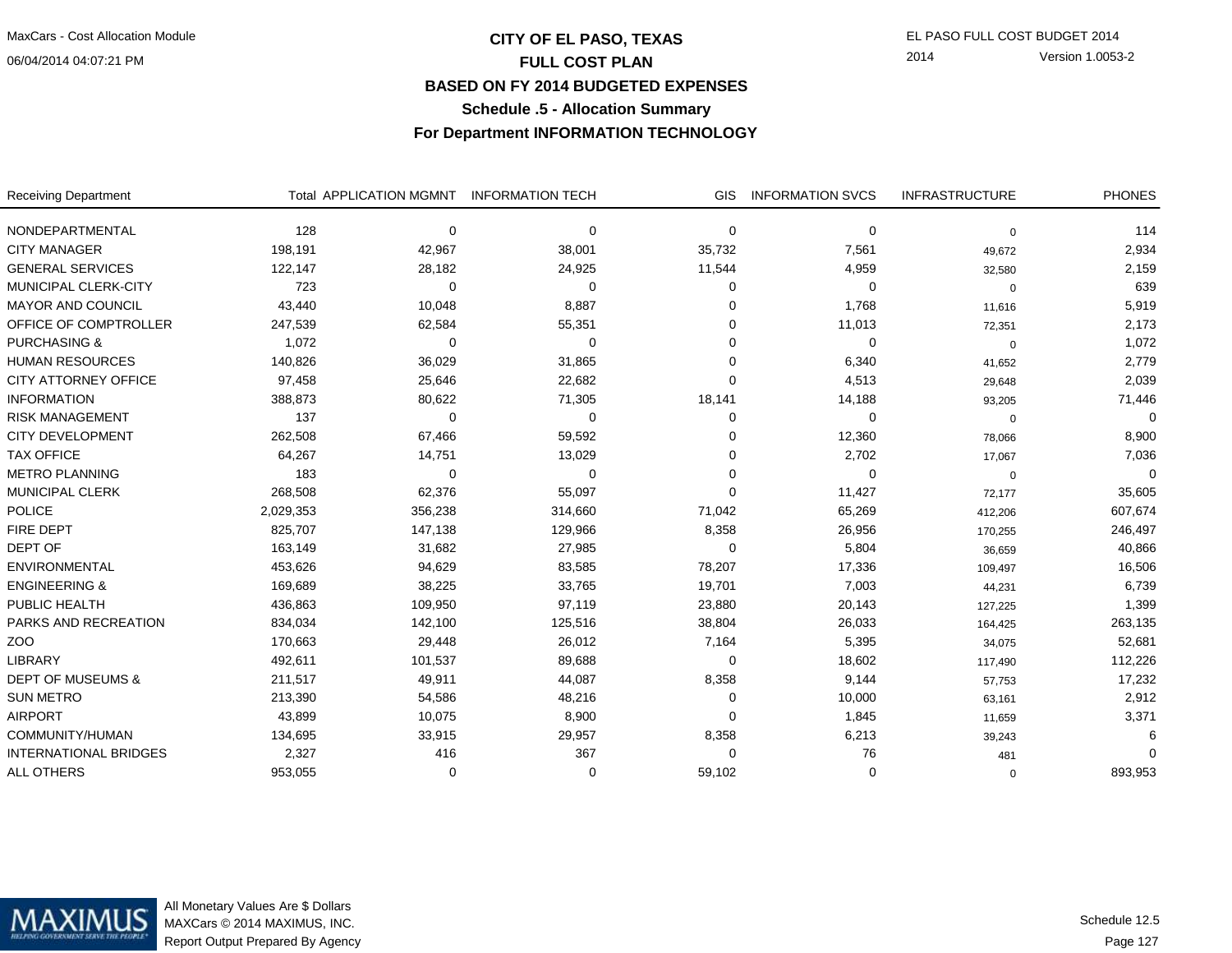## **CITY OF EL PASO, TEXAS** EL PASO FULL COST BUDGET 2014 **FULL COST PLAN BASED ON FY 2014 BUDGETED EXPENSESSchedule .5 - Allocation Summary**

2014 Version 1.0053-2

**For Department INFORMATION TECHNOLOGY**

| <b>Receiving Department</b>  |           | Total APPLICATION MGMNT | <b>INFORMATION TECH</b> | <b>GIS</b> | <b>INFORMATION SVCS</b> | <b>INFRASTRUCTURE</b> | <b>PHONES</b> |
|------------------------------|-----------|-------------------------|-------------------------|------------|-------------------------|-----------------------|---------------|
| NONDEPARTMENTAL              | 128       | $\Omega$                | $\Omega$                | 0          | $\Omega$                | 0                     | 114           |
| <b>CITY MANAGER</b>          | 198,191   | 42,967                  | 38,001                  | 35,732     | 7,561                   | 49,672                | 2,934         |
| <b>GENERAL SERVICES</b>      | 122,147   | 28,182                  | 24,925                  | 11,544     | 4,959                   | 32,580                | 2,159         |
| MUNICIPAL CLERK-CITY         | 723       | $\Omega$                | 0                       | 0          | 0                       | 0                     | 639           |
| <b>MAYOR AND COUNCIL</b>     | 43,440    | 10,048                  | 8,887                   | $\Omega$   | 1,768                   | 11,616                | 5,919         |
| OFFICE OF COMPTROLLER        | 247,539   | 62,584                  | 55,351                  | $\Omega$   | 11,013                  | 72,351                | 2,173         |
| <b>PURCHASING &amp;</b>      | 1,072     | $\Omega$                | $\Omega$                | O          | 0                       | $\mathbf 0$           | 1,072         |
| <b>HUMAN RESOURCES</b>       | 140,826   | 36,029                  | 31,865                  | $\Omega$   | 6,340                   | 41,652                | 2,779         |
| <b>CITY ATTORNEY OFFICE</b>  | 97,458    | 25,646                  | 22,682                  | $\Omega$   | 4,513                   | 29,648                | 2,039         |
| <b>INFORMATION</b>           | 388,873   | 80,622                  | 71,305                  | 18,141     | 14,188                  | 93,205                | 71,446        |
| <b>RISK MANAGEMENT</b>       | 137       | $\Omega$                | $\Omega$                | 0          | $\Omega$                | 0                     | $\Omega$      |
| <b>CITY DEVELOPMENT</b>      | 262,508   | 67,466                  | 59,592                  | $\Omega$   | 12,360                  | 78,066                | 8,900         |
| <b>TAX OFFICE</b>            | 64,267    | 14,751                  | 13,029                  | O          | 2,702                   | 17,067                | 7,036         |
| <b>METRO PLANNING</b>        | 183       | $\Omega$                | 0                       | $\Omega$   | 0                       | 0                     | $\Omega$      |
| <b>MUNICIPAL CLERK</b>       | 268,508   | 62,376                  | 55,097                  | $\Omega$   | 11,427                  | 72,177                | 35,605        |
| <b>POLICE</b>                | 2,029,353 | 356,238                 | 314,660                 | 71,042     | 65,269                  | 412,206               | 607,674       |
| <b>FIRE DEPT</b>             | 825,707   | 147,138                 | 129,966                 | 8,358      | 26,956                  | 170,255               | 246,497       |
| DEPT OF                      | 163,149   | 31,682                  | 27,985                  | $\Omega$   | 5,804                   | 36,659                | 40,866        |
| <b>ENVIRONMENTAL</b>         | 453,626   | 94,629                  | 83,585                  | 78,207     | 17,336                  | 109,497               | 16,506        |
| <b>ENGINEERING &amp;</b>     | 169,689   | 38,225                  | 33,765                  | 19,701     | 7,003                   | 44,231                | 6,739         |
| PUBLIC HEALTH                | 436,863   | 109,950                 | 97,119                  | 23,880     | 20,143                  | 127,225               | 1,399         |
| PARKS AND RECREATION         | 834,034   | 142,100                 | 125,516                 | 38,804     | 26,033                  | 164,425               | 263,135       |
| ZOO                          | 170,663   | 29,448                  | 26,012                  | 7,164      | 5,395                   | 34,075                | 52,681        |
| <b>LIBRARY</b>               | 492,611   | 101,537                 | 89,688                  | $\Omega$   | 18,602                  | 117,490               | 112,226       |
| <b>DEPT OF MUSEUMS &amp;</b> | 211,517   | 49,911                  | 44,087                  | 8,358      | 9,144                   | 57,753                | 17,232        |
| <b>SUN METRO</b>             | 213,390   | 54,586                  | 48,216                  | $\Omega$   | 10,000                  | 63,161                | 2,912         |
| <b>AIRPORT</b>               | 43,899    | 10,075                  | 8,900                   | $\Omega$   | 1,845                   | 11,659                | 3,371         |
| COMMUNITY/HUMAN              | 134,695   | 33,915                  | 29,957                  | 8,358      | 6,213                   | 39,243                |               |
| <b>INTERNATIONAL BRIDGES</b> | 2,327     | 416                     | 367                     | $\Omega$   | 76                      | 481                   |               |
| <b>ALL OTHERS</b>            | 953,055   | ∩                       | $\Omega$                | 59,102     | $\Omega$                | 0                     | 893,953       |

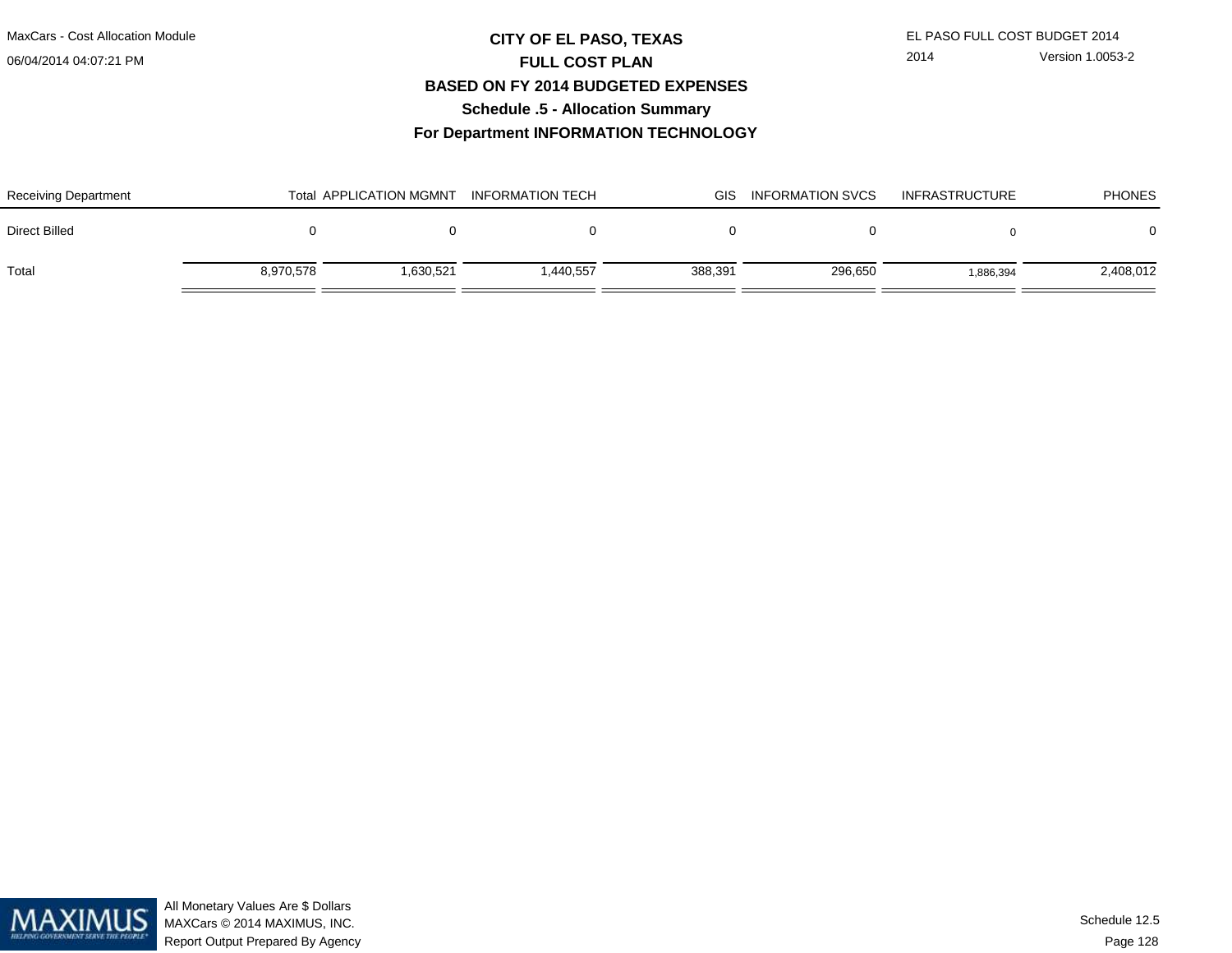## **CITY OF EL PASO, TEXAS** EL PASO FULL COST BUDGET 2014 **FULL COST PLAN BASED ON FY 2014 BUDGETED EXPENSESSchedule .5 - Allocation Summary**

2014 Version 1.0053-2

**For Department INFORMATION TECHNOLOGY**

| <b>Receiving Department</b> |           | <b>Total APPLICATION MGMNT</b> | <b>INFORMATION TECH</b> | GIS.    | <b>INFORMATION SVCS</b> | <b>INFRASTRUCTURE</b> | <b>PHONES</b> |
|-----------------------------|-----------|--------------------------------|-------------------------|---------|-------------------------|-----------------------|---------------|
| Direct Billed               |           |                                |                         |         |                         |                       | 0             |
| Total                       | 8,970,578 | 1.630.521                      | 1,440,557               | 388,391 | 296,650                 | 1.886.394             | 2,408,012     |

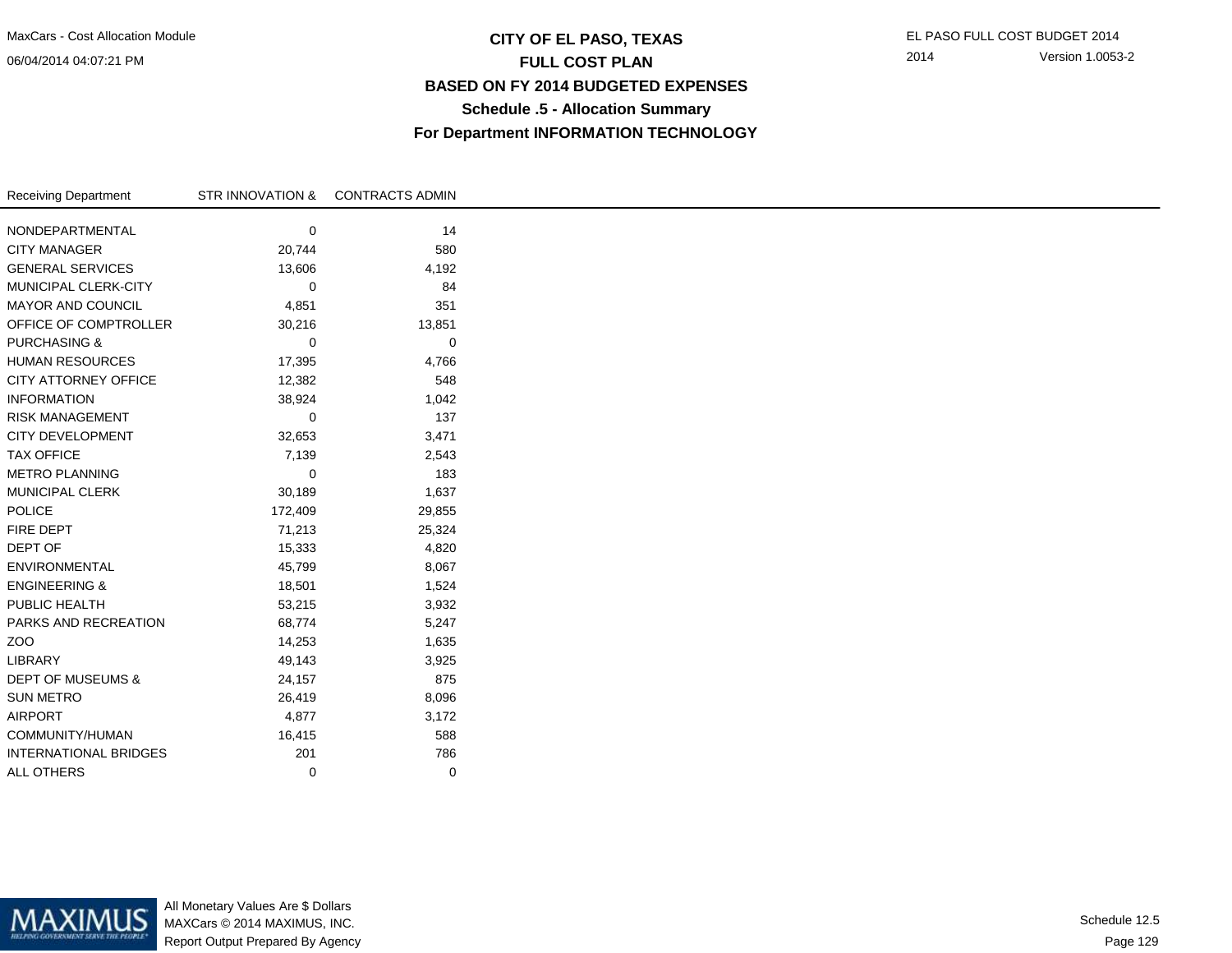## **CITY OF EL PASO, TEXAS** EL PASO FULL COST BUDGET 2014 **FULL COST PLAN BASED ON FY 2014 BUDGETED EXPENSESSchedule .5 - Allocation SummaryFor Department INFORMATION TECHNOLOGY**

| NONDEPARTMENTAL<br><b>CITY MANAGER</b><br><b>GENERAL SERVICES</b> | 0<br>20,744<br>13,606<br>0 | 14<br>580 |
|-------------------------------------------------------------------|----------------------------|-----------|
|                                                                   |                            |           |
|                                                                   |                            |           |
|                                                                   |                            |           |
|                                                                   |                            | 4,192     |
| MUNICIPAL CLERK-CITY                                              |                            | 84        |
| <b>MAYOR AND COUNCIL</b>                                          | 4,851                      | 351       |
| OFFICE OF COMPTROLLER                                             | 30,216                     | 13,851    |
| <b>PURCHASING &amp;</b>                                           | 0                          | 0         |
| <b>HUMAN RESOURCES</b>                                            | 17,395                     | 4,766     |
| <b>CITY ATTORNEY OFFICE</b>                                       | 12,382                     | 548       |
| <b>INFORMATION</b>                                                | 38,924                     | 1,042     |
| <b>RISK MANAGEMENT</b>                                            | 0                          | 137       |
| <b>CITY DEVELOPMENT</b>                                           | 32,653                     | 3,471     |
| <b>TAX OFFICE</b>                                                 | 7,139                      | 2,543     |
| <b>METRO PLANNING</b>                                             | 0                          | 183       |
| <b>MUNICIPAL CLERK</b>                                            | 30,189                     | 1,637     |
| POLICE                                                            | 172,409                    | 29,855    |
| FIRE DEPT                                                         | 71,213                     | 25,324    |
| DEPT OF                                                           | 15,333                     | 4,820     |
| ENVIRONMENTAL                                                     | 45,799                     | 8,067     |
| <b>ENGINEERING &amp;</b>                                          | 18,501                     | 1,524     |
| PUBLIC HEALTH                                                     | 53,215                     | 3,932     |
| PARKS AND RECREATION                                              | 68,774                     | 5,247     |
| ZOO                                                               | 14,253                     | 1,635     |
| LIBRARY                                                           | 49,143                     | 3,925     |
| <b>DEPT OF MUSEUMS &amp;</b>                                      | 24,157                     | 875       |
| <b>SUN METRO</b>                                                  | 26,419                     | 8,096     |
| <b>AIRPORT</b>                                                    | 4,877                      | 3,172     |
| COMMUNITY/HUMAN                                                   | 16,415                     | 588       |
| <b>INTERNATIONAL BRIDGES</b>                                      | 201                        | 786       |
| <b>ALL OTHERS</b>                                                 | 0                          | 0         |



All Monetary Values Are \$ Dollars MAXCars © 2014 MAXIMUS, INC.Report Output Prepared By Agency

Page 129Schedule 12.5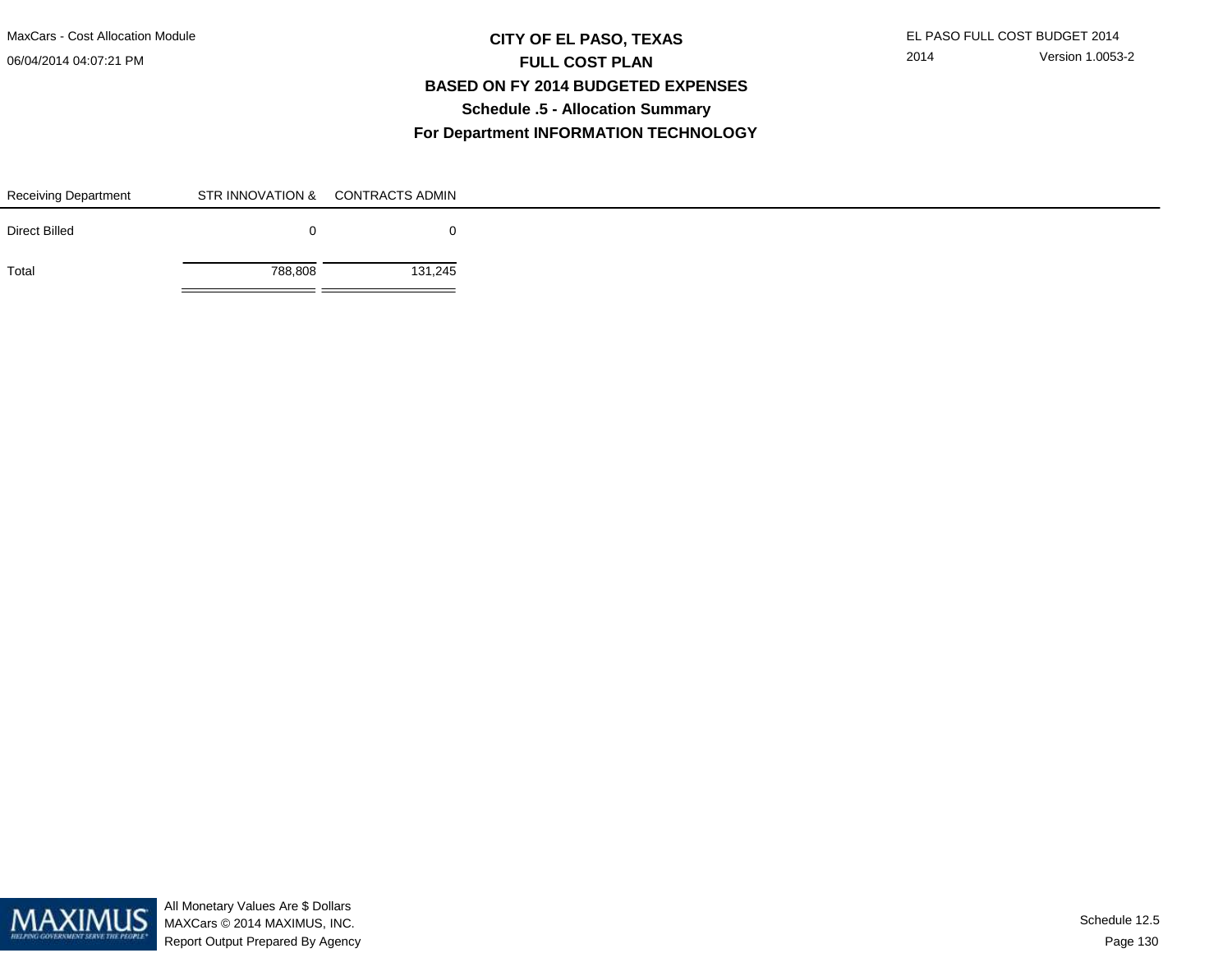MaxCars - Cost Allocation Module

06/04/2014 04:07:21 PM

## **CITY OF EL PASO, TEXAS** EL PASO FULL COST BUDGET 2014 **FULL COST PLAN BASED ON FY 2014 BUDGETED EXPENSESSchedule .5 - Allocation SummaryFor Department INFORMATION TECHNOLOGY**

| Receiving Department |         | STR INNOVATION & CONTRACTS ADMIN |
|----------------------|---------|----------------------------------|
| <b>Direct Billed</b> |         | 0                                |
| Total                | 788,808 | 131,245                          |

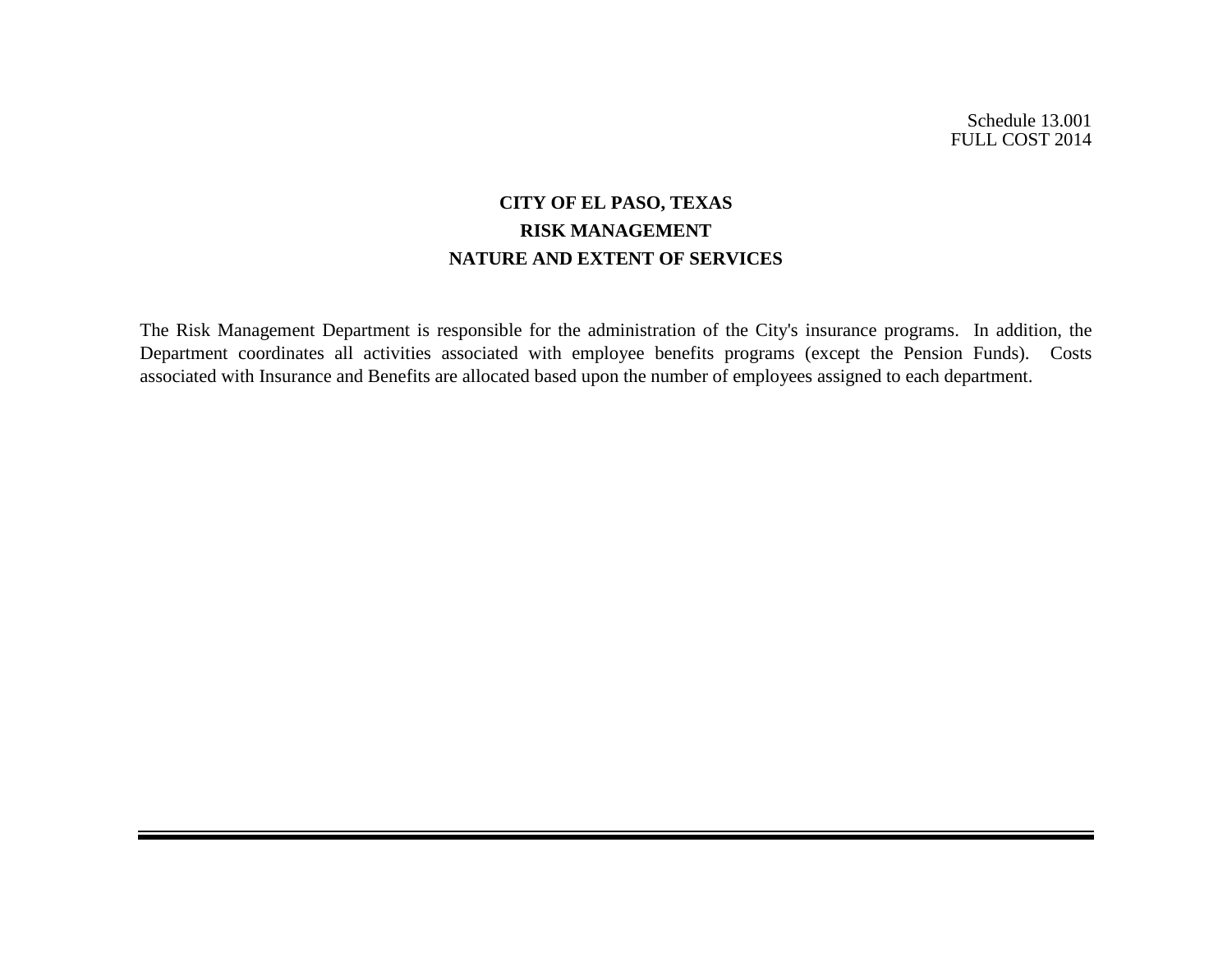# **CITY OF EL PASO, TEXAS RISK MANAGEMENT NATURE AND EXTENT OF SERVICES**

The Risk Management Department is responsible for the administration of the City's insurance programs. In addition, the Department coordinates all activities associated with employee benefits programs (except the Pension Funds). Costs associated with Insurance and Benefits are allocated based upon the number of employees assigned to each department.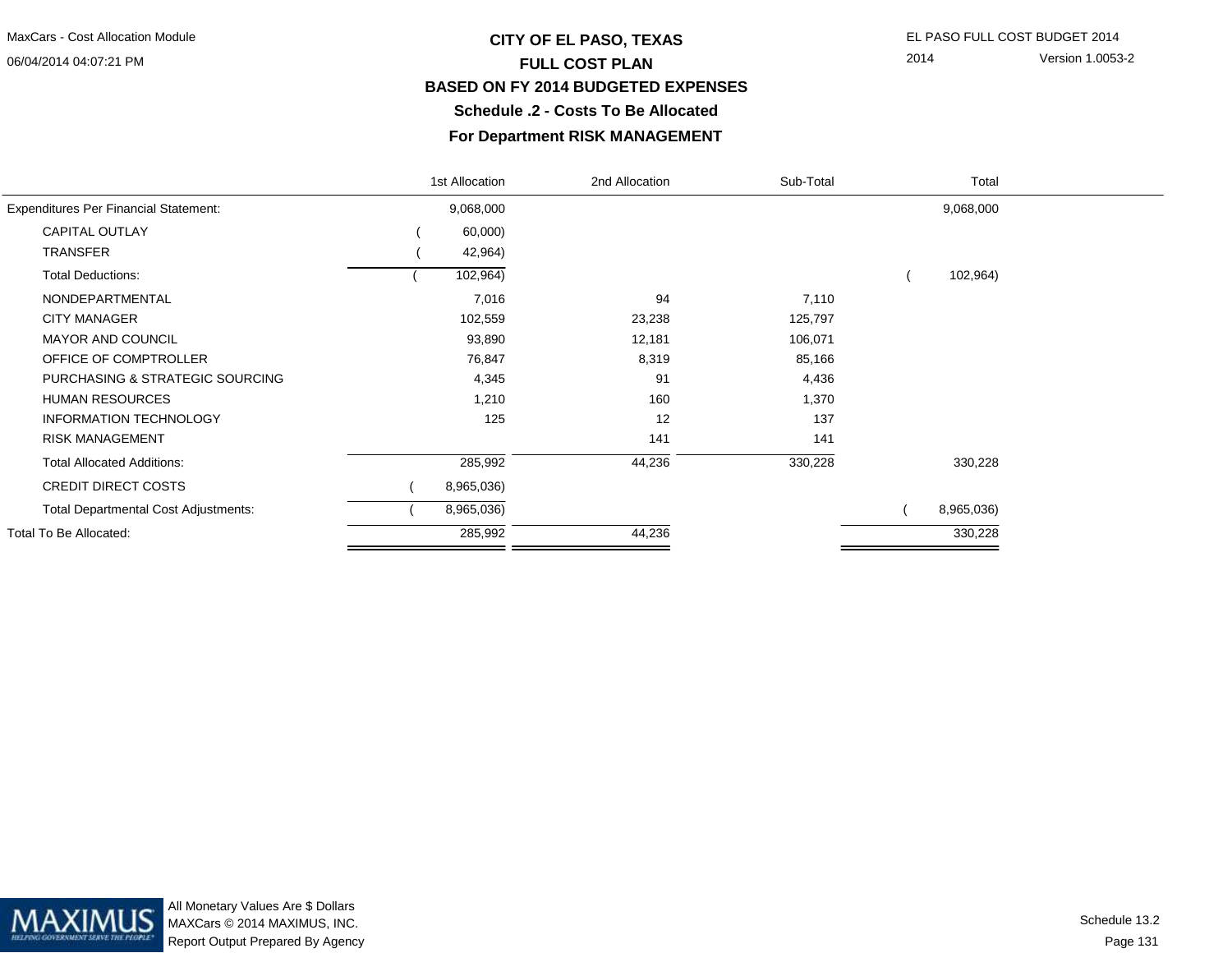## **CITY OF EL PASO, TEXAS** EL PASO FULL COST BUDGET 2014 **FULL COST PLAN BASED ON FY 2014 BUDGETED EXPENSESSchedule .2 - Costs To Be Allocated**

2014 Version 1.0053-2

### **For Department RISK MANAGEMENT**

|                                              | 1st Allocation | 2nd Allocation | Sub-Total | Total      |  |
|----------------------------------------------|----------------|----------------|-----------|------------|--|
| <b>Expenditures Per Financial Statement:</b> | 9,068,000      |                |           | 9,068,000  |  |
| <b>CAPITAL OUTLAY</b>                        | 60,000)        |                |           |            |  |
| <b>TRANSFER</b>                              | 42,964)        |                |           |            |  |
| <b>Total Deductions:</b>                     | 102,964)       |                |           | 102,964)   |  |
| NONDEPARTMENTAL                              | 7,016          | 94             | 7,110     |            |  |
| <b>CITY MANAGER</b>                          | 102,559        | 23,238         | 125,797   |            |  |
| <b>MAYOR AND COUNCIL</b>                     | 93,890         | 12,181         | 106,071   |            |  |
| OFFICE OF COMPTROLLER                        | 76,847         | 8,319          | 85,166    |            |  |
| PURCHASING & STRATEGIC SOURCING              | 4,345          | 91             | 4,436     |            |  |
| <b>HUMAN RESOURCES</b>                       | 1,210          | 160            | 1,370     |            |  |
| <b>INFORMATION TECHNOLOGY</b>                | 125            | 12             | 137       |            |  |
| <b>RISK MANAGEMENT</b>                       |                | 141            | 141       |            |  |
| <b>Total Allocated Additions:</b>            | 285,992        | 44,236         | 330,228   | 330,228    |  |
| <b>CREDIT DIRECT COSTS</b>                   | 8,965,036)     |                |           |            |  |
| <b>Total Departmental Cost Adjustments:</b>  | 8,965,036)     |                |           | 8,965,036) |  |
| Total To Be Allocated:                       | 285,992        | 44,236         |           | 330,228    |  |
|                                              |                |                |           |            |  |

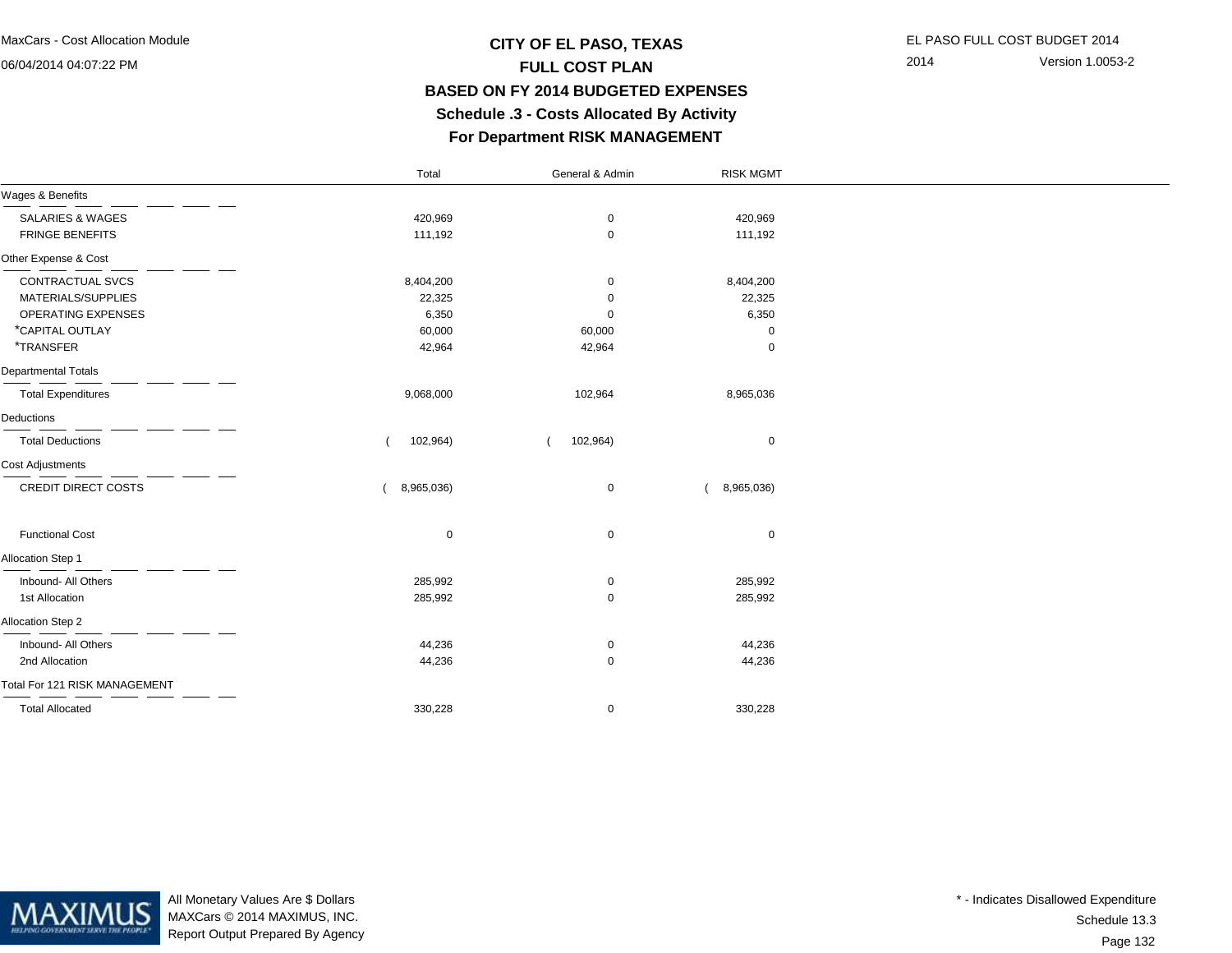## **CITY OF EL PASO, TEXAS** EL PASO FULL COST BUDGET 2014 **FULL COST PLAN BASED ON FY 2014 BUDGETED EXPENSES Schedule .3 - Costs Allocated By ActivityFor Department RISK MANAGEMENT**

2014 Version 1.0053-2

|                               | Total       | General & Admin | <b>RISK MGMT</b> |  |
|-------------------------------|-------------|-----------------|------------------|--|
| Wages & Benefits              |             |                 |                  |  |
| <b>SALARIES &amp; WAGES</b>   | 420,969     | 0               | 420,969          |  |
| <b>FRINGE BENEFITS</b>        | 111,192     | 0               | 111,192          |  |
| Other Expense & Cost          |             |                 |                  |  |
| CONTRACTUAL SVCS              | 8,404,200   | 0               | 8,404,200        |  |
| MATERIALS/SUPPLIES            | 22,325      | 0               | 22,325           |  |
| OPERATING EXPENSES            | 6,350       | 0               | 6,350            |  |
| *CAPITAL OUTLAY               | 60,000      | 60,000          | 0                |  |
| *TRANSFER                     | 42,964      | 42,964          | $\mathbf 0$      |  |
| <b>Departmental Totals</b>    |             |                 |                  |  |
| <b>Total Expenditures</b>     | 9,068,000   | 102,964         | 8,965,036        |  |
| Deductions                    |             |                 |                  |  |
| <b>Total Deductions</b>       | 102,964)    | 102,964)        | $\mathbf 0$      |  |
| <b>Cost Adjustments</b>       |             |                 |                  |  |
| CREDIT DIRECT COSTS           | 8,965,036)  | 0               | 8,965,036)       |  |
| <b>Functional Cost</b>        | $\mathbf 0$ | 0               | $\mathbf 0$      |  |
| Allocation Step 1             |             |                 |                  |  |
| Inbound- All Others           | 285,992     | 0               | 285,992          |  |
| 1st Allocation                | 285,992     | 0               | 285,992          |  |
| Allocation Step 2             |             |                 |                  |  |
| Inbound- All Others           | 44,236      | 0               | 44,236           |  |
| 2nd Allocation                | 44,236      | 0               | 44,236           |  |
| Total For 121 RISK MANAGEMENT |             |                 |                  |  |
| <b>Total Allocated</b>        | 330,228     | 0               | 330,228          |  |



All Monetary Values Are \$ Dollars MAXCars © 2014 MAXIMUS, INC.Report Output Prepared By Agency

Page 132Schedule 13.3\* - Indicates Disallowed Expenditure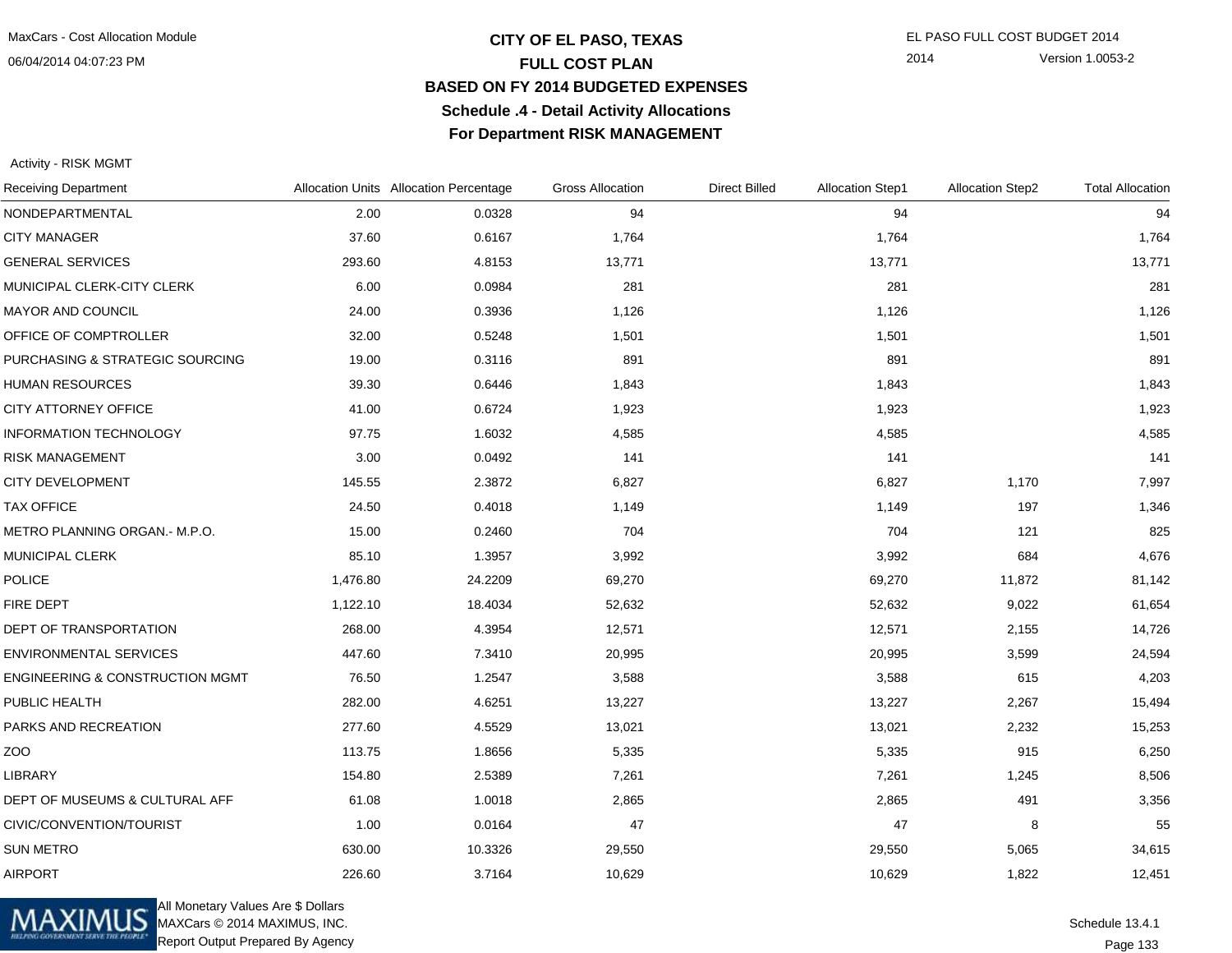### **CITY OF EL PASO, TEXAS** EL PASO FULL COST BUDGET 2014 **FULL COST PLAN BASED ON FY 2014 BUDGETED EXPENSESSchedule .4 - Detail Activity AllocationsFor Department RISK MANAGEMENT**

2014 Version 1.0053-2

#### Activity - RISK MGMT

| <b>Receiving Department</b>                |          | Allocation Units Allocation Percentage | <b>Gross Allocation</b> | <b>Direct Billed</b> | <b>Allocation Step1</b> | <b>Allocation Step2</b> | <b>Total Allocation</b> |
|--------------------------------------------|----------|----------------------------------------|-------------------------|----------------------|-------------------------|-------------------------|-------------------------|
| NONDEPARTMENTAL                            | 2.00     | 0.0328                                 | 94                      |                      | 94                      |                         | 94                      |
| <b>CITY MANAGER</b>                        | 37.60    | 0.6167                                 | 1,764                   |                      | 1,764                   |                         | 1,764                   |
| <b>GENERAL SERVICES</b>                    | 293.60   | 4.8153                                 | 13,771                  |                      | 13,771                  |                         | 13,771                  |
| MUNICIPAL CLERK-CITY CLERK                 | 6.00     | 0.0984                                 | 281                     |                      | 281                     |                         | 281                     |
| MAYOR AND COUNCIL                          | 24.00    | 0.3936                                 | 1,126                   |                      | 1,126                   |                         | 1,126                   |
| OFFICE OF COMPTROLLER                      | 32.00    | 0.5248                                 | 1,501                   |                      | 1,501                   |                         | 1,501                   |
| PURCHASING & STRATEGIC SOURCING            | 19.00    | 0.3116                                 | 891                     |                      | 891                     |                         | 891                     |
| <b>HUMAN RESOURCES</b>                     | 39.30    | 0.6446                                 | 1,843                   |                      | 1,843                   |                         | 1,843                   |
| CITY ATTORNEY OFFICE                       | 41.00    | 0.6724                                 | 1,923                   |                      | 1,923                   |                         | 1,923                   |
| <b>INFORMATION TECHNOLOGY</b>              | 97.75    | 1.6032                                 | 4,585                   |                      | 4,585                   |                         | 4,585                   |
| <b>RISK MANAGEMENT</b>                     | 3.00     | 0.0492                                 | 141                     |                      | 141                     |                         | 141                     |
| <b>CITY DEVELOPMENT</b>                    | 145.55   | 2.3872                                 | 6,827                   |                      | 6,827                   | 1,170                   | 7,997                   |
| <b>TAX OFFICE</b>                          | 24.50    | 0.4018                                 | 1,149                   |                      | 1,149                   | 197                     | 1,346                   |
| METRO PLANNING ORGAN.- M.P.O.              | 15.00    | 0.2460                                 | 704                     |                      | 704                     | 121                     | 825                     |
| <b>MUNICIPAL CLERK</b>                     | 85.10    | 1.3957                                 | 3,992                   |                      | 3,992                   | 684                     | 4,676                   |
| <b>POLICE</b>                              | 1,476.80 | 24.2209                                | 69,270                  |                      | 69,270                  | 11,872                  | 81,142                  |
| <b>FIRE DEPT</b>                           | 1,122.10 | 18.4034                                | 52,632                  |                      | 52,632                  | 9,022                   | 61,654                  |
| DEPT OF TRANSPORTATION                     | 268.00   | 4.3954                                 | 12,571                  |                      | 12,571                  | 2,155                   | 14,726                  |
| <b>ENVIRONMENTAL SERVICES</b>              | 447.60   | 7.3410                                 | 20,995                  |                      | 20,995                  | 3,599                   | 24,594                  |
| <b>ENGINEERING &amp; CONSTRUCTION MGMT</b> | 76.50    | 1.2547                                 | 3,588                   |                      | 3,588                   | 615                     | 4,203                   |
| PUBLIC HEALTH                              | 282.00   | 4.6251                                 | 13,227                  |                      | 13,227                  | 2,267                   | 15,494                  |
| PARKS AND RECREATION                       | 277.60   | 4.5529                                 | 13,021                  |                      | 13,021                  | 2,232                   | 15,253                  |
| ZOO                                        | 113.75   | 1.8656                                 | 5,335                   |                      | 5,335                   | 915                     | 6,250                   |
| <b>LIBRARY</b>                             | 154.80   | 2.5389                                 | 7,261                   |                      | 7,261                   | 1,245                   | 8,506                   |
| DEPT OF MUSEUMS & CULTURAL AFF             | 61.08    | 1.0018                                 | 2,865                   |                      | 2,865                   | 491                     | 3,356                   |
| CIVIC/CONVENTION/TOURIST                   | 1.00     | 0.0164                                 | 47                      |                      | 47                      | 8                       | 55                      |
| <b>SUN METRO</b>                           | 630.00   | 10.3326                                | 29,550                  |                      | 29,550                  | 5,065                   | 34,615                  |
| <b>AIRPORT</b>                             | 226.60   | 3.7164                                 | 10,629                  |                      | 10,629                  | 1,822                   | 12,451                  |



All Monetary Values Are \$ Dollars MAXCars © 2014 MAXIMUS, INC.Report Output Prepared By Agency

Page 133Schedule 13.4.1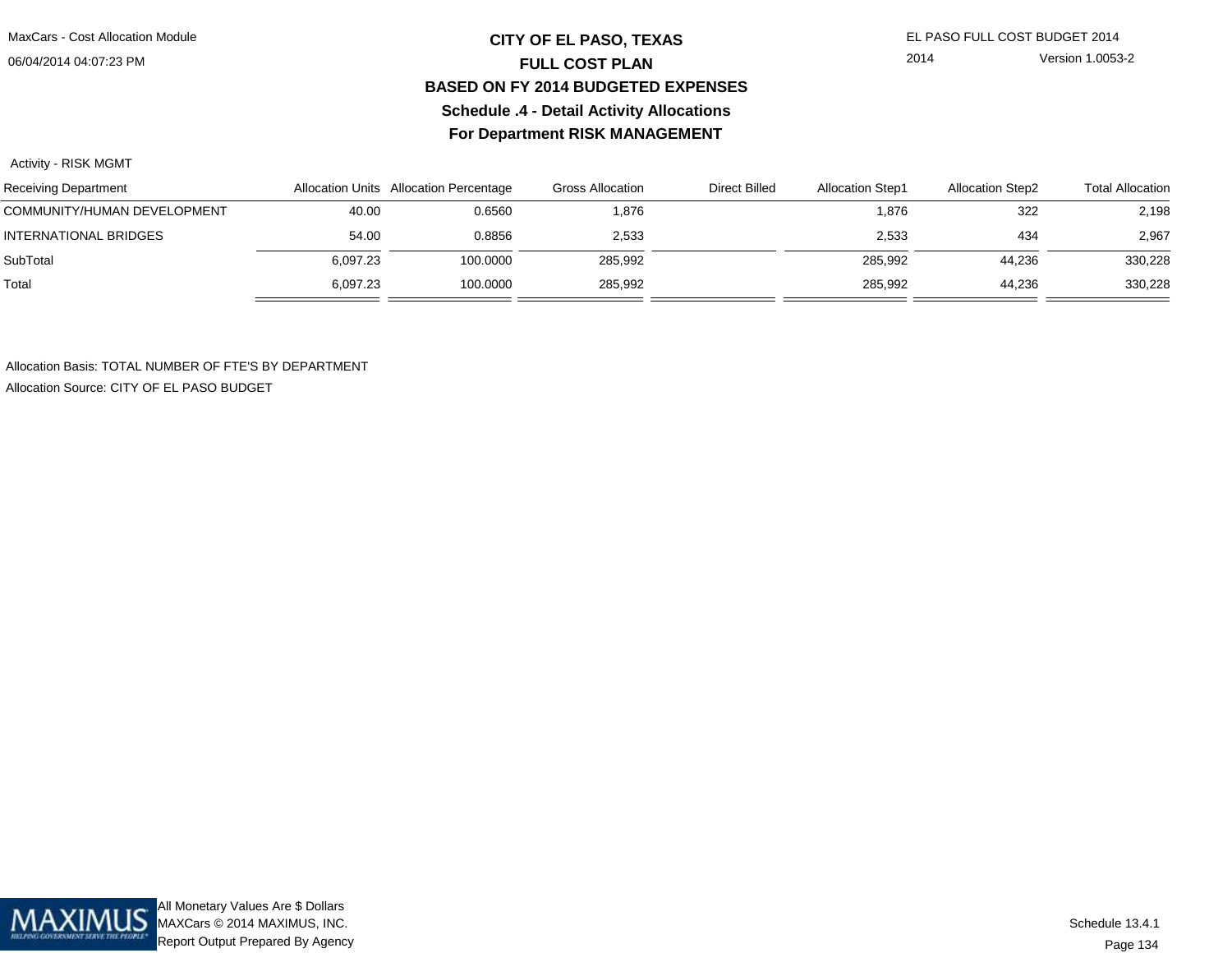## **CITY OF EL PASO, TEXAS** EL PASO FULL COST BUDGET 2014 **FULL COST PLAN BASED ON FY 2014 BUDGETED EXPENSESSchedule .4 - Detail Activity AllocationsFor Department RISK MANAGEMENT**

2014 Version 1.0053-2

### Activity - RISK MGMT

| <b>Receiving Department</b>  |          | Allocation Units Allocation Percentage | Gross Allocation | <b>Direct Billed</b> | <b>Allocation Step1</b> | <b>Allocation Step2</b> | <b>Total Allocation</b> |
|------------------------------|----------|----------------------------------------|------------------|----------------------|-------------------------|-------------------------|-------------------------|
| COMMUNITY/HUMAN DEVELOPMENT  | 40.00    | 0.6560                                 | 1,876            |                      | 1,876                   | 322                     | 2,198                   |
| <b>INTERNATIONAL BRIDGES</b> | 54.00    | 0.8856                                 | 2,533            |                      | 2,533                   | 434                     | 2,967                   |
| SubTotal                     | 6.097.23 | 100.0000                               | 285,992          |                      | 285,992                 | 44.236                  | 330,228                 |
| Total                        | 6.097.23 | 100.0000                               | 285,992          |                      | 285,992                 | 44.236                  | 330,228                 |

Allocation Basis: TOTAL NUMBER OF FTE'S BY DEPARTMENTAllocation Source: CITY OF EL PASO BUDGET

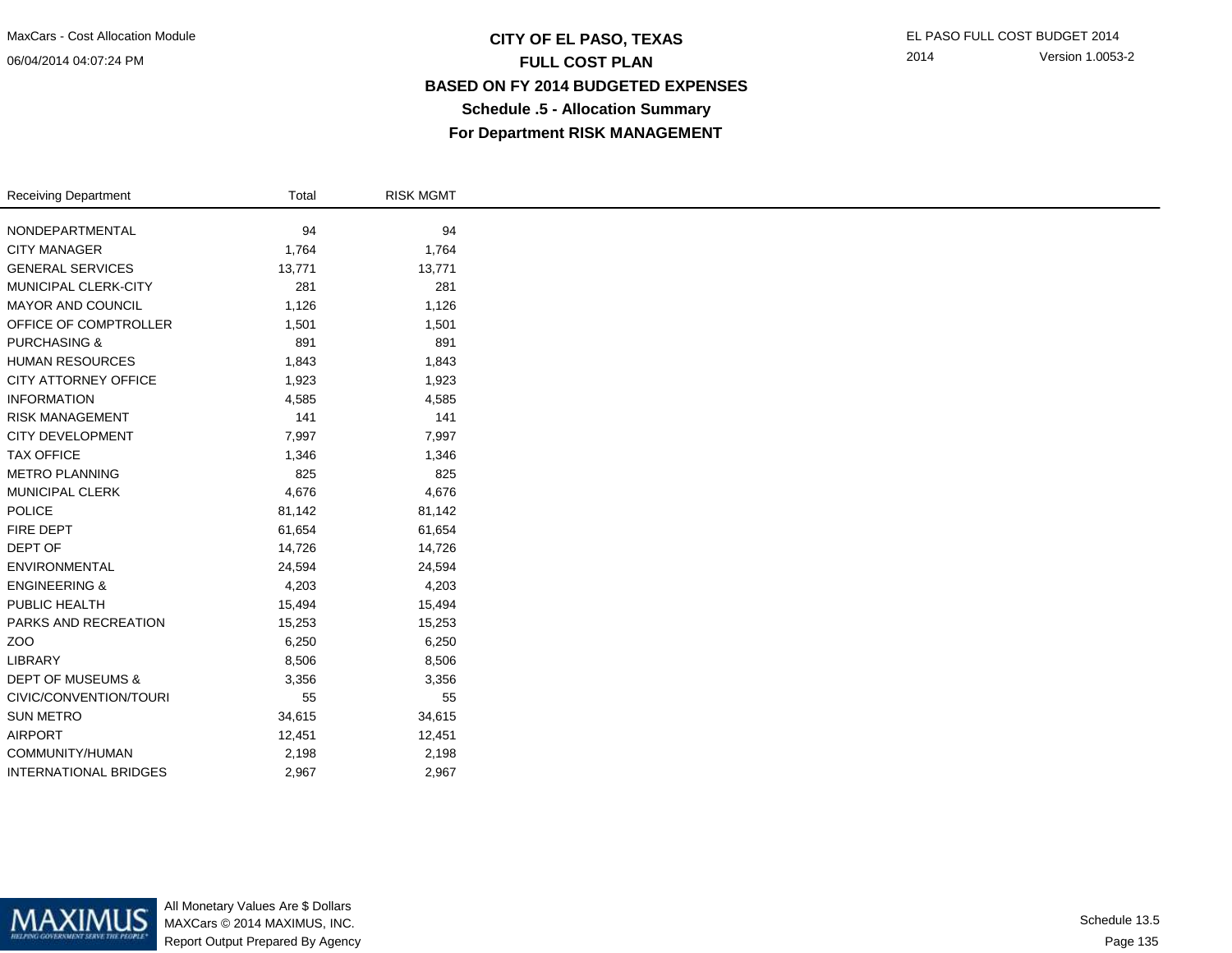## **CITY OF EL PASO, TEXAS** EL PASO FULL COST BUDGET 2014 **FULL COST PLAN BASED ON FY 2014 BUDGETED EXPENSESSchedule .5 - Allocation SummaryFor Department RISK MANAGEMENT**

| <b>Receiving Department</b>  | Total  | <b>RISK MGMT</b> |
|------------------------------|--------|------------------|
| NONDEPARTMENTAL              | 94     | 94               |
| <b>CITY MANAGER</b>          | 1,764  | 1,764            |
|                              |        |                  |
| <b>GENERAL SERVICES</b>      | 13,771 | 13,771           |
| MUNICIPAL CLERK-CITY         | 281    | 281              |
| <b>MAYOR AND COUNCIL</b>     | 1,126  | 1,126            |
| OFFICE OF COMPTROLLER        | 1,501  | 1,501            |
| <b>PURCHASING &amp;</b>      | 891    | 891              |
| <b>HUMAN RESOURCES</b>       | 1,843  | 1,843            |
| CITY ATTORNEY OFFICE         | 1,923  | 1,923            |
| <b>INFORMATION</b>           | 4,585  | 4,585            |
| <b>RISK MANAGEMENT</b>       | 141    | 141              |
| <b>CITY DEVELOPMENT</b>      | 7,997  | 7,997            |
| <b>TAX OFFICE</b>            | 1,346  | 1,346            |
| <b>METRO PLANNING</b>        | 825    | 825              |
| MUNICIPAL CLERK              | 4,676  | 4,676            |
| POLICE                       | 81,142 | 81,142           |
| FIRE DEPT                    | 61,654 | 61,654           |
| DEPT OF                      | 14,726 | 14,726           |
| ENVIRONMENTAL                | 24,594 | 24,594           |
| <b>ENGINEERING &amp;</b>     | 4,203  | 4,203            |
| PUBLIC HEALTH                | 15,494 | 15,494           |
| PARKS AND RECREATION         | 15,253 | 15,253           |
| ZOO                          | 6,250  | 6,250            |
| LIBRARY                      | 8,506  | 8,506            |
| <b>DEPT OF MUSEUMS &amp;</b> | 3,356  | 3,356            |
| CIVIC/CONVENTION/TOURI       | 55     | 55               |
| <b>SUN METRO</b>             | 34,615 | 34,615           |
| <b>AIRPORT</b>               | 12,451 | 12,451           |
| COMMUNITY/HUMAN              | 2,198  | 2,198            |
| <b>INTERNATIONAL BRIDGES</b> | 2,967  | 2,967            |



All Monetary Values Are \$ Dollars MAXCars © 2014 MAXIMUS, INC.Report Output Prepared By Agency

Page 135Schedule 13.5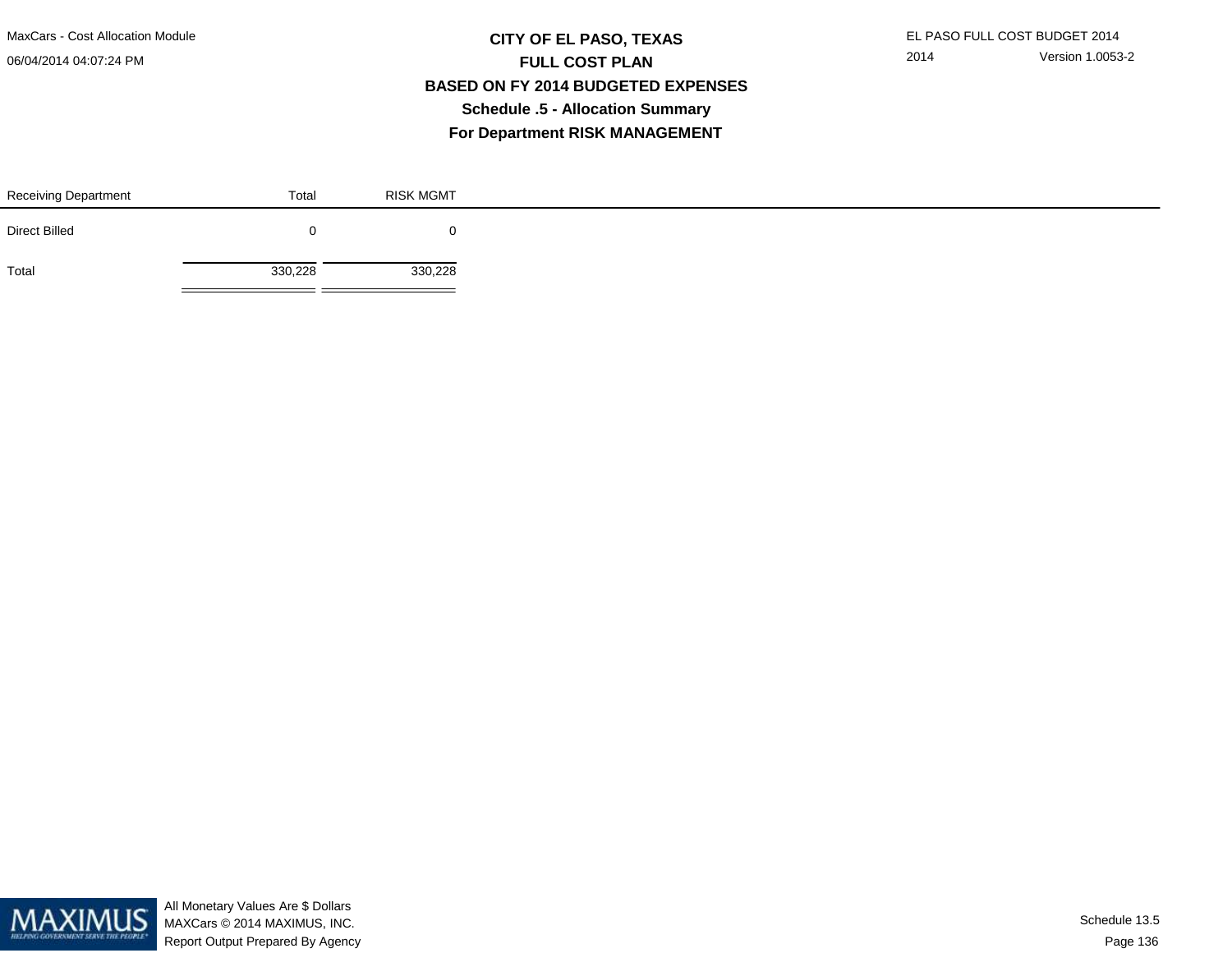MaxCars - Cost Allocation Module

06/04/2014 04:07:24 PM

## **CITY OF EL PASO, TEXAS** EL PASO FULL COST BUDGET 2014 **FULL COST PLAN BASED ON FY 2014 BUDGETED EXPENSESSchedule .5 - Allocation SummaryFor Department RISK MANAGEMENT**

| <b>Receiving Department</b> | Total   | <b>RISK MGMT</b> |
|-----------------------------|---------|------------------|
| <b>Direct Billed</b>        |         |                  |
| Total                       | 330,228 | 330,228          |